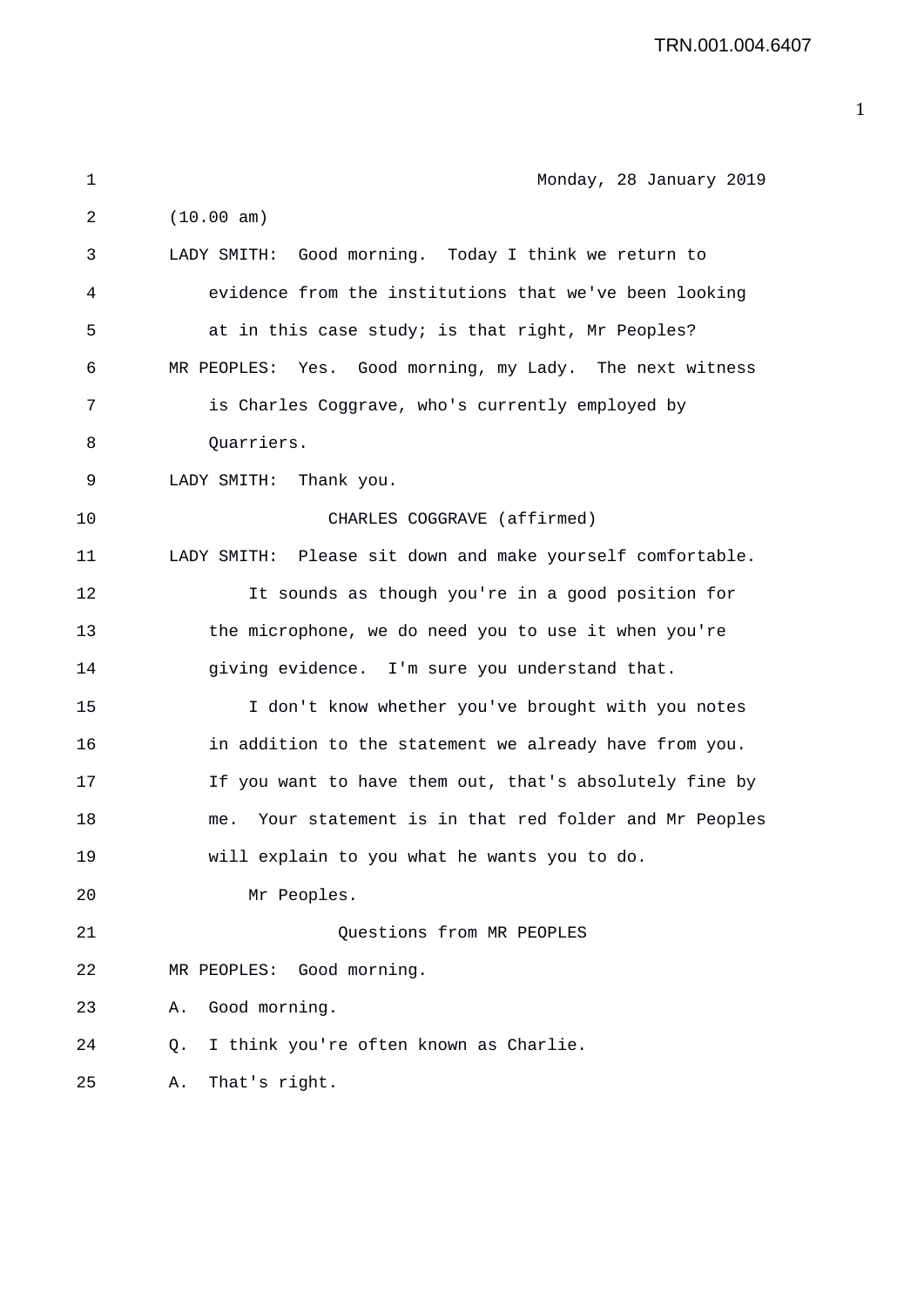TRN.001.004.6407

| 1  | Monday, 28 January 2019                                    |
|----|------------------------------------------------------------|
| 2  | (10.00 am)                                                 |
| 3  | LADY SMITH: Good morning. Today I think we return to       |
| 4  | evidence from the institutions that we've been looking     |
| 5  | at in this case study; is that right, Mr Peoples?          |
| 6  | MR PEOPLES: Yes. Good morning, my Lady. The next witness   |
| 7  | is Charles Coggrave, who's currently employed by           |
| 8  | Quarriers.                                                 |
| 9  | LADY SMITH:<br>Thank you.                                  |
| 10 | CHARLES COGGRAVE (affirmed)                                |
| 11 | LADY SMITH: Please sit down and make yourself comfortable. |
| 12 | It sounds as though you're in a good position for          |
| 13 | the microphone, we do need you to use it when you're       |
| 14 | giving evidence. I'm sure you understand that.             |
| 15 | I don't know whether you've brought with you notes         |
| 16 | in addition to the statement we already have from you.     |
| 17 | If you want to have them out, that's absolutely fine by    |
| 18 | Your statement is in that red folder and Mr Peoples<br>me. |
| 19 | will explain to you what he wants you to do.               |
| 20 | Mr Peoples.                                                |
| 21 | Questions from MR PEOPLES                                  |
| 22 | MR PEOPLES: Good morning.                                  |
| 23 | Good morning.<br>Α.                                        |
| 24 | I think you're often known as Charlie.<br>Q.               |
| 25 | That's right.<br>Α.                                        |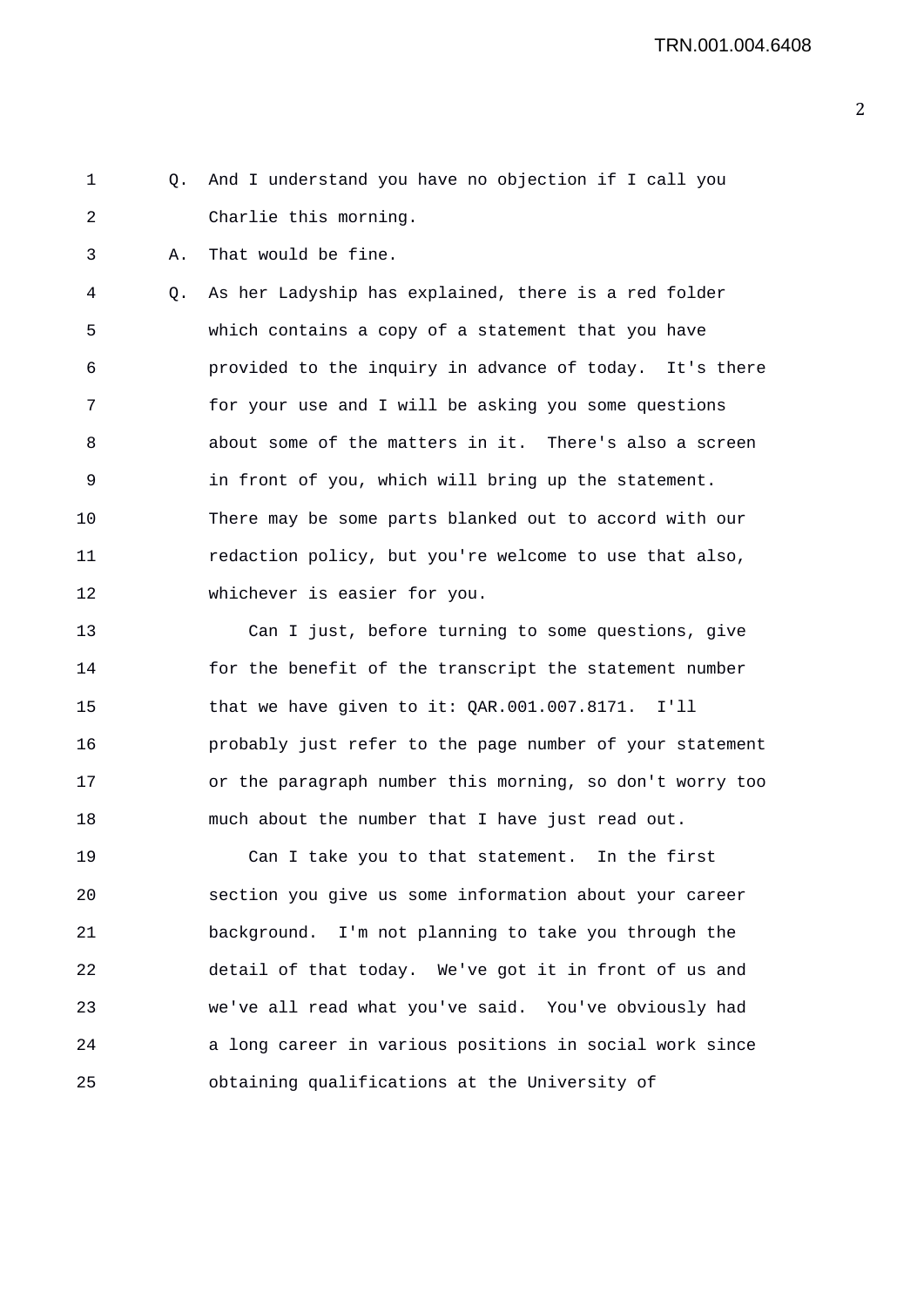1 Q. And I understand you have no objection if I call you 2 Charlie this morning.

3 A. That would be fine.

4 Q. As her Ladyship has explained, there is a red folder 5 which contains a copy of a statement that you have 6 provided to the inquiry in advance of today. It's there 7 for your use and I will be asking you some questions 8 about some of the matters in it. There's also a screen 9 in front of you, which will bring up the statement. 10 There may be some parts blanked out to accord with our 11 redaction policy, but you're welcome to use that also, 12 whichever is easier for you.

13 Can I just, before turning to some questions, give 14 for the benefit of the transcript the statement number 15 that we have given to it: QAR.001.007.8171. I'll 16 probably just refer to the page number of your statement 17 or the paragraph number this morning, so don't worry too 18 much about the number that I have just read out.

19 Can I take you to that statement. In the first 20 section you give us some information about your career 21 background. I'm not planning to take you through the 22 detail of that today. We've got it in front of us and 23 we've all read what you've said. You've obviously had 24 a long career in various positions in social work since 25 obtaining qualifications at the University of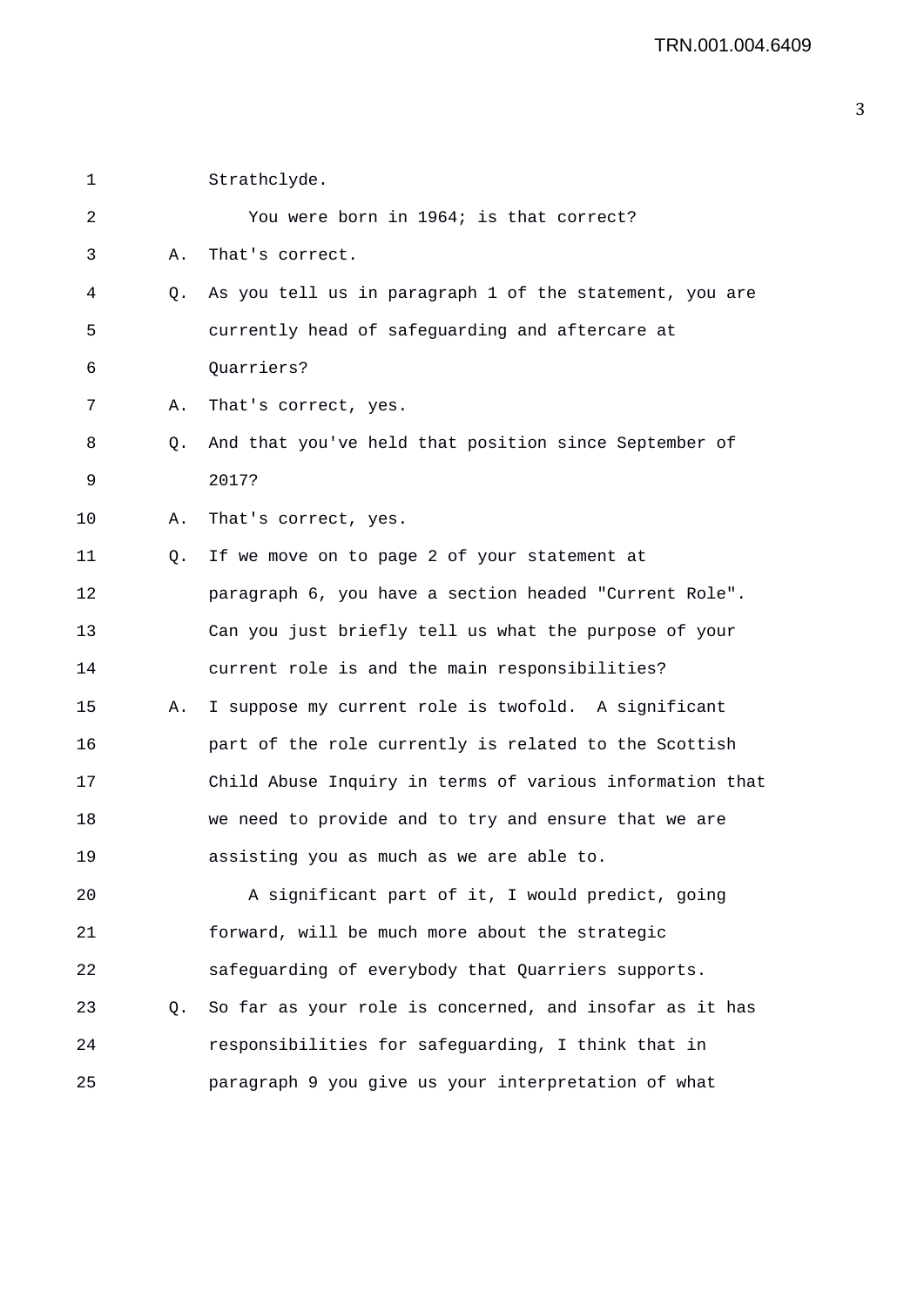| 1  |    | Strathclyde.                                             |
|----|----|----------------------------------------------------------|
| 2  |    | You were born in 1964; is that correct?                  |
| 3  | Α. | That's correct.                                          |
| 4  | Q. | As you tell us in paragraph 1 of the statement, you are  |
| 5  |    | currently head of safeguarding and aftercare at          |
| 6  |    | Quarriers?                                               |
| 7  | Α. | That's correct, yes.                                     |
| 8  | Q. | And that you've held that position since September of    |
| 9  |    | 2017?                                                    |
| 10 | Α. | That's correct, yes.                                     |
| 11 | Q. | If we move on to page 2 of your statement at             |
| 12 |    | paragraph 6, you have a section headed "Current Role".   |
| 13 |    | Can you just briefly tell us what the purpose of your    |
| 14 |    | current role is and the main responsibilities?           |
| 15 | Α. | I suppose my current role is twofold. A significant      |
| 16 |    | part of the role currently is related to the Scottish    |
| 17 |    | Child Abuse Inquiry in terms of various information that |
| 18 |    | we need to provide and to try and ensure that we are     |
| 19 |    | assisting you as much as we are able to.                 |
| 20 |    | A significant part of it, I would predict, going         |
| 21 |    | forward, will be much more about the strategic           |
| 22 |    | safeguarding of everybody that Quarriers supports.       |
| 23 | Q. | So far as your role is concerned, and insofar as it has  |
| 24 |    | responsibilities for safeguarding, I think that in       |
| 25 |    | paragraph 9 you give us your interpretation of what      |
|    |    |                                                          |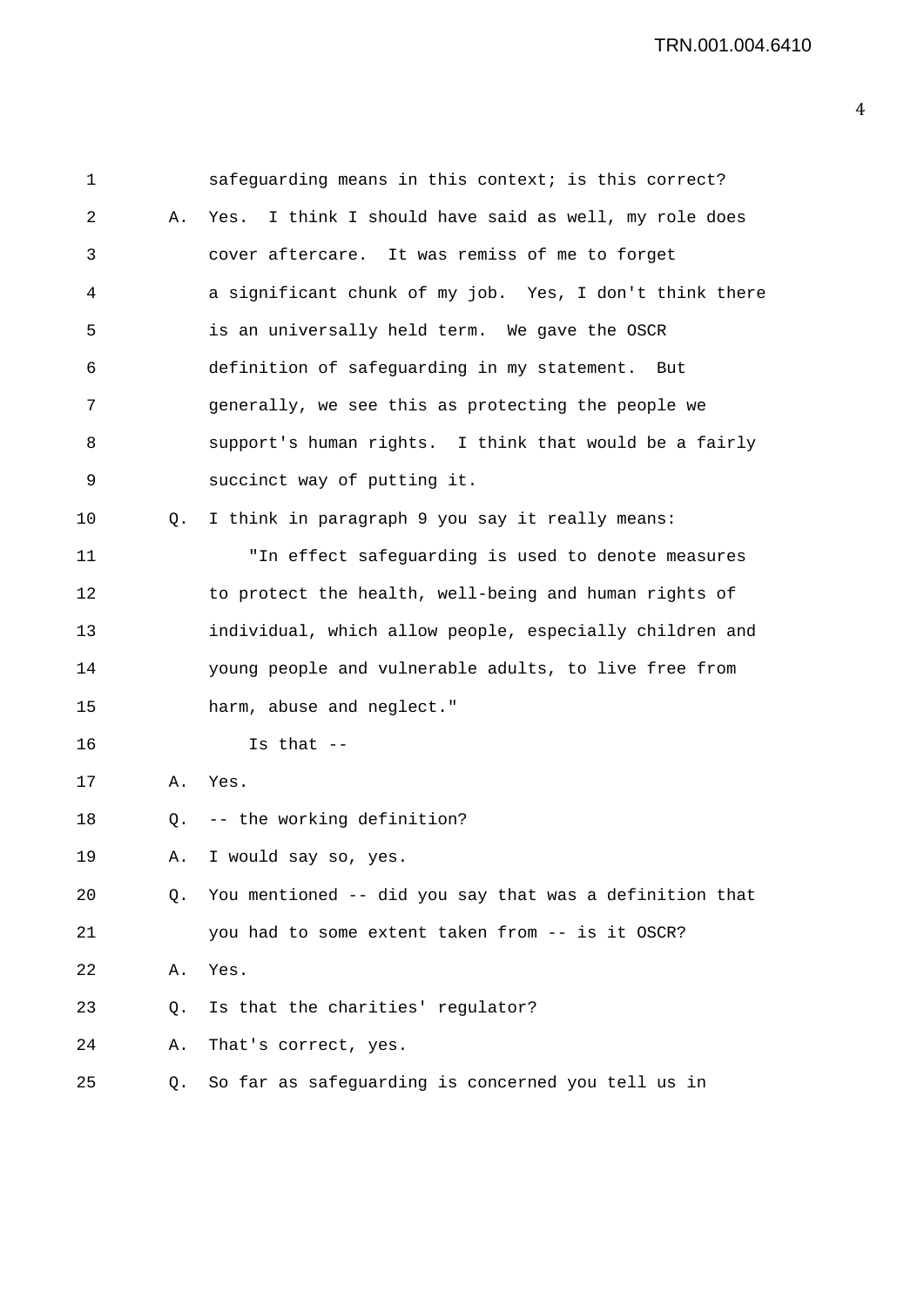| 1  |    | safeguarding means in this context; is this correct?     |
|----|----|----------------------------------------------------------|
| 2  | Α. | I think I should have said as well, my role does<br>Yes. |
| 3  |    | cover aftercare. It was remiss of me to forget           |
| 4  |    | a significant chunk of my job. Yes, I don't think there  |
| 5  |    | is an universally held term. We gave the OSCR            |
| 6  |    | definition of safeguarding in my statement. But          |
| 7  |    | generally, we see this as protecting the people we       |
| 8  |    | support's human rights. I think that would be a fairly   |
| 9  |    | succinct way of putting it.                              |
| 10 | O. | I think in paragraph 9 you say it really means:          |
| 11 |    | "In effect safeguarding is used to denote measures       |
| 12 |    | to protect the health, well-being and human rights of    |
| 13 |    | individual, which allow people, especially children and  |
| 14 |    | young people and vulnerable adults, to live free from    |
| 15 |    | harm, abuse and neglect."                                |
| 16 |    | Is that $--$                                             |
| 17 | А. | Yes.                                                     |
| 18 | Q. | -- the working definition?                               |
| 19 | Α. | I would say so, yes.                                     |
| 20 | Q. | You mentioned -- did you say that was a definition that  |
| 21 |    | you had to some extent taken from -- is it OSCR?         |
| 22 | Α. | Yes.                                                     |
| 23 | Q. | Is that the charities' regulator?                        |
| 24 | Α. | That's correct, yes.                                     |
| 25 | Q. | So far as safeguarding is concerned you tell us in       |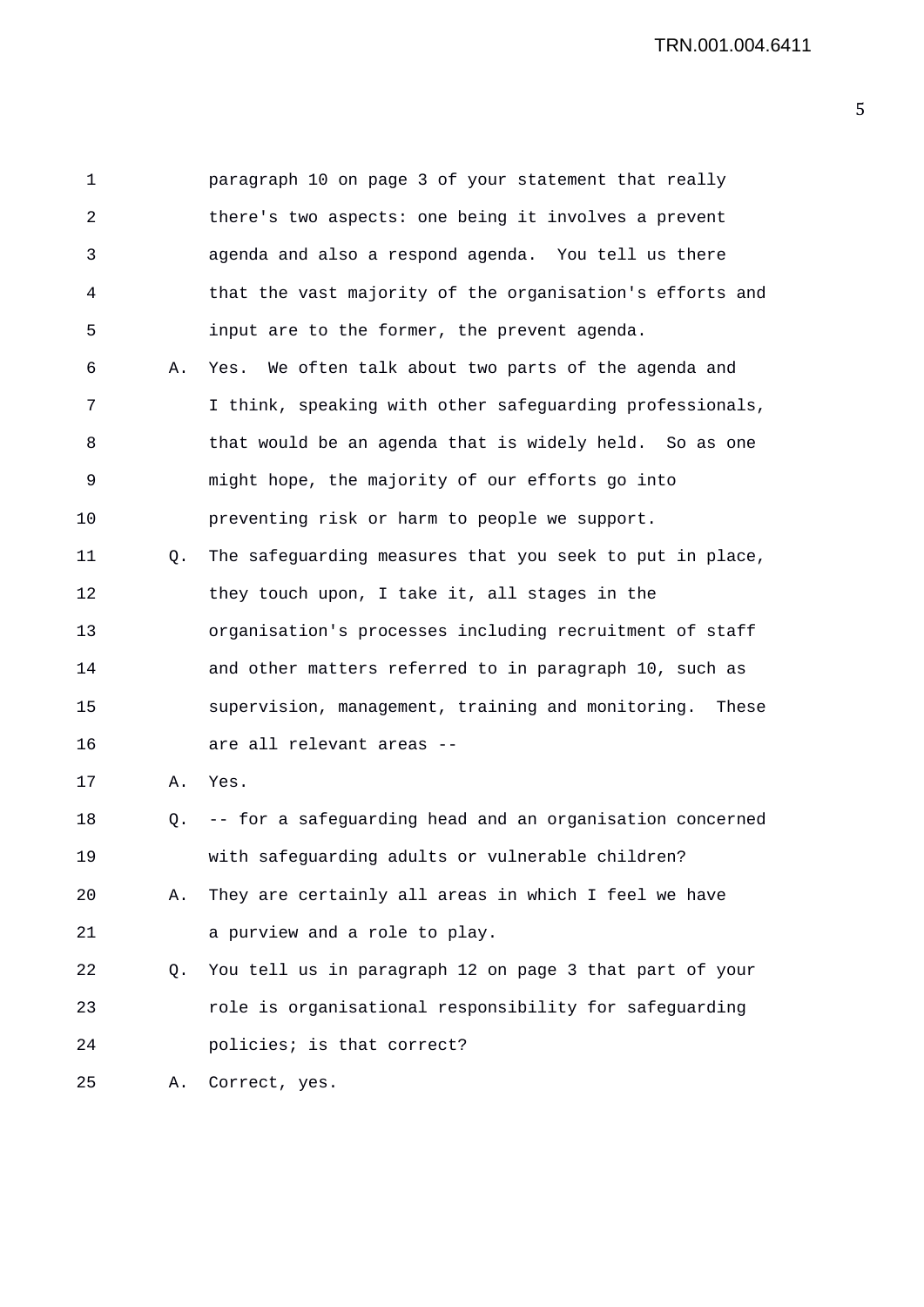1 paragraph 10 on page 3 of your statement that really 2 there's two aspects: one being it involves a prevent 3 agenda and also a respond agenda. You tell us there 4 that the vast majority of the organisation's efforts and 5 input are to the former, the prevent agenda. 6 A. Yes. We often talk about two parts of the agenda and 7 I think, speaking with other safeguarding professionals, 8 that would be an agenda that is widely held. So as one 9 might hope, the majority of our efforts go into 10 preventing risk or harm to people we support. 11 Q. The safeguarding measures that you seek to put in place, 12 they touch upon, I take it, all stages in the 13 organisation's processes including recruitment of staff 14 and other matters referred to in paragraph 10, such as 15 supervision, management, training and monitoring. These 16 are all relevant areas -- 17 A. Yes. 18 Q. -- for a safeguarding head and an organisation concerned 19 with safeguarding adults or vulnerable children? 20 A. They are certainly all areas in which I feel we have 21 a purview and a role to play. 22 Q. You tell us in paragraph 12 on page 3 that part of your 23 role is organisational responsibility for safeguarding 24 policies; is that correct? 25 A. Correct, yes.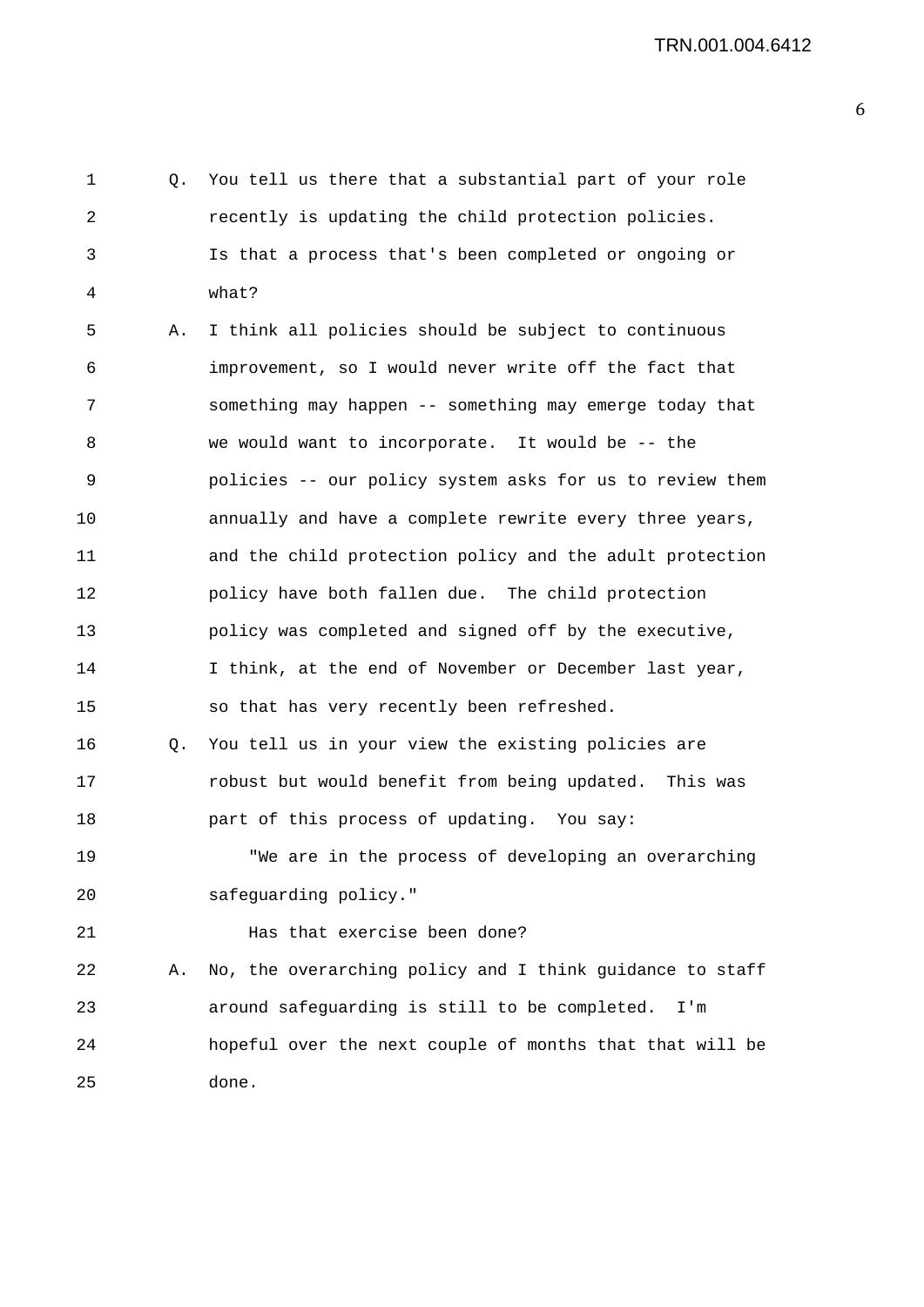1 Q. You tell us there that a substantial part of your role 2 recently is updating the child protection policies. 3 Is that a process that's been completed or ongoing or 4 what? 5 A. I think all policies should be subject to continuous 6 improvement, so I would never write off the fact that 7 something may happen -- something may emerge today that 8 we would want to incorporate. It would be -- the 9 policies -- our policy system asks for us to review them 10 annually and have a complete rewrite every three years, 11 and the child protection policy and the adult protection 12 policy have both fallen due. The child protection 13 policy was completed and signed off by the executive, 14 I think, at the end of November or December last year, 15 so that has very recently been refreshed. 16 Q. You tell us in your view the existing policies are 17 robust but would benefit from being updated. This was 18 part of this process of updating. You say: 19 "We are in the process of developing an overarching 20 safeguarding policy." 21 **Has that exercise been done?** 22 A. No, the overarching policy and I think guidance to staff 23 around safeguarding is still to be completed. I'm 24 hopeful over the next couple of months that that will be 25 done.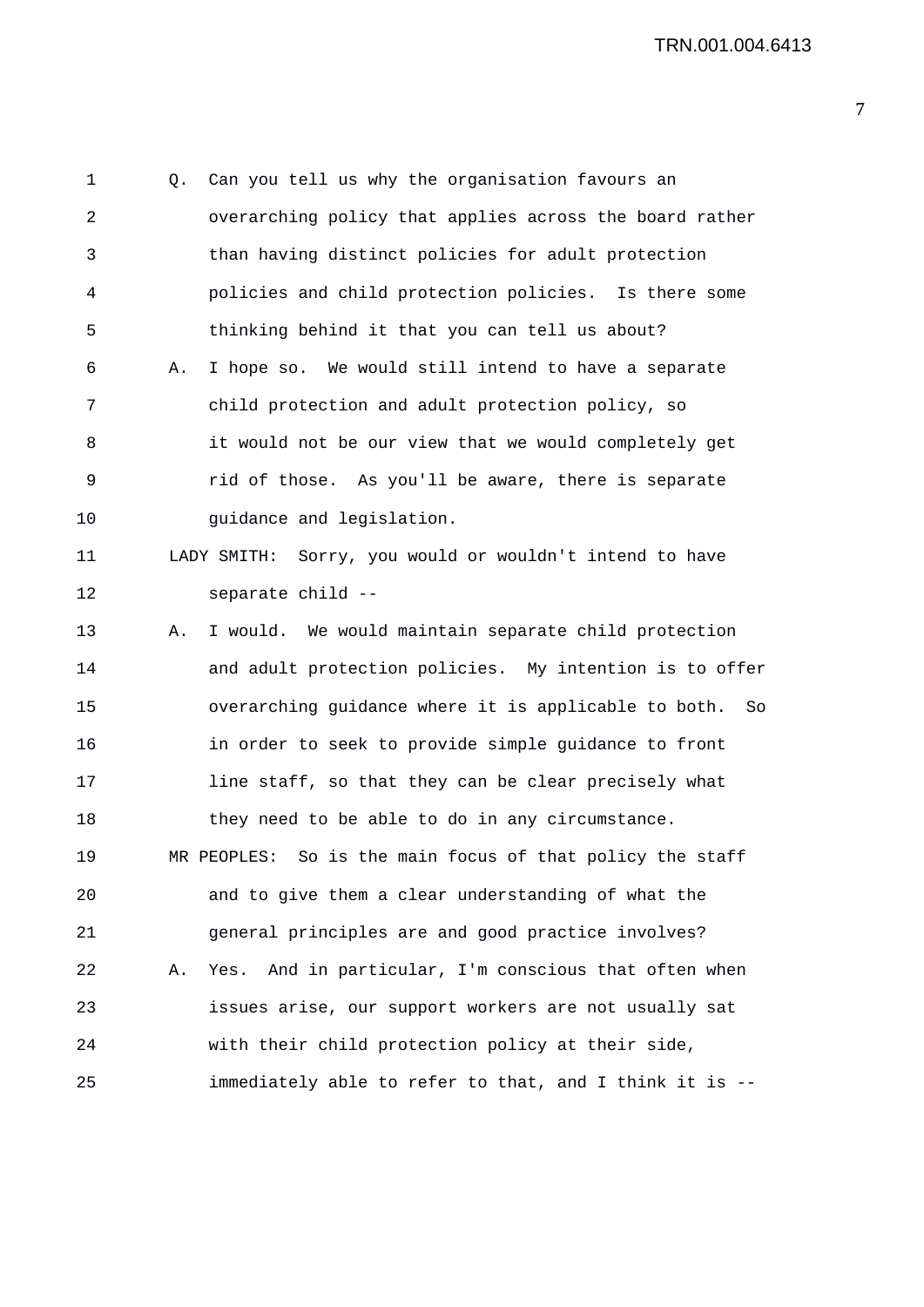1 Q. Can you tell us why the organisation favours an 2 overarching policy that applies across the board rather 3 than having distinct policies for adult protection 4 policies and child protection policies. Is there some 5 thinking behind it that you can tell us about? 6 A. I hope so. We would still intend to have a separate 7 child protection and adult protection policy, so 8 it would not be our view that we would completely get 9 rid of those. As you'll be aware, there is separate 10 guidance and legislation. 11 LADY SMITH: Sorry, you would or wouldn't intend to have 12 separate child -- 13 A. I would. We would maintain separate child protection 14 and adult protection policies. My intention is to offer 15 overarching guidance where it is applicable to both. So 16 in order to seek to provide simple guidance to front 17 line staff, so that they can be clear precisely what 18 they need to be able to do in any circumstance. 19 MR PEOPLES: So is the main focus of that policy the staff 20 and to give them a clear understanding of what the 21 general principles are and good practice involves? 22 A. Yes. And in particular, I'm conscious that often when 23 issues arise, our support workers are not usually sat 24 with their child protection policy at their side, 25 immediately able to refer to that, and I think it is --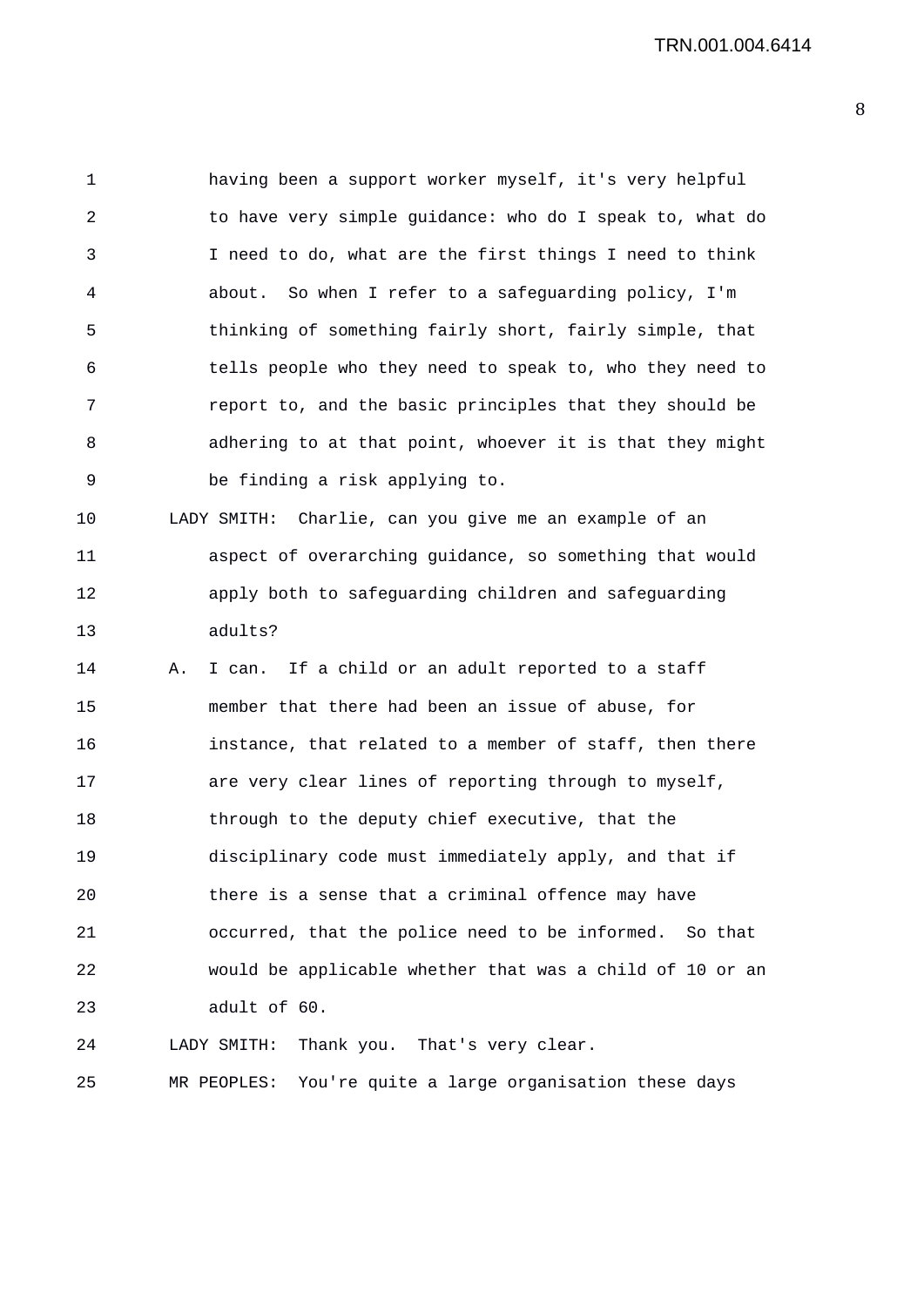1 having been a support worker myself, it's very helpful 2 to have very simple guidance: who do I speak to, what do 3 I need to do, what are the first things I need to think 4 about. So when I refer to a safeguarding policy, I'm 5 thinking of something fairly short, fairly simple, that 6 tells people who they need to speak to, who they need to 7 report to, and the basic principles that they should be 8 adhering to at that point, whoever it is that they might 9 be finding a risk applying to. 10 LADY SMITH: Charlie, can you give me an example of an 11 aspect of overarching guidance, so something that would 12 apply both to safeguarding children and safeguarding 13 adults? 14 A. I can. If a child or an adult reported to a staff 15 member that there had been an issue of abuse, for 16 instance, that related to a member of staff, then there 17 are very clear lines of reporting through to myself, 18 through to the deputy chief executive, that the 19 disciplinary code must immediately apply, and that if 20 there is a sense that a criminal offence may have 21 occurred, that the police need to be informed. So that 22 would be applicable whether that was a child of 10 or an 23 adult of 60. 24 LADY SMITH: Thank you. That's very clear.

25 MR PEOPLES: You're quite a large organisation these days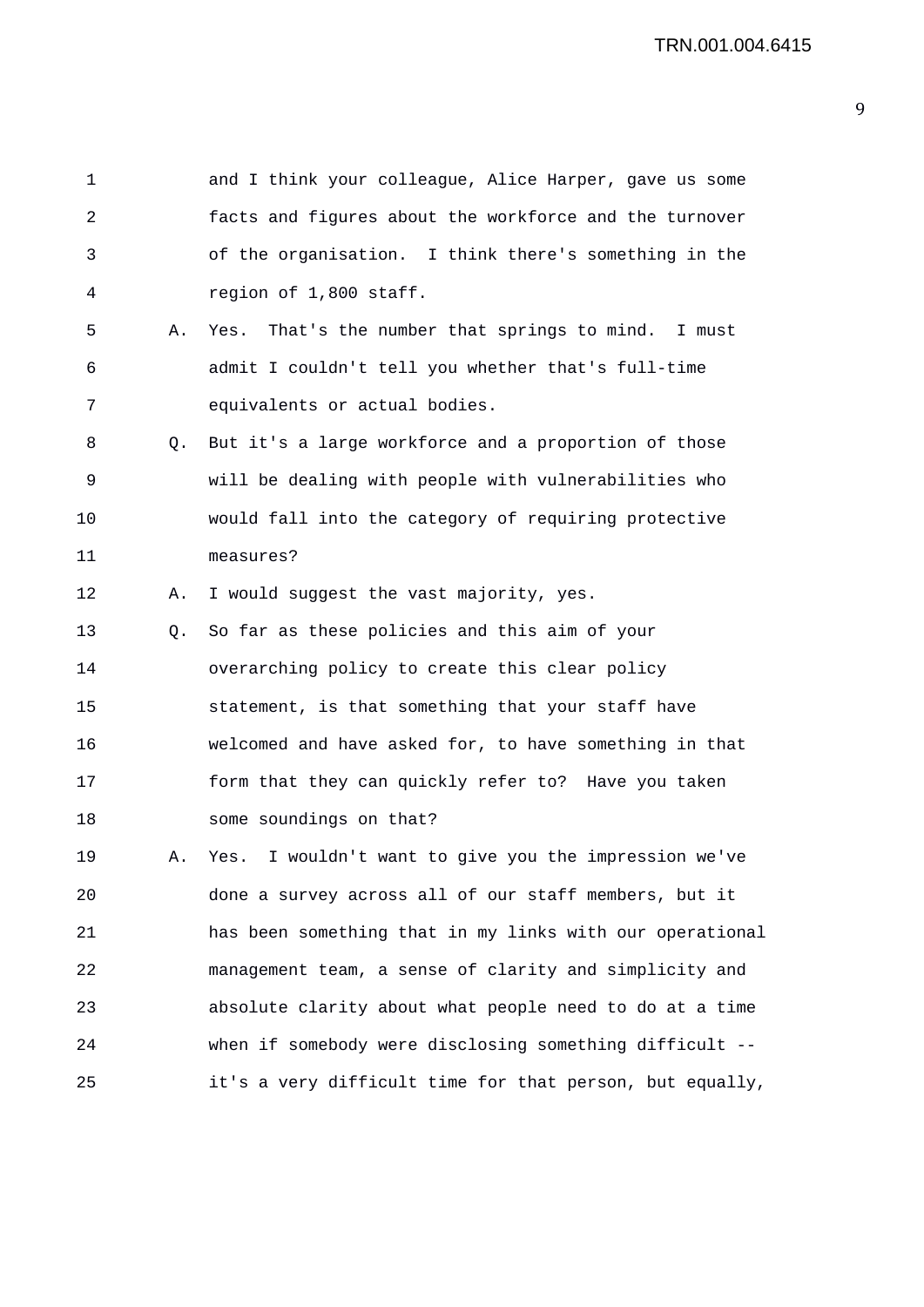1 and I think your colleague, Alice Harper, gave us some 2 facts and figures about the workforce and the turnover 3 of the organisation. I think there's something in the 4 region of 1,800 staff. 5 A. Yes. That's the number that springs to mind. I must 6 admit I couldn't tell you whether that's full-time 7 equivalents or actual bodies. 8 Q. But it's a large workforce and a proportion of those 9 will be dealing with people with vulnerabilities who 10 would fall into the category of requiring protective 11 measures? 12 A. I would suggest the vast majority, yes. 13 Q. So far as these policies and this aim of your 14 overarching policy to create this clear policy 15 statement, is that something that your staff have 16 welcomed and have asked for, to have something in that 17 form that they can quickly refer to? Have you taken 18 some soundings on that? 19 A. Yes. I wouldn't want to give you the impression we've 20 done a survey across all of our staff members, but it 21 has been something that in my links with our operational 22 management team, a sense of clarity and simplicity and 23 absolute clarity about what people need to do at a time 24 when if somebody were disclosing something difficult -- 25 it's a very difficult time for that person, but equally,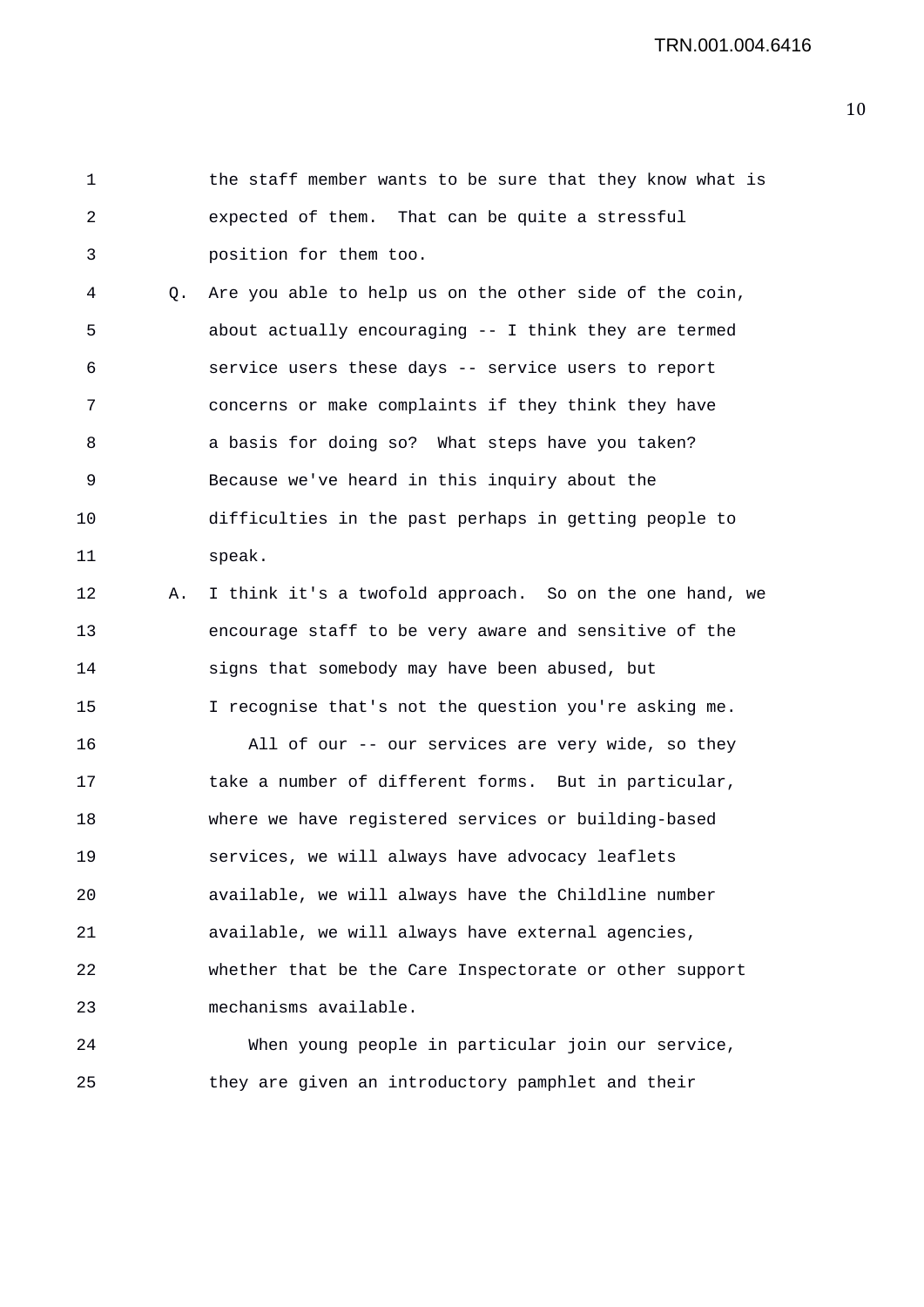1 the staff member wants to be sure that they know what is 2 expected of them. That can be quite a stressful 3 position for them too. 4 Q. Are you able to help us on the other side of the coin, 5 about actually encouraging -- I think they are termed 6 service users these days -- service users to report 7 concerns or make complaints if they think they have 8 a basis for doing so? What steps have you taken? 9 Because we've heard in this inquiry about the 10 difficulties in the past perhaps in getting people to 11 speak. 12 A. I think it's a twofold approach. So on the one hand, we 13 encourage staff to be very aware and sensitive of the 14 signs that somebody may have been abused, but 15 I recognise that's not the question you're asking me. 16 All of our -- our services are very wide, so they 17 take a number of different forms. But in particular, 18 where we have registered services or building-based 19 services, we will always have advocacy leaflets 20 available, we will always have the Childline number 21 available, we will always have external agencies, 22 whether that be the Care Inspectorate or other support 23 mechanisms available. 24 When young people in particular join our service,

25 they are given an introductory pamphlet and their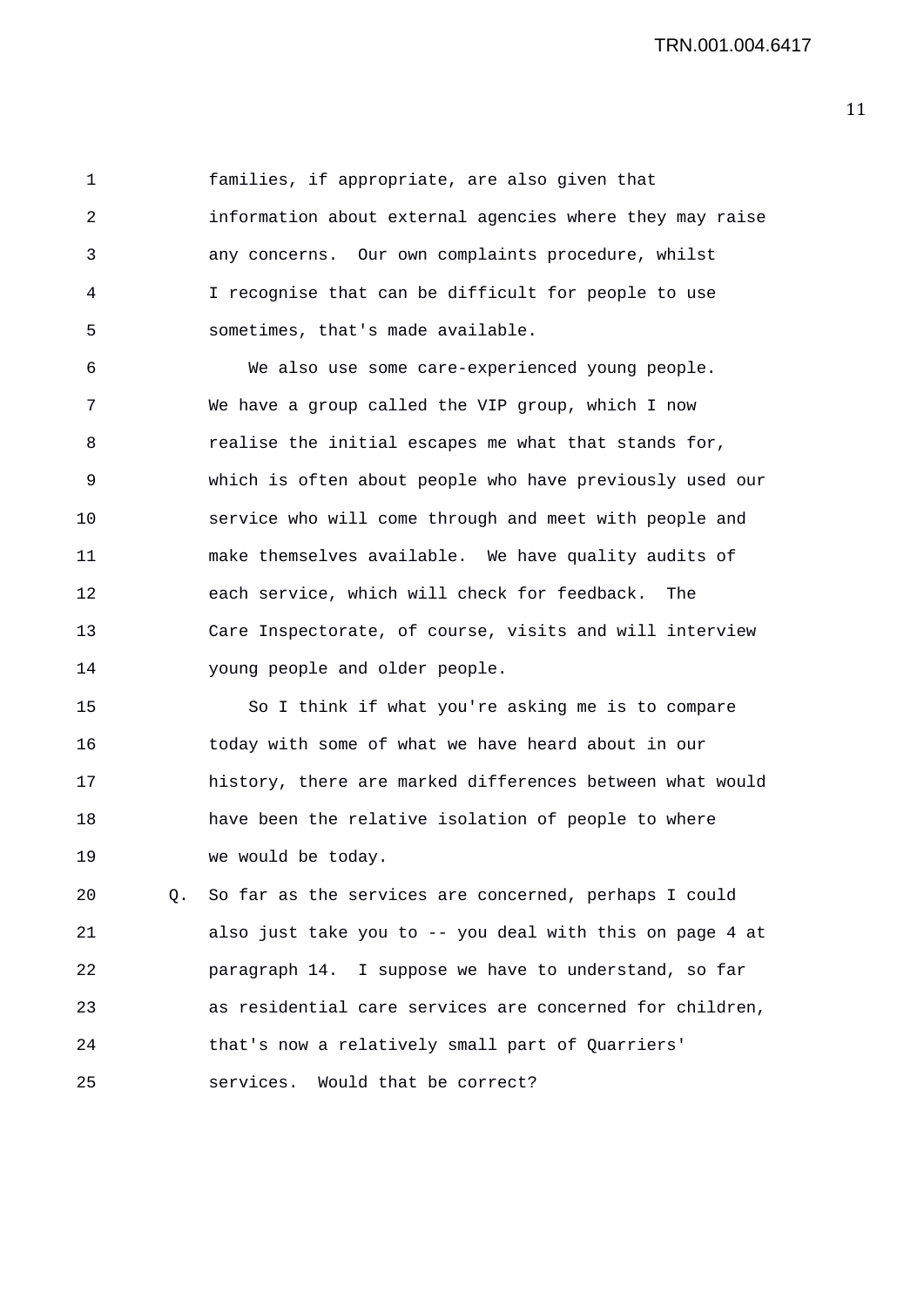1 families, if appropriate, are also given that 2 information about external agencies where they may raise 3 any concerns. Our own complaints procedure, whilst 4 I recognise that can be difficult for people to use 5 sometimes, that's made available.

6 We also use some care-experienced young people. 7 We have a group called the VIP group, which I now 8 realise the initial escapes me what that stands for, 9 which is often about people who have previously used our 10 service who will come through and meet with people and 11 make themselves available. We have quality audits of 12 each service, which will check for feedback. The 13 Care Inspectorate, of course, visits and will interview 14 young people and older people.

15 So I think if what you're asking me is to compare 16 today with some of what we have heard about in our 17 history, there are marked differences between what would 18 have been the relative isolation of people to where 19 we would be today.

20 Q. So far as the services are concerned, perhaps I could 21 also just take you to -- you deal with this on page 4 at 22 paragraph 14. I suppose we have to understand, so far 23 as residential care services are concerned for children, 24 that's now a relatively small part of Quarriers' 25 services. Would that be correct?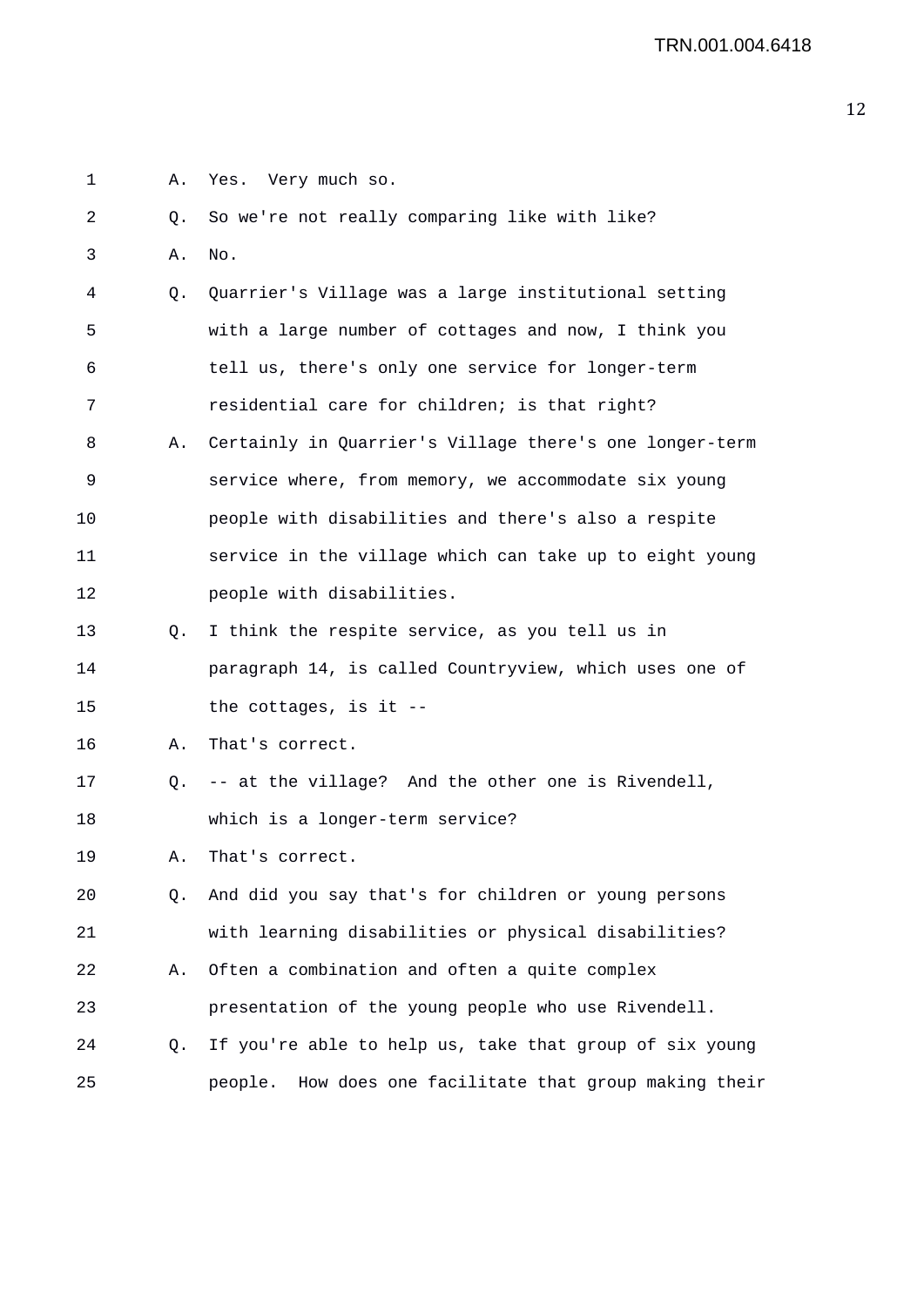| $\mathbf 1$ | Α. | Yes. Very much so.                                         |
|-------------|----|------------------------------------------------------------|
| 2           | Q. | So we're not really comparing like with like?              |
| 3           | Α. | No.                                                        |
| 4           | Q. | Quarrier's Village was a large institutional setting       |
| 5           |    | with a large number of cottages and now, I think you       |
| 6           |    | tell us, there's only one service for longer-term          |
| 7           |    | residential care for children; is that right?              |
| 8           | Α. | Certainly in Quarrier's Village there's one longer-term    |
| 9           |    | service where, from memory, we accommodate six young       |
| 10          |    | people with disabilities and there's also a respite        |
| 11          |    | service in the village which can take up to eight young    |
| 12          |    | people with disabilities.                                  |
| 13          | Q. | I think the respite service, as you tell us in             |
| 14          |    | paragraph 14, is called Countryview, which uses one of     |
| 15          |    | the cottages, is it $-$ -                                  |
| 16          | Α. | That's correct.                                            |
| 17          | Q. | -- at the village? And the other one is Rivendell,         |
| 18          |    | which is a longer-term service?                            |
| 19          | А. | That's correct.                                            |
| 20          | Q. | And did you say that's for children or young persons       |
| 21          |    | with learning disabilities or physical disabilities?       |
| 22          | Α. | Often a combination and often a quite complex              |
| 23          |    | presentation of the young people who use Rivendell.        |
| 24          | Q. | If you're able to help us, take that group of six young    |
| 25          |    | How does one facilitate that group making their<br>people. |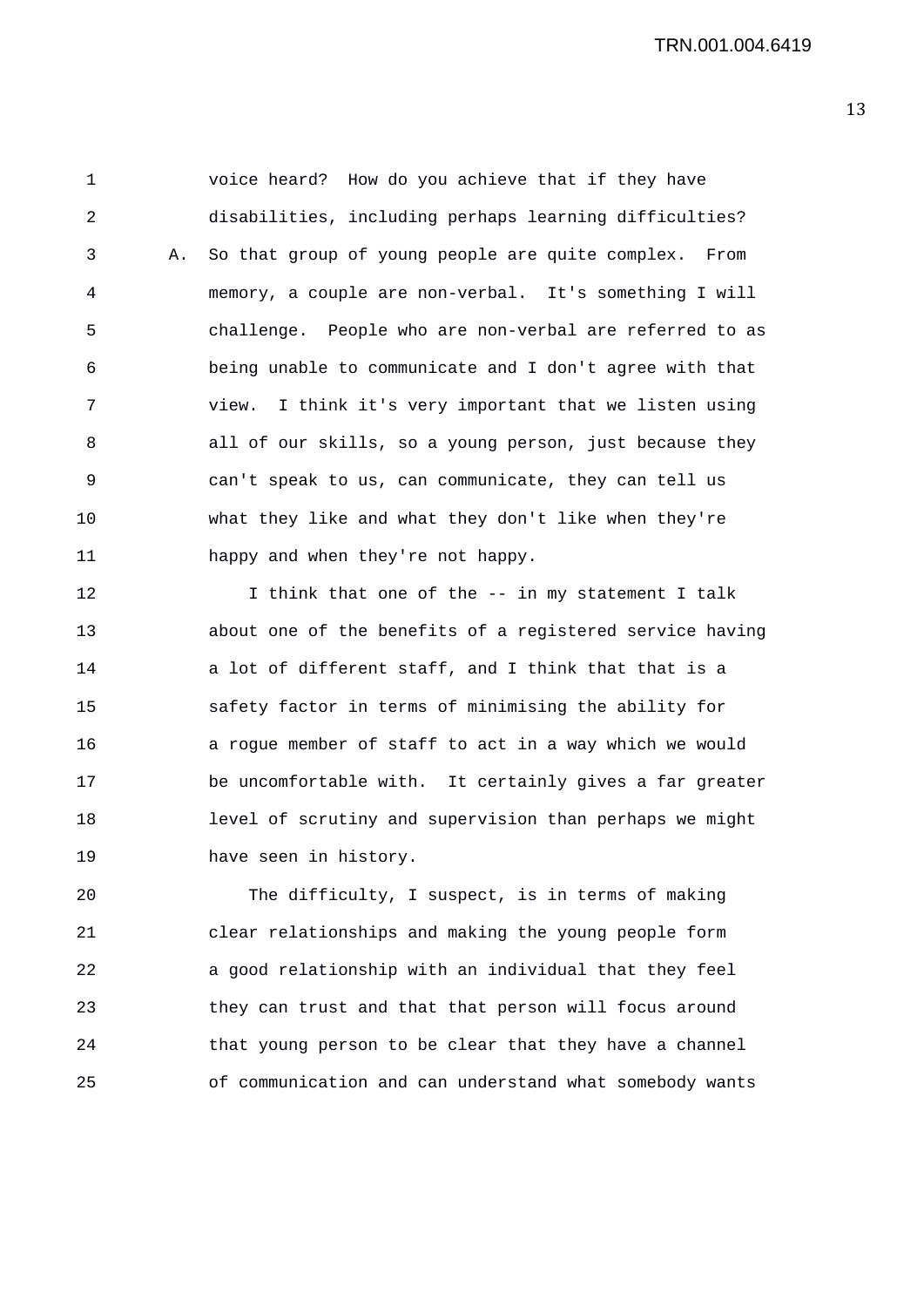1 voice heard? How do you achieve that if they have 2 disabilities, including perhaps learning difficulties? 3 A. So that group of young people are quite complex. From 4 memory, a couple are non-verbal. It's something I will 5 challenge. People who are non-verbal are referred to as 6 being unable to communicate and I don't agree with that 7 view. I think it's very important that we listen using 8 all of our skills, so a young person, just because they 9 can't speak to us, can communicate, they can tell us 10 what they like and what they don't like when they're 11 happy and when they're not happy.

12 12 I think that one of the -- in my statement I talk 13 about one of the benefits of a registered service having 14 a lot of different staff, and I think that that is a 15 safety factor in terms of minimising the ability for 16 a rogue member of staff to act in a way which we would 17 be uncomfortable with. It certainly gives a far greater 18 level of scrutiny and supervision than perhaps we might 19 have seen in history.

20 The difficulty, I suspect, is in terms of making 21 clear relationships and making the young people form 22 a good relationship with an individual that they feel 23 they can trust and that that person will focus around 24 that young person to be clear that they have a channel 25 of communication and can understand what somebody wants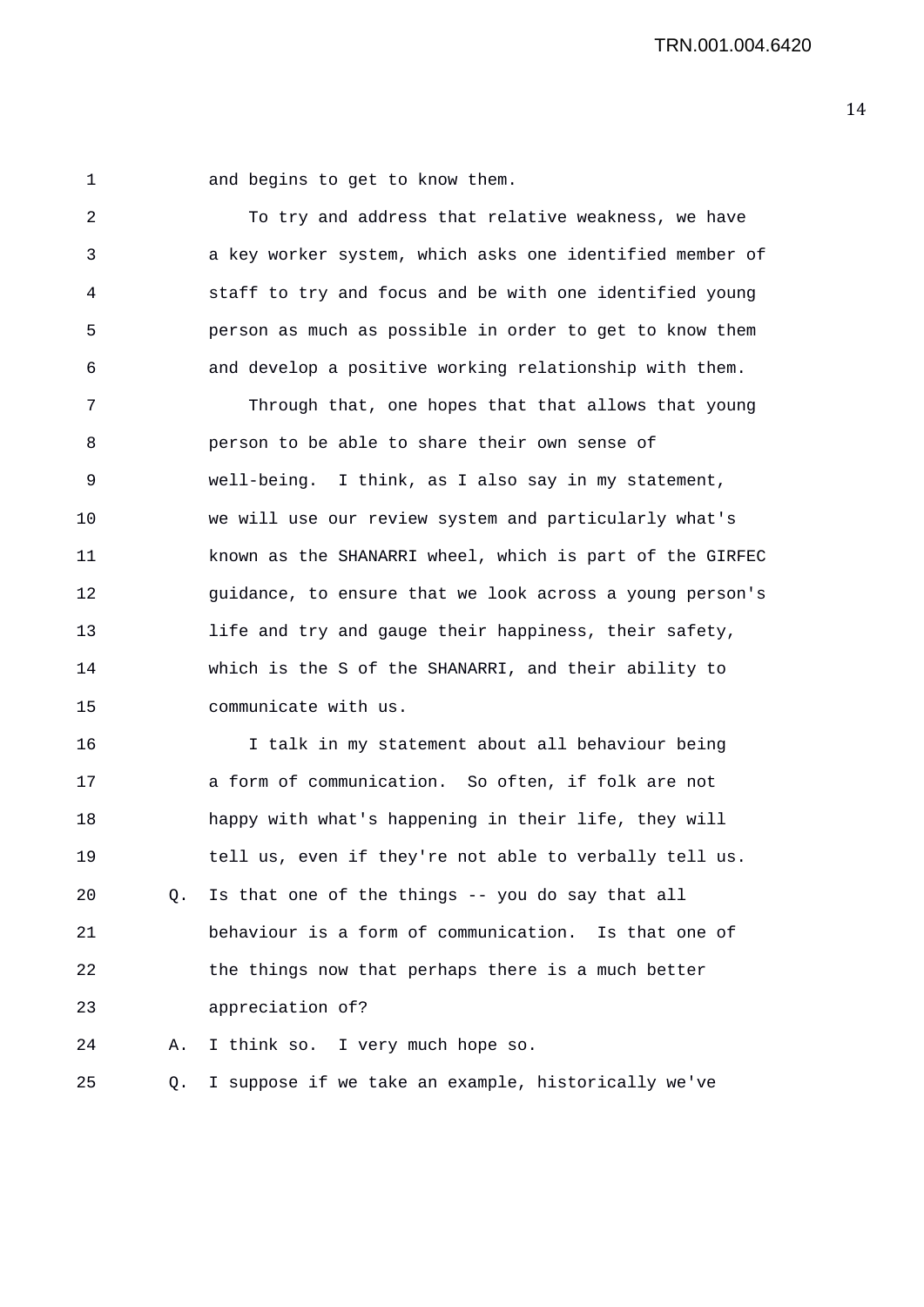1 and begins to get to know them.

2 To try and address that relative weakness, we have 3 a key worker system, which asks one identified member of 4 staff to try and focus and be with one identified young 5 person as much as possible in order to get to know them 6 and develop a positive working relationship with them.

7 Through that, one hopes that that allows that young 8 person to be able to share their own sense of 9 well-being. I think, as I also say in my statement, 10 we will use our review system and particularly what's 11 known as the SHANARRI wheel, which is part of the GIRFEC 12 guidance, to ensure that we look across a young person's 13 life and try and gauge their happiness, their safety, 14 which is the S of the SHANARRI, and their ability to 15 communicate with us.

16 I talk in my statement about all behaviour being 17 a form of communication. So often, if folk are not 18 happy with what's happening in their life, they will 19 tell us, even if they're not able to verbally tell us. 20 Q. Is that one of the things -- you do say that all 21 behaviour is a form of communication. Is that one of 22 the things now that perhaps there is a much better 23 appreciation of? 24 A. I think so. I very much hope so.

25 Q. I suppose if we take an example, historically we've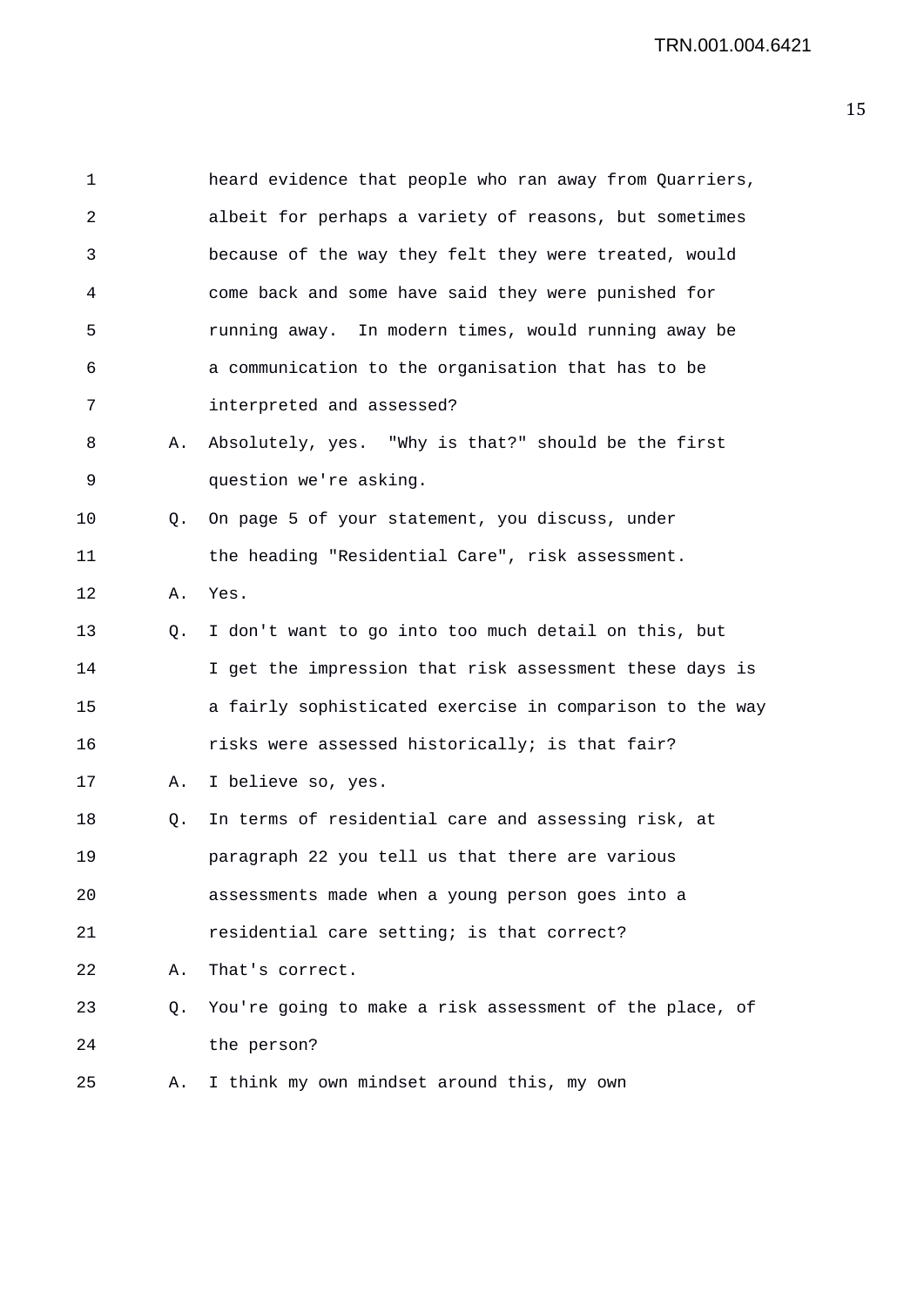| 1  |           | heard evidence that people who ran away from Quarriers,  |
|----|-----------|----------------------------------------------------------|
| 2  |           | albeit for perhaps a variety of reasons, but sometimes   |
| 3  |           | because of the way they felt they were treated, would    |
| 4  |           | come back and some have said they were punished for      |
| 5  |           | running away. In modern times, would running away be     |
| 6  |           | a communication to the organisation that has to be       |
| 7  |           | interpreted and assessed?                                |
| 8  | Α.        | Absolutely, yes. "Why is that?" should be the first      |
| 9  |           | question we're asking.                                   |
| 10 | Q.        | On page 5 of your statement, you discuss, under          |
| 11 |           | the heading "Residential Care", risk assessment.         |
| 12 | Α.        | Yes.                                                     |
| 13 | Q.        | I don't want to go into too much detail on this, but     |
| 14 |           | I get the impression that risk assessment these days is  |
| 15 |           | a fairly sophisticated exercise in comparison to the way |
| 16 |           | risks were assessed historically; is that fair?          |
| 17 | Α.        | I believe so, yes.                                       |
| 18 | Q.        | In terms of residential care and assessing risk, at      |
| 19 |           | paragraph 22 you tell us that there are various          |
| 20 |           | assessments made when a young person goes into a         |
| 21 |           | residential care setting; is that correct?               |
| 22 | Α.        | That's correct.                                          |
| 23 | $\circ$ . | You're going to make a risk assessment of the place, of  |
| 24 |           | the person?                                              |
| 25 | Α.        | I think my own mindset around this, my own               |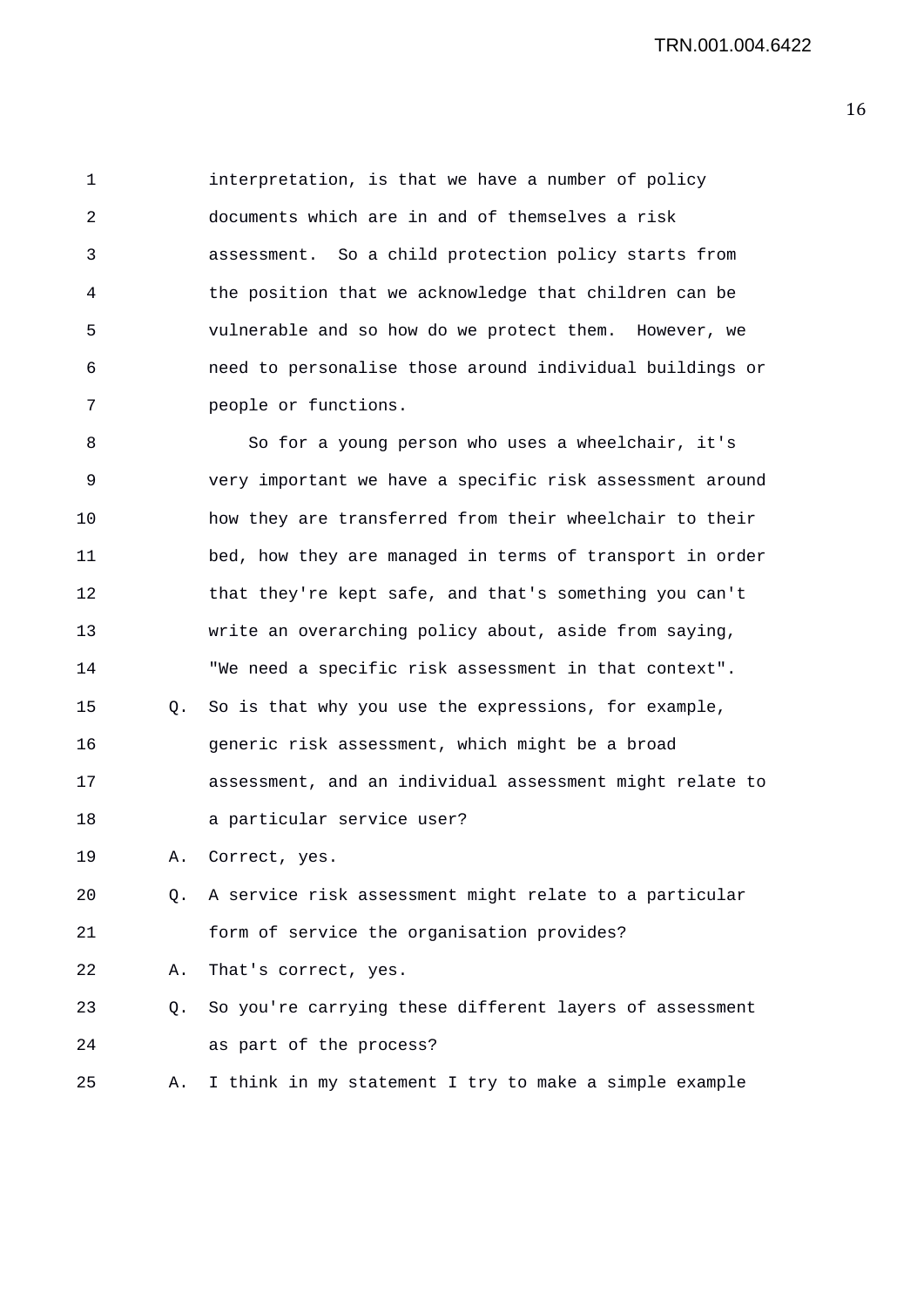1 interpretation, is that we have a number of policy 2 documents which are in and of themselves a risk 3 assessment. So a child protection policy starts from 4 the position that we acknowledge that children can be 5 vulnerable and so how do we protect them. However, we 6 need to personalise those around individual buildings or 7 people or functions.

8 So for a young person who uses a wheelchair, it's 9 very important we have a specific risk assessment around 10 how they are transferred from their wheelchair to their 11 bed, how they are managed in terms of transport in order 12 that they're kept safe, and that's something you can't 13 write an overarching policy about, aside from saying, 14 "We need a specific risk assessment in that context". 15 Q. So is that why you use the expressions, for example, 16 generic risk assessment, which might be a broad 17 assessment, and an individual assessment might relate to 18 a particular service user? 19 A. Correct, yes. 20 Q. A service risk assessment might relate to a particular 21 form of service the organisation provides?

22 A. That's correct, yes.

23 Q. So you're carrying these different layers of assessment 24 as part of the process?

25 A. I think in my statement I try to make a simple example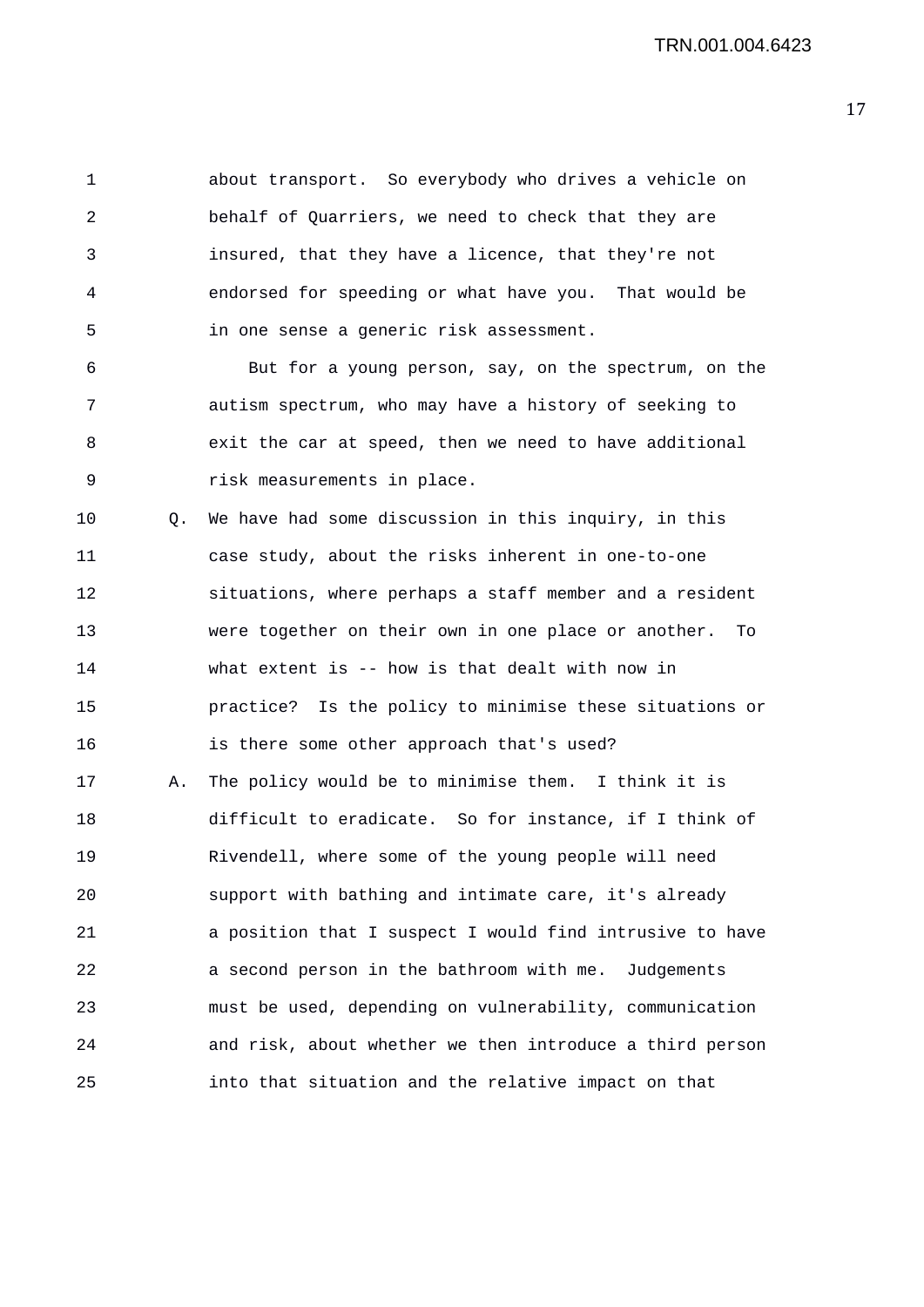1 about transport. So everybody who drives a vehicle on 2 behalf of Quarriers, we need to check that they are 3 insured, that they have a licence, that they're not 4 endorsed for speeding or what have you. That would be 5 in one sense a generic risk assessment. 6 But for a young person, say, on the spectrum, on the 7 autism spectrum, who may have a history of seeking to 8 exit the car at speed, then we need to have additional 9 risk measurements in place. 10 Q. We have had some discussion in this inquiry, in this 11 case study, about the risks inherent in one-to-one 12 situations, where perhaps a staff member and a resident 13 were together on their own in one place or another. To 14 what extent is -- how is that dealt with now in 15 practice? Is the policy to minimise these situations or 16 is there some other approach that's used? 17 A. The policy would be to minimise them. I think it is 18 difficult to eradicate. So for instance, if I think of 19 Rivendell, where some of the young people will need 20 support with bathing and intimate care, it's already 21 a position that I suspect I would find intrusive to have 22 a second person in the bathroom with me. Judgements 23 must be used, depending on vulnerability, communication 24 and risk, about whether we then introduce a third person 25 into that situation and the relative impact on that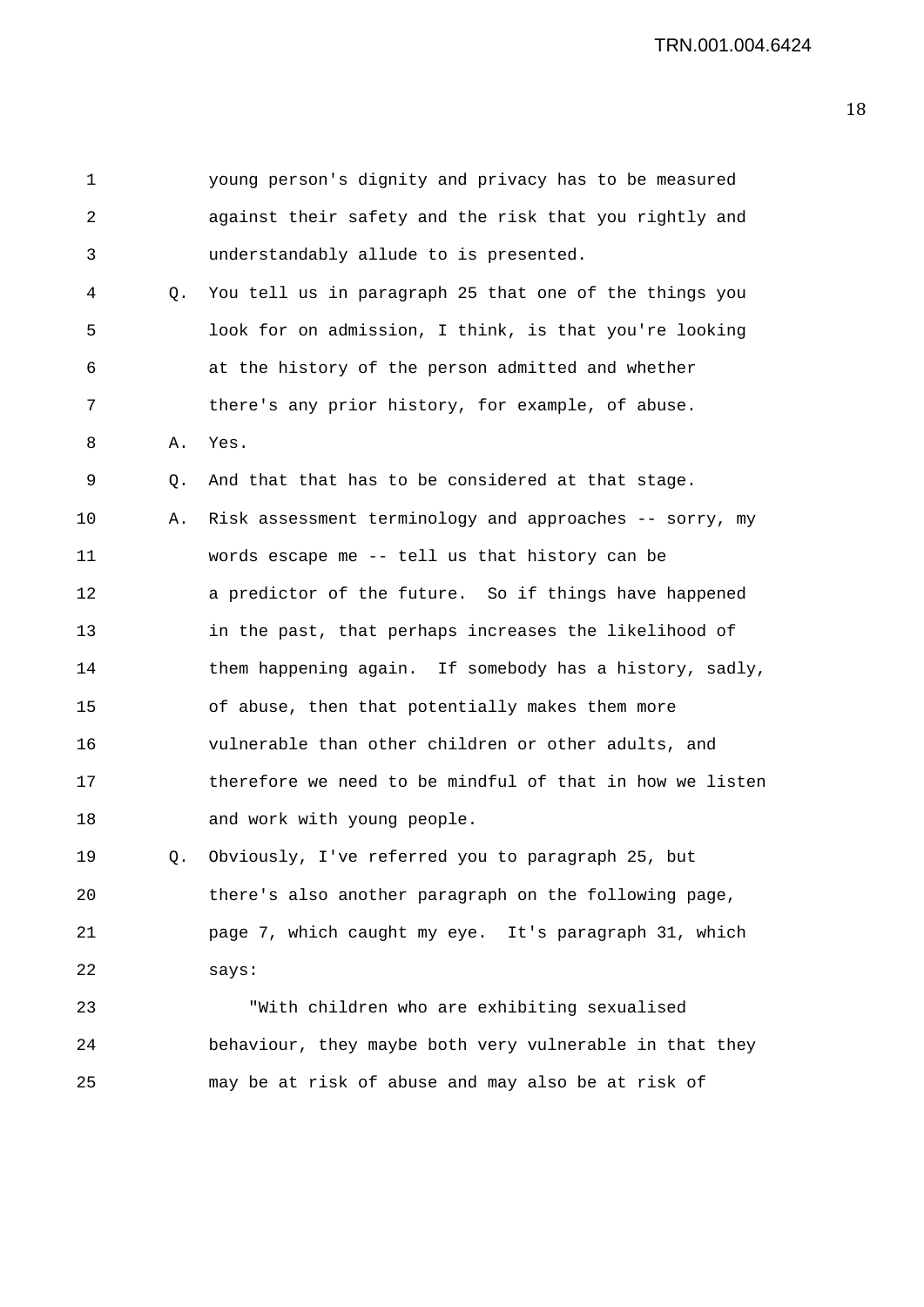1 young person's dignity and privacy has to be measured 2 against their safety and the risk that you rightly and 3 understandably allude to is presented. 4 Q. You tell us in paragraph 25 that one of the things you 5 look for on admission, I think, is that you're looking 6 at the history of the person admitted and whether 7 there's any prior history, for example, of abuse. 8 A. Yes. 9 Q. And that that has to be considered at that stage. 10 A. Risk assessment terminology and approaches -- sorry, my 11 words escape me -- tell us that history can be 12 a predictor of the future. So if things have happened 13 in the past, that perhaps increases the likelihood of 14 them happening again. If somebody has a history, sadly, 15 of abuse, then that potentially makes them more 16 vulnerable than other children or other adults, and 17 therefore we need to be mindful of that in how we listen 18 and work with young people. 19 Q. Obviously, I've referred you to paragraph 25, but 20 there's also another paragraph on the following page, 21 page 7, which caught my eye. It's paragraph 31, which 22 says: 23 "With children who are exhibiting sexualised 24 behaviour, they maybe both very vulnerable in that they 25 may be at risk of abuse and may also be at risk of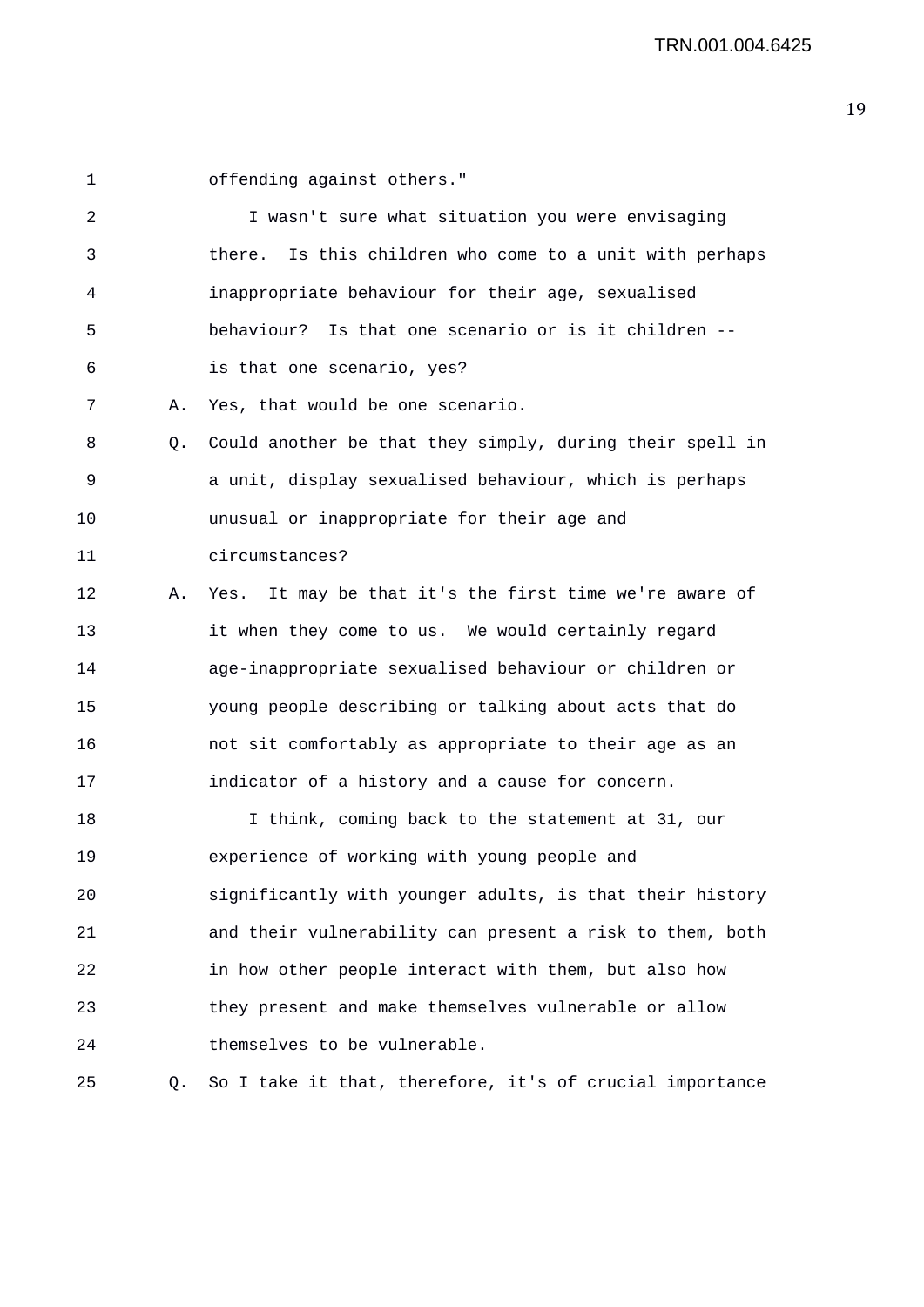1 offending against others." 2 I wasn't sure what situation you were envisaging 3 there. Is this children who come to a unit with perhaps 4 inappropriate behaviour for their age, sexualised 5 behaviour? Is that one scenario or is it children -- 6 is that one scenario, yes? 7 A. Yes, that would be one scenario. 8 Q. Could another be that they simply, during their spell in 9 a unit, display sexualised behaviour, which is perhaps 10 unusual or inappropriate for their age and 11 circumstances? 12 A. Yes. It may be that it's the first time we're aware of 13 it when they come to us. We would certainly regard 14 age-inappropriate sexualised behaviour or children or 15 young people describing or talking about acts that do 16 not sit comfortably as appropriate to their age as an 17 indicator of a history and a cause for concern. 18 I think, coming back to the statement at 31, our 19 experience of working with young people and 20 significantly with younger adults, is that their history 21 and their vulnerability can present a risk to them, both 22 in how other people interact with them, but also how 23 they present and make themselves vulnerable or allow

25 Q. So I take it that, therefore, it's of crucial importance

24 themselves to be vulnerable.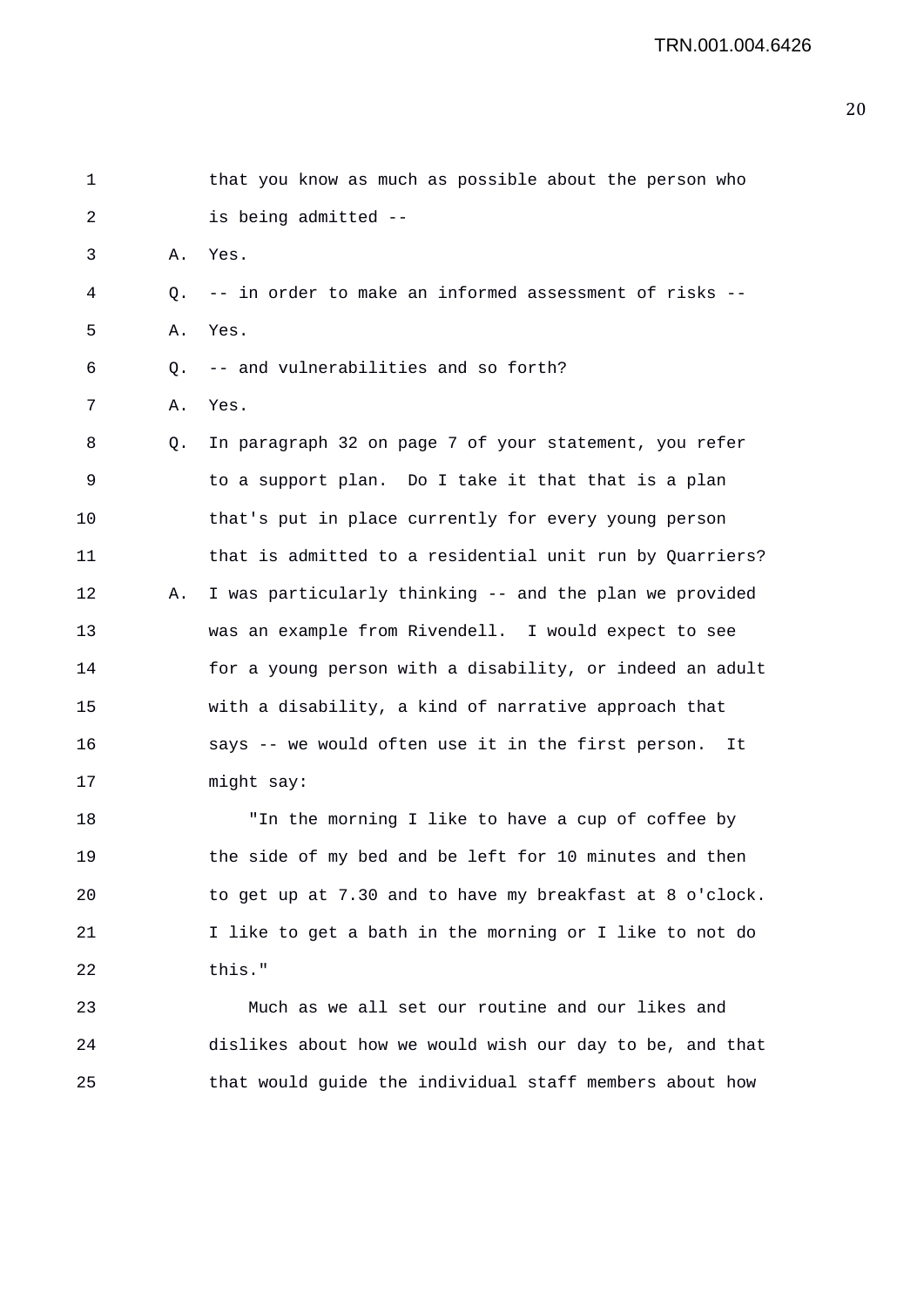| 1  |                | that you know as much as possible about the person who   |
|----|----------------|----------------------------------------------------------|
| 2  |                | is being admitted --                                     |
| 3  | Α.             | Yes.                                                     |
| 4  | О.             | -- in order to make an informed assessment of risks --   |
| 5  | Α.             | Yes.                                                     |
| 6  | Q <sub>1</sub> | -- and vulnerabilities and so forth?                     |
| 7  | Α.             | Yes.                                                     |
| 8  | Q.             | In paragraph 32 on page 7 of your statement, you refer   |
| 9  |                | to a support plan. Do I take it that that is a plan      |
| 10 |                | that's put in place currently for every young person     |
| 11 |                | that is admitted to a residential unit run by Quarriers? |
| 12 | Α.             | I was particularly thinking -- and the plan we provided  |
| 13 |                | was an example from Rivendell. I would expect to see     |
| 14 |                | for a young person with a disability, or indeed an adult |
| 15 |                | with a disability, a kind of narrative approach that     |
| 16 |                | says -- we would often use it in the first person.<br>It |
| 17 |                | might say:                                               |
| 18 |                | "In the morning I like to have a cup of coffee by        |
| 19 |                | the side of my bed and be left for 10 minutes and then   |
| 20 |                | to get up at 7.30 and to have my breakfast at 8 o'clock. |
| 21 |                | I like to get a bath in the morning or I like to not do  |
| 22 |                | this."                                                   |
| 23 |                | Much as we all set our routine and our likes and         |
| 24 |                | dislikes about how we would wish our day to be, and that |
| 25 |                | that would guide the individual staff members about how  |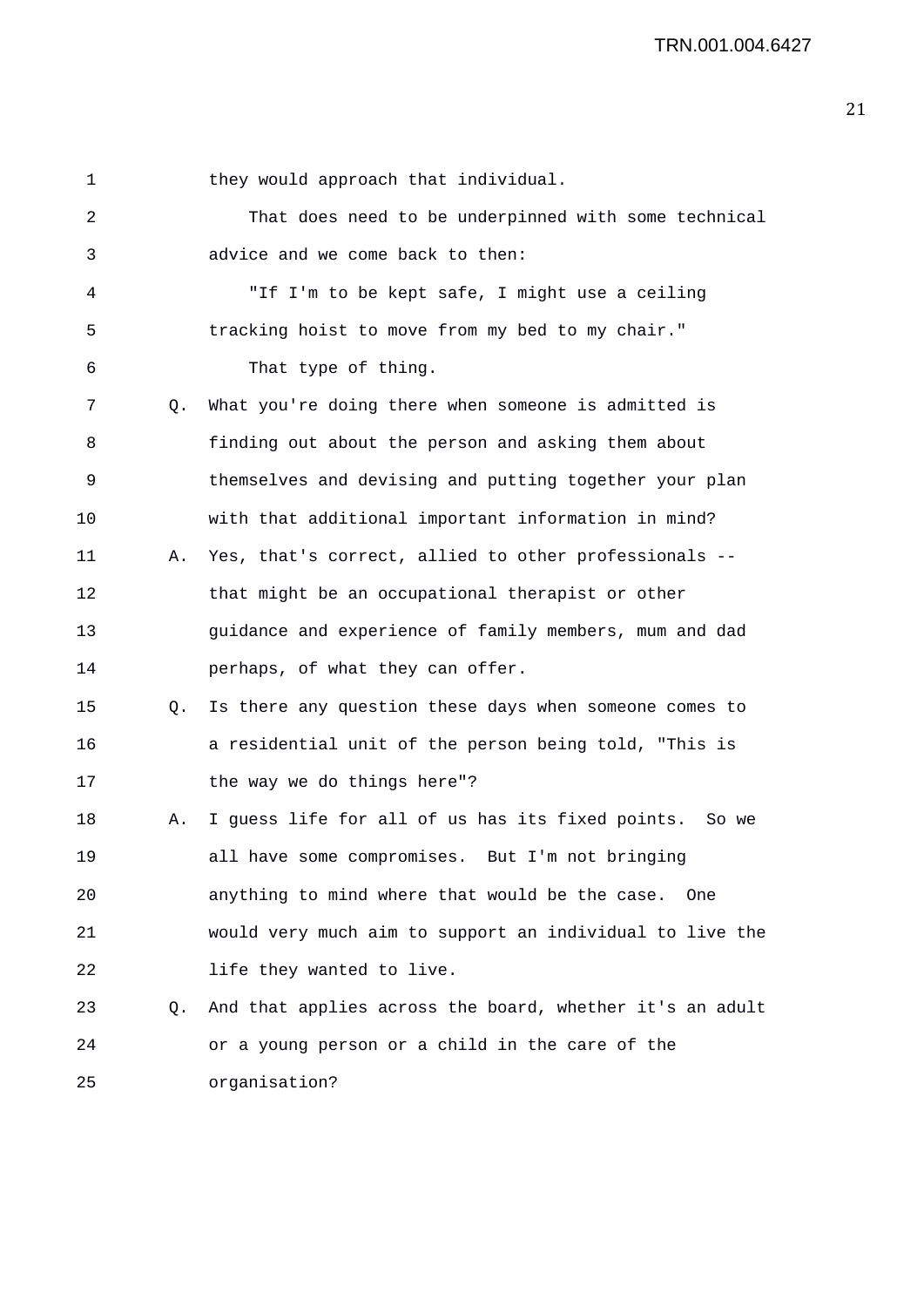1 they would approach that individual. 2 That does need to be underpinned with some technical 3 advice and we come back to then: 4 "If I'm to be kept safe, I might use a ceiling 5 tracking hoist to move from my bed to my chair." 6 That type of thing. 7 Q. What you're doing there when someone is admitted is 8 finding out about the person and asking them about 9 themselves and devising and putting together your plan 10 with that additional important information in mind? 11 A. Yes, that's correct, allied to other professionals -- 12 that might be an occupational therapist or other 13 guidance and experience of family members, mum and dad 14 perhaps, of what they can offer. 15 Q. Is there any question these days when someone comes to 16 a residential unit of the person being told, "This is 17 the way we do things here"? 18 A. I guess life for all of us has its fixed points. So we 19 all have some compromises. But I'm not bringing 20 anything to mind where that would be the case. One 21 would very much aim to support an individual to live the 22 life they wanted to live. 23 Q. And that applies across the board, whether it's an adult 24 or a young person or a child in the care of the 25 organisation?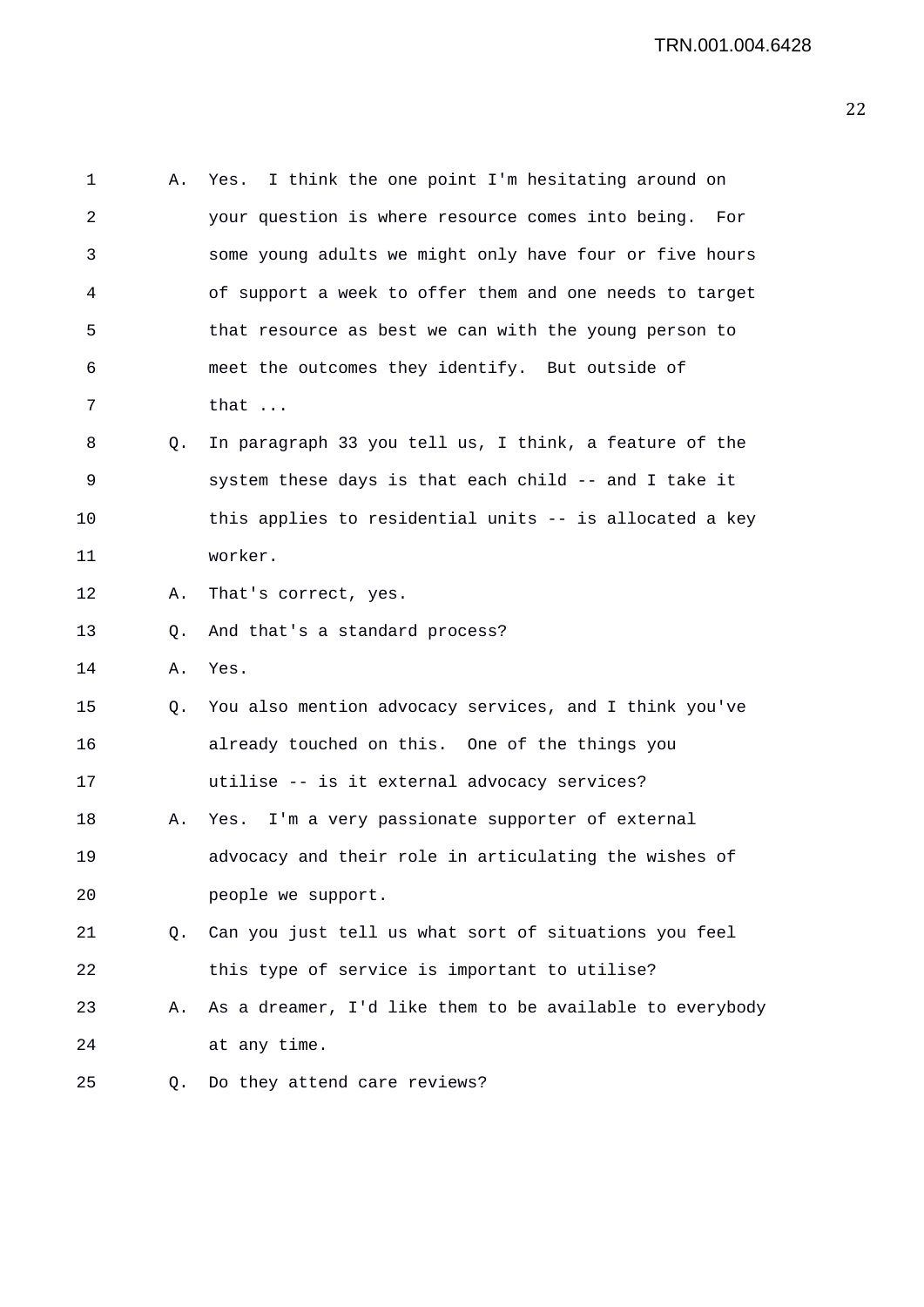| 1  | Α. | Yes. I think the one point I'm hesitating around on      |
|----|----|----------------------------------------------------------|
| 2  |    | your question is where resource comes into being. For    |
| 3  |    | some young adults we might only have four or five hours  |
| 4  |    | of support a week to offer them and one needs to target  |
| 5  |    | that resource as best we can with the young person to    |
| 6  |    | meet the outcomes they identify. But outside of          |
| 7  |    | that                                                     |
| 8  | Q. | In paragraph 33 you tell us, I think, a feature of the   |
| 9  |    | system these days is that each child -- and I take it    |
| 10 |    | this applies to residential units -- is allocated a key  |
| 11 |    | worker.                                                  |
| 12 | Α. | That's correct, yes.                                     |
| 13 | Q. | And that's a standard process?                           |
| 14 | Α. | Yes.                                                     |
| 15 | Q. | You also mention advocacy services, and I think you've   |
| 16 |    | already touched on this. One of the things you           |
| 17 |    | utilise -- is it external advocacy services?             |
| 18 | Α. | Yes. I'm a very passionate supporter of external         |
| 19 |    | advocacy and their role in articulating the wishes of    |
| 20 |    | people we support.                                       |
| 21 |    | Q. Can you just tell us what sort of situations you feel |
| 22 |    | this type of service is important to utilise?            |
| 23 | Α. | As a dreamer, I'd like them to be available to everybody |
| 24 |    | at any time.                                             |
| 25 | Q. | Do they attend care reviews?                             |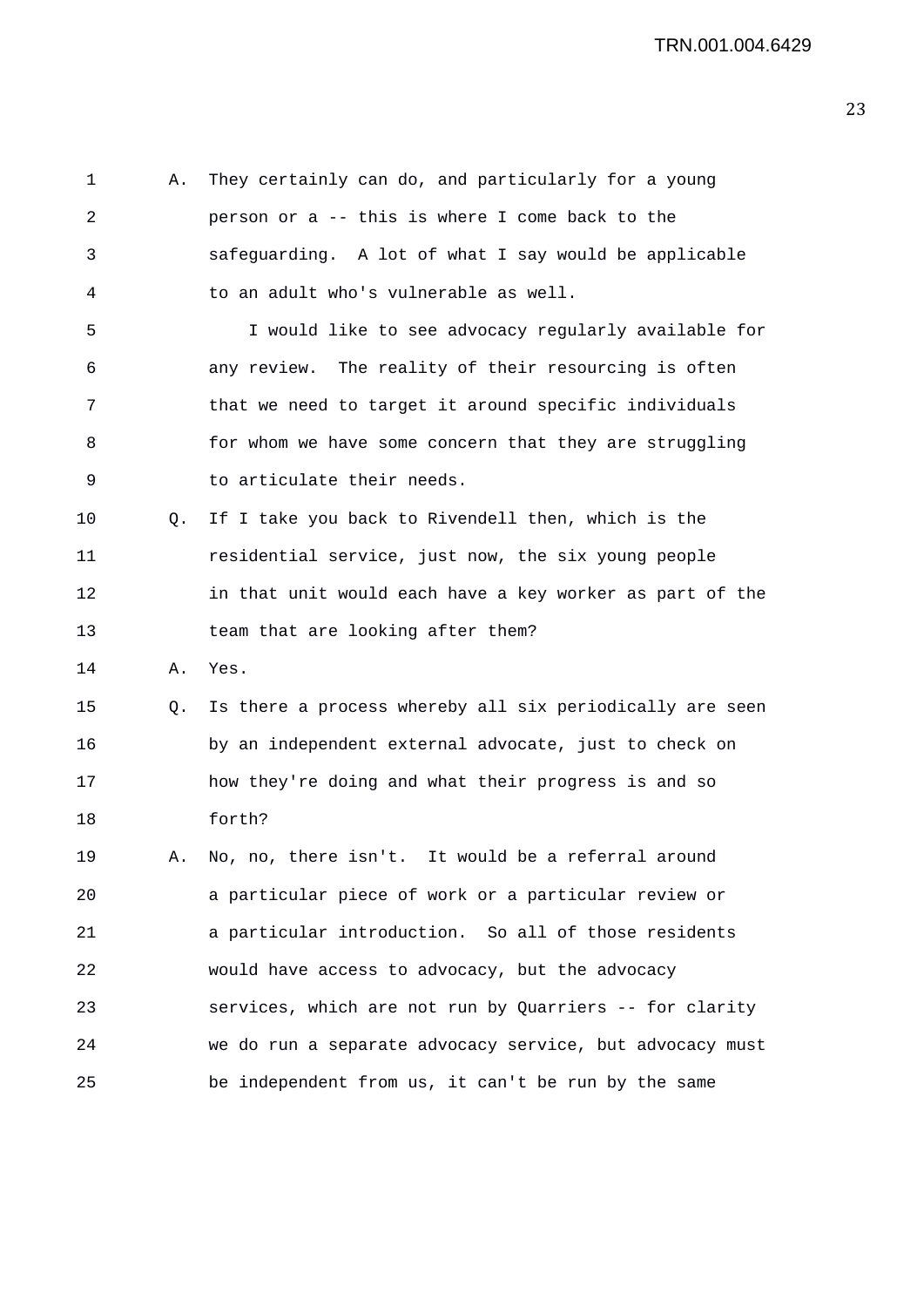1 A. They certainly can do, and particularly for a young 2 person or a -- this is where I come back to the 3 safeguarding. A lot of what I say would be applicable 4 to an adult who's vulnerable as well. 5 I would like to see advocacy regularly available for 6 any review. The reality of their resourcing is often 7 that we need to target it around specific individuals 8 for whom we have some concern that they are struggling 9 to articulate their needs. 10 Q. If I take you back to Rivendell then, which is the 11 residential service, just now, the six young people 12 in that unit would each have a key worker as part of the 13 team that are looking after them? 14 A. Yes. 15 Q. Is there a process whereby all six periodically are seen 16 by an independent external advocate, just to check on 17 how they're doing and what their progress is and so 18 forth? 19 A. No, no, there isn't. It would be a referral around 20 a particular piece of work or a particular review or 21 a particular introduction. So all of those residents 22 would have access to advocacy, but the advocacy 23 services, which are not run by Quarriers -- for clarity 24 we do run a separate advocacy service, but advocacy must 25 be independent from us, it can't be run by the same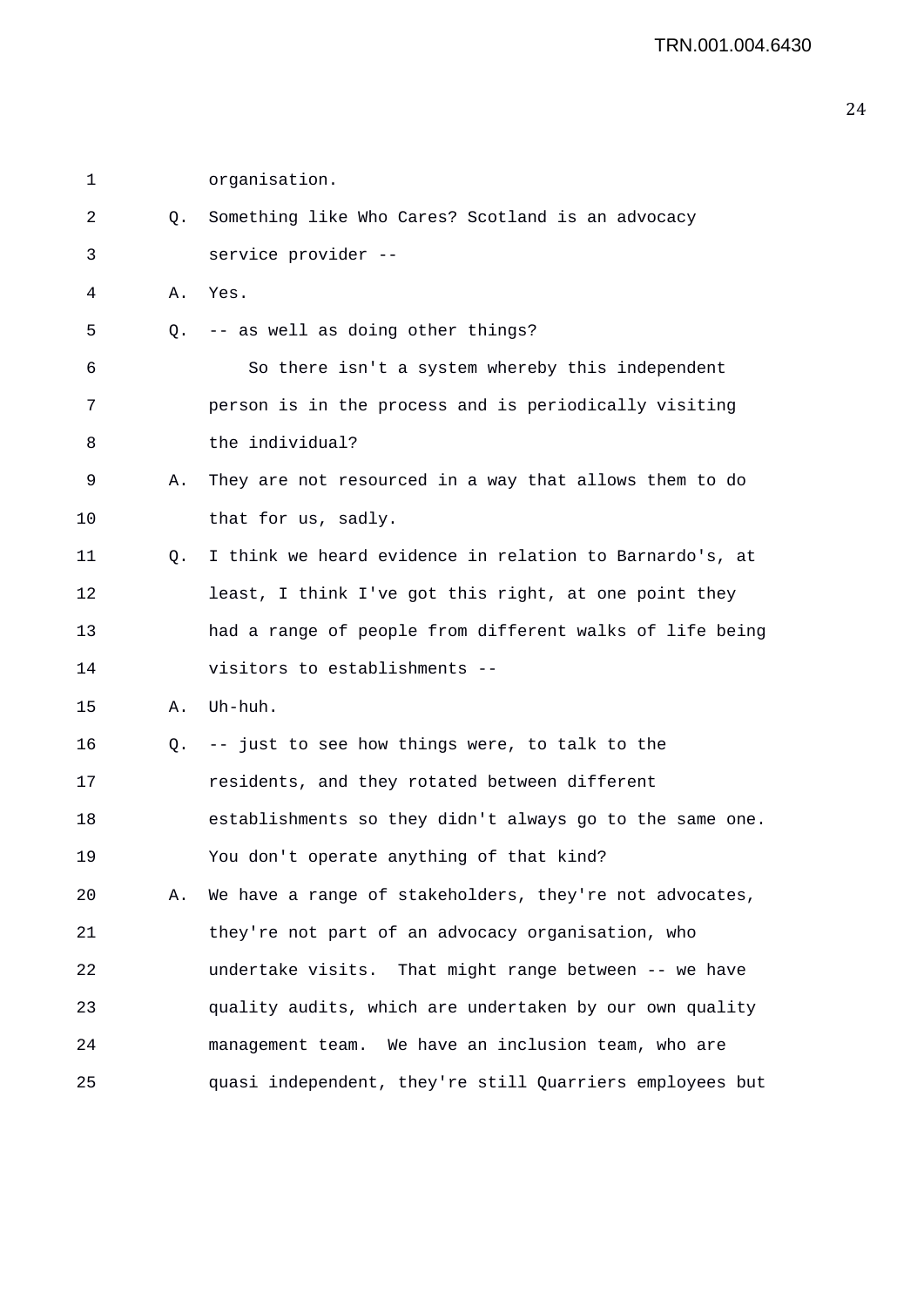1 organisation. 2 Q. Something like Who Cares? Scotland is an advocacy 3 service provider -- 4 A. Yes. 5 Q. -- as well as doing other things? 6 So there isn't a system whereby this independent 7 person is in the process and is periodically visiting 8 the individual? 9 A. They are not resourced in a way that allows them to do 10 that for us, sadly. 11 Q. I think we heard evidence in relation to Barnardo's, at 12 least, I think I've got this right, at one point they 13 had a range of people from different walks of life being 14 visitors to establishments -- 15 A. Uh-huh. 16 Q. -- just to see how things were, to talk to the 17 residents, and they rotated between different 18 establishments so they didn't always go to the same one. 19 You don't operate anything of that kind? 20 A. We have a range of stakeholders, they're not advocates, 21 they're not part of an advocacy organisation, who 22 undertake visits. That might range between -- we have 23 quality audits, which are undertaken by our own quality 24 management team. We have an inclusion team, who are 25 quasi independent, they're still Quarriers employees but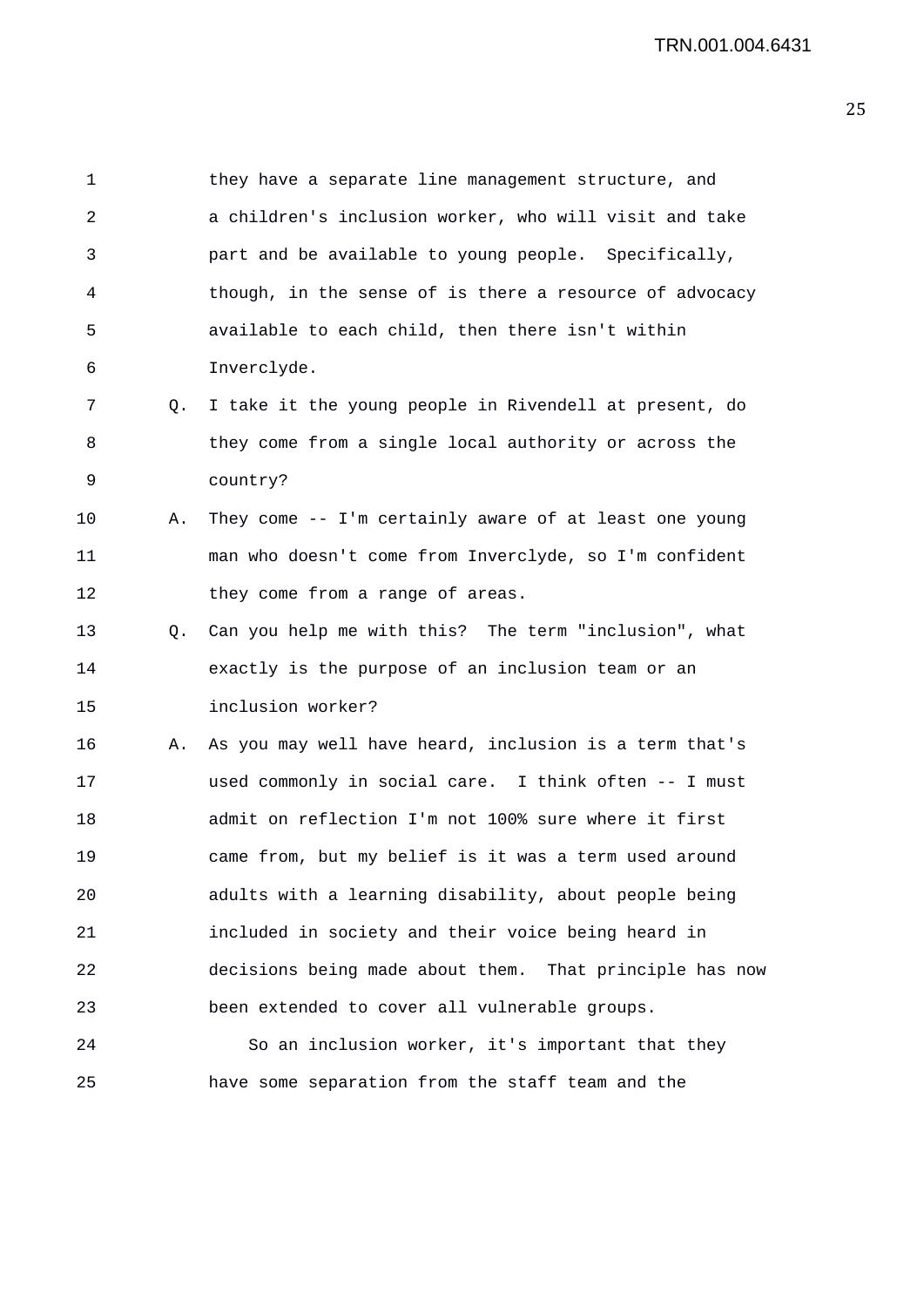1 they have a separate line management structure, and 2 a children's inclusion worker, who will visit and take 3 part and be available to young people. Specifically, 4 though, in the sense of is there a resource of advocacy 5 available to each child, then there isn't within 6 Inverclyde. 7 Q. I take it the young people in Rivendell at present, do 8 they come from a single local authority or across the 9 country? 10 A. They come -- I'm certainly aware of at least one young 11 man who doesn't come from Inverclyde, so I'm confident 12 they come from a range of areas. 13 Q. Can you help me with this? The term "inclusion", what 14 exactly is the purpose of an inclusion team or an 15 inclusion worker? 16 A. As you may well have heard, inclusion is a term that's 17 used commonly in social care. I think often -- I must 18 admit on reflection I'm not 100% sure where it first 19 came from, but my belief is it was a term used around 20 adults with a learning disability, about people being 21 included in society and their voice being heard in 22 decisions being made about them. That principle has now 23 been extended to cover all vulnerable groups. 24 So an inclusion worker, it's important that they 25 have some separation from the staff team and the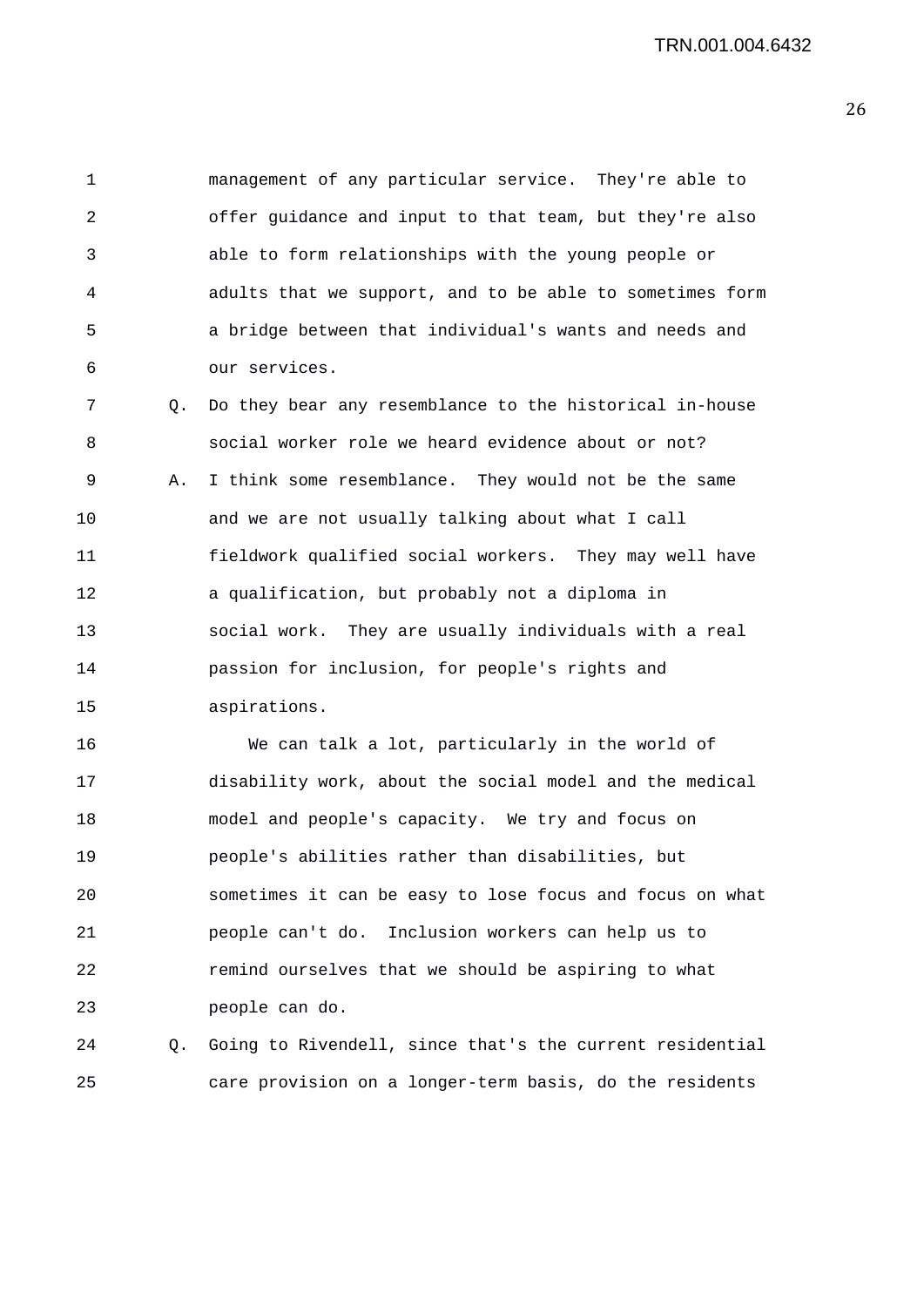1 management of any particular service. They're able to 2 offer guidance and input to that team, but they're also 3 able to form relationships with the young people or 4 adults that we support, and to be able to sometimes form 5 a bridge between that individual's wants and needs and 6 our services.

7 Q. Do they bear any resemblance to the historical in-house 8 social worker role we heard evidence about or not? 9 A. I think some resemblance. They would not be the same 10 and we are not usually talking about what I call 11 fieldwork qualified social workers. They may well have 12 a qualification, but probably not a diploma in 13 social work. They are usually individuals with a real 14 passion for inclusion, for people's rights and 15 aspirations.

16 We can talk a lot, particularly in the world of 17 disability work, about the social model and the medical 18 model and people's capacity. We try and focus on 19 people's abilities rather than disabilities, but 20 sometimes it can be easy to lose focus and focus on what 21 people can't do. Inclusion workers can help us to 22 remind ourselves that we should be aspiring to what 23 people can do.

24 Q. Going to Rivendell, since that's the current residential 25 care provision on a longer-term basis, do the residents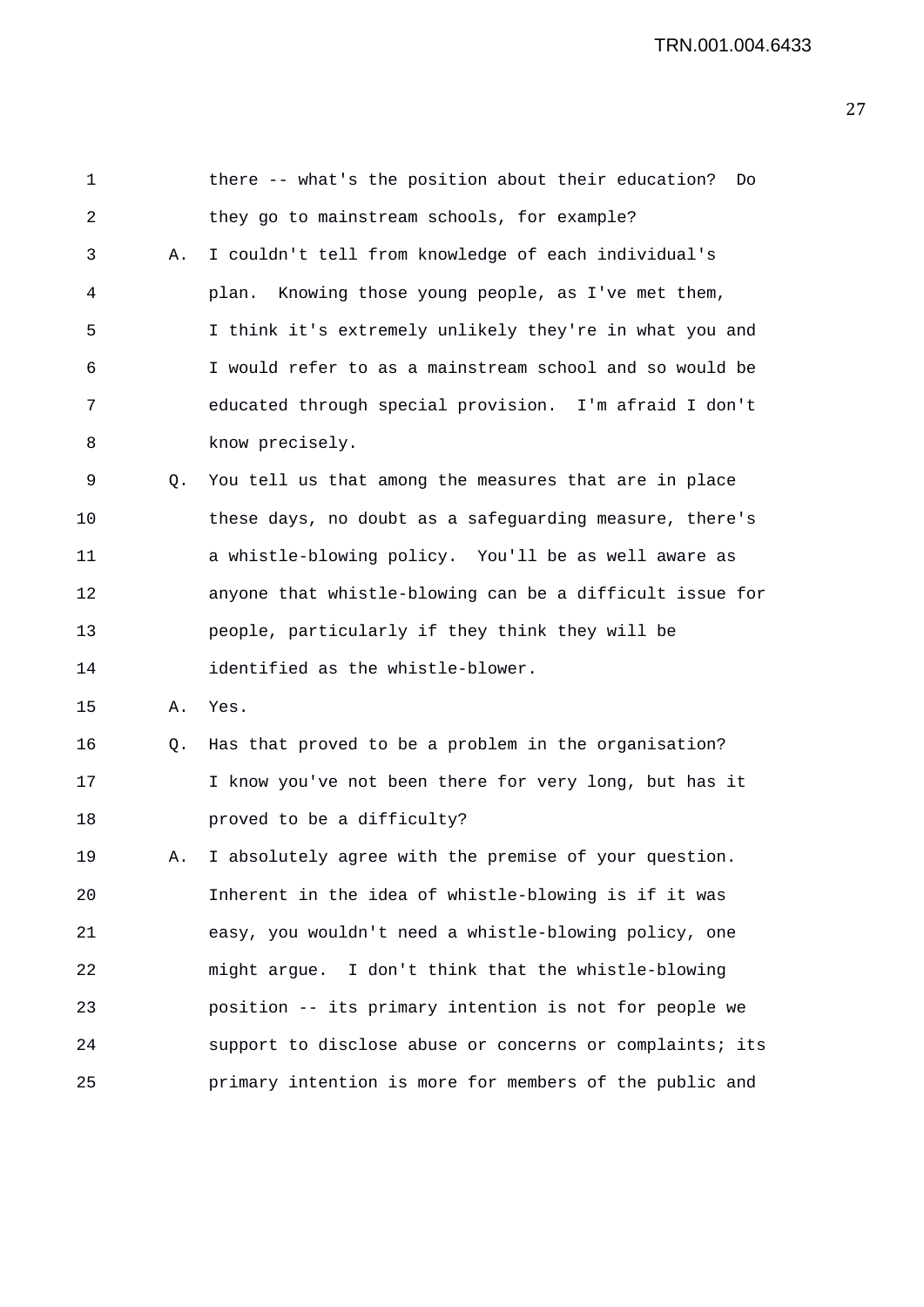| 1  |    | there -- what's the position about their education?<br>Do |
|----|----|-----------------------------------------------------------|
| 2  |    | they go to mainstream schools, for example?               |
| 3  | Α. | I couldn't tell from knowledge of each individual's       |
| 4  |    | Knowing those young people, as I've met them,<br>plan.    |
| 5  |    | I think it's extremely unlikely they're in what you and   |
| 6  |    | I would refer to as a mainstream school and so would be   |
| 7  |    | educated through special provision. I'm afraid I don't    |
| 8  |    | know precisely.                                           |
| 9  | Q. | You tell us that among the measures that are in place     |
| 10 |    | these days, no doubt as a safeguarding measure, there's   |
| 11 |    | a whistle-blowing policy. You'll be as well aware as      |
| 12 |    | anyone that whistle-blowing can be a difficult issue for  |
| 13 |    | people, particularly if they think they will be           |
| 14 |    | identified as the whistle-blower.                         |
| 15 | Α. | Yes.                                                      |
| 16 | Q. | Has that proved to be a problem in the organisation?      |
| 17 |    | I know you've not been there for very long, but has it    |
| 18 |    | proved to be a difficulty?                                |
| 19 | Α. | I absolutely agree with the premise of your question.     |
| 20 |    | Inherent in the idea of whistle-blowing is if it was      |
| 21 |    | easy, you wouldn't need a whistle-blowing policy, one     |
| 22 |    | might argue. I don't think that the whistle-blowing       |
| 23 |    | position -- its primary intention is not for people we    |
| 24 |    | support to disclose abuse or concerns or complaints; its  |
| 25 |    | primary intention is more for members of the public and   |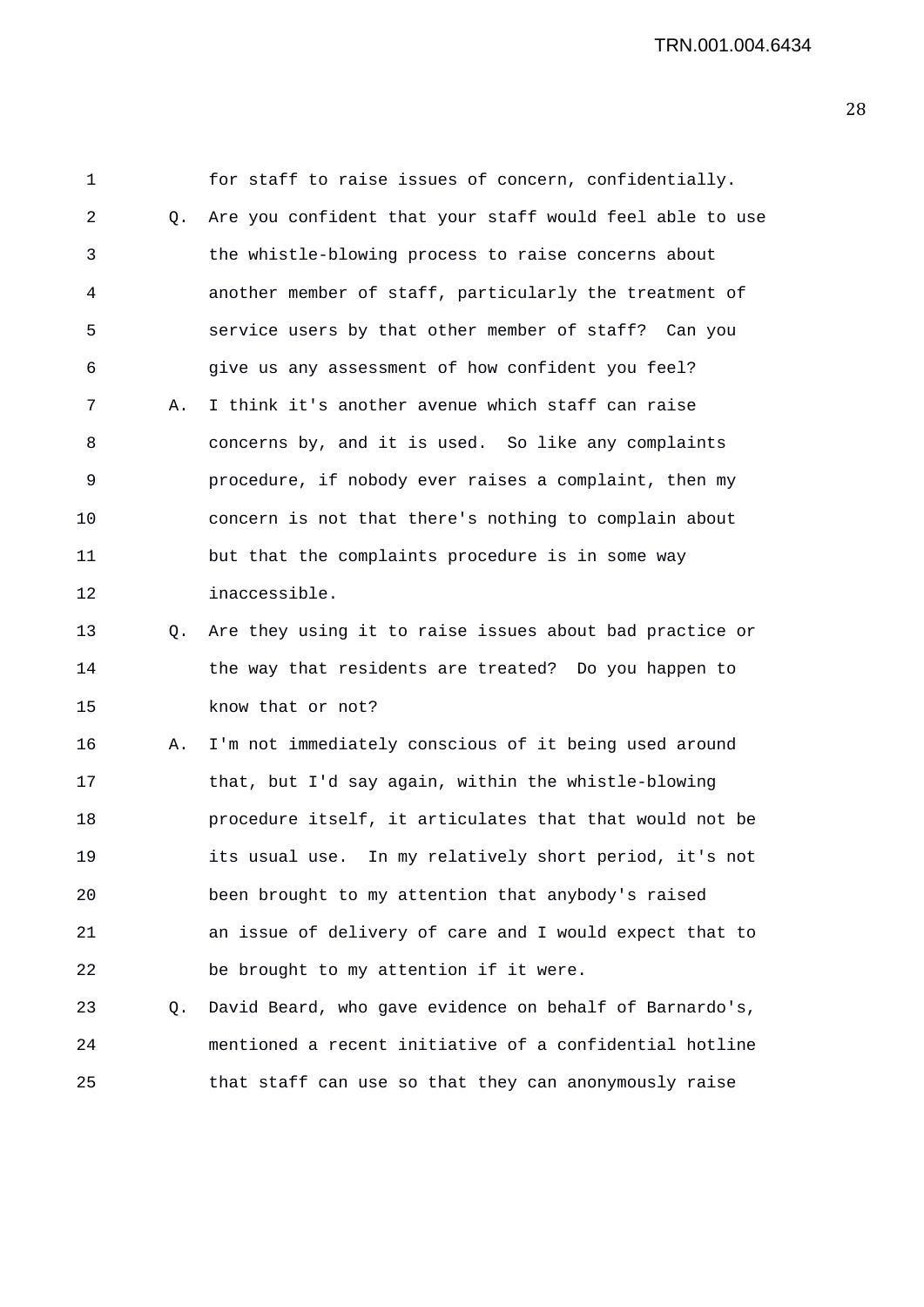1 for staff to raise issues of concern, confidentially. 2 Q. Are you confident that your staff would feel able to use 3 the whistle-blowing process to raise concerns about 4 another member of staff, particularly the treatment of 5 service users by that other member of staff? Can you 6 give us any assessment of how confident you feel? 7 A. I think it's another avenue which staff can raise 8 concerns by, and it is used. So like any complaints 9 procedure, if nobody ever raises a complaint, then my 10 concern is not that there's nothing to complain about 11 but that the complaints procedure is in some way 12 inaccessible. 13 Q. Are they using it to raise issues about bad practice or 14 the way that residents are treated? Do you happen to 15 know that or not? 16 A. I'm not immediately conscious of it being used around 17 that, but I'd say again, within the whistle-blowing 18 procedure itself, it articulates that that would not be 19 its usual use. In my relatively short period, it's not 20 been brought to my attention that anybody's raised 21 an issue of delivery of care and I would expect that to 22 be brought to my attention if it were. 23 Q. David Beard, who gave evidence on behalf of Barnardo's, 24 mentioned a recent initiative of a confidential hotline 25 that staff can use so that they can anonymously raise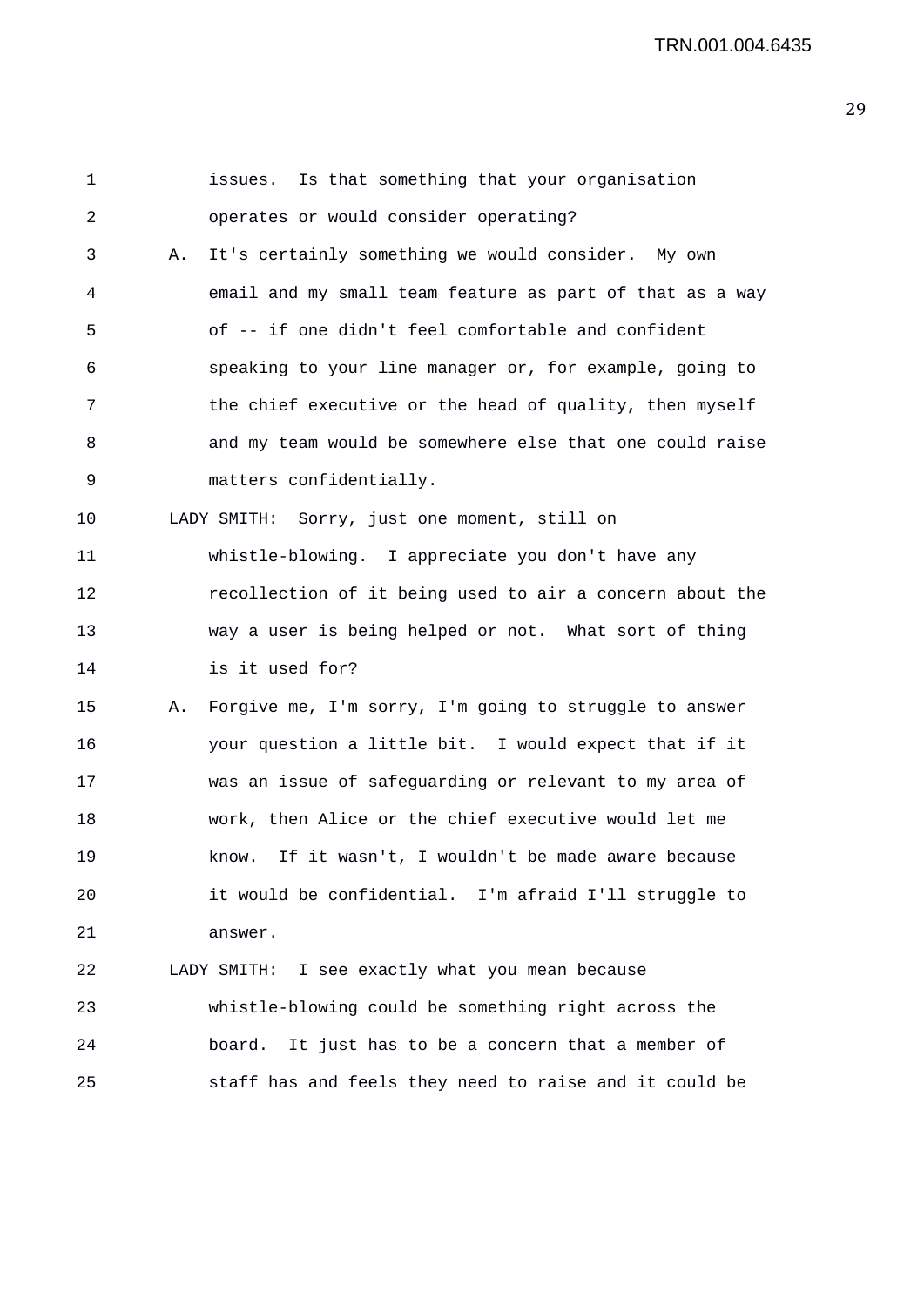| 1  |    | Is that something that your organisation<br>issues.       |
|----|----|-----------------------------------------------------------|
| 2  |    | operates or would consider operating?                     |
| 3  | Α. | It's certainly something we would consider. My own        |
| 4  |    | email and my small team feature as part of that as a way  |
| 5  |    | of -- if one didn't feel comfortable and confident        |
| 6  |    | speaking to your line manager or, for example, going to   |
| 7  |    | the chief executive or the head of quality, then myself   |
| 8  |    | and my team would be somewhere else that one could raise  |
| 9  |    | matters confidentially.                                   |
| 10 |    | LADY SMITH: Sorry, just one moment, still on              |
| 11 |    | whistle-blowing. I appreciate you don't have any          |
| 12 |    | recollection of it being used to air a concern about the  |
| 13 |    | way a user is being helped or not. What sort of thing     |
| 14 |    | is it used for?                                           |
| 15 |    | A. Forgive me, I'm sorry, I'm going to struggle to answer |
| 16 |    | your question a little bit. I would expect that if it     |
| 17 |    | was an issue of safeguarding or relevant to my area of    |
| 18 |    | work, then Alice or the chief executive would let me      |
| 19 |    | If it wasn't, I wouldn't be made aware because<br>know.   |
| 20 |    | it would be confidential. I'm afraid I'll struggle to     |
| 21 |    | answer.                                                   |
| 22 |    | LADY SMITH: I see exactly what you mean because           |
| 23 |    | whistle-blowing could be something right across the       |
| 24 |    | It just has to be a concern that a member of<br>board.    |
| 25 |    | staff has and feels they need to raise and it could be    |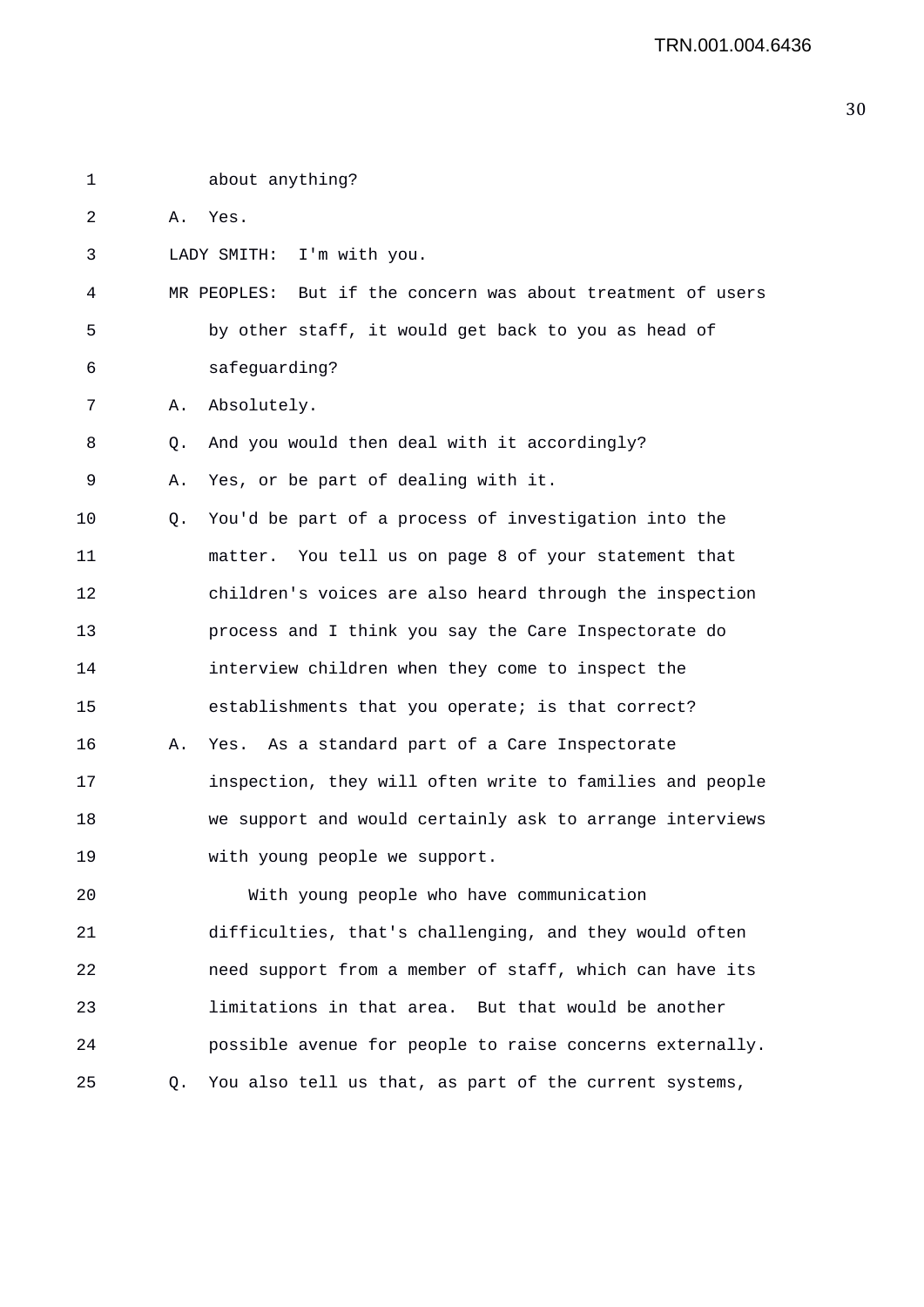| 1  |    | about anything?                                             |
|----|----|-------------------------------------------------------------|
| 2  | Α. | Yes.                                                        |
| 3  |    | I'm with you.<br>LADY SMITH:                                |
| 4  |    | MR PEOPLES: But if the concern was about treatment of users |
| 5  |    | by other staff, it would get back to you as head of         |
| 6  |    | safeguarding?                                               |
| 7  | Α. | Absolutely.                                                 |
| 8  | Q. | And you would then deal with it accordingly?                |
| 9  | Α. | Yes, or be part of dealing with it.                         |
| 10 | Q. | You'd be part of a process of investigation into the        |
| 11 |    | matter. You tell us on page 8 of your statement that        |
| 12 |    | children's voices are also heard through the inspection     |
| 13 |    | process and I think you say the Care Inspectorate do        |
| 14 |    | interview children when they come to inspect the            |
| 15 |    | establishments that you operate; is that correct?           |
| 16 | Α. | Yes. As a standard part of a Care Inspectorate              |
| 17 |    | inspection, they will often write to families and people    |
| 18 |    | we support and would certainly ask to arrange interviews    |
| 19 |    | with young people we support.                               |
| 20 |    | With young people who have communication                    |
| 21 |    | difficulties, that's challenging, and they would often      |
| 22 |    | need support from a member of staff, which can have its     |
| 23 |    | limitations in that area. But that would be another         |
| 24 |    | possible avenue for people to raise concerns externally.    |
| 25 | Q. | You also tell us that, as part of the current systems,      |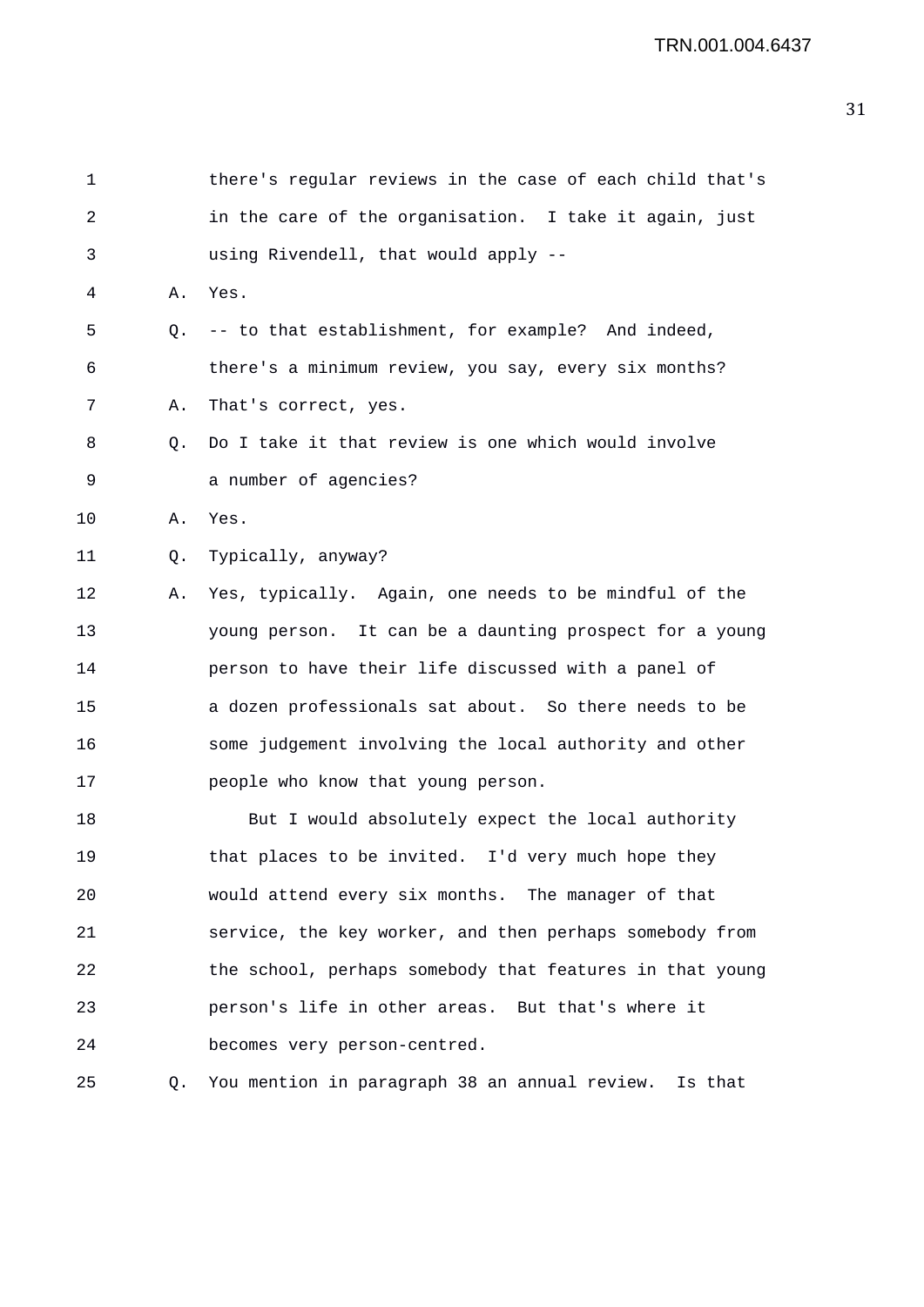| 1  |    | there's regular reviews in the case of each child that's |
|----|----|----------------------------------------------------------|
| 2  |    | in the care of the organisation. I take it again, just   |
| 3  |    | using Rivendell, that would apply --                     |
| 4  | Α. | Yes.                                                     |
| 5  | Q. | -- to that establishment, for example? And indeed,       |
| 6  |    | there's a minimum review, you say, every six months?     |
| 7  | Α. | That's correct, yes.                                     |
| 8  | Q. | Do I take it that review is one which would involve      |
| 9  |    | a number of agencies?                                    |
| 10 | Α. | Yes.                                                     |
| 11 | Q. | Typically, anyway?                                       |
| 12 | А. | Yes, typically. Again, one needs to be mindful of the    |
| 13 |    | young person. It can be a daunting prospect for a young  |
| 14 |    | person to have their life discussed with a panel of      |
| 15 |    | a dozen professionals sat about. So there needs to be    |
| 16 |    | some judgement involving the local authority and other   |
| 17 |    | people who know that young person.                       |
| 18 |    | But I would absolutely expect the local authority        |
| 19 |    | that places to be invited. I'd very much hope they       |
| 20 |    | would attend every six months. The manager of that       |
| 21 |    | service, the key worker, and then perhaps somebody from  |
| 22 |    | the school, perhaps somebody that features in that young |
| 23 |    | person's life in other areas. But that's where it        |
| 24 |    | becomes very person-centred.                             |
| 25 |    | Q. You mention in paragraph 38 an annual review. Is that |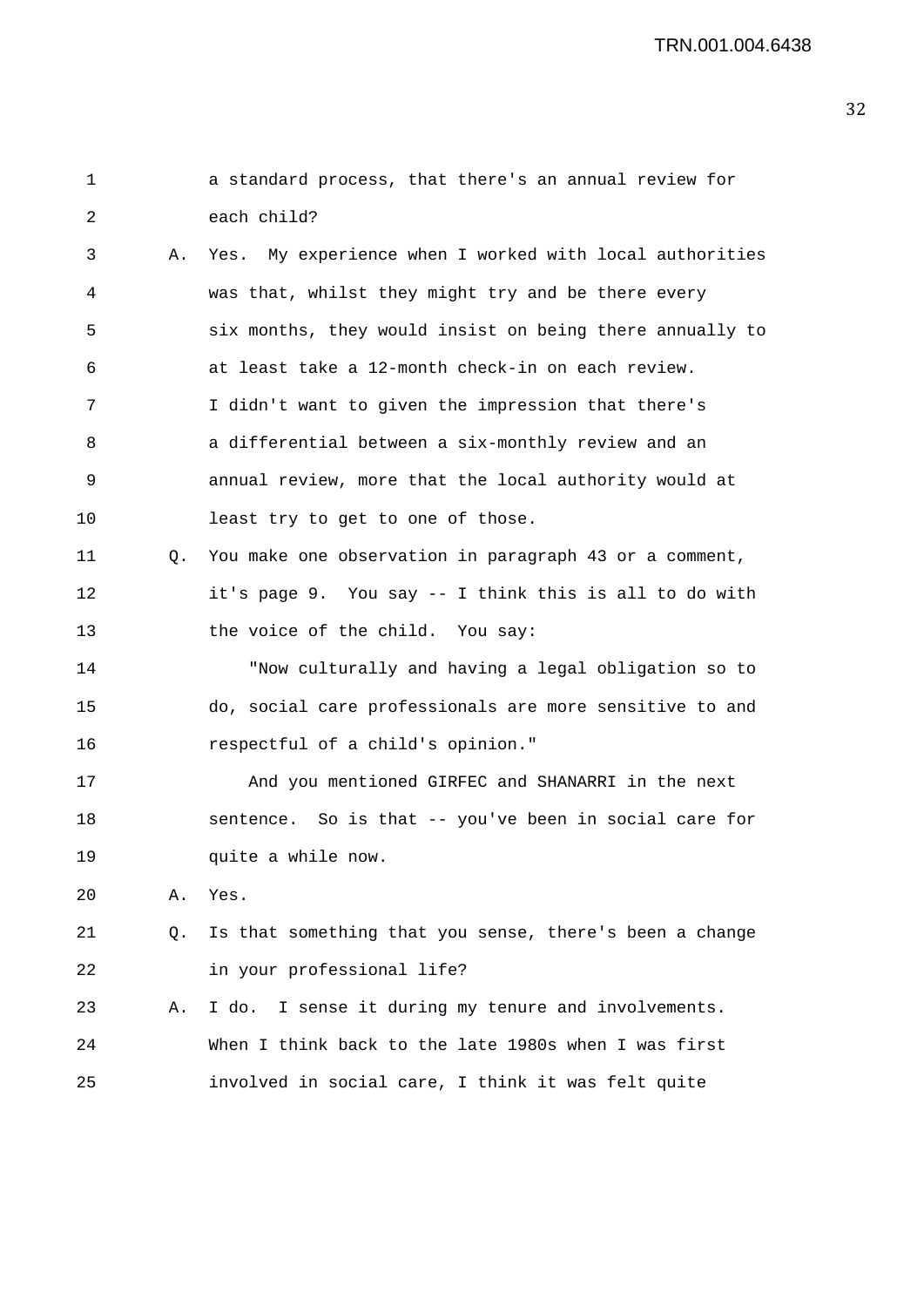| 1  |    | a standard process, that there's an annual review for    |
|----|----|----------------------------------------------------------|
| 2  |    | each child?                                              |
| 3  | Α. | Yes. My experience when I worked with local authorities  |
| 4  |    | was that, whilst they might try and be there every       |
| 5  |    | six months, they would insist on being there annually to |
| 6  |    | at least take a 12-month check-in on each review.        |
| 7  |    | I didn't want to given the impression that there's       |
| 8  |    | a differential between a six-monthly review and an       |
| 9  |    | annual review, more that the local authority would at    |
| 10 |    | least try to get to one of those.                        |
| 11 | Q. | You make one observation in paragraph 43 or a comment,   |
| 12 |    | it's page 9. You say -- I think this is all to do with   |
| 13 |    | the voice of the child. You say:                         |
| 14 |    | "Now culturally and having a legal obligation so to      |
| 15 |    | do, social care professionals are more sensitive to and  |
| 16 |    | respectful of a child's opinion."                        |
| 17 |    | And you mentioned GIRFEC and SHANARRI in the next        |
| 18 |    | sentence. So is that -- you've been in social care for   |
| 19 |    | quite a while now.                                       |
| 20 | Α. | Yes.                                                     |
| 21 | Q. | Is that something that you sense, there's been a change  |
| 22 |    | in your professional life?                               |
| 23 | Α. | I sense it during my tenure and involvements.<br>I do.   |
| 24 |    | When I think back to the late 1980s when I was first     |
| 25 |    | involved in social care, I think it was felt quite       |
|    |    |                                                          |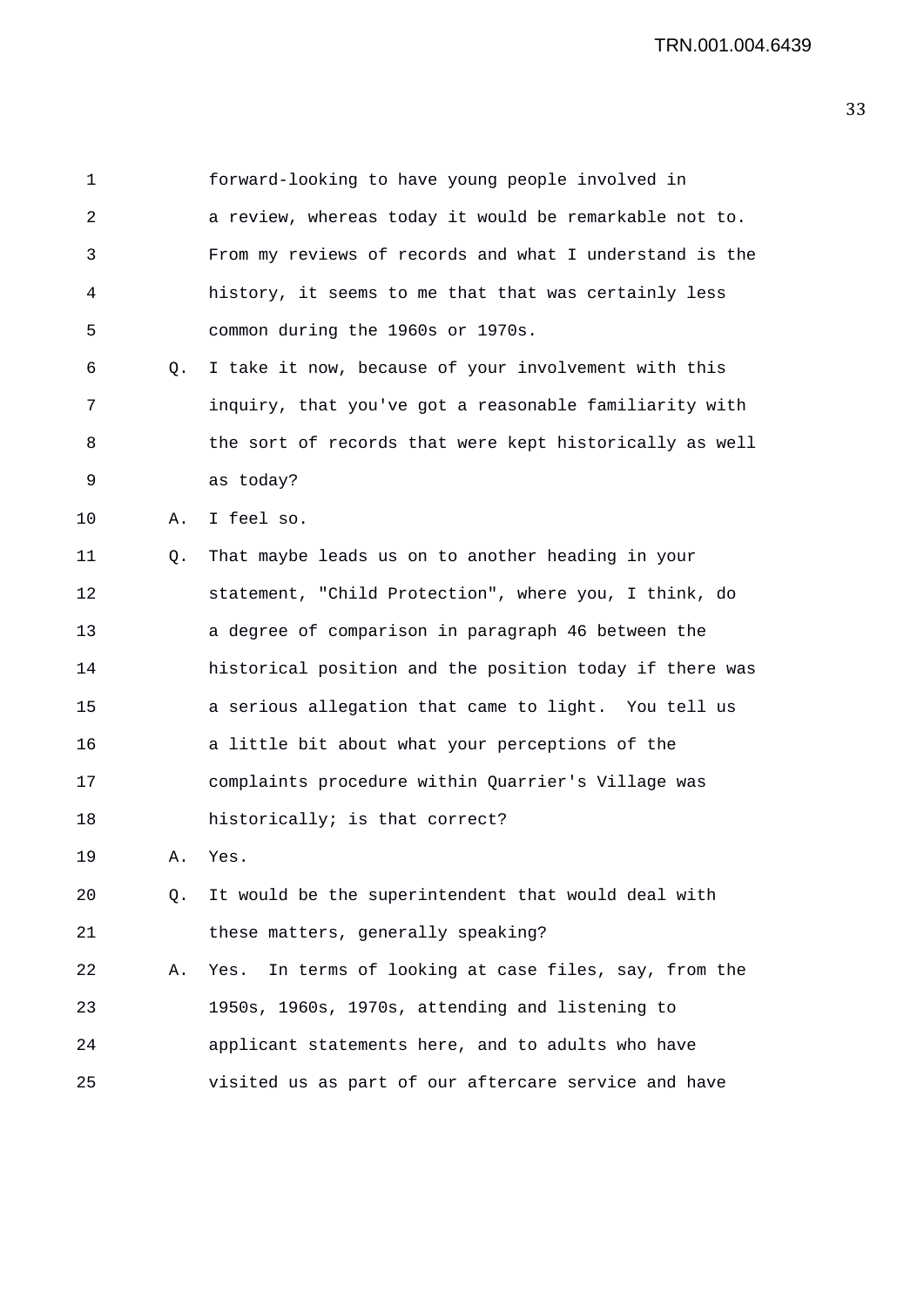| 1  |           | forward-looking to have young people involved in         |
|----|-----------|----------------------------------------------------------|
| 2  |           | a review, whereas today it would be remarkable not to.   |
| 3  |           | From my reviews of records and what I understand is the  |
| 4  |           | history, it seems to me that that was certainly less     |
| 5  |           | common during the 1960s or 1970s.                        |
| 6  | $\circ$ . | I take it now, because of your involvement with this     |
| 7  |           | inquiry, that you've got a reasonable familiarity with   |
| 8  |           | the sort of records that were kept historically as well  |
| 9  |           | as today?                                                |
| 10 | Α.        | I feel so.                                               |
| 11 | Q.        | That maybe leads us on to another heading in your        |
| 12 |           | statement, "Child Protection", where you, I think, do    |
| 13 |           | a degree of comparison in paragraph 46 between the       |
| 14 |           | historical position and the position today if there was  |
| 15 |           | a serious allegation that came to light. You tell us     |
| 16 |           | a little bit about what your perceptions of the          |
| 17 |           | complaints procedure within Quarrier's Village was       |
| 18 |           | historically; is that correct?                           |
| 19 | Α.        | Yes.                                                     |
| 20 | $\circ$ . | It would be the superintendent that would deal with      |
| 21 |           | these matters, generally speaking?                       |
| 22 | Α.        | In terms of looking at case files, say, from the<br>Yes. |
| 23 |           | 1950s, 1960s, 1970s, attending and listening to          |
| 24 |           | applicant statements here, and to adults who have        |
| 25 |           | visited us as part of our aftercare service and have     |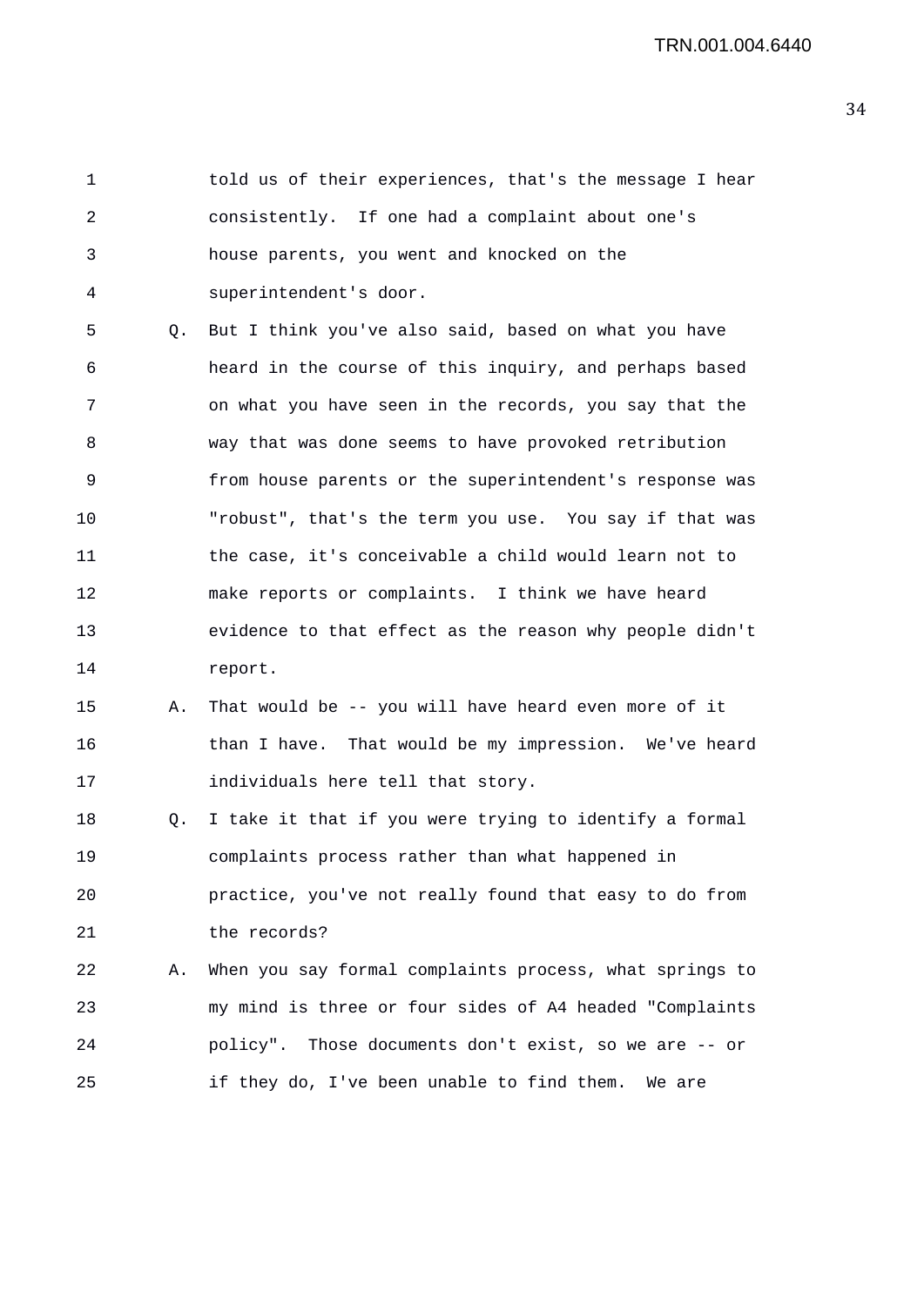1 told us of their experiences, that's the message I hear 2 consistently. If one had a complaint about one's 3 house parents, you went and knocked on the 4 superintendent's door.

5 Q. But I think you've also said, based on what you have 6 heard in the course of this inquiry, and perhaps based 7 on what you have seen in the records, you say that the 8 way that was done seems to have provoked retribution 9 from house parents or the superintendent's response was 10 "robust", that's the term you use. You say if that was 11 the case, it's conceivable a child would learn not to 12 make reports or complaints. I think we have heard 13 evidence to that effect as the reason why people didn't 14 report.

15 A. That would be -- you will have heard even more of it 16 **than I have.** That would be my impression. We've heard 17 individuals here tell that story.

18 Q. I take it that if you were trying to identify a formal 19 complaints process rather than what happened in 20 practice, you've not really found that easy to do from 21 the records?

22 A. When you say formal complaints process, what springs to 23 my mind is three or four sides of A4 headed "Complaints 24 policy". Those documents don't exist, so we are -- or 25 if they do, I've been unable to find them. We are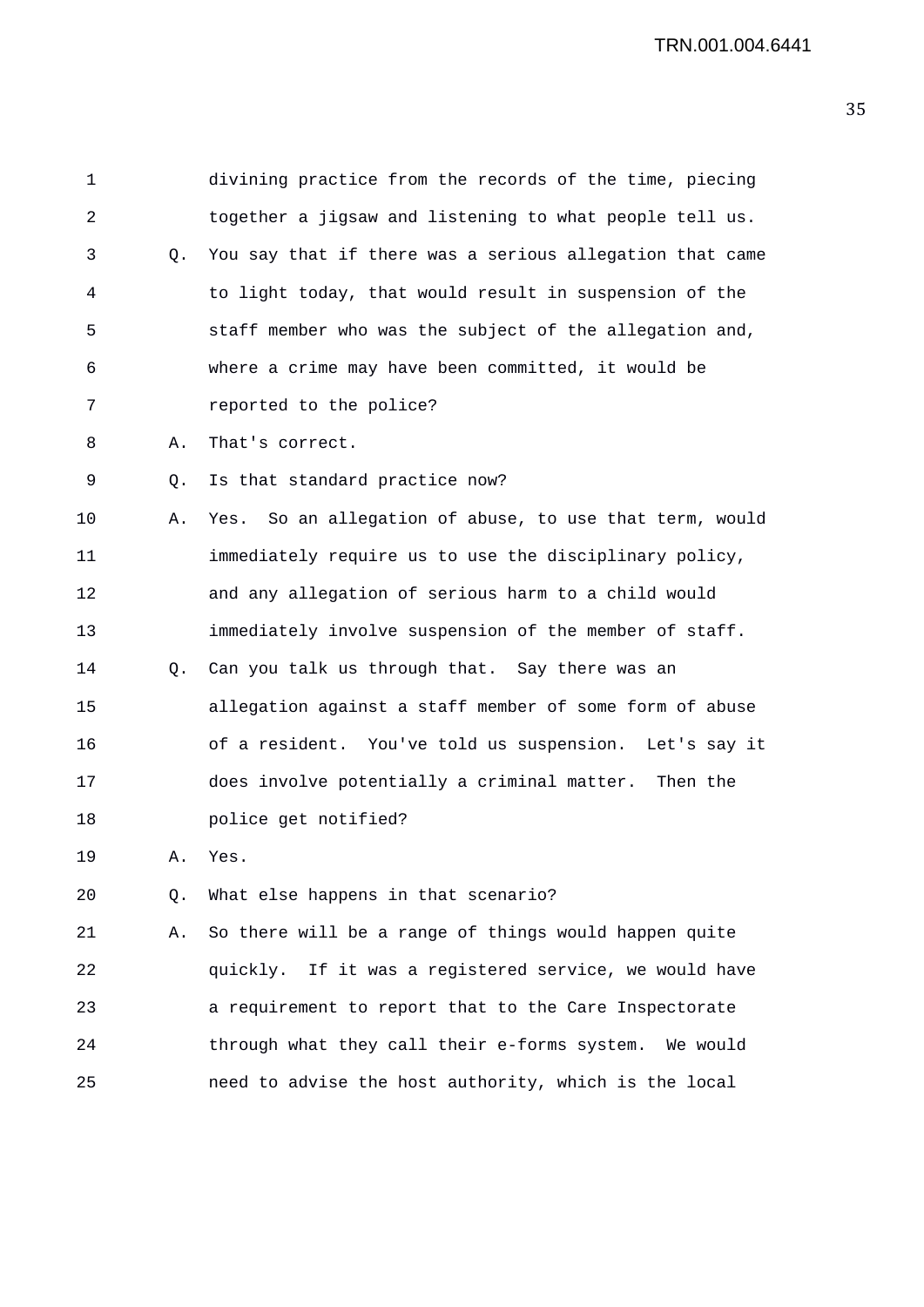1 divining practice from the records of the time, piecing 2 together a jigsaw and listening to what people tell us. 3 Q. You say that if there was a serious allegation that came 4 to light today, that would result in suspension of the 5 staff member who was the subject of the allegation and, 6 where a crime may have been committed, it would be 7 reported to the police? 8 A. That's correct. 9 Q. Is that standard practice now? 10 A. Yes. So an allegation of abuse, to use that term, would 11 immediately require us to use the disciplinary policy, 12 and any allegation of serious harm to a child would 13 immediately involve suspension of the member of staff. 14 Q. Can you talk us through that. Say there was an 15 allegation against a staff member of some form of abuse 16 of a resident. You've told us suspension. Let's say it 17 does involve potentially a criminal matter. Then the 18 police get notified? 19 A. Yes. 20 Q. What else happens in that scenario? 21 A. So there will be a range of things would happen quite 22 quickly. If it was a registered service, we would have 23 a requirement to report that to the Care Inspectorate 24 through what they call their e-forms system. We would 25 need to advise the host authority, which is the local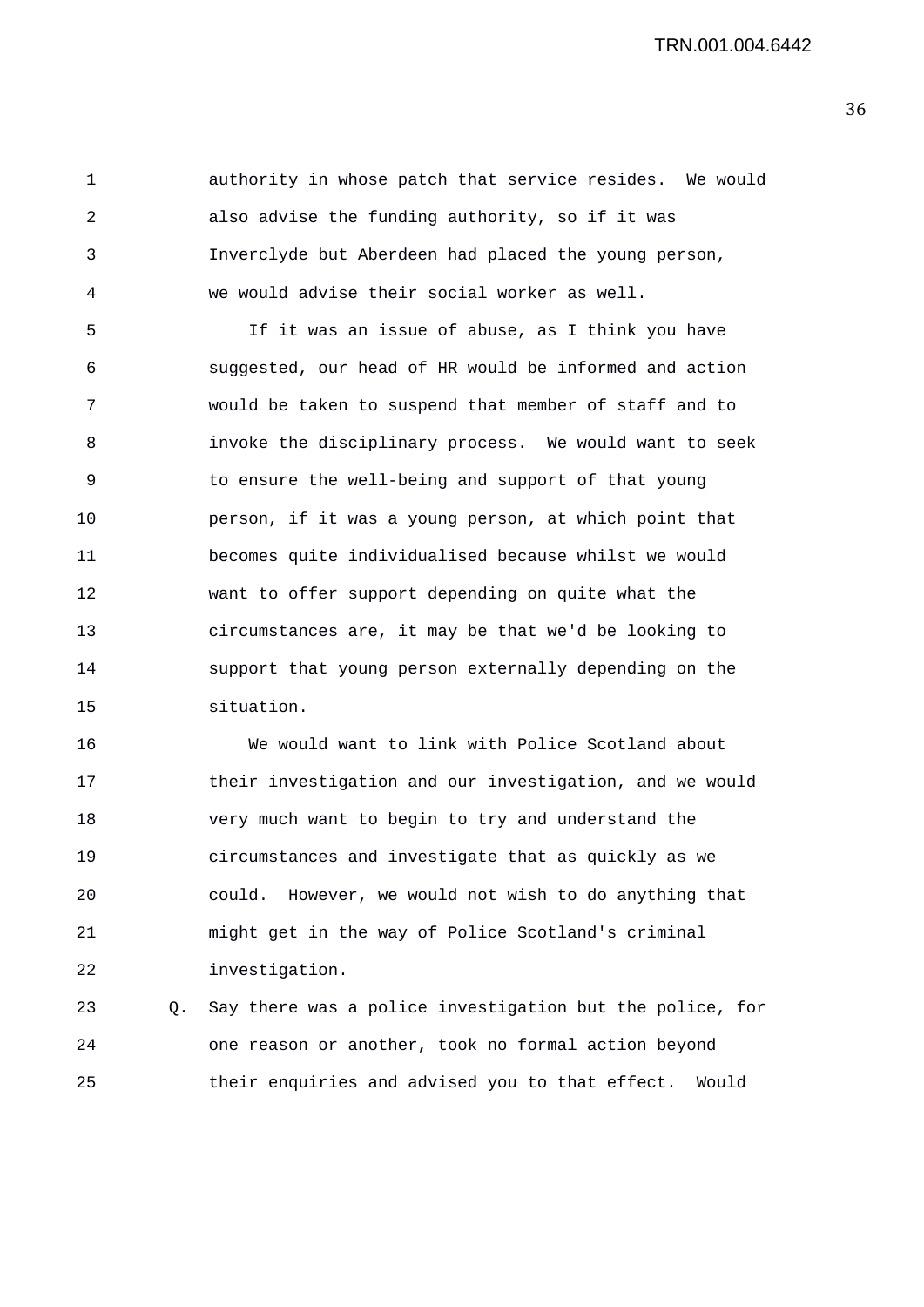1 authority in whose patch that service resides. We would 2 also advise the funding authority, so if it was 3 Inverclyde but Aberdeen had placed the young person, 4 we would advise their social worker as well.

5 If it was an issue of abuse, as I think you have 6 suggested, our head of HR would be informed and action 7 would be taken to suspend that member of staff and to 8 invoke the disciplinary process. We would want to seek 9 to ensure the well-being and support of that young 10 person, if it was a young person, at which point that 11 becomes quite individualised because whilst we would 12 want to offer support depending on quite what the 13 circumstances are, it may be that we'd be looking to 14 support that young person externally depending on the 15 situation.

16 We would want to link with Police Scotland about 17 their investigation and our investigation, and we would 18 very much want to begin to try and understand the 19 circumstances and investigate that as quickly as we 20 could. However, we would not wish to do anything that 21 might get in the way of Police Scotland's criminal 22 investigation.

23 Q. Say there was a police investigation but the police, for 24 one reason or another, took no formal action beyond 25 their enquiries and advised you to that effect. Would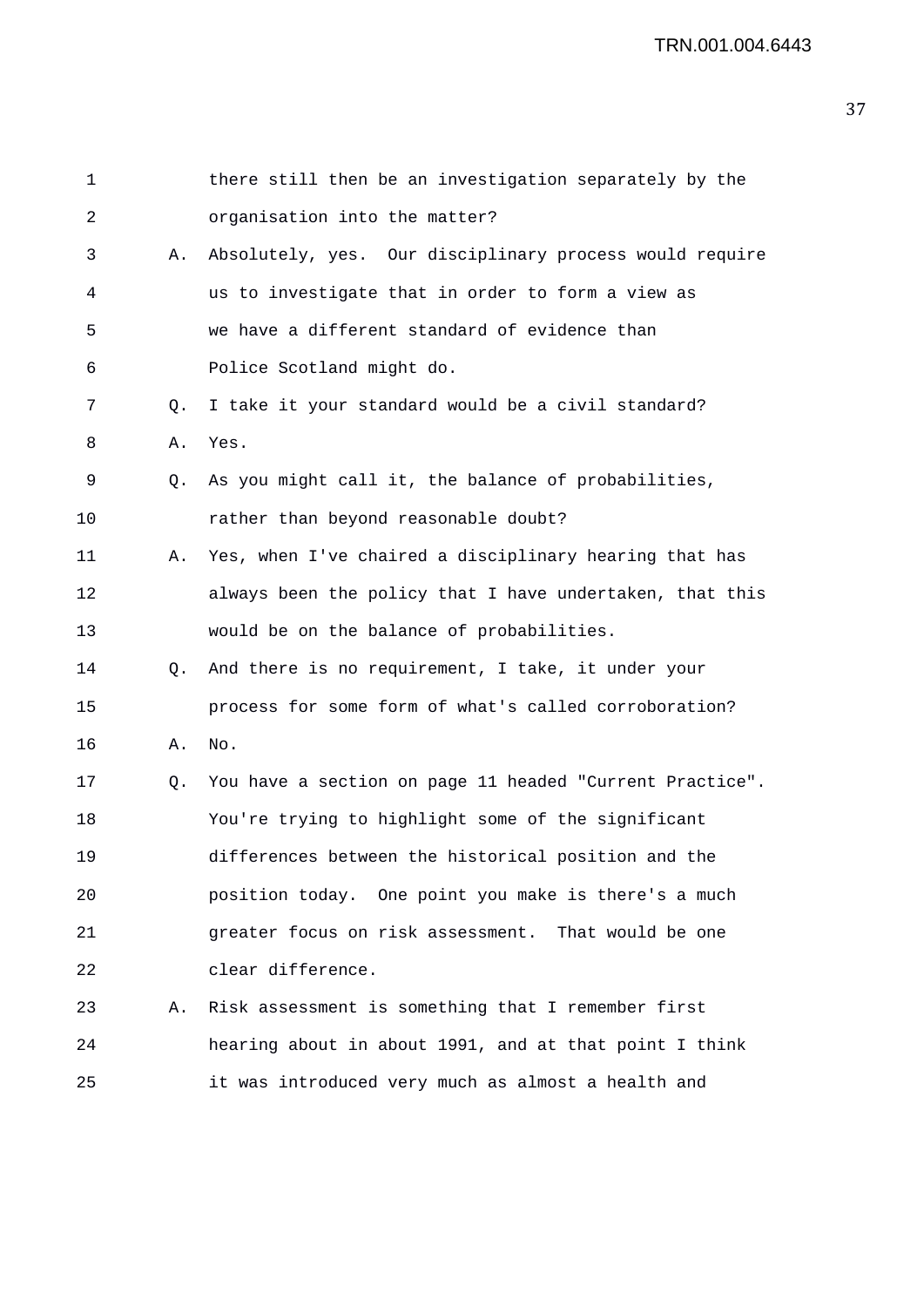| $\mathbf 1$ |    | there still then be an investigation separately by the   |
|-------------|----|----------------------------------------------------------|
| 2           |    | organisation into the matter?                            |
| 3           | Α. | Absolutely, yes. Our disciplinary process would require  |
| 4           |    | us to investigate that in order to form a view as        |
| 5           |    | we have a different standard of evidence than            |
| 6           |    | Police Scotland might do.                                |
| 7           | Q. | I take it your standard would be a civil standard?       |
| 8           | Α. | Yes.                                                     |
| 9           | Q. | As you might call it, the balance of probabilities,      |
| 10          |    | rather than beyond reasonable doubt?                     |
| 11          | Α. | Yes, when I've chaired a disciplinary hearing that has   |
| 12          |    | always been the policy that I have undertaken, that this |
| 13          |    | would be on the balance of probabilities.                |
| 14          | Q. | And there is no requirement, I take, it under your       |
| 15          |    | process for some form of what's called corroboration?    |
| 16          | Α. | No.                                                      |
| 17          | Q. | You have a section on page 11 headed "Current Practice". |
| 18          |    | You're trying to highlight some of the significant       |
| 19          |    | differences between the historical position and the      |
| 20          |    | position today. One point you make is there's a much     |
| 21          |    | greater focus on risk assessment. That would be one      |
| 22          |    | clear difference.                                        |
| 23          | Α. | Risk assessment is something that I remember first       |
| 24          |    | hearing about in about 1991, and at that point I think   |
| 25          |    | it was introduced very much as almost a health and       |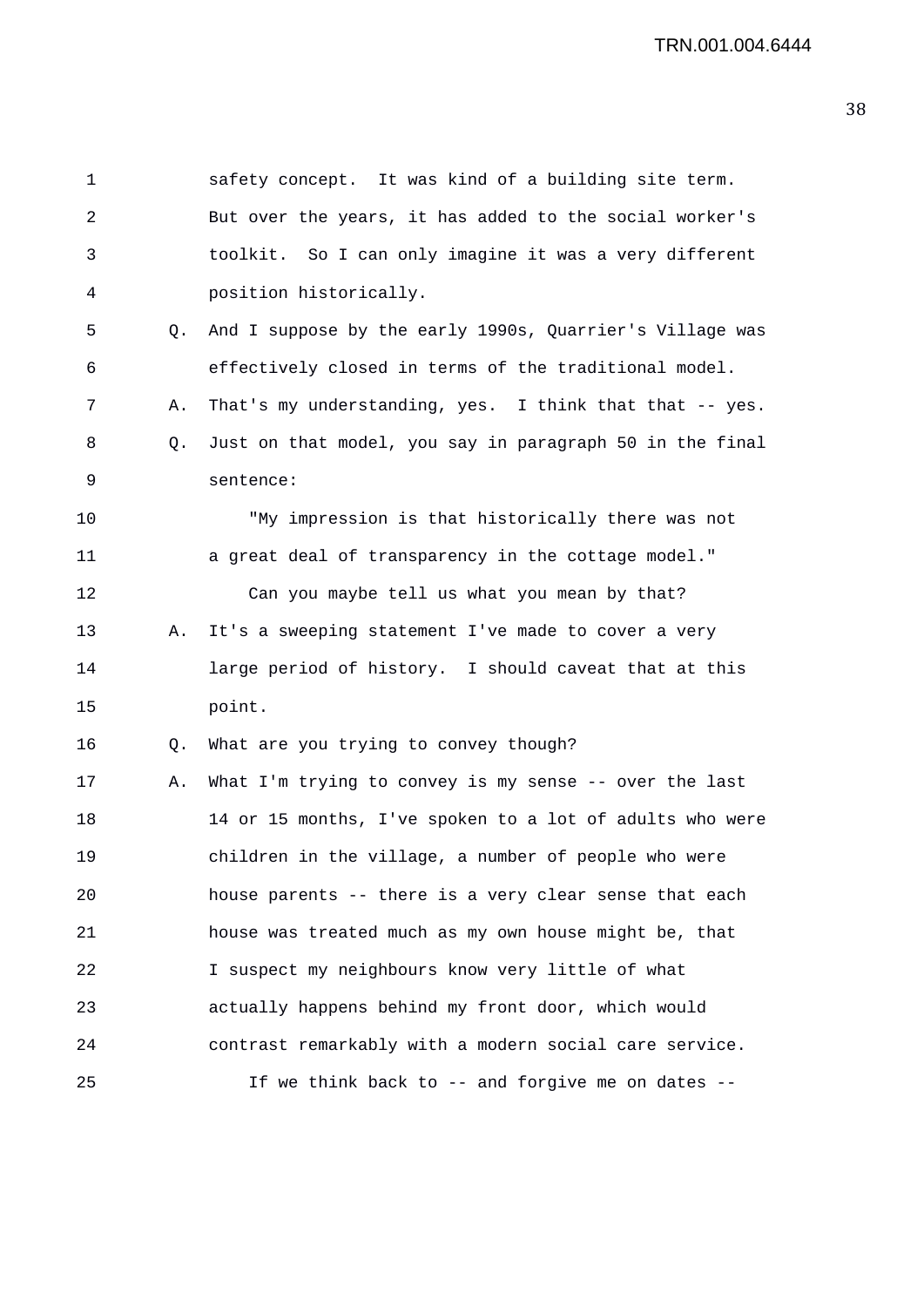```
1 safety concept. It was kind of a building site term. 
 2 But over the years, it has added to the social worker's 
 3 toolkit. So I can only imagine it was a very different 
 4 position historically. 
 5 Q. And I suppose by the early 1990s, Quarrier's Village was 
 6 effectively closed in terms of the traditional model. 
 7 A. That's my understanding, yes. I think that that -- yes.
8 Q. Just on that model, you say in paragraph 50 in the final 
9 sentence: 
10 "My impression is that historically there was not 
11 a great deal of transparency in the cottage model." 
12 Can you maybe tell us what you mean by that? 
13 A. It's a sweeping statement I've made to cover a very 
14 large period of history. I should caveat that at this 
15 point. 
16 Q. What are you trying to convey though? 
17 A. What I'm trying to convey is my sense -- over the last 
18 14 or 15 months, I've spoken to a lot of adults who were 
19 children in the village, a number of people who were 
20 house parents -- there is a very clear sense that each 
21 house was treated much as my own house might be, that 
22 I suspect my neighbours know very little of what 
23 actually happens behind my front door, which would 
24 contrast remarkably with a modern social care service. 
25 If we think back to -- and forgive me on dates --
```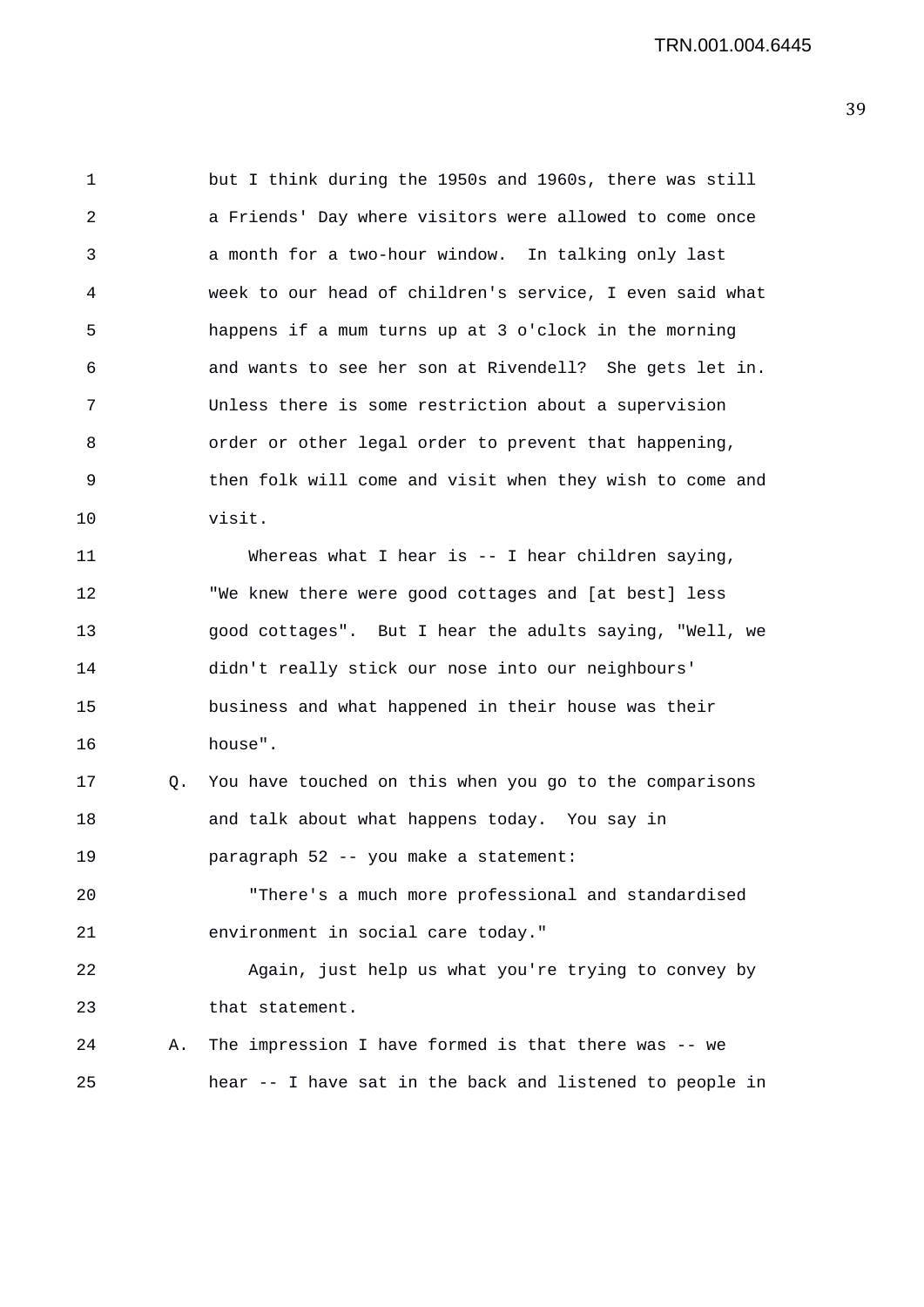1 but I think during the 1950s and 1960s, there was still 2 a Friends' Day where visitors were allowed to come once 3 a month for a two-hour window. In talking only last 4 week to our head of children's service, I even said what 5 happens if a mum turns up at 3 o'clock in the morning 6 and wants to see her son at Rivendell? She gets let in. 7 Unless there is some restriction about a supervision 8 order or other legal order to prevent that happening, 9 then folk will come and visit when they wish to come and 10 visit. 11 Whereas what I hear is -- I hear children saying, 12 "We knew there were good cottages and [at best] less 13 good cottages". But I hear the adults saying, "Well, we 14 didn't really stick our nose into our neighbours' 15 business and what happened in their house was their 16 house". 17 Q. You have touched on this when you go to the comparisons 18 and talk about what happens today. You say in 19 paragraph 52 -- you make a statement: 20 "There's a much more professional and standardised 21 environment in social care today." 22 Again, just help us what you're trying to convey by 23 that statement. 24 A. The impression I have formed is that there was -- we 25 hear -- I have sat in the back and listened to people in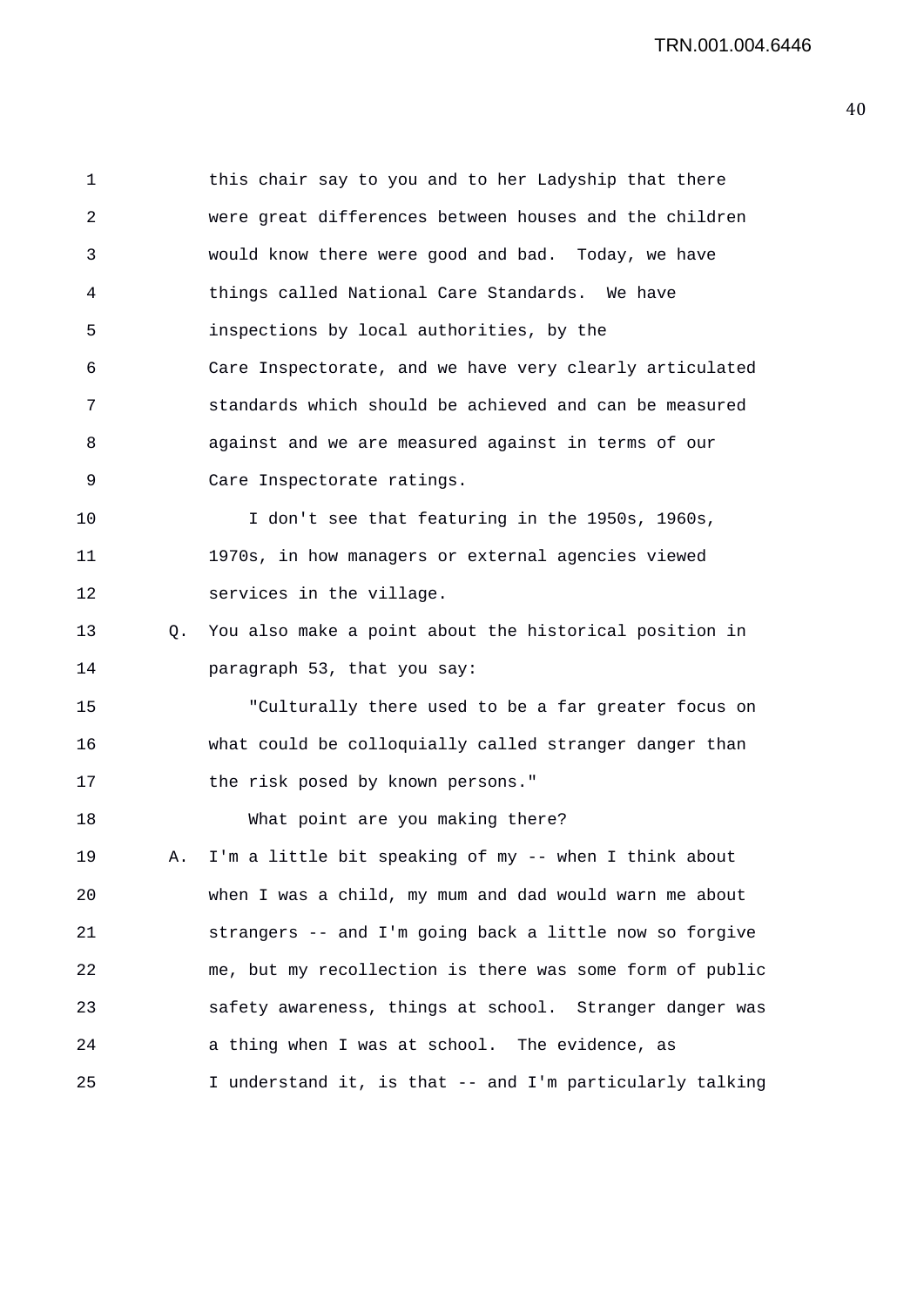TRN.001.004.6446

1 this chair say to you and to her Ladyship that there 2 were great differences between houses and the children 3 would know there were good and bad. Today, we have 4 things called National Care Standards. We have 5 inspections by local authorities, by the 6 Care Inspectorate, and we have very clearly articulated 7 standards which should be achieved and can be measured 8 against and we are measured against in terms of our 9 Care Inspectorate ratings. 10 I don't see that featuring in the 1950s, 1960s, 11 1970s, in how managers or external agencies viewed 12 services in the village. 13 Q. You also make a point about the historical position in 14 paragraph 53, that you say: 15 "Culturally there used to be a far greater focus on 16 what could be colloquially called stranger danger than 17 the risk posed by known persons." 18 What point are you making there? 19 A. I'm a little bit speaking of my -- when I think about 20 when I was a child, my mum and dad would warn me about 21 strangers -- and I'm going back a little now so forgive 22 me, but my recollection is there was some form of public 23 safety awareness, things at school. Stranger danger was 24 a thing when I was at school. The evidence, as 25 I understand it, is that -- and I'm particularly talking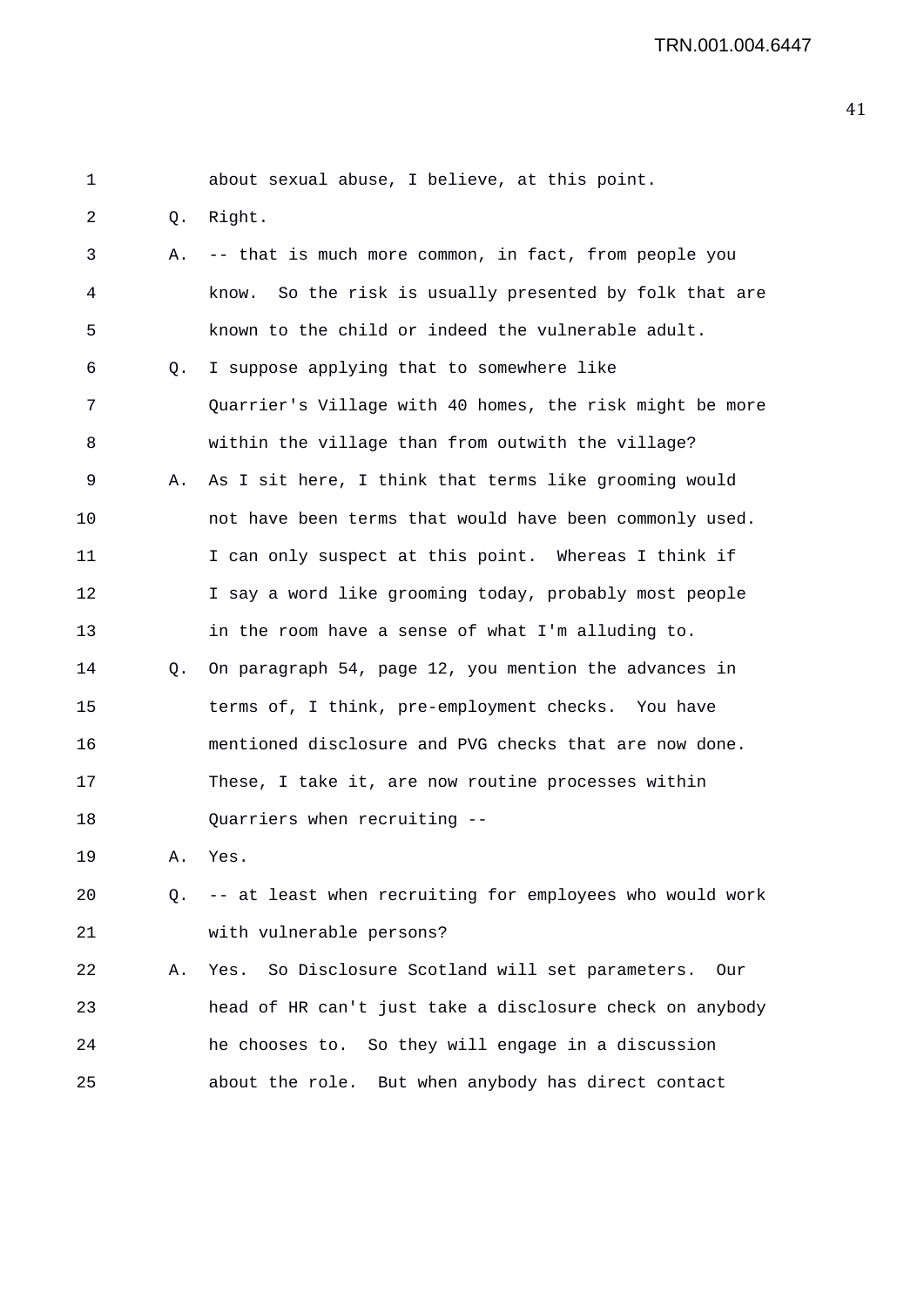| 1  |           | about sexual abuse, I believe, at this point.              |
|----|-----------|------------------------------------------------------------|
| 2  | Q.        | Right.                                                     |
| 3  | Α.        | -- that is much more common, in fact, from people you      |
| 4  |           | So the risk is usually presented by folk that are<br>know. |
| 5  |           | known to the child or indeed the vulnerable adult.         |
| б  | Q.        | I suppose applying that to somewhere like                  |
| 7  |           | Quarrier's Village with 40 homes, the risk might be more   |
| 8  |           | within the village than from outwith the village?          |
| 9  | Α.        | As I sit here, I think that terms like grooming would      |
| 10 |           | not have been terms that would have been commonly used.    |
| 11 |           | I can only suspect at this point. Whereas I think if       |
| 12 |           | I say a word like grooming today, probably most people     |
| 13 |           | in the room have a sense of what I'm alluding to.          |
| 14 | $\circ$ . | On paragraph 54, page 12, you mention the advances in      |
| 15 |           | terms of, I think, pre-employment checks. You have         |
| 16 |           | mentioned disclosure and PVG checks that are now done.     |
| 17 |           | These, I take it, are now routine processes within         |
| 18 |           | Quarriers when recruiting --                               |
| 19 | Α.        | Yes.                                                       |
| 20 | Q.        | -- at least when recruiting for employees who would work   |
| 21 |           | with vulnerable persons?                                   |
| 22 | Α.        | Yes. So Disclosure Scotland will set parameters.<br>Our    |
| 23 |           | head of HR can't just take a disclosure check on anybody   |
| 24 |           | he chooses to. So they will engage in a discussion         |
| 25 |           | about the role. But when anybody has direct contact        |
|    |           |                                                            |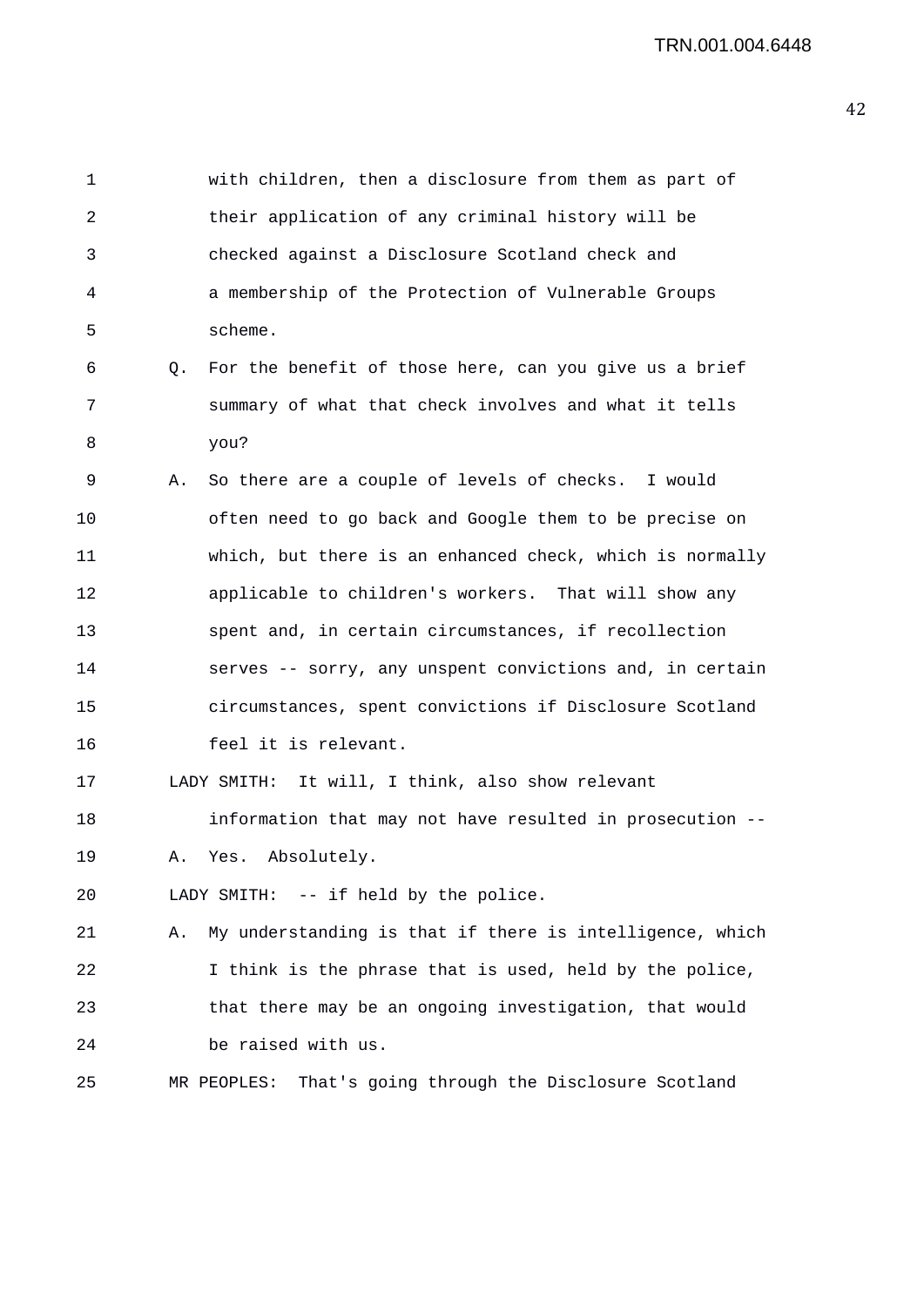1 with children, then a disclosure from them as part of 2 their application of any criminal history will be 3 checked against a Disclosure Scotland check and 4 a membership of the Protection of Vulnerable Groups 5 scheme. 6 Q. For the benefit of those here, can you give us a brief 7 summary of what that check involves and what it tells 8 you? 9 A. So there are a couple of levels of checks. I would 10 often need to go back and Google them to be precise on 11 which, but there is an enhanced check, which is normally 12 applicable to children's workers. That will show any 13 spent and, in certain circumstances, if recollection 14 serves -- sorry, any unspent convictions and, in certain 15 circumstances, spent convictions if Disclosure Scotland 16 feel it is relevant. 17 LADY SMITH: It will, I think, also show relevant 18 information that may not have resulted in prosecution -- 19 A. Yes. Absolutely. 20 LADY SMITH: -- if held by the police. 21 A. My understanding is that if there is intelligence, which 22 I think is the phrase that is used, held by the police, 23 that there may be an ongoing investigation, that would 24 be raised with us. 25 MR PEOPLES: That's going through the Disclosure Scotland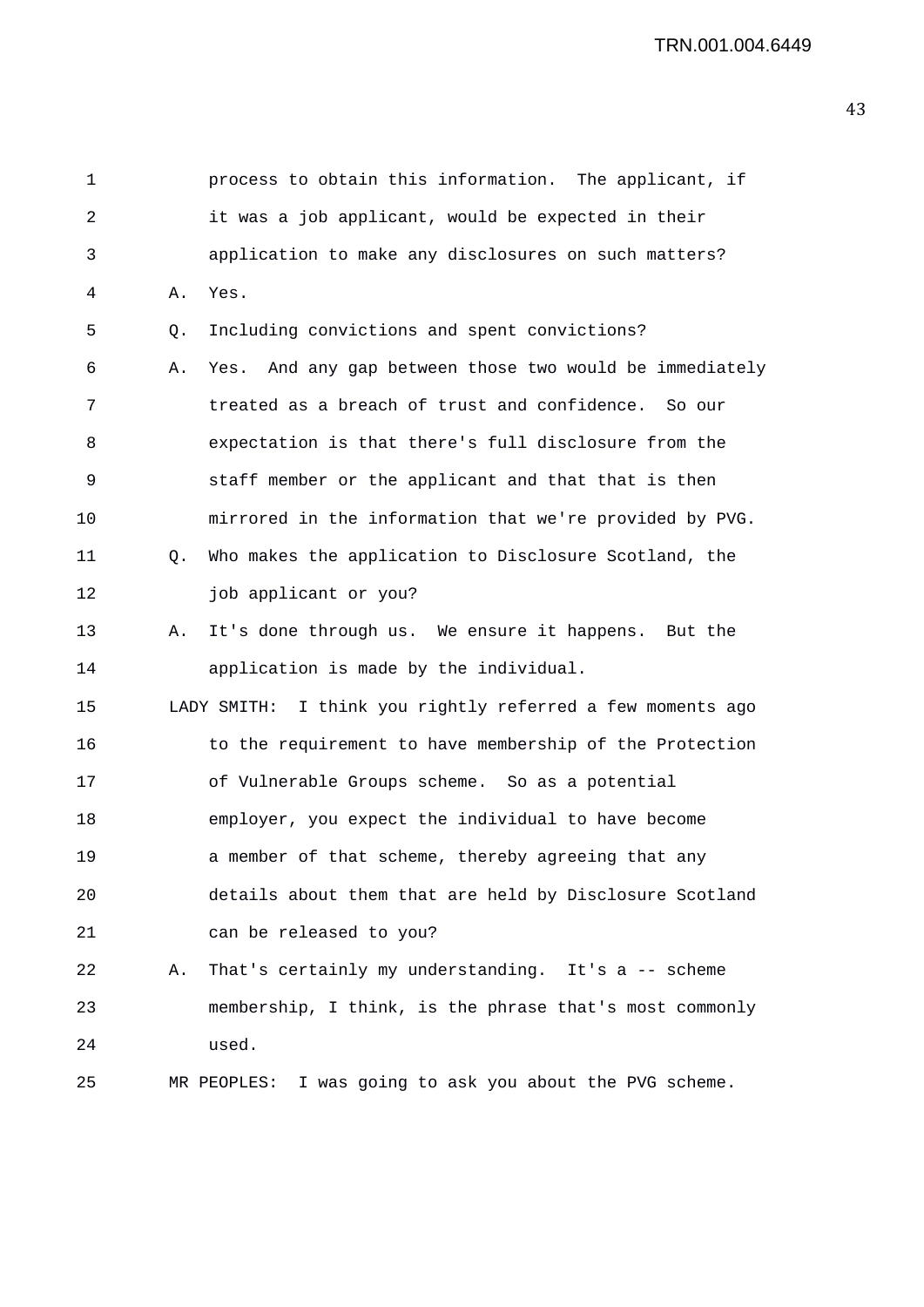1 process to obtain this information. The applicant, if 2 it was a job applicant, would be expected in their 3 application to make any disclosures on such matters? 4 A. Yes. 5 Q. Including convictions and spent convictions? 6 A. Yes. And any gap between those two would be immediately 7 treated as a breach of trust and confidence. So our 8 expectation is that there's full disclosure from the 9 staff member or the applicant and that that is then 10 mirrored in the information that we're provided by PVG. 11 Q. Who makes the application to Disclosure Scotland, the 12 job applicant or you? 13 A. It's done through us. We ensure it happens. But the 14 application is made by the individual. 15 LADY SMITH: I think you rightly referred a few moments ago 16 to the requirement to have membership of the Protection 17 of Vulnerable Groups scheme. So as a potential 18 employer, you expect the individual to have become 19 **a** member of that scheme, thereby agreeing that any 20 details about them that are held by Disclosure Scotland 21 can be released to you? 22 A. That's certainly my understanding. It's a -- scheme 23 membership, I think, is the phrase that's most commonly 24 used. 25 MR PEOPLES: I was going to ask you about the PVG scheme.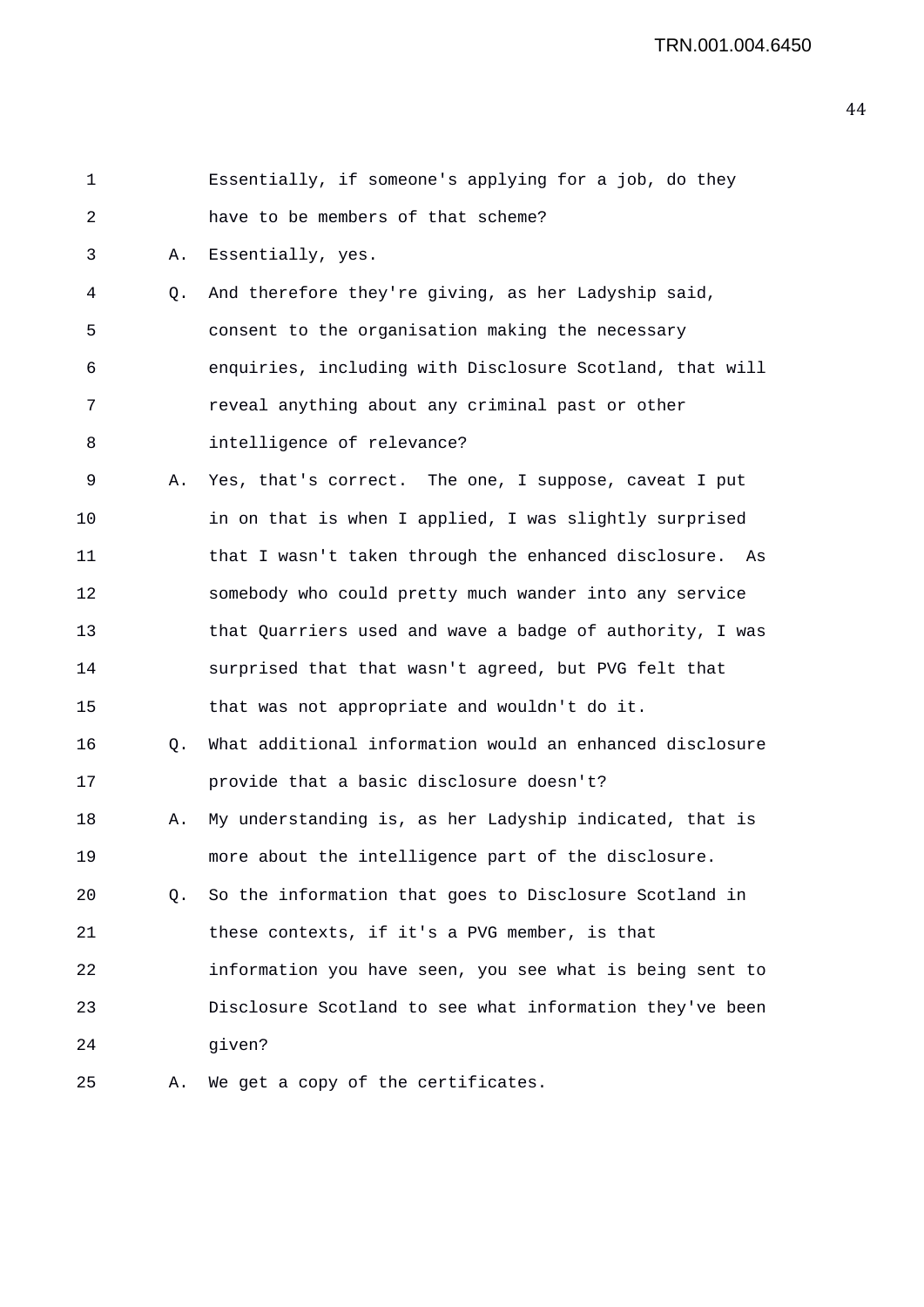| 1  |    | Essentially, if someone's applying for a job, do they    |
|----|----|----------------------------------------------------------|
| 2  |    | have to be members of that scheme?                       |
| 3  | Α. | Essentially, yes.                                        |
| 4  | Q. | And therefore they're giving, as her Ladyship said,      |
| 5  |    | consent to the organisation making the necessary         |
| 6  |    | enquiries, including with Disclosure Scotland, that will |
| 7  |    | reveal anything about any criminal past or other         |
| 8  |    | intelligence of relevance?                               |
| 9  | Α. | Yes, that's correct. The one, I suppose, caveat I put    |
| 10 |    | in on that is when I applied, I was slightly surprised   |
| 11 |    | that I wasn't taken through the enhanced disclosure. As  |
| 12 |    | somebody who could pretty much wander into any service   |
| 13 |    | that Quarriers used and wave a badge of authority, I was |
| 14 |    | surprised that that wasn't agreed, but PVG felt that     |
| 15 |    | that was not appropriate and wouldn't do it.             |
| 16 | Q. | What additional information would an enhanced disclosure |
| 17 |    | provide that a basic disclosure doesn't?                 |
| 18 | Α. | My understanding is, as her Ladyship indicated, that is  |
| 19 |    | more about the intelligence part of the disclosure.      |
| 20 | Q. | So the information that goes to Disclosure Scotland in   |
| 21 |    | these contexts, if it's a PVG member, is that            |
| 22 |    | information you have seen, you see what is being sent to |
| 23 |    | Disclosure Scotland to see what information they've been |
| 24 |    | given?                                                   |
| 25 | Α. | We get a copy of the certificates.                       |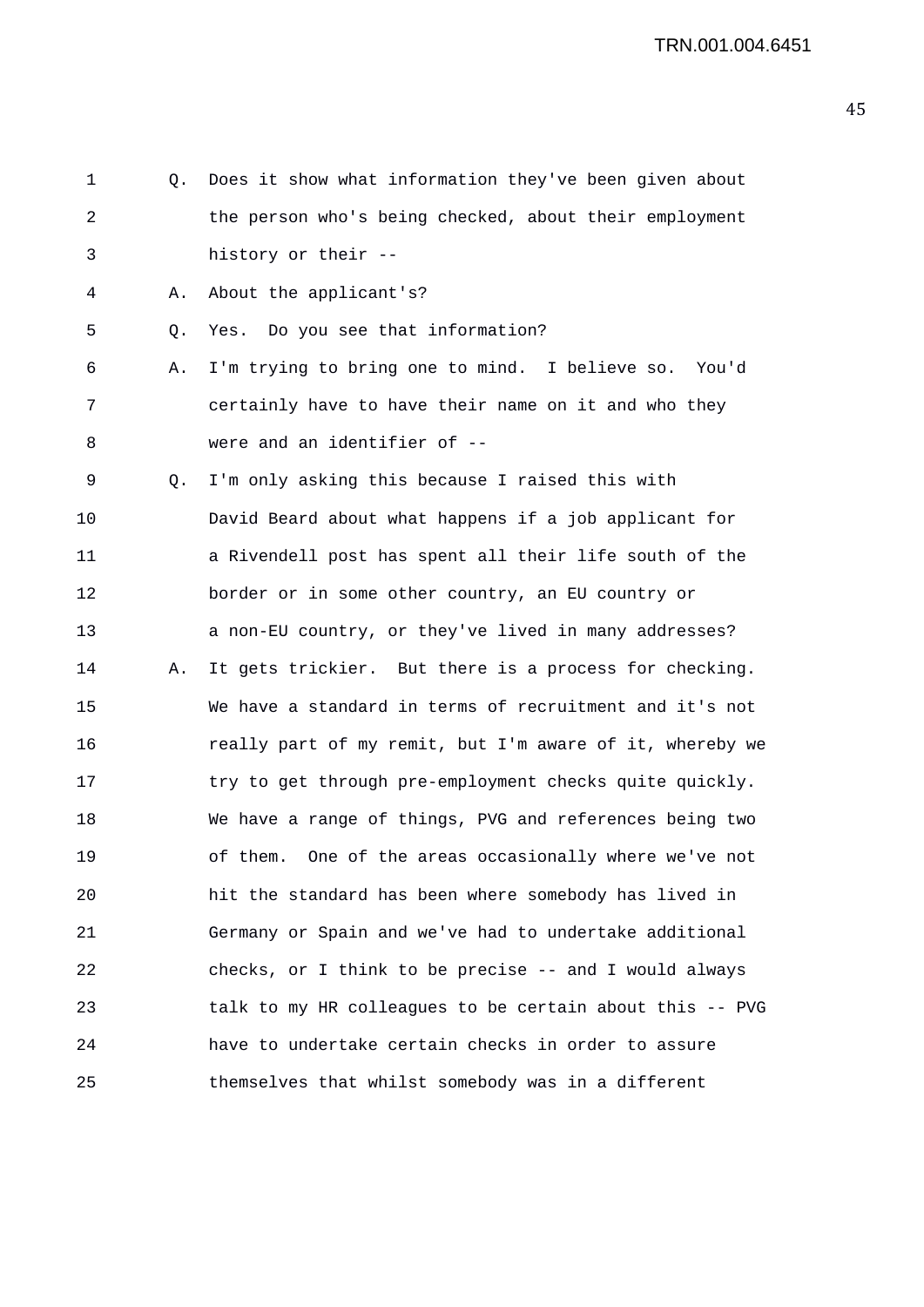1 Q. Does it show what information they've been given about 2 the person who's being checked, about their employment 3 history or their -- 4 A. About the applicant's? 5 Q. Yes. Do you see that information? 6 A. I'm trying to bring one to mind. I believe so. You'd 7 certainly have to have their name on it and who they 8 were and an identifier of -- 9 Q. I'm only asking this because I raised this with 10 David Beard about what happens if a job applicant for 11 a Rivendell post has spent all their life south of the 12 border or in some other country, an EU country or 13 a non-EU country, or they've lived in many addresses? 14 A. It gets trickier. But there is a process for checking. 15 We have a standard in terms of recruitment and it's not 16 really part of my remit, but I'm aware of it, whereby we 17 try to get through pre-employment checks quite quickly. 18 We have a range of things, PVG and references being two 19 of them. One of the areas occasionally where we've not 20 hit the standard has been where somebody has lived in 21 Germany or Spain and we've had to undertake additional 22 checks, or I think to be precise -- and I would always 23 talk to my HR colleagues to be certain about this -- PVG 24 have to undertake certain checks in order to assure 25 themselves that whilst somebody was in a different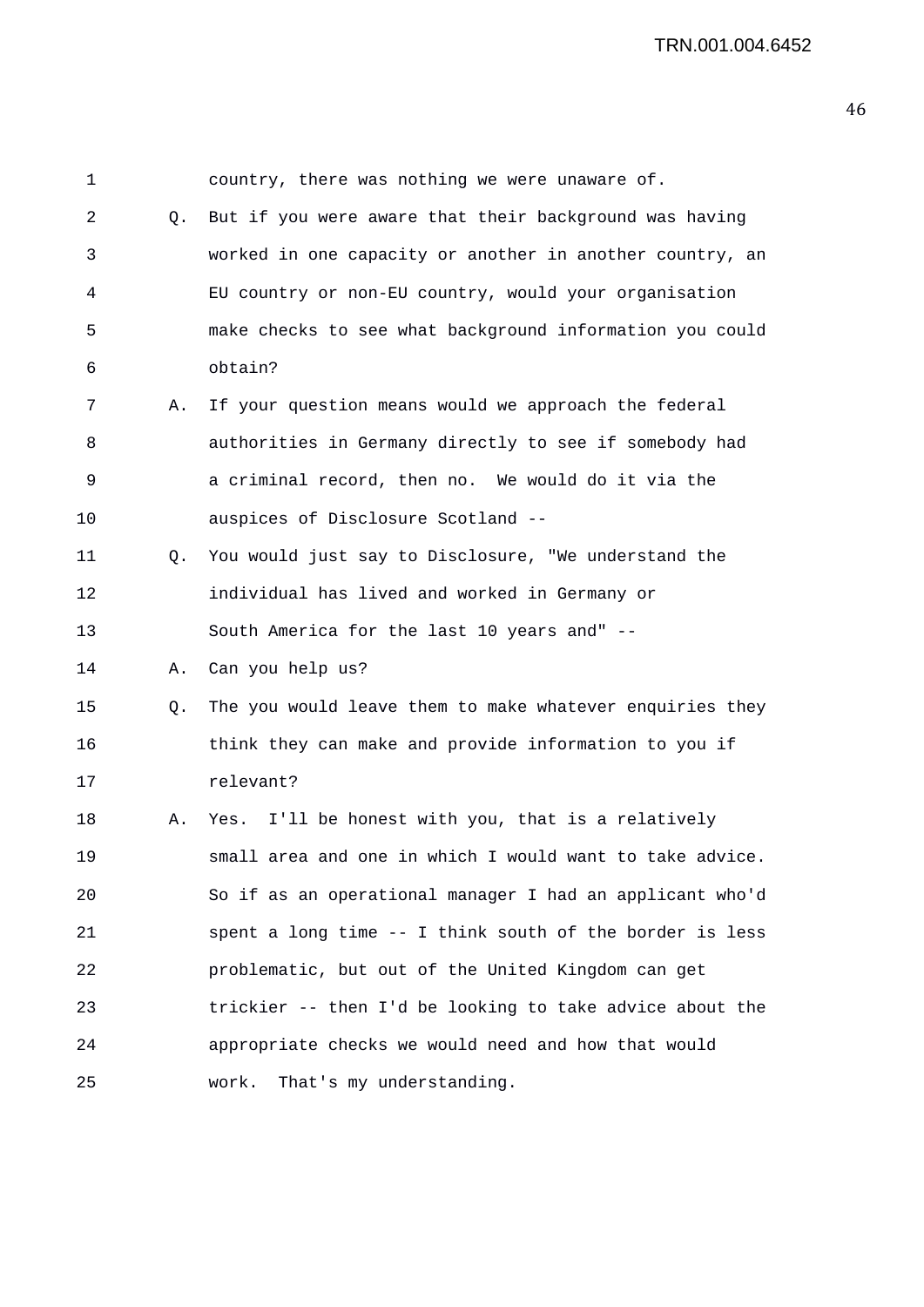| $\mathbf 1$ |    | country, there was nothing we were unaware of.           |
|-------------|----|----------------------------------------------------------|
| 2           | Q. | But if you were aware that their background was having   |
| 3           |    | worked in one capacity or another in another country, an |
| 4           |    | EU country or non-EU country, would your organisation    |
| 5           |    | make checks to see what background information you could |
| 6           |    | obtain?                                                  |
| 7           | Α. | If your question means would we approach the federal     |
| 8           |    | authorities in Germany directly to see if somebody had   |
| 9           |    | a criminal record, then no. We would do it via the       |
| 10          |    | auspices of Disclosure Scotland --                       |
| 11          | Q. | You would just say to Disclosure, "We understand the     |
| 12          |    | individual has lived and worked in Germany or            |
| 13          |    | South America for the last 10 years and" --              |
| 14          | Α. | Can you help us?                                         |
| 15          | Q. | The you would leave them to make whatever enquiries they |
| 16          |    | think they can make and provide information to you if    |
| 17          |    | relevant?                                                |
| 18          | Α. | Yes. I'll be honest with you, that is a relatively       |
| 19          |    | small area and one in which I would want to take advice. |
| 20          |    | So if as an operational manager I had an applicant who'd |
| 21          |    | spent a long time -- I think south of the border is less |
| 22          |    | problematic, but out of the United Kingdom can get       |
| 23          |    | trickier -- then I'd be looking to take advice about the |
| 24          |    | appropriate checks we would need and how that would      |
| 25          |    | That's my understanding.<br>work.                        |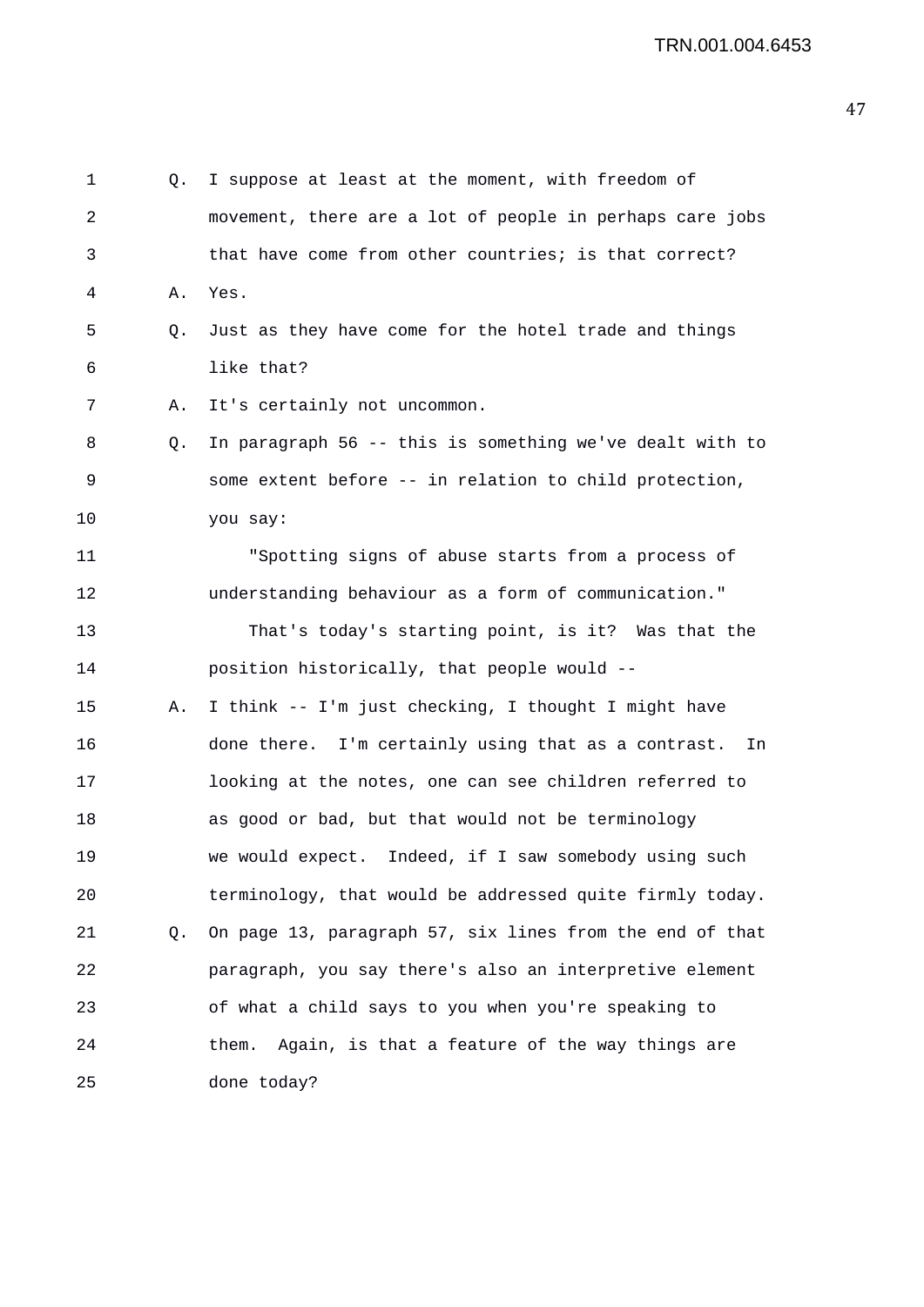1 Q. I suppose at least at the moment, with freedom of 2 movement, there are a lot of people in perhaps care jobs 3 that have come from other countries; is that correct? 4 A. Yes. 5 Q. Just as they have come for the hotel trade and things 6 like that? 7 A. It's certainly not uncommon. 8 Q. In paragraph 56 -- this is something we've dealt with to 9 some extent before -- in relation to child protection, 10 you say: 11 "Spotting signs of abuse starts from a process of 12 understanding behaviour as a form of communication." 13 That's today's starting point, is it? Was that the 14 position historically, that people would -- 15 A. I think -- I'm just checking, I thought I might have 16 done there. I'm certainly using that as a contrast. In 17 looking at the notes, one can see children referred to 18 as good or bad, but that would not be terminology 19 we would expect. Indeed, if I saw somebody using such 20 terminology, that would be addressed quite firmly today. 21 Q. On page 13, paragraph 57, six lines from the end of that 22 paragraph, you say there's also an interpretive element 23 of what a child says to you when you're speaking to 24 them. Again, is that a feature of the way things are 25 done today?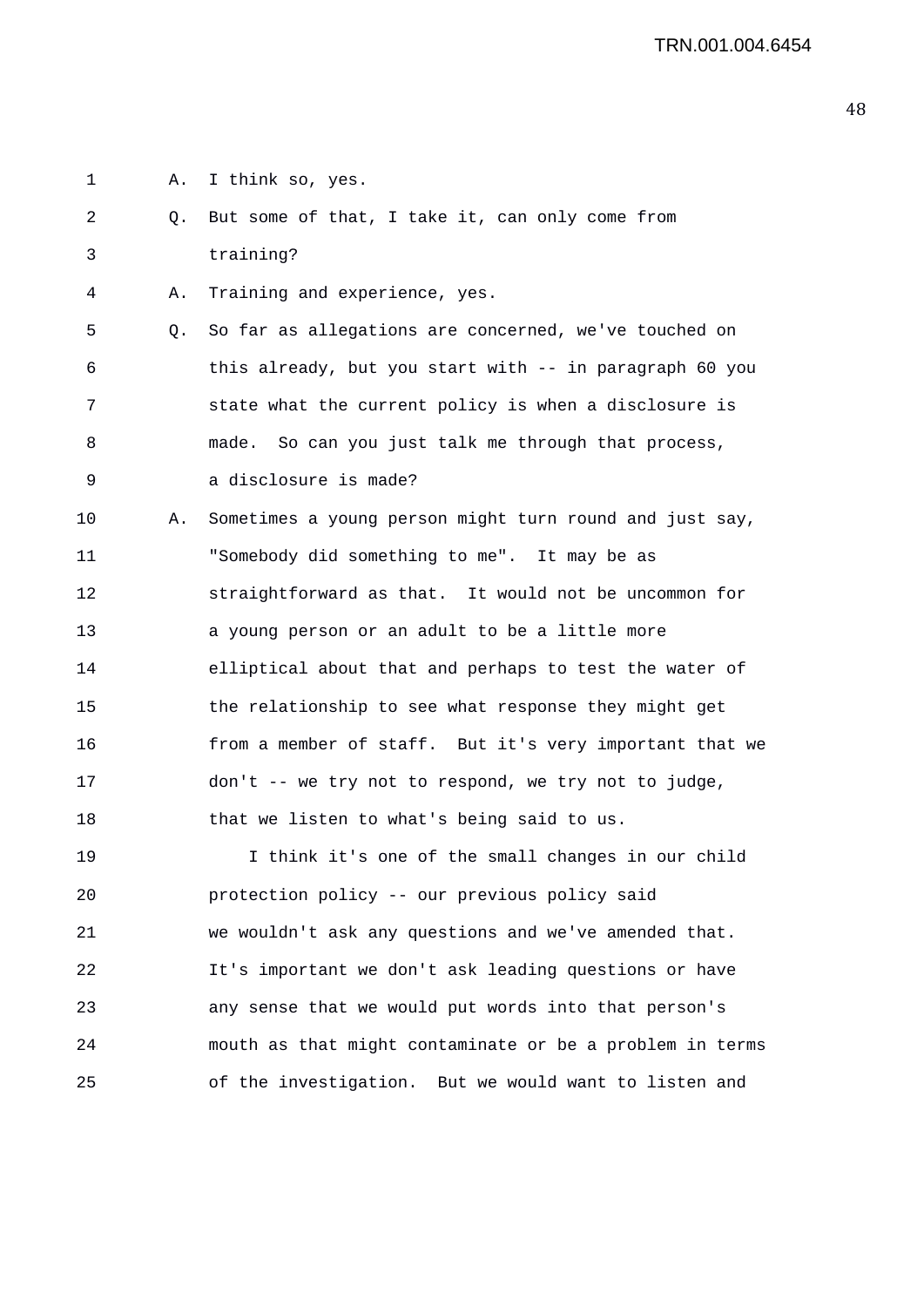- 1 A. I think so, yes.
- 2 Q. But some of that, I take it, can only come from 3 training?
- 4 A. Training and experience, yes.

5 Q. So far as allegations are concerned, we've touched on 6 this already, but you start with -- in paragraph 60 you 7 state what the current policy is when a disclosure is 8 made. So can you just talk me through that process, 9 a disclosure is made?

10 A. Sometimes a young person might turn round and just say, 11 "Somebody did something to me". It may be as 12 straightforward as that. It would not be uncommon for 13 a young person or an adult to be a little more 14 elliptical about that and perhaps to test the water of 15 the relationship to see what response they might get 16 from a member of staff. But it's very important that we 17 don't -- we try not to respond, we try not to judge, 18 that we listen to what's being said to us.

19 I think it's one of the small changes in our child 20 protection policy -- our previous policy said 21 we wouldn't ask any questions and we've amended that. 22 It's important we don't ask leading questions or have 23 any sense that we would put words into that person's 24 mouth as that might contaminate or be a problem in terms 25 of the investigation. But we would want to listen and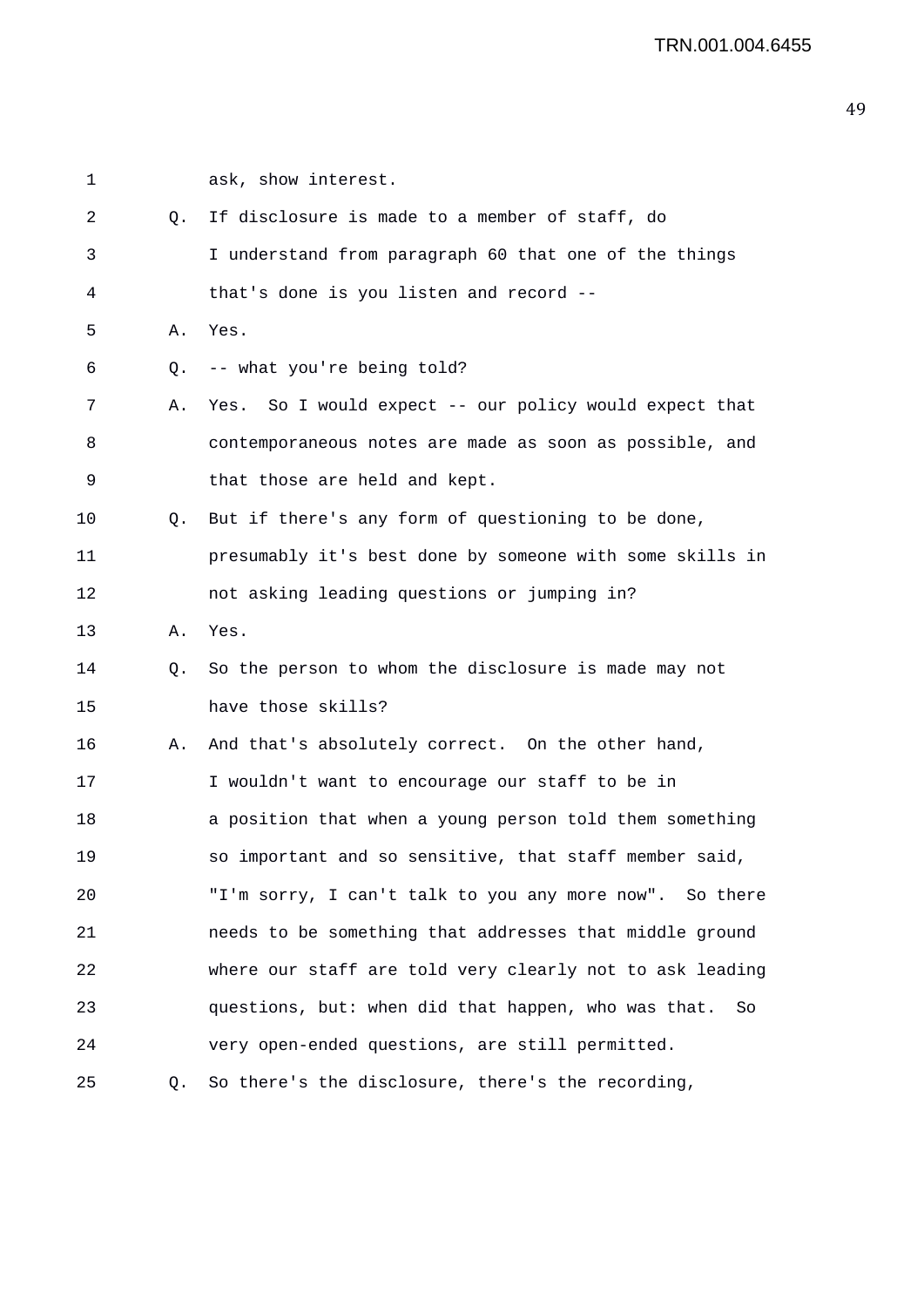| 1  |    | ask, show interest.                                       |
|----|----|-----------------------------------------------------------|
| 2  | Q. | If disclosure is made to a member of staff, do            |
| 3  |    | I understand from paragraph 60 that one of the things     |
| 4  |    | that's done is you listen and record --                   |
| 5  | Α. | Yes.                                                      |
| 6  | Q. | -- what you're being told?                                |
| 7  | Α. | Yes. So I would expect -- our policy would expect that    |
| 8  |    | contemporaneous notes are made as soon as possible, and   |
| 9  |    | that those are held and kept.                             |
| 10 | Q. | But if there's any form of questioning to be done,        |
| 11 |    | presumably it's best done by someone with some skills in  |
| 12 |    | not asking leading questions or jumping in?               |
| 13 | Α. | Yes.                                                      |
| 14 | Q. | So the person to whom the disclosure is made may not      |
| 15 |    | have those skills?                                        |
| 16 | Α. | And that's absolutely correct. On the other hand,         |
| 17 |    | I wouldn't want to encourage our staff to be in           |
| 18 |    | a position that when a young person told them something   |
| 19 |    | so important and so sensitive, that staff member said,    |
| 20 |    | "I'm sorry, I can't talk to you any more now". So there   |
| 21 |    | needs to be something that addresses that middle ground   |
| 22 |    | where our staff are told very clearly not to ask leading  |
| 23 |    | questions, but: when did that happen, who was that.<br>So |
| 24 |    | very open-ended questions, are still permitted.           |
| 25 | Q. | So there's the disclosure, there's the recording,         |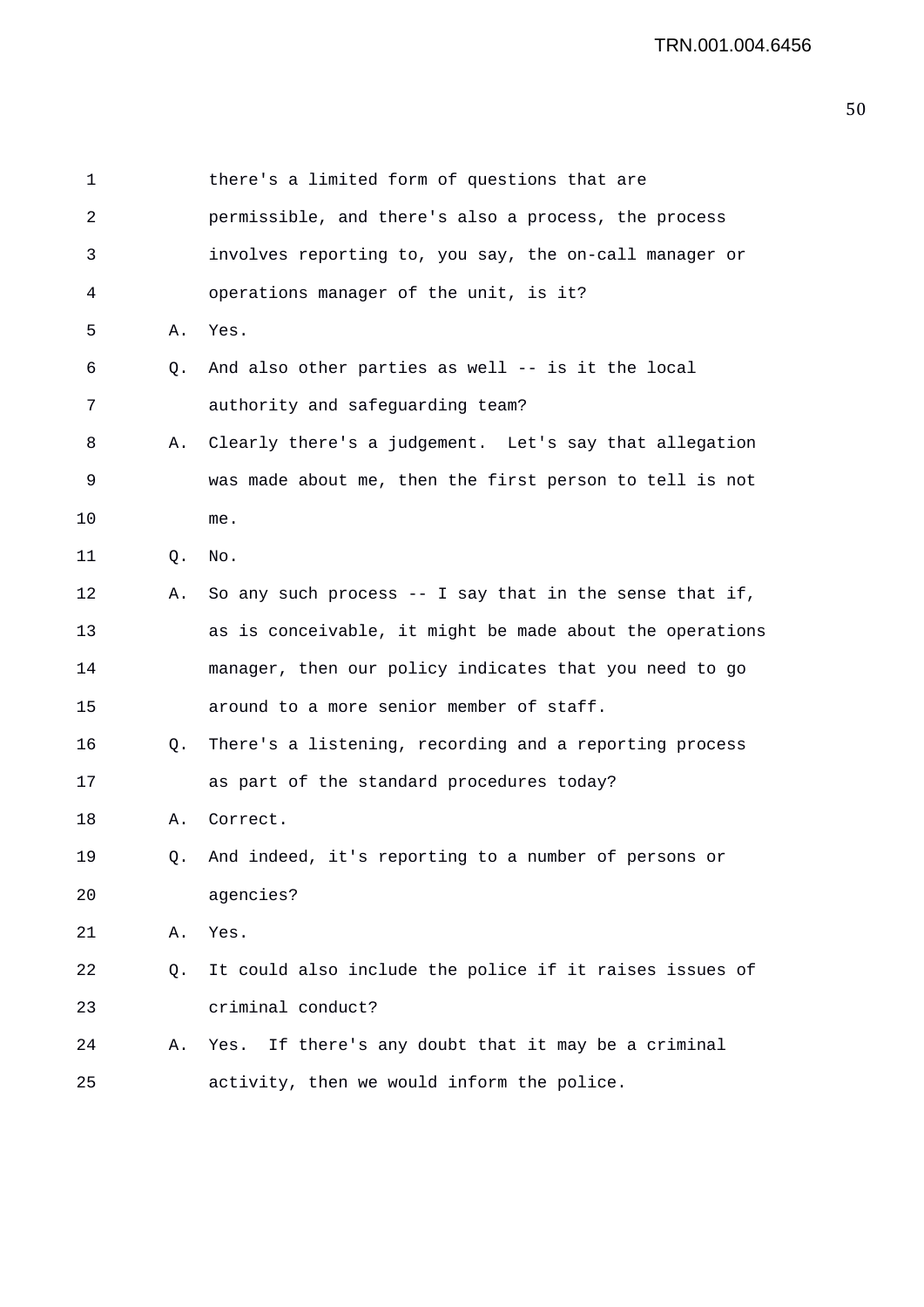| 1  |    | there's a limited form of questions that are               |
|----|----|------------------------------------------------------------|
| 2  |    | permissible, and there's also a process, the process       |
| 3  |    | involves reporting to, you say, the on-call manager or     |
| 4  |    | operations manager of the unit, is it?                     |
| 5  | Α. | Yes.                                                       |
| 6  | Q. | And also other parties as well -- is it the local          |
| 7  |    | authority and safeguarding team?                           |
| 8  | Α. | Clearly there's a judgement. Let's say that allegation     |
| 9  |    | was made about me, then the first person to tell is not    |
| 10 |    | me.                                                        |
| 11 | Q. | No.                                                        |
| 12 | Α. | So any such process $-$ - I say that in the sense that if, |
| 13 |    | as is conceivable, it might be made about the operations   |
| 14 |    | manager, then our policy indicates that you need to go     |
| 15 |    | around to a more senior member of staff.                   |
| 16 | Q. | There's a listening, recording and a reporting process     |
| 17 |    | as part of the standard procedures today?                  |
| 18 | Α. | Correct.                                                   |
| 19 |    | Q. And indeed, it's reporting to a number of persons or    |
| 20 |    | agencies?                                                  |
| 21 | Α. | Yes.                                                       |
| 22 | Q. | It could also include the police if it raises issues of    |
| 23 |    | criminal conduct?                                          |
| 24 | Α. | Yes. If there's any doubt that it may be a criminal        |
| 25 |    | activity, then we would inform the police.                 |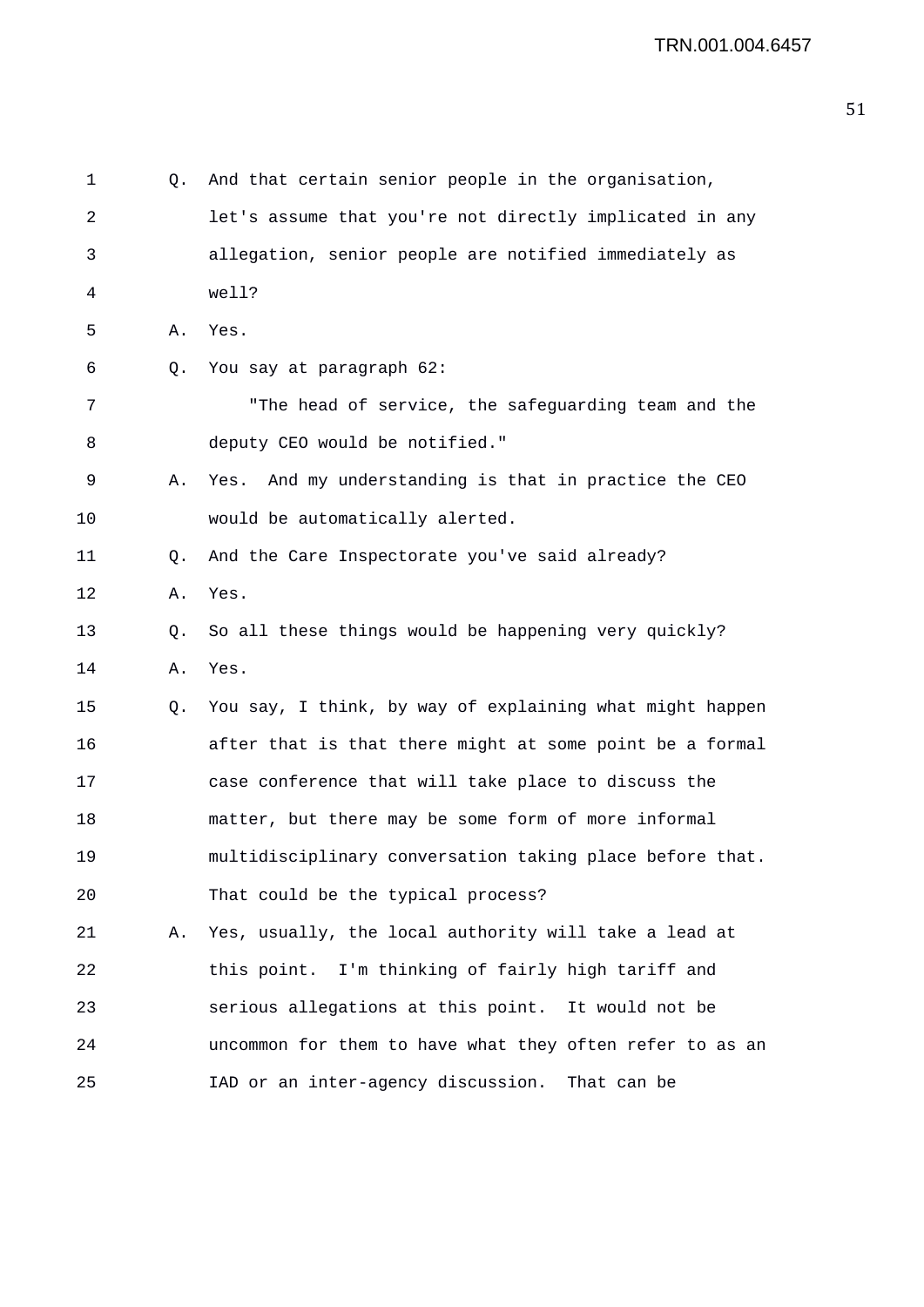| 1  | Q. | And that certain senior people in the organisation,      |
|----|----|----------------------------------------------------------|
| 2  |    | let's assume that you're not directly implicated in any  |
| 3  |    | allegation, senior people are notified immediately as    |
| 4  |    | well?                                                    |
| 5  | Α. | Yes.                                                     |
| 6  | Q. | You say at paragraph 62:                                 |
| 7  |    | "The head of service, the safeguarding team and the      |
| 8  |    | deputy CEO would be notified."                           |
| 9  | Α. | Yes. And my understanding is that in practice the CEO    |
| 10 |    | would be automatically alerted.                          |
| 11 | Q. | And the Care Inspectorate you've said already?           |
| 12 | Α. | Yes.                                                     |
| 13 | Q. | So all these things would be happening very quickly?     |
| 14 | Α. | Yes.                                                     |
| 15 | Q. | You say, I think, by way of explaining what might happen |
| 16 |    | after that is that there might at some point be a formal |
| 17 |    | case conference that will take place to discuss the      |
| 18 |    | matter, but there may be some form of more informal      |
| 19 |    | multidisciplinary conversation taking place before that. |
| 20 |    | That could be the typical process?                       |
| 21 | Α. | Yes, usually, the local authority will take a lead at    |
| 22 |    | this point. I'm thinking of fairly high tariff and       |
| 23 |    | serious allegations at this point. It would not be       |
| 24 |    | uncommon for them to have what they often refer to as an |
| 25 |    | IAD or an inter-agency discussion.<br>That can be        |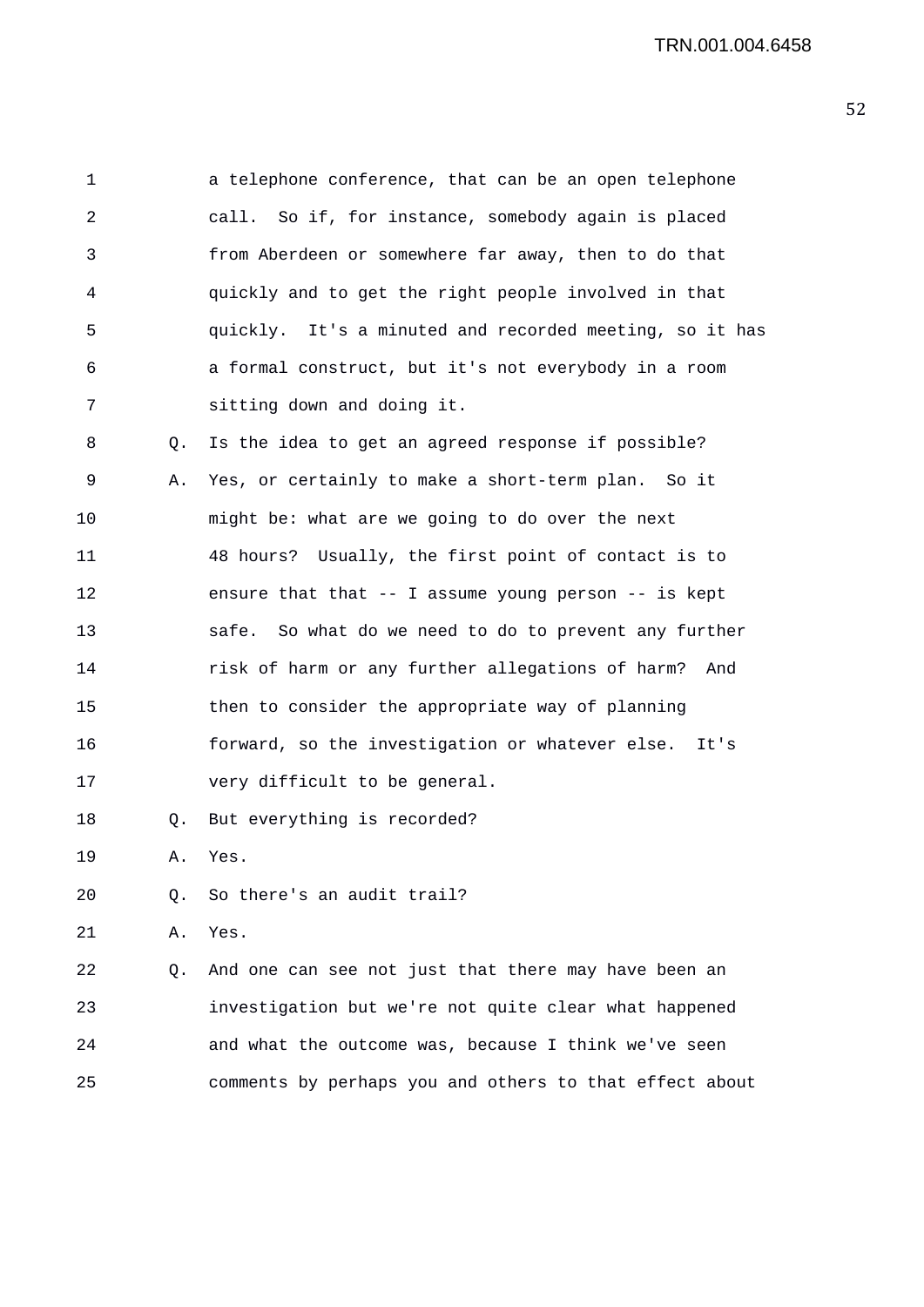| 1  |    | a telephone conference, that can be an open telephone      |
|----|----|------------------------------------------------------------|
| 2  |    | call. So if, for instance, somebody again is placed        |
| 3  |    | from Aberdeen or somewhere far away, then to do that       |
| 4  |    | quickly and to get the right people involved in that       |
| 5  |    | quickly. It's a minuted and recorded meeting, so it has    |
| 6  |    | a formal construct, but it's not everybody in a room       |
| 7  |    | sitting down and doing it.                                 |
| 8  | Q. | Is the idea to get an agreed response if possible?         |
| 9  | Α. | Yes, or certainly to make a short-term plan. So it         |
| 10 |    | might be: what are we going to do over the next            |
| 11 |    | 48 hours? Usually, the first point of contact is to        |
| 12 |    | ensure that that $-$ - I assume young person $-$ - is kept |
| 13 |    | safe.<br>So what do we need to do to prevent any further   |
| 14 |    | risk of harm or any further allegations of harm?<br>And    |
| 15 |    | then to consider the appropriate way of planning           |
| 16 |    | forward, so the investigation or whatever else. It's       |
| 17 |    | very difficult to be general.                              |
| 18 | Q. | But everything is recorded?                                |
| 19 | Α. | Yes.                                                       |
| 20 | О. | So there's an audit trail?                                 |
| 21 | Α. | Yes.                                                       |
| 22 | Q. | And one can see not just that there may have been an       |
| 23 |    | investigation but we're not quite clear what happened      |
| 24 |    | and what the outcome was, because I think we've seen       |
| 25 |    | comments by perhaps you and others to that effect about    |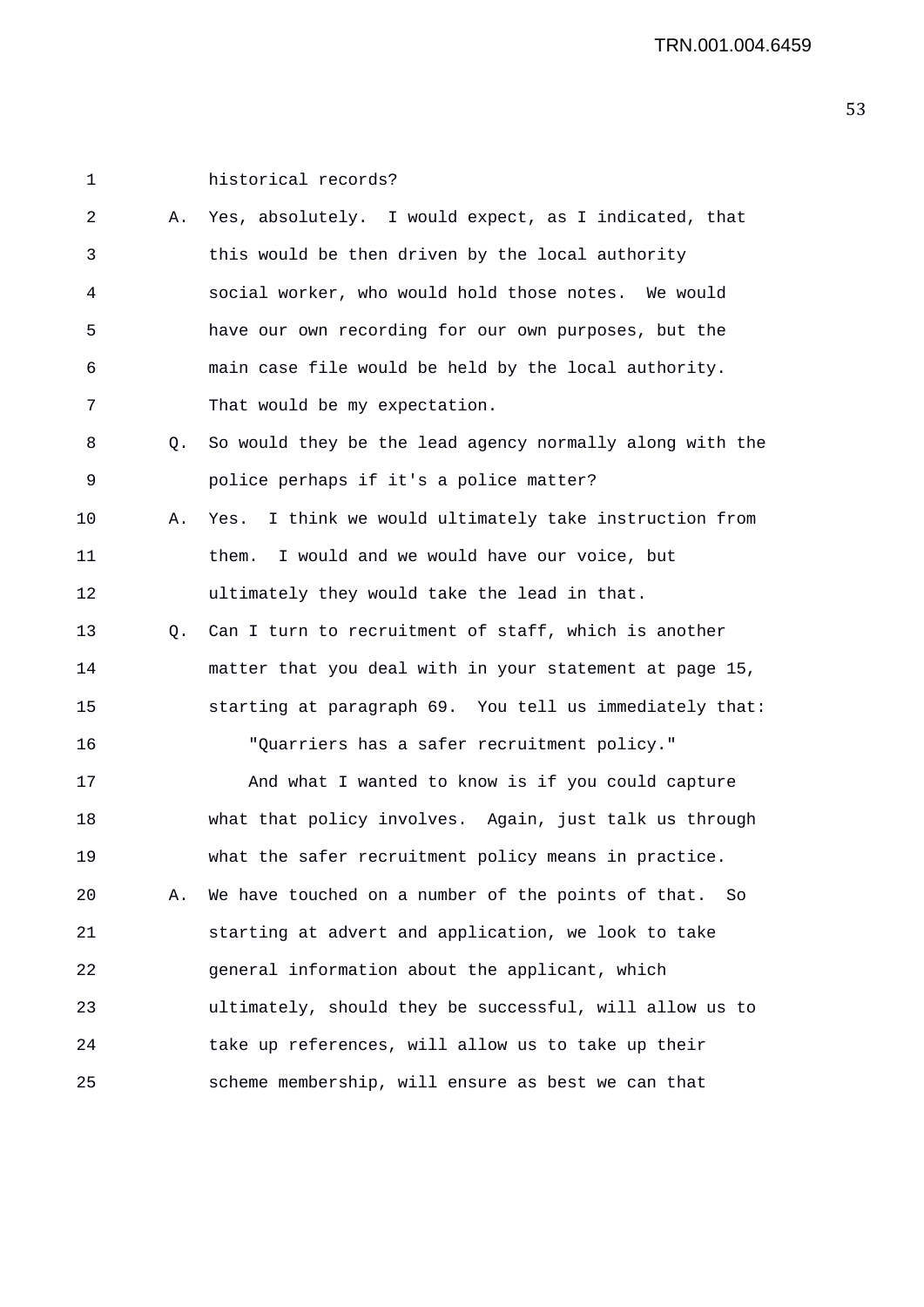| 1  |    | historical records?                                        |
|----|----|------------------------------------------------------------|
| 2  | Α. | Yes, absolutely. I would expect, as I indicated, that      |
| 3  |    | this would be then driven by the local authority           |
| 4  |    | social worker, who would hold those notes. We would        |
| 5  |    | have our own recording for our own purposes, but the       |
| 6  |    | main case file would be held by the local authority.       |
| 7  |    | That would be my expectation.                              |
| 8  | Q. | So would they be the lead agency normally along with the   |
| 9  |    | police perhaps if it's a police matter?                    |
| 10 | Α. | I think we would ultimately take instruction from<br>Yes.  |
| 11 |    | I would and we would have our voice, but<br>them.          |
| 12 |    | ultimately they would take the lead in that.               |
| 13 | Q. | Can I turn to recruitment of staff, which is another       |
| 14 |    | matter that you deal with in your statement at page 15,    |
| 15 |    | starting at paragraph 69. You tell us immediately that:    |
| 16 |    | "Quarriers has a safer recruitment policy."                |
| 17 |    | And what I wanted to know is if you could capture          |
| 18 |    | what that policy involves. Again, just talk us through     |
| 19 |    | what the safer recruitment policy means in practice.       |
| 20 | Α. | We have touched on a number of the points of that.<br>- So |
| 21 |    | starting at advert and application, we look to take        |
| 22 |    | general information about the applicant, which             |
| 23 |    | ultimately, should they be successful, will allow us to    |
| 24 |    | take up references, will allow us to take up their         |
| 25 |    | scheme membership, will ensure as best we can that         |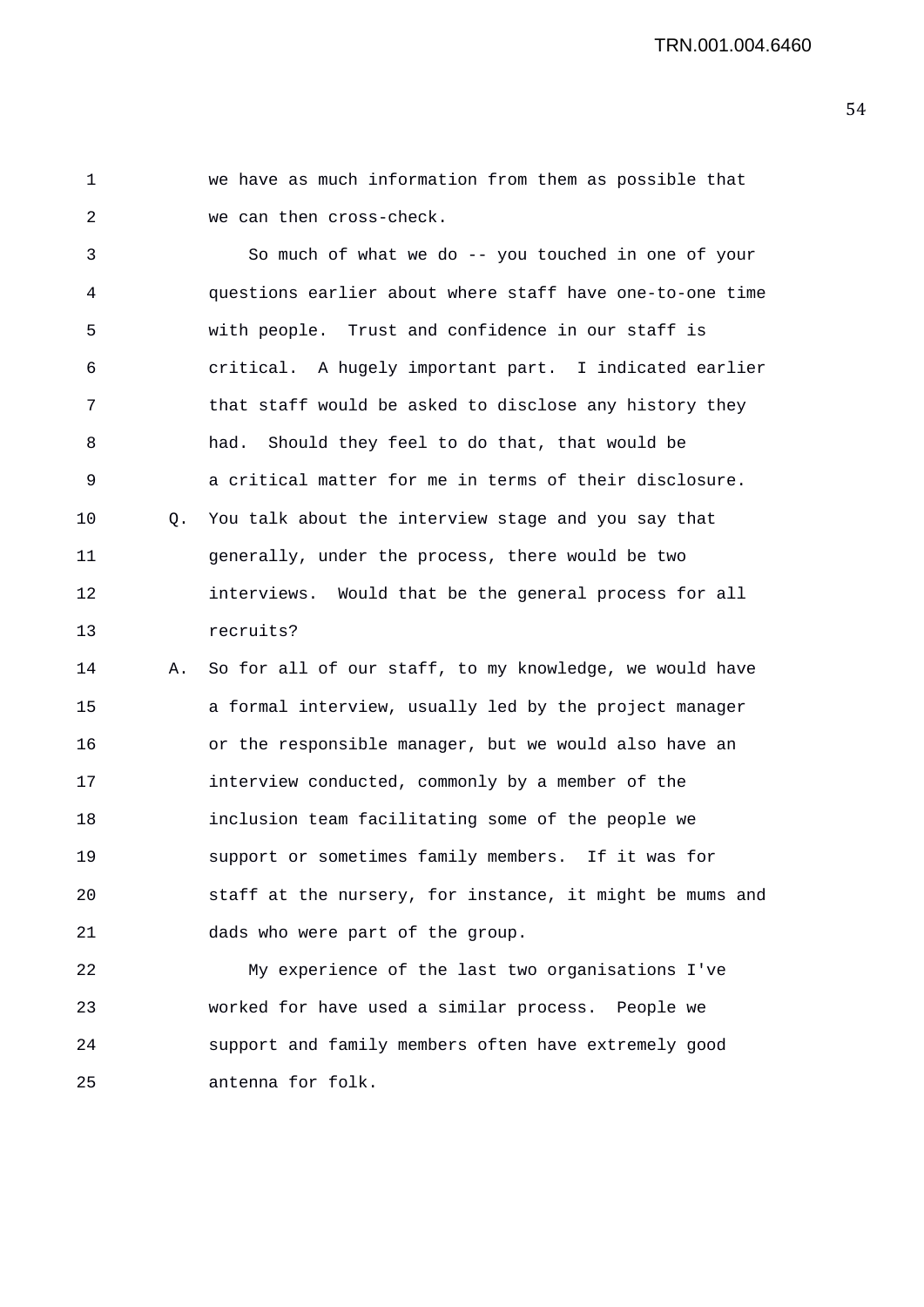1 we have as much information from them as possible that 2 we can then cross-check.

3 So much of what we do -- you touched in one of your 4 questions earlier about where staff have one-to-one time 5 with people. Trust and confidence in our staff is 6 critical. A hugely important part. I indicated earlier 7 that staff would be asked to disclose any history they 8 had. Should they feel to do that, that would be 9 a critical matter for me in terms of their disclosure. 10 Q. You talk about the interview stage and you say that 11 generally, under the process, there would be two 12 interviews. Would that be the general process for all 13 recruits?

14 A. So for all of our staff, to my knowledge, we would have 15 a formal interview, usually led by the project manager 16 or the responsible manager, but we would also have an 17 interview conducted, commonly by a member of the 18 inclusion team facilitating some of the people we 19 support or sometimes family members. If it was for 20 staff at the nursery, for instance, it might be mums and 21 dads who were part of the group.

22 My experience of the last two organisations I've 23 worked for have used a similar process. People we 24 support and family members often have extremely good 25 antenna for folk.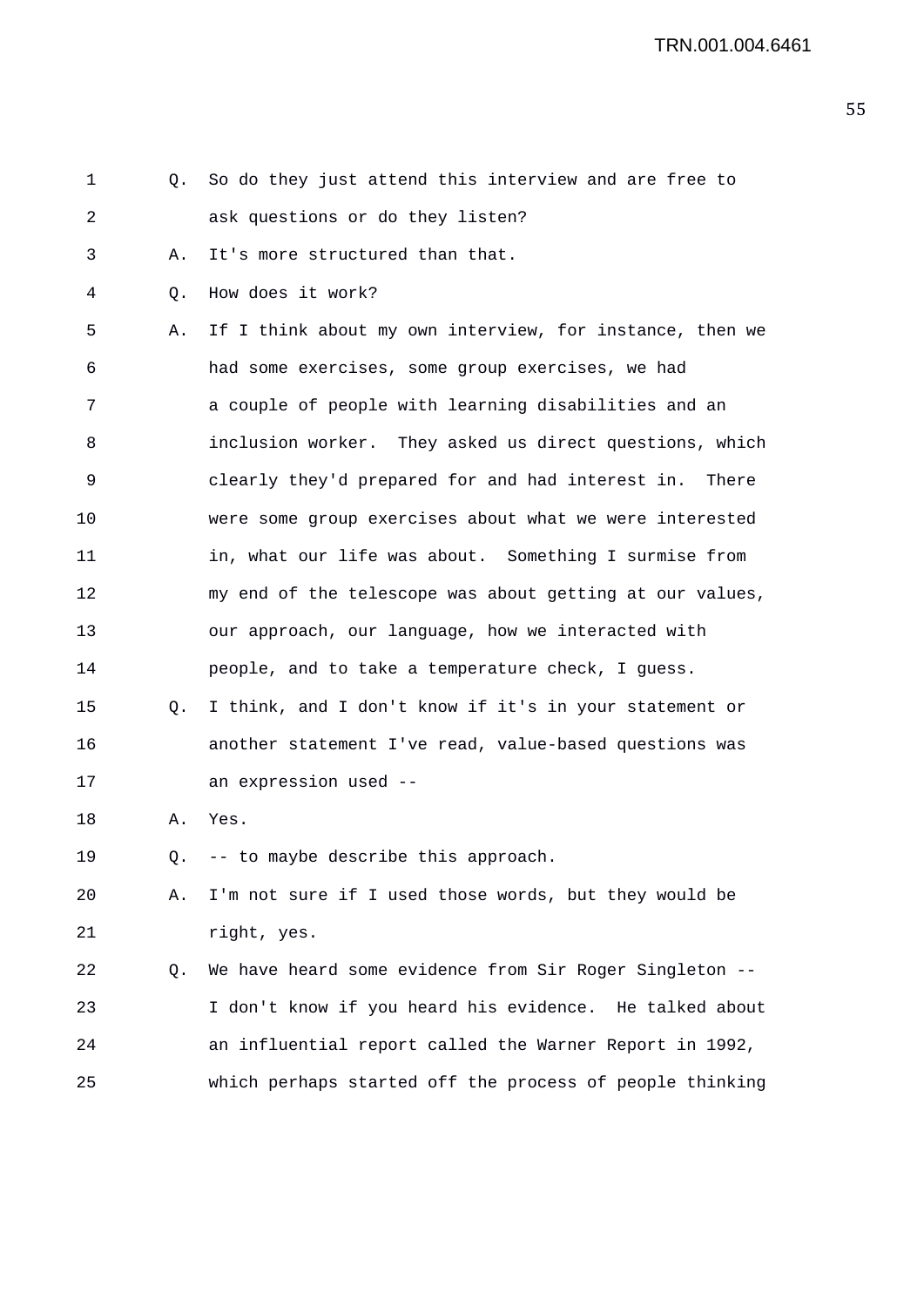| 1  | Q. | So do they just attend this interview and are free to     |
|----|----|-----------------------------------------------------------|
| 2  |    | ask questions or do they listen?                          |
| 3  | Α. | It's more structured than that.                           |
| 4  | Q. | How does it work?                                         |
| 5  | Α. | If I think about my own interview, for instance, then we  |
| 6  |    | had some exercises, some group exercises, we had          |
| 7  |    | a couple of people with learning disabilities and an      |
| 8  |    | inclusion worker. They asked us direct questions, which   |
| 9  |    | clearly they'd prepared for and had interest in.<br>There |
| 10 |    | were some group exercises about what we were interested   |
| 11 |    | in, what our life was about. Something I surmise from     |
| 12 |    | my end of the telescope was about getting at our values,  |
| 13 |    | our approach, our language, how we interacted with        |
| 14 |    | people, and to take a temperature check, I guess.         |
| 15 | Q. | I think, and I don't know if it's in your statement or    |
| 16 |    | another statement I've read, value-based questions was    |
| 17 |    | an expression used --                                     |
| 18 | Α. | Yes.                                                      |
| 19 | Q. | -- to maybe describe this approach.                       |
| 20 | Α. | I'm not sure if I used those words, but they would be     |
| 21 |    | right, yes.                                               |
| 22 | Q. | We have heard some evidence from Sir Roger Singleton --   |
| 23 |    | I don't know if you heard his evidence. He talked about   |
| 24 |    | an influential report called the Warner Report in 1992,   |
| 25 |    | which perhaps started off the process of people thinking  |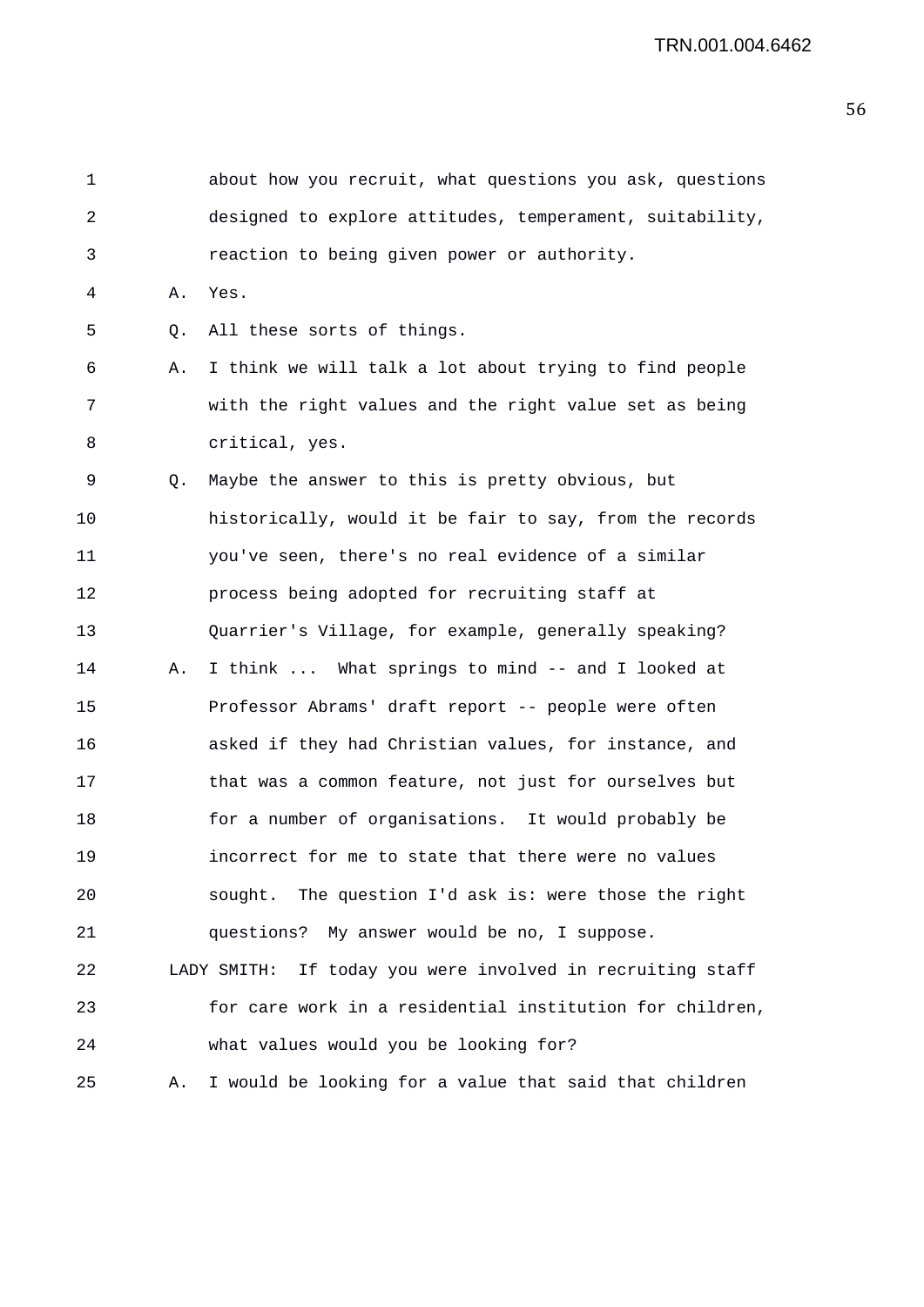| 1  |    | about how you recruit, what questions you ask, questions      |
|----|----|---------------------------------------------------------------|
| 2  |    | designed to explore attitudes, temperament, suitability,      |
| 3  |    | reaction to being given power or authority.                   |
| 4  | Α. | Yes.                                                          |
| 5  | Q. | All these sorts of things.                                    |
| 6  | Α. | I think we will talk a lot about trying to find people        |
| 7  |    | with the right values and the right value set as being        |
| 8  |    | critical, yes.                                                |
| 9  | Q. | Maybe the answer to this is pretty obvious, but               |
| 10 |    | historically, would it be fair to say, from the records       |
| 11 |    | you've seen, there's no real evidence of a similar            |
| 12 |    | process being adopted for recruiting staff at                 |
| 13 |    | Quarrier's Village, for example, generally speaking?          |
| 14 | Α. | I think  What springs to mind -- and I looked at              |
| 15 |    | Professor Abrams' draft report -- people were often           |
| 16 |    | asked if they had Christian values, for instance, and         |
| 17 |    | that was a common feature, not just for ourselves but         |
| 18 |    | for a number of organisations. It would probably be           |
| 19 |    | incorrect for me to state that there were no values           |
| 20 |    | sought. The question I'd ask is: were those the right         |
| 21 |    | questions? My answer would be no, I suppose.                  |
| 22 |    | If today you were involved in recruiting staff<br>LADY SMITH: |
| 23 |    | for care work in a residential institution for children,      |
| 24 |    | what values would you be looking for?                         |
| 25 | Α. | I would be looking for a value that said that children        |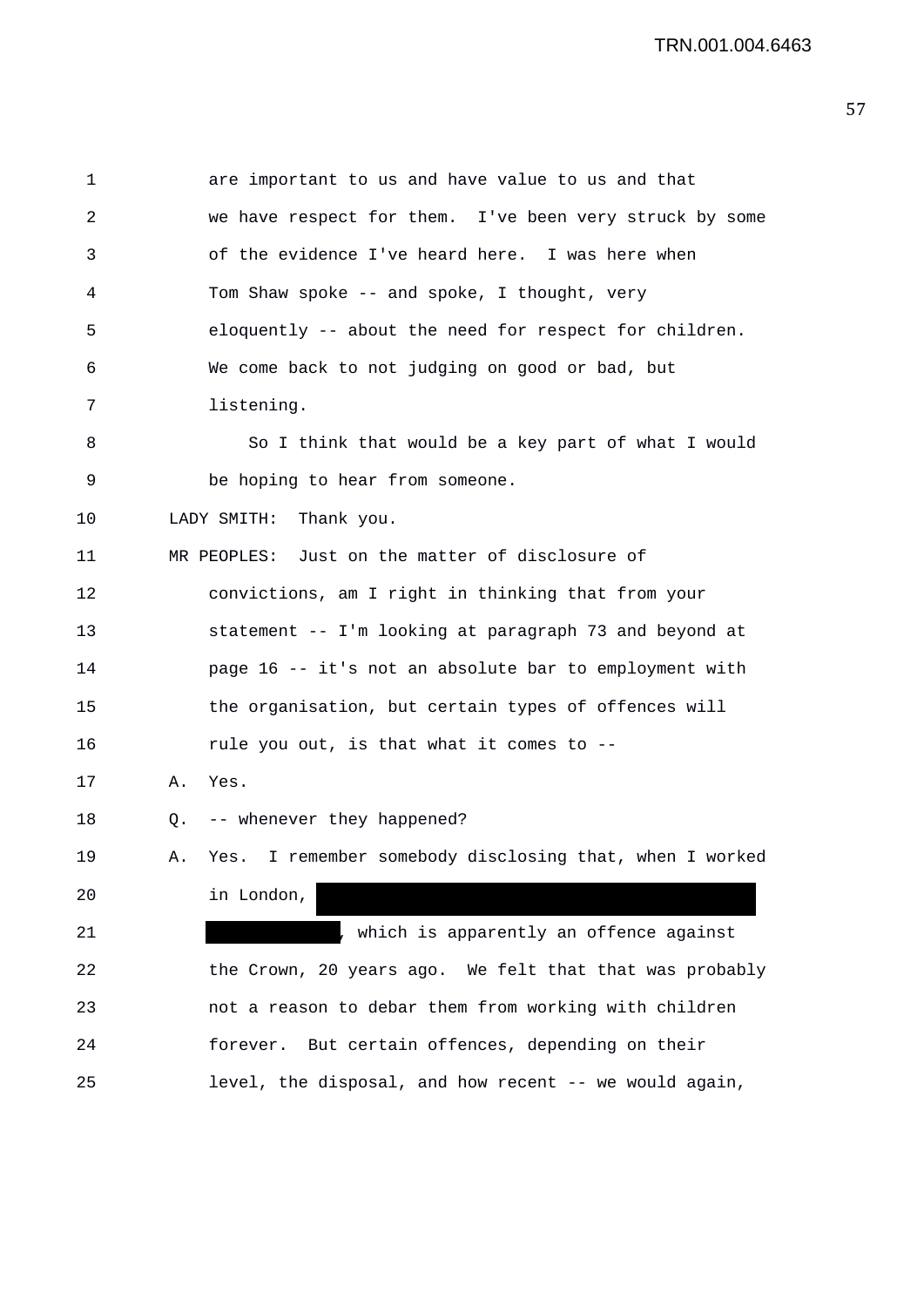| $\mathbf 1$ |    | are important to us and have value to us and that          |
|-------------|----|------------------------------------------------------------|
| 2           |    | we have respect for them. I've been very struck by some    |
| 3           |    | of the evidence I've heard here. I was here when           |
| 4           |    | Tom Shaw spoke -- and spoke, I thought, very               |
| 5           |    | eloquently -- about the need for respect for children.     |
| 6           |    | We come back to not judging on good or bad, but            |
| 7           |    | listening.                                                 |
| 8           |    | So I think that would be a key part of what I would        |
| 9           |    | be hoping to hear from someone.                            |
| 10          |    | LADY SMITH: Thank you.                                     |
| 11          |    | MR PEOPLES: Just on the matter of disclosure of            |
| 12          |    | convictions, am I right in thinking that from your         |
| 13          |    | statement -- I'm looking at paragraph 73 and beyond at     |
| 14          |    | page 16 -- it's not an absolute bar to employment with     |
| 15          |    | the organisation, but certain types of offences will       |
| 16          |    | rule you out, is that what it comes to --                  |
| 17          | Α. | Yes.                                                       |
| 18          | Q. | -- whenever they happened?                                 |
| 19          | Α. | I remember somebody disclosing that, when I worked<br>Yes. |
| 20          |    | in London,                                                 |
| 21          |    | which is apparently an offence against                     |
| 22          |    | the Crown, 20 years ago. We felt that that was probably    |
| 23          |    | not a reason to debar them from working with children      |
| 24          |    | forever. But certain offences, depending on their          |
| 25          |    | level, the disposal, and how recent -- we would again,     |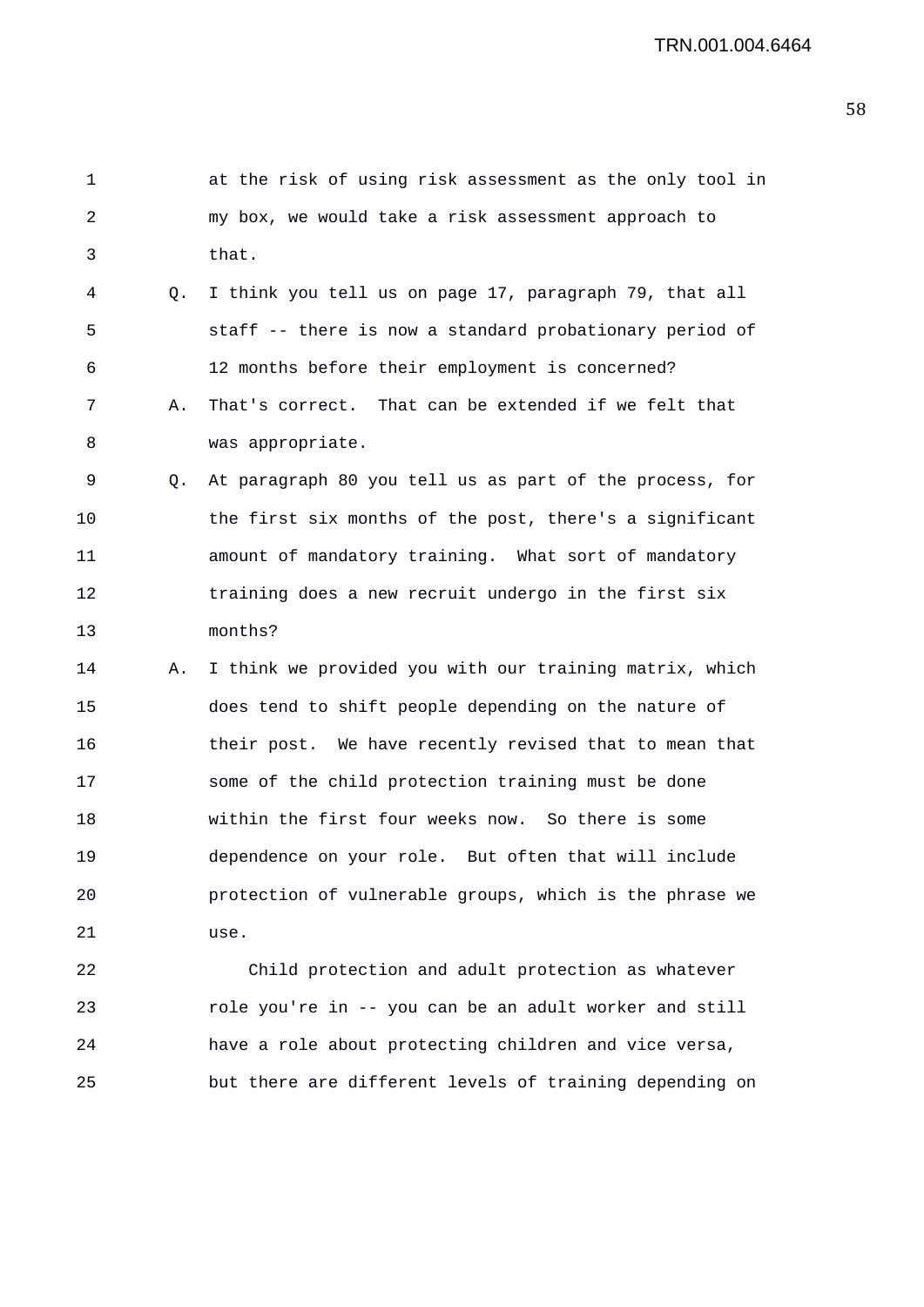| 1  |    | at the risk of using risk assessment as the only tool in |
|----|----|----------------------------------------------------------|
| 2  |    | my box, we would take a risk assessment approach to      |
| 3  |    | that.                                                    |
| 4  | Q. | I think you tell us on page 17, paragraph 79, that all   |
| 5  |    | staff -- there is now a standard probationary period of  |
| 6  |    | 12 months before their employment is concerned?          |
| 7  | Α. | That's correct. That can be extended if we felt that     |
| 8  |    | was appropriate.                                         |
| 9  | Q. | At paragraph 80 you tell us as part of the process, for  |
| 10 |    | the first six months of the post, there's a significant  |
| 11 |    | amount of mandatory training. What sort of mandatory     |
| 12 |    | training does a new recruit undergo in the first six     |
| 13 |    | months?                                                  |
| 14 | Α. | I think we provided you with our training matrix, which  |
| 15 |    | does tend to shift people depending on the nature of     |
| 16 |    | their post. We have recently revised that to mean that   |
| 17 |    | some of the child protection training must be done       |
| 18 |    | within the first four weeks now. So there is some        |
| 19 |    | dependence on your role. But often that will include     |
| 20 |    | protection of vulnerable groups, which is the phrase we  |
| 21 |    | use.                                                     |
| 22 |    | Child protection and adult protection as whatever        |
| 23 |    | role you're in -- you can be an adult worker and still   |
| 24 |    | have a role about protecting children and vice versa,    |

25 but there are different levels of training depending on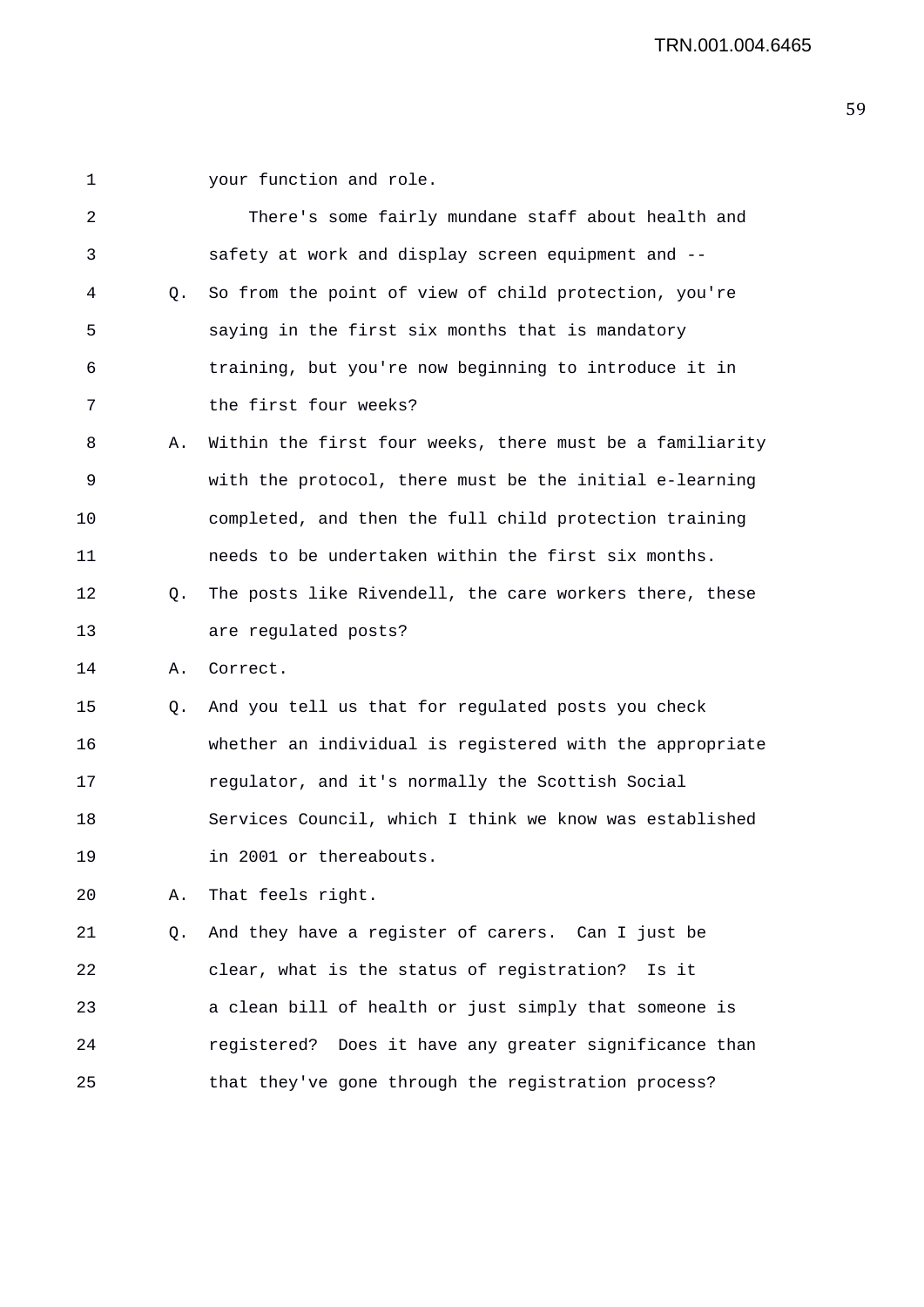| 1  |    | your function and role.                                  |
|----|----|----------------------------------------------------------|
| 2  |    | There's some fairly mundane staff about health and       |
| 3  |    | safety at work and display screen equipment and --       |
| 4  | Q. | So from the point of view of child protection, you're    |
| 5  |    | saying in the first six months that is mandatory         |
| 6  |    | training, but you're now beginning to introduce it in    |
| 7  |    | the first four weeks?                                    |
| 8  | Α. | Within the first four weeks, there must be a familiarity |
| 9  |    | with the protocol, there must be the initial e-learning  |
| 10 |    | completed, and then the full child protection training   |
| 11 |    | needs to be undertaken within the first six months.      |
| 12 | Q. | The posts like Rivendell, the care workers there, these  |
| 13 |    | are regulated posts?                                     |
| 14 | Α. | Correct.                                                 |
| 15 | Q. | And you tell us that for regulated posts you check       |
| 16 |    | whether an individual is registered with the appropriate |
| 17 |    | regulator, and it's normally the Scottish Social         |
| 18 |    | Services Council, which I think we know was established  |
| 19 |    | in 2001 or thereabouts.                                  |
| 20 | Α. | That feels right.                                        |
| 21 | Q. | And they have a register of carers. Can I just be        |
| 22 |    | clear, what is the status of registration? Is it         |
| 23 |    | a clean bill of health or just simply that someone is    |
| 24 |    | registered? Does it have any greater significance than   |
| 25 |    | that they've gone through the registration process?      |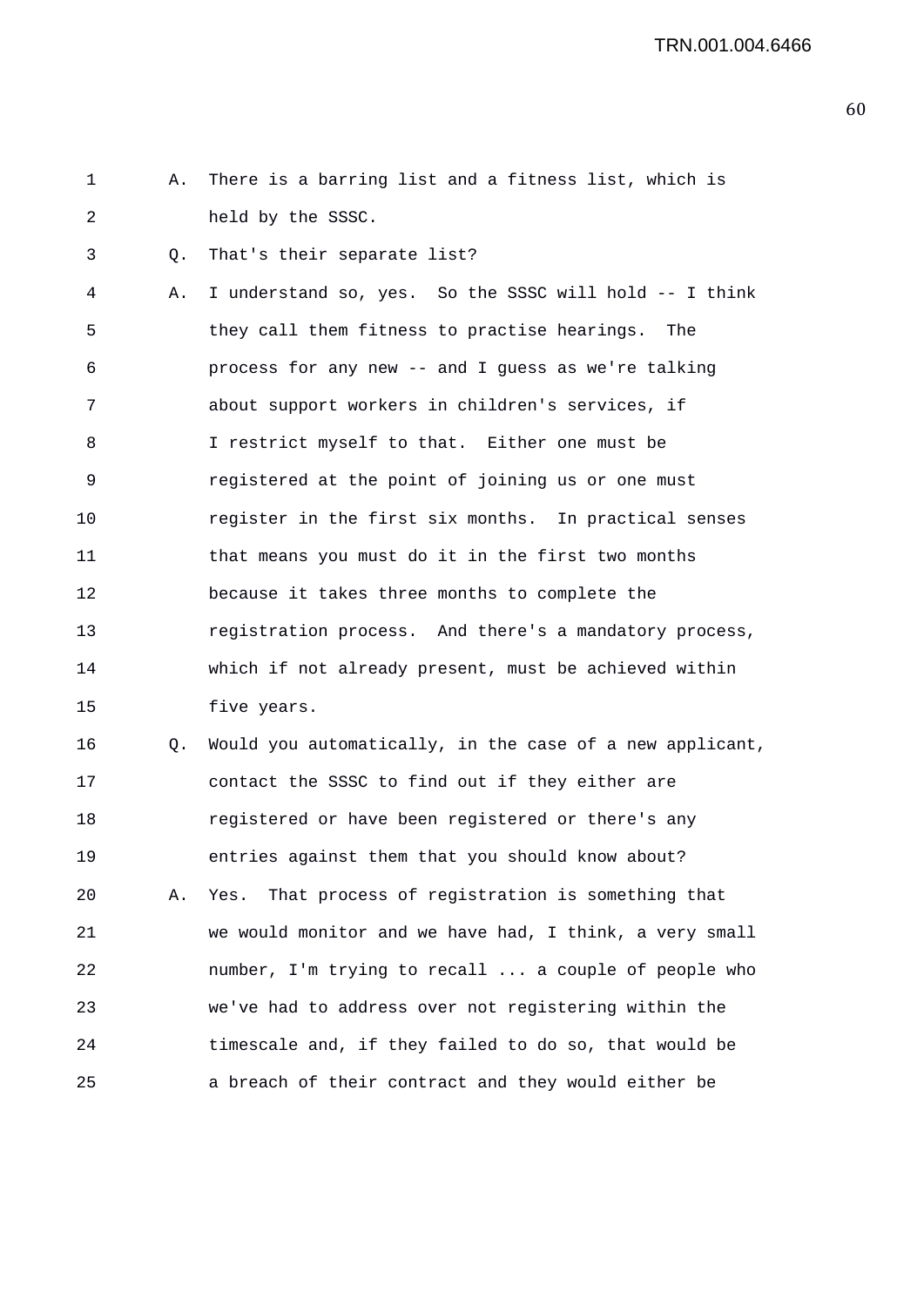1 A. There is a barring list and a fitness list, which is 2 held by the SSSC.

3 Q. That's their separate list?

4 A. I understand so, yes. So the SSSC will hold -- I think 5 they call them fitness to practise hearings. The 6 process for any new -- and I guess as we're talking 7 about support workers in children's services, if 8 I restrict myself to that. Either one must be 9 registered at the point of joining us or one must 10 register in the first six months. In practical senses 11 that means you must do it in the first two months 12 because it takes three months to complete the 13 registration process. And there's a mandatory process, 14 which if not already present, must be achieved within 15 five years.

16 Q. Would you automatically, in the case of a new applicant, 17 contact the SSSC to find out if they either are 18 registered or have been registered or there's any 19 entries against them that you should know about? 20 A. Yes. That process of registration is something that 21 we would monitor and we have had, I think, a very small 22 number, I'm trying to recall ... a couple of people who 23 we've had to address over not registering within the 24 timescale and, if they failed to do so, that would be 25 a breach of their contract and they would either be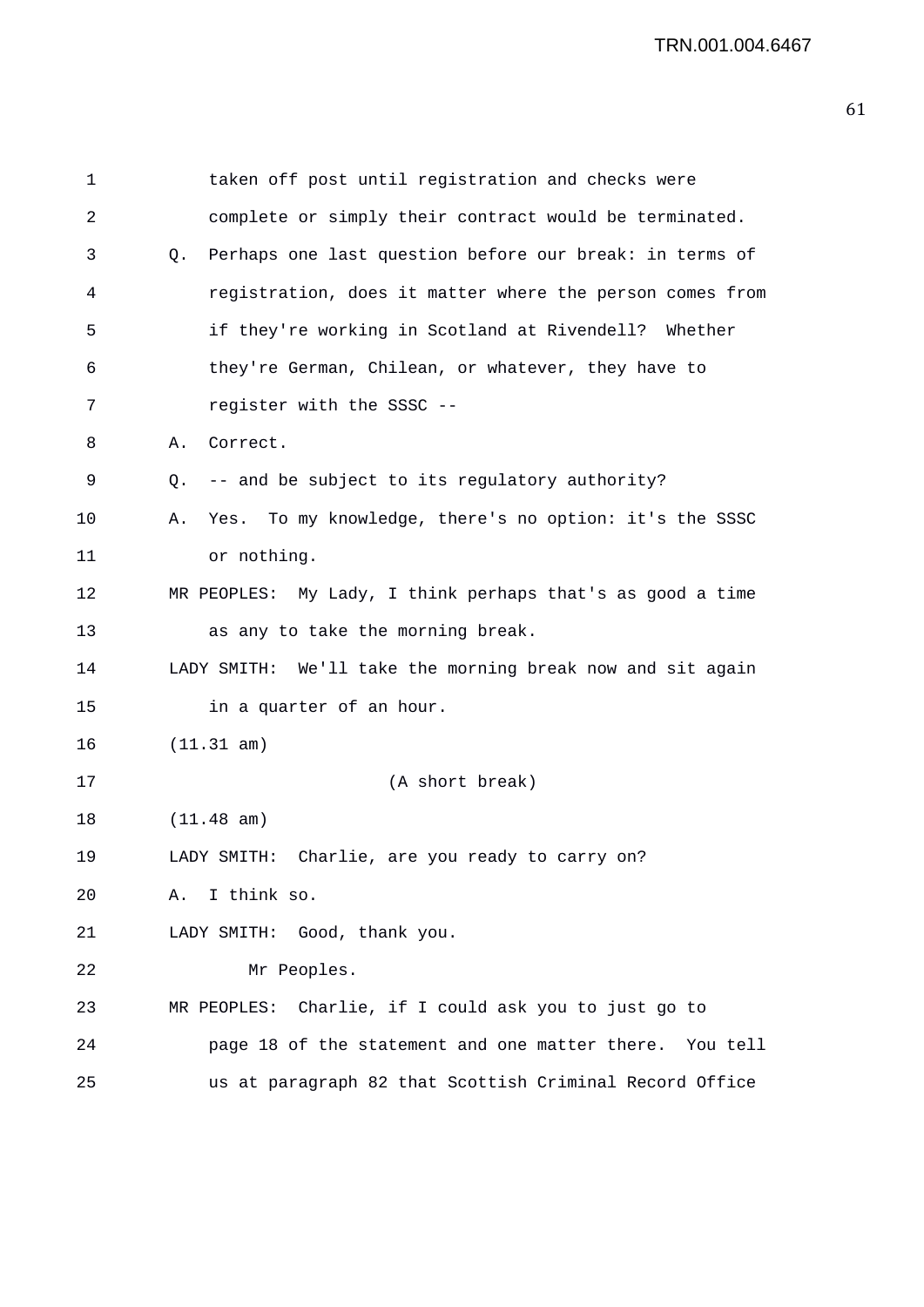```
1 taken off post until registration and checks were 
2 complete or simply their contract would be terminated. 
3 Q. Perhaps one last question before our break: in terms of 
4 registration, does it matter where the person comes from 
5 if they're working in Scotland at Rivendell? Whether 
6 they're German, Chilean, or whatever, they have to 
7 register with the SSSC -- 
8 A. Correct. 
9 Q. -- and be subject to its regulatory authority? 
10 A. Yes. To my knowledge, there's no option: it's the SSSC 
11 or nothing. 
12 MR PEOPLES: My Lady, I think perhaps that's as good a time 
13 as any to take the morning break. 
14 LADY SMITH: We'll take the morning break now and sit again 
15 in a quarter of an hour. 
16 (11.31 am) 
17 (A short break) 
18 (11.48 am) 
19 LADY SMITH: Charlie, are you ready to carry on? 
20 A. I think so. 
21 LADY SMITH: Good, thank you. 
22 Mr Peoples. 
23 MR PEOPLES: Charlie, if I could ask you to just go to 
24 page 18 of the statement and one matter there. You tell 
25 us at paragraph 82 that Scottish Criminal Record Office
```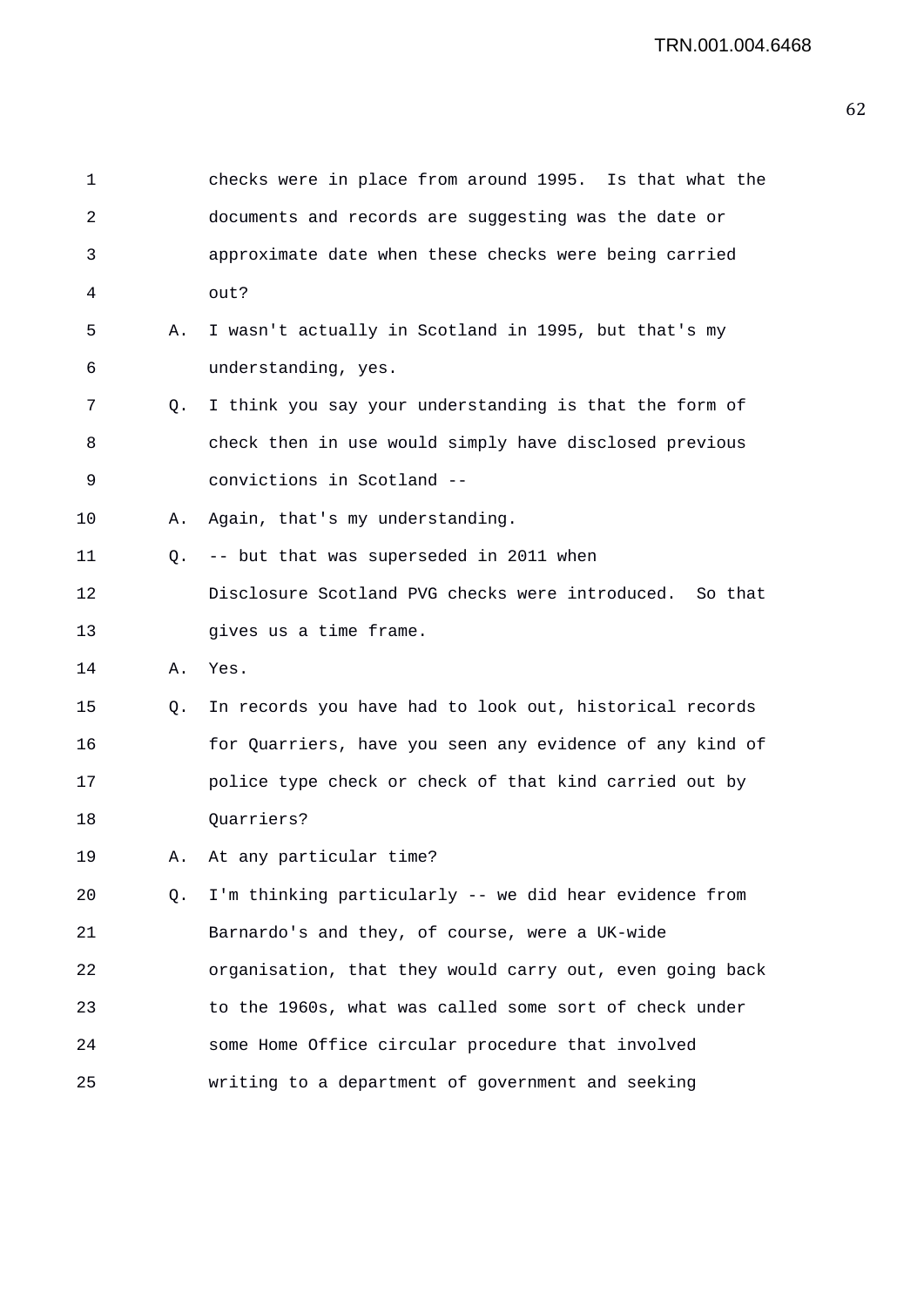| $\mathbf 1$ |    | checks were in place from around 1995. Is that what the  |
|-------------|----|----------------------------------------------------------|
| 2           |    | documents and records are suggesting was the date or     |
| 3           |    | approximate date when these checks were being carried    |
| 4           |    | out?                                                     |
| 5           | Α. | I wasn't actually in Scotland in 1995, but that's my     |
| 6           |    | understanding, yes.                                      |
| 7           | Q. | I think you say your understanding is that the form of   |
| 8           |    | check then in use would simply have disclosed previous   |
| 9           |    | convictions in Scotland --                               |
| 10          | Α. | Again, that's my understanding.                          |
| 11          | Q. | -- but that was superseded in 2011 when                  |
| 12          |    | Disclosure Scotland PVG checks were introduced. So that  |
| 13          |    | gives us a time frame.                                   |
| 14          | Α. | Yes.                                                     |
| 15          | Q. | In records you have had to look out, historical records  |
| 16          |    | for Quarriers, have you seen any evidence of any kind of |
| 17          |    | police type check or check of that kind carried out by   |
| 18          |    | Quarriers?                                               |
| 19          |    | A. At any particular time?                               |
| 20          | Q. | I'm thinking particularly -- we did hear evidence from   |
| 21          |    | Barnardo's and they, of course, were a UK-wide           |
| 22          |    | organisation, that they would carry out, even going back |
| 23          |    | to the 1960s, what was called some sort of check under   |
| 24          |    | some Home Office circular procedure that involved        |
| 25          |    | writing to a department of government and seeking        |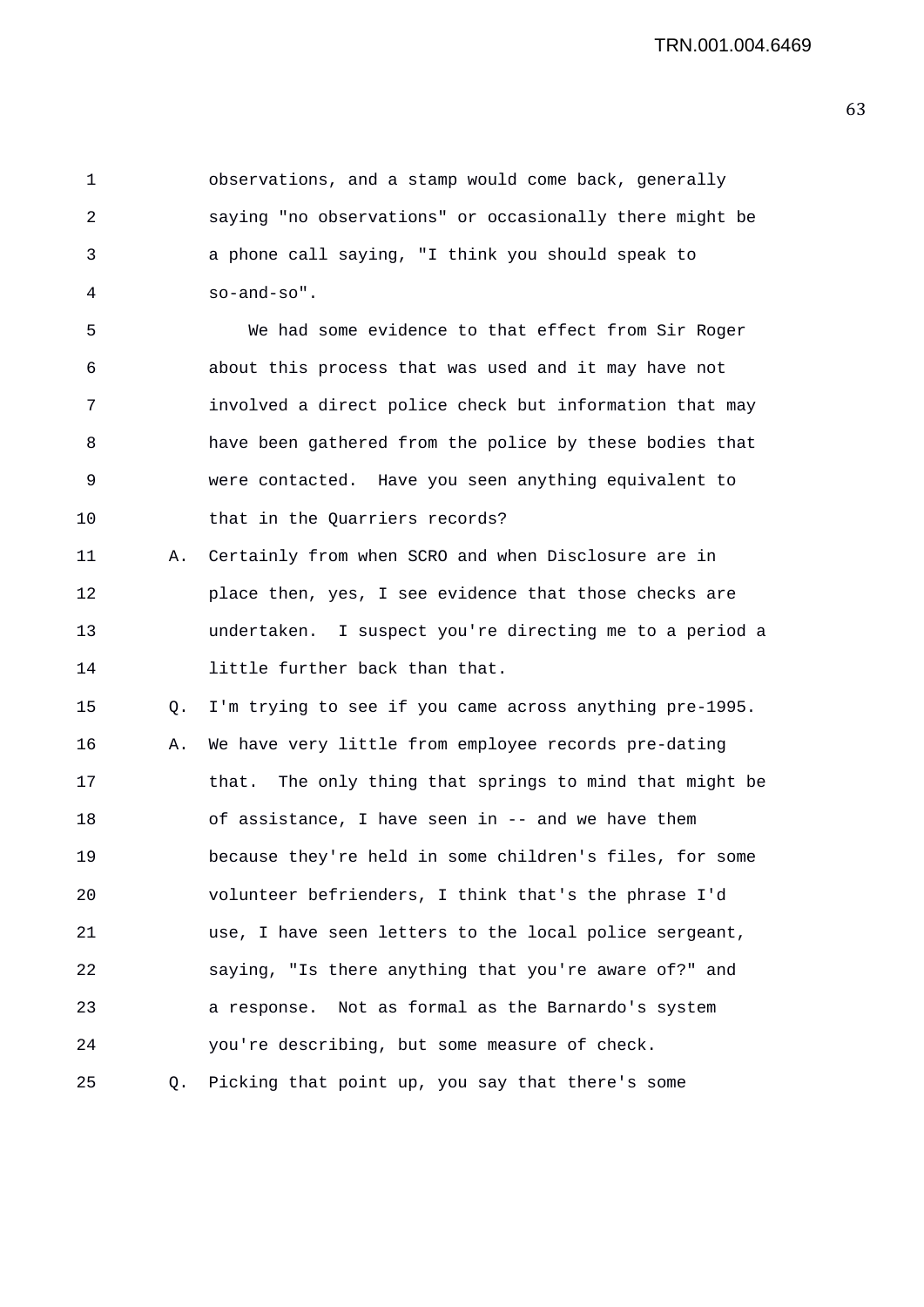1 observations, and a stamp would come back, generally 2 saying "no observations" or occasionally there might be 3 a phone call saying, "I think you should speak to 4 so-and-so".

5 We had some evidence to that effect from Sir Roger 6 about this process that was used and it may have not 7 involved a direct police check but information that may 8 have been gathered from the police by these bodies that 9 were contacted. Have you seen anything equivalent to 10 that in the Quarriers records?

11 A. Certainly from when SCRO and when Disclosure are in 12 place then, yes, I see evidence that those checks are 13 undertaken. I suspect you're directing me to a period a 14 little further back than that.

15 Q. I'm trying to see if you came across anything pre-1995. 16 A. We have very little from employee records pre-dating 17 that. The only thing that springs to mind that might be 18 of assistance, I have seen in -- and we have them 19 because they're held in some children's files, for some 20 volunteer befrienders, I think that's the phrase I'd 21 use, I have seen letters to the local police sergeant, 22 saying, "Is there anything that you're aware of?" and 23 a response. Not as formal as the Barnardo's system 24 you're describing, but some measure of check. 25 Q. Picking that point up, you say that there's some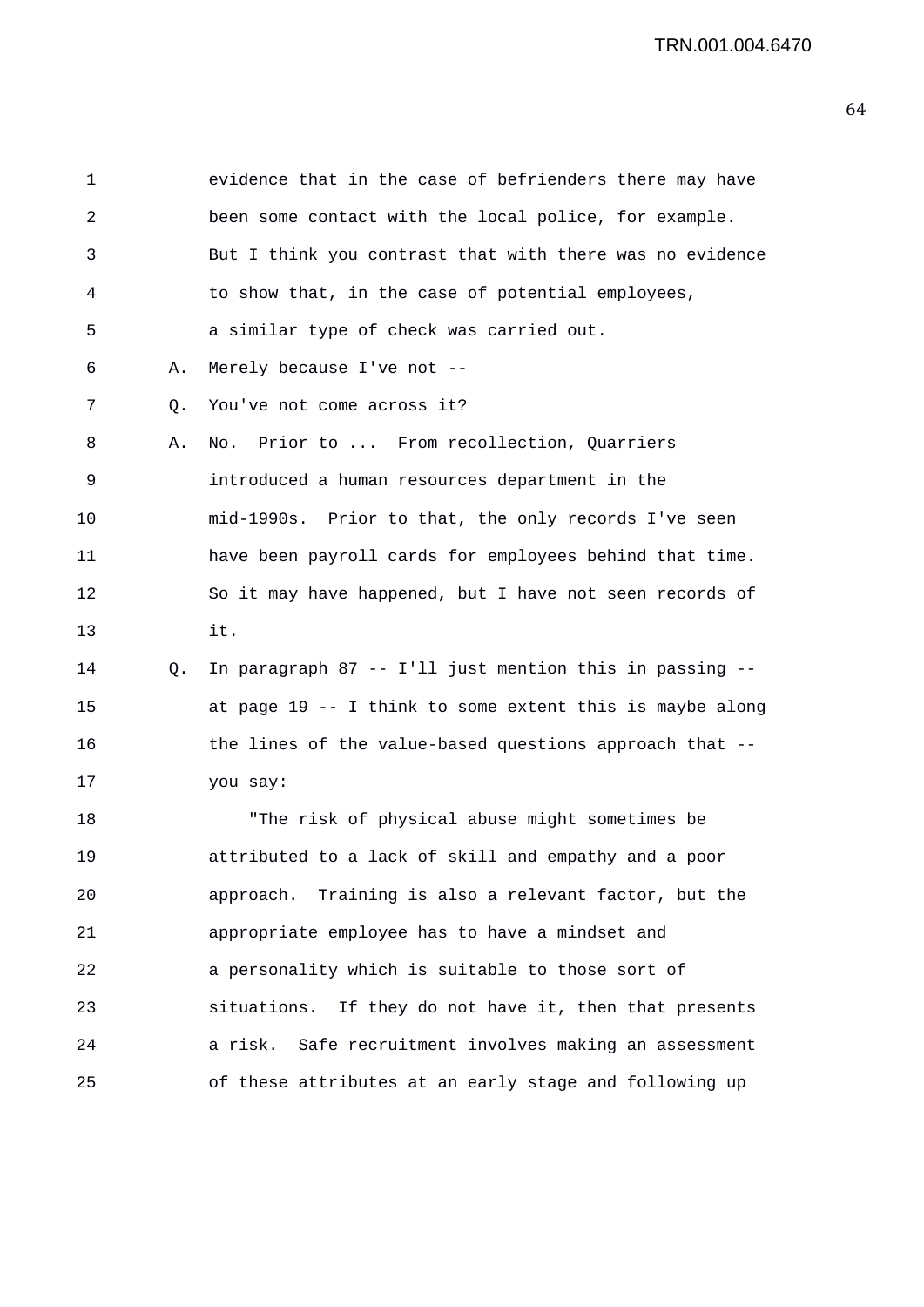1 evidence that in the case of befrienders there may have 2 been some contact with the local police, for example. 3 But I think you contrast that with there was no evidence 4 to show that, in the case of potential employees, 5 a similar type of check was carried out. 6 A. Merely because I've not -- 7 Q. You've not come across it? 8 A. No. Prior to ... From recollection, Quarriers 9 introduced a human resources department in the 10 mid-1990s. Prior to that, the only records I've seen 11 have been payroll cards for employees behind that time. 12 So it may have happened, but I have not seen records of 13 it. 14 Q. In paragraph 87 -- I'll just mention this in passing -- 15 at page 19 -- I think to some extent this is maybe along 16 the lines of the value-based questions approach that -- 17 you say: 18 "The risk of physical abuse might sometimes be 19 attributed to a lack of skill and empathy and a poor 20 approach. Training is also a relevant factor, but the 21 appropriate employee has to have a mindset and 22 a personality which is suitable to those sort of 23 situations. If they do not have it, then that presents 24 a risk. Safe recruitment involves making an assessment 25 of these attributes at an early stage and following up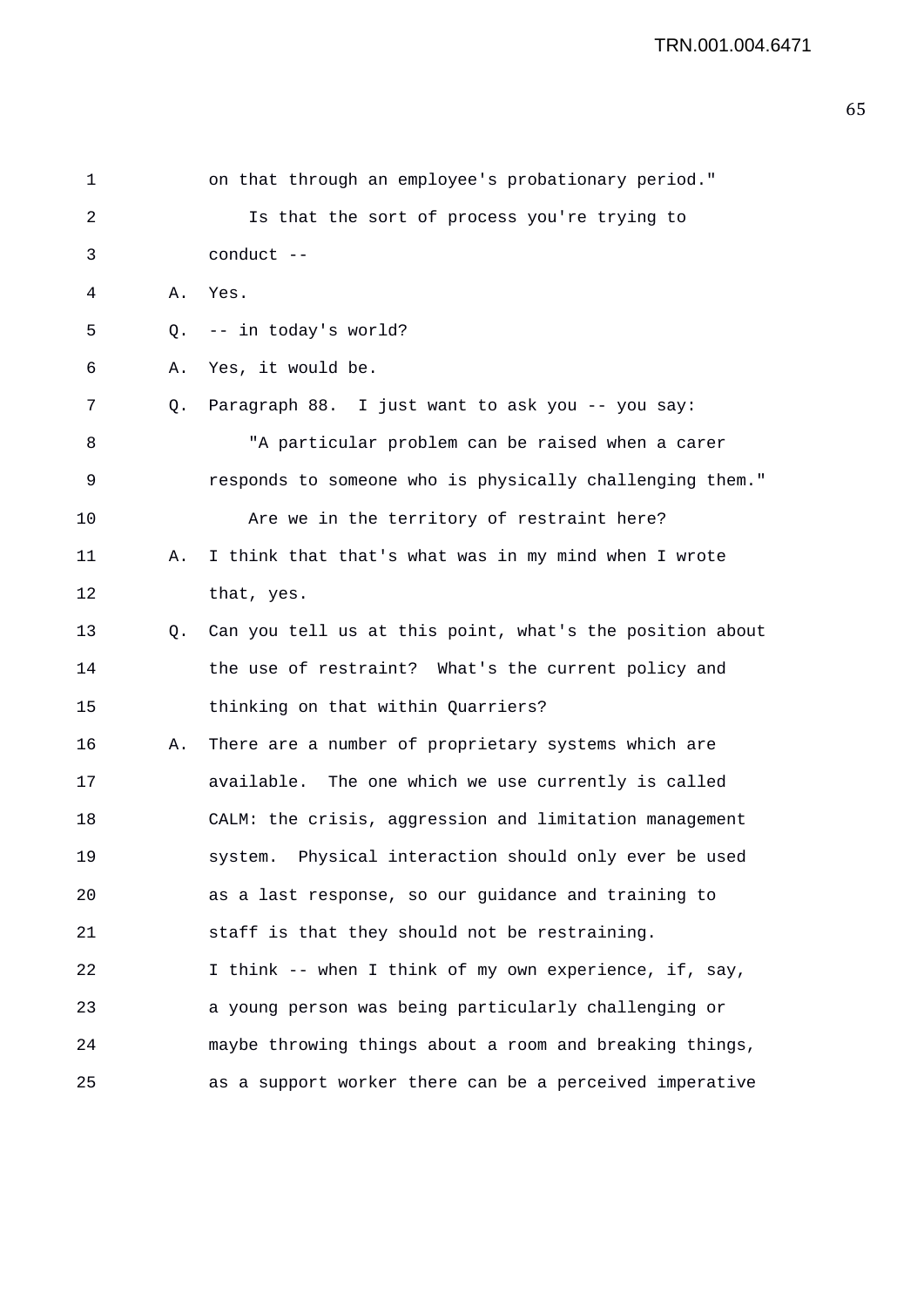| 1  |    | on that through an employee's probationary period."      |
|----|----|----------------------------------------------------------|
| 2  |    | Is that the sort of process you're trying to             |
| 3  |    | conduct --                                               |
| 4  | Α. | Yes.                                                     |
| 5  | Q. | -- in today's world?                                     |
| 6  | Α. | Yes, it would be.                                        |
| 7  | Q. | Paragraph 88. I just want to ask you -- you say:         |
| 8  |    | "A particular problem can be raised when a carer         |
| 9  |    | responds to someone who is physically challenging them." |
| 10 |    | Are we in the territory of restraint here?               |
| 11 | Α. | I think that that's what was in my mind when I wrote     |
| 12 |    | that, yes.                                               |
| 13 | Q. | Can you tell us at this point, what's the position about |
| 14 |    | the use of restraint? What's the current policy and      |
| 15 |    | thinking on that within Quarriers?                       |
| 16 | Α. | There are a number of proprietary systems which are      |
| 17 |    | available. The one which we use currently is called      |
| 18 |    | CALM: the crisis, aggression and limitation management   |
| 19 |    | system. Physical interaction should only ever be used    |
| 20 |    | as a last response, so our guidance and training to      |
| 21 |    | staff is that they should not be restraining.            |
| 22 |    | I think -- when I think of my own experience, if, say,   |
| 23 |    | a young person was being particularly challenging or     |
| 24 |    | maybe throwing things about a room and breaking things,  |
| 25 |    | as a support worker there can be a perceived imperative  |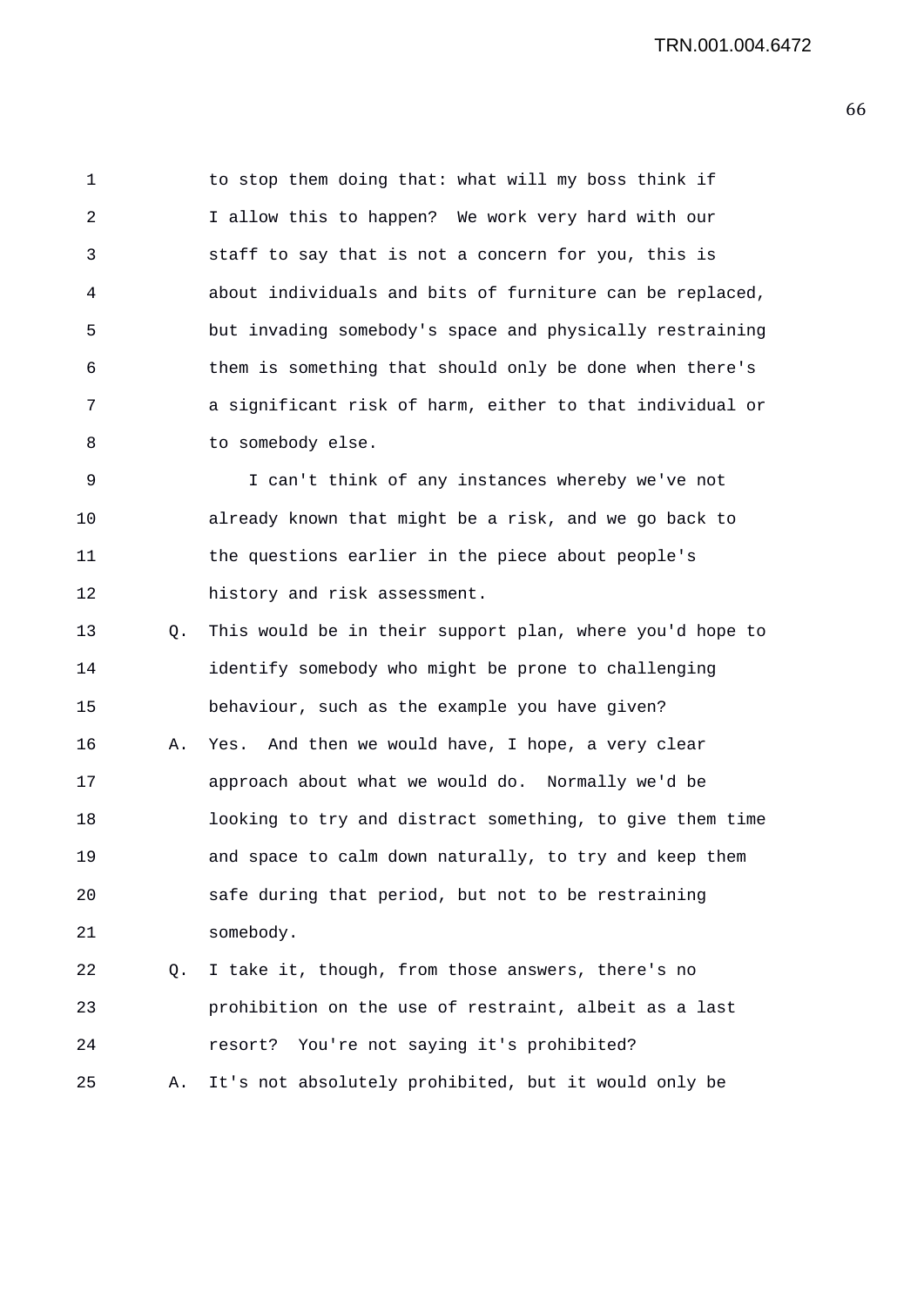1 to stop them doing that: what will my boss think if 2 I allow this to happen? We work very hard with our 3 staff to say that is not a concern for you, this is 4 about individuals and bits of furniture can be replaced, 5 but invading somebody's space and physically restraining 6 them is something that should only be done when there's 7 a significant risk of harm, either to that individual or 8 to somebody else.

9 I can't think of any instances whereby we've not 10 already known that might be a risk, and we go back to 11 the questions earlier in the piece about people's 12 history and risk assessment.

13 Q. This would be in their support plan, where you'd hope to 14 identify somebody who might be prone to challenging 15 behaviour, such as the example you have given? 16 A. Yes. And then we would have, I hope, a very clear 17 approach about what we would do. Normally we'd be 18 looking to try and distract something, to give them time 19 and space to calm down naturally, to try and keep them 20 safe during that period, but not to be restraining 21 somebody.

22 Q. I take it, though, from those answers, there's no 23 prohibition on the use of restraint, albeit as a last 24 resort? You're not saying it's prohibited?

25 A. It's not absolutely prohibited, but it would only be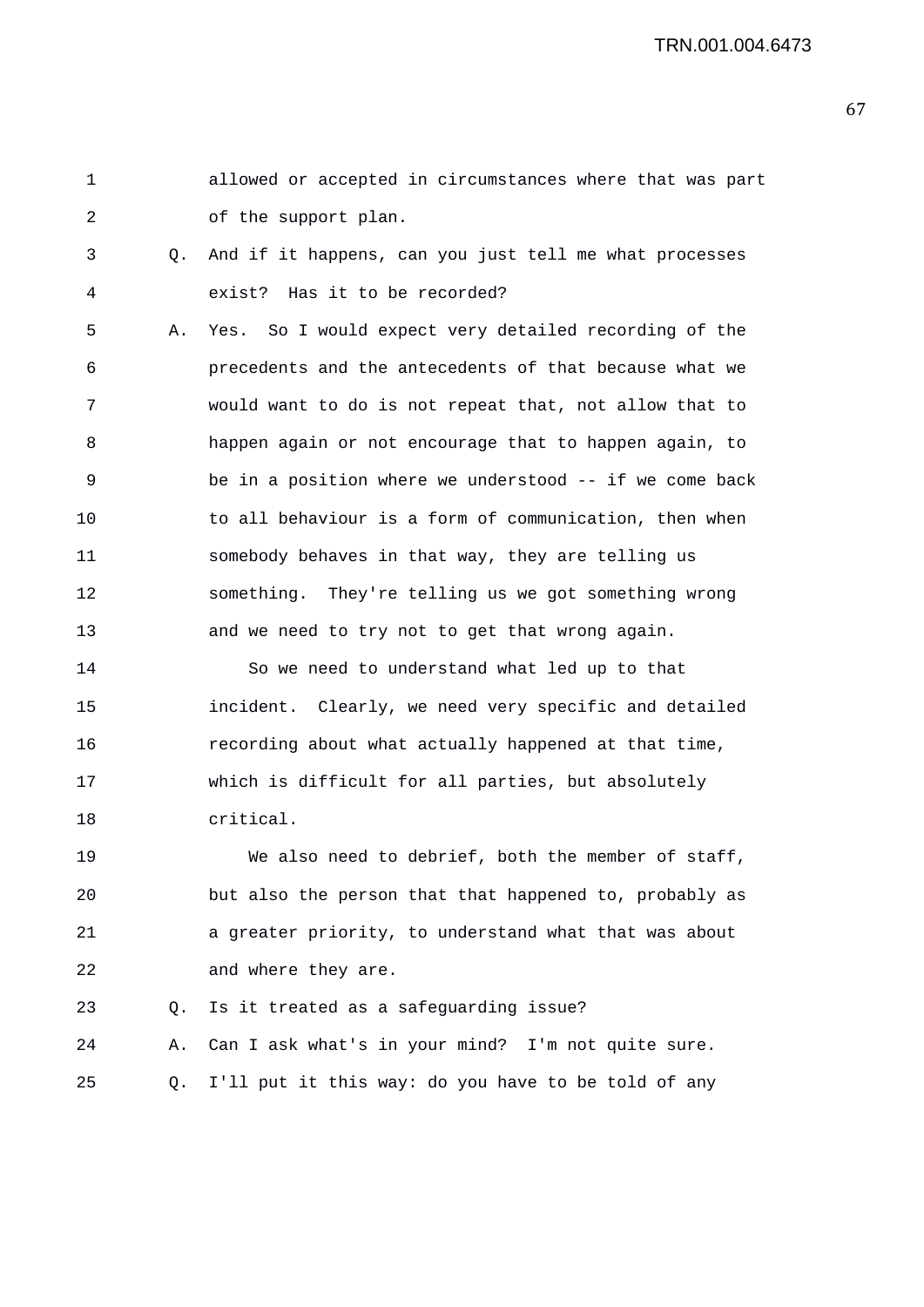```
1 allowed or accepted in circumstances where that was part 
2 of the support plan. 
3 Q. And if it happens, can you just tell me what processes 
4 exist? Has it to be recorded? 
5 A. Yes. So I would expect very detailed recording of the 
6 precedents and the antecedents of that because what we 
7 would want to do is not repeat that, not allow that to 
8 happen again or not encourage that to happen again, to 
9 be in a position where we understood -- if we come back 
10 to all behaviour is a form of communication, then when 
11 somebody behaves in that way, they are telling us 
12 something. They're telling us we got something wrong 
13 and we need to try not to get that wrong again. 
14 So we need to understand what led up to that 
15 incident. Clearly, we need very specific and detailed 
16 recording about what actually happened at that time, 
17 which is difficult for all parties, but absolutely 
18 critical. 
19 We also need to debrief, both the member of staff, 
20 but also the person that that happened to, probably as 
21 a greater priority, to understand what that was about 
22 and where they are.
```
23 Q. Is it treated as a safeguarding issue? 24 A. Can I ask what's in your mind? I'm not quite sure. 25 Q. I'll put it this way: do you have to be told of any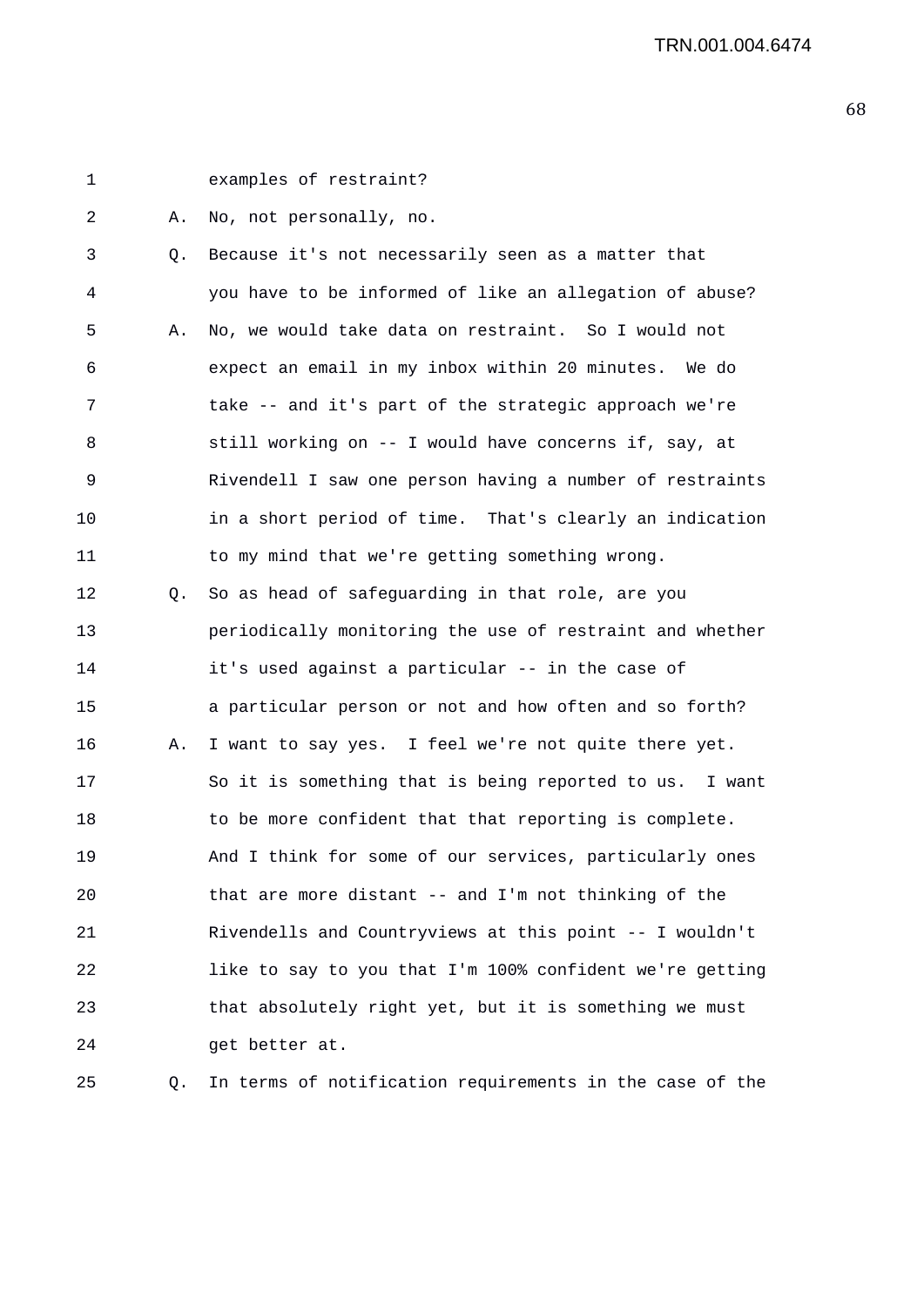1 examples of restraint?

2 A. No, not personally, no.

3 Q. Because it's not necessarily seen as a matter that 4 you have to be informed of like an allegation of abuse? 5 A. No, we would take data on restraint. So I would not 6 expect an email in my inbox within 20 minutes. We do 7 take -- and it's part of the strategic approach we're 8 still working on -- I would have concerns if, say, at 9 Rivendell I saw one person having a number of restraints 10 in a short period of time. That's clearly an indication 11 to my mind that we're getting something wrong. 12 Q. So as head of safeguarding in that role, are you 13 periodically monitoring the use of restraint and whether 14 it's used against a particular -- in the case of 15 a particular person or not and how often and so forth? 16 A. I want to say yes. I feel we're not quite there yet. 17 So it is something that is being reported to us. I want 18 to be more confident that that reporting is complete. 19 And I think for some of our services, particularly ones 20 that are more distant -- and I'm not thinking of the 21 Rivendells and Countryviews at this point -- I wouldn't 22 like to say to you that I'm 100% confident we're getting 23 that absolutely right yet, but it is something we must 24 get better at.

25 Q. In terms of notification requirements in the case of the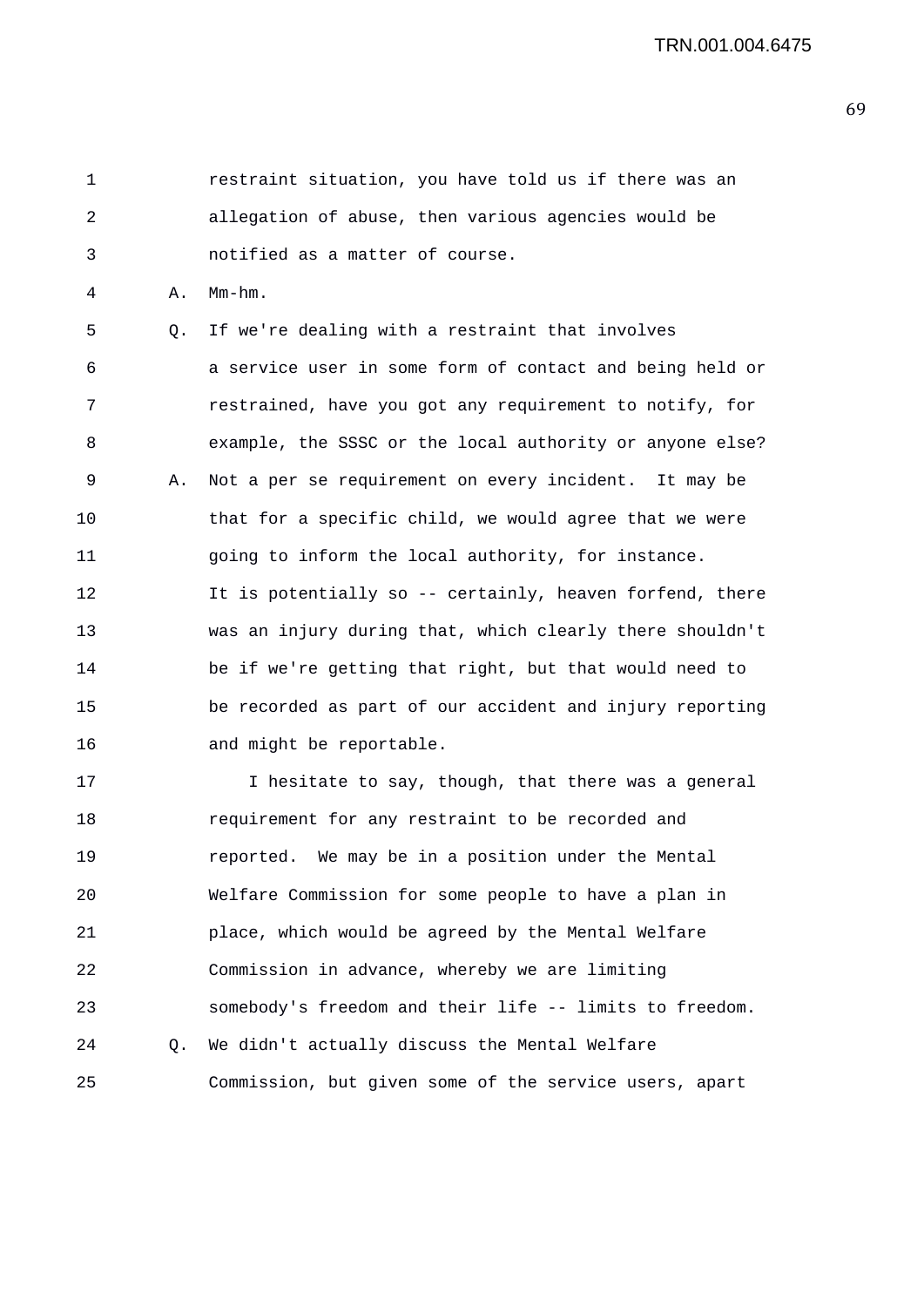1 restraint situation, you have told us if there was an 2 allegation of abuse, then various agencies would be 3 notified as a matter of course.

4 A. Mm-hm.

5 Q. If we're dealing with a restraint that involves 6 a service user in some form of contact and being held or 7 restrained, have you got any requirement to notify, for 8 example, the SSSC or the local authority or anyone else? 9 A. Not a per se requirement on every incident. It may be 10 that for a specific child, we would agree that we were 11 going to inform the local authority, for instance. 12 It is potentially so -- certainly, heaven forfend, there 13 was an injury during that, which clearly there shouldn't 14 be if we're getting that right, but that would need to 15 be recorded as part of our accident and injury reporting 16 and might be reportable.

17 17 I hesitate to say, though, that there was a general 18 requirement for any restraint to be recorded and 19 reported. We may be in a position under the Mental 20 Welfare Commission for some people to have a plan in 21 place, which would be agreed by the Mental Welfare 22 Commission in advance, whereby we are limiting 23 somebody's freedom and their life -- limits to freedom. 24 Q. We didn't actually discuss the Mental Welfare 25 Commission, but given some of the service users, apart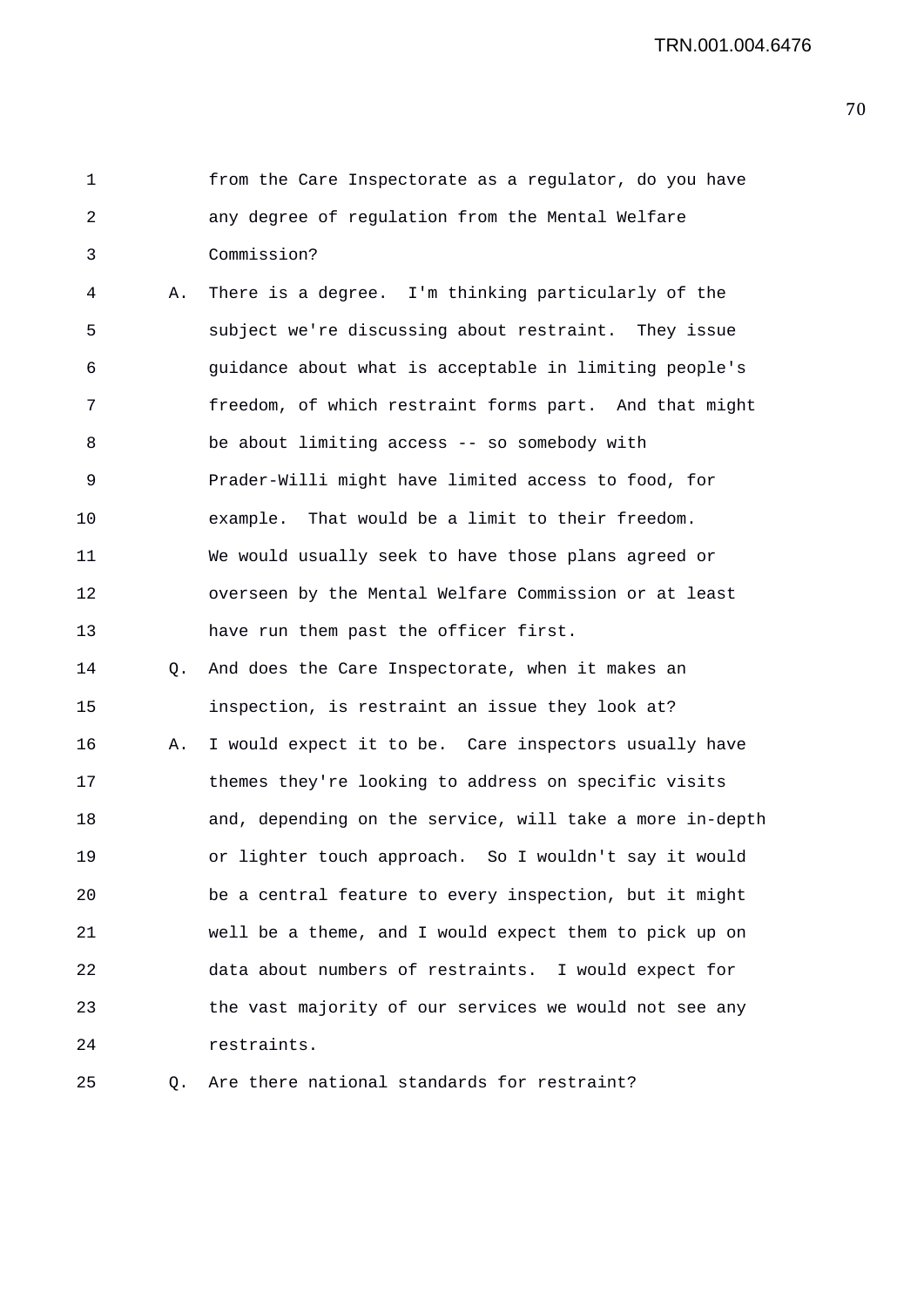```
1 from the Care Inspectorate as a regulator, do you have 
2 any degree of regulation from the Mental Welfare 
3 Commission?
```
4 A. There is a degree. I'm thinking particularly of the 5 subject we're discussing about restraint. They issue 6 guidance about what is acceptable in limiting people's 7 freedom, of which restraint forms part. And that might 8 be about limiting access -- so somebody with 9 Prader-Willi might have limited access to food, for 10 example. That would be a limit to their freedom. 11 We would usually seek to have those plans agreed or 12 overseen by the Mental Welfare Commission or at least 13 have run them past the officer first.

14 Q. And does the Care Inspectorate, when it makes an

15 inspection, is restraint an issue they look at? 16 A. I would expect it to be. Care inspectors usually have 17 themes they're looking to address on specific visits 18 and, depending on the service, will take a more in-depth 19 or lighter touch approach. So I wouldn't say it would 20 be a central feature to every inspection, but it might 21 well be a theme, and I would expect them to pick up on 22 data about numbers of restraints. I would expect for 23 the vast majority of our services we would not see any 24 restraints.

25 Q. Are there national standards for restraint?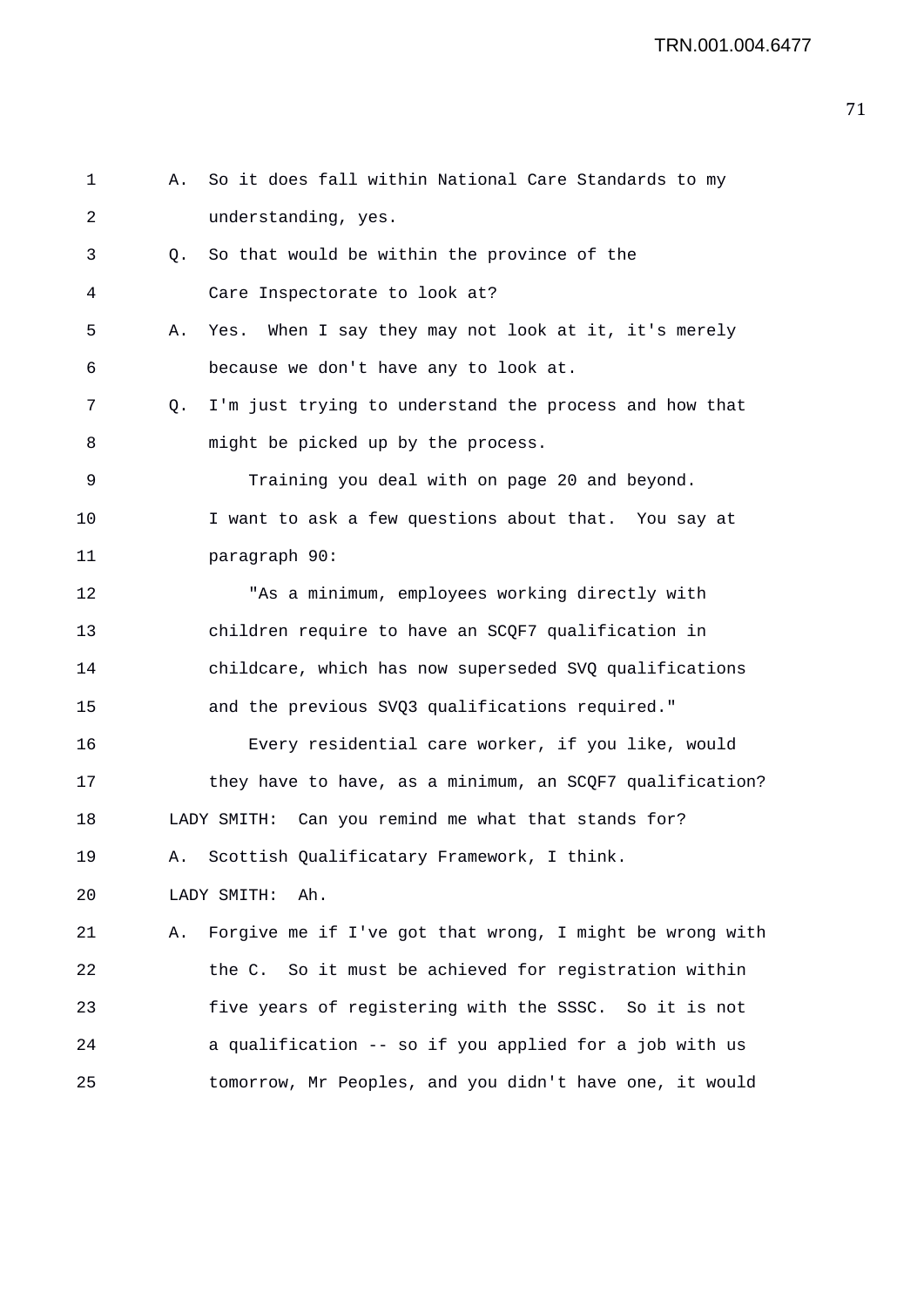| 1  | Α. | So it does fall within National Care Standards to my     |
|----|----|----------------------------------------------------------|
| 2  |    | understanding, yes.                                      |
| 3  | Q. | So that would be within the province of the              |
| 4  |    | Care Inspectorate to look at?                            |
| 5  | Α. | When I say they may not look at it, it's merely<br>Yes.  |
| 6  |    | because we don't have any to look at.                    |
| 7  | Q. | I'm just trying to understand the process and how that   |
| 8  |    | might be picked up by the process.                       |
| 9  |    | Training you deal with on page 20 and beyond.            |
| 10 |    | I want to ask a few questions about that. You say at     |
| 11 |    | paragraph 90:                                            |
| 12 |    | "As a minimum, employees working directly with           |
| 13 |    | children require to have an SCQF7 qualification in       |
| 14 |    | childcare, which has now superseded SVQ qualifications   |
| 15 |    | and the previous SVQ3 qualifications required."          |
| 16 |    | Every residential care worker, if you like, would        |
| 17 |    | they have to have, as a minimum, an SCQF7 qualification? |
| 18 |    | LADY SMITH: Can you remind me what that stands for?      |
| 19 |    | A. Scottish Qualificatary Framework, I think.            |
| 20 |    | LADY SMITH:<br>Ah.                                       |
| 21 | Α. | Forgive me if I've got that wrong, I might be wrong with |
| 22 |    | the C. So it must be achieved for registration within    |
| 23 |    | five years of registering with the SSSC. So it is not    |
| 24 |    | a qualification -- so if you applied for a job with us   |
| 25 |    | tomorrow, Mr Peoples, and you didn't have one, it would  |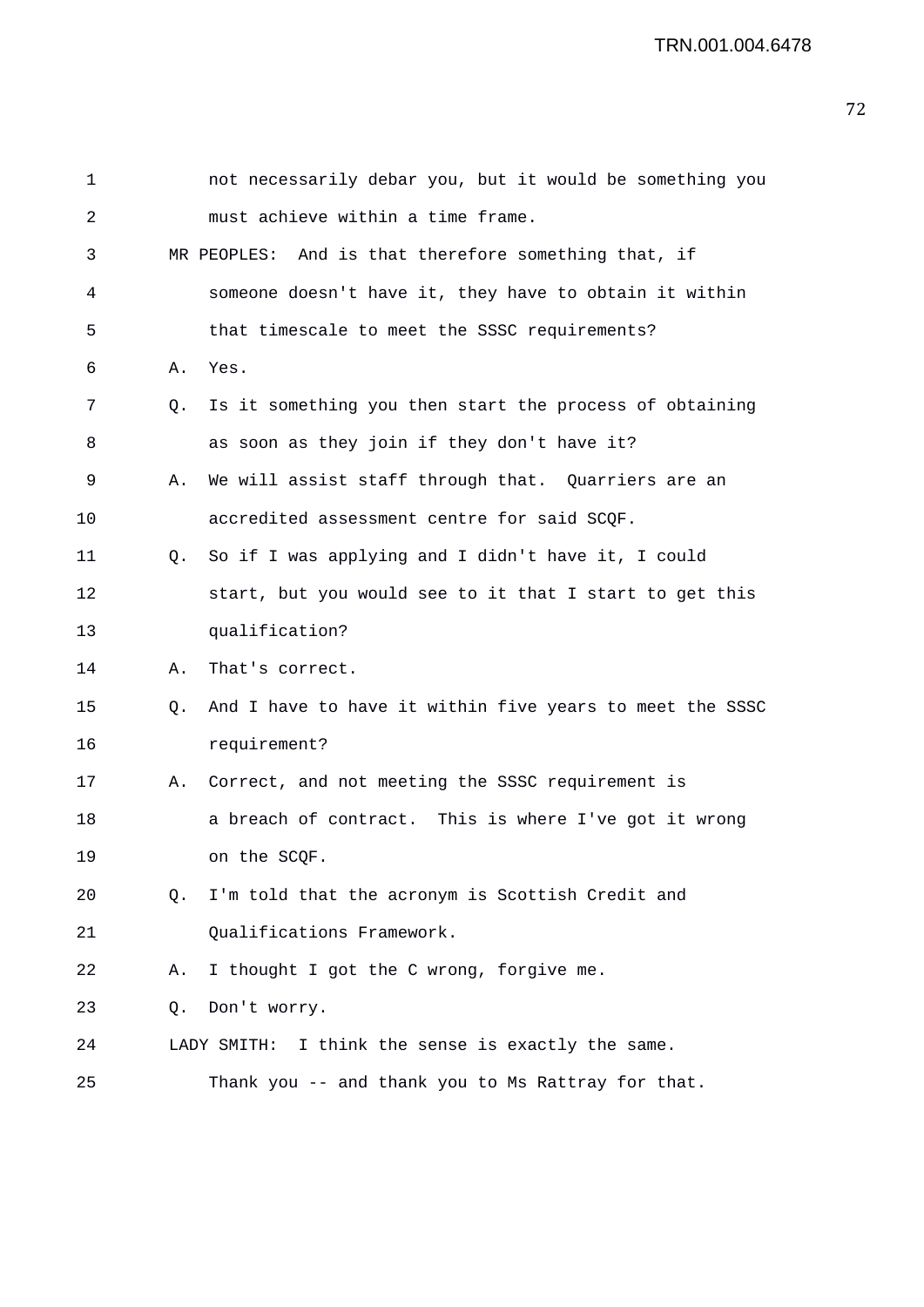| 1  |    | not necessarily debar you, but it would be something you |
|----|----|----------------------------------------------------------|
| 2  |    | must achieve within a time frame.                        |
| 3  |    | MR PEOPLES: And is that therefore something that, if     |
| 4  |    | someone doesn't have it, they have to obtain it within   |
| 5  |    | that timescale to meet the SSSC requirements?            |
| 6  | Α. | Yes.                                                     |
| 7  | Q. | Is it something you then start the process of obtaining  |
| 8  |    | as soon as they join if they don't have it?              |
| 9  | Α. | We will assist staff through that. Quarriers are an      |
| 10 |    | accredited assessment centre for said SCQF.              |
| 11 | Q. | So if I was applying and I didn't have it, I could       |
| 12 |    | start, but you would see to it that I start to get this  |
| 13 |    | qualification?                                           |
| 14 | Α. | That's correct.                                          |
| 15 | Q. | And I have to have it within five years to meet the SSSC |
| 16 |    | requirement?                                             |
| 17 | Α. | Correct, and not meeting the SSSC requirement is         |
| 18 |    | a breach of contract. This is where I've got it wrong    |
| 19 |    | on the SCQF.                                             |
| 20 | 0. | I'm told that the acronym is Scottish Credit and         |
| 21 |    | Qualifications Framework.                                |
| 22 | Α. | I thought I got the C wrong, forgive me.                 |
| 23 | Q. | Don't worry.                                             |
| 24 |    | I think the sense is exactly the same.<br>LADY SMITH:    |
| 25 |    | Thank you -- and thank you to Ms Rattray for that.       |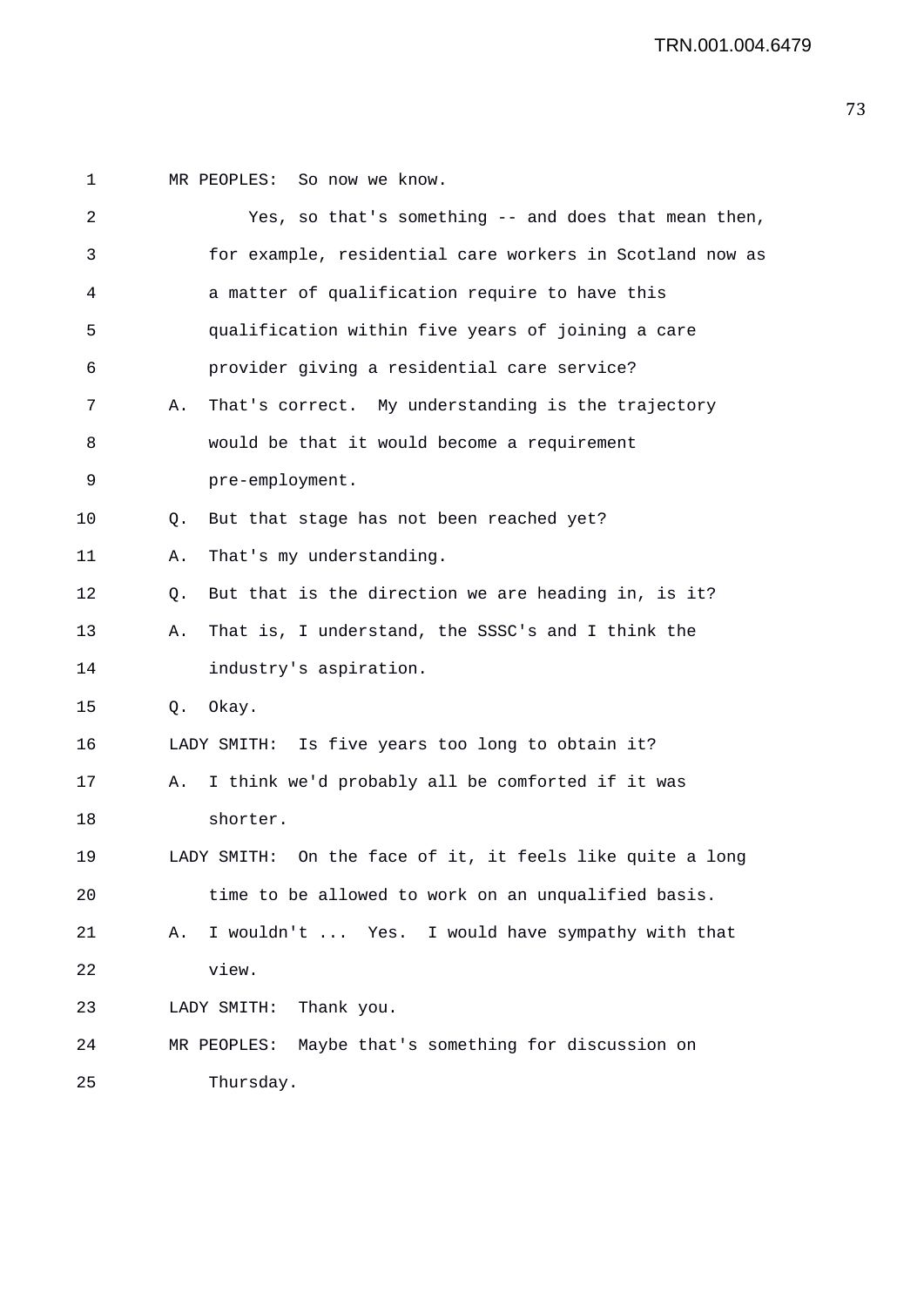1 MR PEOPLES: So now we know. 2 Yes, so that's something -- and does that mean then, 3 for example, residential care workers in Scotland now as 4 a matter of qualification require to have this 5 qualification within five years of joining a care 6 provider giving a residential care service? 7 A. That's correct. My understanding is the trajectory 8 would be that it would become a requirement 9 pre-employment. 10 Q. But that stage has not been reached yet? 11 A. That's my understanding. 12 Q. But that is the direction we are heading in, is it? 13 A. That is, I understand, the SSSC's and I think the 14 industry's aspiration. 15 Q. Okay. 16 LADY SMITH: Is five years too long to obtain it? 17 A. I think we'd probably all be comforted if it was 18 shorter. 19 LADY SMITH: On the face of it, it feels like quite a long 20 time to be allowed to work on an unqualified basis. 21 A. I wouldn't ... Yes. I would have sympathy with that 22 view. 23 LADY SMITH: Thank you. 24 MR PEOPLES: Maybe that's something for discussion on 25 Thursday.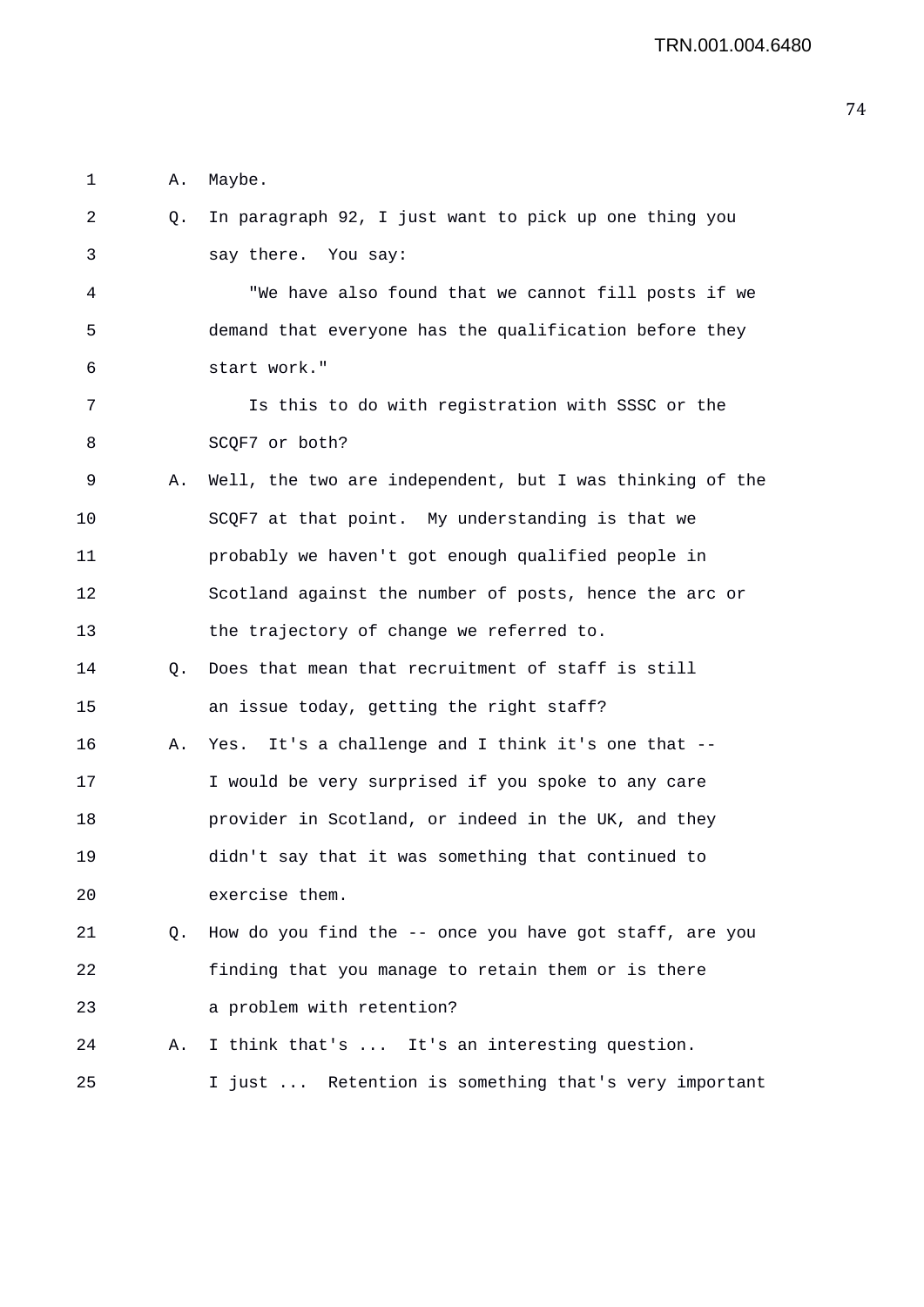1 A. Maybe. 2 Q. In paragraph 92, I just want to pick up one thing you 3 say there. You say: 4 "We have also found that we cannot fill posts if we 5 demand that everyone has the qualification before they 6 start work." 7 Is this to do with registration with SSSC or the 8 SCOF7 or both? 9 A. Well, the two are independent, but I was thinking of the 10 SCQF7 at that point. My understanding is that we 11 probably we haven't got enough qualified people in 12 Scotland against the number of posts, hence the arc or 13 the trajectory of change we referred to. 14 Q. Does that mean that recruitment of staff is still 15 an issue today, getting the right staff? 16 A. Yes. It's a challenge and I think it's one that -- 17 I would be very surprised if you spoke to any care 18 provider in Scotland, or indeed in the UK, and they 19 didn't say that it was something that continued to 20 exercise them. 21 Q. How do you find the -- once you have got staff, are you 22 finding that you manage to retain them or is there 23 a problem with retention? 24 A. I think that's ... It's an interesting question. 25 I just ... Retention is something that's very important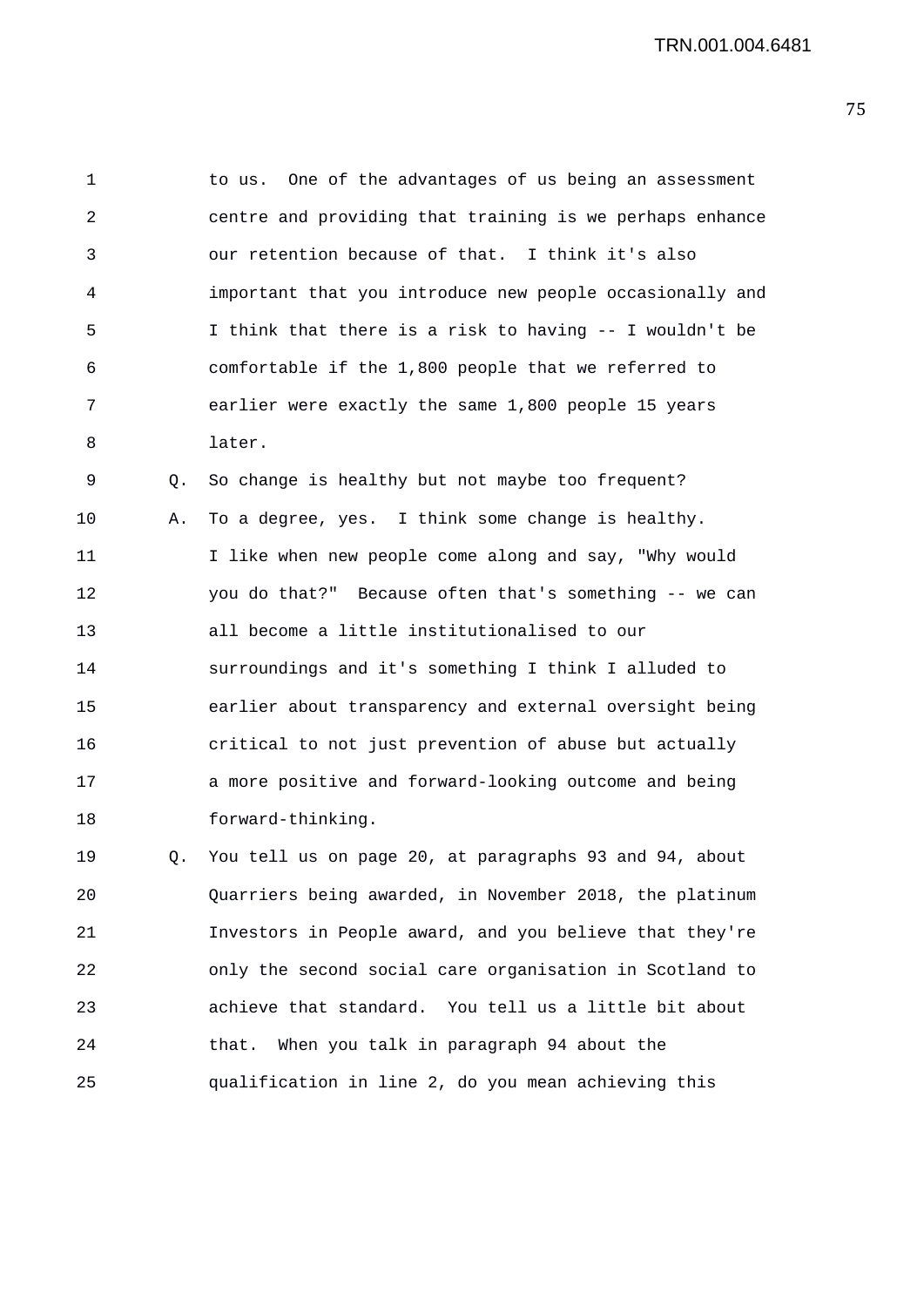1 to us. One of the advantages of us being an assessment 2 centre and providing that training is we perhaps enhance 3 our retention because of that. I think it's also 4 important that you introduce new people occasionally and 5 I think that there is a risk to having -- I wouldn't be 6 comfortable if the 1,800 people that we referred to 7 earlier were exactly the same 1,800 people 15 years 8 later.

9 Q. So change is healthy but not maybe too frequent? 10 A. To a degree, yes. I think some change is healthy. 11 I like when new people come along and say, "Why would 12 you do that?" Because often that's something -- we can 13 all become a little institutionalised to our 14 surroundings and it's something I think I alluded to 15 earlier about transparency and external oversight being 16 critical to not just prevention of abuse but actually 17 a more positive and forward-looking outcome and being 18 forward-thinking.

19 Q. You tell us on page 20, at paragraphs 93 and 94, about 20 Quarriers being awarded, in November 2018, the platinum 21 Investors in People award, and you believe that they're 22 only the second social care organisation in Scotland to 23 achieve that standard. You tell us a little bit about 24 that. When you talk in paragraph 94 about the 25 qualification in line 2, do you mean achieving this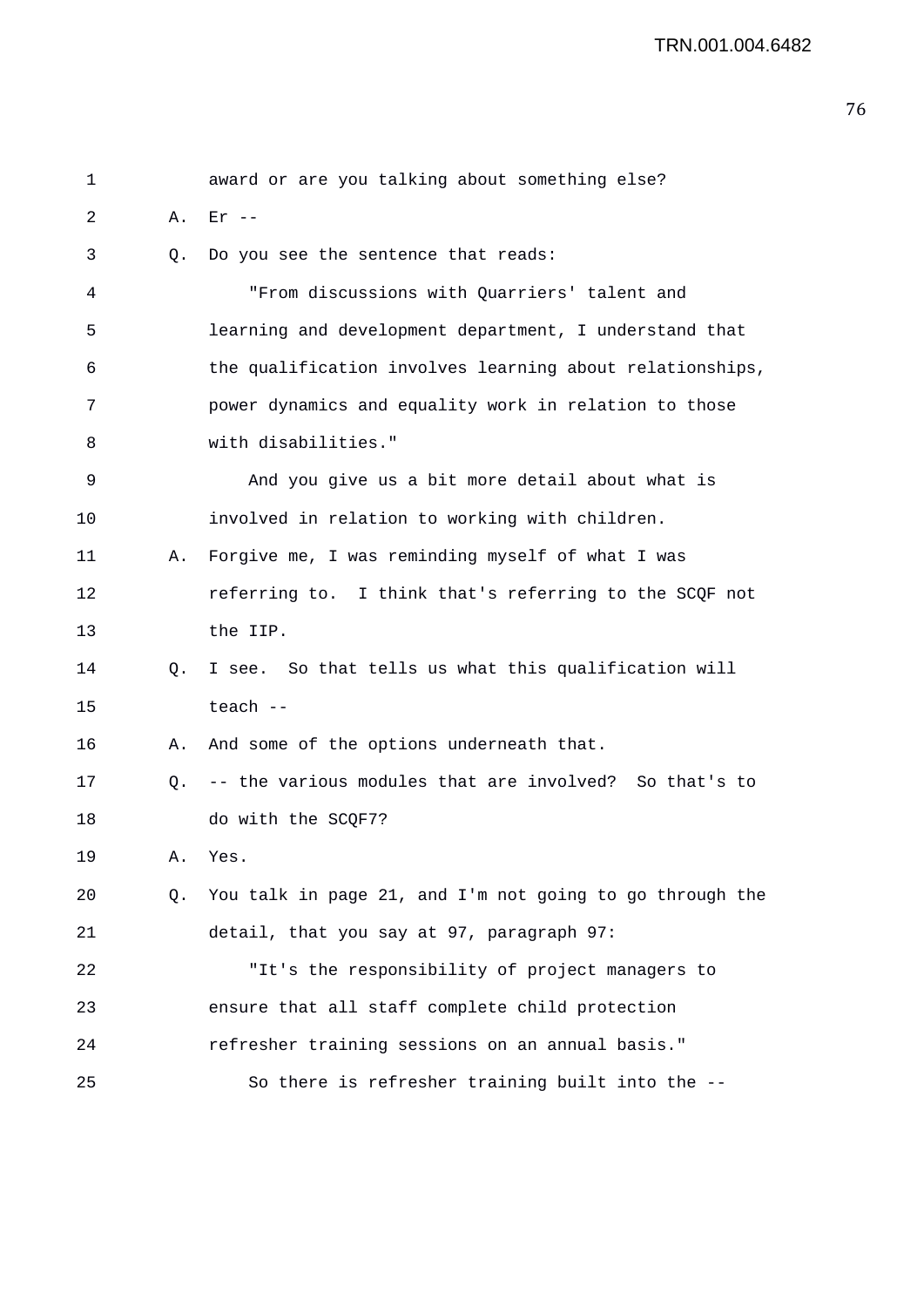| 1  |    | award or are you talking about something else?           |
|----|----|----------------------------------------------------------|
| 2  | Α. | $Er$ --                                                  |
| 3  | Q. | Do you see the sentence that reads:                      |
| 4  |    | "From discussions with Quarriers' talent and             |
| 5  |    | learning and development department, I understand that   |
| 6  |    | the qualification involves learning about relationships, |
| 7  |    | power dynamics and equality work in relation to those    |
| 8  |    | with disabilities."                                      |
| 9  |    | And you give us a bit more detail about what is          |
| 10 |    | involved in relation to working with children.           |
| 11 | Α. | Forgive me, I was reminding myself of what I was         |
| 12 |    | referring to. I think that's referring to the SCQF not   |
| 13 |    | the IIP.                                                 |
| 14 | Q. | I see. So that tells us what this qualification will     |
| 15 |    | teach --                                                 |
| 16 | Α. | And some of the options underneath that.                 |
| 17 | Q. | -- the various modules that are involved? So that's to   |
| 18 |    | do with the SCQF7?                                       |
| 19 | А. | Yes.                                                     |
| 20 | Q. | You talk in page 21, and I'm not going to go through the |
| 21 |    | detail, that you say at 97, paragraph 97:                |
| 22 |    | "It's the responsibility of project managers to          |
| 23 |    | ensure that all staff complete child protection          |
| 24 |    | refresher training sessions on an annual basis."         |
| 25 |    | So there is refresher training built into the --         |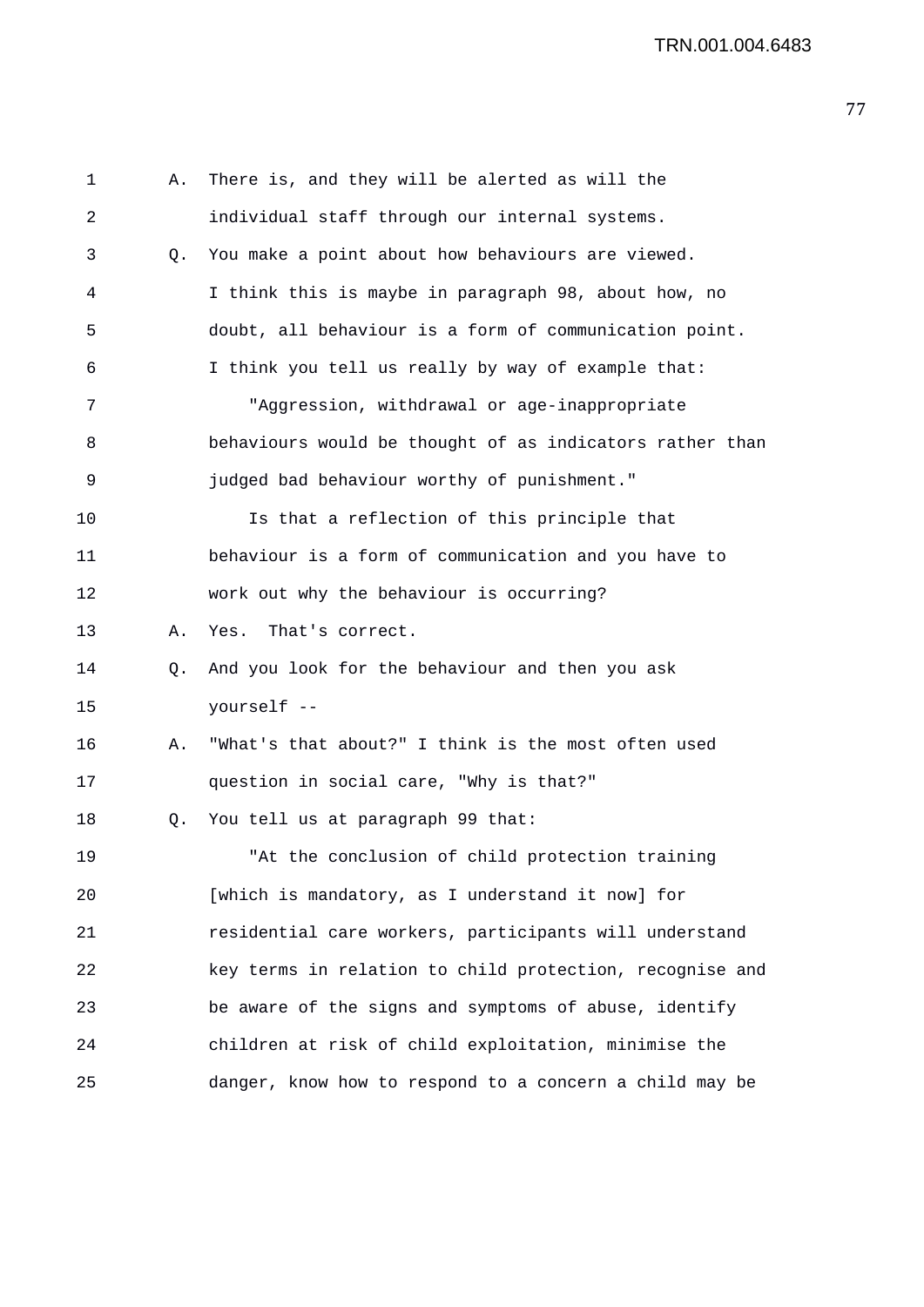| $\mathbf{1}$ | Α. | There is, and they will be alerted as will the           |
|--------------|----|----------------------------------------------------------|
| 2            |    | individual staff through our internal systems.           |
| 3            | Q. | You make a point about how behaviours are viewed.        |
| 4            |    | I think this is maybe in paragraph 98, about how, no     |
| 5            |    | doubt, all behaviour is a form of communication point.   |
| 6            |    | I think you tell us really by way of example that:       |
| 7            |    | "Aggression, withdrawal or age-inappropriate             |
| 8            |    | behaviours would be thought of as indicators rather than |
| 9            |    | judged bad behaviour worthy of punishment."              |
| 10           |    | Is that a reflection of this principle that              |
| 11           |    | behaviour is a form of communication and you have to     |
| 12           |    | work out why the behaviour is occurring?                 |
| 13           | Α. | That's correct.<br>Yes.                                  |
| 14           | Q. | And you look for the behaviour and then you ask          |
| 15           |    | yourself --                                              |
| 16           | Α. | "What's that about?" I think is the most often used      |
| 17           |    | question in social care, "Why is that?"                  |
| 18           | Q. | You tell us at paragraph 99 that:                        |
| 19           |    | "At the conclusion of child protection training          |
| 20           |    | [which is mandatory, as I understand it now] for         |
| 21           |    | residential care workers, participants will understand   |
| 22           |    | key terms in relation to child protection, recognise and |
| 23           |    | be aware of the signs and symptoms of abuse, identify    |
| 24           |    | children at risk of child exploitation, minimise the     |
| 25           |    | danger, know how to respond to a concern a child may be  |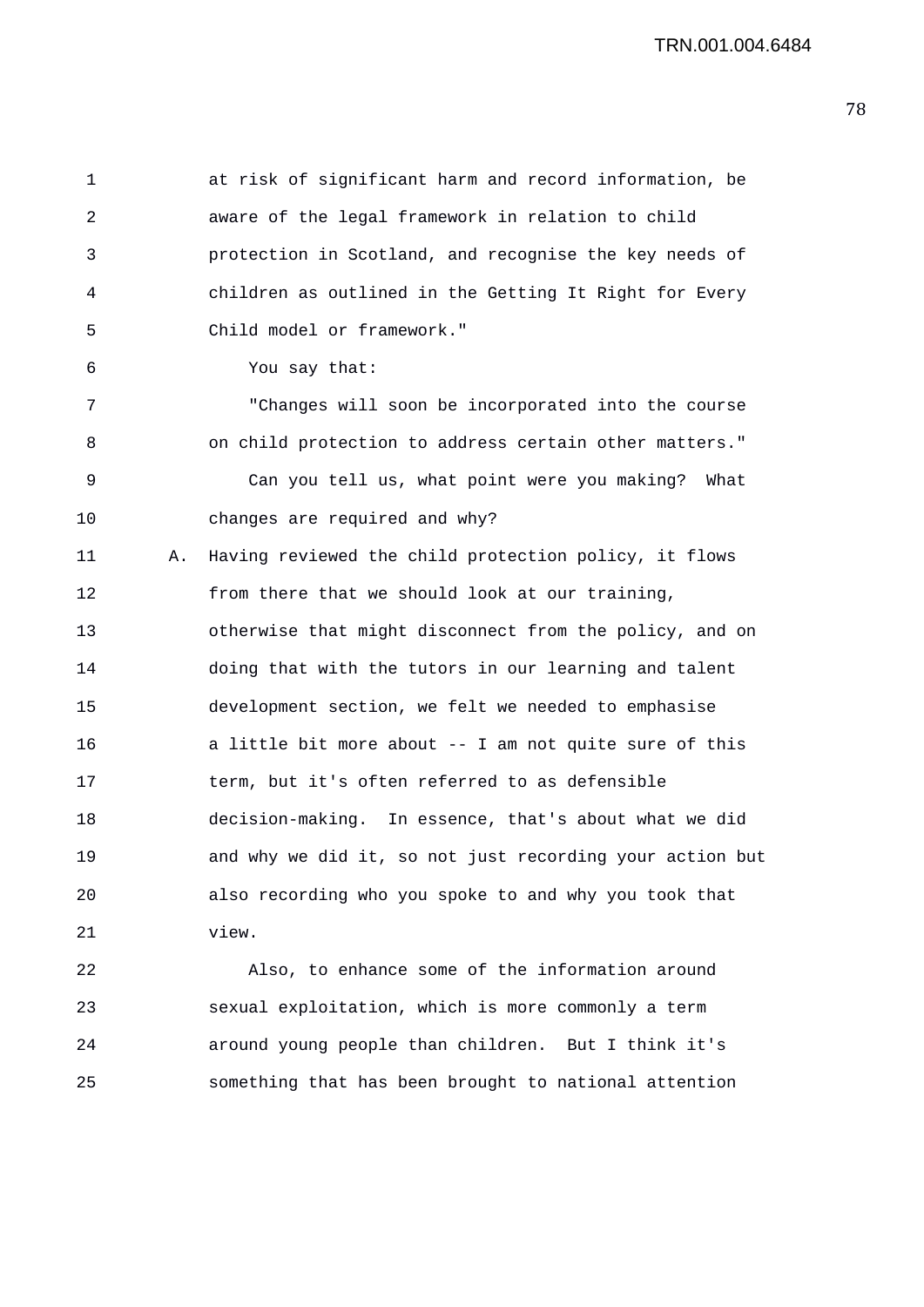1 at risk of significant harm and record information, be 2 aware of the legal framework in relation to child 3 protection in Scotland, and recognise the key needs of 4 children as outlined in the Getting It Right for Every 5 Child model or framework." 6 You say that: 7 "Changes will soon be incorporated into the course 8 on child protection to address certain other matters." 9 Can you tell us, what point were you making? What 10 changes are required and why? 11 A. Having reviewed the child protection policy, it flows 12 from there that we should look at our training, 13 otherwise that might disconnect from the policy, and on 14 doing that with the tutors in our learning and talent 15 development section, we felt we needed to emphasise 16 a little bit more about -- I am not quite sure of this 17 term, but it's often referred to as defensible 18 decision-making. In essence, that's about what we did 19 and why we did it, so not just recording your action but 20 also recording who you spoke to and why you took that 21 view.

22 Also, to enhance some of the information around 23 sexual exploitation, which is more commonly a term 24 around young people than children. But I think it's 25 something that has been brought to national attention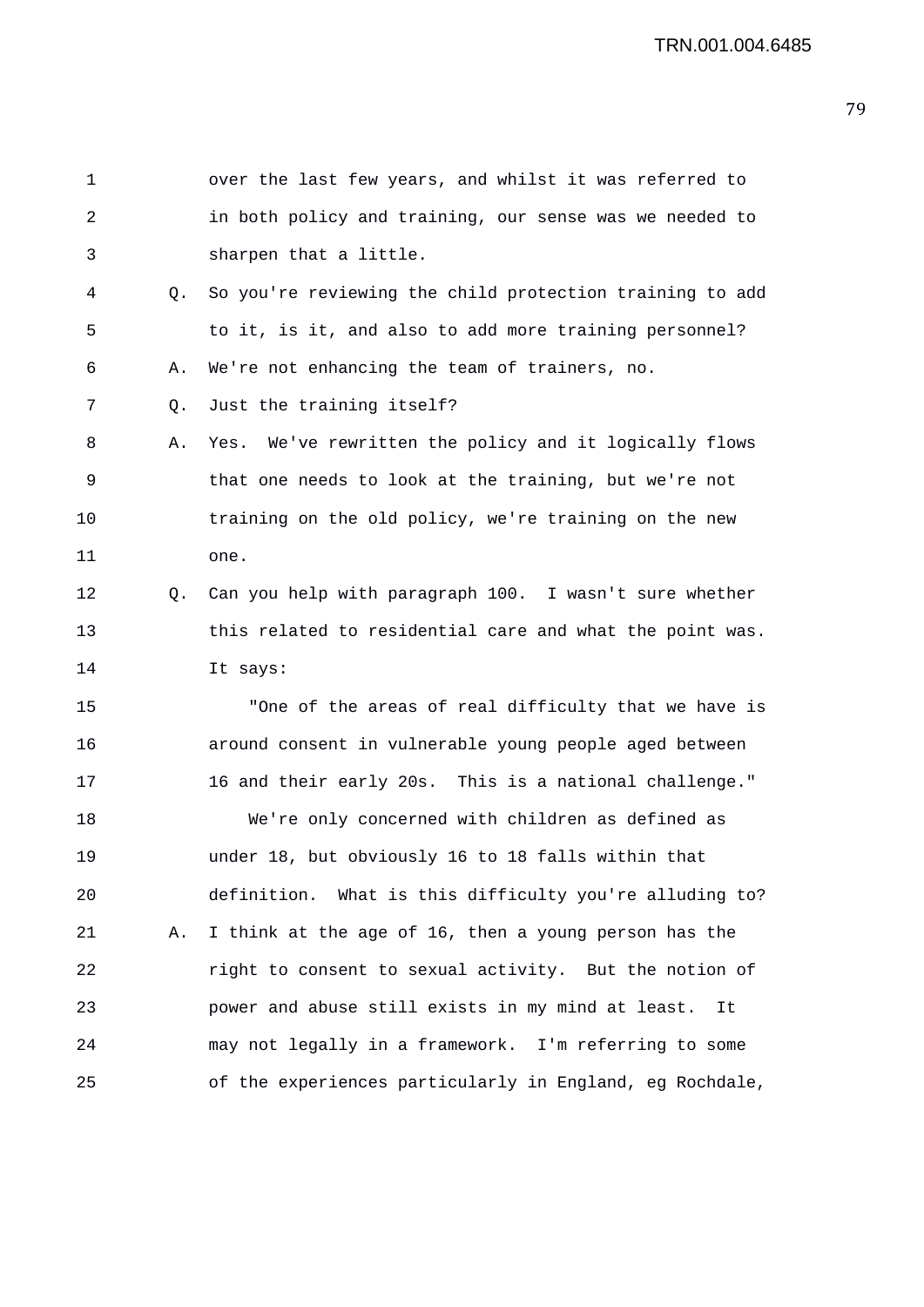1 over the last few years, and whilst it was referred to 2 in both policy and training, our sense was we needed to 3 sharpen that a little. 4 Q. So you're reviewing the child protection training to add 5 to it, is it, and also to add more training personnel? 6 A. We're not enhancing the team of trainers, no. 7 Q. Just the training itself? 8 A. Yes. We've rewritten the policy and it logically flows 9 that one needs to look at the training, but we're not 10 training on the old policy, we're training on the new 11 one. 12 Q. Can you help with paragraph 100. I wasn't sure whether 13 this related to residential care and what the point was. 14 It says: 15 "One of the areas of real difficulty that we have is 16 around consent in vulnerable young people aged between 17 16 and their early 20s. This is a national challenge." 18 We're only concerned with children as defined as 19 under 18, but obviously 16 to 18 falls within that 20 definition. What is this difficulty you're alluding to? 21 A. I think at the age of 16, then a young person has the 22 right to consent to sexual activity. But the notion of 23 power and abuse still exists in my mind at least. It 24 may not legally in a framework. I'm referring to some 25 of the experiences particularly in England, eg Rochdale,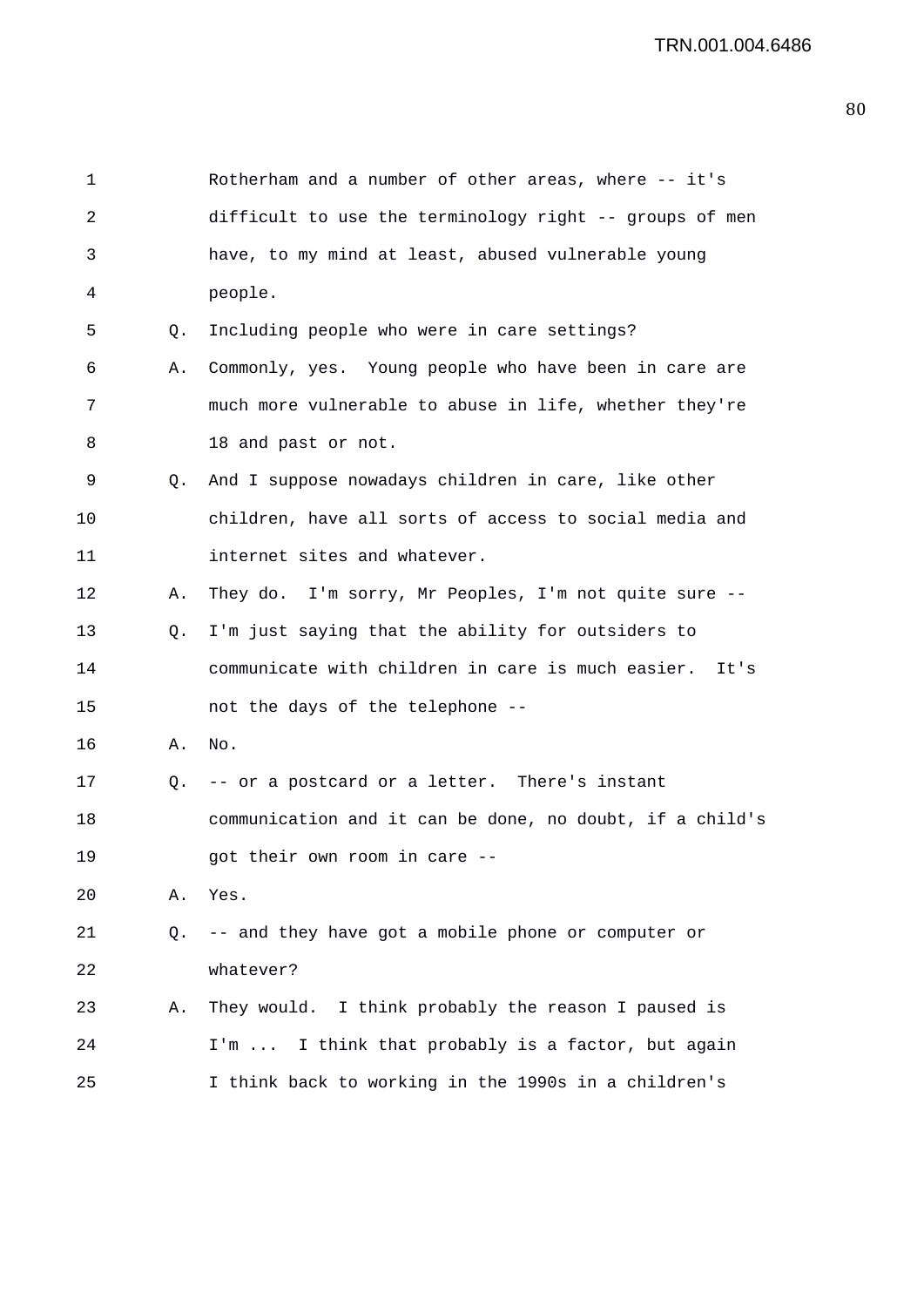| 1  |    | Rotherham and a number of other areas, where -- it's     |
|----|----|----------------------------------------------------------|
| 2  |    | difficult to use the terminology right -- groups of men  |
| 3  |    | have, to my mind at least, abused vulnerable young       |
| 4  |    | people.                                                  |
| 5  | Q. | Including people who were in care settings?              |
| 6  | Α. | Commonly, yes. Young people who have been in care are    |
| 7  |    | much more vulnerable to abuse in life, whether they're   |
| 8  |    | 18 and past or not.                                      |
| 9  | Q. | And I suppose nowadays children in care, like other      |
| 10 |    | children, have all sorts of access to social media and   |
| 11 |    | internet sites and whatever.                             |
| 12 | Α. | They do. I'm sorry, Mr Peoples, I'm not quite sure --    |
| 13 | Q. | I'm just saying that the ability for outsiders to        |
| 14 |    | communicate with children in care is much easier. It's   |
| 15 |    | not the days of the telephone --                         |
| 16 | Α. | No.                                                      |
| 17 |    | Q. -- or a postcard or a letter. There's instant         |
| 18 |    | communication and it can be done, no doubt, if a child's |
| 19 |    | got their own room in care --                            |
| 20 | Α. | Yes.                                                     |
| 21 | Q. | -- and they have got a mobile phone or computer or       |
| 22 |    | whatever?                                                |
| 23 | Α. | They would. I think probably the reason I paused is      |
| 24 |    | I think that probably is a factor, but again<br>$I'm$    |
| 25 |    | I think back to working in the 1990s in a children's     |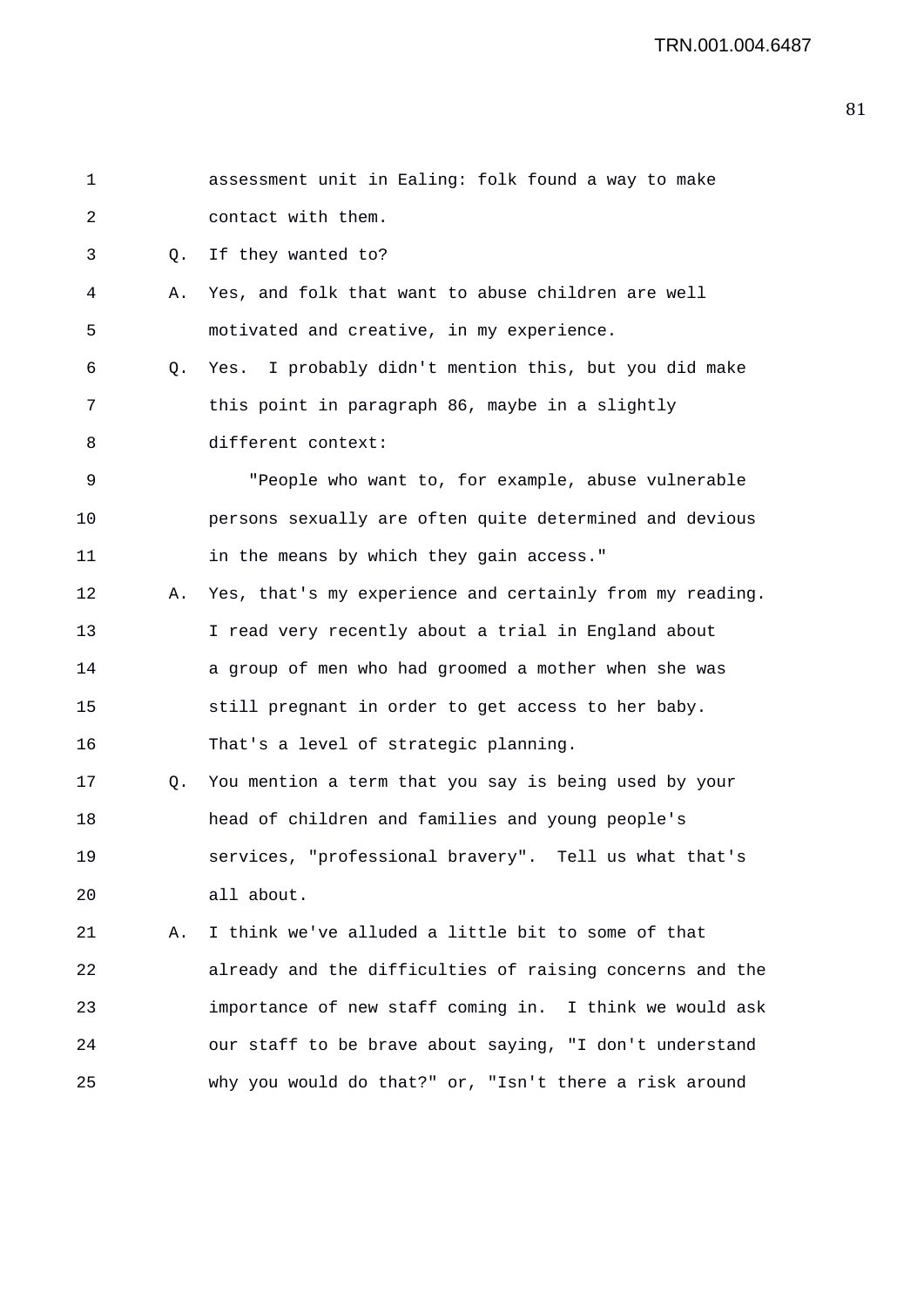| $\mathbf{1}$ |    | assessment unit in Ealing: folk found a way to make      |
|--------------|----|----------------------------------------------------------|
| 2            |    | contact with them.                                       |
| 3            | Q. | If they wanted to?                                       |
| 4            | Α. | Yes, and folk that want to abuse children are well       |
| 5            |    | motivated and creative, in my experience.                |
| 6            | Q. | Yes. I probably didn't mention this, but you did make    |
| 7            |    | this point in paragraph 86, maybe in a slightly          |
| 8            |    | different context:                                       |
| 9            |    | "People who want to, for example, abuse vulnerable       |
| 10           |    | persons sexually are often quite determined and devious  |
| 11           |    | in the means by which they gain access."                 |
| 12           | Α. | Yes, that's my experience and certainly from my reading. |
| 13           |    | I read very recently about a trial in England about      |
| 14           |    | a group of men who had groomed a mother when she was     |
| 15           |    | still pregnant in order to get access to her baby.       |
| 16           |    | That's a level of strategic planning.                    |
| 17           | Q. | You mention a term that you say is being used by your    |
| 18           |    | head of children and families and young people's         |
| 19           |    | services, "professional bravery". Tell us what that's    |
| 20           |    | all about.                                               |
| 21           | Α. | I think we've alluded a little bit to some of that       |
| 22           |    | already and the difficulties of raising concerns and the |
| 23           |    | importance of new staff coming in. I think we would ask  |
| 24           |    | our staff to be brave about saying, "I don't understand  |
| 25           |    | why you would do that?" or, "Isn't there a risk around   |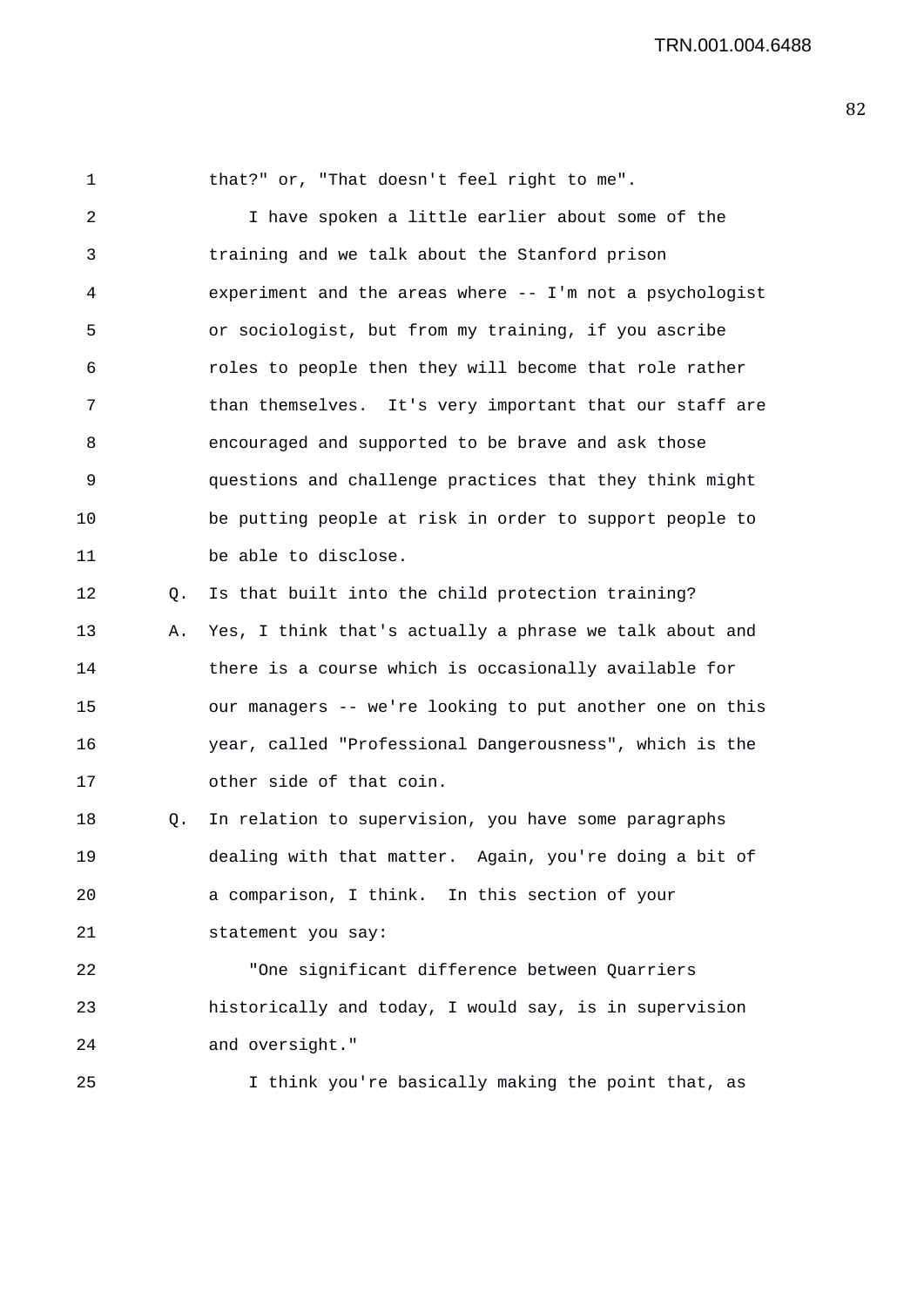1 that?" or, "That doesn't feel right to me".

2 I have spoken a little earlier about some of the 3 training and we talk about the Stanford prison 4 experiment and the areas where -- I'm not a psychologist 5 or sociologist, but from my training, if you ascribe 6 roles to people then they will become that role rather 7 than themselves. It's very important that our staff are 8 encouraged and supported to be brave and ask those 9 questions and challenge practices that they think might 10 be putting people at risk in order to support people to 11 be able to disclose.

12 Q. Is that built into the child protection training? 13 A. Yes, I think that's actually a phrase we talk about and 14 there is a course which is occasionally available for 15 our managers -- we're looking to put another one on this 16 year, called "Professional Dangerousness", which is the 17 other side of that coin.

18 Q. In relation to supervision, you have some paragraphs 19 dealing with that matter. Again, you're doing a bit of 20 a comparison, I think. In this section of your 21 statement you say:

22 "One significant difference between Quarriers 23 historically and today, I would say, is in supervision 24 and oversight."

25 I think you're basically making the point that, as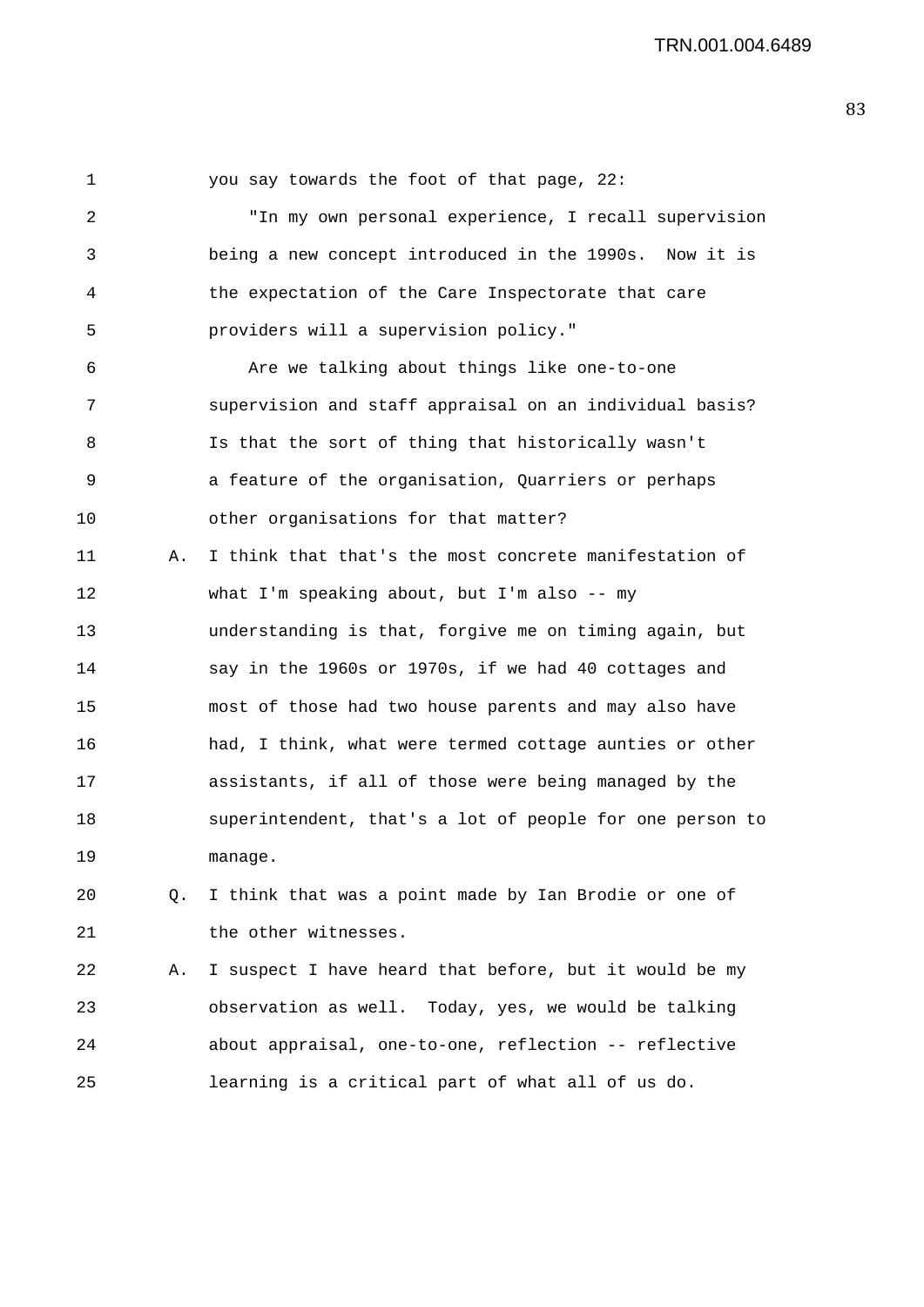1 you say towards the foot of that page, 22: 2 "In my own personal experience, I recall supervision 3 being a new concept introduced in the 1990s. Now it is 4 the expectation of the Care Inspectorate that care 5 providers will a supervision policy." 6 Are we talking about things like one-to-one 7 supervision and staff appraisal on an individual basis? 8 Is that the sort of thing that historically wasn't 9 a feature of the organisation, Quarriers or perhaps 10 other organisations for that matter? 11 A. I think that that's the most concrete manifestation of 12 what I'm speaking about, but I'm also -- my 13 understanding is that, forgive me on timing again, but 14 say in the 1960s or 1970s, if we had 40 cottages and 15 most of those had two house parents and may also have 16 had, I think, what were termed cottage aunties or other 17 assistants, if all of those were being managed by the 18 superintendent, that's a lot of people for one person to 19 manage. 20 Q. I think that was a point made by Ian Brodie or one of 21 the other witnesses. 22 A. I suspect I have heard that before, but it would be my 23 observation as well. Today, yes, we would be talking 24 about appraisal, one-to-one, reflection -- reflective

25 learning is a critical part of what all of us do.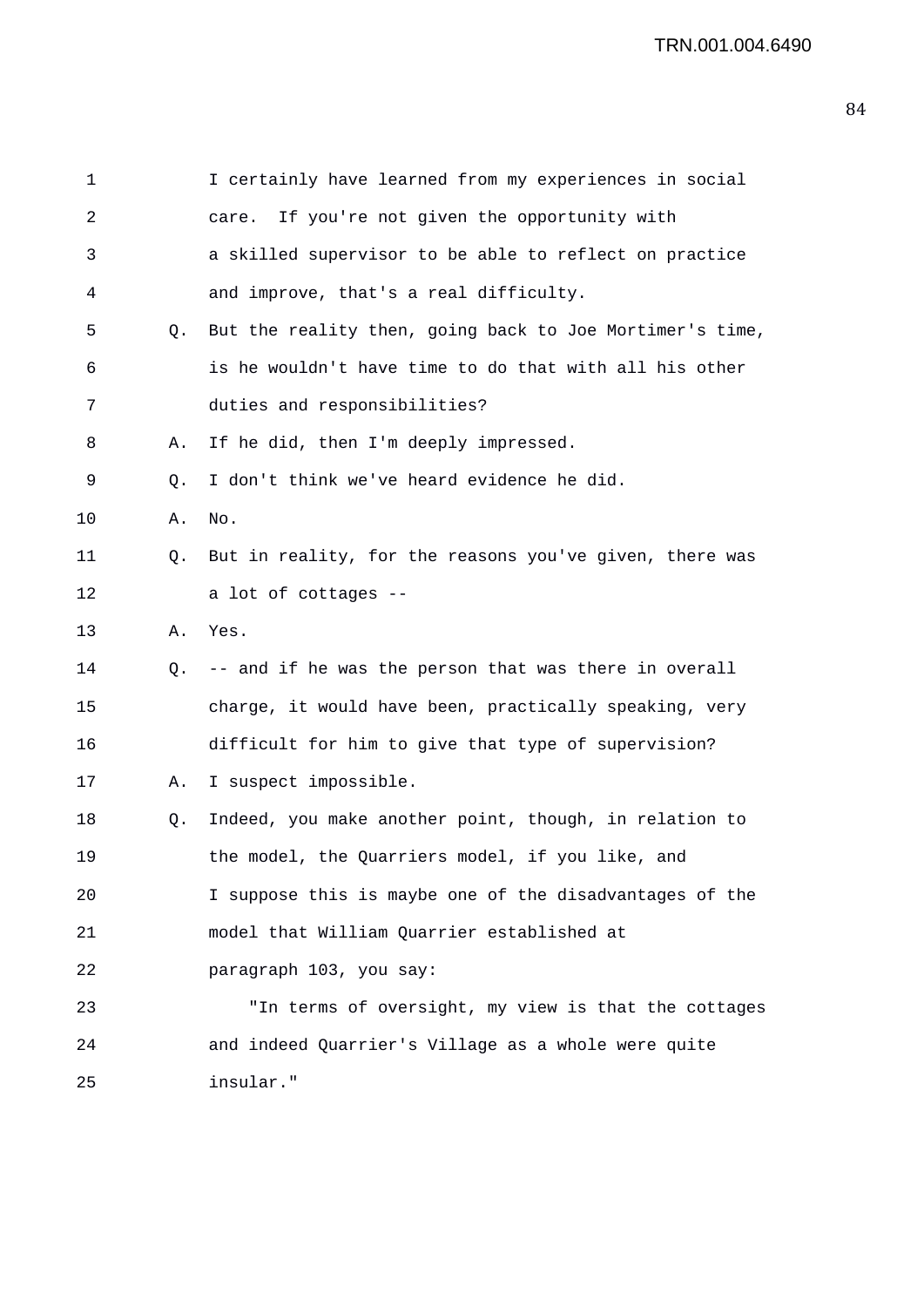| $\mathbf 1$ |    | I certainly have learned from my experiences in social   |
|-------------|----|----------------------------------------------------------|
| 2           |    | If you're not given the opportunity with<br>care.        |
| 3           |    | a skilled supervisor to be able to reflect on practice   |
| 4           |    | and improve, that's a real difficulty.                   |
| 5           | O. | But the reality then, going back to Joe Mortimer's time, |
| 6           |    | is he wouldn't have time to do that with all his other   |
| 7           |    | duties and responsibilities?                             |
| 8           | Α. | If he did, then I'm deeply impressed.                    |
| 9           | Q. | I don't think we've heard evidence he did.               |
| 10          | Α. | No.                                                      |
| 11          | Q. | But in reality, for the reasons you've given, there was  |
| 12          |    | a lot of cottages --                                     |
| 13          | А. | Yes.                                                     |
| 14          | O. | -- and if he was the person that was there in overall    |
| 15          |    | charge, it would have been, practically speaking, very   |
| 16          |    | difficult for him to give that type of supervision?      |
| 17          | Α. | I suspect impossible.                                    |
| 18          | Q. | Indeed, you make another point, though, in relation to   |
| 19          |    | the model, the Quarriers model, if you like, and         |
| 20          |    | I suppose this is maybe one of the disadvantages of the  |
| 21          |    | model that William Quarrier established at               |
| 22          |    | paragraph 103, you say:                                  |
| 23          |    | "In terms of oversight, my view is that the cottages     |
| 24          |    | and indeed Quarrier's Village as a whole were quite      |
| 25          |    | insular."                                                |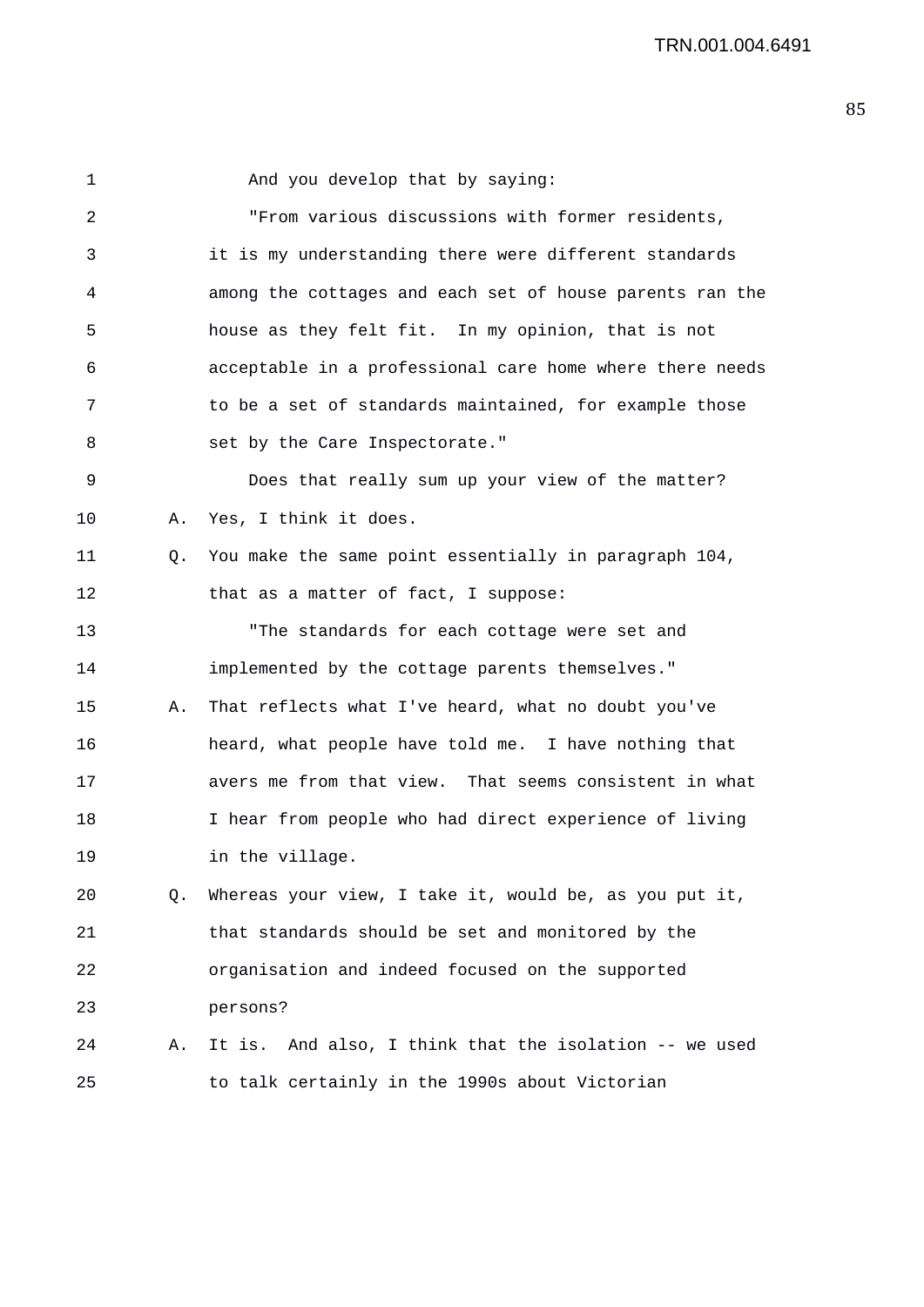1 And you develop that by saying: 2 "From various discussions with former residents, 3 it is my understanding there were different standards 4 among the cottages and each set of house parents ran the 5 house as they felt fit. In my opinion, that is not 6 acceptable in a professional care home where there needs 7 to be a set of standards maintained, for example those 8 set by the Care Inspectorate." 9 Does that really sum up your view of the matter? 10 A. Yes, I think it does. 11 Q. You make the same point essentially in paragraph 104, 12 that as a matter of fact, I suppose: 13 "The standards for each cottage were set and 14 implemented by the cottage parents themselves." 15 A. That reflects what I've heard, what no doubt you've 16 heard, what people have told me. I have nothing that 17 avers me from that view. That seems consistent in what 18 I hear from people who had direct experience of living 19 in the village. 20 Q. Whereas your view, I take it, would be, as you put it, 21 that standards should be set and monitored by the 22 organisation and indeed focused on the supported 23 persons? 24 A. It is. And also, I think that the isolation -- we used 25 to talk certainly in the 1990s about Victorian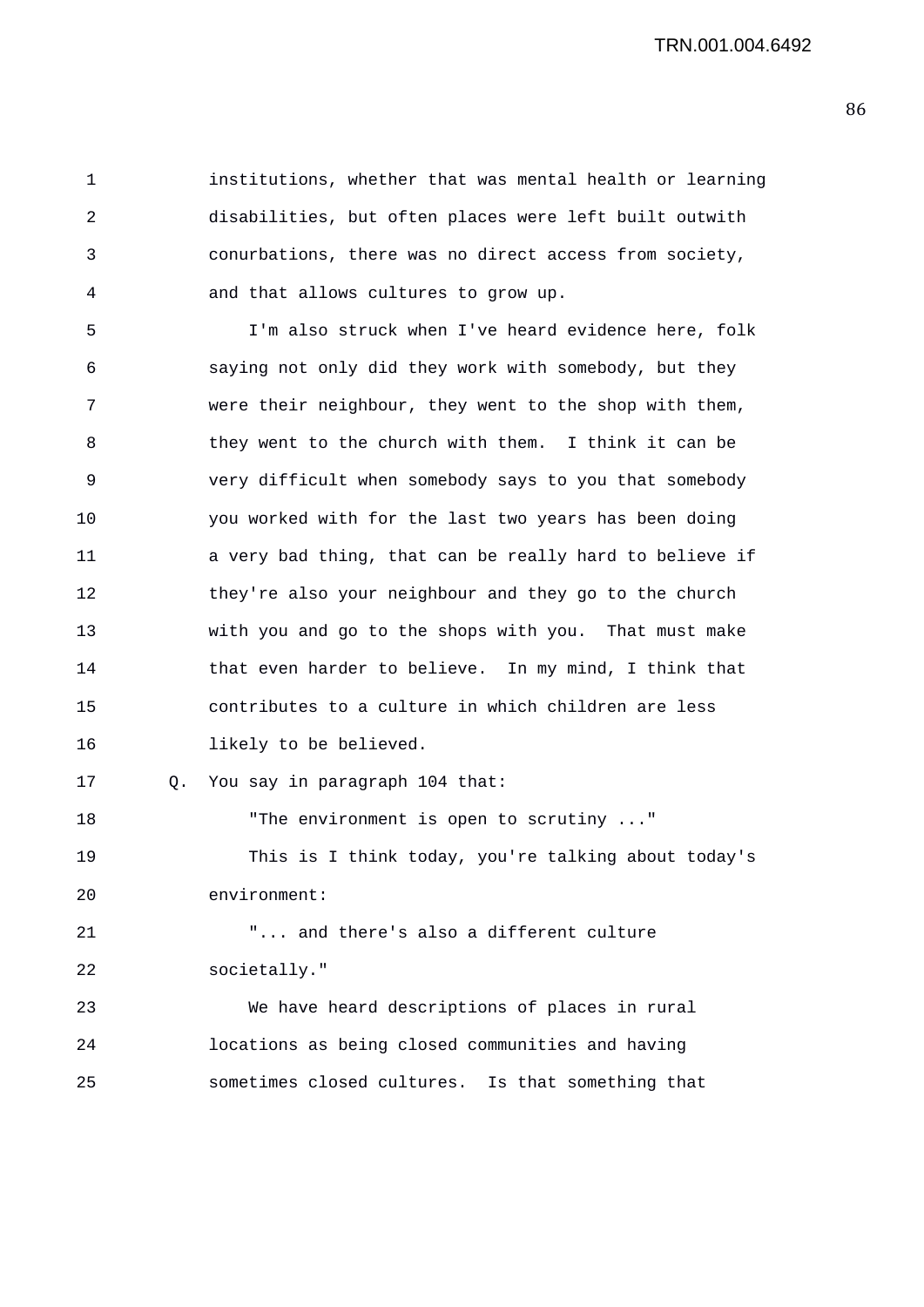1 institutions, whether that was mental health or learning 2 disabilities, but often places were left built outwith 3 conurbations, there was no direct access from society, 4 and that allows cultures to grow up.

5 I'm also struck when I've heard evidence here, folk 6 saying not only did they work with somebody, but they 7 were their neighbour, they went to the shop with them, 8 they went to the church with them. I think it can be 9 very difficult when somebody says to you that somebody 10 you worked with for the last two years has been doing 11 a very bad thing, that can be really hard to believe if 12 they're also your neighbour and they go to the church 13 with you and go to the shops with you. That must make 14 that even harder to believe. In my mind, I think that 15 contributes to a culture in which children are less 16 likely to be believed.

17 Q. You say in paragraph 104 that:

19 This is I think today, you're talking about today's 20 environment:

21 "... and there's also a different culture 22 societally."

18 The environment is open to scrutiny ..."

23 We have heard descriptions of places in rural 24 locations as being closed communities and having 25 sometimes closed cultures. Is that something that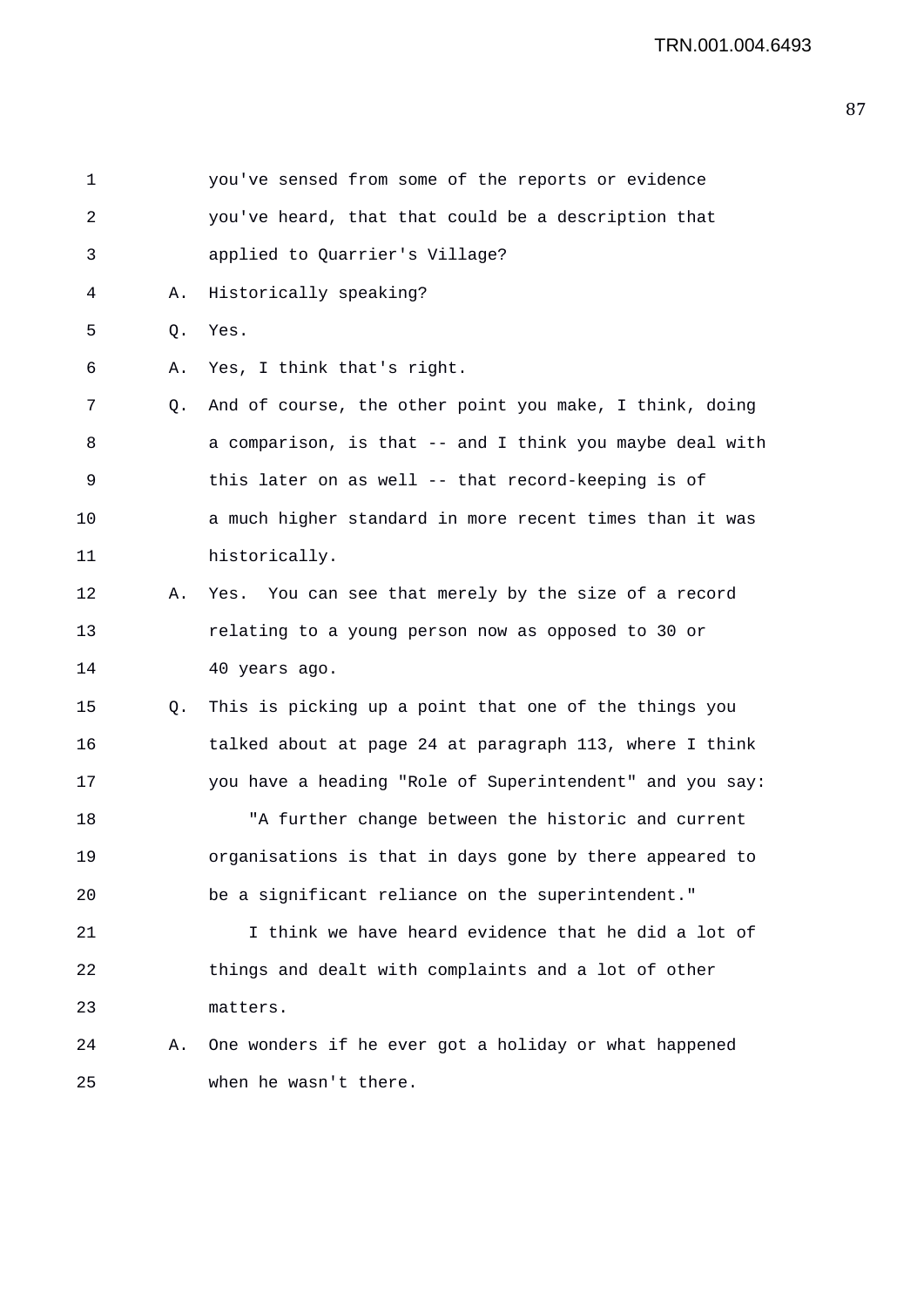| $\mathbf 1$ |    | you've sensed from some of the reports or evidence       |
|-------------|----|----------------------------------------------------------|
| 2           |    | you've heard, that that could be a description that      |
| 3           |    | applied to Quarrier's Village?                           |
| 4           | Α. | Historically speaking?                                   |
| 5           | Q. | Yes.                                                     |
| 6           | Α. | Yes, I think that's right.                               |
| 7           | Q. | And of course, the other point you make, I think, doing  |
| 8           |    | a comparison, is that -- and I think you maybe deal with |
| 9           |    | this later on as well -- that record-keeping is of       |
| 10          |    | a much higher standard in more recent times than it was  |
| 11          |    | historically.                                            |
| 12          | Α. | Yes. You can see that merely by the size of a record     |
| 13          |    | relating to a young person now as opposed to 30 or       |
| 14          |    | 40 years ago.                                            |
| 15          | Q. | This is picking up a point that one of the things you    |
| 16          |    | talked about at page 24 at paragraph 113, where I think  |
| 17          |    | you have a heading "Role of Superintendent" and you say: |
| 18          |    | "A further change between the historic and current       |
| 19          |    | organisations is that in days gone by there appeared to  |
| 20          |    | be a significant reliance on the superintendent."        |
| 21          |    | I think we have heard evidence that he did a lot of      |
| 22          |    | things and dealt with complaints and a lot of other      |
| 23          |    | matters.                                                 |
| 24          | Α. | One wonders if he ever got a holiday or what happened    |
| 25          |    | when he wasn't there.                                    |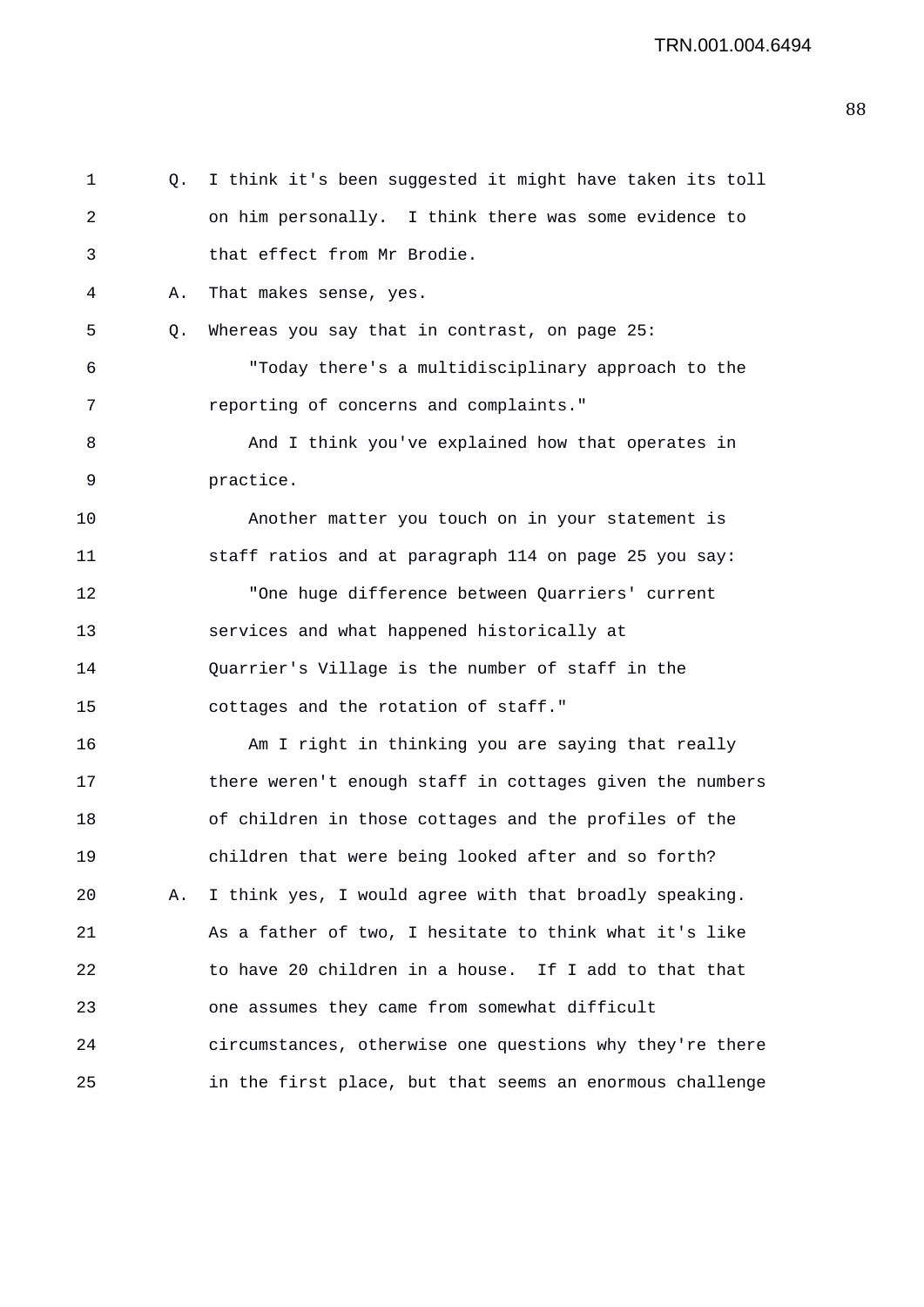| 1  | Q. | I think it's been suggested it might have taken its toll |
|----|----|----------------------------------------------------------|
| 2  |    | on him personally. I think there was some evidence to    |
| 3  |    | that effect from Mr Brodie.                              |
| 4  | Α. | That makes sense, yes.                                   |
| 5  | Q. | Whereas you say that in contrast, on page 25:            |
| 6  |    | "Today there's a multidisciplinary approach to the       |
| 7  |    | reporting of concerns and complaints."                   |
| 8  |    | And I think you've explained how that operates in        |
| 9  |    | practice.                                                |
| 10 |    | Another matter you touch on in your statement is         |
| 11 |    | staff ratios and at paragraph 114 on page 25 you say:    |
| 12 |    | "One huge difference between Quarriers' current          |
| 13 |    | services and what happened historically at               |
| 14 |    | Quarrier's Village is the number of staff in the         |
| 15 |    | cottages and the rotation of staff."                     |
| 16 |    | Am I right in thinking you are saying that really        |
| 17 |    | there weren't enough staff in cottages given the numbers |
| 18 |    | of children in those cottages and the profiles of the    |
| 19 |    | children that were being looked after and so forth?      |
| 20 | Α. | I think yes, I would agree with that broadly speaking.   |
| 21 |    | As a father of two, I hesitate to think what it's like   |
| 22 |    | to have 20 children in a house. If I add to that that    |
| 23 |    | one assumes they came from somewhat difficult            |
| 24 |    | circumstances, otherwise one questions why they're there |
| 25 |    | in the first place, but that seems an enormous challenge |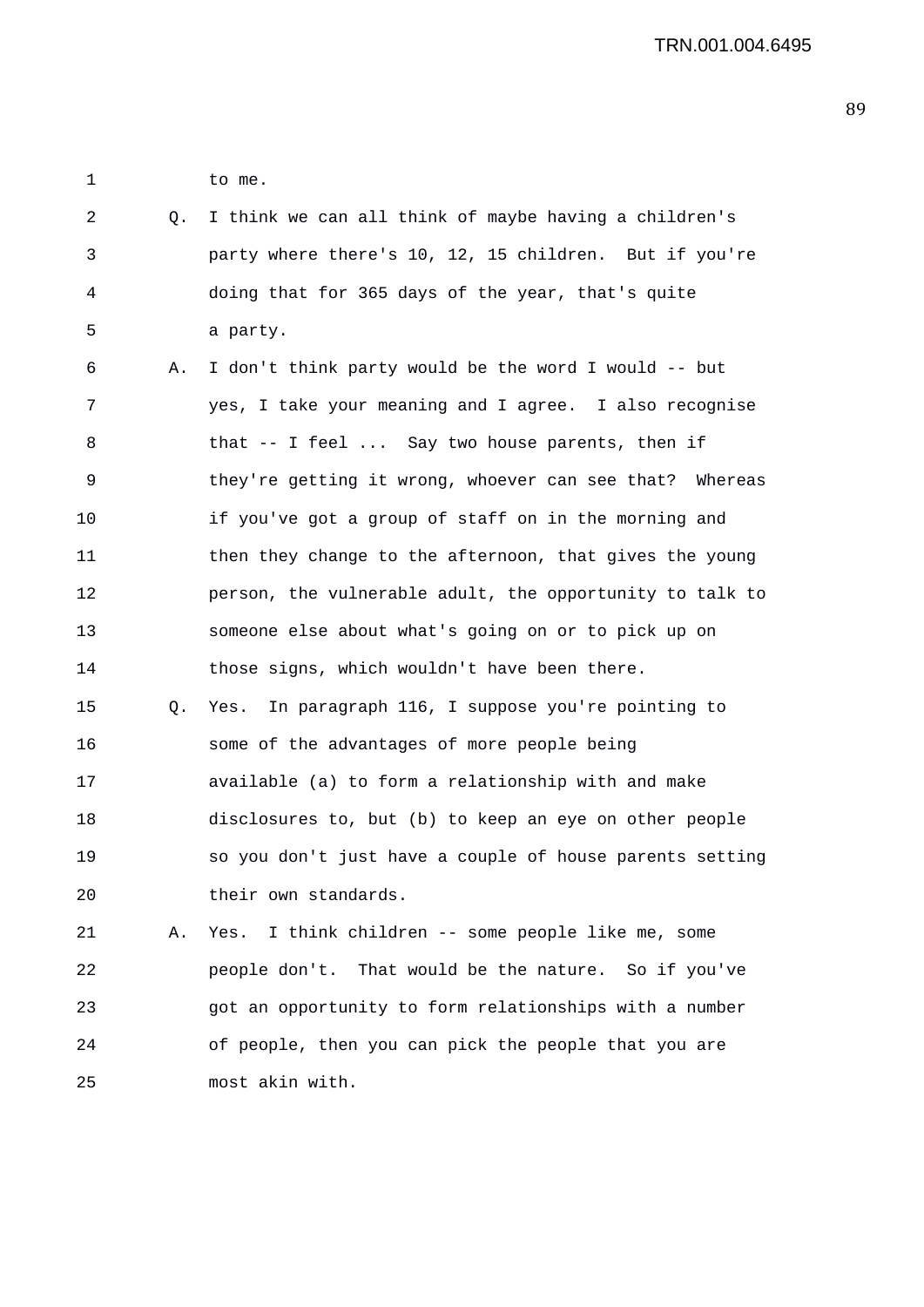1 to me.

- 2 Q. I think we can all think of maybe having a children's 3 party where there's 10, 12, 15 children. But if you're 4 doing that for 365 days of the year, that's quite 5 a party.
- 6 A. I don't think party would be the word I would -- but 7 yes, I take your meaning and I agree. I also recognise 8 that -- I feel ... Say two house parents, then if 9 they're getting it wrong, whoever can see that? Whereas 10 if you've got a group of staff on in the morning and 11 then they change to the afternoon, that gives the young 12 person, the vulnerable adult, the opportunity to talk to 13 someone else about what's going on or to pick up on 14 those signs, which wouldn't have been there. 15 Q. Yes. In paragraph 116, I suppose you're pointing to 16 some of the advantages of more people being 17 available (a) to form a relationship with and make 18 disclosures to, but (b) to keep an eye on other people
- 19 so you don't just have a couple of house parents setting 20 their own standards.

21 A. Yes. I think children -- some people like me, some 22 people don't. That would be the nature. So if you've 23 got an opportunity to form relationships with a number 24 of people, then you can pick the people that you are 25 most akin with.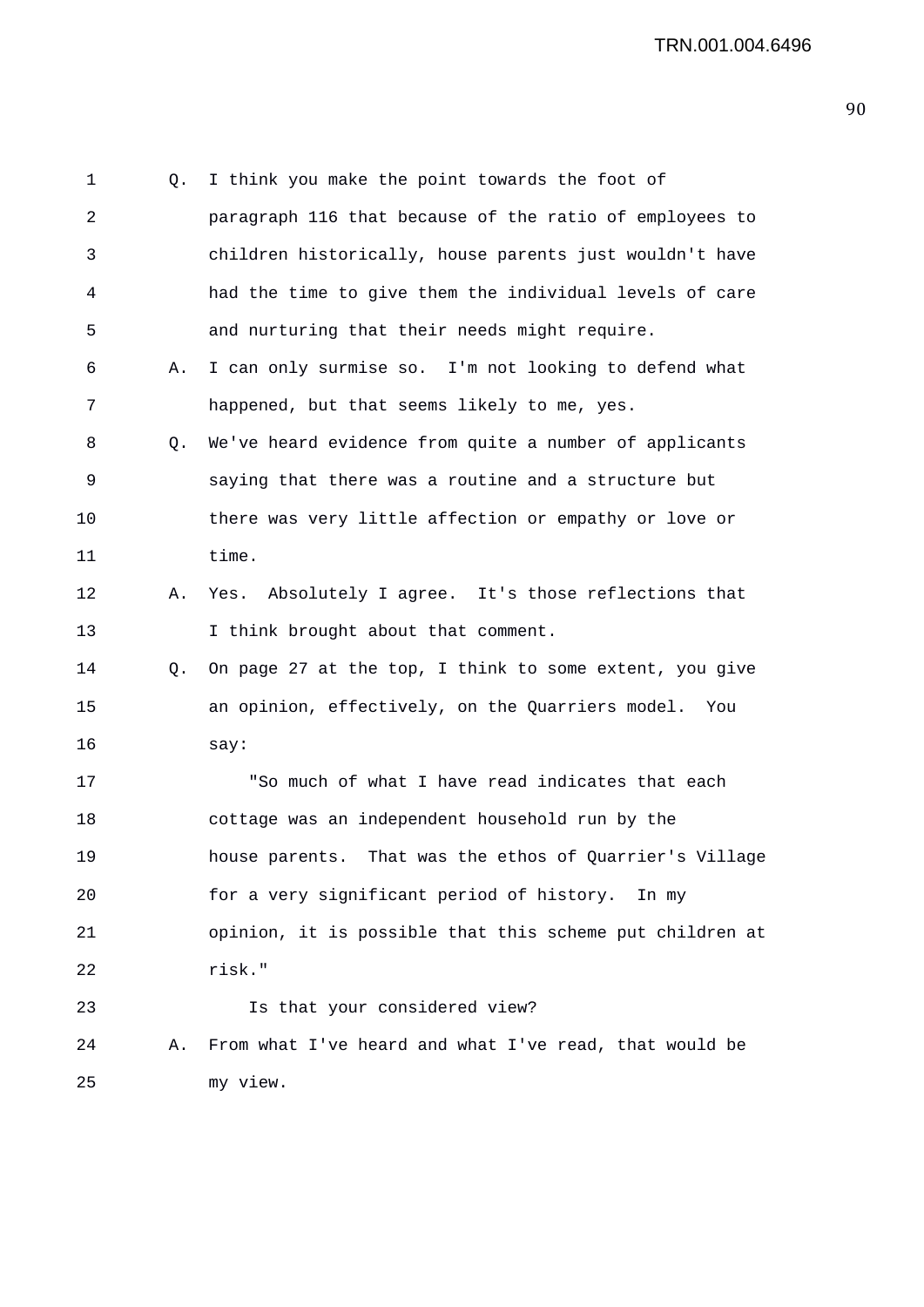1 Q. I think you make the point towards the foot of 2 paragraph 116 that because of the ratio of employees to 3 children historically, house parents just wouldn't have 4 had the time to give them the individual levels of care 5 and nurturing that their needs might require. 6 A. I can only surmise so. I'm not looking to defend what 7 happened, but that seems likely to me, yes. 8 Q. We've heard evidence from quite a number of applicants 9 saying that there was a routine and a structure but 10 there was very little affection or empathy or love or 11 time. 12 A. Yes. Absolutely I agree. It's those reflections that 13 I think brought about that comment. 14 Q. On page 27 at the top, I think to some extent, you give 15 an opinion, effectively, on the Quarriers model. You 16 say: 17 "So much of what I have read indicates that each 18 cottage was an independent household run by the 19 house parents. That was the ethos of Quarrier's Village 20 for a very significant period of history. In my 21 opinion, it is possible that this scheme put children at 22 risk." 23 Is that your considered view? 24 A. From what I've heard and what I've read, that would be 25 my view.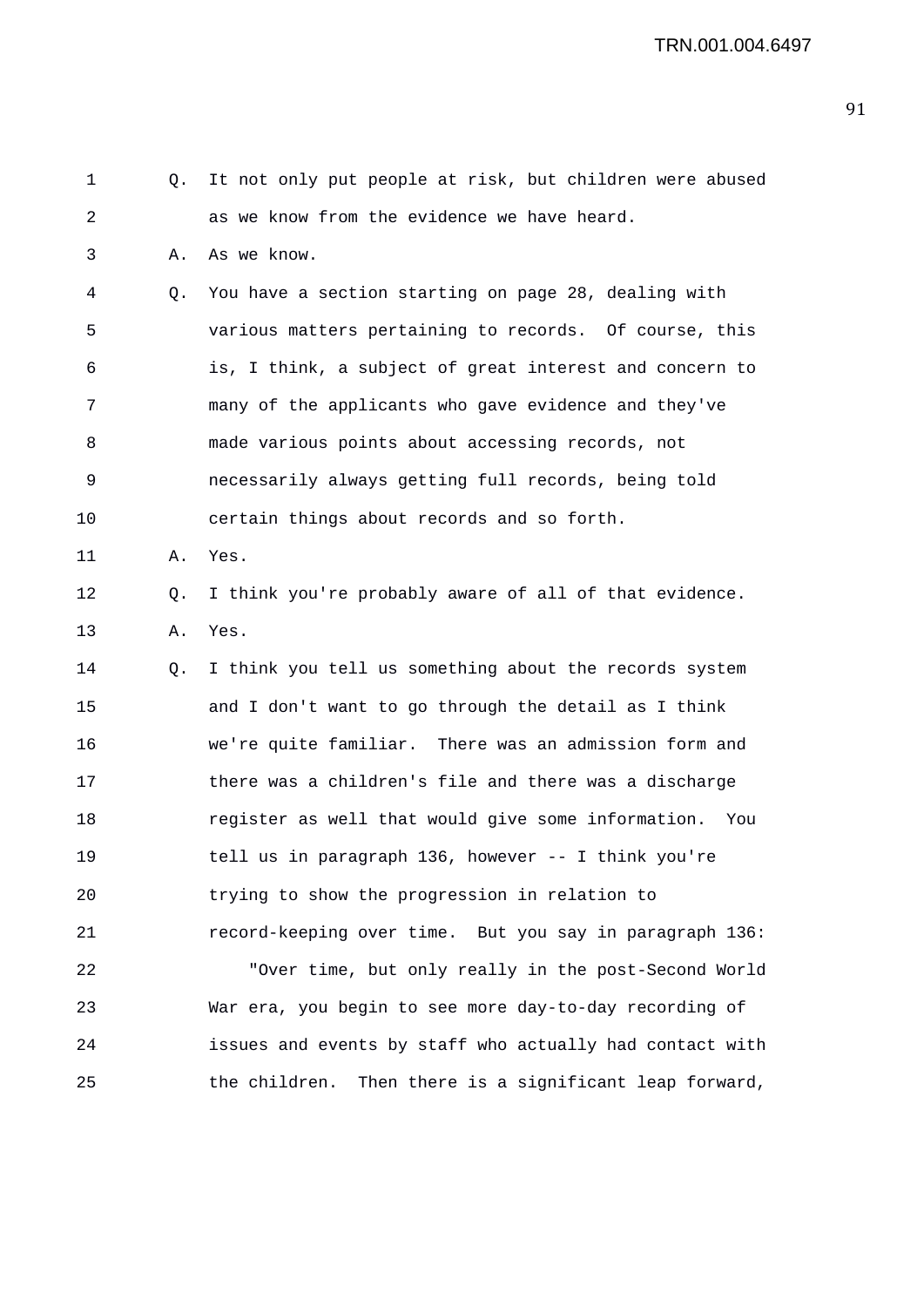1 Q. It not only put people at risk, but children were abused 2 as we know from the evidence we have heard. 3 A. As we know. 4 Q. You have a section starting on page 28, dealing with 5 various matters pertaining to records. Of course, this 6 is, I think, a subject of great interest and concern to 7 many of the applicants who gave evidence and they've 8 made various points about accessing records, not 9 necessarily always getting full records, being told 10 certain things about records and so forth. 11 A. Yes. 12 Q. I think you're probably aware of all of that evidence. 13 A. Yes. 14 Q. I think you tell us something about the records system 15 and I don't want to go through the detail as I think 16 we're quite familiar. There was an admission form and 17 there was a children's file and there was a discharge 18 register as well that would give some information. You 19 tell us in paragraph 136, however -- I think you're 20 trying to show the progression in relation to 21 record-keeping over time. But you say in paragraph 136: 22 "Over time, but only really in the post-Second World 23 War era, you begin to see more day-to-day recording of 24 issues and events by staff who actually had contact with 25 the children. Then there is a significant leap forward,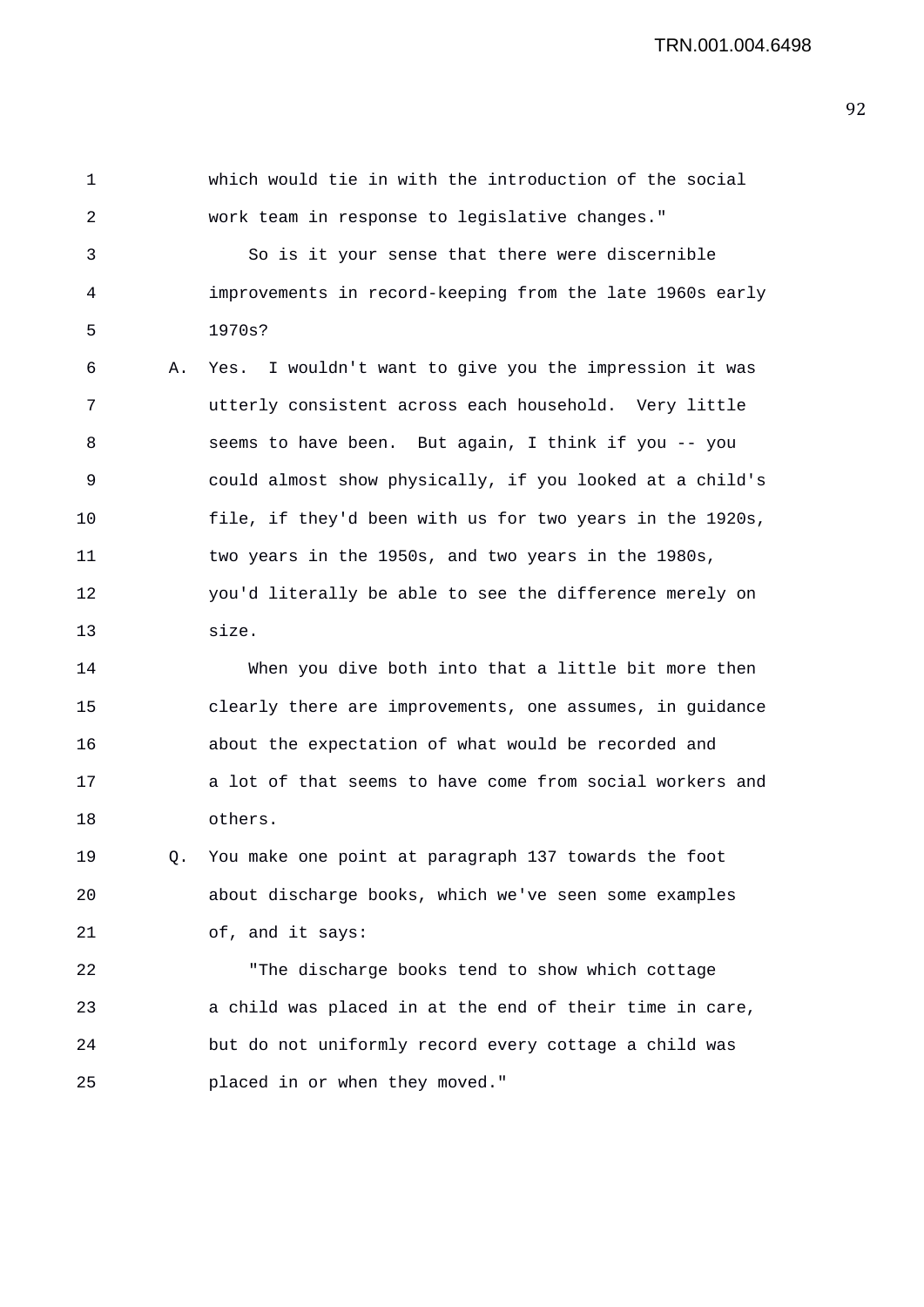1 which would tie in with the introduction of the social 2 work team in response to legislative changes." 3 So is it your sense that there were discernible 4 improvements in record-keeping from the late 1960s early 5 1970s? 6 A. Yes. I wouldn't want to give you the impression it was 7 utterly consistent across each household. Very little 8 seems to have been. But again, I think if you -- you 9 could almost show physically, if you looked at a child's 10 file, if they'd been with us for two years in the 1920s, 11 two years in the 1950s, and two years in the 1980s, 12 you'd literally be able to see the difference merely on 13 size.

14 When you dive both into that a little bit more then 15 clearly there are improvements, one assumes, in guidance 16 about the expectation of what would be recorded and 17 a lot of that seems to have come from social workers and 18 others.

19 Q. You make one point at paragraph 137 towards the foot 20 about discharge books, which we've seen some examples 21 of, and it says:

22 "The discharge books tend to show which cottage 23 a child was placed in at the end of their time in care, 24 but do not uniformly record every cottage a child was 25 placed in or when they moved."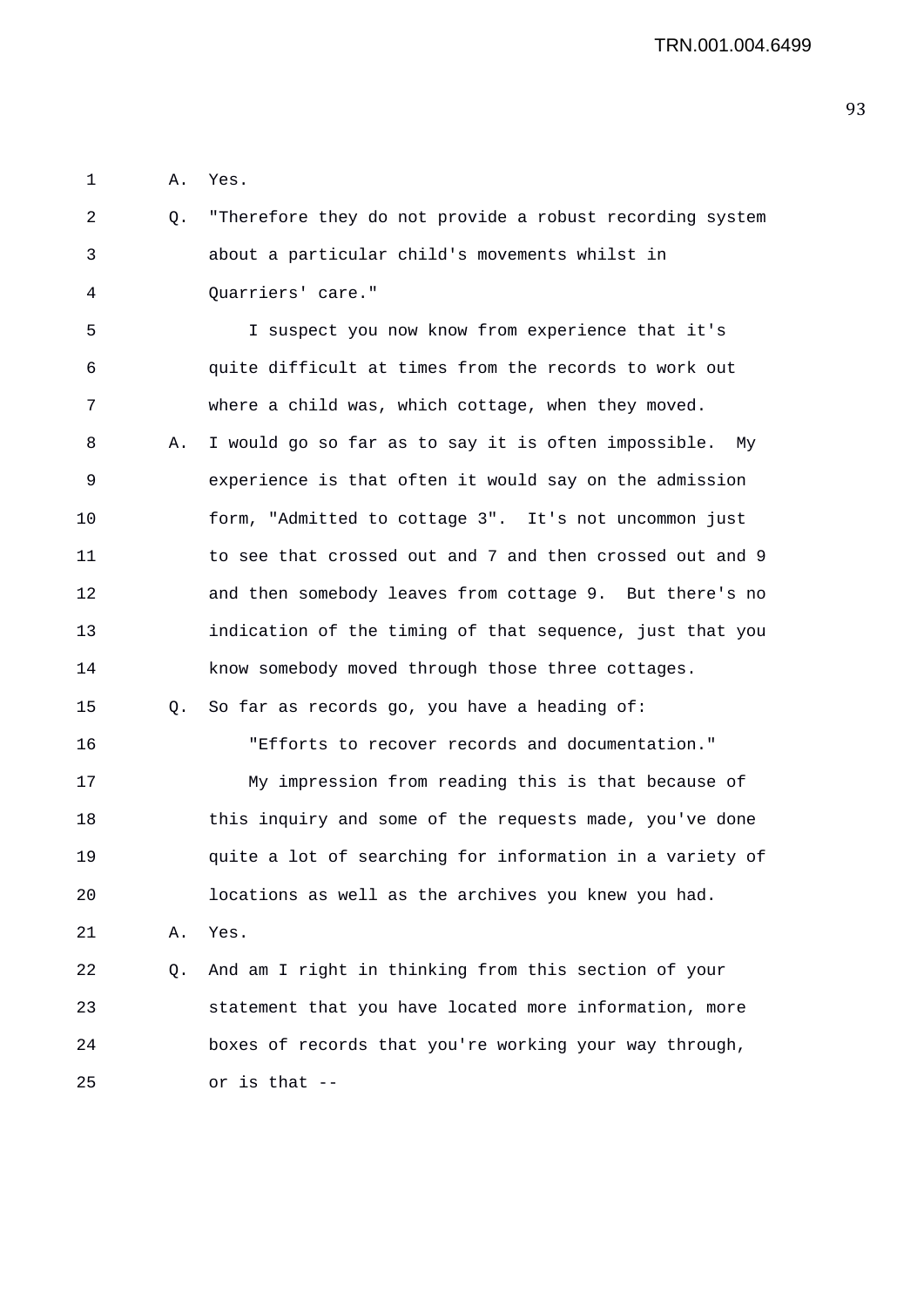1 A. Yes.

2 Q. "Therefore they do not provide a robust recording system 3 about a particular child's movements whilst in 4 Quarriers' care."

5 I suspect you now know from experience that it's 6 quite difficult at times from the records to work out 7 where a child was, which cottage, when they moved. 8 A. I would go so far as to say it is often impossible. My 9 experience is that often it would say on the admission 10 form, "Admitted to cottage 3". It's not uncommon just 11 to see that crossed out and 7 and then crossed out and 9 12 and then somebody leaves from cottage 9. But there's no 13 indication of the timing of that sequence, just that you 14 know somebody moved through those three cottages. 15 Q. So far as records go, you have a heading of: 16 "Efforts to recover records and documentation." 17 My impression from reading this is that because of 18 this inquiry and some of the requests made, you've done 19 quite a lot of searching for information in a variety of 20 locations as well as the archives you knew you had. 21 A. Yes. 22 Q. And am I right in thinking from this section of your 23 statement that you have located more information, more 24 boxes of records that you're working your way through,

25 or is that --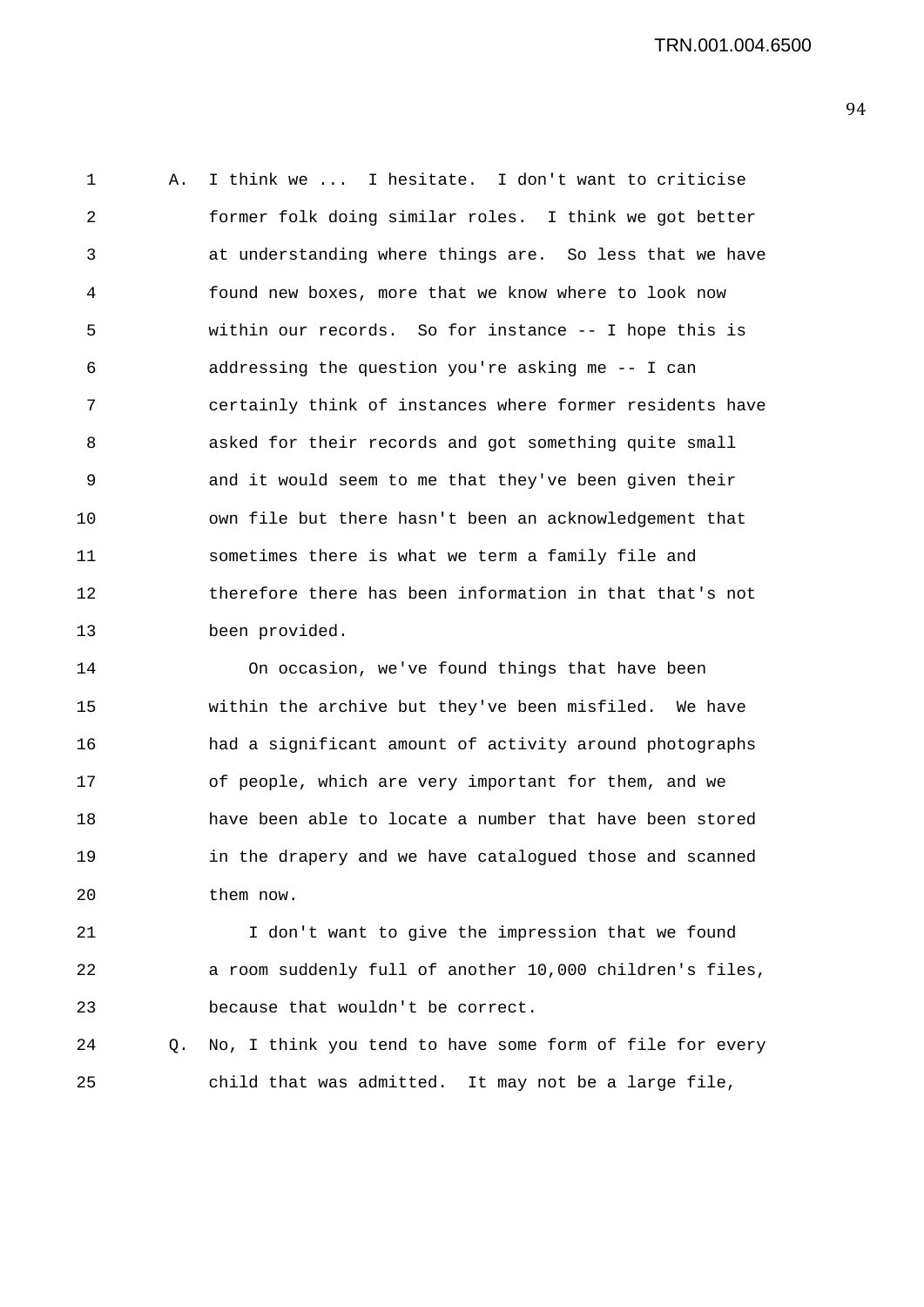1 A. I think we ... I hesitate. I don't want to criticise 2 former folk doing similar roles. I think we got better 3 at understanding where things are. So less that we have 4 found new boxes, more that we know where to look now 5 within our records. So for instance -- I hope this is 6 addressing the question you're asking me -- I can 7 certainly think of instances where former residents have 8 asked for their records and got something quite small 9 and it would seem to me that they've been given their 10 own file but there hasn't been an acknowledgement that 11 sometimes there is what we term a family file and 12 therefore there has been information in that that's not 13 been provided.

14 On occasion, we've found things that have been 15 within the archive but they've been misfiled. We have 16 had a significant amount of activity around photographs 17 of people, which are very important for them, and we 18 have been able to locate a number that have been stored 19 in the drapery and we have catalogued those and scanned 20 them now.

21 I don't want to give the impression that we found 22 a room suddenly full of another 10,000 children's files, 23 because that wouldn't be correct.

24 Q. No, I think you tend to have some form of file for every 25 child that was admitted. It may not be a large file,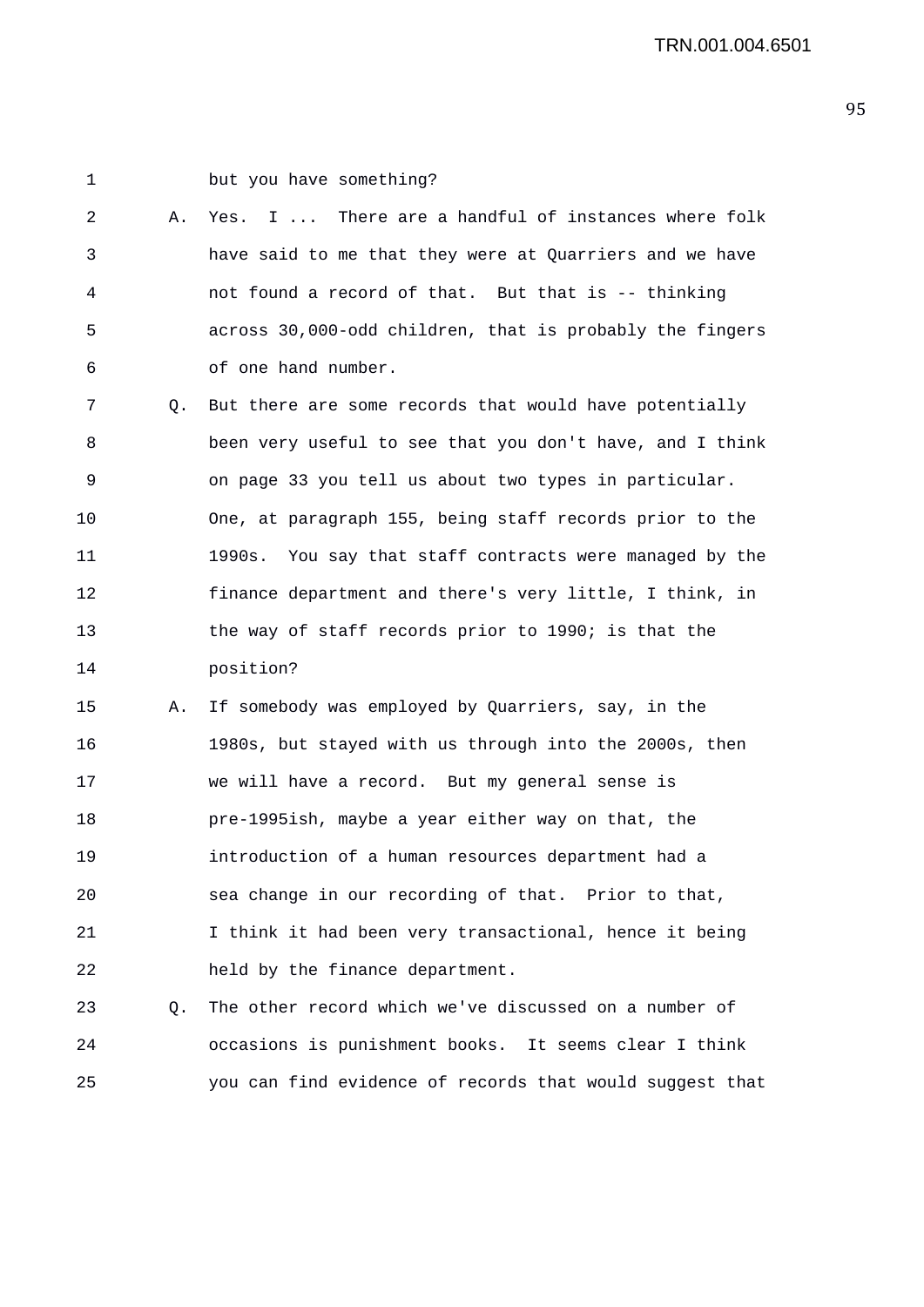1 but you have something? 2 A. Yes. I ... There are a handful of instances where folk 3 have said to me that they were at Quarriers and we have 4 not found a record of that. But that is -- thinking 5 across 30,000-odd children, that is probably the fingers 6 of one hand number. 7 Q. But there are some records that would have potentially 8 been very useful to see that you don't have, and I think 9 on page 33 you tell us about two types in particular. 10 One, at paragraph 155, being staff records prior to the 11 1990s. You say that staff contracts were managed by the 12 finance department and there's very little, I think, in 13 the way of staff records prior to 1990; is that the 14 position? 15 A. If somebody was employed by Quarriers, say, in the 16 1980s, but stayed with us through into the 2000s, then 17 we will have a record. But my general sense is 18 pre-1995ish, maybe a year either way on that, the 19 introduction of a human resources department had a 20 sea change in our recording of that. Prior to that, 21 I think it had been very transactional, hence it being 22 held by the finance department. 23 Q. The other record which we've discussed on a number of 24 occasions is punishment books. It seems clear I think 25 you can find evidence of records that would suggest that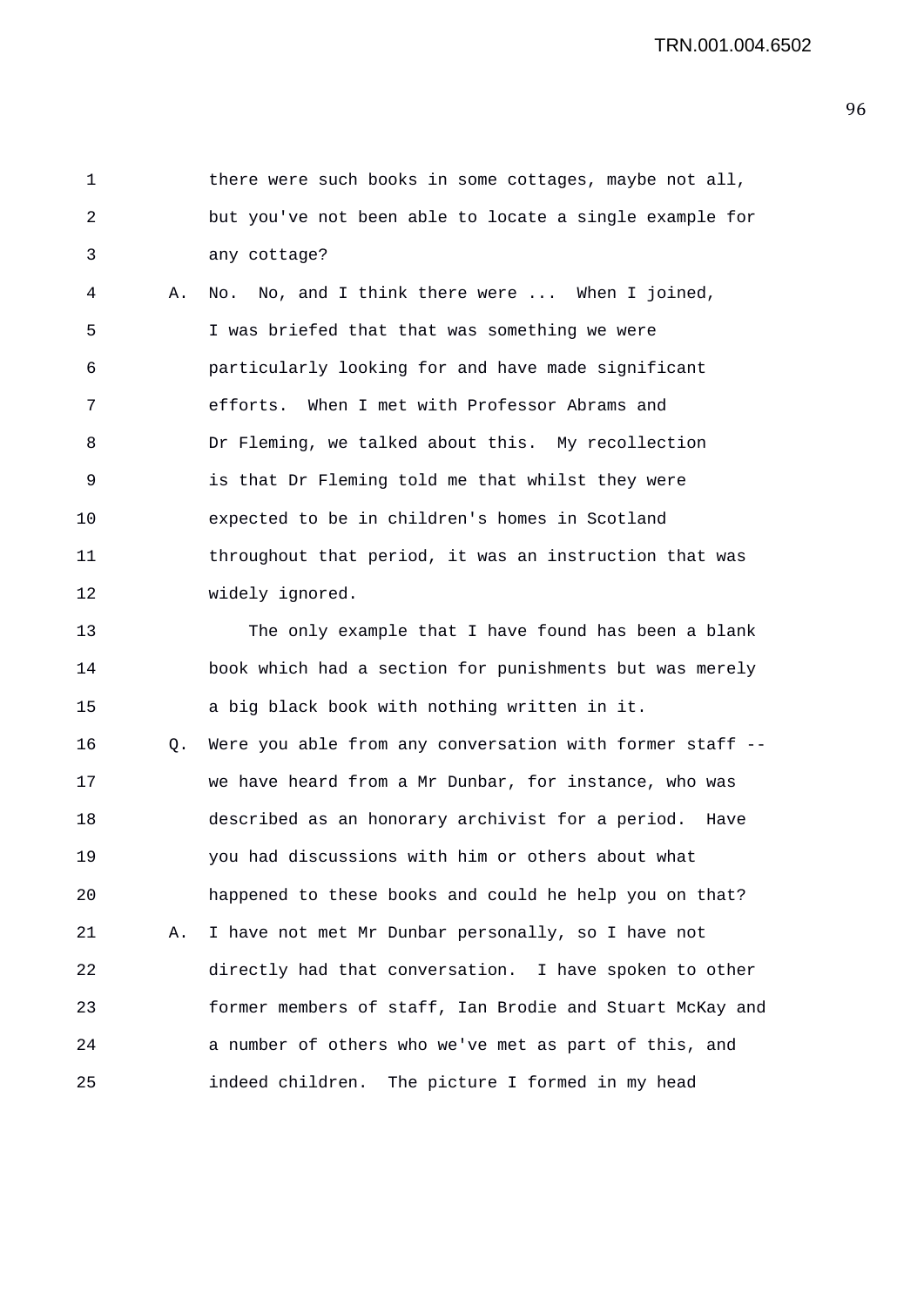1 there were such books in some cottages, maybe not all, 2 but you've not been able to locate a single example for 3 any cottage?

4 A. No. No, and I think there were ... When I joined, 5 I was briefed that that was something we were 6 particularly looking for and have made significant 7 efforts. When I met with Professor Abrams and 8 Dr Fleming, we talked about this. My recollection 9 is that Dr Fleming told me that whilst they were 10 expected to be in children's homes in Scotland 11 throughout that period, it was an instruction that was 12 widely ignored.

13 The only example that I have found has been a blank 14 book which had a section for punishments but was merely 15 a big black book with nothing written in it.

16 Q. Were you able from any conversation with former staff -- 17 we have heard from a Mr Dunbar, for instance, who was 18 described as an honorary archivist for a period. Have 19 you had discussions with him or others about what 20 happened to these books and could he help you on that? 21 A. I have not met Mr Dunbar personally, so I have not 22 directly had that conversation. I have spoken to other 23 former members of staff, Ian Brodie and Stuart McKay and 24 a number of others who we've met as part of this, and 25 indeed children. The picture I formed in my head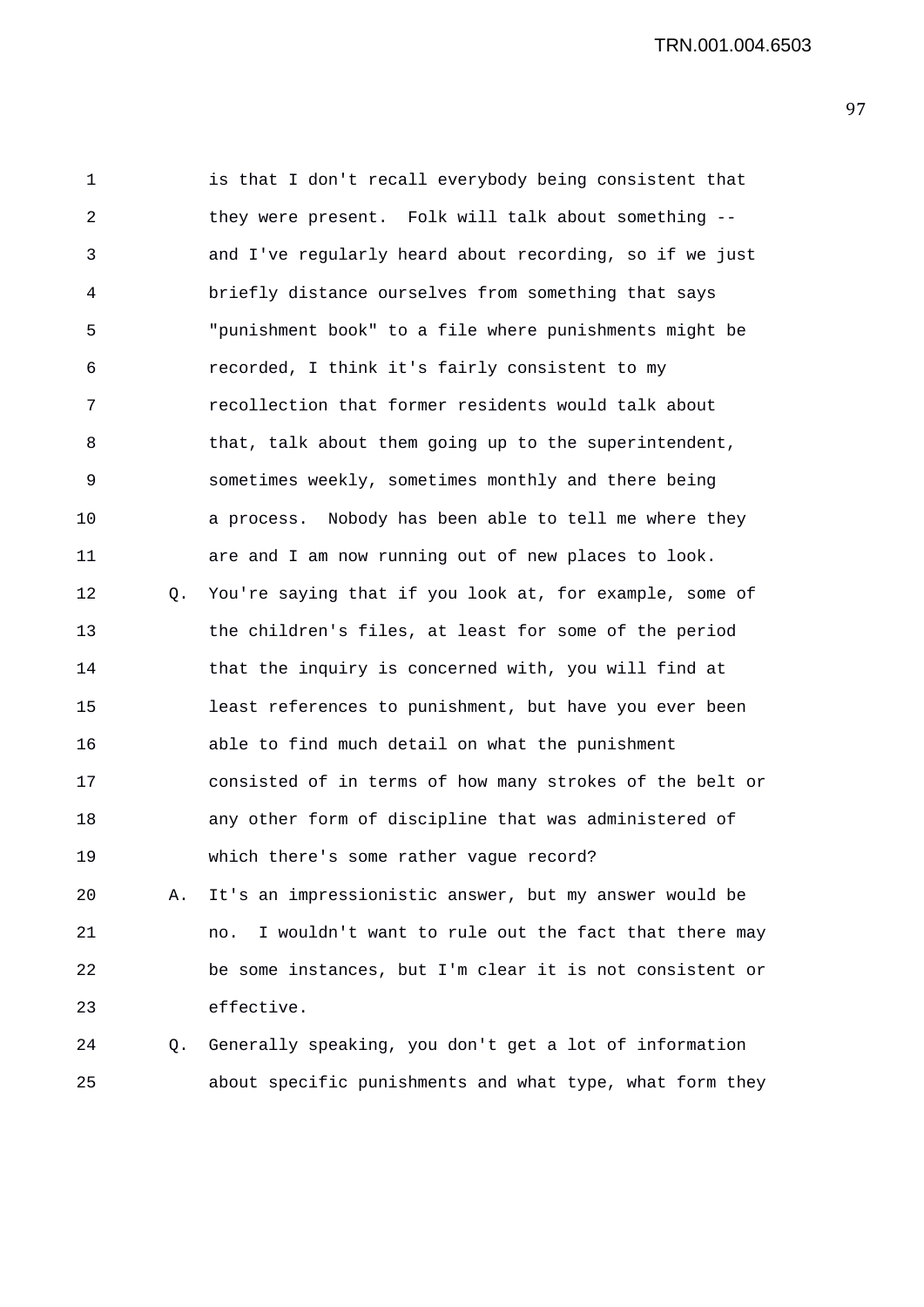TRN.001.004.6503

1 is that I don't recall everybody being consistent that 2 they were present. Folk will talk about something -- 3 and I've regularly heard about recording, so if we just 4 briefly distance ourselves from something that says 5 "punishment book" to a file where punishments might be 6 recorded, I think it's fairly consistent to my 7 recollection that former residents would talk about 8 that, talk about them going up to the superintendent, 9 sometimes weekly, sometimes monthly and there being 10 a process. Nobody has been able to tell me where they 11 are and I am now running out of new places to look. 12 Q. You're saying that if you look at, for example, some of 13 the children's files, at least for some of the period 14 that the inquiry is concerned with, you will find at 15 least references to punishment, but have you ever been 16 able to find much detail on what the punishment 17 consisted of in terms of how many strokes of the belt or 18 any other form of discipline that was administered of 19 which there's some rather vague record? 20 A. It's an impressionistic answer, but my answer would be 21 no. I wouldn't want to rule out the fact that there may 22 be some instances, but I'm clear it is not consistent or 23 effective. 24 Q. Generally speaking, you don't get a lot of information

- 
- 25 about specific punishments and what type, what form they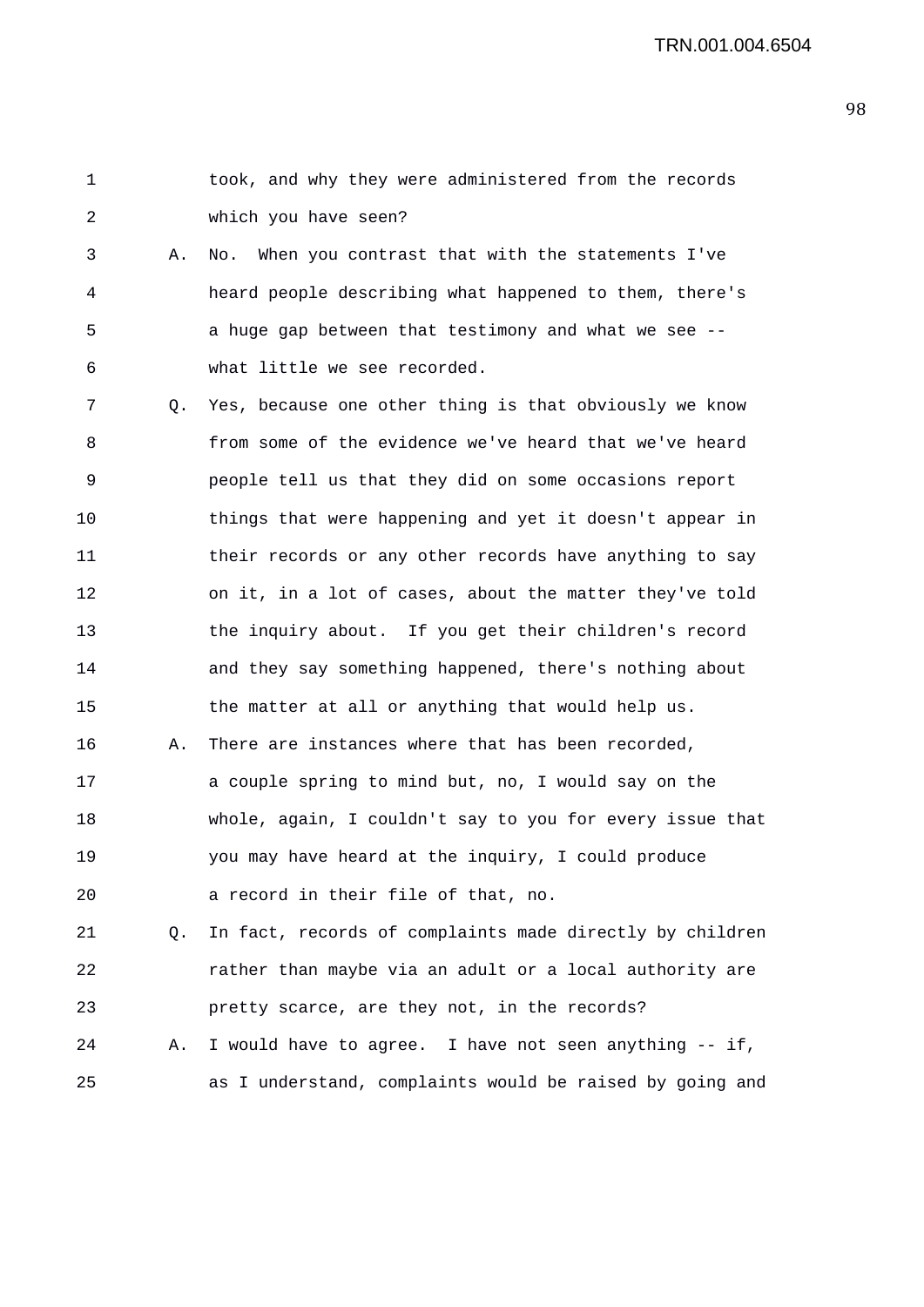| $\overline{2}$ |           | which you have seen?                                     |
|----------------|-----------|----------------------------------------------------------|
| 3              | Α.        | When you contrast that with the statements I've<br>No.   |
| $\overline{4}$ |           | heard people describing what happened to them, there's   |
| 5              |           | a huge gap between that testimony and what we see --     |
| 6              |           | what little we see recorded.                             |
| 7              | $\circ$ . | Yes, because one other thing is that obviously we know   |
| 8              |           | from some of the evidence we've heard that we've heard   |
| 9              |           | people tell us that they did on some occasions report    |
| 10             |           | things that were happening and yet it doesn't appear in  |
| 11             |           | their records or any other records have anything to say  |
| 12             |           | on it, in a lot of cases, about the matter they've told  |
| 13             |           | the inquiry about. If you get their children's record    |
| 14             |           | and they say something happened, there's nothing about   |
| 15             |           | the matter at all or anything that would help us.        |
| 16             | Α.        | There are instances where that has been recorded,        |
| 17             |           | a couple spring to mind but, no, I would say on the      |
| 18             |           | whole, again, I couldn't say to you for every issue that |
| 19             |           | you may have heard at the inquiry, I could produce       |
| 20             |           | a record in their file of that, no.                      |
| 21             | Q.        | In fact, records of complaints made directly by children |
| 22             |           | rather than maybe via an adult or a local authority are  |
| 23             |           | pretty scarce, are they not, in the records?             |
| 24             | Α.        | I would have to agree. I have not seen anything -- if,   |
| 25             |           | as I understand, complaints would be raised by going and |

1 took, and why they were administered from the records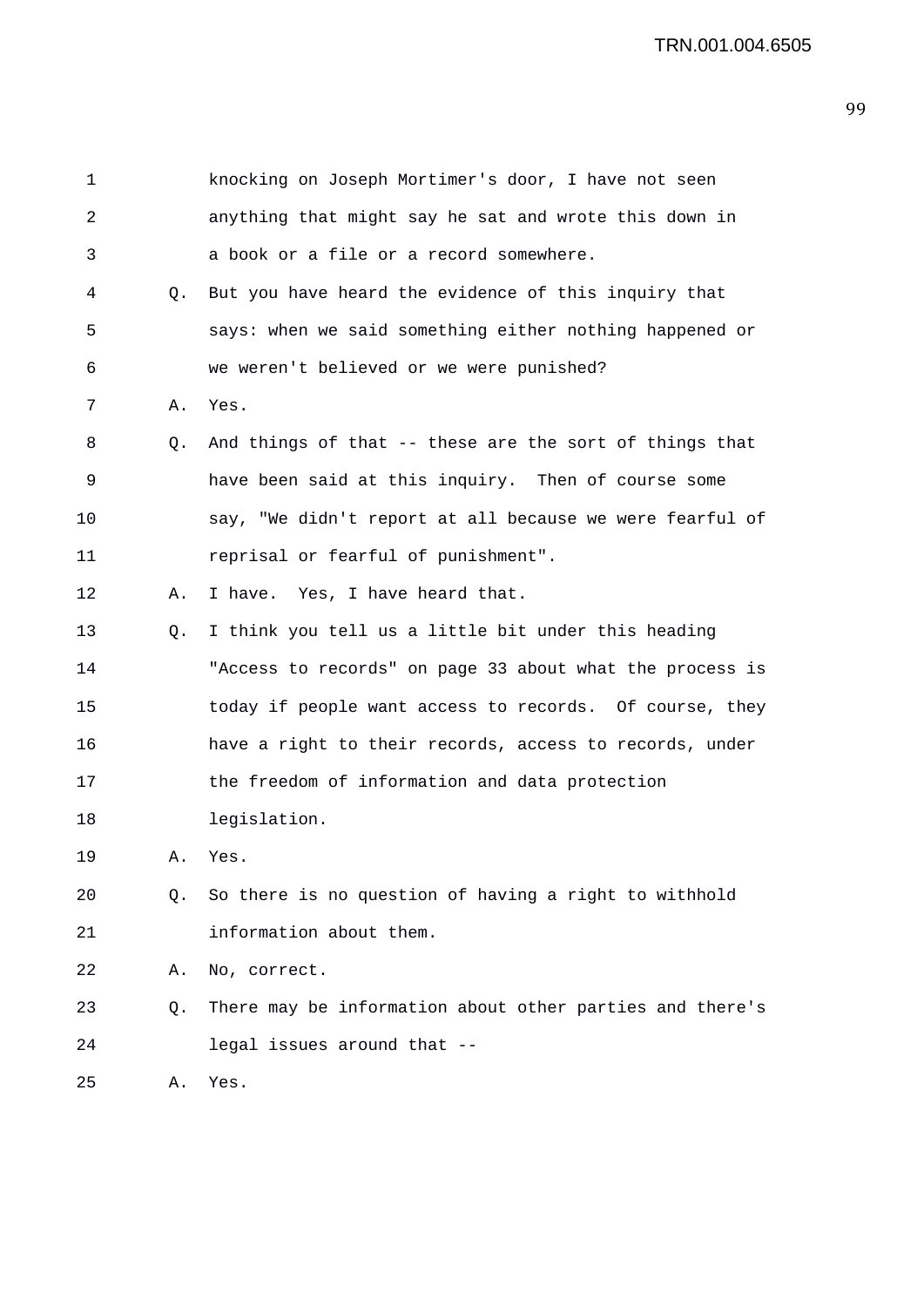| 1  |    | knocking on Joseph Mortimer's door, I have not seen      |
|----|----|----------------------------------------------------------|
| 2  |    | anything that might say he sat and wrote this down in    |
| 3  |    | a book or a file or a record somewhere.                  |
| 4  | Q. | But you have heard the evidence of this inquiry that     |
| 5  |    | says: when we said something either nothing happened or  |
| 6  |    | we weren't believed or we were punished?                 |
| 7  | Α. | Yes.                                                     |
| 8  | Q. | And things of that -- these are the sort of things that  |
| 9  |    | have been said at this inquiry. Then of course some      |
| 10 |    | say, "We didn't report at all because we were fearful of |
| 11 |    | reprisal or fearful of punishment".                      |
| 12 | Α. | I have. Yes, I have heard that.                          |
| 13 | Q. | I think you tell us a little bit under this heading      |
| 14 |    | "Access to records" on page 33 about what the process is |
| 15 |    | today if people want access to records. Of course, they  |
| 16 |    | have a right to their records, access to records, under  |
| 17 |    | the freedom of information and data protection           |
| 18 |    | legislation.                                             |
| 19 | Α. | Yes.                                                     |
| 20 | Q. | So there is no question of having a right to withhold    |
| 21 |    | information about them.                                  |
| 22 | Α. | No, correct.                                             |
| 23 | Q. | There may be information about other parties and there's |
| 24 |    | legal issues around that --                              |
| 25 | Α. | Yes.                                                     |
|    |    |                                                          |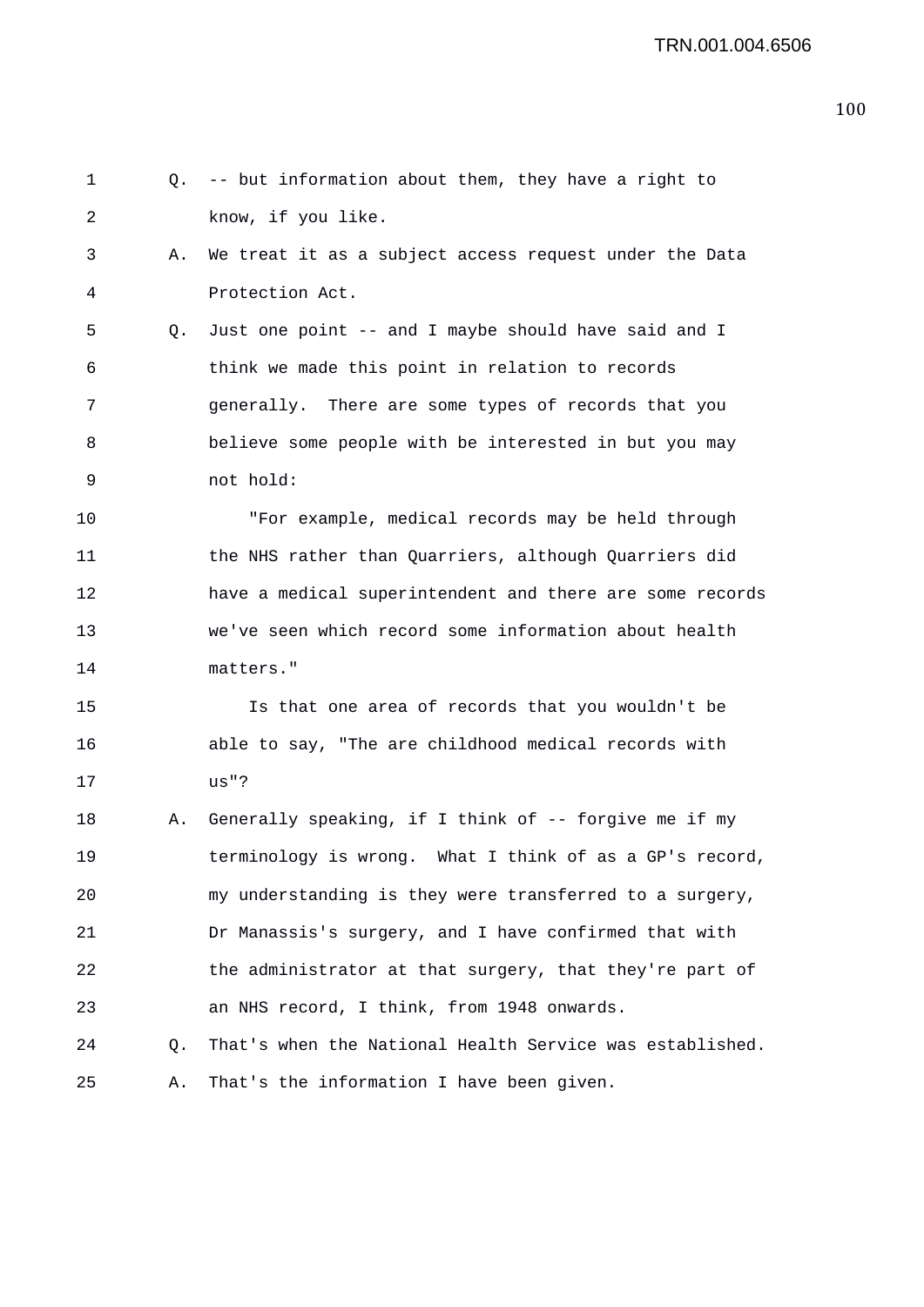```
1 Q. -- but information about them, they have a right to 
2 know, if you like. 
3 A. We treat it as a subject access request under the Data 
4 Protection Act. 
5 Q. Just one point -- and I maybe should have said and I 
6 think we made this point in relation to records 
7 generally. There are some types of records that you 
8 believe some people with be interested in but you may 
9 not hold: 
10 "For example, medical records may be held through 
11 the NHS rather than Quarriers, although Quarriers did 
12 have a medical superintendent and there are some records 
13 we've seen which record some information about health 
14 matters." 
15 Is that one area of records that you wouldn't be 
16 able to say, "The are childhood medical records with 
17 us"? 
18 A. Generally speaking, if I think of -- forgive me if my 
19 terminology is wrong. What I think of as a GP's record, 
20 my understanding is they were transferred to a surgery, 
21 Dr Manassis's surgery, and I have confirmed that with 
22 the administrator at that surgery, that they're part of 
23 an NHS record, I think, from 1948 onwards. 
24 Q. That's when the National Health Service was established. 
25 A. That's the information I have been given.
```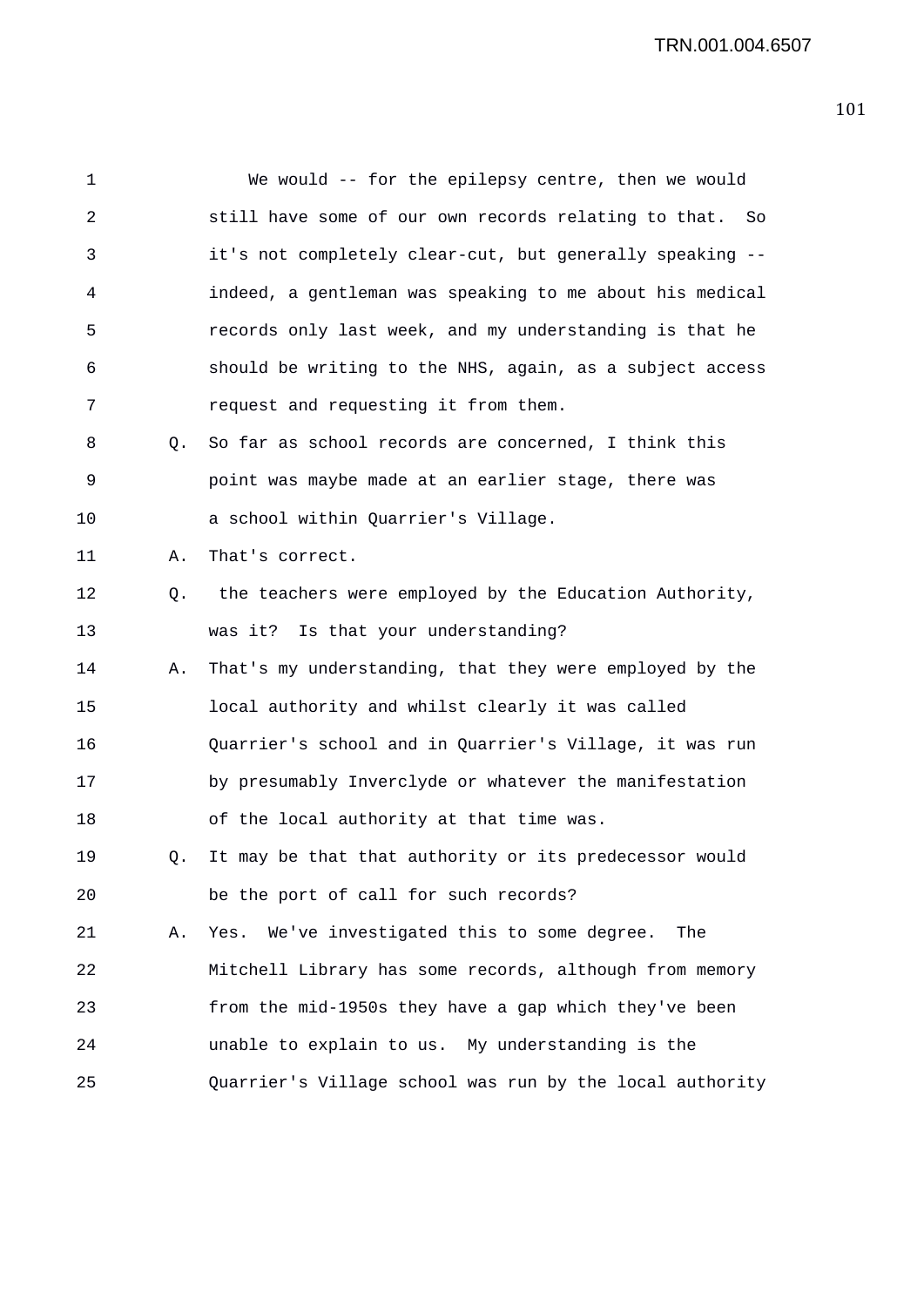| $\mathbf{1}$ |    | We would -- for the epilepsy centre, then we would        |
|--------------|----|-----------------------------------------------------------|
| 2            |    | still have some of our own records relating to that. So   |
| 3            |    | it's not completely clear-cut, but generally speaking --  |
| 4            |    | indeed, a gentleman was speaking to me about his medical  |
| 5            |    | records only last week, and my understanding is that he   |
| 6            |    | should be writing to the NHS, again, as a subject access  |
| 7            |    | request and requesting it from them.                      |
| 8            | Q. | So far as school records are concerned, I think this      |
| 9            |    | point was maybe made at an earlier stage, there was       |
| 10           |    | a school within Quarrier's Village.                       |
| 11           | Α. | That's correct.                                           |
| 12           | Q. | the teachers were employed by the Education Authority,    |
| 13           |    | was it? Is that your understanding?                       |
| 14           | Α. | That's my understanding, that they were employed by the   |
| 15           |    | local authority and whilst clearly it was called          |
| 16           |    | Quarrier's school and in Quarrier's Village, it was run   |
| 17           |    | by presumably Inverclyde or whatever the manifestation    |
| 18           |    | of the local authority at that time was.                  |
| 19           |    | Q. It may be that that authority or its predecessor would |
| 20           |    | be the port of call for such records?                     |
| 21           | Α. | Yes. We've investigated this to some degree.<br>The       |
| 22           |    | Mitchell Library has some records, although from memory   |
| 23           |    | from the mid-1950s they have a gap which they've been     |
| 24           |    | unable to explain to us. My understanding is the          |
| 25           |    | Quarrier's Village school was run by the local authority  |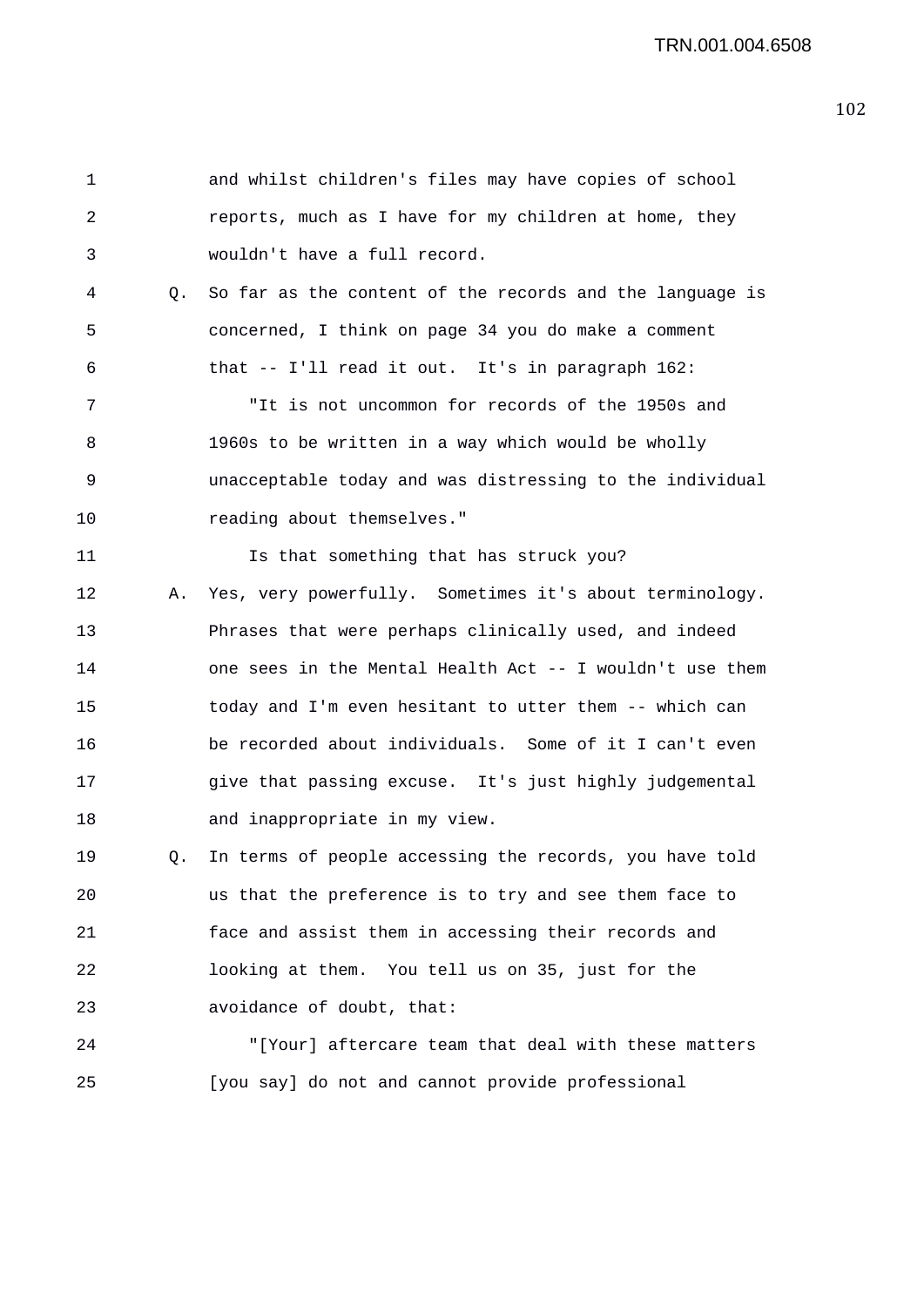1 and whilst children's files may have copies of school 2 reports, much as I have for my children at home, they 3 wouldn't have a full record. 4 Q. So far as the content of the records and the language is 5 concerned, I think on page 34 you do make a comment 6 that -- I'll read it out. It's in paragraph 162: 7 "It is not uncommon for records of the 1950s and 8 1960s to be written in a way which would be wholly 9 unacceptable today and was distressing to the individual 10 reading about themselves." 11 15 Is that something that has struck you? 12 A. Yes, very powerfully. Sometimes it's about terminology. 13 Phrases that were perhaps clinically used, and indeed 14 one sees in the Mental Health Act -- I wouldn't use them 15 today and I'm even hesitant to utter them -- which can 16 be recorded about individuals. Some of it I can't even 17 give that passing excuse. It's just highly judgemental 18 and inappropriate in my view. 19 Q. In terms of people accessing the records, you have told 20 us that the preference is to try and see them face to 21 face and assist them in accessing their records and 22 looking at them. You tell us on 35, just for the 23 avoidance of doubt, that: 24 "[Your] aftercare team that deal with these matters 25 [you say] do not and cannot provide professional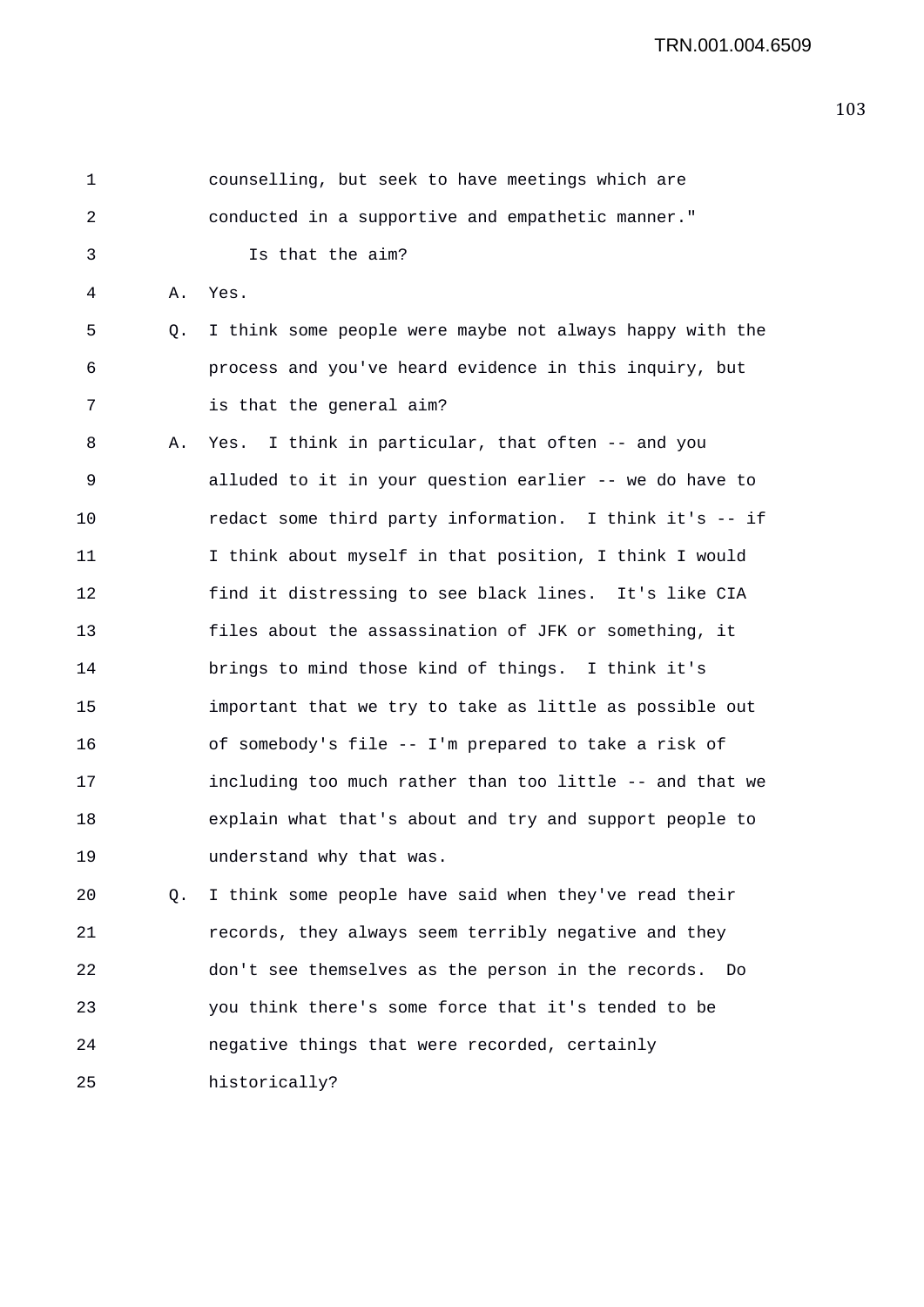1 counselling, but seek to have meetings which are 2 conducted in a supportive and empathetic manner." 3 Is that the aim? 4 A. Yes. 5 Q. I think some people were maybe not always happy with the 6 process and you've heard evidence in this inquiry, but 7 is that the general aim? 8 A. Yes. I think in particular, that often -- and you 9 alluded to it in your question earlier -- we do have to 10 redact some third party information. I think it's -- if 11 I think about myself in that position, I think I would 12 find it distressing to see black lines. It's like CIA 13 files about the assassination of JFK or something, it 14 brings to mind those kind of things. I think it's 15 important that we try to take as little as possible out 16 of somebody's file -- I'm prepared to take a risk of 17 including too much rather than too little -- and that we 18 explain what that's about and try and support people to 19 understand why that was. 20 Q. I think some people have said when they've read their 21 records, they always seem terribly negative and they 22 don't see themselves as the person in the records. Do 23 you think there's some force that it's tended to be 24 negative things that were recorded, certainly 25 historically?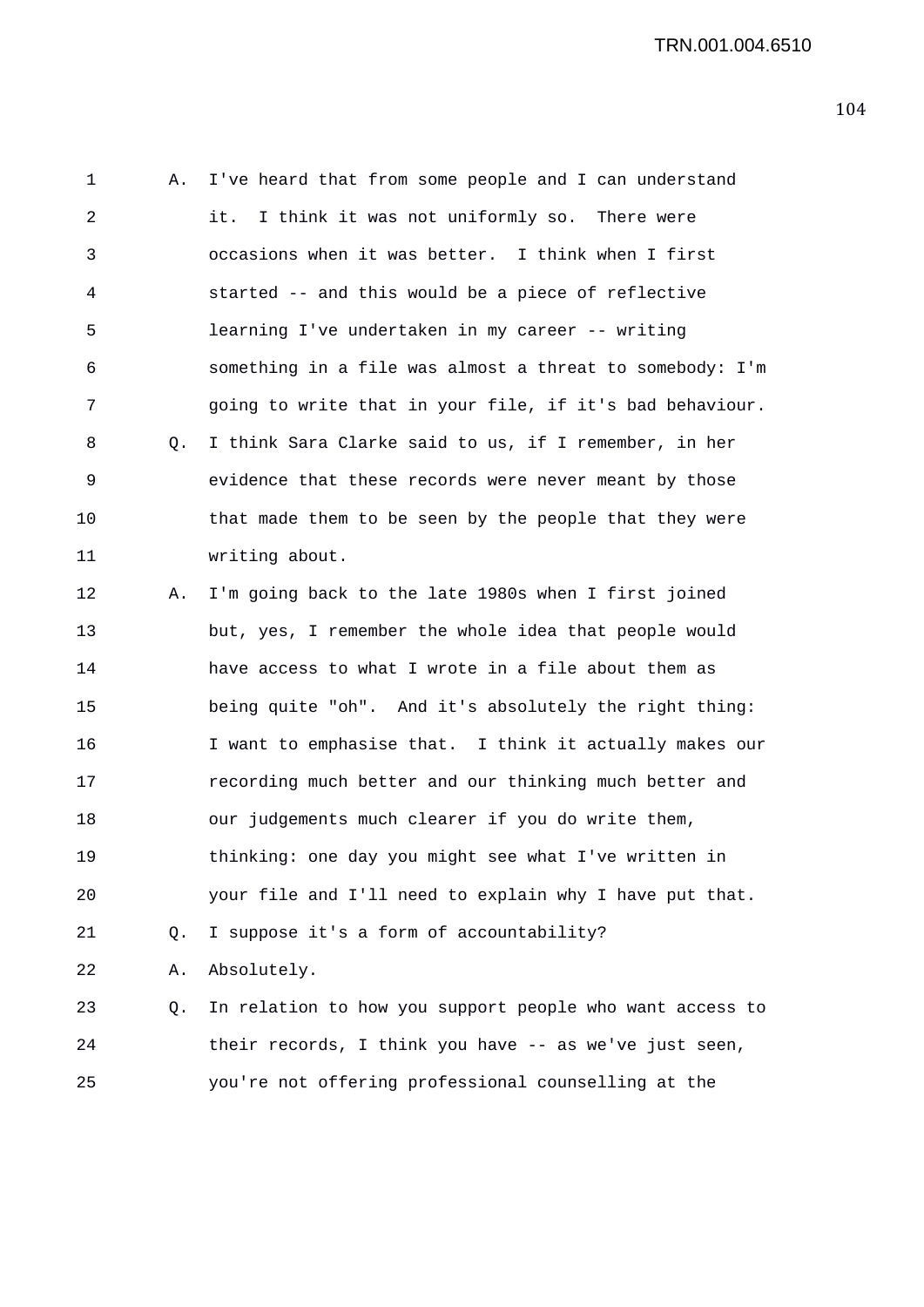1 A. I've heard that from some people and I can understand 2 it. I think it was not uniformly so. There were 3 occasions when it was better. I think when I first 4 started -- and this would be a piece of reflective 5 learning I've undertaken in my career -- writing 6 something in a file was almost a threat to somebody: I'm 7 going to write that in your file, if it's bad behaviour. 8 Q. I think Sara Clarke said to us, if I remember, in her 9 evidence that these records were never meant by those 10 that made them to be seen by the people that they were 11 writing about. 12 A. I'm going back to the late 1980s when I first joined 13 but, yes, I remember the whole idea that people would 14 have access to what I wrote in a file about them as 15 being quite "oh". And it's absolutely the right thing: 16 I want to emphasise that. I think it actually makes our 17 recording much better and our thinking much better and 18 our judgements much clearer if you do write them, 19 thinking: one day you might see what I've written in 20 your file and I'll need to explain why I have put that. 21 Q. I suppose it's a form of accountability? 22 A. Absolutely. 23 Q. In relation to how you support people who want access to 24 their records, I think you have -- as we've just seen, 25 you're not offering professional counselling at the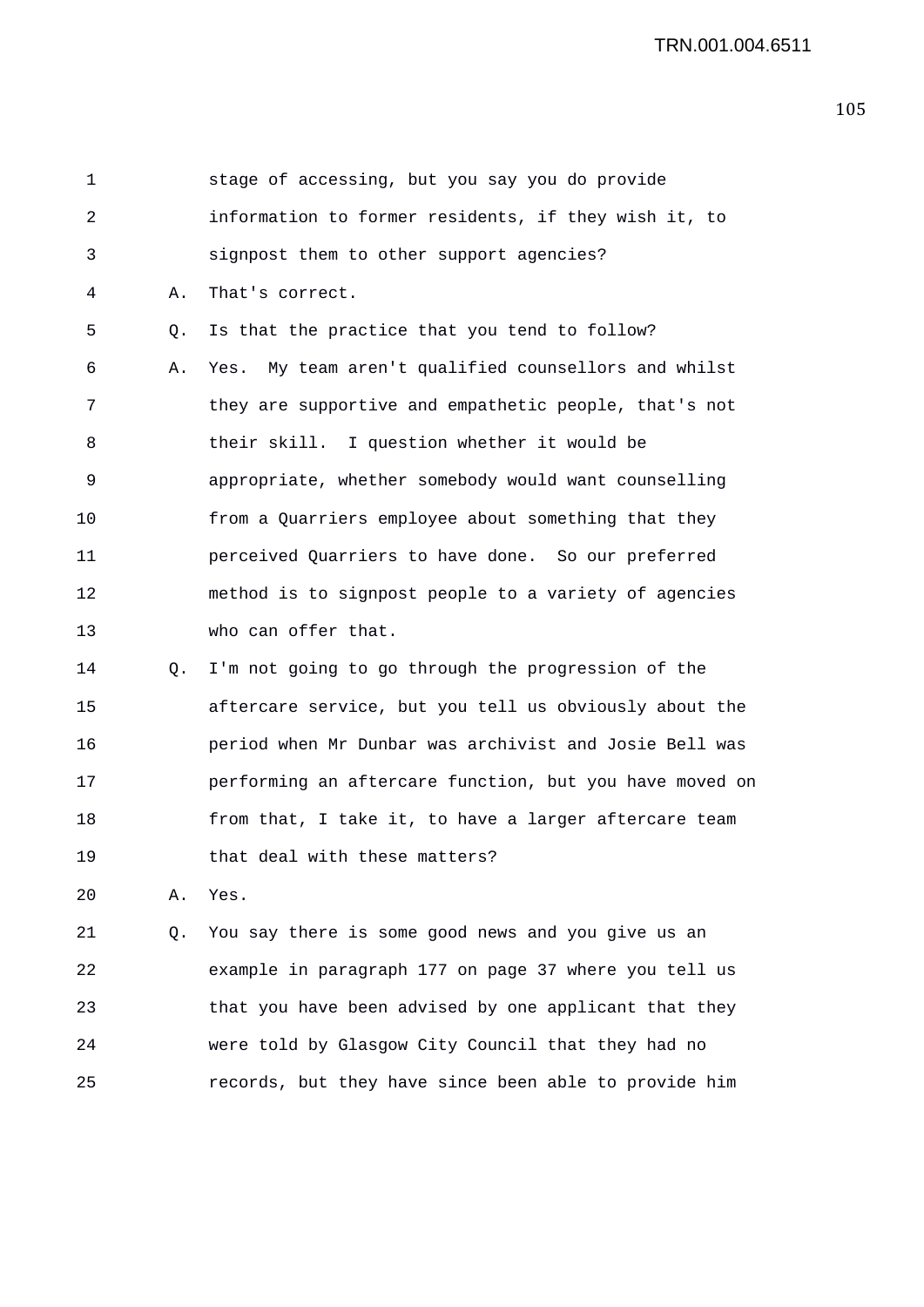| 1  |    | stage of accessing, but you say you do provide          |
|----|----|---------------------------------------------------------|
| 2  |    | information to former residents, if they wish it, to    |
| 3  |    | signpost them to other support agencies?                |
| 4  | Α. | That's correct.                                         |
| 5  | О. | Is that the practice that you tend to follow?           |
| 6  | Α. | My team aren't qualified counsellors and whilst<br>Yes. |
| 7  |    | they are supportive and empathetic people, that's not   |
| 8  |    | their skill. I question whether it would be             |
| 9  |    | appropriate, whether somebody would want counselling    |
| 10 |    | from a Quarriers employee about something that they     |
| 11 |    | perceived Quarriers to have done. So our preferred      |
| 12 |    | method is to signpost people to a variety of agencies   |
| 13 |    | who can offer that.                                     |
| 14 | Q. | I'm not going to go through the progression of the      |
| 15 |    | aftercare service, but you tell us obviously about the  |
| 16 |    | period when Mr Dunbar was archivist and Josie Bell was  |
| 17 |    | performing an aftercare function, but you have moved on |
| 18 |    | from that, I take it, to have a larger aftercare team   |
| 19 |    | that deal with these matters?                           |
| 20 | Α. | Yes.                                                    |
| 21 | Q. | You say there is some good news and you give us an      |
|    |    |                                                         |

22 example in paragraph 177 on page 37 where you tell us 23 that you have been advised by one applicant that they 24 were told by Glasgow City Council that they had no 25 records, but they have since been able to provide him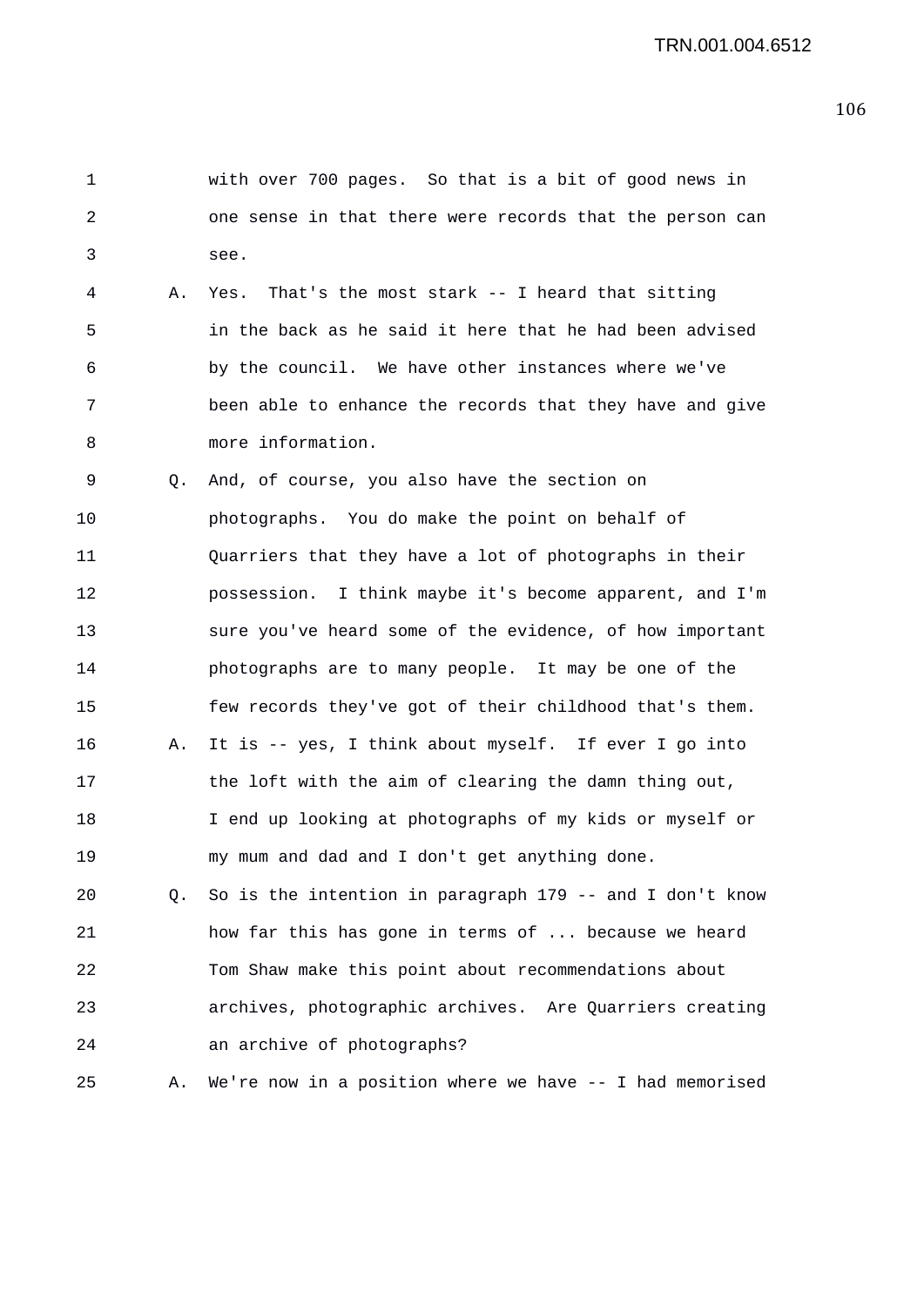| 1  |    | with over 700 pages. So that is a bit of good news in       |
|----|----|-------------------------------------------------------------|
| 2  |    | one sense in that there were records that the person can    |
| 3  |    | see.                                                        |
| 4  | Α. | Yes. That's the most stark -- I heard that sitting          |
| 5  |    | in the back as he said it here that he had been advised     |
| 6  |    | by the council. We have other instances where we've         |
| 7  |    | been able to enhance the records that they have and give    |
| 8  |    | more information.                                           |
| 9  | Q. | And, of course, you also have the section on                |
| 10 |    | photographs. You do make the point on behalf of             |
| 11 |    | Quarriers that they have a lot of photographs in their      |
| 12 |    | possession. I think maybe it's become apparent, and I'm     |
| 13 |    | sure you've heard some of the evidence, of how important    |
| 14 |    | photographs are to many people. It may be one of the        |
| 15 |    | few records they've got of their childhood that's them.     |
| 16 | Α. | It is -- yes, I think about myself. If ever I go into       |
| 17 |    | the loft with the aim of clearing the damn thing out,       |
| 18 |    | I end up looking at photographs of my kids or myself or     |
| 19 |    | my mum and dad and I don't get anything done.               |
| 20 | Q. | So is the intention in paragraph 179 -- and I don't know    |
| 21 |    | how far this has gone in terms of  because we heard         |
| 22 |    | Tom Shaw make this point about recommendations about        |
| 23 |    | archives, photographic archives. Are Quarriers creating     |
| 24 |    | an archive of photographs?                                  |
| 25 | Α. | We're now in a position where we have $-$ - I had memorised |
|    |    |                                                             |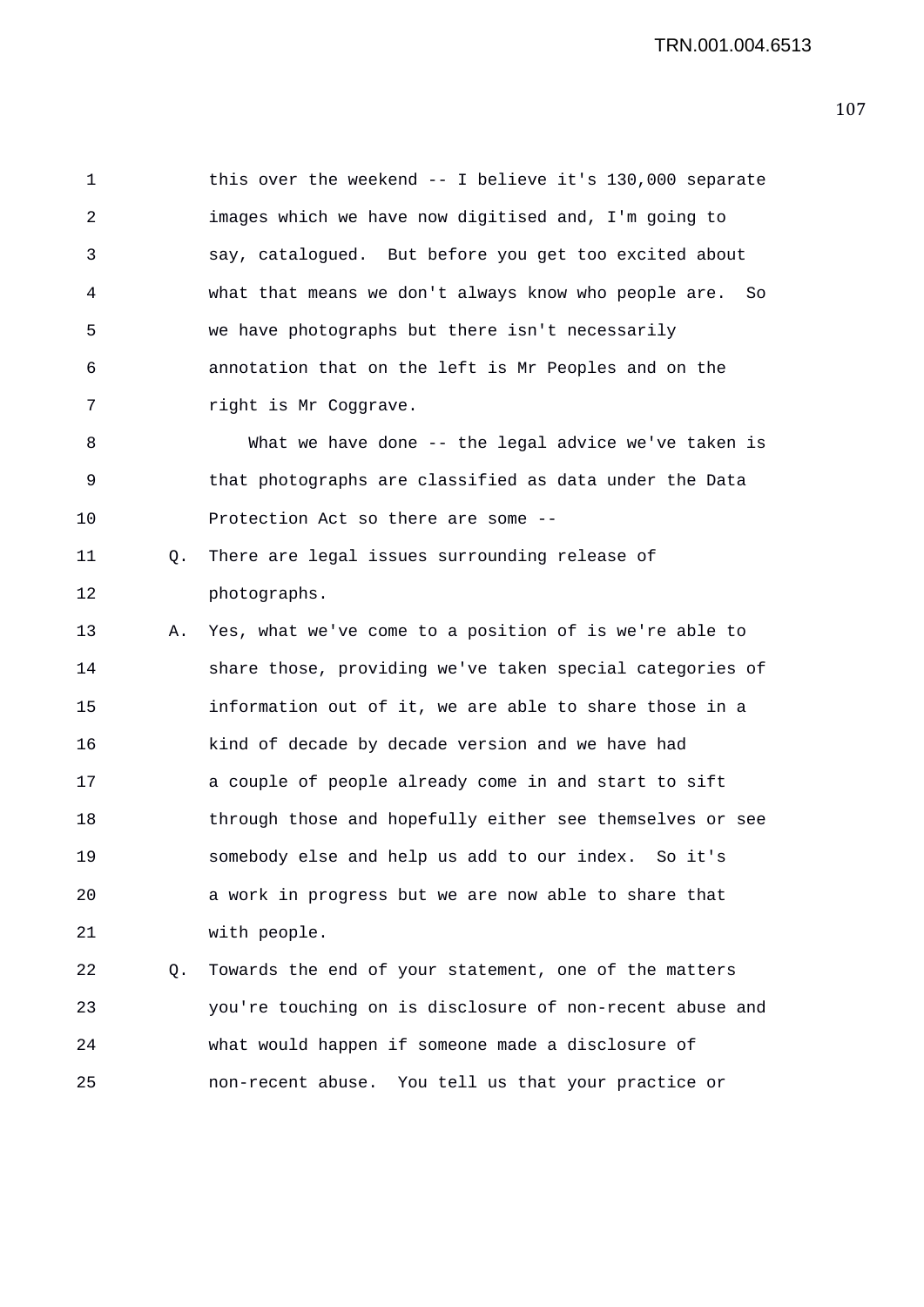1 this over the weekend -- I believe it's 130,000 separate 2 images which we have now digitised and, I'm going to 3 say, catalogued. But before you get too excited about 4 what that means we don't always know who people are. So 5 we have photographs but there isn't necessarily 6 annotation that on the left is Mr Peoples and on the 7 right is Mr Coggrave.

8 What we have done -- the legal advice we've taken is 9 that photographs are classified as data under the Data 10 Protection Act so there are some --

11 Q. There are legal issues surrounding release of 12 photographs.

13 A. Yes, what we've come to a position of is we're able to 14 share those, providing we've taken special categories of 15 information out of it, we are able to share those in a 16 kind of decade by decade version and we have had 17 a couple of people already come in and start to sift 18 through those and hopefully either see themselves or see 19 somebody else and help us add to our index. So it's 20 a work in progress but we are now able to share that 21 with people.

22 Q. Towards the end of your statement, one of the matters 23 you're touching on is disclosure of non-recent abuse and 24 what would happen if someone made a disclosure of 25 non-recent abuse. You tell us that your practice or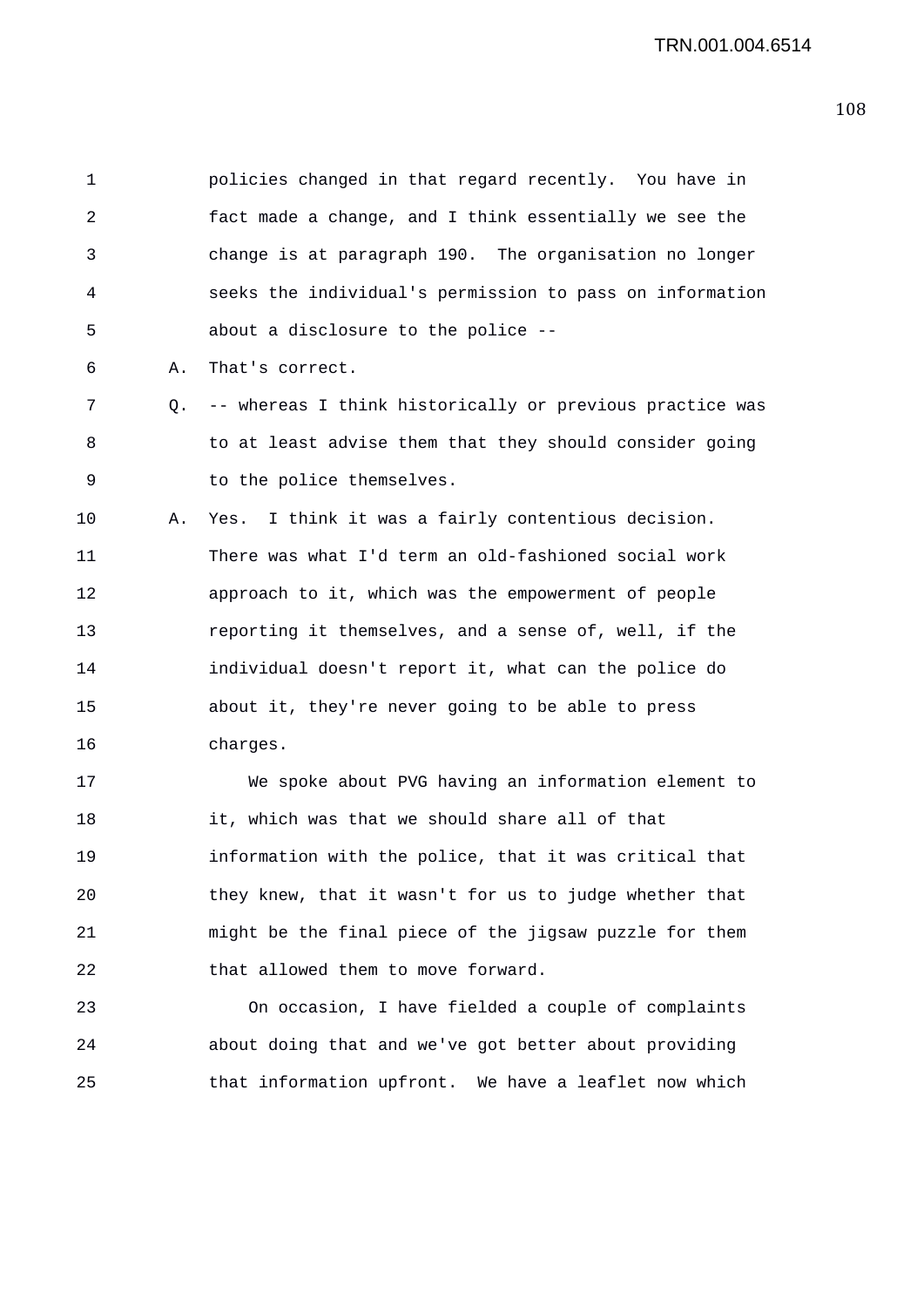1 policies changed in that regard recently. You have in 2 fact made a change, and I think essentially we see the 3 change is at paragraph 190. The organisation no longer 4 seeks the individual's permission to pass on information 5 about a disclosure to the police -- 6 A. That's correct. 7 Q. -- whereas I think historically or previous practice was 8 to at least advise them that they should consider going 9 to the police themselves. 10 A. Yes. I think it was a fairly contentious decision. 11 There was what I'd term an old-fashioned social work 12 approach to it, which was the empowerment of people 13 reporting it themselves, and a sense of, well, if the 14 individual doesn't report it, what can the police do 15 about it, they're never going to be able to press 16 charges. 17 We spoke about PVG having an information element to 18 it, which was that we should share all of that

19 information with the police, that it was critical that 20 they knew, that it wasn't for us to judge whether that 21 might be the final piece of the jigsaw puzzle for them 22 that allowed them to move forward.

23 On occasion, I have fielded a couple of complaints 24 about doing that and we've got better about providing 25 that information upfront. We have a leaflet now which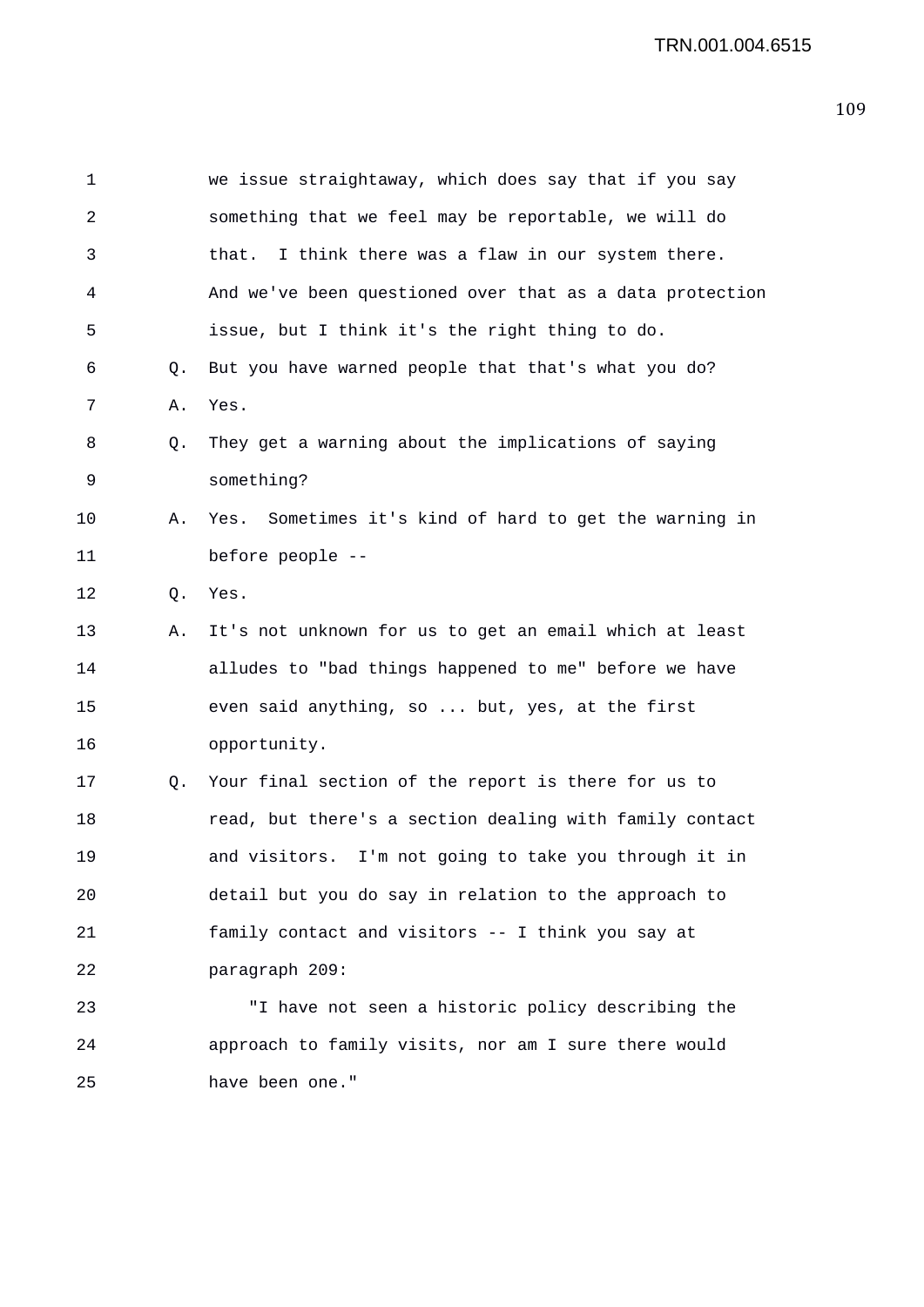| $\mathbf 1$ |    | we issue straightaway, which does say that if you say    |
|-------------|----|----------------------------------------------------------|
| 2           |    | something that we feel may be reportable, we will do     |
| 3           |    | I think there was a flaw in our system there.<br>that.   |
| 4           |    | And we've been questioned over that as a data protection |
| 5           |    | issue, but I think it's the right thing to do.           |
| 6           | Q. | But you have warned people that that's what you do?      |
| 7           | Α. | Yes.                                                     |
| 8           | Q. | They get a warning about the implications of saying      |
| 9           |    | something?                                               |
| 10          | Α. | Yes. Sometimes it's kind of hard to get the warning in   |
| 11          |    | before people --                                         |
| 12          | Q. | Yes.                                                     |
| 13          | Α. | It's not unknown for us to get an email which at least   |
| 14          |    | alludes to "bad things happened to me" before we have    |
| 15          |    | even said anything, so  but, yes, at the first           |
| 16          |    | opportunity.                                             |
| 17          | Q. | Your final section of the report is there for us to      |
| 18          |    | read, but there's a section dealing with family contact  |
| 19          |    | and visitors. I'm not going to take you through it in    |
| 20          |    | detail but you do say in relation to the approach to     |
| 21          |    | family contact and visitors -- I think you say at        |
| 22          |    | paragraph 209:                                           |
| 23          |    | "I have not seen a historic policy describing the        |
| 24          |    | approach to family visits, nor am I sure there would     |
| 25          |    | have been one."                                          |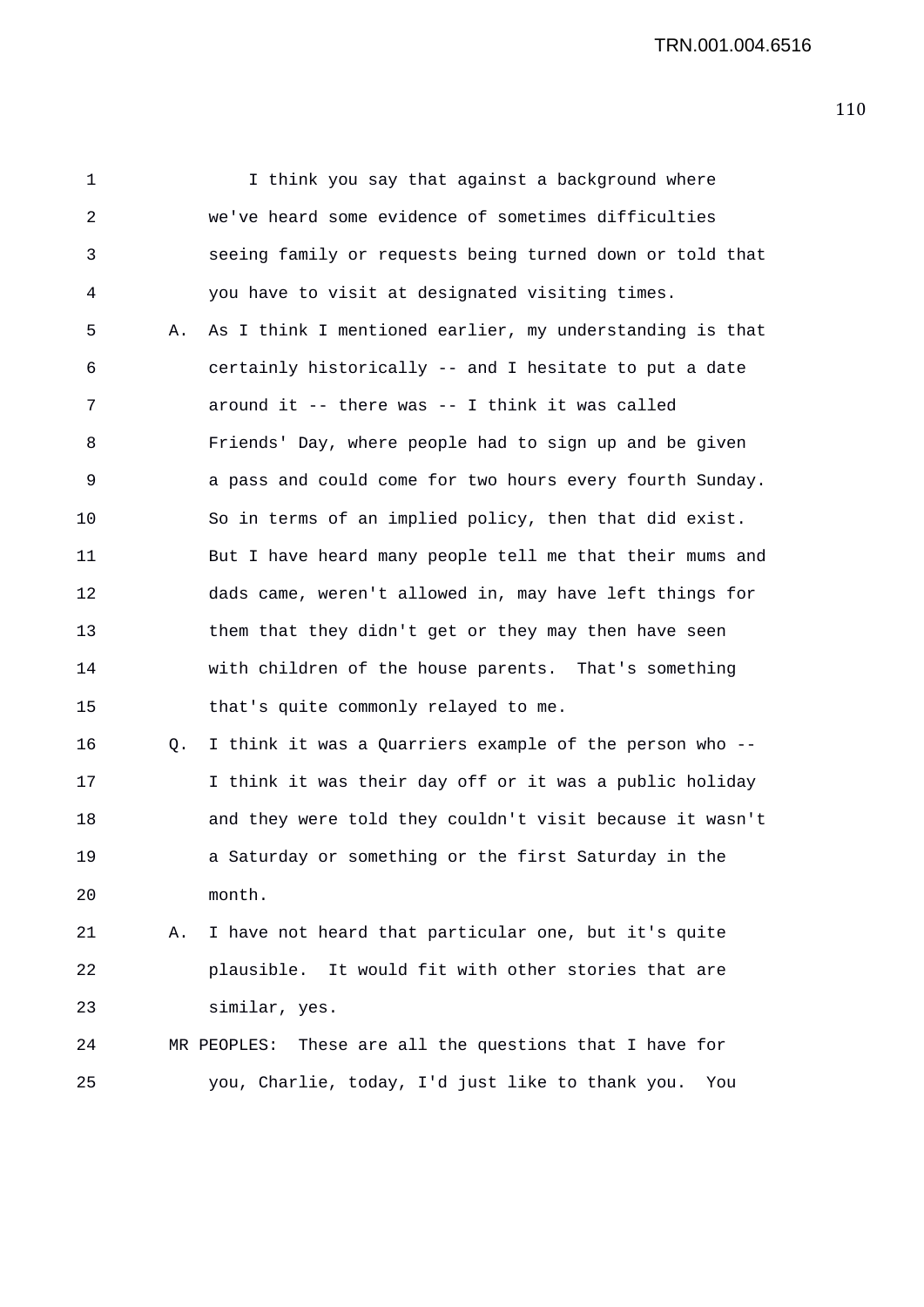TRN.001.004.6516

1 I think you say that against a background where 2 we've heard some evidence of sometimes difficulties 3 seeing family or requests being turned down or told that 4 you have to visit at designated visiting times. 5 A. As I think I mentioned earlier, my understanding is that 6 certainly historically -- and I hesitate to put a date 7 around it -- there was -- I think it was called 8 Friends' Day, where people had to sign up and be given 9 a pass and could come for two hours every fourth Sunday. 10 So in terms of an implied policy, then that did exist. 11 But I have heard many people tell me that their mums and 12 dads came, weren't allowed in, may have left things for 13 them that they didn't get or they may then have seen 14 with children of the house parents. That's something 15 that's quite commonly relayed to me. 16 Q. I think it was a Quarriers example of the person who -- 17 I think it was their day off or it was a public holiday 18 and they were told they couldn't visit because it wasn't 19 a Saturday or something or the first Saturday in the 20 month. 21 A. I have not heard that particular one, but it's quite 22 plausible. It would fit with other stories that are 23 similar, yes. 24 MR PEOPLES: These are all the questions that I have for 25 you, Charlie, today, I'd just like to thank you. You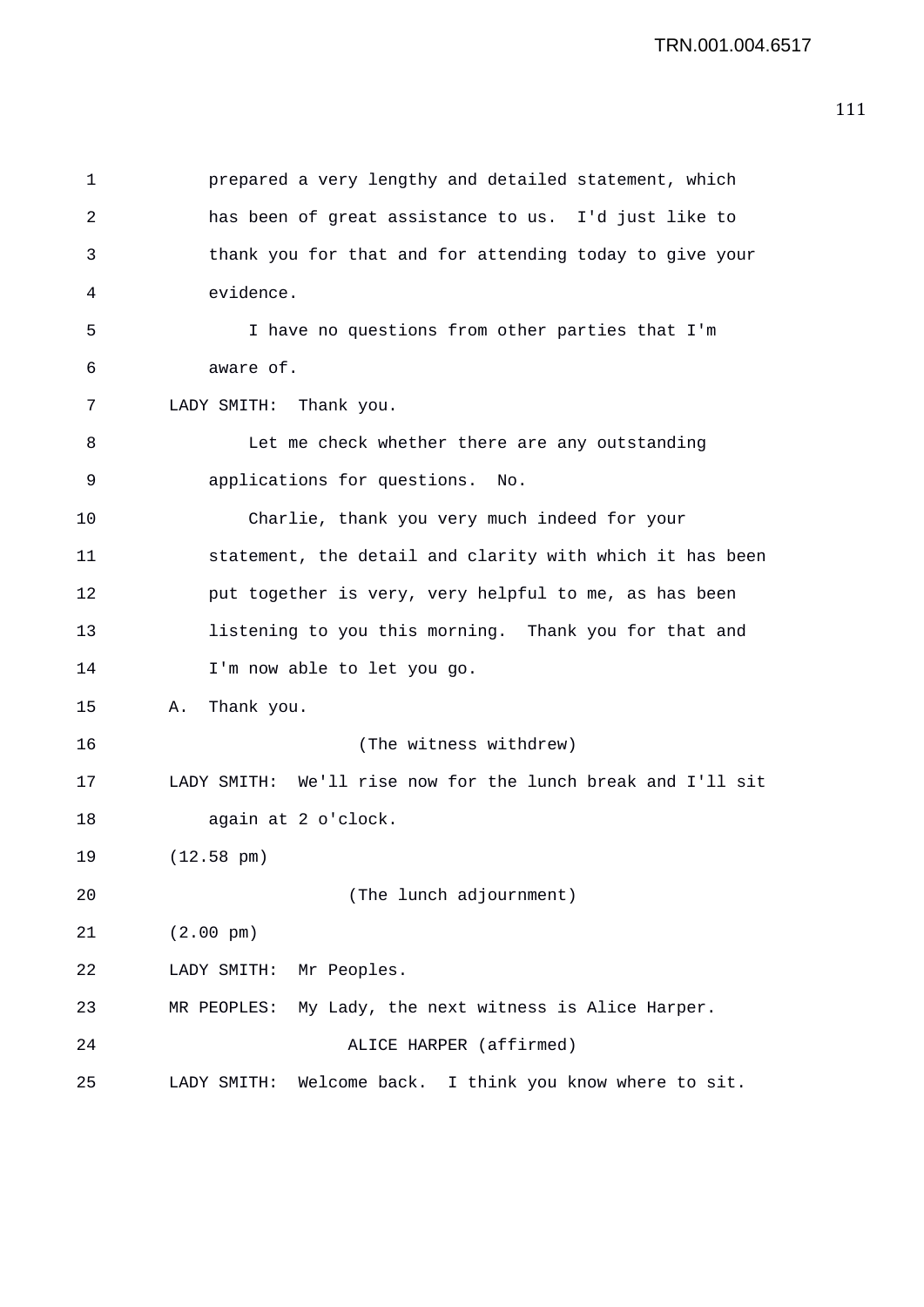```
1 prepared a very lengthy and detailed statement, which 
2 has been of great assistance to us. I'd just like to 
3 thank you for that and for attending today to give your 
4 evidence. 
5 I have no questions from other parties that I'm 
6 aware of. 
7 LADY SMITH: Thank you. 
8 Let me check whether there are any outstanding 
9 applications for questions. No. 
10 Charlie, thank you very much indeed for your 
11 statement, the detail and clarity with which it has been 
12 put together is very, very helpful to me, as has been 
13 listening to you this morning. Thank you for that and 
14 I'm now able to let you go. 
15 A. Thank you. 
16 (The witness withdrew) 
17 LADY SMITH: We'll rise now for the lunch break and I'll sit 
18 again at 2 o'clock. 
19 (12.58 pm) 
20 (The lunch adjournment) 
21 (2.00 pm) 
22 LADY SMITH: Mr Peoples. 
23 MR PEOPLES: My Lady, the next witness is Alice Harper. 
24 ALICE HARPER (affirmed) 
25 LADY SMITH: Welcome back. I think you know where to sit.
```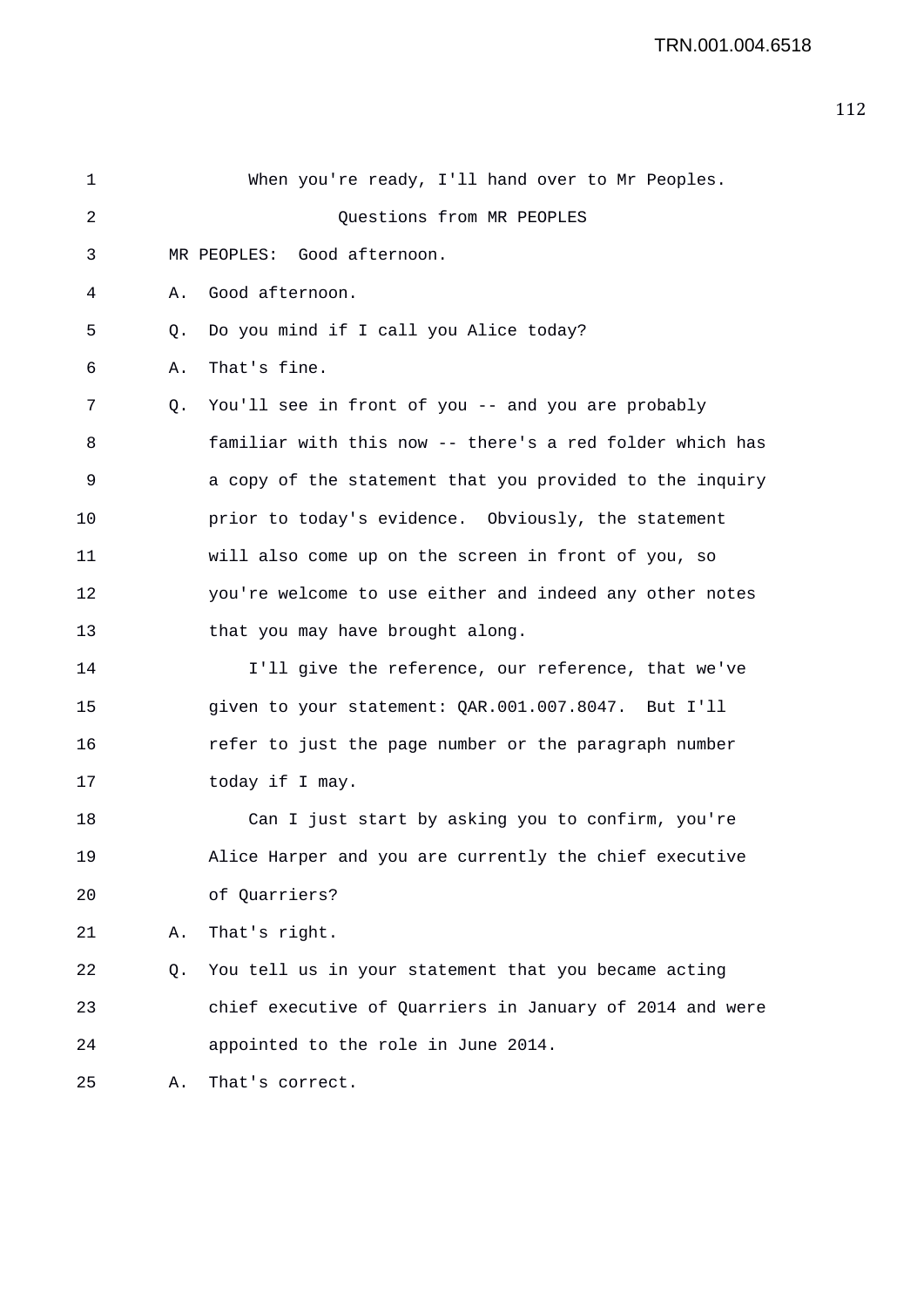| 1  |    | When you're ready, I'll hand over to Mr Peoples.         |
|----|----|----------------------------------------------------------|
| 2  |    | Questions from MR PEOPLES                                |
| 3  |    | Good afternoon.<br>MR PEOPLES:                           |
| 4  | Α. | Good afternoon.                                          |
| 5  | Q. | Do you mind if I call you Alice today?                   |
| 6  | Α. | That's fine.                                             |
| 7  | Q. | You'll see in front of you -- and you are probably       |
| 8  |    | familiar with this now -- there's a red folder which has |
| 9  |    | a copy of the statement that you provided to the inquiry |
| 10 |    | prior to today's evidence. Obviously, the statement      |
| 11 |    | will also come up on the screen in front of you, so      |
| 12 |    | you're welcome to use either and indeed any other notes  |
| 13 |    | that you may have brought along.                         |
| 14 |    | I'll give the reference, our reference, that we've       |
| 15 |    | given to your statement: QAR.001.007.8047. But I'll      |
| 16 |    | refer to just the page number or the paragraph number    |
| 17 |    | today if I may.                                          |
| 18 |    | Can I just start by asking you to confirm, you're        |
| 19 |    | Alice Harper and you are currently the chief executive   |
| 20 |    | of Quarriers?                                            |
| 21 | Α. | That's right.                                            |
| 22 | Q. | You tell us in your statement that you became acting     |
| 23 |    | chief executive of Quarriers in January of 2014 and were |
| 24 |    | appointed to the role in June 2014.                      |
| 25 | Α. | That's correct.                                          |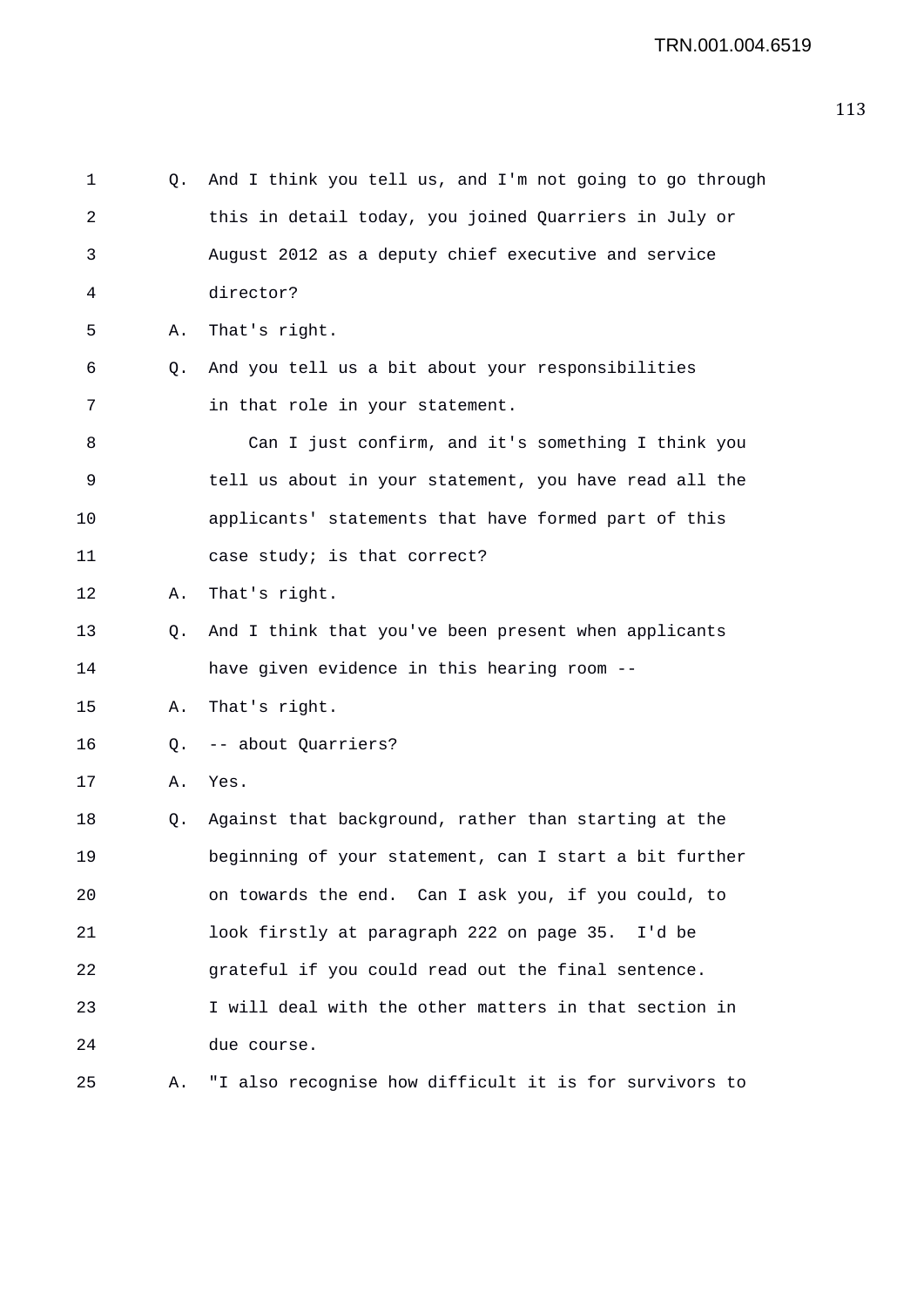| 1  | Q. | And I think you tell us, and I'm not going to go through |
|----|----|----------------------------------------------------------|
| 2  |    | this in detail today, you joined Quarriers in July or    |
| 3  |    | August 2012 as a deputy chief executive and service      |
| 4  |    | director?                                                |
| 5  | Α. | That's right.                                            |
| 6  | Q. | And you tell us a bit about your responsibilities        |
| 7  |    | in that role in your statement.                          |
| 8  |    | Can I just confirm, and it's something I think you       |
| 9  |    | tell us about in your statement, you have read all the   |
| 10 |    | applicants' statements that have formed part of this     |
| 11 |    | case study; is that correct?                             |
| 12 | А. | That's right.                                            |
| 13 | 0. | And I think that you've been present when applicants     |
| 14 |    | have given evidence in this hearing room --              |
| 15 | Α. | That's right.                                            |
| 16 | Q. | -- about Quarriers?                                      |
| 17 | Α. | Yes.                                                     |
| 18 | Q. | Against that background, rather than starting at the     |
| 19 |    | beginning of your statement, can I start a bit further   |
| 20 |    | on towards the end. Can I ask you, if you could, to      |
| 21 |    | look firstly at paragraph 222 on page 35. I'd be         |
| 22 |    | grateful if you could read out the final sentence.       |
| 23 |    | I will deal with the other matters in that section in    |
| 24 |    | due course.                                              |
| 25 | Α. | "I also recognise how difficult it is for survivors to   |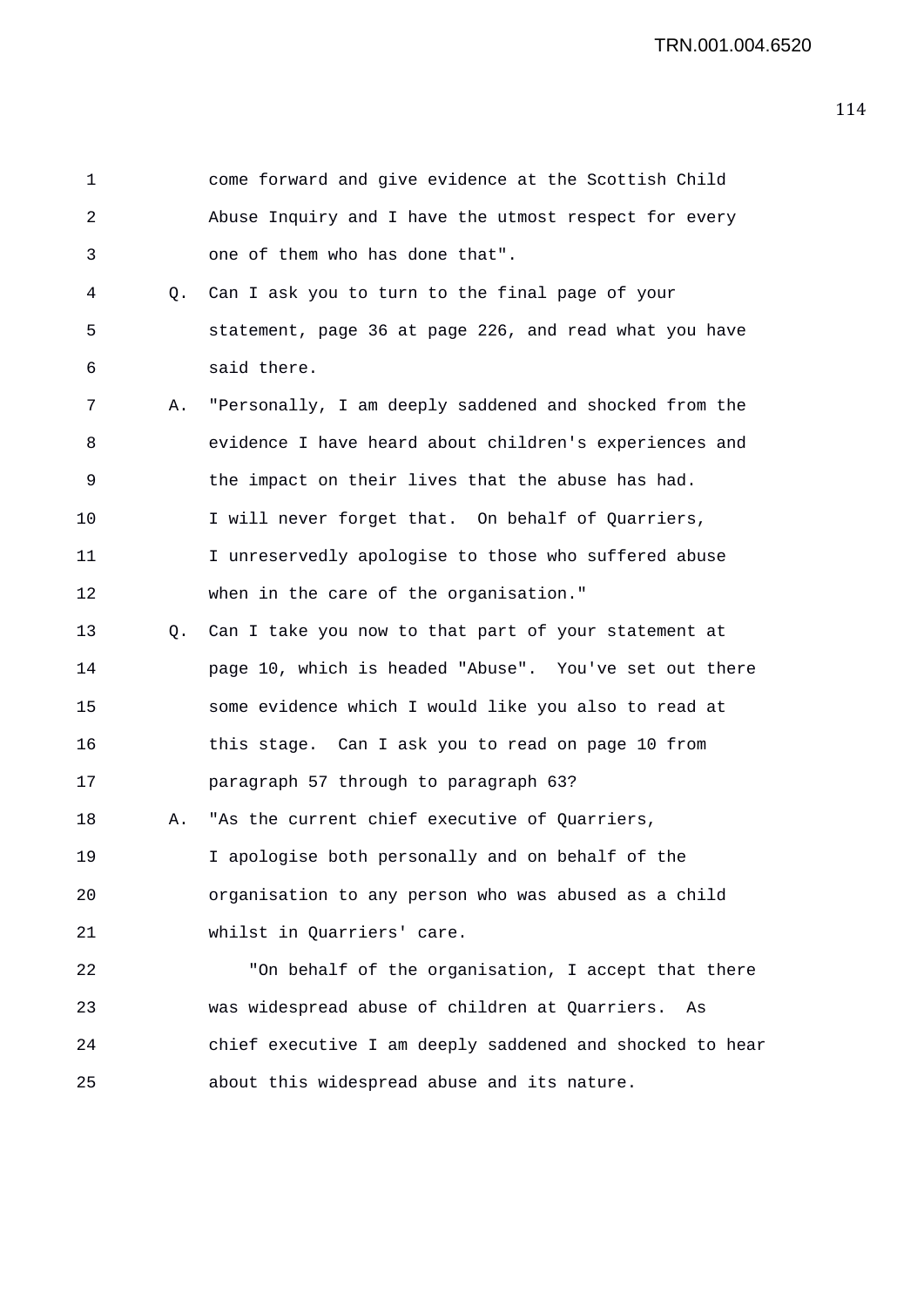| 1  |           | come forward and give evidence at the Scottish Child     |
|----|-----------|----------------------------------------------------------|
| 2  |           | Abuse Inquiry and I have the utmost respect for every    |
| 3  |           | one of them who has done that".                          |
| 4  | Q.        | Can I ask you to turn to the final page of your          |
| 5  |           | statement, page 36 at page 226, and read what you have   |
| 6  |           | said there.                                              |
| 7  | Α.        | "Personally, I am deeply saddened and shocked from the   |
| 8  |           | evidence I have heard about children's experiences and   |
| 9  |           | the impact on their lives that the abuse has had.        |
| 10 |           | I will never forget that. On behalf of Quarriers,        |
| 11 |           | I unreservedly apologise to those who suffered abuse     |
| 12 |           | when in the care of the organisation."                   |
| 13 | $\circ$ . | Can I take you now to that part of your statement at     |
| 14 |           | page 10, which is headed "Abuse". You've set out there   |
| 15 |           | some evidence which I would like you also to read at     |
| 16 |           | this stage. Can I ask you to read on page 10 from        |
| 17 |           | paragraph 57 through to paragraph 63?                    |
| 18 | Α.        | "As the current chief executive of Quarriers,            |
| 19 |           | I apologise both personally and on behalf of the         |
| 20 |           | organisation to any person who was abused as a child     |
| 21 |           | whilst in Quarriers' care.                               |
| 22 |           | "On behalf of the organisation, I accept that there      |
| 23 |           | was widespread abuse of children at Quarriers.<br>As     |
| 24 |           | chief executive I am deeply saddened and shocked to hear |
| 25 |           | about this widespread abuse and its nature.              |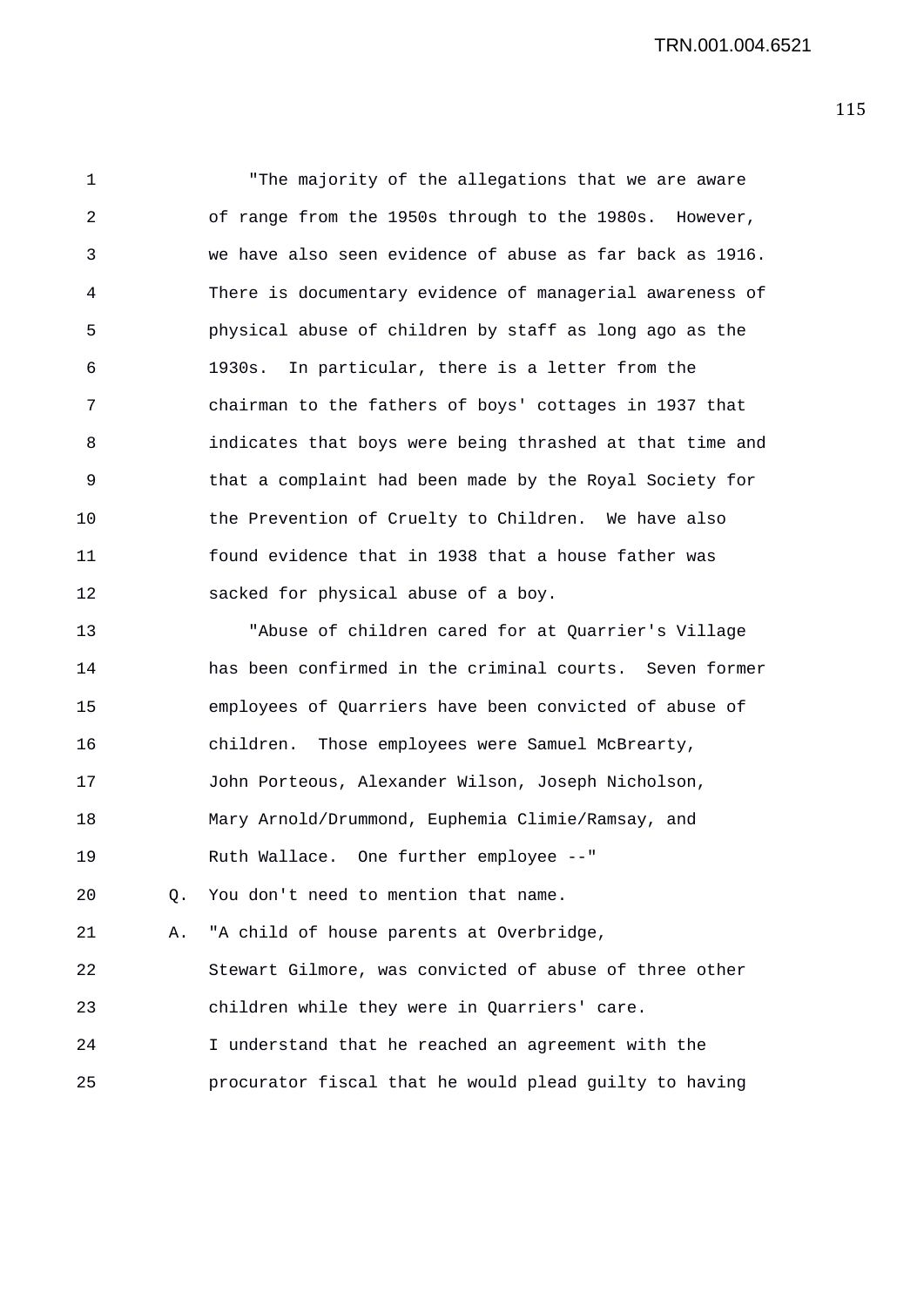1 "The majority of the allegations that we are aware 2 of range from the 1950s through to the 1980s. However, 3 we have also seen evidence of abuse as far back as 1916. 4 There is documentary evidence of managerial awareness of 5 physical abuse of children by staff as long ago as the 6 1930s. In particular, there is a letter from the 7 chairman to the fathers of boys' cottages in 1937 that 8 indicates that boys were being thrashed at that time and 9 that a complaint had been made by the Royal Society for 10 the Prevention of Cruelty to Children. We have also 11 found evidence that in 1938 that a house father was 12 sacked for physical abuse of a boy. 13 "Abuse of children cared for at Quarrier's Village 14 has been confirmed in the criminal courts. Seven former 15 employees of Quarriers have been convicted of abuse of 16 children. Those employees were Samuel McBrearty, 17 John Porteous, Alexander Wilson, Joseph Nicholson, 18 Mary Arnold/Drummond, Euphemia Climie/Ramsay, and 19 Ruth Wallace. One further employee --"

20 Q. You don't need to mention that name.

21 A. "A child of house parents at Overbridge, 22 Stewart Gilmore, was convicted of abuse of three other 23 children while they were in Quarriers' care. 24 I understand that he reached an agreement with the 25 procurator fiscal that he would plead guilty to having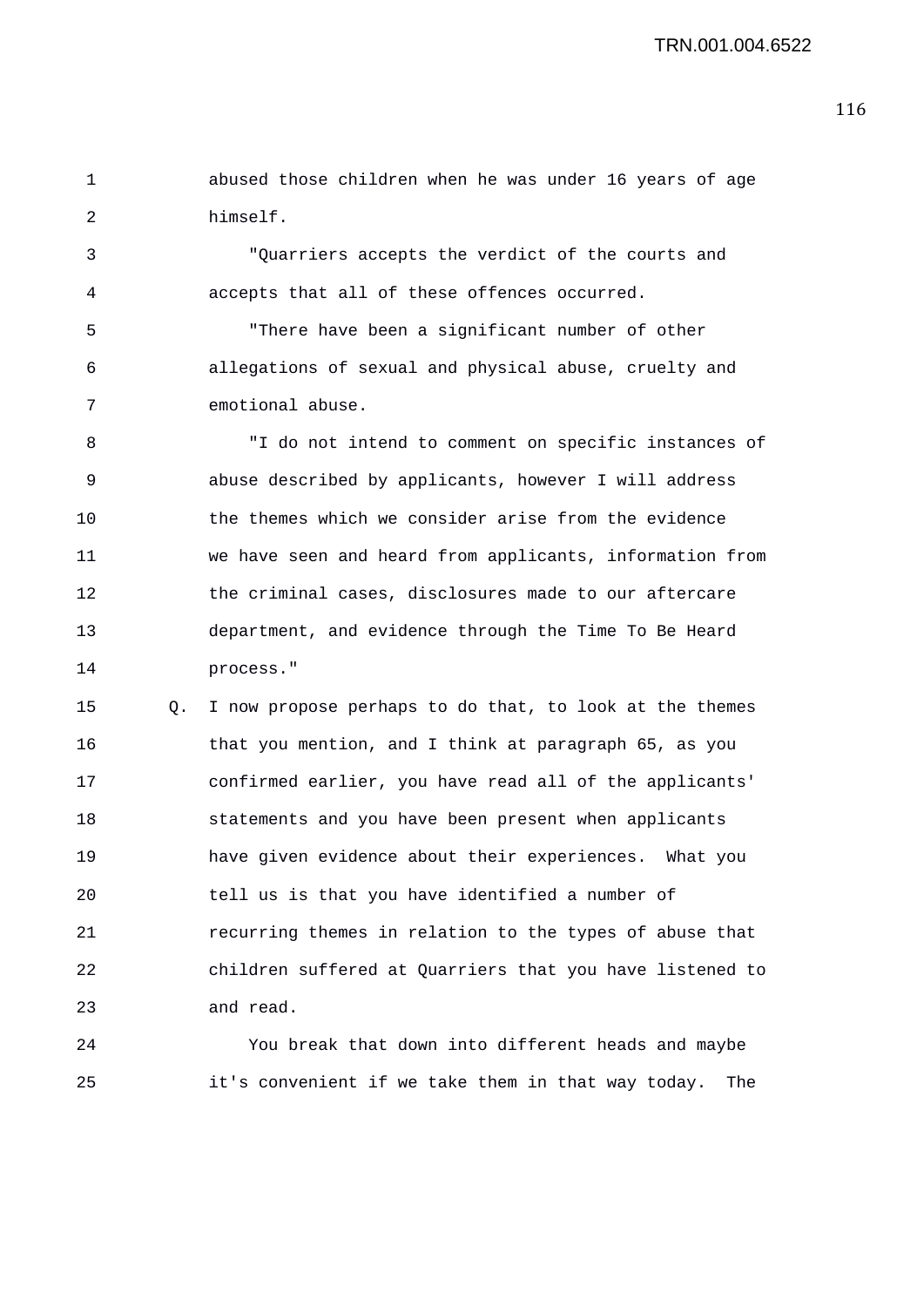1 abused those children when he was under 16 years of age 2 himself.

3 "Quarriers accepts the verdict of the courts and 4 accepts that all of these offences occurred.

5 "There have been a significant number of other 6 allegations of sexual and physical abuse, cruelty and 7 emotional abuse.

8 "I do not intend to comment on specific instances of 9 abuse described by applicants, however I will address 10 the themes which we consider arise from the evidence 11 we have seen and heard from applicants, information from 12 the criminal cases, disclosures made to our aftercare 13 department, and evidence through the Time To Be Heard 14 process."

15 Q. I now propose perhaps to do that, to look at the themes 16 that you mention, and I think at paragraph 65, as you 17 confirmed earlier, you have read all of the applicants' 18 statements and you have been present when applicants 19 have given evidence about their experiences. What you 20 tell us is that you have identified a number of 21 recurring themes in relation to the types of abuse that 22 children suffered at Quarriers that you have listened to 23 and read.

24 You break that down into different heads and maybe 25 it's convenient if we take them in that way today. The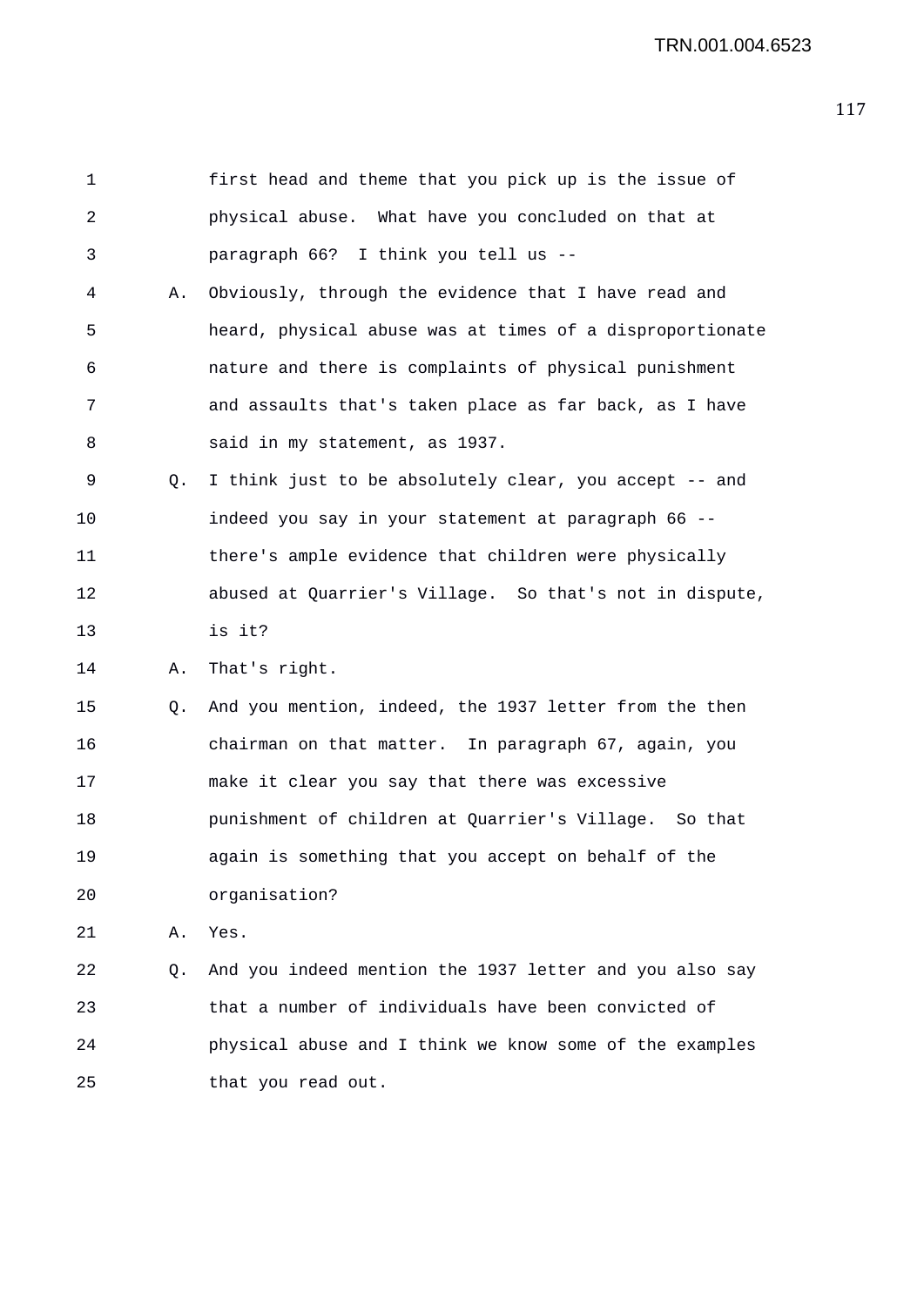1 first head and theme that you pick up is the issue of 2 physical abuse. What have you concluded on that at 3 paragraph 66? I think you tell us -- 4 A. Obviously, through the evidence that I have read and 5 heard, physical abuse was at times of a disproportionate 6 nature and there is complaints of physical punishment 7 and assaults that's taken place as far back, as I have 8 said in my statement, as 1937. 9 Q. I think just to be absolutely clear, you accept -- and 10 indeed you say in your statement at paragraph 66 -- 11 there's ample evidence that children were physically 12 abused at Quarrier's Village. So that's not in dispute, 13 is it? 14 A. That's right. 15 Q. And you mention, indeed, the 1937 letter from the then 16 chairman on that matter. In paragraph 67, again, you 17 make it clear you say that there was excessive 18 punishment of children at Quarrier's Village. So that 19 again is something that you accept on behalf of the 20 organisation? 21 A. Yes. 22 Q. And you indeed mention the 1937 letter and you also say 23 that a number of individuals have been convicted of 24 physical abuse and I think we know some of the examples 25 that you read out.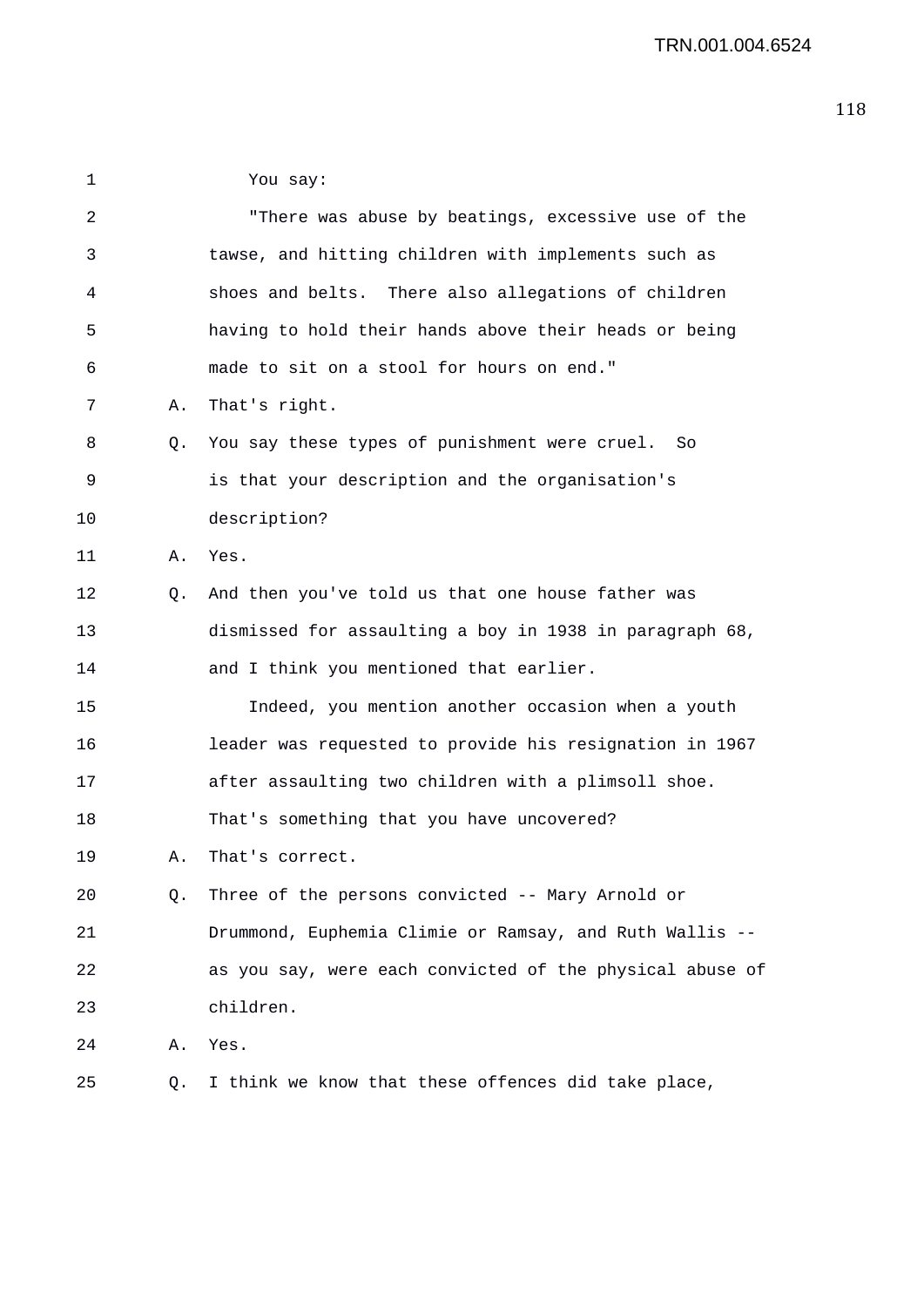1 You say: 2 "There was abuse by beatings, excessive use of the 3 tawse, and hitting children with implements such as 4 shoes and belts. There also allegations of children 5 having to hold their hands above their heads or being 6 made to sit on a stool for hours on end." 7 A. That's right. 8 Q. You say these types of punishment were cruel. So 9 is that your description and the organisation's 10 description? 11 A. Yes. 12 Q. And then you've told us that one house father was 13 dismissed for assaulting a boy in 1938 in paragraph 68, 14 and I think you mentioned that earlier. 15 Indeed, you mention another occasion when a youth 16 leader was requested to provide his resignation in 1967 17 after assaulting two children with a plimsoll shoe. 18 That's something that you have uncovered? 19 A. That's correct. 20 Q. Three of the persons convicted -- Mary Arnold or 21 Drummond, Euphemia Climie or Ramsay, and Ruth Wallis -- 22 as you say, were each convicted of the physical abuse of 23 children. 24 A. Yes. 25 Q. I think we know that these offences did take place,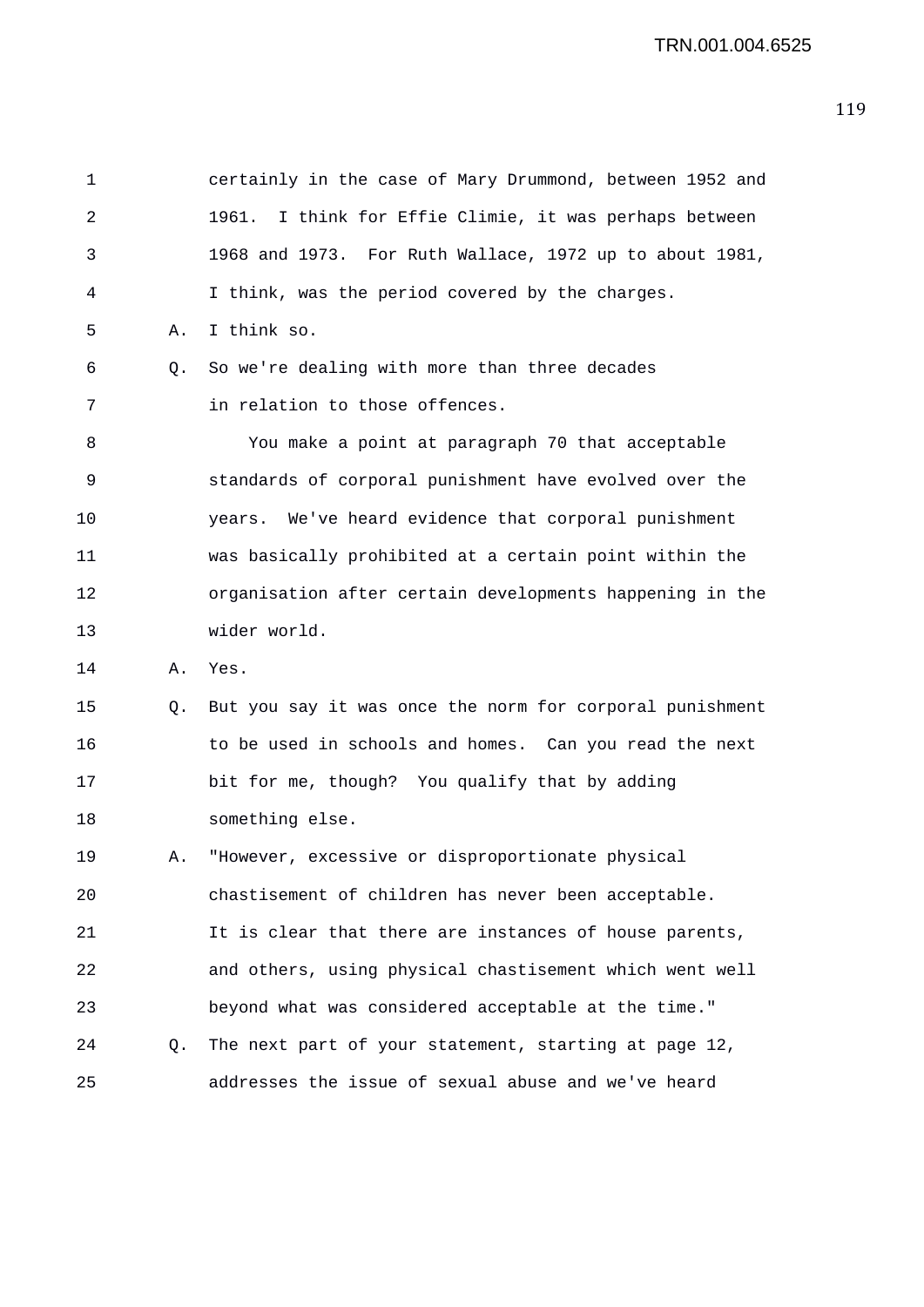1 certainly in the case of Mary Drummond, between 1952 and 2 1961. I think for Effie Climie, it was perhaps between 3 1968 and 1973. For Ruth Wallace, 1972 up to about 1981, 4 I think, was the period covered by the charges. 5 A. I think so. 6 Q. So we're dealing with more than three decades 7 in relation to those offences. 8 You make a point at paragraph 70 that acceptable 9 standards of corporal punishment have evolved over the 10 years. We've heard evidence that corporal punishment 11 was basically prohibited at a certain point within the 12 organisation after certain developments happening in the 13 wider world. 14 A. Yes. 15 Q. But you say it was once the norm for corporal punishment 16 to be used in schools and homes. Can you read the next 17 bit for me, though? You qualify that by adding 18 something else. 19 A. "However, excessive or disproportionate physical 20 chastisement of children has never been acceptable. 21 It is clear that there are instances of house parents, 22 and others, using physical chastisement which went well 23 beyond what was considered acceptable at the time." 24 Q. The next part of your statement, starting at page 12, 25 addresses the issue of sexual abuse and we've heard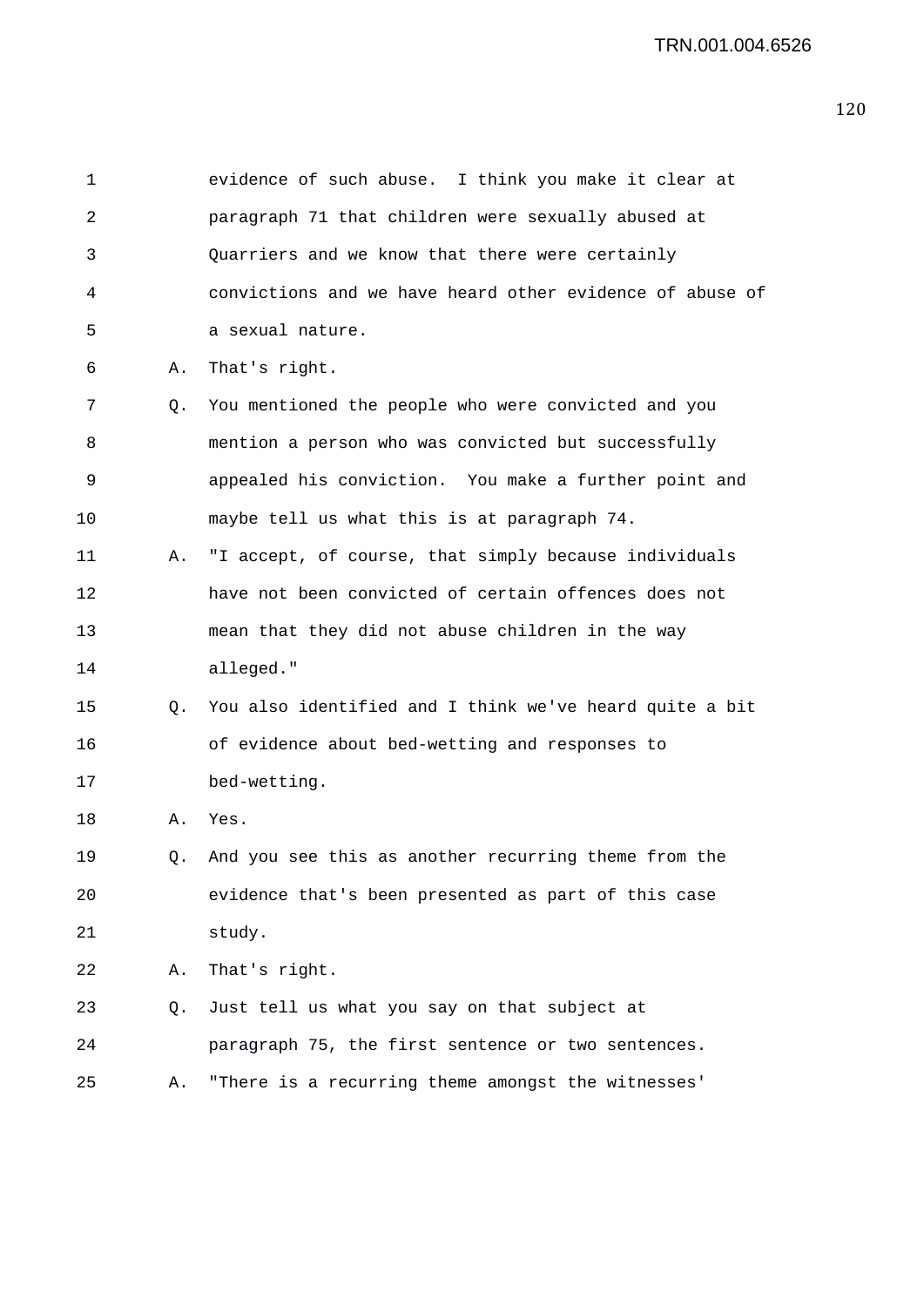1 evidence of such abuse. I think you make it clear at 2 paragraph 71 that children were sexually abused at 3 Quarriers and we know that there were certainly 4 convictions and we have heard other evidence of abuse of 5 a sexual nature. 6 A. That's right. 7 Q. You mentioned the people who were convicted and you 8 mention a person who was convicted but successfully 9 appealed his conviction. You make a further point and 10 maybe tell us what this is at paragraph 74. 11 A. "I accept, of course, that simply because individuals 12 have not been convicted of certain offences does not 13 mean that they did not abuse children in the way 14 alleged." 15 Q. You also identified and I think we've heard quite a bit 16 of evidence about bed-wetting and responses to 17 bed-wetting. 18 A. Yes. 19 Q. And you see this as another recurring theme from the 20 evidence that's been presented as part of this case 21 study. 22 A. That's right. 23 Q. Just tell us what you say on that subject at 24 paragraph 75, the first sentence or two sentences. 25 A. "There is a recurring theme amongst the witnesses'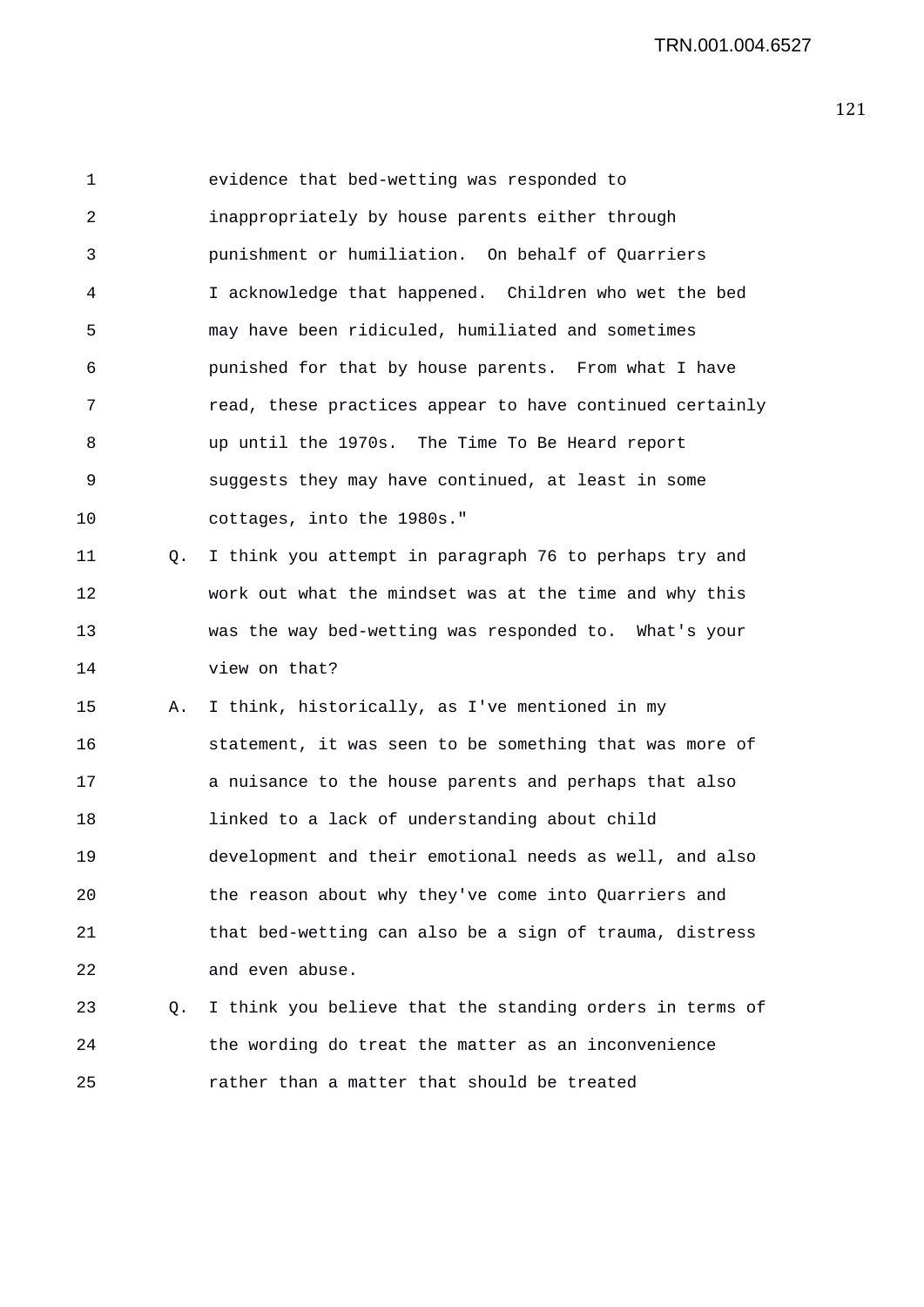1 evidence that bed-wetting was responded to 2 inappropriately by house parents either through 3 punishment or humiliation. On behalf of Quarriers 4 I acknowledge that happened. Children who wet the bed 5 may have been ridiculed, humiliated and sometimes 6 punished for that by house parents. From what I have 7 read, these practices appear to have continued certainly 8 up until the 1970s. The Time To Be Heard report 9 suggests they may have continued, at least in some 10 cottages, into the 1980s." 11 Q. I think you attempt in paragraph 76 to perhaps try and 12 work out what the mindset was at the time and why this 13 was the way bed-wetting was responded to. What's your 14 view on that? 15 A. I think, historically, as I've mentioned in my 16 statement, it was seen to be something that was more of 17 a nuisance to the house parents and perhaps that also 18 linked to a lack of understanding about child 19 development and their emotional needs as well, and also 20 the reason about why they've come into Quarriers and 21 that bed-wetting can also be a sign of trauma, distress 22 and even abuse. 23 Q. I think you believe that the standing orders in terms of 24 the wording do treat the matter as an inconvenience 25 rather than a matter that should be treated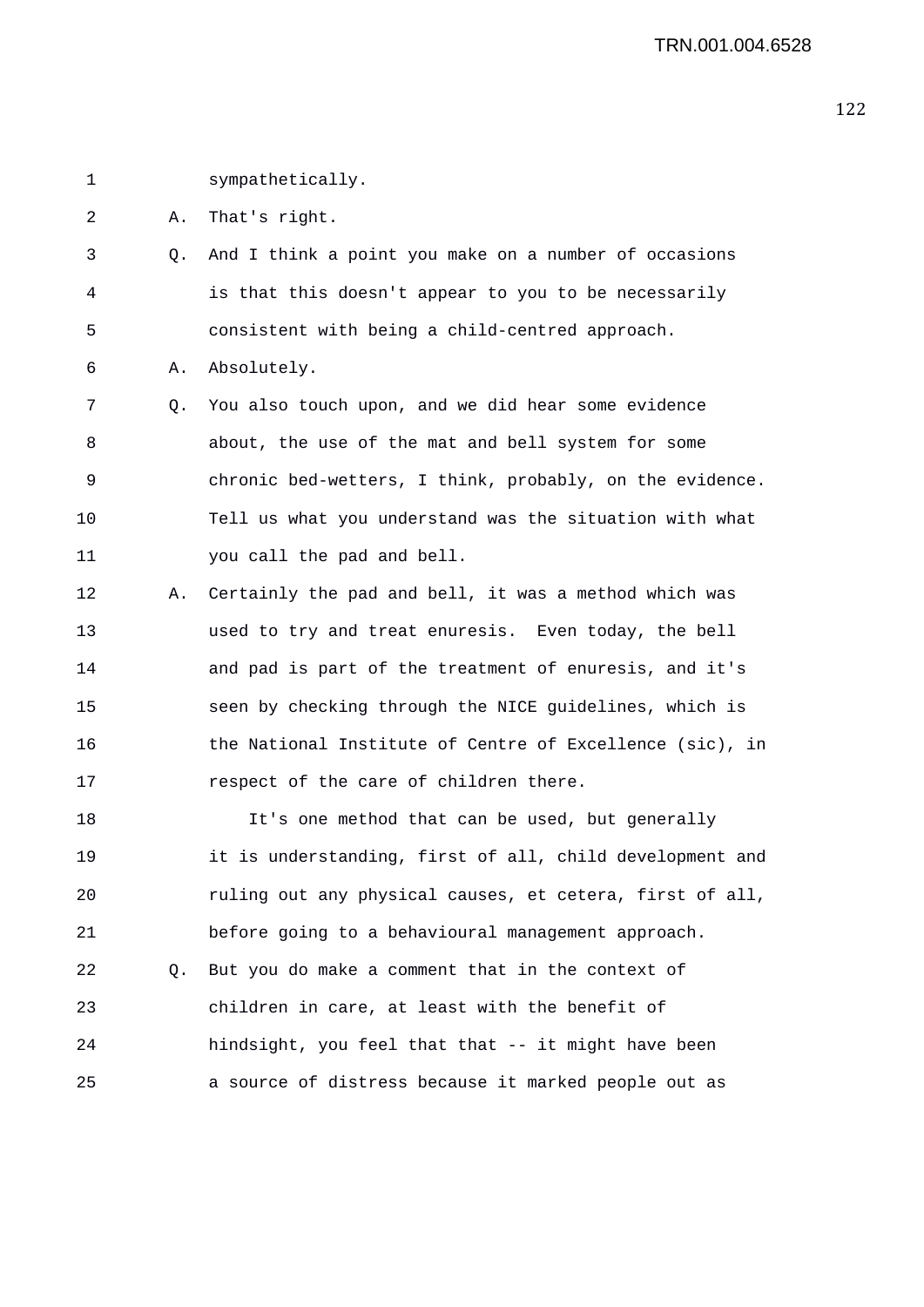1 sympathetically.

2 A. That's right.

3 Q. And I think a point you make on a number of occasions 4 is that this doesn't appear to you to be necessarily 5 consistent with being a child-centred approach.

6 A. Absolutely.

7 Q. You also touch upon, and we did hear some evidence 8 about, the use of the mat and bell system for some 9 chronic bed-wetters, I think, probably, on the evidence. 10 Tell us what you understand was the situation with what 11 you call the pad and bell.

12 A. Certainly the pad and bell, it was a method which was 13 used to try and treat enuresis. Even today, the bell 14 and pad is part of the treatment of enuresis, and it's 15 seen by checking through the NICE guidelines, which is 16 the National Institute of Centre of Excellence (sic), in 17 respect of the care of children there.

18 It's one method that can be used, but generally 19 it is understanding, first of all, child development and 20 ruling out any physical causes, et cetera, first of all, 21 before going to a behavioural management approach. 22 Q. But you do make a comment that in the context of 23 children in care, at least with the benefit of 24 hindsight, you feel that that -- it might have been 25 a source of distress because it marked people out as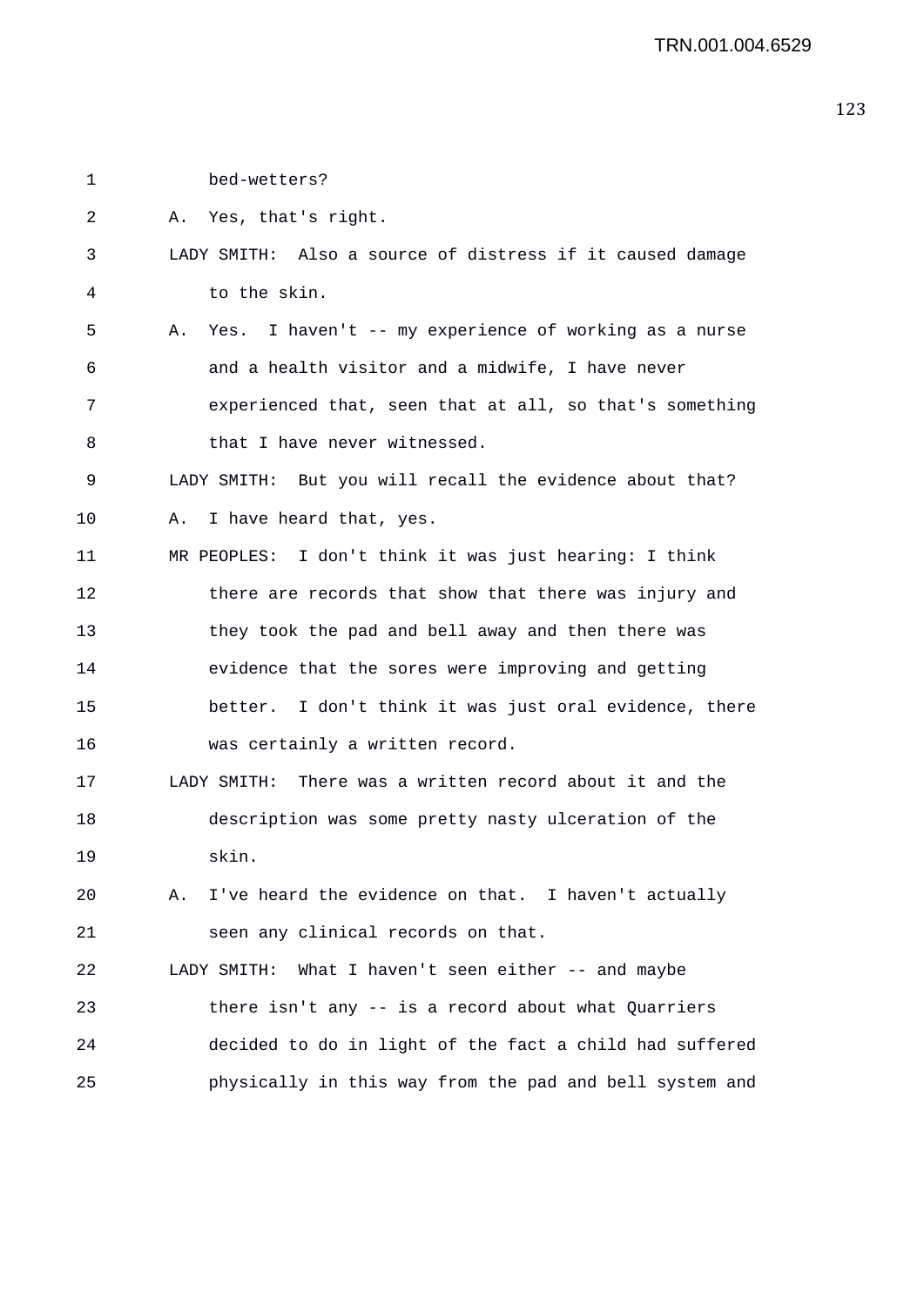1 bed-wetters?

2 A. Yes, that's right.

## 3 LADY SMITH: Also a source of distress if it caused damage 4 to the skin.

5 A. Yes. I haven't -- my experience of working as a nurse 6 and a health visitor and a midwife, I have never 7 experienced that, seen that at all, so that's something 8 that I have never witnessed.

9 LADY SMITH: But you will recall the evidence about that?

10 A. I have heard that, yes.

11 MR PEOPLES: I don't think it was just hearing: I think 12 there are records that show that there was injury and 13 they took the pad and bell away and then there was 14 evidence that the sores were improving and getting 15 better. I don't think it was just oral evidence, there 16 was certainly a written record.

17 LADY SMITH: There was a written record about it and the 18 description was some pretty nasty ulceration of the 19 skin.

20 A. I've heard the evidence on that. I haven't actually 21 seen any clinical records on that.

22 LADY SMITH: What I haven't seen either -- and maybe 23 there isn't any -- is a record about what Quarriers 24 decided to do in light of the fact a child had suffered 25 physically in this way from the pad and bell system and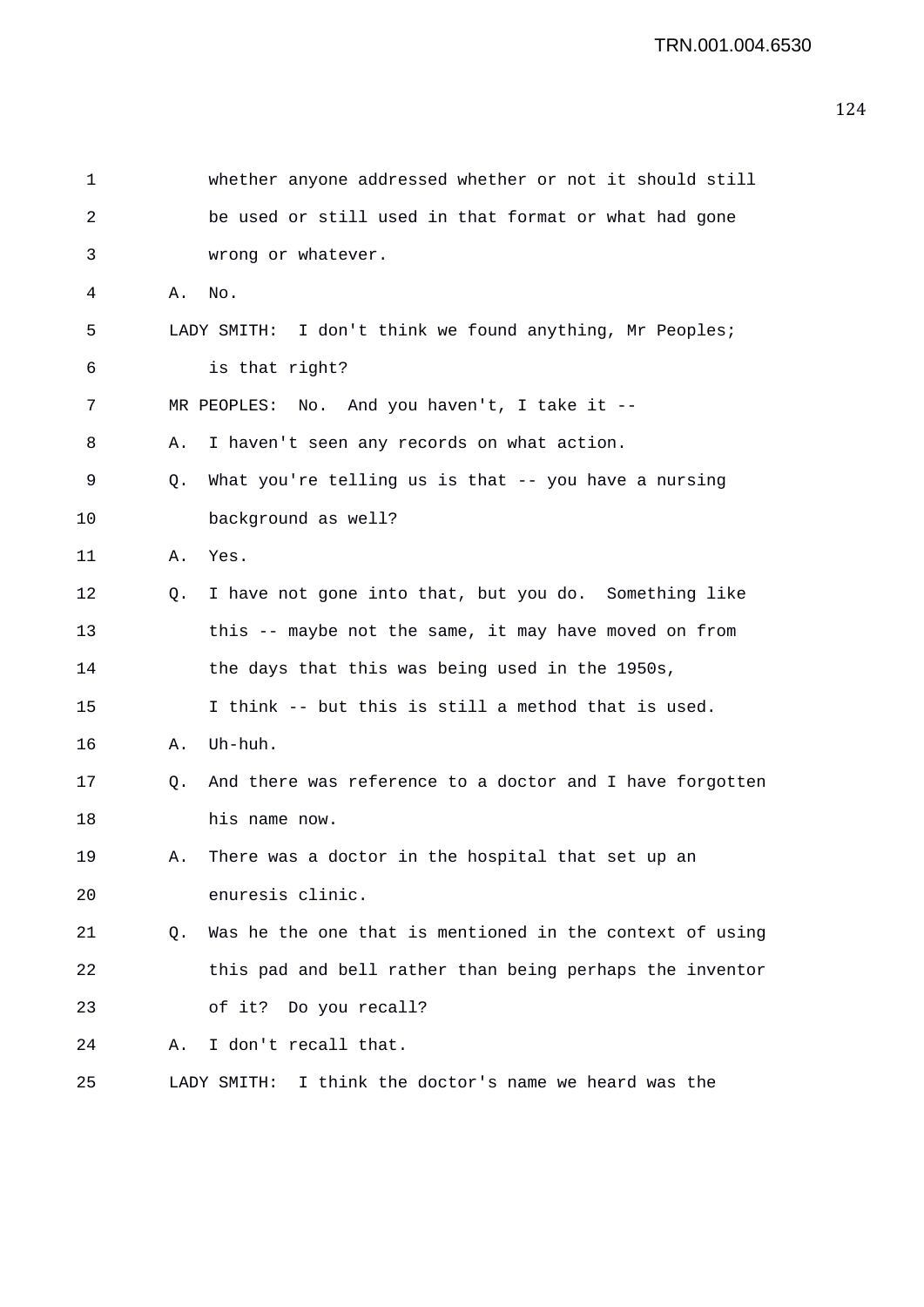| 1  |    | whether anyone addressed whether or not it should still   |
|----|----|-----------------------------------------------------------|
| 2  |    | be used or still used in that format or what had gone     |
| 3  |    | wrong or whatever.                                        |
| 4  | А. | No.                                                       |
| 5  |    | LADY SMITH: I don't think we found anything, Mr Peoples;  |
| 6  |    | is that right?                                            |
| 7  |    | MR PEOPLES: No. And you haven't, I take it --             |
| 8  | Α. | I haven't seen any records on what action.                |
| 9  | Q. | What you're telling us is that -- you have a nursing      |
| 10 |    | background as well?                                       |
| 11 | Α. | Yes.                                                      |
| 12 | Q. | I have not gone into that, but you do. Something like     |
| 13 |    | this -- maybe not the same, it may have moved on from     |
| 14 |    | the days that this was being used in the 1950s,           |
| 15 |    | I think -- but this is still a method that is used.       |
| 16 | Α. | Uh-huh.                                                   |
| 17 | Q. | And there was reference to a doctor and I have forgotten  |
| 18 |    | his name now.                                             |
| 19 | Α. | There was a doctor in the hospital that set up an         |
| 20 |    | enuresis clinic.                                          |
| 21 | O. | Was he the one that is mentioned in the context of using  |
| 22 |    | this pad and bell rather than being perhaps the inventor  |
| 23 |    | of it? Do you recall?                                     |
| 24 | Α. | I don't recall that.                                      |
| 25 |    | I think the doctor's name we heard was the<br>LADY SMITH: |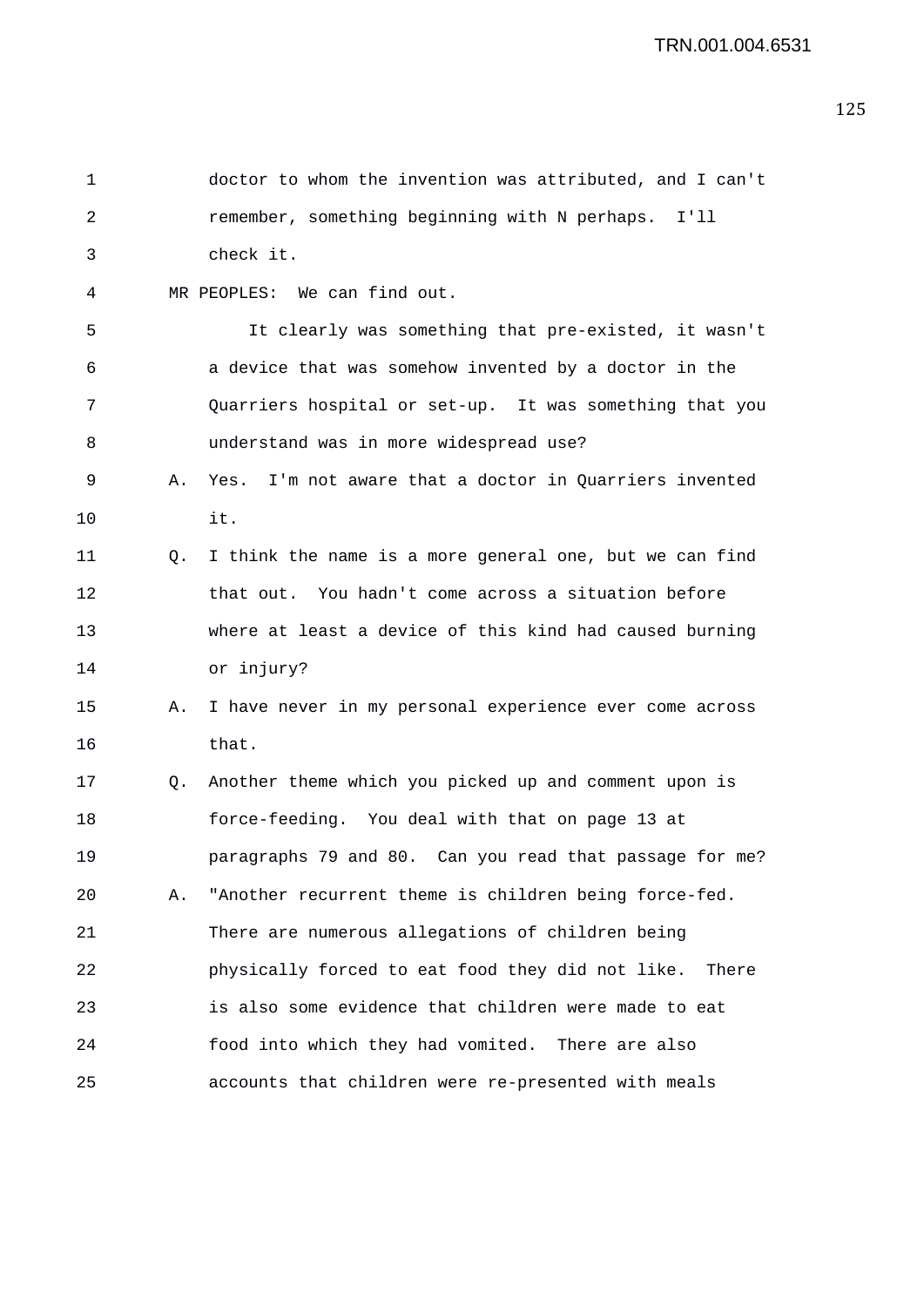| 1  |    | doctor to whom the invention was attributed, and I can't  |
|----|----|-----------------------------------------------------------|
| 2  |    | remember, something beginning with N perhaps. I'll        |
| 3  |    | check it.                                                 |
| 4  |    | MR PEOPLES: We can find out.                              |
| 5  |    | It clearly was something that pre-existed, it wasn't      |
| 6  |    | a device that was somehow invented by a doctor in the     |
| 7  |    | Quarriers hospital or set-up. It was something that you   |
| 8  |    | understand was in more widespread use?                    |
| 9  | Α. | Yes. I'm not aware that a doctor in Quarriers invented    |
| 10 |    | it.                                                       |
| 11 | Q. | I think the name is a more general one, but we can find   |
| 12 |    | that out. You hadn't come across a situation before       |
| 13 |    | where at least a device of this kind had caused burning   |
| 14 |    | or injury?                                                |
| 15 | Α. | I have never in my personal experience ever come across   |
| 16 |    | that.                                                     |
| 17 | Q. | Another theme which you picked up and comment upon is     |
| 18 |    | force-feeding. You deal with that on page 13 at           |
| 19 |    | paragraphs 79 and 80. Can you read that passage for me?   |
| 20 | Α. | "Another recurrent theme is children being force-fed.     |
| 21 |    | There are numerous allegations of children being          |
| 22 |    | physically forced to eat food they did not like.<br>There |
| 23 |    | is also some evidence that children were made to eat      |
| 24 |    | food into which they had vomited. There are also          |
| 25 |    | accounts that children were re-presented with meals       |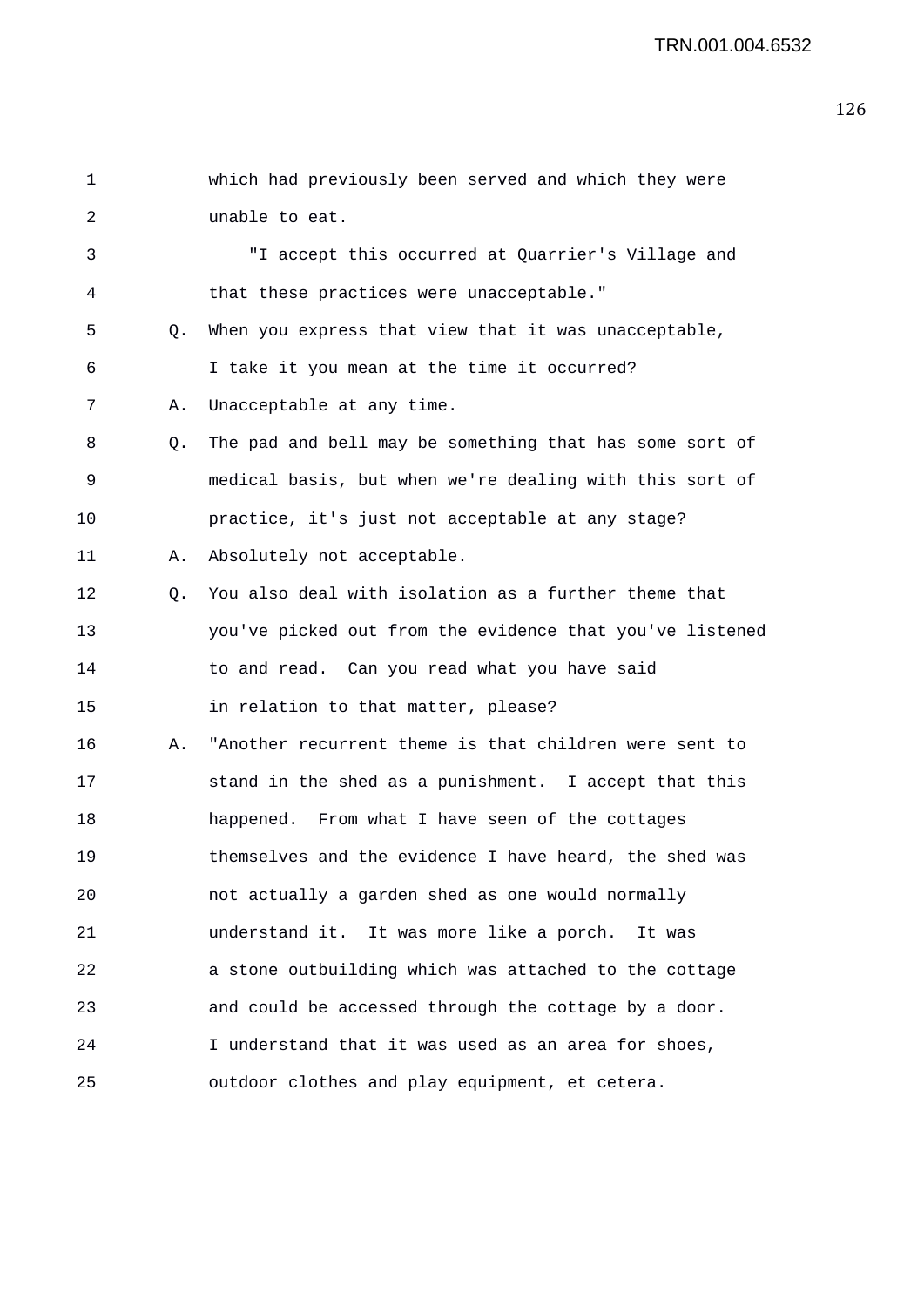| 1  |    | which had previously been served and which they were     |
|----|----|----------------------------------------------------------|
| 2  |    | unable to eat.                                           |
| 3  |    | "I accept this occurred at Quarrier's Village and        |
| 4  |    | that these practices were unacceptable."                 |
| 5  | Q. | When you express that view that it was unacceptable,     |
| 6  |    | I take it you mean at the time it occurred?              |
| 7  | Α. | Unacceptable at any time.                                |
| 8  | Q. | The pad and bell may be something that has some sort of  |
| 9  |    | medical basis, but when we're dealing with this sort of  |
| 10 |    | practice, it's just not acceptable at any stage?         |
| 11 | Α. | Absolutely not acceptable.                               |
| 12 | Q. | You also deal with isolation as a further theme that     |
| 13 |    | you've picked out from the evidence that you've listened |
| 14 |    | to and read. Can you read what you have said             |
| 15 |    | in relation to that matter, please?                      |
| 16 | Α. | "Another recurrent theme is that children were sent to   |
| 17 |    | stand in the shed as a punishment. I accept that this    |
| 18 |    | happened. From what I have seen of the cottages          |
| 19 |    | themselves and the evidence I have heard, the shed was   |
| 20 |    | not actually a garden shed as one would normally         |
| 21 |    | understand it. It was more like a porch.<br>It was       |
| 22 |    | a stone outbuilding which was attached to the cottage    |
| 23 |    | and could be accessed through the cottage by a door.     |
| 24 |    | I understand that it was used as an area for shoes,      |
| 25 |    | outdoor clothes and play equipment, et cetera.           |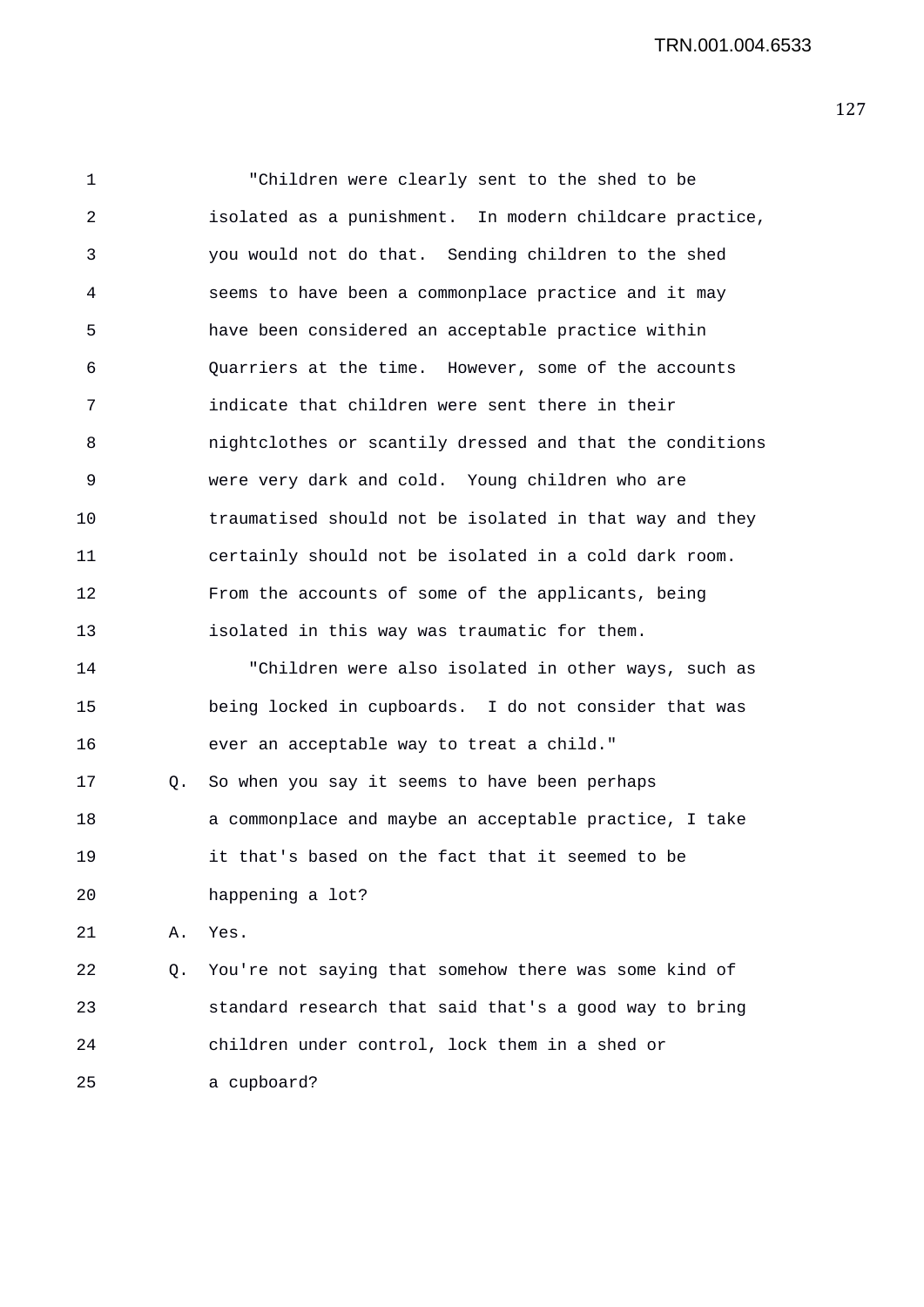1 "Children were clearly sent to the shed to be 2 isolated as a punishment. In modern childcare practice, 3 you would not do that. Sending children to the shed 4 seems to have been a commonplace practice and it may 5 have been considered an acceptable practice within 6 Quarriers at the time. However, some of the accounts 7 indicate that children were sent there in their 8 nightclothes or scantily dressed and that the conditions 9 were very dark and cold. Young children who are 10 traumatised should not be isolated in that way and they 11 certainly should not be isolated in a cold dark room. 12 From the accounts of some of the applicants, being 13 isolated in this way was traumatic for them. 14 "Children were also isolated in other ways, such as 15 being locked in cupboards. I do not consider that was 16 ever an acceptable way to treat a child." 17 Q. So when you say it seems to have been perhaps 18 a commonplace and maybe an acceptable practice, I take 19 it that's based on the fact that it seemed to be 20 happening a lot? 21 A. Yes. 22 Q. You're not saying that somehow there was some kind of 23 standard research that said that's a good way to bring 24 children under control, lock them in a shed or 25 a cupboard?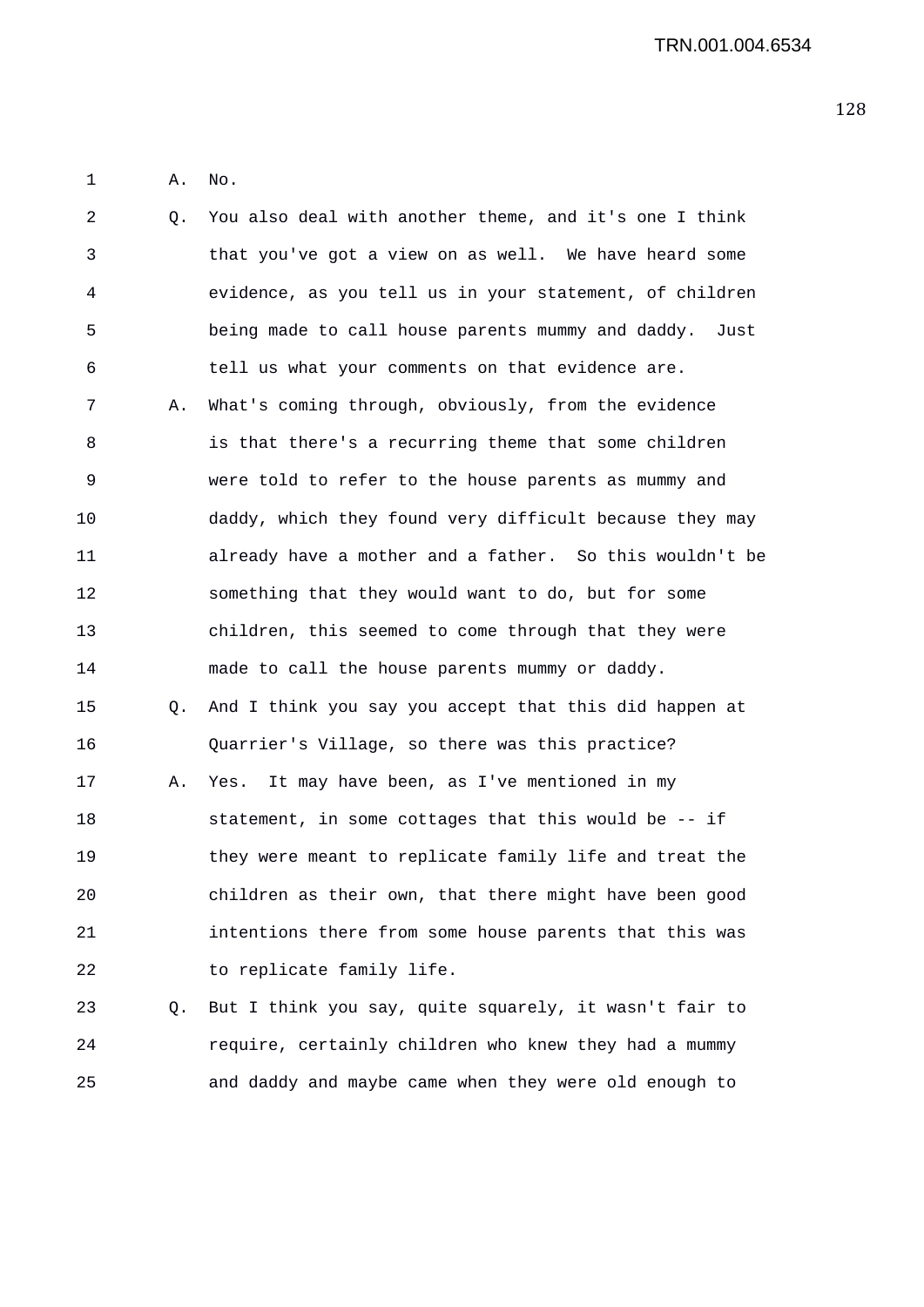1 A. No.

| 2  | Q. | You also deal with another theme, and it's one I think  |
|----|----|---------------------------------------------------------|
| 3  |    | that you've got a view on as well. We have heard some   |
| 4  |    | evidence, as you tell us in your statement, of children |
| 5  |    | being made to call house parents mummy and daddy. Just  |
| 6  |    | tell us what your comments on that evidence are.        |
| 7  | Α. | What's coming through, obviously, from the evidence     |
| 8  |    | is that there's a recurring theme that some children    |
| 9  |    | were told to refer to the house parents as mummy and    |
| 10 |    | daddy, which they found very difficult because they may |
| 11 |    | already have a mother and a father. So this wouldn't be |
| 12 |    | something that they would want to do, but for some      |
| 13 |    | children, this seemed to come through that they were    |
| 14 |    | made to call the house parents mummy or daddy.          |
| 15 | Q. | And I think you say you accept that this did happen at  |
| 16 |    | Quarrier's Village, so there was this practice?         |
| 17 | Α. | Yes. It may have been, as I've mentioned in my          |
| 18 |    | statement, in some cottages that this would be -- if    |
| 19 |    | they were meant to replicate family life and treat the  |
| 20 |    | children as their own, that there might have been good  |
| 21 |    | intentions there from some house parents that this was  |
| 22 |    | to replicate family life.                               |
| 23 | Q. | But I think you say, quite squarely, it wasn't fair to  |
| 24 |    | require, certainly children who knew they had a mummy   |
| 25 |    | and daddy and maybe came when they were old enough to   |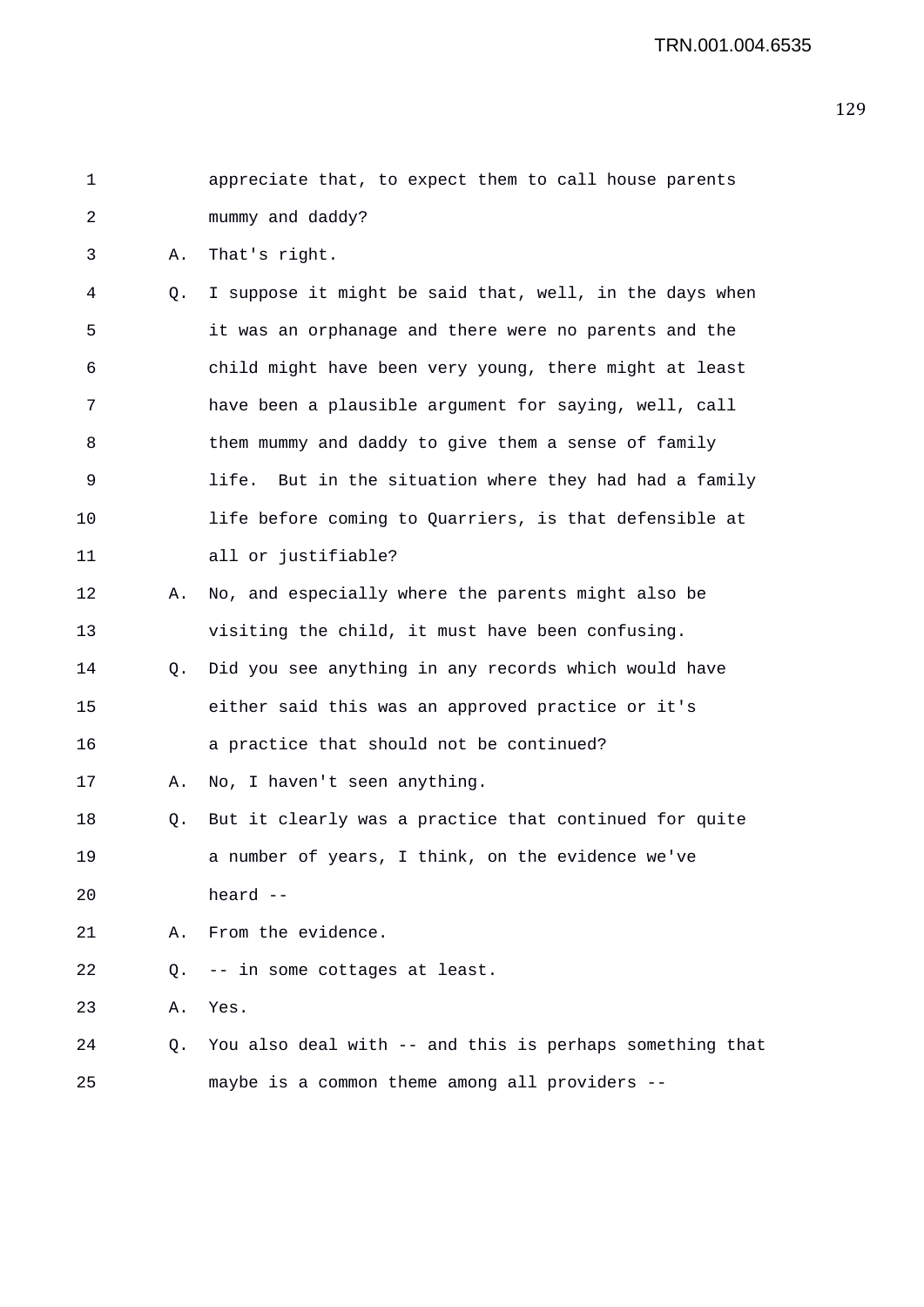| $\mathbf{1}$   |    | appreciate that, to expect them to call house parents   |
|----------------|----|---------------------------------------------------------|
| $\mathfrak{D}$ |    | mummy and daddy?                                        |
| 3              |    | A. That's right.                                        |
| 4              | О. | I suppose it might be said that, well, in the days when |
| 5              |    | it was an orphanage and there were no parents and the   |
| 6              |    | child might have been very young, there might at least  |
| 7              |    | have been a plausible argument for saying, well, call   |
| 8              |    | them mummy and daddy to give them a sense of family     |
|                |    |                                                         |

- 9 life. But in the situation where they had had a family 10 life before coming to Quarriers, is that defensible at 11 all or justifiable?
- 12 A. No, and especially where the parents might also be 13 visiting the child, it must have been confusing.
- 14 Q. Did you see anything in any records which would have 15 either said this was an approved practice or it's 16 a practice that should not be continued?
- 17 A. No, I haven't seen anything.
- 18 Q. But it clearly was a practice that continued for quite 19 a number of years, I think, on the evidence we've 20 heard --
- 21 A. From the evidence.
- 22 Q. -- in some cottages at least.
- 23 A. Yes.
- 24 Q. You also deal with -- and this is perhaps something that 25 maybe is a common theme among all providers --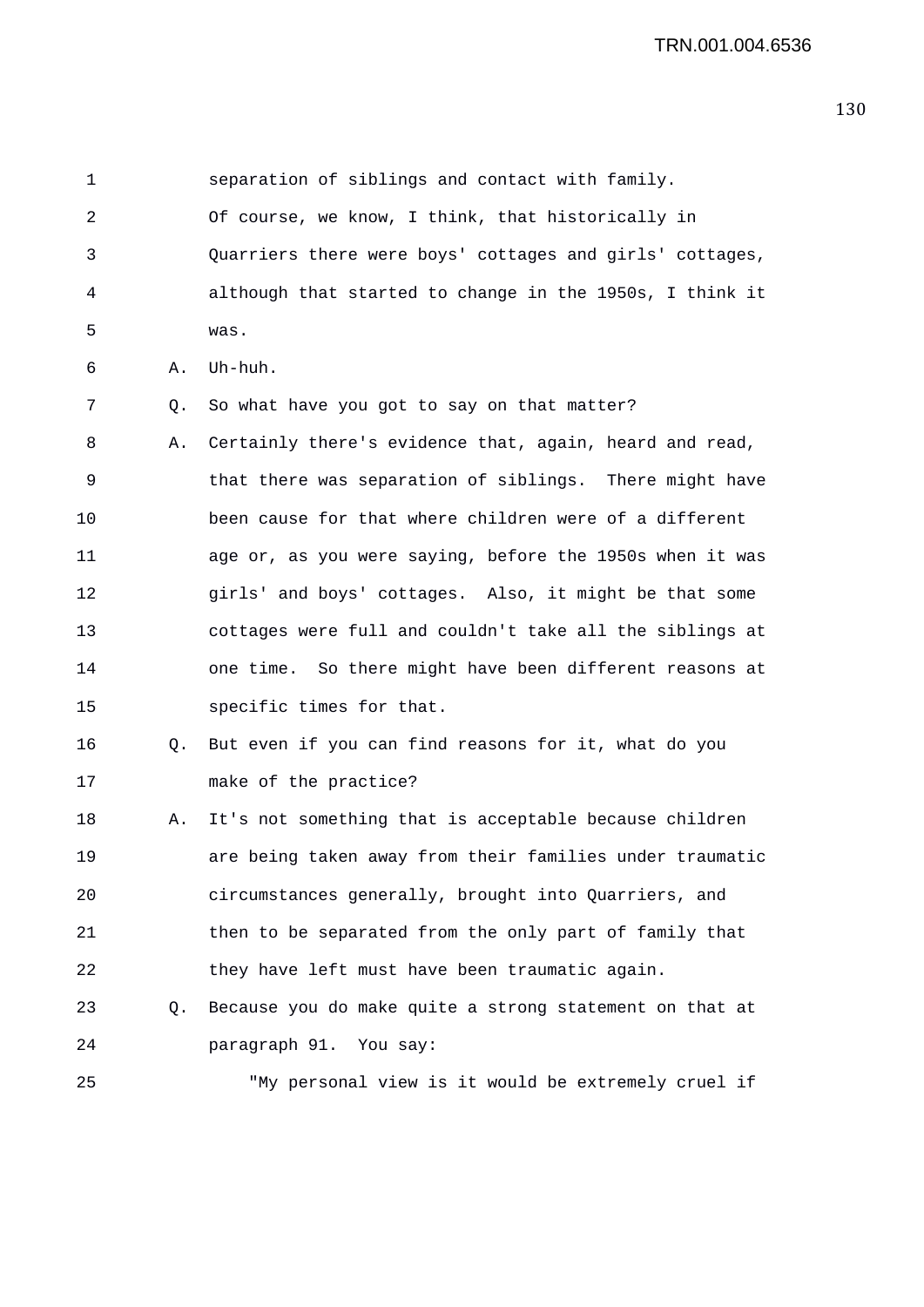1 separation of siblings and contact with family. 2 Of course, we know, I think, that historically in 3 Quarriers there were boys' cottages and girls' cottages, 4 although that started to change in the 1950s, I think it 5 was. 6 A. Uh-huh. 7 Q. So what have you got to say on that matter? 8 A. Certainly there's evidence that, again, heard and read, 9 that there was separation of siblings. There might have 10 been cause for that where children were of a different 11 age or, as you were saying, before the 1950s when it was 12 girls' and boys' cottages. Also, it might be that some 13 cottages were full and couldn't take all the siblings at 14 one time. So there might have been different reasons at 15 specific times for that. 16 Q. But even if you can find reasons for it, what do you 17 make of the practice? 18 A. It's not something that is acceptable because children 19 are being taken away from their families under traumatic 20 circumstances generally, brought into Quarriers, and 21 then to be separated from the only part of family that 22 they have left must have been traumatic again. 23 Q. Because you do make quite a strong statement on that at 24 paragraph 91. You say: 25 "My personal view is it would be extremely cruel if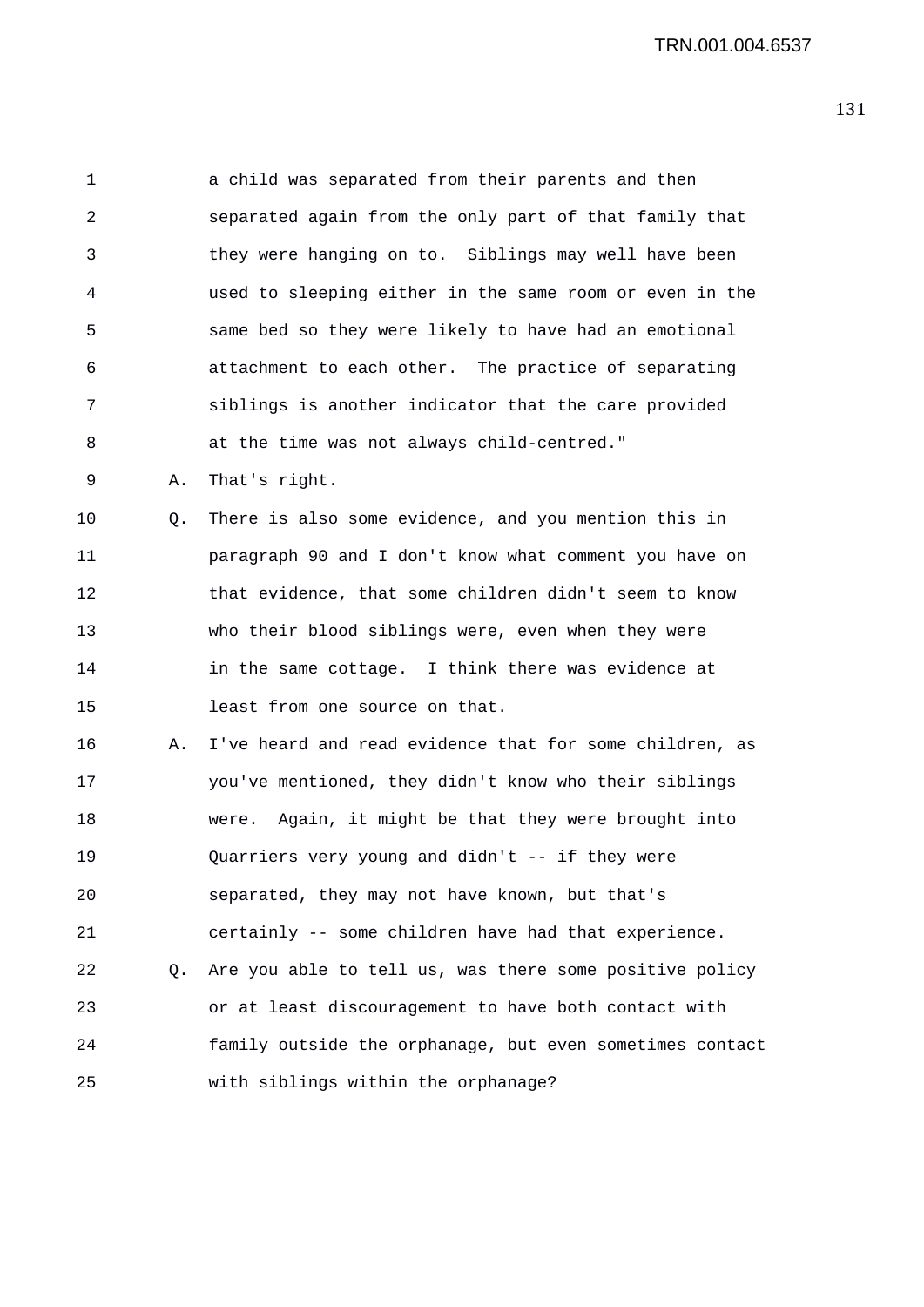1 a child was separated from their parents and then 2 separated again from the only part of that family that 3 they were hanging on to. Siblings may well have been 4 used to sleeping either in the same room or even in the 5 same bed so they were likely to have had an emotional 6 attachment to each other. The practice of separating 7 siblings is another indicator that the care provided 8 at the time was not always child-centred."

9 A. That's right.

10 Q. There is also some evidence, and you mention this in 11 paragraph 90 and I don't know what comment you have on 12 that evidence, that some children didn't seem to know 13 who their blood siblings were, even when they were 14 in the same cottage. I think there was evidence at 15 least from one source on that.

16 A. I've heard and read evidence that for some children, as 17 you've mentioned, they didn't know who their siblings 18 were. Again, it might be that they were brought into 19 Quarriers very young and didn't -- if they were 20 separated, they may not have known, but that's 21 certainly -- some children have had that experience. 22 Q. Are you able to tell us, was there some positive policy 23 or at least discouragement to have both contact with 24 family outside the orphanage, but even sometimes contact 25 with siblings within the orphanage?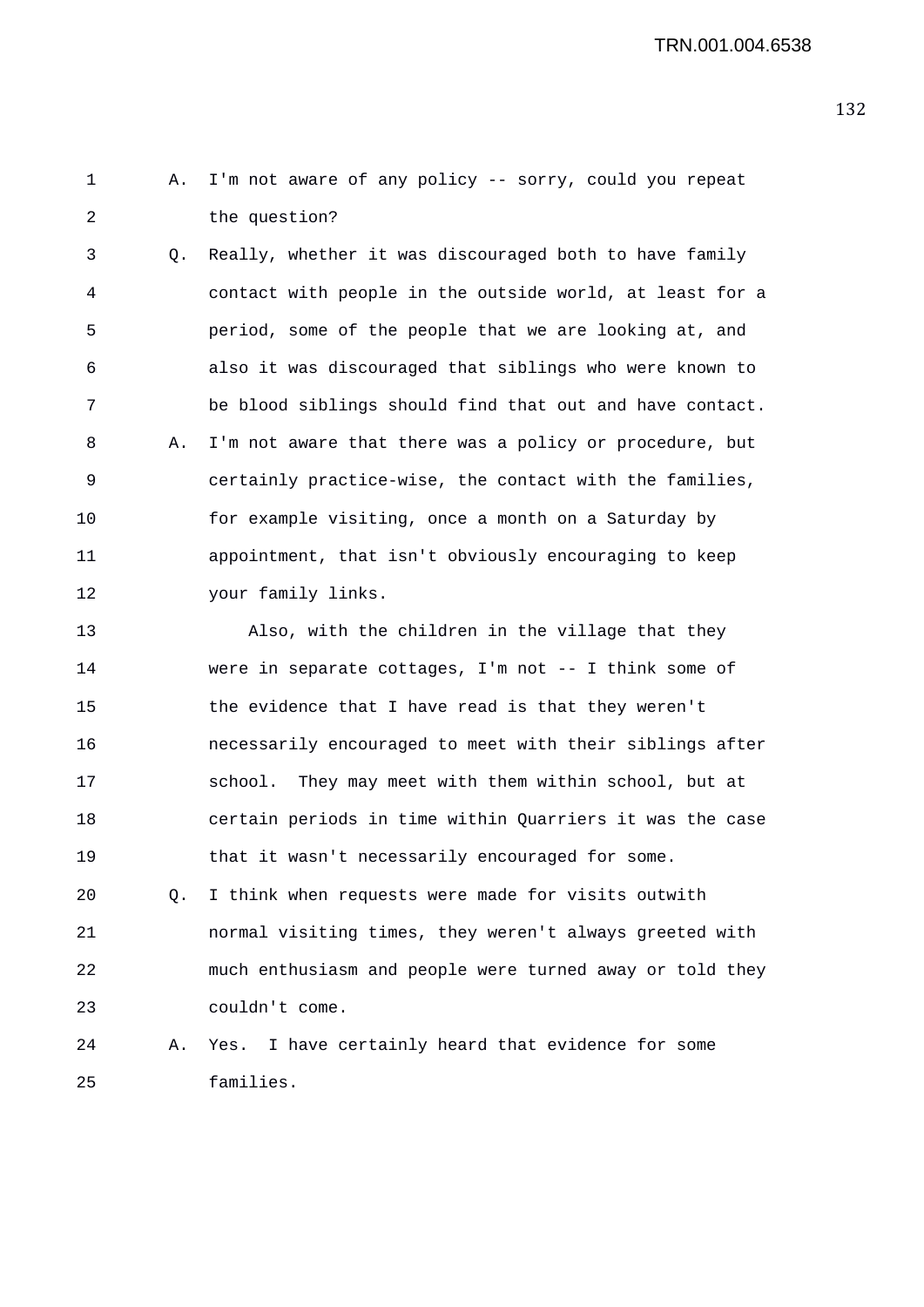1 A. I'm not aware of any policy -- sorry, could you repeat 2 the question?

3 Q. Really, whether it was discouraged both to have family 4 contact with people in the outside world, at least for a 5 period, some of the people that we are looking at, and 6 also it was discouraged that siblings who were known to 7 be blood siblings should find that out and have contact. 8 A. I'm not aware that there was a policy or procedure, but 9 certainly practice-wise, the contact with the families, 10 for example visiting, once a month on a Saturday by 11 appointment, that isn't obviously encouraging to keep 12 your family links.

13 Also, with the children in the village that they 14 were in separate cottages, I'm not -- I think some of 15 the evidence that I have read is that they weren't 16 necessarily encouraged to meet with their siblings after 17 school. They may meet with them within school, but at 18 certain periods in time within Quarriers it was the case 19 that it wasn't necessarily encouraged for some.

20 Q. I think when requests were made for visits outwith 21 normal visiting times, they weren't always greeted with 22 much enthusiasm and people were turned away or told they 23 couldn't come.

24 A. Yes. I have certainly heard that evidence for some 25 families.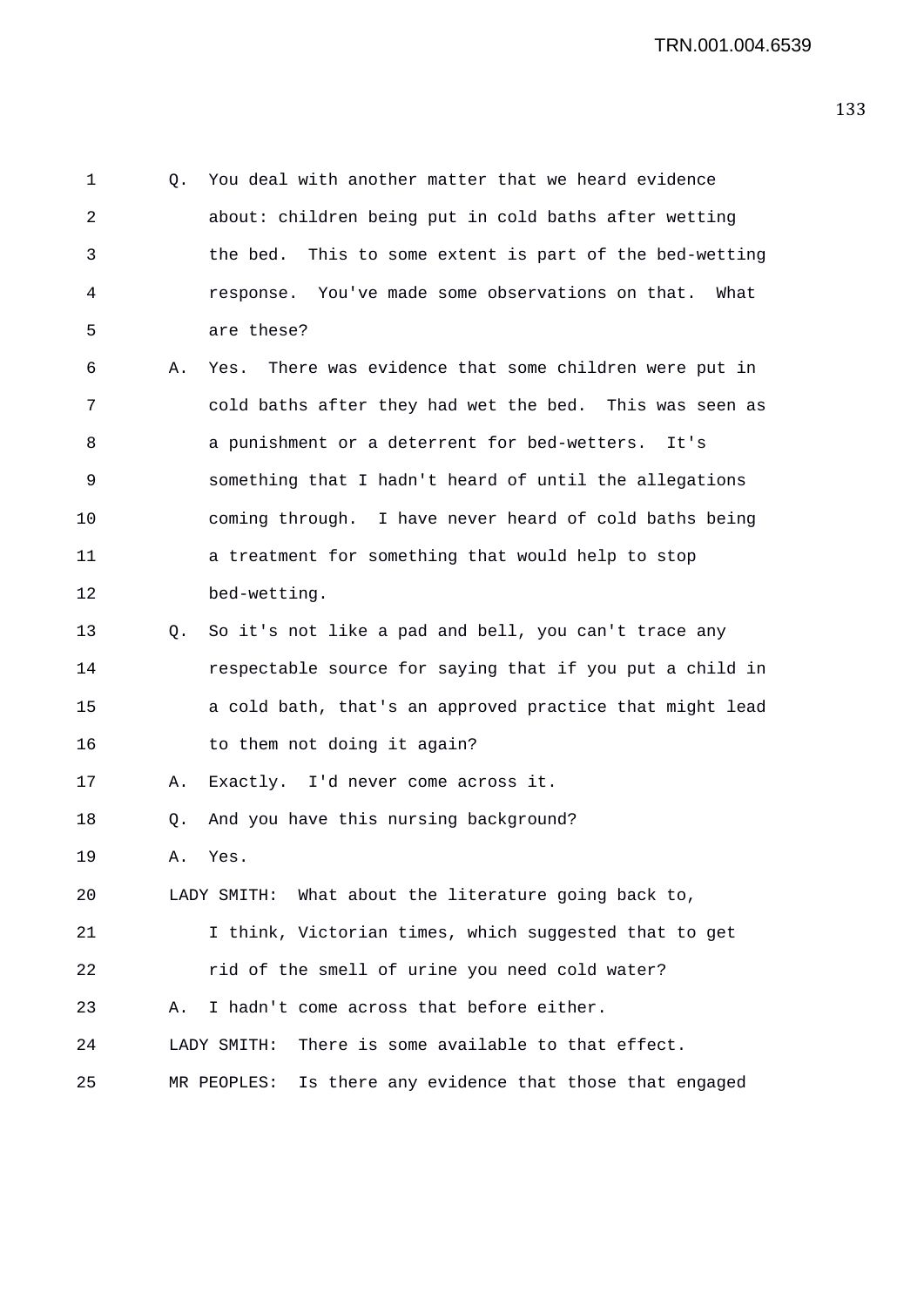1 Q. You deal with another matter that we heard evidence 2 about: children being put in cold baths after wetting 3 the bed. This to some extent is part of the bed-wetting 4 response. You've made some observations on that. What 5 are these? 6 A. Yes. There was evidence that some children were put in 7 cold baths after they had wet the bed. This was seen as 8 a punishment or a deterrent for bed-wetters. It's 9 something that I hadn't heard of until the allegations 10 coming through. I have never heard of cold baths being 11 a treatment for something that would help to stop 12 bed-wetting. 13 Q. So it's not like a pad and bell, you can't trace any 14 respectable source for saying that if you put a child in 15 a cold bath, that's an approved practice that might lead 16 to them not doing it again? 17 A. Exactly. I'd never come across it. 18 Q. And you have this nursing background? 19 A. Yes. 20 LADY SMITH: What about the literature going back to, 21 I think, Victorian times, which suggested that to get 22 rid of the smell of urine you need cold water? 23 A. I hadn't come across that before either. 24 LADY SMITH: There is some available to that effect. 25 MR PEOPLES: Is there any evidence that those that engaged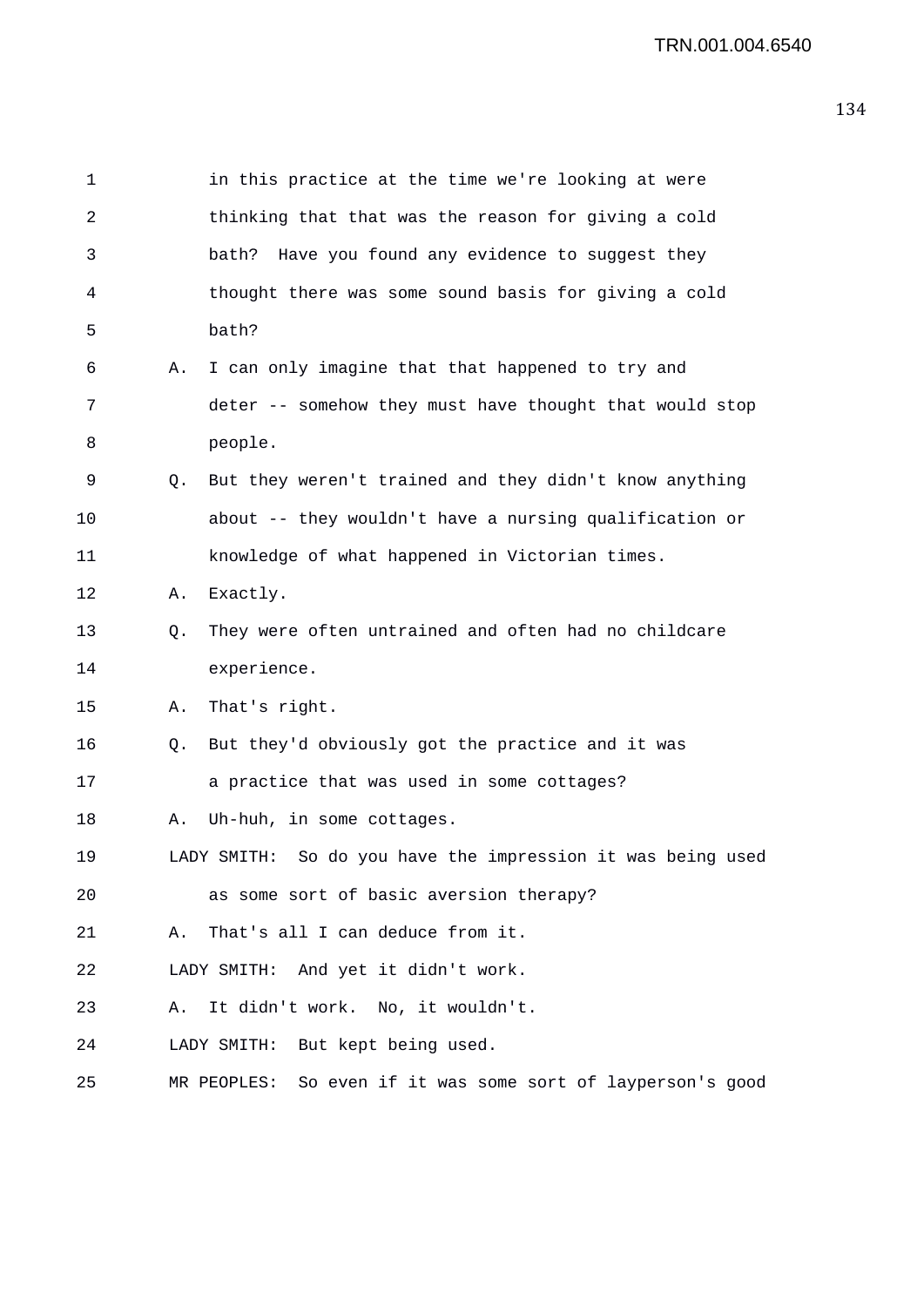| $\mathbf 1$ |    | in this practice at the time we're looking at were          |
|-------------|----|-------------------------------------------------------------|
| 2           |    | thinking that that was the reason for giving a cold         |
| 3           |    | bath? Have you found any evidence to suggest they           |
| 4           |    | thought there was some sound basis for giving a cold        |
| 5           |    | bath?                                                       |
| 6           | Α. | I can only imagine that that happened to try and            |
| 7           |    | deter -- somehow they must have thought that would stop     |
| 8           |    | people.                                                     |
| 9           | Q. | But they weren't trained and they didn't know anything      |
| 10          |    | about -- they wouldn't have a nursing qualification or      |
| 11          |    | knowledge of what happened in Victorian times.              |
| 12          | Α. | Exactly.                                                    |
| 13          | Q. | They were often untrained and often had no childcare        |
| 14          |    | experience.                                                 |
| 15          | Α. | That's right.                                               |
| 16          | Q. | But they'd obviously got the practice and it was            |
| 17          |    | a practice that was used in some cottages?                  |
| 18          | Α. | Uh-huh, in some cottages.                                   |
| 19          |    | LADY SMITH: So do you have the impression it was being used |
| 20          |    | as some sort of basic aversion therapy?                     |
| 21          | Α. | That's all I can deduce from it.                            |
| 22          |    | LADY SMITH: And yet it didn't work.                         |
| 23          | Α. | It didn't work. No, it wouldn't.                            |
| 24          |    | LADY SMITH: But kept being used.                            |
| 25          |    | MR PEOPLES: So even if it was some sort of layperson's good |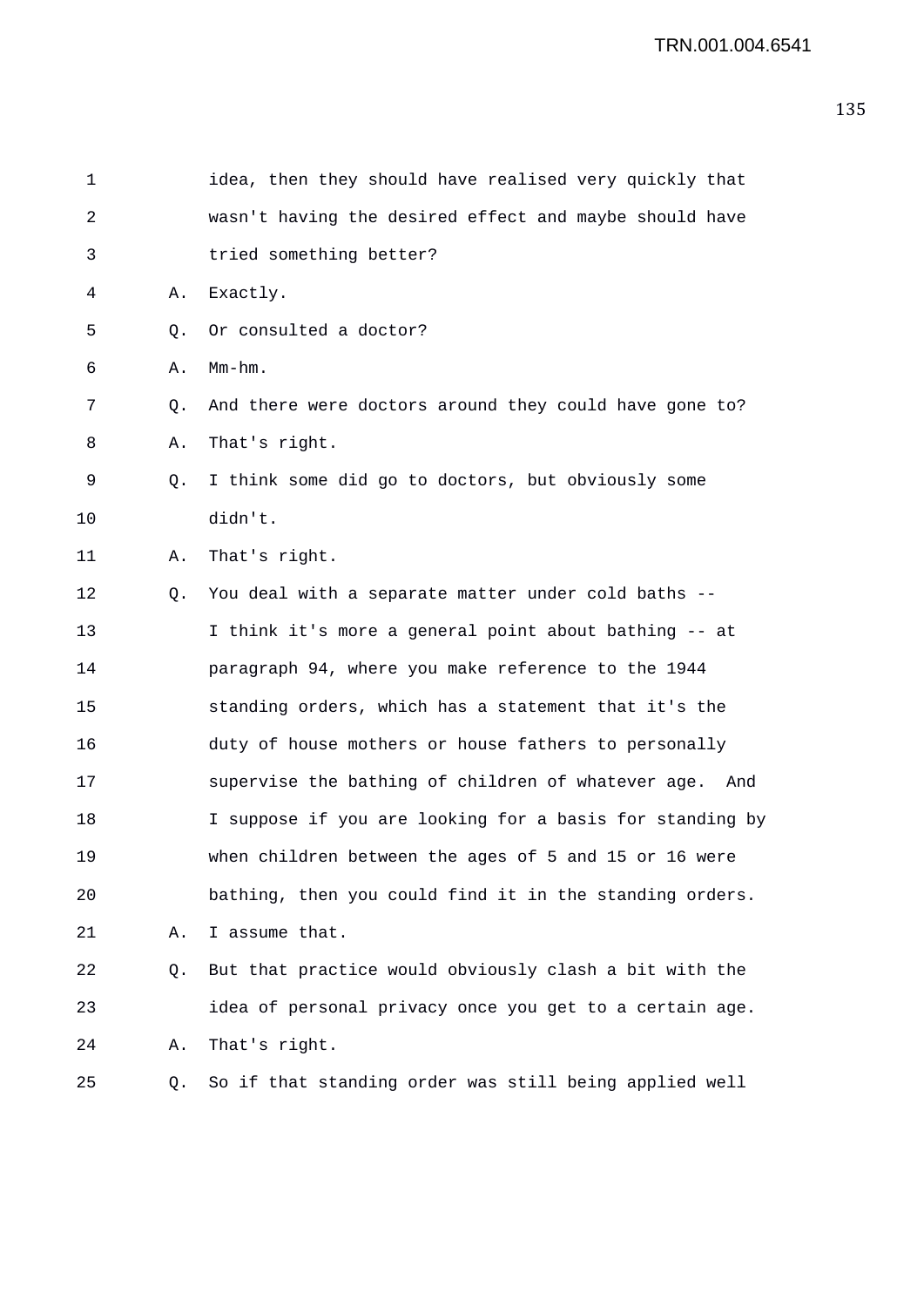| 1  |                | idea, then they should have realised very quickly that    |
|----|----------------|-----------------------------------------------------------|
| 2  |                | wasn't having the desired effect and maybe should have    |
| 3  |                | tried something better?                                   |
| 4  | Α.             | Exactly.                                                  |
| 5  | Q <sub>z</sub> | Or consulted a doctor?                                    |
| 6  | Α.             | $Mm-hm$ .                                                 |
| 7  | Q.             | And there were doctors around they could have gone to?    |
| 8  | Α.             | That's right.                                             |
| 9  | Q.             | I think some did go to doctors, but obviously some        |
| 10 |                | didn't.                                                   |
| 11 | Α.             | That's right.                                             |
| 12 | Q.             | You deal with a separate matter under cold baths --       |
| 13 |                | I think it's more a general point about bathing -- at     |
| 14 |                | paragraph 94, where you make reference to the 1944        |
| 15 |                | standing orders, which has a statement that it's the      |
| 16 |                | duty of house mothers or house fathers to personally      |
| 17 |                | supervise the bathing of children of whatever age.<br>And |
| 18 |                | I suppose if you are looking for a basis for standing by  |
| 19 |                | when children between the ages of 5 and 15 or 16 were     |
| 20 |                | bathing, then you could find it in the standing orders.   |
| 21 | Α.             | I assume that.                                            |
| 22 | Q.             | But that practice would obviously clash a bit with the    |
| 23 |                | idea of personal privacy once you get to a certain age.   |
| 24 | Α.             | That's right.                                             |
| 25 | Q.             | So if that standing order was still being applied well    |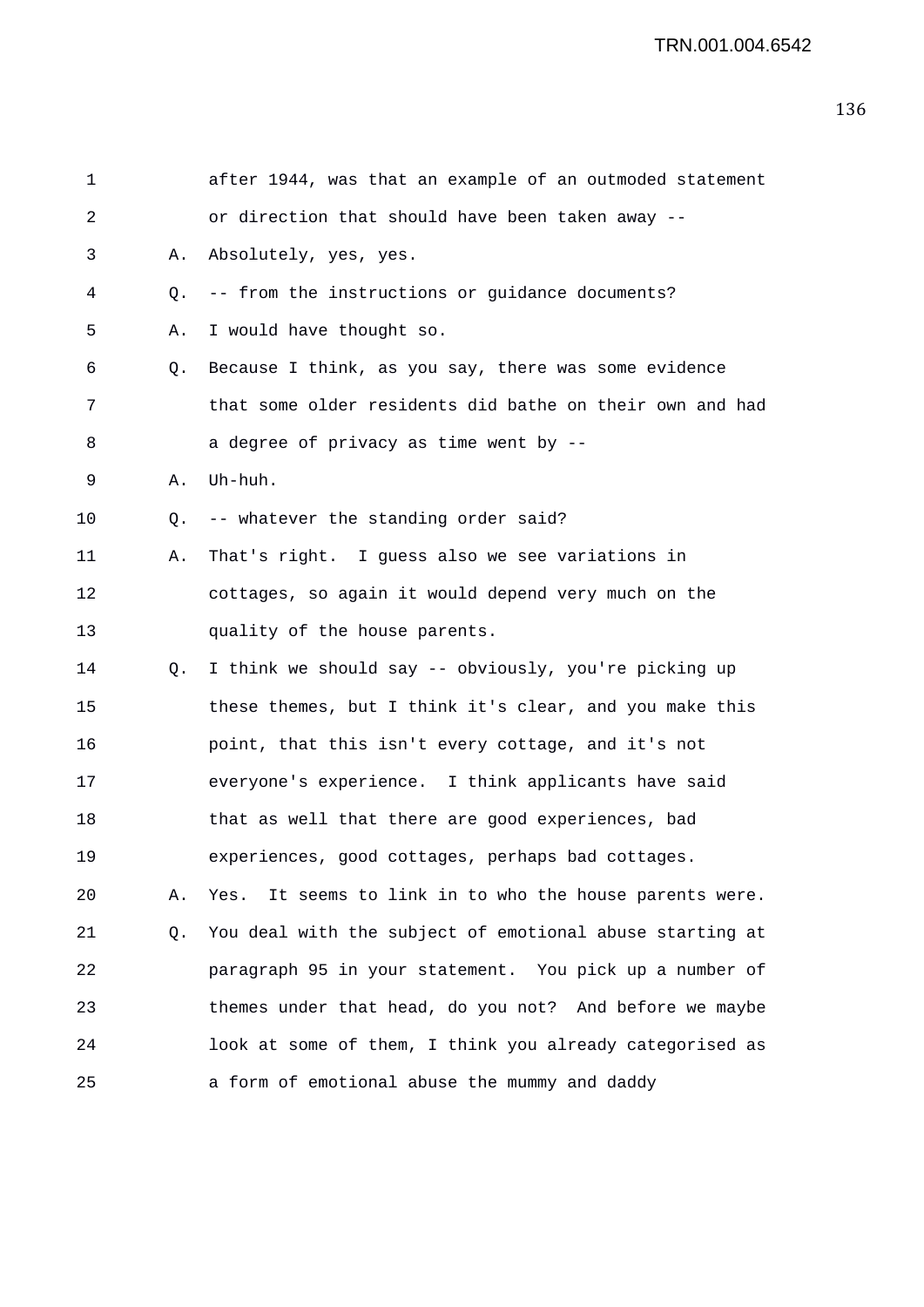| $\mathbf 1$ |    | after 1944, was that an example of an outmoded statement |
|-------------|----|----------------------------------------------------------|
| 2           |    | or direction that should have been taken away --         |
| 3           | Α. | Absolutely, yes, yes.                                    |
| 4           | Q. | -- from the instructions or guidance documents?          |
| 5           | Α. | I would have thought so.                                 |
| 6           | Q. | Because I think, as you say, there was some evidence     |
| 7           |    | that some older residents did bathe on their own and had |
| 8           |    | a degree of privacy as time went by --                   |
| 9           | Α. | Uh-huh.                                                  |
| 10          | Q. | -- whatever the standing order said?                     |
| 11          | Α. | That's right. I guess also we see variations in          |
| 12          |    | cottages, so again it would depend very much on the      |
| 13          |    | quality of the house parents.                            |
| 14          | Q. | I think we should say -- obviously, you're picking up    |
| 15          |    | these themes, but I think it's clear, and you make this  |
| 16          |    | point, that this isn't every cottage, and it's not       |
| 17          |    | everyone's experience. I think applicants have said      |
| 18          |    | that as well that there are good experiences, bad        |
| 19          |    | experiences, good cottages, perhaps bad cottages.        |
| 20          | Α. | Yes. It seems to link in to who the house parents were.  |
| 21          | Q. | You deal with the subject of emotional abuse starting at |
| 22          |    | paragraph 95 in your statement. You pick up a number of  |
| 23          |    | themes under that head, do you not? And before we maybe  |
| 24          |    | look at some of them, I think you already categorised as |
| 25          |    | a form of emotional abuse the mummy and daddy            |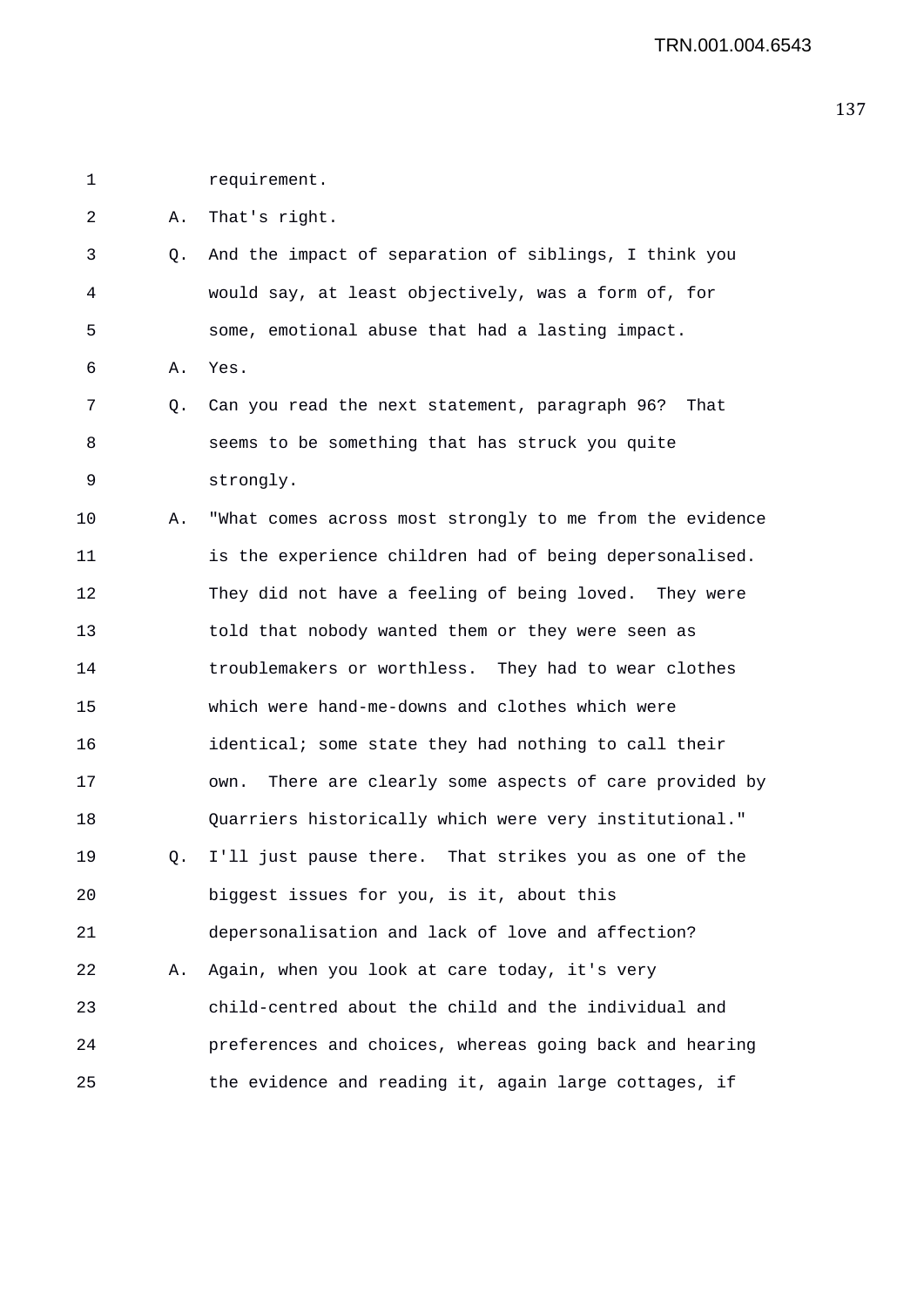1 requirement.

2 A. That's right.

3 Q. And the impact of separation of siblings, I think you 4 would say, at least objectively, was a form of, for 5 some, emotional abuse that had a lasting impact.

6 A. Yes.

- 7 Q. Can you read the next statement, paragraph 96? That 8 seems to be something that has struck you quite 9 strongly.
- 10 A. "What comes across most strongly to me from the evidence 11 is the experience children had of being depersonalised. 12 They did not have a feeling of being loved. They were 13 told that nobody wanted them or they were seen as 14 troublemakers or worthless. They had to wear clothes 15 which were hand-me-downs and clothes which were 16 identical; some state they had nothing to call their 17 own. There are clearly some aspects of care provided by 18 Quarriers historically which were very institutional." 19 Q. I'll just pause there. That strikes you as one of the 20 biggest issues for you, is it, about this 21 depersonalisation and lack of love and affection? 22 A. Again, when you look at care today, it's very 23 child-centred about the child and the individual and 24 preferences and choices, whereas going back and hearing 25 the evidence and reading it, again large cottages, if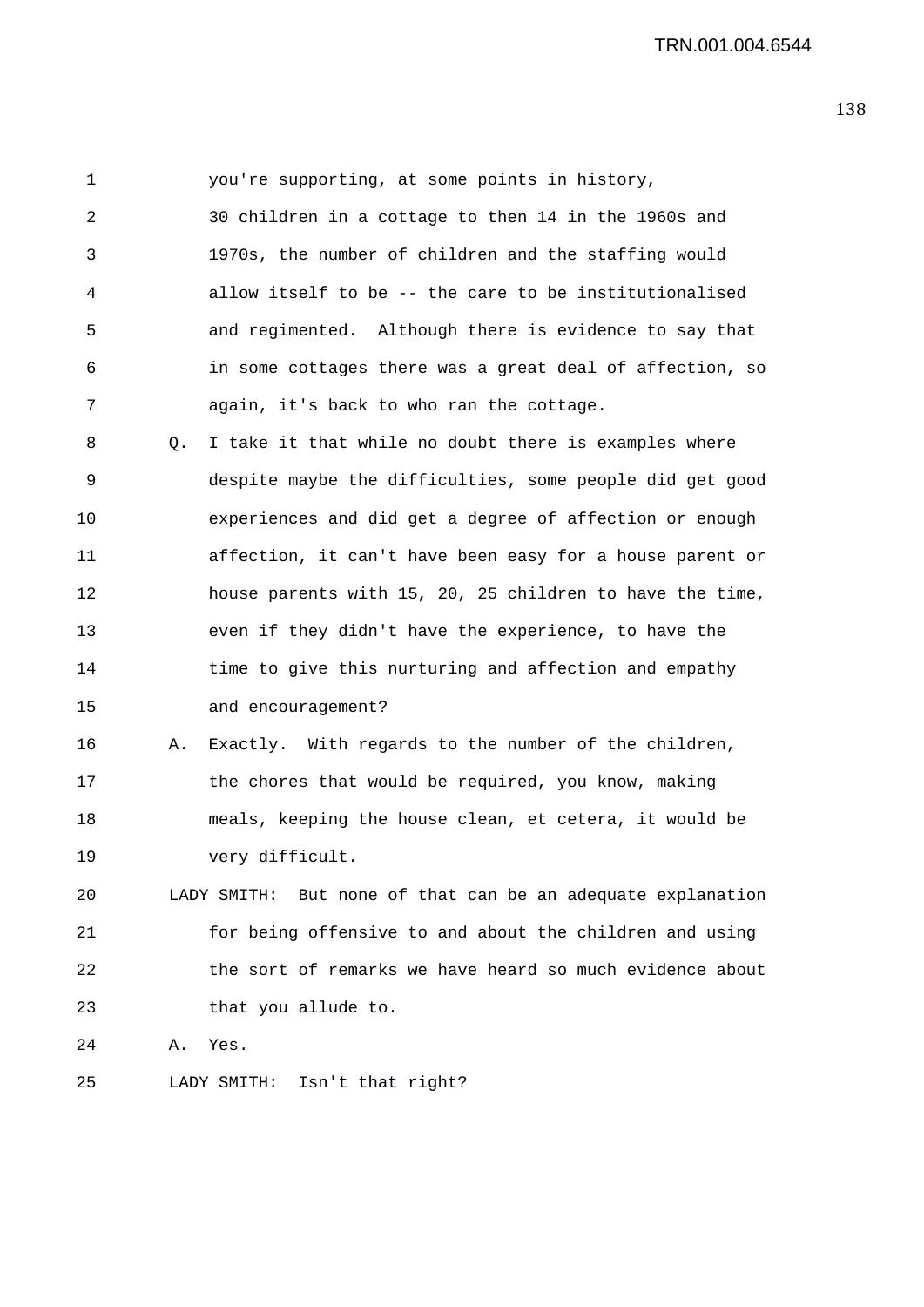1 you're supporting, at some points in history, 2 30 children in a cottage to then 14 in the 1960s and 3 1970s, the number of children and the staffing would 4 allow itself to be -- the care to be institutionalised 5 and regimented. Although there is evidence to say that 6 in some cottages there was a great deal of affection, so 7 again, it's back to who ran the cottage.

8 Q. I take it that while no doubt there is examples where 9 despite maybe the difficulties, some people did get good 10 experiences and did get a degree of affection or enough 11 affection, it can't have been easy for a house parent or 12 house parents with 15, 20, 25 children to have the time, 13 even if they didn't have the experience, to have the 14 time to give this nurturing and affection and empathy 15 and encouragement?

16 A. Exactly. With regards to the number of the children, 17 the chores that would be required, you know, making 18 meals, keeping the house clean, et cetera, it would be 19 very difficult.

20 LADY SMITH: But none of that can be an adequate explanation 21 for being offensive to and about the children and using 22 the sort of remarks we have heard so much evidence about 23 that you allude to.

24 A. Yes.

25 LADY SMITH: Isn't that right?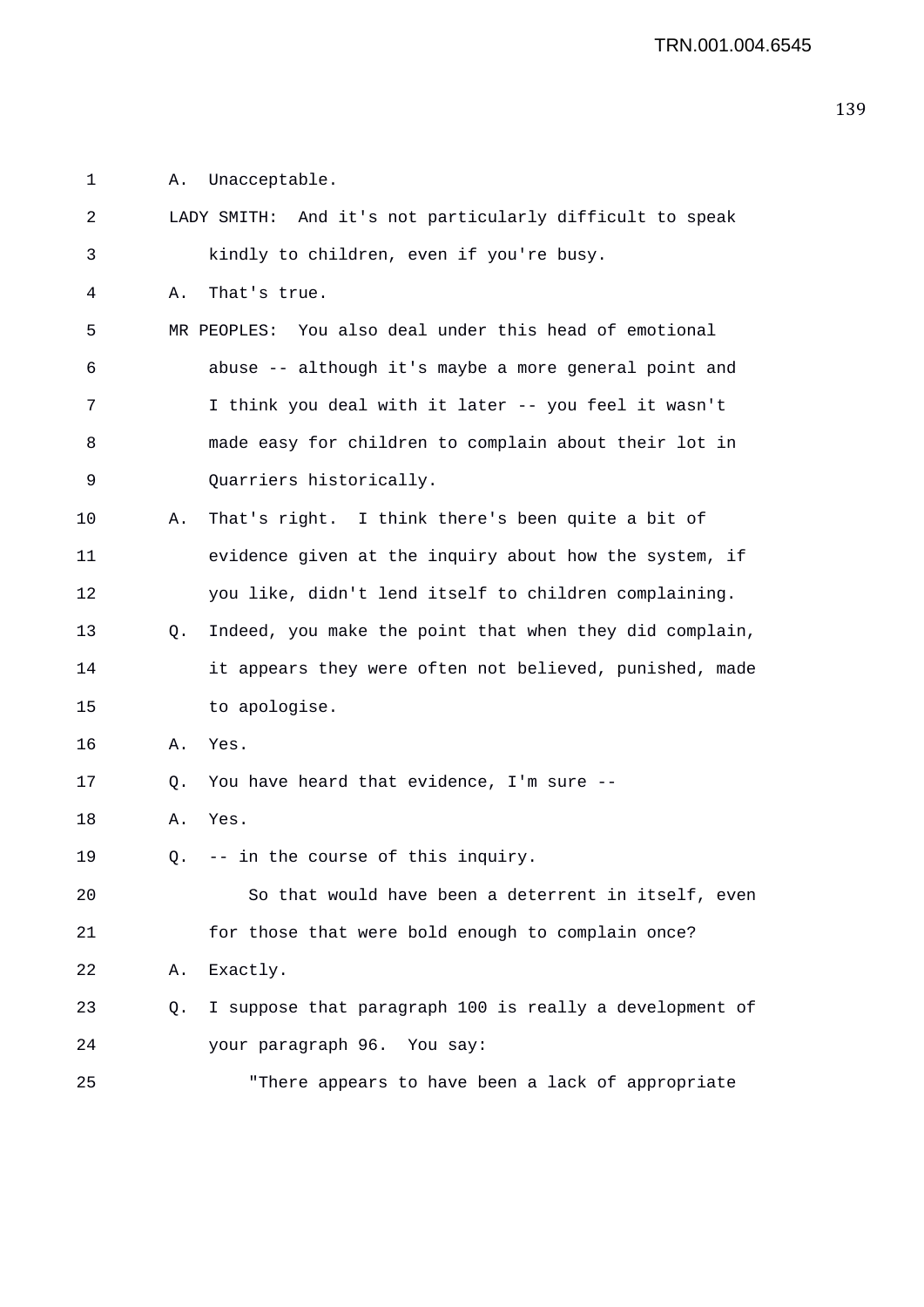1 A. Unacceptable.

| 2  |    | LADY SMITH: And it's not particularly difficult to speak |
|----|----|----------------------------------------------------------|
| 3  |    | kindly to children, even if you're busy.                 |
| 4  | Α. | That's true.                                             |
| 5  |    | MR PEOPLES: You also deal under this head of emotional   |
| 6  |    | abuse -- although it's maybe a more general point and    |
| 7  |    | I think you deal with it later -- you feel it wasn't     |
| 8  |    | made easy for children to complain about their lot in    |
| 9  |    | Quarriers historically.                                  |
| 10 | Α. | That's right. I think there's been quite a bit of        |
| 11 |    | evidence given at the inquiry about how the system, if   |
| 12 |    | you like, didn't lend itself to children complaining.    |
| 13 | O. | Indeed, you make the point that when they did complain,  |
| 14 |    | it appears they were often not believed, punished, made  |
| 15 |    | to apologise.                                            |
| 16 | Α. | Yes.                                                     |
| 17 | Q. | You have heard that evidence, I'm sure --                |
| 18 | Α. | Yes.                                                     |
| 19 | Q. | -- in the course of this inquiry.                        |
| 20 |    | So that would have been a deterrent in itself, even      |
| 21 |    | for those that were bold enough to complain once?        |
| 22 | Α. | Exactly.                                                 |
| 23 | Q. | I suppose that paragraph 100 is really a development of  |
| 24 |    | your paragraph 96. You say:                              |
| 25 |    | "There appears to have been a lack of appropriate        |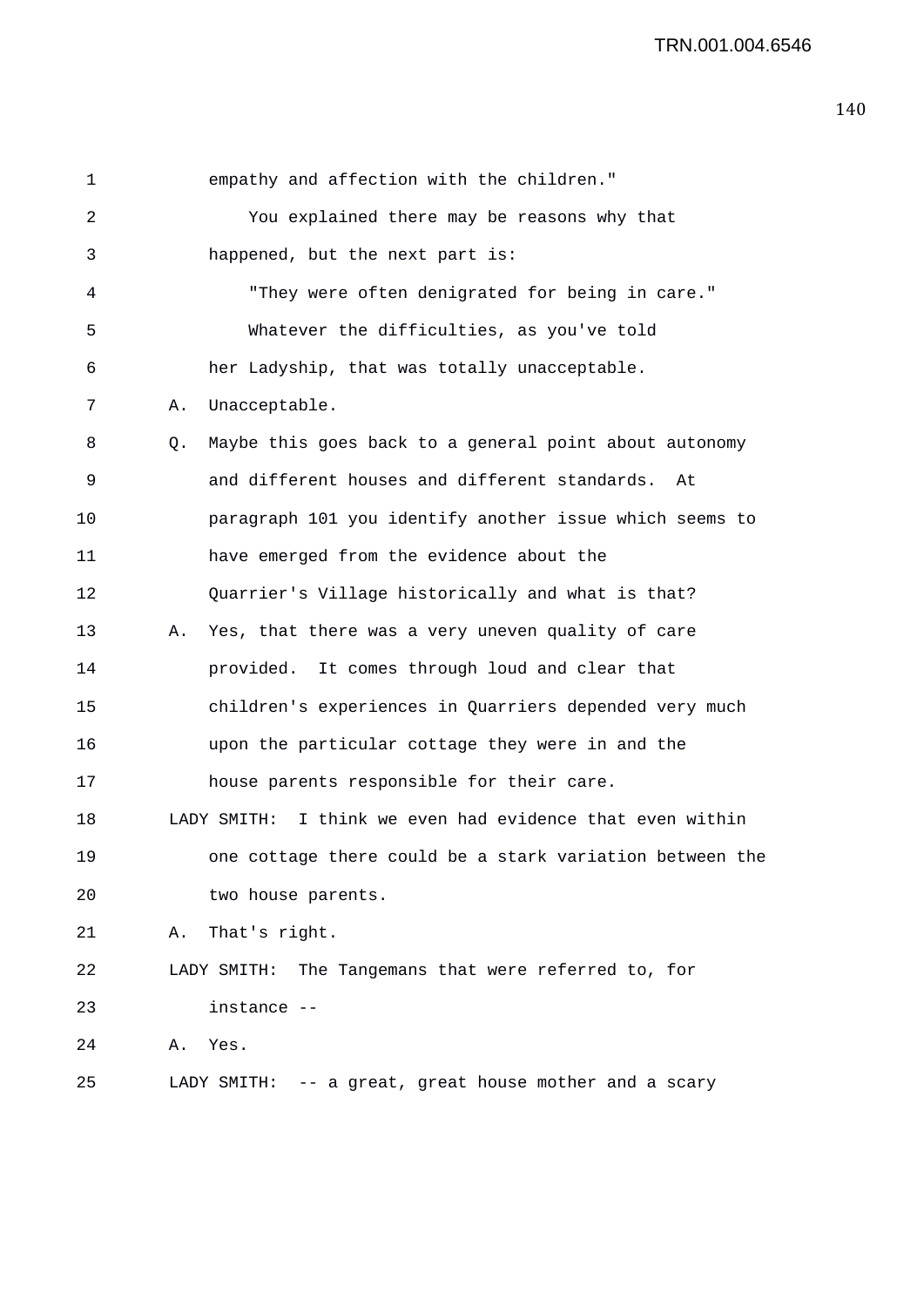| 1  |    | empathy and affection with the children."                    |
|----|----|--------------------------------------------------------------|
| 2  |    | You explained there may be reasons why that                  |
| 3  |    | happened, but the next part is:                              |
| 4  |    | "They were often denigrated for being in care."              |
| 5  |    | Whatever the difficulties, as you've told                    |
| 6  |    | her Ladyship, that was totally unacceptable.                 |
| 7  | Α. | Unacceptable.                                                |
| 8  | Q. | Maybe this goes back to a general point about autonomy       |
| 9  |    | and different houses and different standards.<br>At          |
| 10 |    | paragraph 101 you identify another issue which seems to      |
| 11 |    | have emerged from the evidence about the                     |
| 12 |    | Quarrier's Village historically and what is that?            |
| 13 | Α. | Yes, that there was a very uneven quality of care            |
| 14 |    | provided. It comes through loud and clear that               |
| 15 |    | children's experiences in Quarriers depended very much       |
| 16 |    | upon the particular cottage they were in and the             |
| 17 |    | house parents responsible for their care.                    |
| 18 |    | I think we even had evidence that even within<br>LADY SMITH: |
| 19 |    | one cottage there could be a stark variation between the     |
| 20 |    | two house parents.                                           |
| 21 |    | A. That's right.                                             |
| 22 |    | The Tangemans that were referred to, for<br>LADY SMITH:      |
| 23 |    | instance --                                                  |
| 24 | Α. | Yes.                                                         |
| 25 |    | LADY SMITH: -- a great, great house mother and a scary       |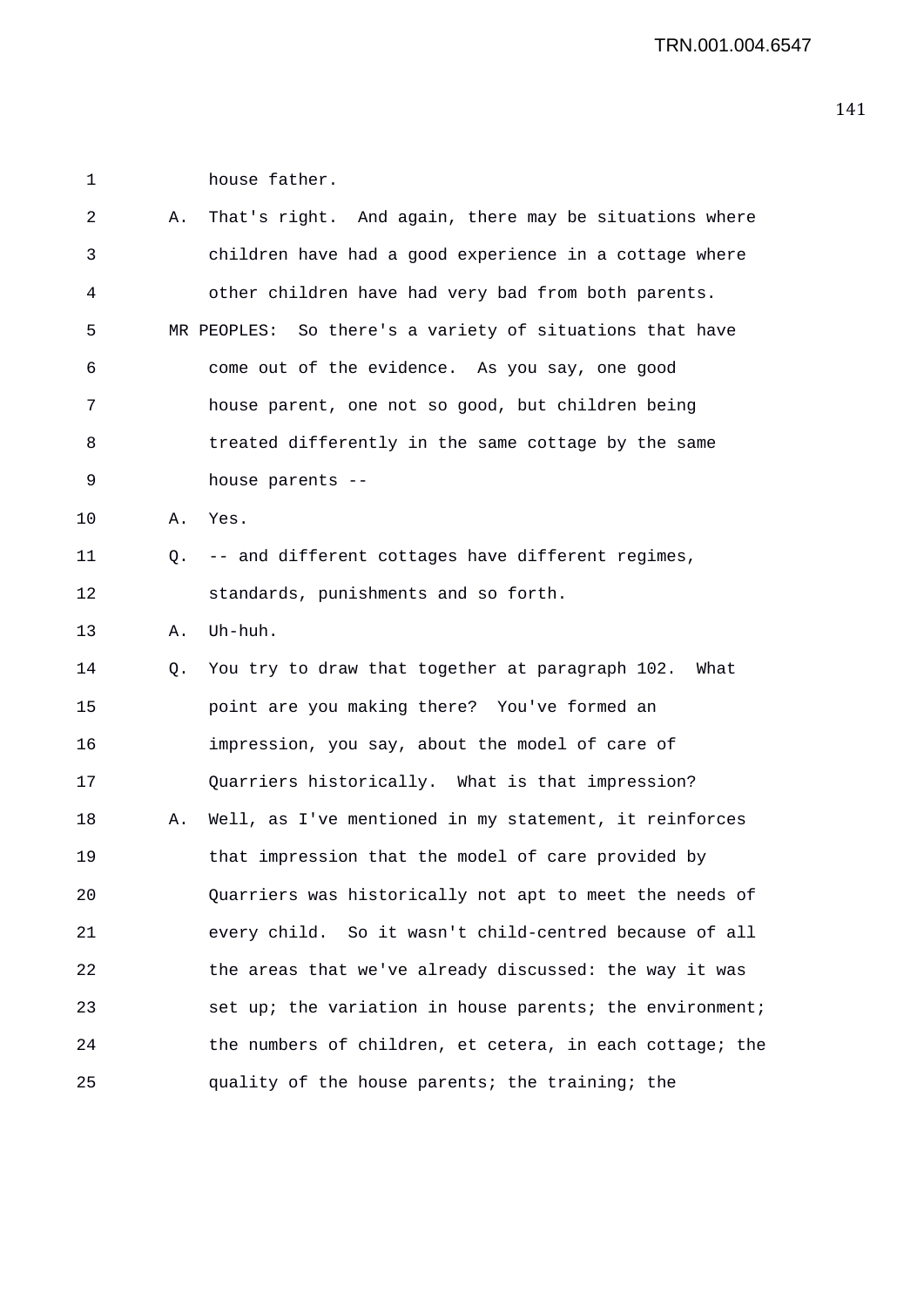1 house father.

| 2  | Α. | That's right. And again, there may be situations where   |
|----|----|----------------------------------------------------------|
| 3  |    | children have had a good experience in a cottage where   |
| 4  |    | other children have had very bad from both parents.      |
| 5  |    | MR PEOPLES: So there's a variety of situations that have |
| 6  |    | come out of the evidence. As you say, one good           |
| 7  |    | house parent, one not so good, but children being        |
| 8  |    | treated differently in the same cottage by the same      |
| 9  |    | house parents --                                         |
| 10 | Α. | Yes.                                                     |
| 11 | Q. | -- and different cottages have different regimes,        |
| 12 |    | standards, punishments and so forth.                     |
| 13 | Α. | Uh-huh.                                                  |
| 14 | Q. | You try to draw that together at paragraph 102. What     |
| 15 |    | point are you making there? You've formed an             |
| 16 |    | impression, you say, about the model of care of          |
| 17 |    | Quarriers historically. What is that impression?         |
| 18 | Α. | Well, as I've mentioned in my statement, it reinforces   |
| 19 |    | that impression that the model of care provided by       |
| 20 |    | Quarriers was historically not apt to meet the needs of  |
| 21 |    | every child. So it wasn't child-centred because of all   |
| 22 |    | the areas that we've already discussed: the way it was   |
| 23 |    | set up; the variation in house parents; the environment; |
| 24 |    | the numbers of children, et cetera, in each cottage; the |
| 25 |    | quality of the house parents; the training; the          |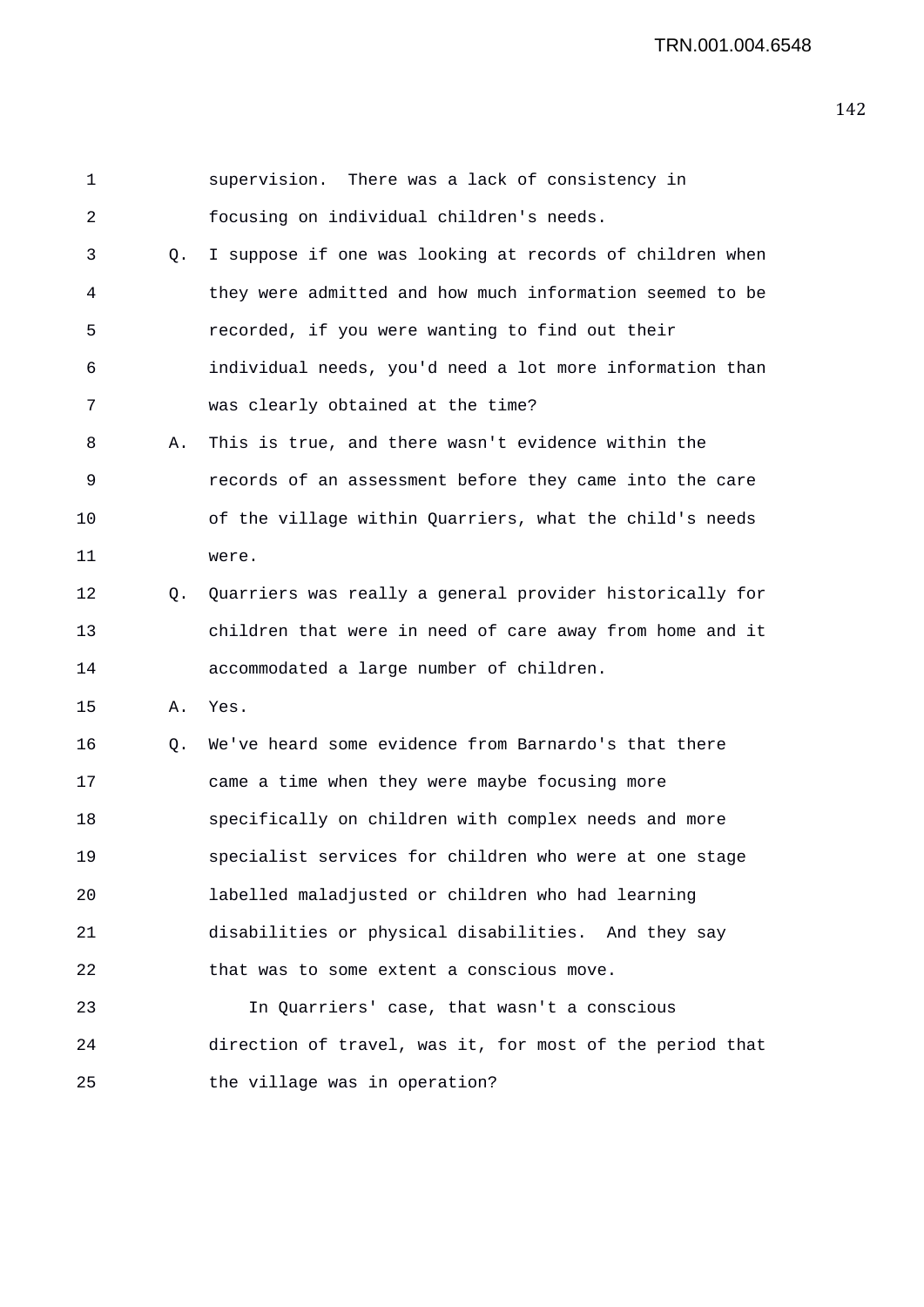| 1  |           | supervision. There was a lack of consistency in          |
|----|-----------|----------------------------------------------------------|
| 2  |           | focusing on individual children's needs.                 |
| 3  | Q.        | I suppose if one was looking at records of children when |
| 4  |           | they were admitted and how much information seemed to be |
| 5  |           | recorded, if you were wanting to find out their          |
| 6  |           | individual needs, you'd need a lot more information than |
| 7  |           | was clearly obtained at the time?                        |
| 8  | Α.        | This is true, and there wasn't evidence within the       |
| 9  |           | records of an assessment before they came into the care  |
| 10 |           | of the village within Quarriers, what the child's needs  |
| 11 |           | were.                                                    |
| 12 | $\circ$ . | Quarriers was really a general provider historically for |
| 13 |           | children that were in need of care away from home and it |
| 14 |           | accommodated a large number of children.                 |
| 15 | Α.        | Yes.                                                     |
| 16 | Q.        | We've heard some evidence from Barnardo's that there     |
| 17 |           | came a time when they were maybe focusing more           |
| 18 |           | specifically on children with complex needs and more     |
| 19 |           | specialist services for children who were at one stage   |
| 20 |           | labelled maladjusted or children who had learning        |
| 21 |           | disabilities or physical disabilities. And they say      |
| 22 |           | that was to some extent a conscious move.                |
| 23 |           | In Quarriers' case, that wasn't a conscious              |
| 24 |           | direction of travel, was it, for most of the period that |
| 25 |           | the village was in operation?                            |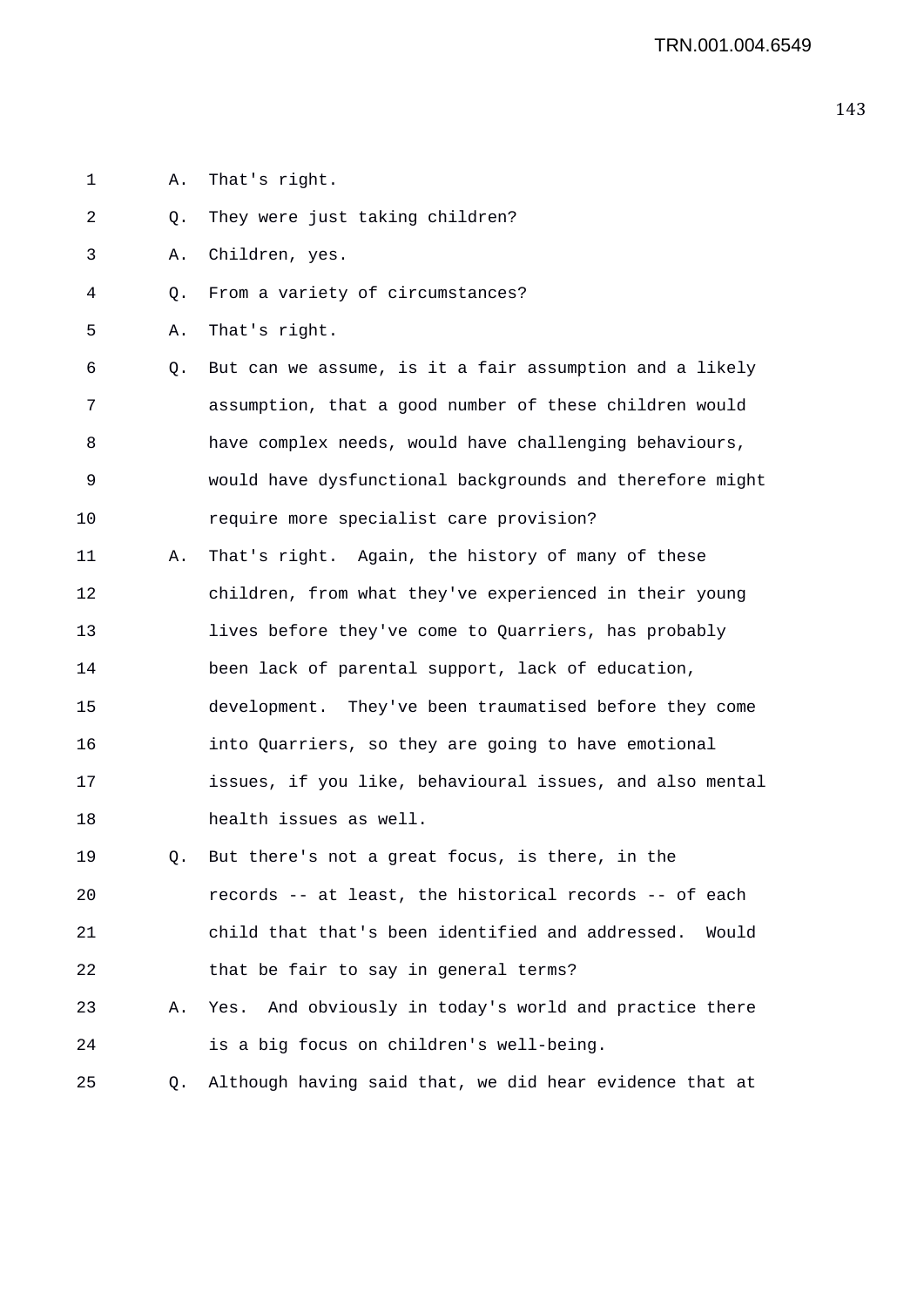- 1 A. That's right.
- 2 Q. They were just taking children?
- 3 A. Children, yes.
- 4 Q. From a variety of circumstances?
- 5 A. That's right.
- 6 Q. But can we assume, is it a fair assumption and a likely 7 assumption, that a good number of these children would 8 have complex needs, would have challenging behaviours, 9 would have dysfunctional backgrounds and therefore might 10 require more specialist care provision?
- 11 A. That's right. Again, the history of many of these 12 children, from what they've experienced in their young 13 lives before they've come to Quarriers, has probably 14 been lack of parental support, lack of education, 15 development. They've been traumatised before they come 16 into Quarriers, so they are going to have emotional 17 issues, if you like, behavioural issues, and also mental 18 health issues as well.
- 19 Q. But there's not a great focus, is there, in the 20 records -- at least, the historical records -- of each 21 child that that's been identified and addressed. Would 22 that be fair to say in general terms?
- 23 A. Yes. And obviously in today's world and practice there 24 is a big focus on children's well-being.
- 25 Q. Although having said that, we did hear evidence that at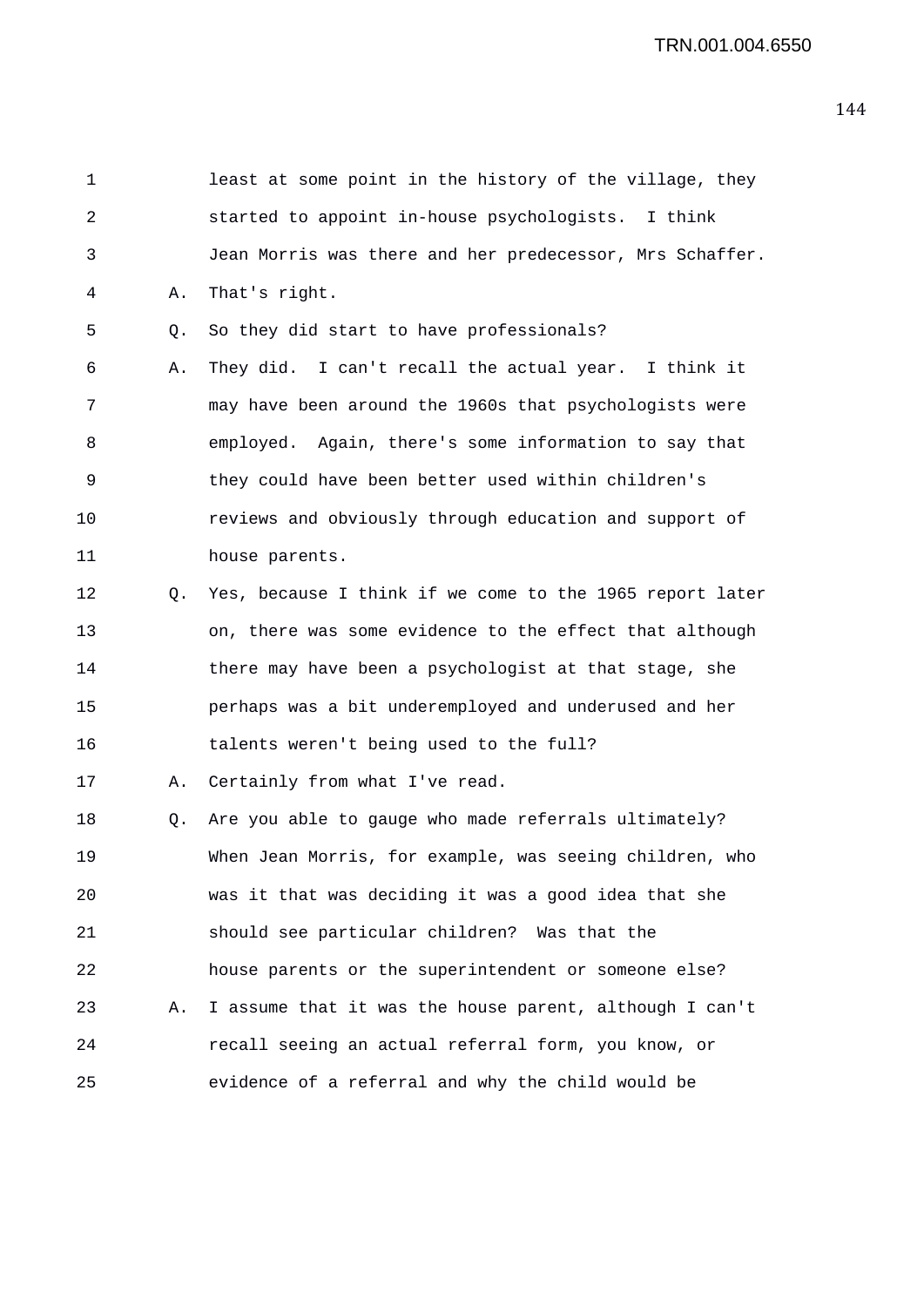| 1  |    | least at some point in the history of the village, they  |
|----|----|----------------------------------------------------------|
| 2  |    | started to appoint in-house psychologists. I think       |
| 3  |    | Jean Morris was there and her predecessor, Mrs Schaffer. |
| 4  | Α. | That's right.                                            |
| 5  | Q. | So they did start to have professionals?                 |
| 6  | Α. | They did. I can't recall the actual year. I think it     |
| 7  |    | may have been around the 1960s that psychologists were   |
| 8  |    | employed. Again, there's some information to say that    |
| 9  |    | they could have been better used within children's       |
| 10 |    | reviews and obviously through education and support of   |
| 11 |    | house parents.                                           |
| 12 | Q. | Yes, because I think if we come to the 1965 report later |
| 13 |    | on, there was some evidence to the effect that although  |
| 14 |    | there may have been a psychologist at that stage, she    |
| 15 |    | perhaps was a bit underemployed and underused and her    |
| 16 |    | talents weren't being used to the full?                  |
| 17 | Α. | Certainly from what I've read.                           |
| 18 | Q. | Are you able to gauge who made referrals ultimately?     |
| 19 |    | When Jean Morris, for example, was seeing children, who  |
| 20 |    | was it that was deciding it was a good idea that she     |
| 21 |    | should see particular children? Was that the             |
| 22 |    | house parents or the superintendent or someone else?     |
| 23 | Α. | I assume that it was the house parent, although I can't  |
| 24 |    | recall seeing an actual referral form, you know, or      |
| 25 |    | evidence of a referral and why the child would be        |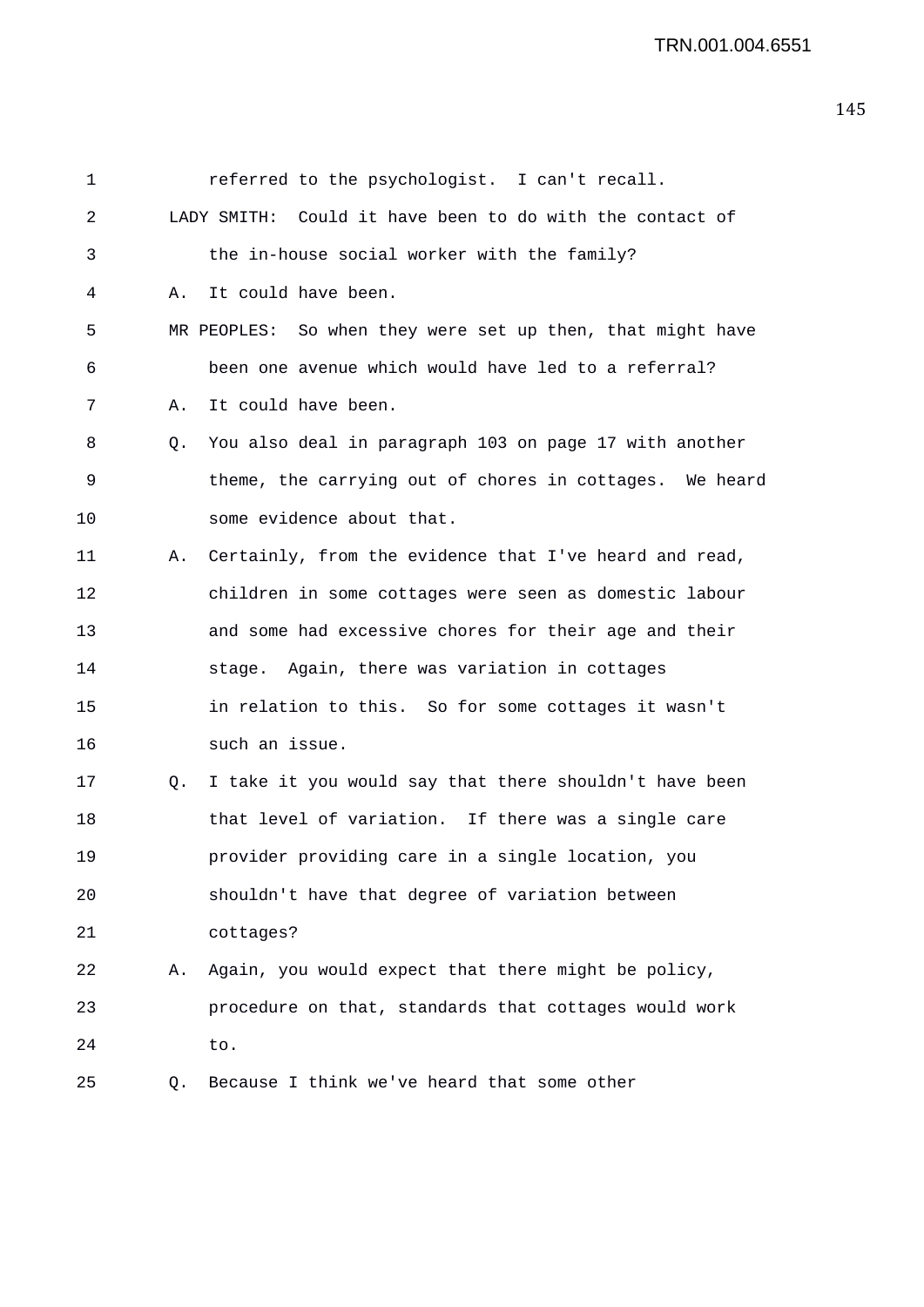| 1  |    | referred to the psychologist. I can't recall.              |
|----|----|------------------------------------------------------------|
| 2  |    | LADY SMITH: Could it have been to do with the contact of   |
| 3  |    | the in-house social worker with the family?                |
| 4  | Α. | It could have been.                                        |
| 5  |    | MR PEOPLES: So when they were set up then, that might have |
| 6  |    | been one avenue which would have led to a referral?        |
| 7  | Α. | It could have been.                                        |
| 8  | Q. | You also deal in paragraph 103 on page 17 with another     |
| 9  |    | theme, the carrying out of chores in cottages. We heard    |
| 10 |    | some evidence about that.                                  |
| 11 | Α. | Certainly, from the evidence that I've heard and read,     |
| 12 |    | children in some cottages were seen as domestic labour     |
| 13 |    | and some had excessive chores for their age and their      |
| 14 |    | stage. Again, there was variation in cottages              |
| 15 |    | in relation to this. So for some cottages it wasn't        |
| 16 |    | such an issue.                                             |
| 17 | Q. | I take it you would say that there shouldn't have been     |
| 18 |    | that level of variation. If there was a single care        |
| 19 |    | provider providing care in a single location, you          |
| 20 |    | shouldn't have that degree of variation between            |
| 21 |    | cottages?                                                  |
| 22 | Α. | Again, you would expect that there might be policy,        |
| 23 |    | procedure on that, standards that cottages would work      |
| 24 |    | to.                                                        |
| 25 | Q. | Because I think we've heard that some other                |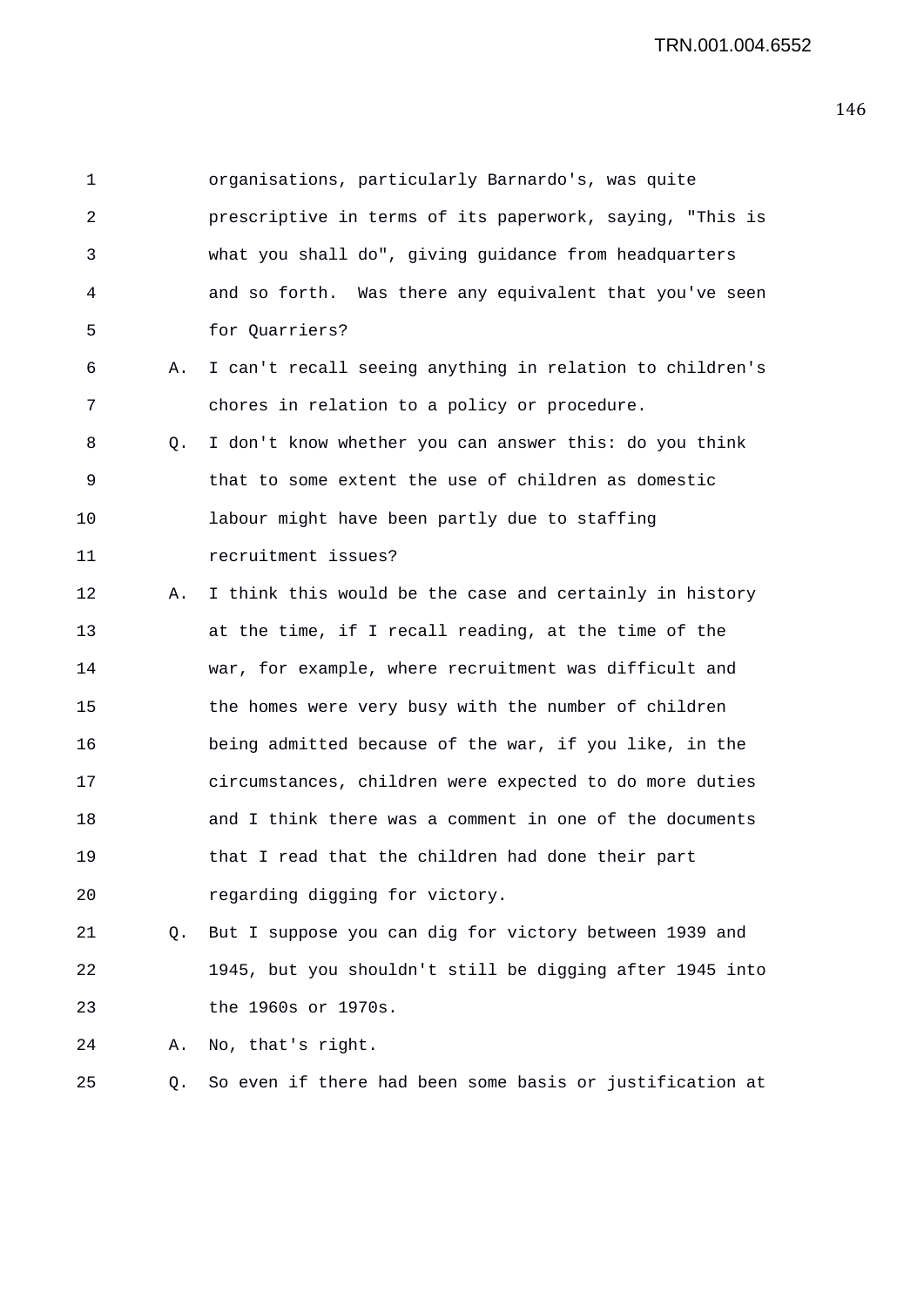1 organisations, particularly Barnardo's, was quite 2 prescriptive in terms of its paperwork, saying, "This is 3 what you shall do", giving guidance from headquarters 4 and so forth. Was there any equivalent that you've seen 5 for Quarriers? 6 A. I can't recall seeing anything in relation to children's 7 chores in relation to a policy or procedure. 8 Q. I don't know whether you can answer this: do you think 9 that to some extent the use of children as domestic 10 labour might have been partly due to staffing 11 recruitment issues? 12 A. I think this would be the case and certainly in history 13 at the time, if I recall reading, at the time of the 14 war, for example, where recruitment was difficult and 15 the homes were very busy with the number of children 16 being admitted because of the war, if you like, in the 17 circumstances, children were expected to do more duties 18 and I think there was a comment in one of the documents 19 that I read that the children had done their part 20 regarding digging for victory. 21 Q. But I suppose you can dig for victory between 1939 and 22 1945, but you shouldn't still be digging after 1945 into 23 the 1960s or 1970s. 24 A. No, that's right.

25 Q. So even if there had been some basis or justification at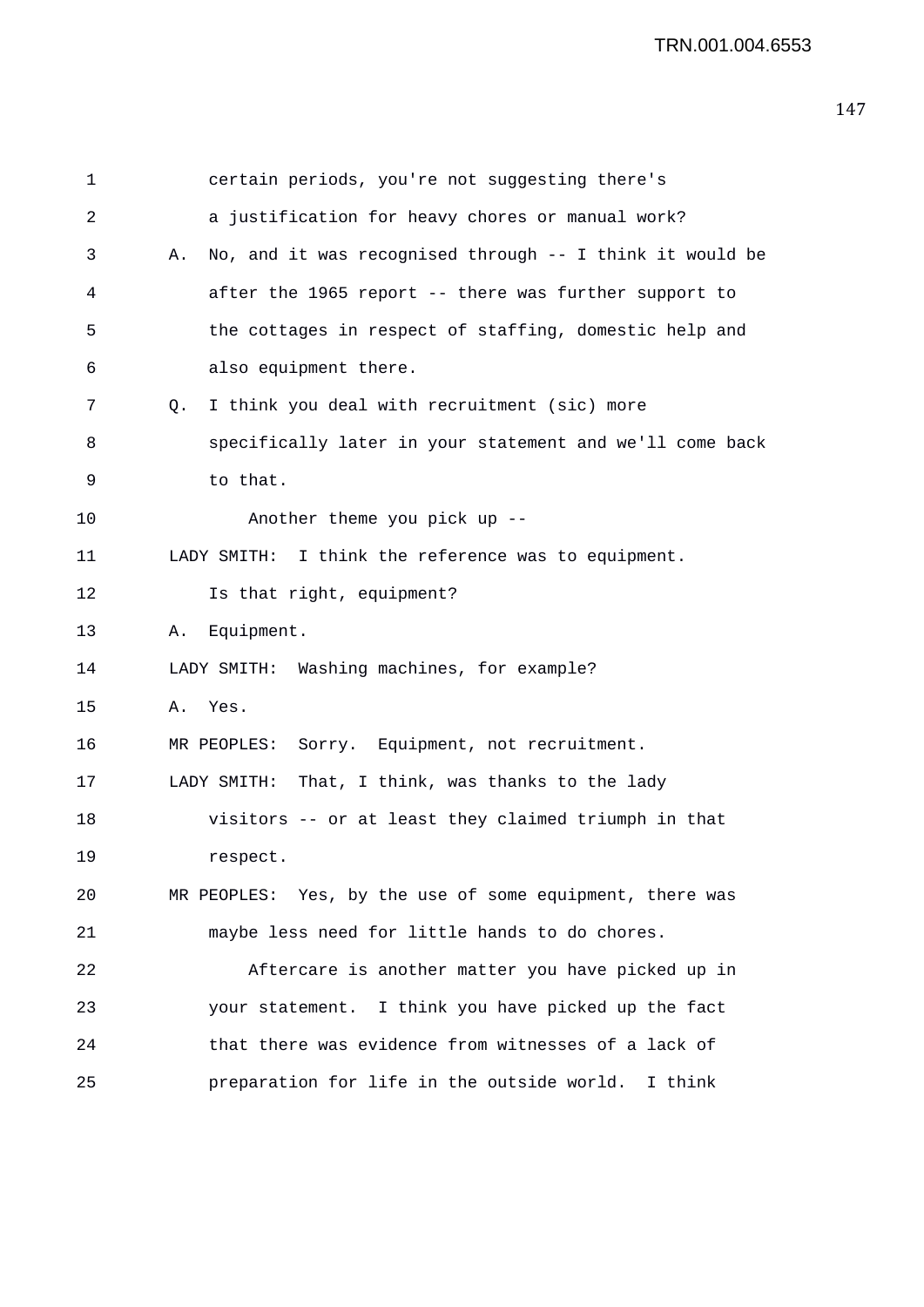| $\mathbf 1$ | certain periods, you're not suggesting there's                 |
|-------------|----------------------------------------------------------------|
| 2           | a justification for heavy chores or manual work?               |
| 3           | No, and it was recognised through -- I think it would be<br>Α. |
| 4           | after the 1965 report -- there was further support to          |
| 5           | the cottages in respect of staffing, domestic help and         |
| 6           | also equipment there.                                          |
| 7           | I think you deal with recruitment (sic) more<br>Q.             |
| 8           | specifically later in your statement and we'll come back       |
| 9           | to that.                                                       |
| 10          | Another theme you pick up --                                   |
| 11          | LADY SMITH: I think the reference was to equipment.            |
| 12          | Is that right, equipment?                                      |
| 13          | Equipment.<br>Α.                                               |
| 14          | LADY SMITH: Washing machines, for example?                     |
| 15          | Yes.<br>Α.                                                     |
| 16          | Sorry. Equipment, not recruitment.<br>MR PEOPLES:              |
| 17          | That, I think, was thanks to the lady<br>LADY SMITH:           |
| 18          | visitors -- or at least they claimed triumph in that           |
| 19          | respect.                                                       |
| 20          | MR PEOPLES: Yes, by the use of some equipment, there was       |
| 21          | maybe less need for little hands to do chores.                 |
| 22          | Aftercare is another matter you have picked up in              |
| 23          | your statement. I think you have picked up the fact            |
| 24          | that there was evidence from witnesses of a lack of            |
| 25          | preparation for life in the outside world. I think             |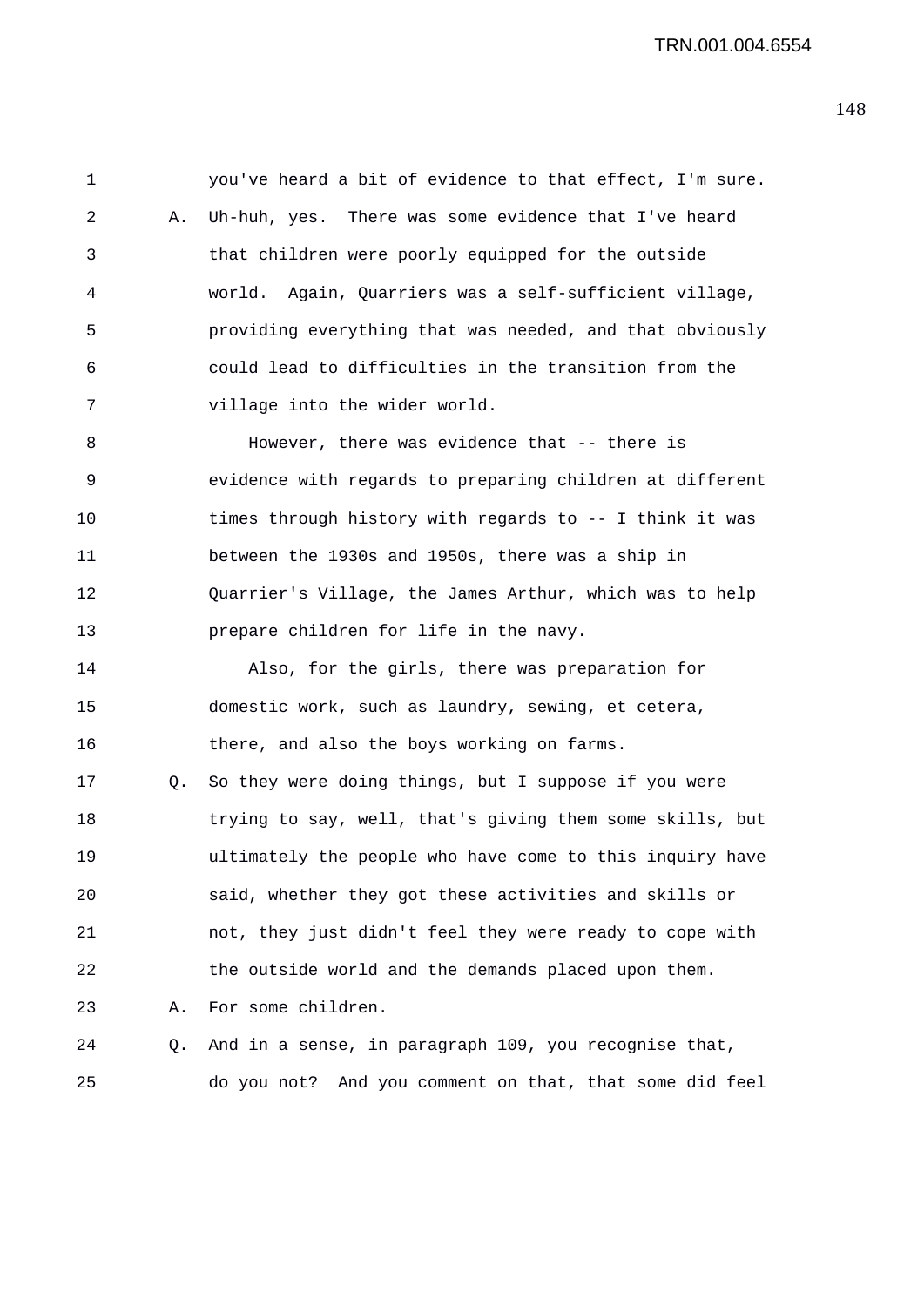1 you've heard a bit of evidence to that effect, I'm sure. 2 A. Uh-huh, yes. There was some evidence that I've heard 3 that children were poorly equipped for the outside 4 world. Again, Quarriers was a self-sufficient village, 5 providing everything that was needed, and that obviously 6 could lead to difficulties in the transition from the 7 village into the wider world. 8 However, there was evidence that -- there is 9 evidence with regards to preparing children at different 10 times through history with regards to -- I think it was 11 between the 1930s and 1950s, there was a ship in 12 Quarrier's Village, the James Arthur, which was to help 13 prepare children for life in the navy. 14 Also, for the girls, there was preparation for 15 domestic work, such as laundry, sewing, et cetera, 16 there, and also the boys working on farms. 17 Q. So they were doing things, but I suppose if you were 18 trying to say, well, that's giving them some skills, but 19 ultimately the people who have come to this inquiry have 20 said, whether they got these activities and skills or 21 not, they just didn't feel they were ready to cope with 22 the outside world and the demands placed upon them. 23 A. For some children. 24 Q. And in a sense, in paragraph 109, you recognise that, 25 do you not? And you comment on that, that some did feel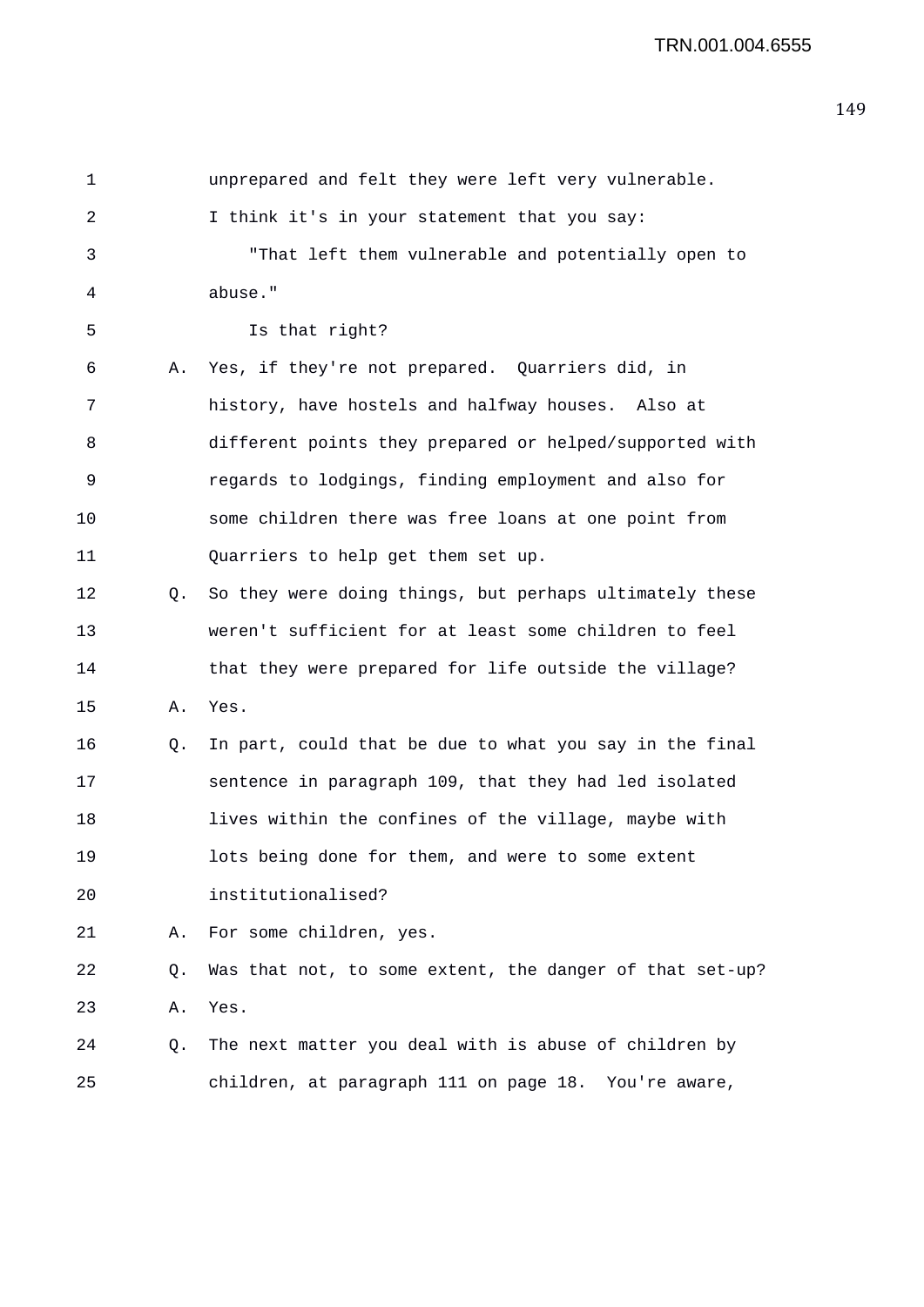| $\mathbf 1$ |           | unprepared and felt they were left very vulnerable.      |
|-------------|-----------|----------------------------------------------------------|
| 2           |           | I think it's in your statement that you say:             |
| 3           |           | "That left them vulnerable and potentially open to       |
| 4           |           | abuse."                                                  |
| 5           |           | Is that right?                                           |
| 6           | Α.        | Yes, if they're not prepared. Quarriers did, in          |
| 7           |           | history, have hostels and halfway houses. Also at        |
| 8           |           | different points they prepared or helped/supported with  |
| 9           |           | regards to lodgings, finding employment and also for     |
| 10          |           | some children there was free loans at one point from     |
| 11          |           | Quarriers to help get them set up.                       |
| 12          | $\circ$ . | So they were doing things, but perhaps ultimately these  |
| 13          |           | weren't sufficient for at least some children to feel    |
| 14          |           | that they were prepared for life outside the village?    |
| 15          | Α.        | Yes.                                                     |
| 16          | Q.        | In part, could that be due to what you say in the final  |
| 17          |           | sentence in paragraph 109, that they had led isolated    |
| 18          |           | lives within the confines of the village, maybe with     |
| 19          |           | lots being done for them, and were to some extent        |
| 20          |           | institutionalised?                                       |
| 21          | Α.        | For some children, yes.                                  |
| 22          | Q.        | Was that not, to some extent, the danger of that set-up? |
| 23          | Α.        | Yes.                                                     |
| 24          | Q.        | The next matter you deal with is abuse of children by    |
| 25          |           | children, at paragraph 111 on page 18. You're aware,     |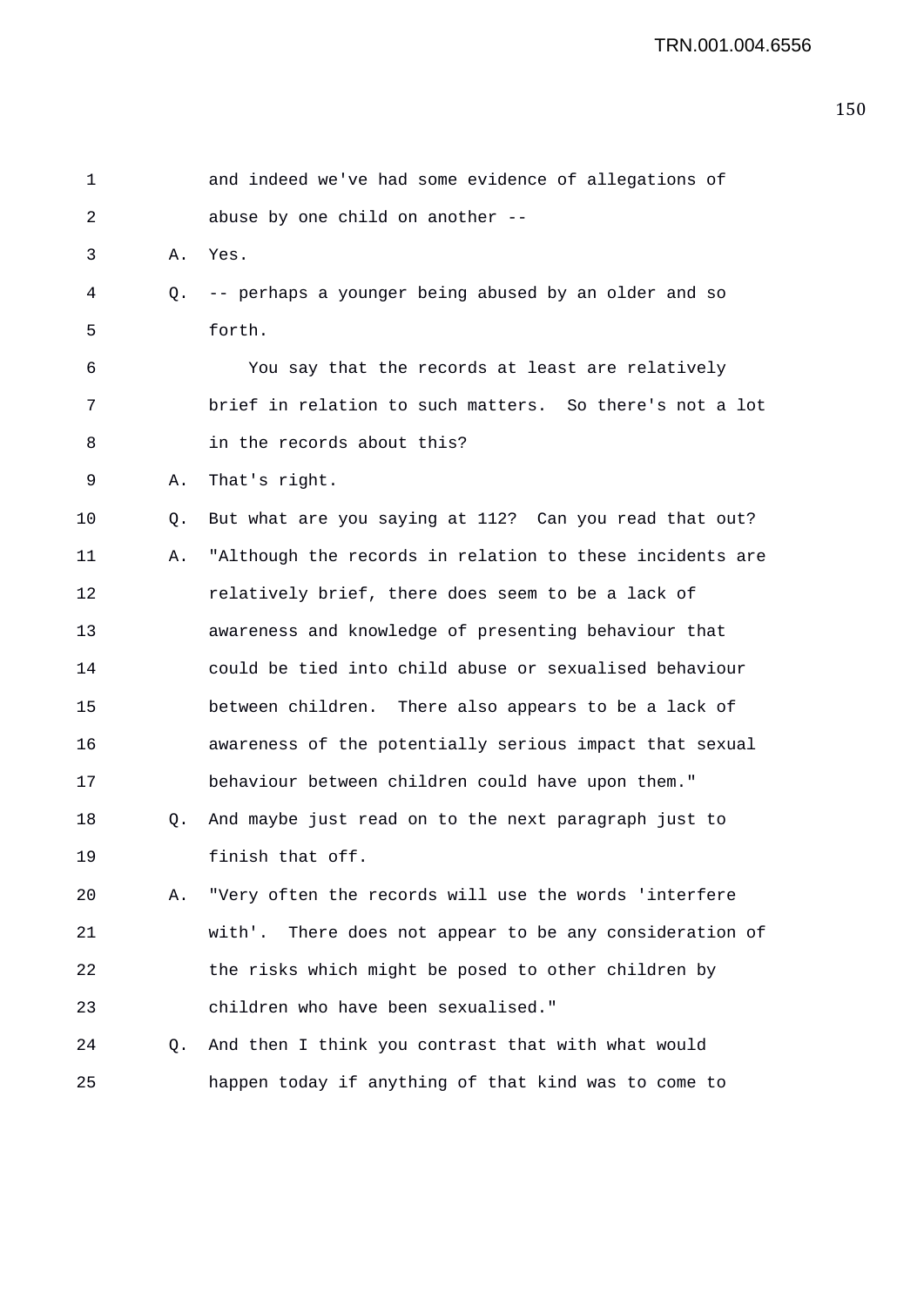| $\mathbf 1$ |    | and indeed we've had some evidence of allegations of     |
|-------------|----|----------------------------------------------------------|
| 2           |    | abuse by one child on another --                         |
| 3           | Α. | Yes.                                                     |
| 4           | Q. | -- perhaps a younger being abused by an older and so     |
| 5           |    | forth.                                                   |
| 6           |    | You say that the records at least are relatively         |
| 7           |    | brief in relation to such matters. So there's not a lot  |
| 8           |    | in the records about this?                               |
| 9           | Α. | That's right.                                            |
| 10          | Q. | But what are you saying at 112? Can you read that out?   |
| 11          | Α. | "Although the records in relation to these incidents are |
| 12          |    | relatively brief, there does seem to be a lack of        |
| 13          |    | awareness and knowledge of presenting behaviour that     |
| 14          |    | could be tied into child abuse or sexualised behaviour   |
| 15          |    | between children. There also appears to be a lack of     |
| 16          |    | awareness of the potentially serious impact that sexual  |
| 17          |    | behaviour between children could have upon them."        |
| 18          | Q. | And maybe just read on to the next paragraph just to     |
| 19          |    | finish that off.                                         |
| 20          | Α. | "Very often the records will use the words 'interfere    |
| 21          |    | with'. There does not appear to be any consideration of  |
| 22          |    | the risks which might be posed to other children by      |
| 23          |    | children who have been sexualised."                      |
| 24          | Q. | And then I think you contrast that with what would       |
| 25          |    | happen today if anything of that kind was to come to     |
|             |    |                                                          |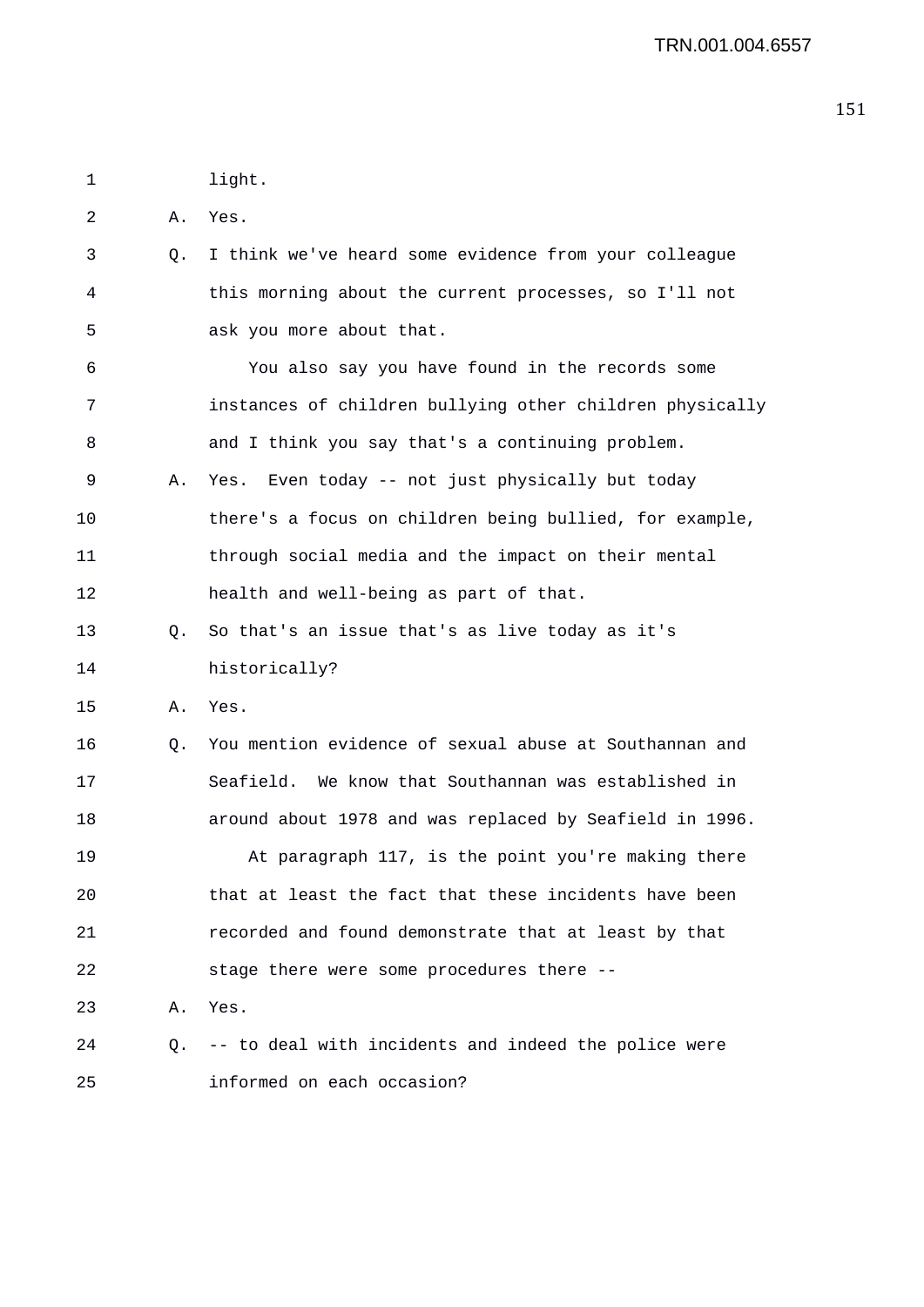1 light. 2 A. Yes. 3 Q. I think we've heard some evidence from your colleague 4 this morning about the current processes, so I'll not 5 ask you more about that. 6 You also say you have found in the records some 7 instances of children bullying other children physically 8 and I think you say that's a continuing problem. 9 A. Yes. Even today -- not just physically but today 10 there's a focus on children being bullied, for example, 11 through social media and the impact on their mental 12 health and well-being as part of that. 13 Q. So that's an issue that's as live today as it's 14 historically? 15 A. Yes. 16 Q. You mention evidence of sexual abuse at Southannan and 17 Seafield. We know that Southannan was established in 18 around about 1978 and was replaced by Seafield in 1996. 19 At paragraph 117, is the point you're making there 20 that at least the fact that these incidents have been 21 recorded and found demonstrate that at least by that 22 stage there were some procedures there -- 23 A. Yes. 24 Q. -- to deal with incidents and indeed the police were 25 informed on each occasion?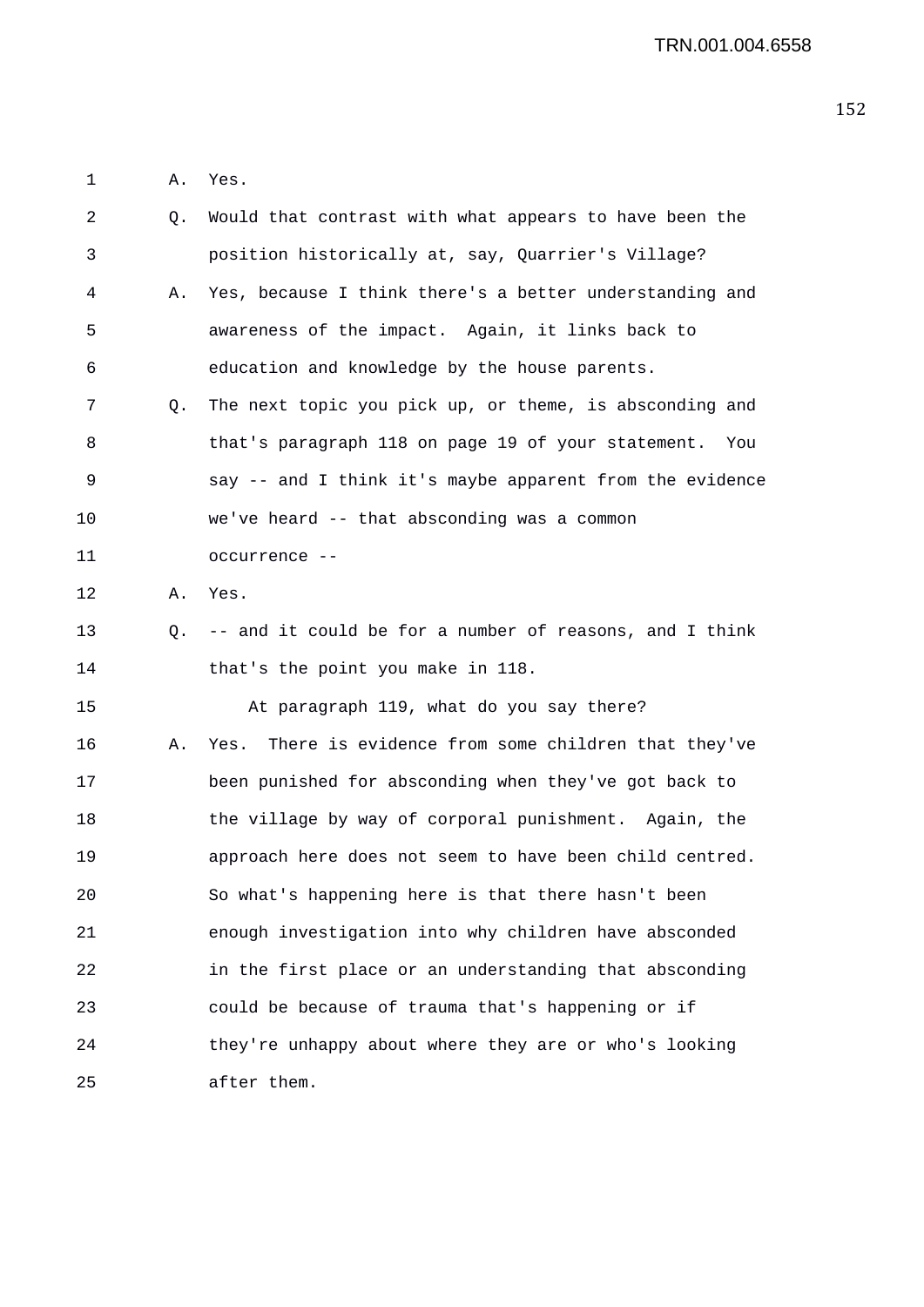1 A. Yes.

| 2  | Q. | Would that contrast with what appears to have been the    |
|----|----|-----------------------------------------------------------|
| 3  |    | position historically at, say, Quarrier's Village?        |
| 4  | Α. | Yes, because I think there's a better understanding and   |
| 5  |    | awareness of the impact. Again, it links back to          |
| 6  |    | education and knowledge by the house parents.             |
| 7  | O. | The next topic you pick up, or theme, is absconding and   |
| 8  |    | that's paragraph 118 on page 19 of your statement.<br>You |
| 9  |    | say -- and I think it's maybe apparent from the evidence  |
| 10 |    | we've heard -- that absconding was a common               |
| 11 |    | occurrence --                                             |
| 12 | Α. | Yes.                                                      |
| 13 | Q. | -- and it could be for a number of reasons, and I think   |
| 14 |    | that's the point you make in 118.                         |
| 15 |    | At paragraph 119, what do you say there?                  |
| 16 | Α. | There is evidence from some children that they've<br>Yes. |
| 17 |    | been punished for absconding when they've got back to     |
| 18 |    | the village by way of corporal punishment. Again, the     |
| 19 |    | approach here does not seem to have been child centred.   |
| 20 |    | So what's happening here is that there hasn't been        |
| 21 |    | enough investigation into why children have absconded     |
| 22 |    | in the first place or an understanding that absconding    |
| 23 |    | could be because of trauma that's happening or if         |
| 24 |    | they're unhappy about where they are or who's looking     |
| 25 |    | after them.                                               |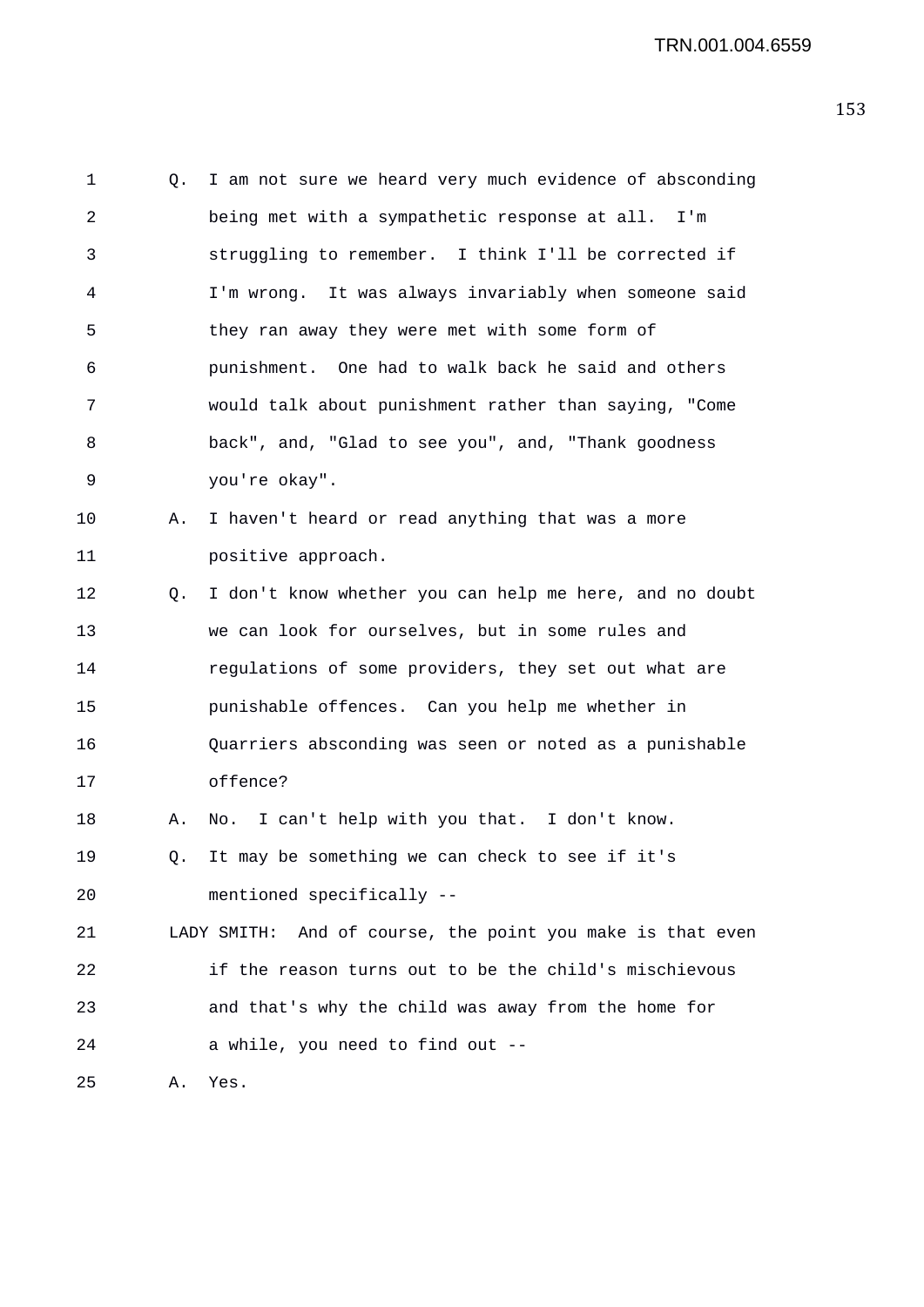1 Q. I am not sure we heard very much evidence of absconding 2 being met with a sympathetic response at all. I'm 3 struggling to remember. I think I'll be corrected if 4 I'm wrong. It was always invariably when someone said 5 they ran away they were met with some form of 6 punishment. One had to walk back he said and others 7 would talk about punishment rather than saying, "Come 8 back", and, "Glad to see you", and, "Thank goodness 9 you're okay". 10 A. I haven't heard or read anything that was a more 11 positive approach. 12 Q. I don't know whether you can help me here, and no doubt 13 we can look for ourselves, but in some rules and 14 regulations of some providers, they set out what are 15 punishable offences. Can you help me whether in 16 Quarriers absconding was seen or noted as a punishable 17 offence? 18 A. No. I can't help with you that. I don't know. 19 Q. It may be something we can check to see if it's 20 mentioned specifically -- 21 LADY SMITH: And of course, the point you make is that even 22 if the reason turns out to be the child's mischievous 23 and that's why the child was away from the home for 24 a while, you need to find out -- 25 A. Yes.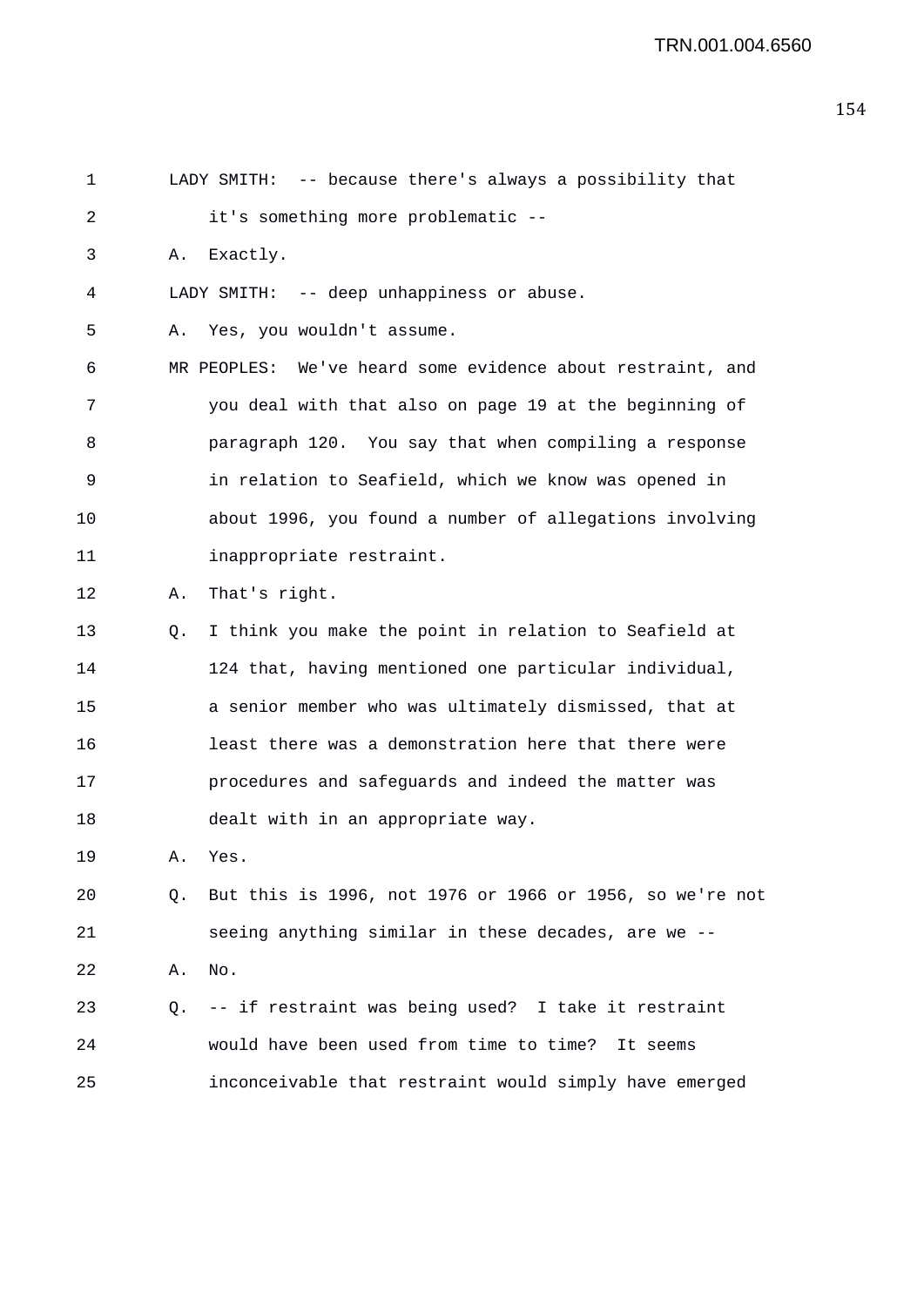| 1  |    | LADY SMITH: -- because there's always a possibility that   |
|----|----|------------------------------------------------------------|
| 2  |    | it's something more problematic --                         |
| 3  | Α. | Exactly.                                                   |
| 4  |    | LADY SMITH: -- deep unhappiness or abuse.                  |
| 5  | Α. | Yes, you wouldn't assume.                                  |
| 6  |    | MR PEOPLES: We've heard some evidence about restraint, and |
| 7  |    | you deal with that also on page 19 at the beginning of     |
| 8  |    | paragraph 120. You say that when compiling a response      |
| 9  |    | in relation to Seafield, which we know was opened in       |
| 10 |    | about 1996, you found a number of allegations involving    |
| 11 |    | inappropriate restraint.                                   |
| 12 | Α. | That's right.                                              |
| 13 | Q. | I think you make the point in relation to Seafield at      |
| 14 |    | 124 that, having mentioned one particular individual,      |
| 15 |    | a senior member who was ultimately dismissed, that at      |
| 16 |    | least there was a demonstration here that there were       |
| 17 |    | procedures and safeguards and indeed the matter was        |
| 18 |    | dealt with in an appropriate way.                          |
| 19 | Α. | Yes.                                                       |
| 20 | Q. | But this is 1996, not 1976 or 1966 or 1956, so we're not   |
| 21 |    | seeing anything similar in these decades, are we --        |
| 22 | Α. | No.                                                        |
| 23 | O. | -- if restraint was being used? I take it restraint        |
| 24 |    | would have been used from time to time? It seems           |
| 25 |    | inconceivable that restraint would simply have emerged     |
|    |    |                                                            |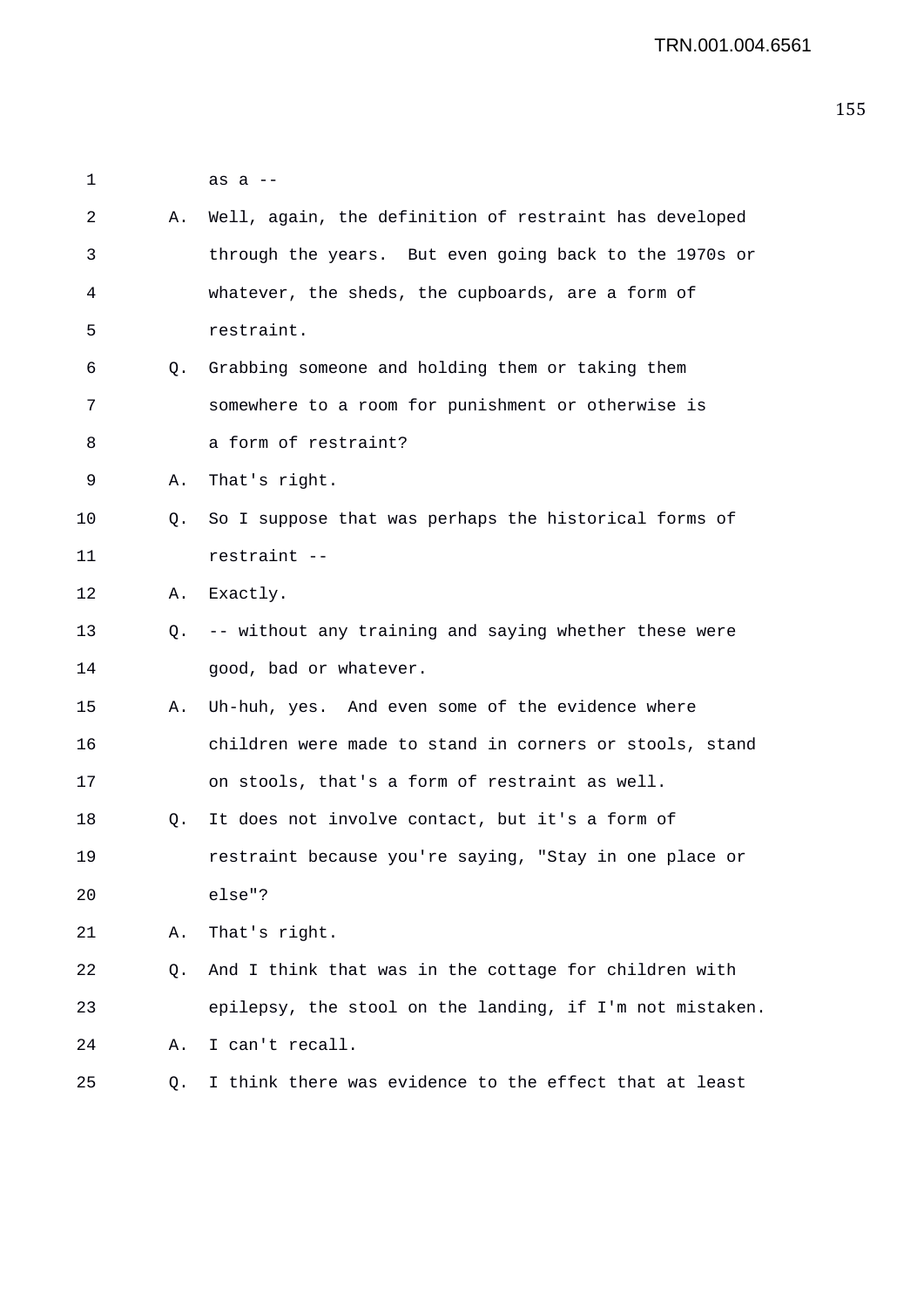1 as a -- 2 A. Well, again, the definition of restraint has developed 3 through the years. But even going back to the 1970s or 4 whatever, the sheds, the cupboards, are a form of 5 restraint. 6 Q. Grabbing someone and holding them or taking them 7 somewhere to a room for punishment or otherwise is 8 a form of restraint? 9 A. That's right. 10 Q. So I suppose that was perhaps the historical forms of 11 restraint -- 12 A. Exactly. 13 Q. -- without any training and saying whether these were 14 good, bad or whatever. 15 A. Uh-huh, yes. And even some of the evidence where 16 children were made to stand in corners or stools, stand 17 on stools, that's a form of restraint as well. 18 Q. It does not involve contact, but it's a form of 19 restraint because you're saying, "Stay in one place or 20 else"? 21 A. That's right. 22 Q. And I think that was in the cottage for children with 23 epilepsy, the stool on the landing, if I'm not mistaken. 24 A. I can't recall. 25 Q. I think there was evidence to the effect that at least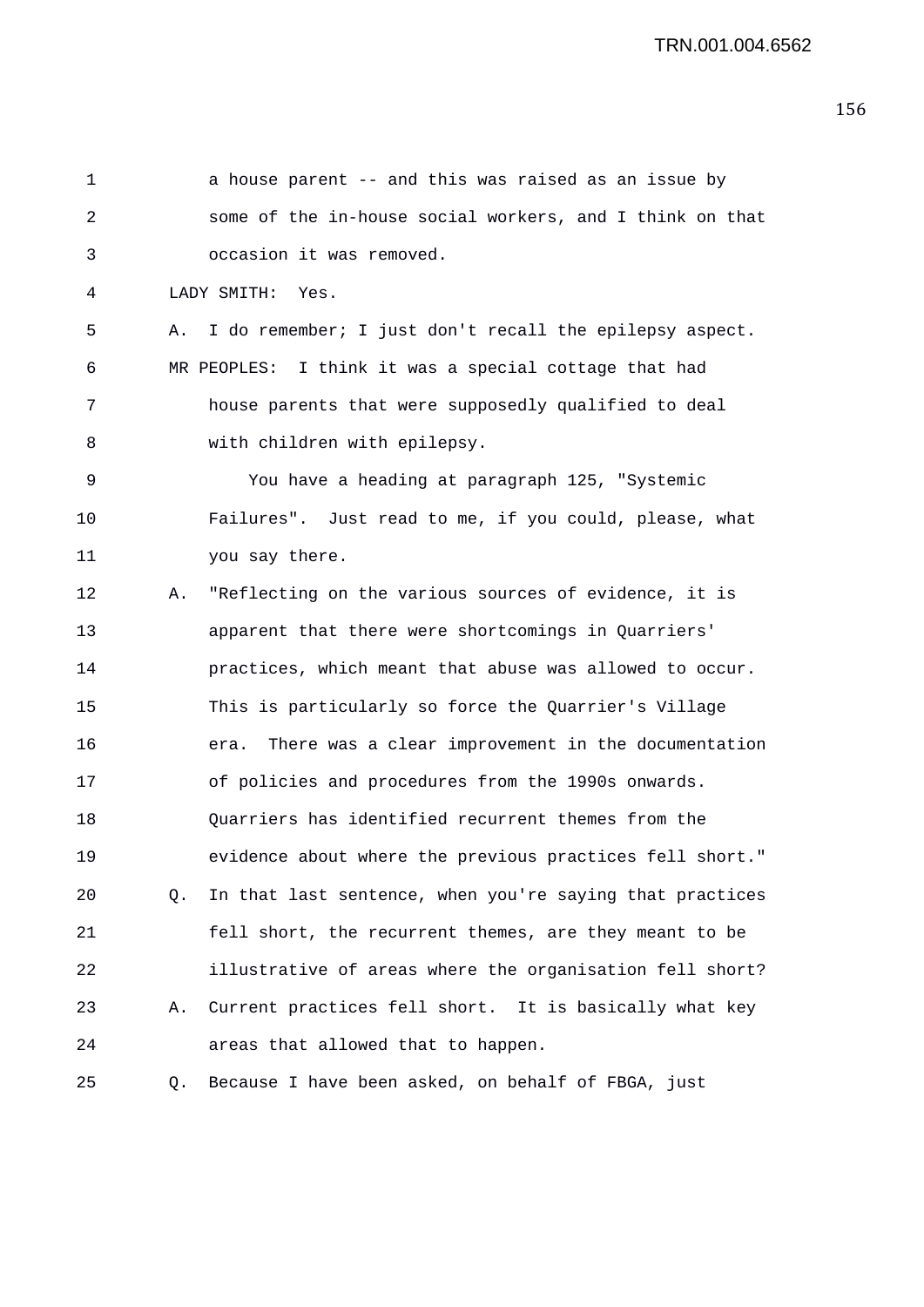| 1  |    | a house parent -- and this was raised as an issue by       |
|----|----|------------------------------------------------------------|
| 2  |    | some of the in-house social workers, and I think on that   |
| 3  |    | occasion it was removed.                                   |
| 4  |    | LADY SMITH: Yes.                                           |
| 5  | Α. | I do remember; I just don't recall the epilepsy aspect.    |
| 6  |    | MR PEOPLES: I think it was a special cottage that had      |
| 7  |    | house parents that were supposedly qualified to deal       |
| 8  |    | with children with epilepsy.                               |
| 9  |    | You have a heading at paragraph 125, "Systemic             |
| 10 |    | Failures". Just read to me, if you could, please, what     |
| 11 |    | you say there.                                             |
| 12 | Α. | "Reflecting on the various sources of evidence, it is      |
| 13 |    | apparent that there were shortcomings in Quarriers'        |
| 14 |    | practices, which meant that abuse was allowed to occur.    |
| 15 |    | This is particularly so force the Quarrier's Village       |
| 16 |    | There was a clear improvement in the documentation<br>era. |
| 17 |    | of policies and procedures from the 1990s onwards.         |
| 18 |    | Quarriers has identified recurrent themes from the         |
| 19 |    | evidence about where the previous practices fell short."   |
| 20 | Q. | In that last sentence, when you're saying that practices   |
| 21 |    | fell short, the recurrent themes, are they meant to be     |
| 22 |    | illustrative of areas where the organisation fell short?   |
| 23 | Α. | Current practices fell short. It is basically what key     |
| 24 |    | areas that allowed that to happen.                         |
| 25 | Q. | Because I have been asked, on behalf of FBGA, just         |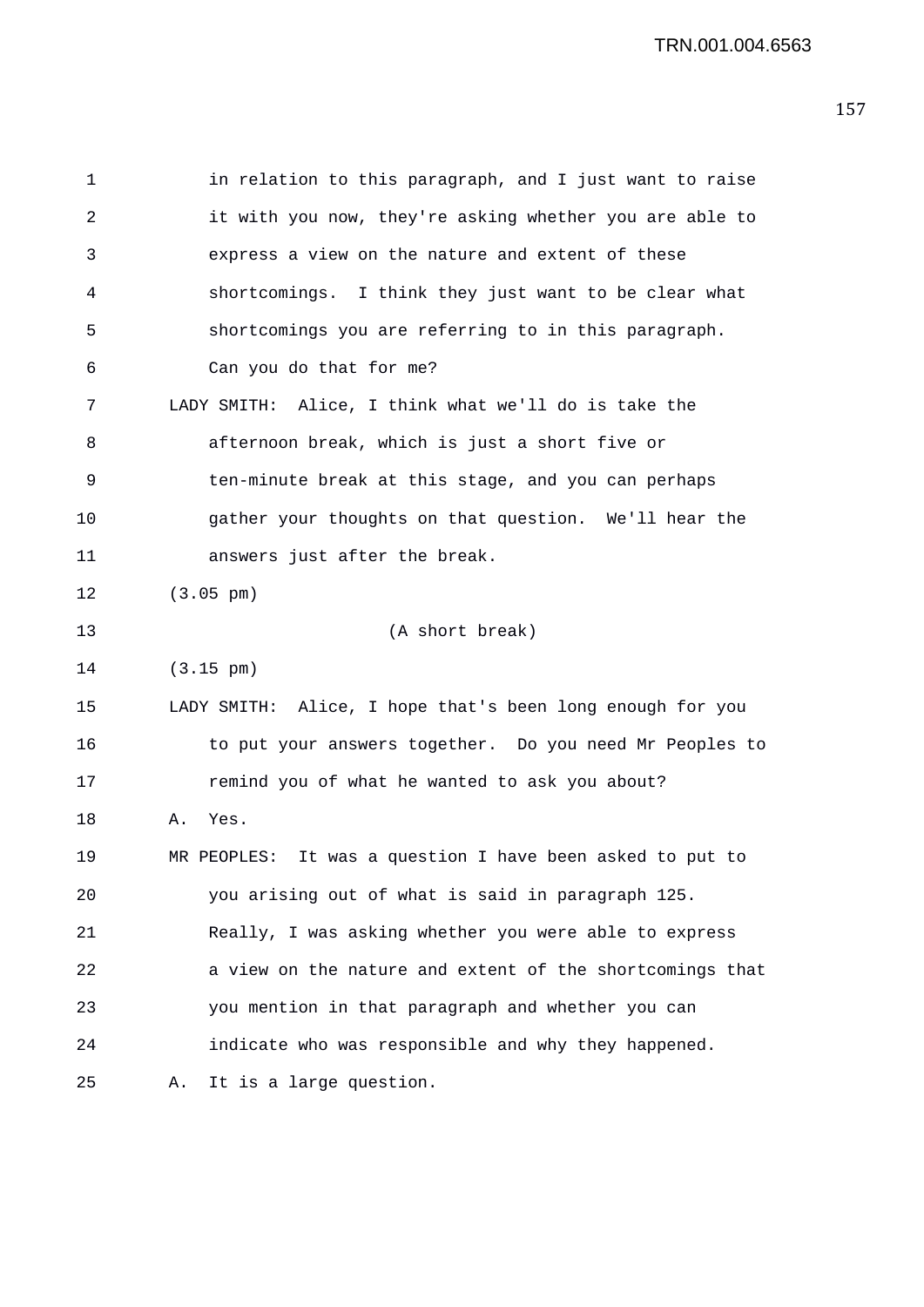1 in relation to this paragraph, and I just want to raise 2 it with you now, they're asking whether you are able to 3 express a view on the nature and extent of these 4 shortcomings. I think they just want to be clear what 5 shortcomings you are referring to in this paragraph. 6 Can you do that for me? 7 LADY SMITH: Alice, I think what we'll do is take the 8 afternoon break, which is just a short five or 9 ten-minute break at this stage, and you can perhaps 10 gather your thoughts on that question. We'll hear the 11 answers just after the break. 12 (3.05 pm) 13 (A short break) 14 (3.15 pm) 15 LADY SMITH: Alice, I hope that's been long enough for you 16 to put your answers together. Do you need Mr Peoples to 17 remind you of what he wanted to ask you about? 18 A. Yes. 19 MR PEOPLES: It was a question I have been asked to put to 20 you arising out of what is said in paragraph 125. 21 Really, I was asking whether you were able to express 22 a view on the nature and extent of the shortcomings that 23 you mention in that paragraph and whether you can 24 indicate who was responsible and why they happened. 25 A. It is a large question.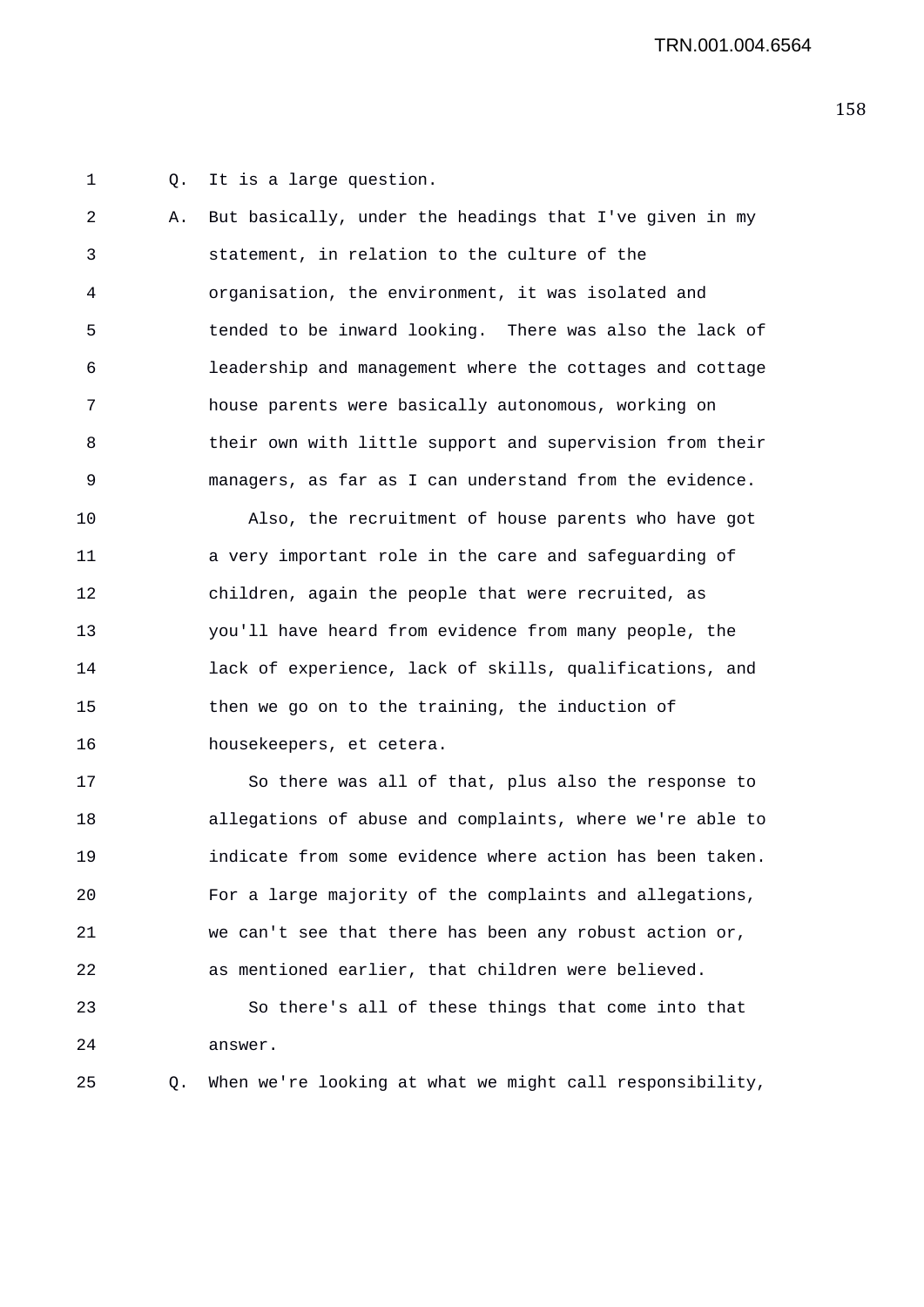1 Q. It is a large question.

2 A. But basically, under the headings that I've given in my 3 statement, in relation to the culture of the 4 organisation, the environment, it was isolated and 5 tended to be inward looking. There was also the lack of 6 leadership and management where the cottages and cottage 7 house parents were basically autonomous, working on 8 their own with little support and supervision from their 9 managers, as far as I can understand from the evidence.

10 Also, the recruitment of house parents who have got 11 a very important role in the care and safeguarding of 12 children, again the people that were recruited, as 13 you'll have heard from evidence from many people, the 14 lack of experience, lack of skills, qualifications, and 15 then we go on to the training, the induction of 16 housekeepers, et cetera.

17 So there was all of that, plus also the response to 18 allegations of abuse and complaints, where we're able to 19 indicate from some evidence where action has been taken. 20 For a large majority of the complaints and allegations, 21 we can't see that there has been any robust action or, 22 as mentioned earlier, that children were believed. 23 So there's all of these things that come into that

- 24 answer.
- 25 Q. When we're looking at what we might call responsibility,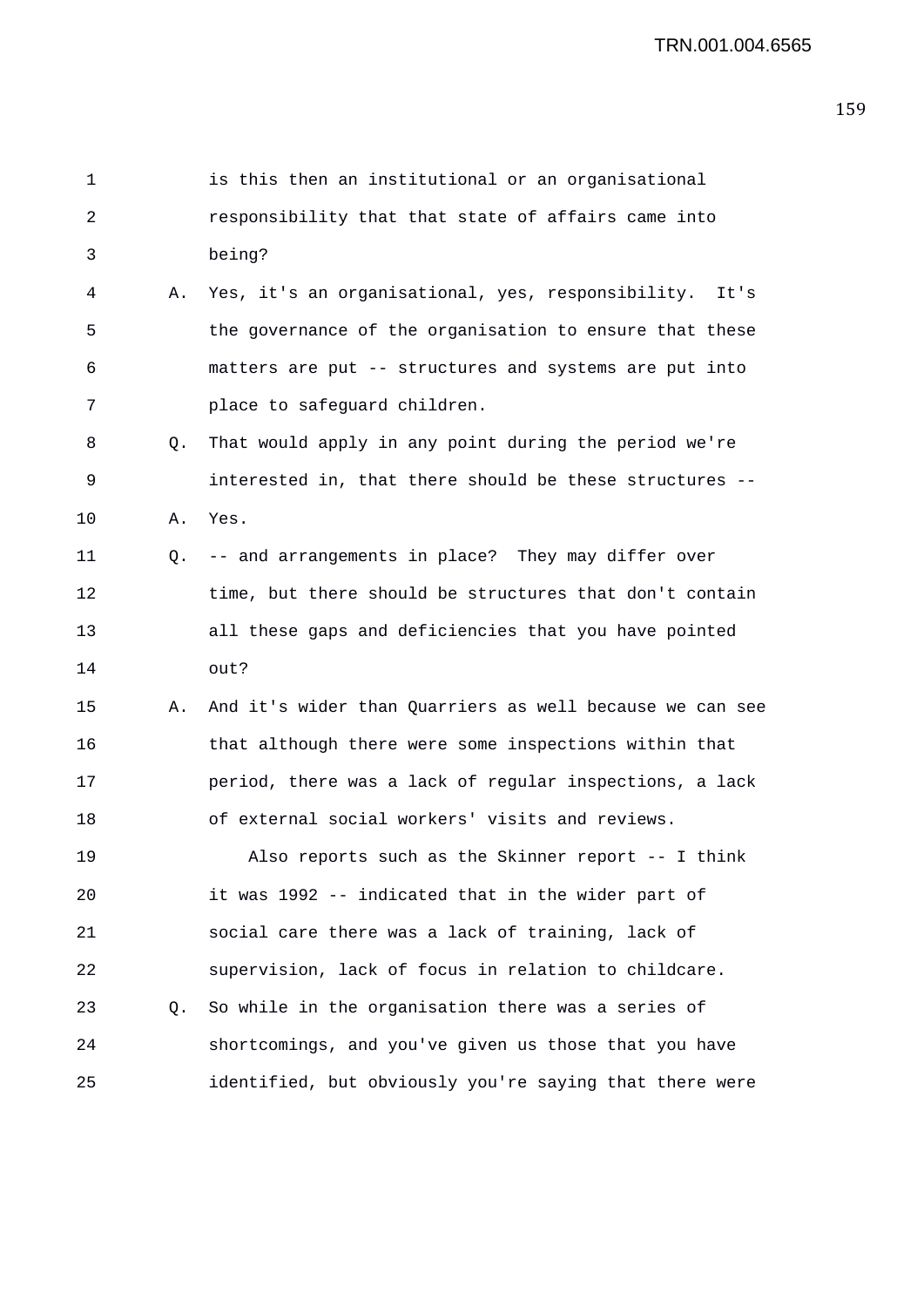| $\mathbf 1$ |    | is this then an institutional or an organisational       |
|-------------|----|----------------------------------------------------------|
| 2           |    | responsibility that that state of affairs came into      |
| 3           |    | being?                                                   |
| 4           | Α. | Yes, it's an organisational, yes, responsibility. It's   |
| 5           |    | the governance of the organisation to ensure that these  |
| 6           |    | matters are put -- structures and systems are put into   |
| 7           |    | place to safeguard children.                             |
| 8           | Q. | That would apply in any point during the period we're    |
| 9           |    | interested in, that there should be these structures --  |
| 10          | Α. | Yes.                                                     |
| 11          |    | Q. -- and arrangements in place? They may differ over    |
| 12          |    | time, but there should be structures that don't contain  |
| 13          |    | all these gaps and deficiencies that you have pointed    |
| 14          |    | out?                                                     |
| 15          | Α. | And it's wider than Quarriers as well because we can see |
| 16          |    | that although there were some inspections within that    |
| 17          |    | period, there was a lack of regular inspections, a lack  |
| 18          |    | of external social workers' visits and reviews.          |
| 19          |    | Also reports such as the Skinner report -- I think       |
| 20          |    | it was 1992 -- indicated that in the wider part of       |
| 21          |    | social care there was a lack of training, lack of        |
| 22          |    | supervision, lack of focus in relation to childcare.     |
| 23          | Q. | So while in the organisation there was a series of       |
| 24          |    | shortcomings, and you've given us those that you have    |
| 25          |    | identified, but obviously you're saying that there were  |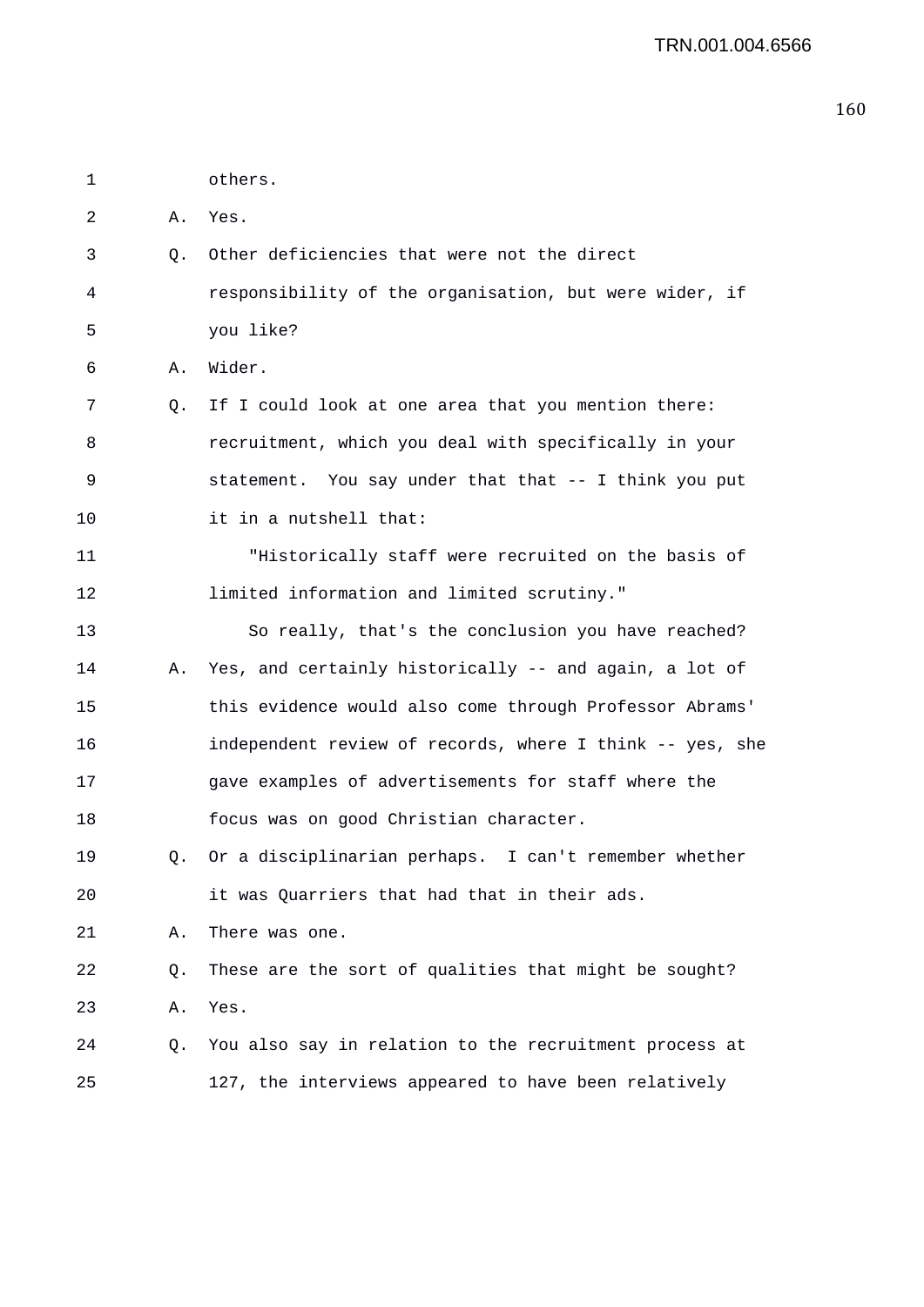2 A. Yes. 3 Q. Other deficiencies that were not the direct 4 responsibility of the organisation, but were wider, if 5 you like? 6 A. Wider. 7 Q. If I could look at one area that you mention there: 8 recruitment, which you deal with specifically in your 9 statement. You say under that that -- I think you put 10 it in a nutshell that: 11 "Historically staff were recruited on the basis of 12 limited information and limited scrutiny." 13 So really, that's the conclusion you have reached? 14 A. Yes, and certainly historically -- and again, a lot of 15 this evidence would also come through Professor Abrams' 16 independent review of records, where I think -- yes, she 17 gave examples of advertisements for staff where the 18 focus was on good Christian character. 19 Q. Or a disciplinarian perhaps. I can't remember whether 20 it was Quarriers that had that in their ads. 21 A. There was one. 22 Q. These are the sort of qualities that might be sought? 23 A. Yes. 24 Q. You also say in relation to the recruitment process at 25 127, the interviews appeared to have been relatively

1 others.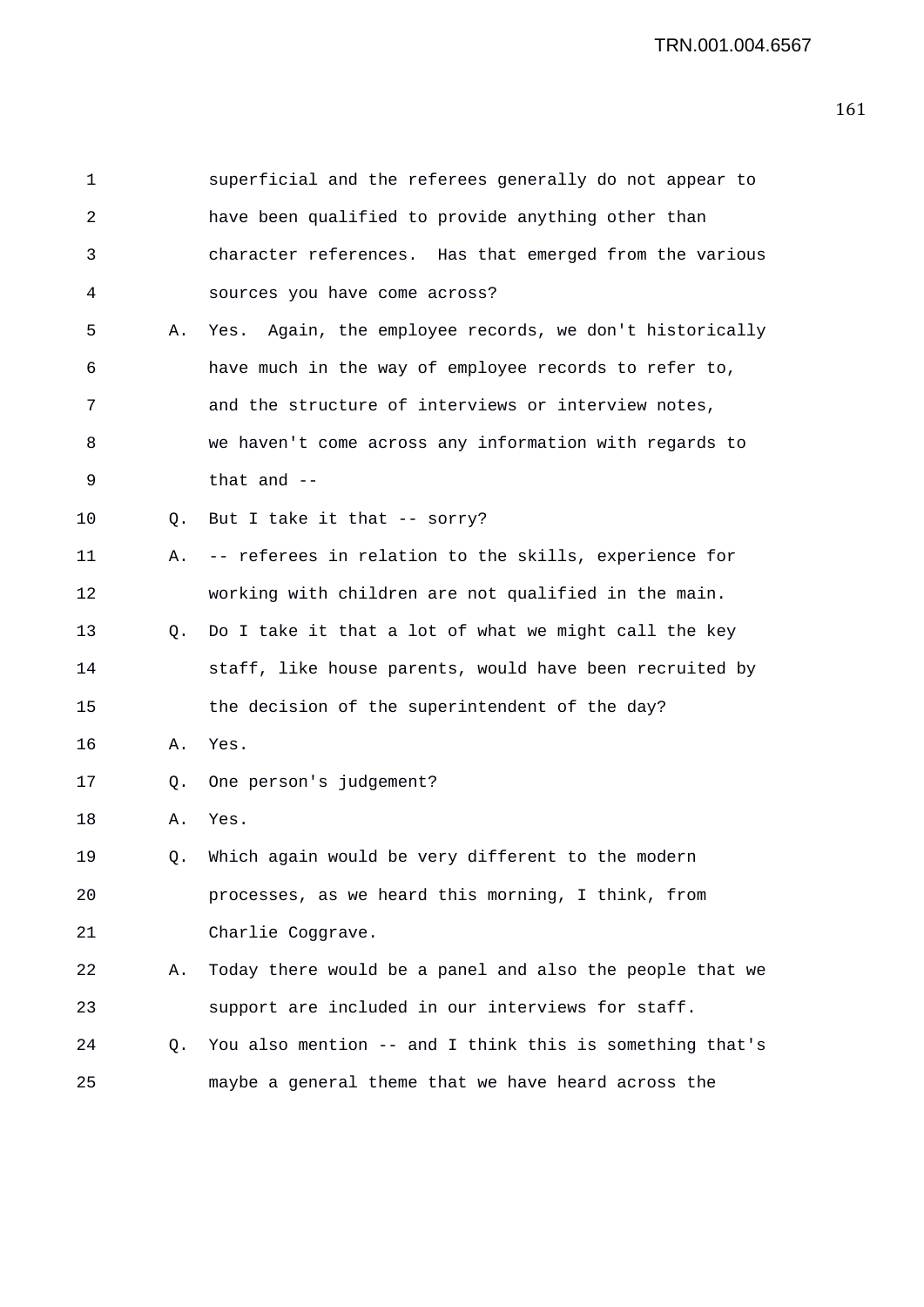| 1  |    | superficial and the referees generally do not appear to  |
|----|----|----------------------------------------------------------|
| 2  |    | have been qualified to provide anything other than       |
| 3  |    | character references. Has that emerged from the various  |
| 4  |    | sources you have come across?                            |
| 5  | Α. | Yes. Again, the employee records, we don't historically  |
| 6  |    | have much in the way of employee records to refer to,    |
| 7  |    | and the structure of interviews or interview notes,      |
| 8  |    | we haven't come across any information with regards to   |
| 9  |    | that and $-$                                             |
| 10 | Q. | But I take it that -- sorry?                             |
| 11 | Α. | -- referees in relation to the skills, experience for    |
| 12 |    | working with children are not qualified in the main.     |
| 13 | Q. | Do I take it that a lot of what we might call the key    |
| 14 |    | staff, like house parents, would have been recruited by  |
| 15 |    | the decision of the superintendent of the day?           |
| 16 | Α. | Yes.                                                     |
| 17 | Q. | One person's judgement?                                  |
| 18 | Α. | Yes.                                                     |
| 19 | Q. | Which again would be very different to the modern        |
| 20 |    | processes, as we heard this morning, I think, from       |
| 21 |    | Charlie Coggrave.                                        |
| 22 | Α. | Today there would be a panel and also the people that we |
| 23 |    | support are included in our interviews for staff.        |
| 24 | Q. | You also mention -- and I think this is something that's |
| 25 |    | maybe a general theme that we have heard across the      |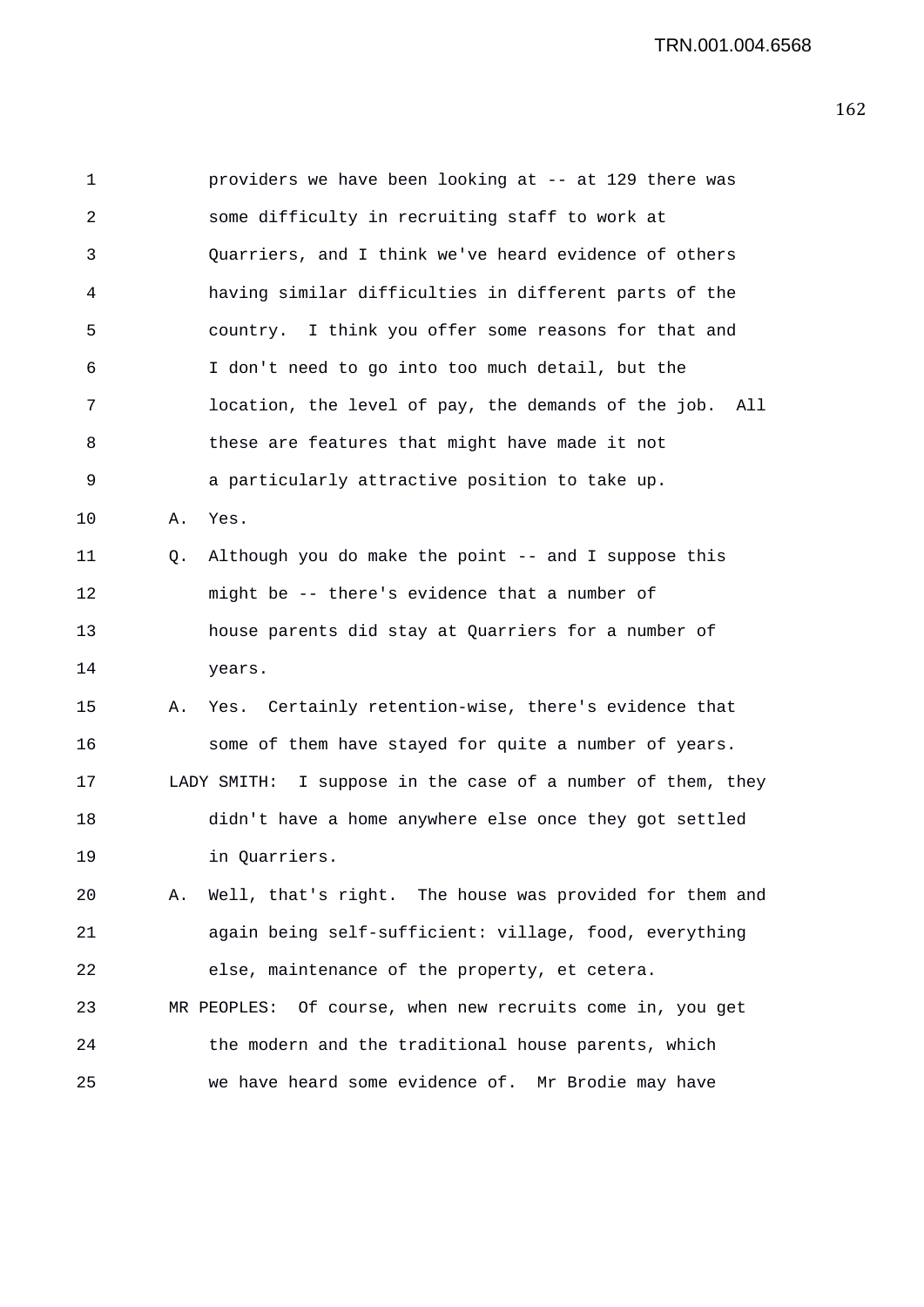1 providers we have been looking at -- at 129 there was 2 some difficulty in recruiting staff to work at 3 Quarriers, and I think we've heard evidence of others 4 having similar difficulties in different parts of the 5 country. I think you offer some reasons for that and 6 I don't need to go into too much detail, but the 7 location, the level of pay, the demands of the job. All 8 these are features that might have made it not 9 a particularly attractive position to take up. 10 A. Yes. 11 Q. Although you do make the point -- and I suppose this 12 might be -- there's evidence that a number of 13 house parents did stay at Quarriers for a number of 14 years. 15 A. Yes. Certainly retention-wise, there's evidence that 16 some of them have stayed for quite a number of years. 17 LADY SMITH: I suppose in the case of a number of them, they 18 didn't have a home anywhere else once they got settled 19 in Quarriers. 20 A. Well, that's right. The house was provided for them and 21 again being self-sufficient: village, food, everything 22 else, maintenance of the property, et cetera. 23 MR PEOPLES: Of course, when new recruits come in, you get 24 the modern and the traditional house parents, which 25 we have heard some evidence of. Mr Brodie may have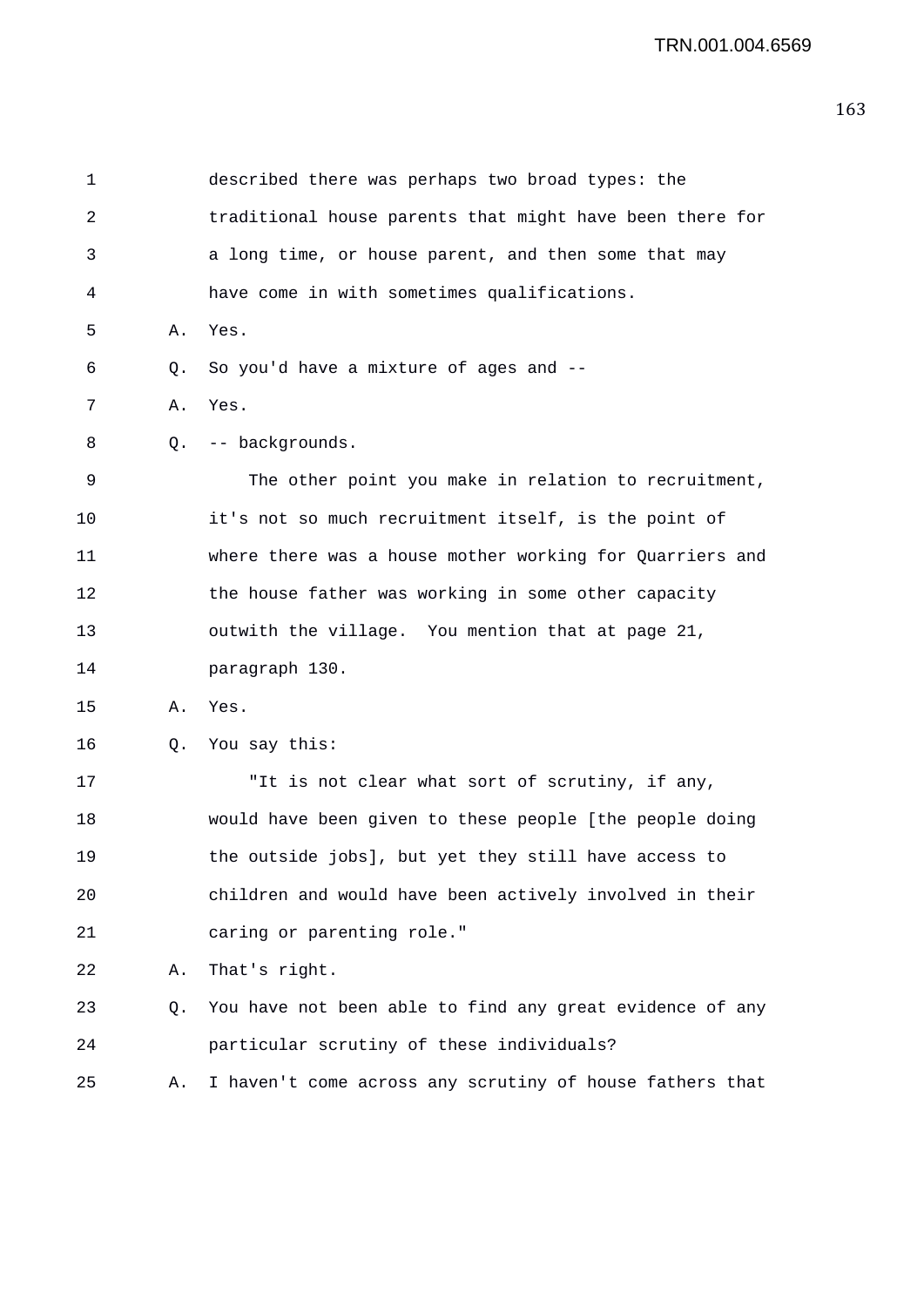| $\mathbf 1$ |           | described there was perhaps two broad types: the         |
|-------------|-----------|----------------------------------------------------------|
| 2           |           | traditional house parents that might have been there for |
| 3           |           | a long time, or house parent, and then some that may     |
| 4           |           | have come in with sometimes qualifications.              |
| 5           | Α.        | Yes.                                                     |
| 6           | Q.        | So you'd have a mixture of ages and --                   |
| 7           | Α.        | Yes.                                                     |
| 8           | Q.        | -- backgrounds.                                          |
| 9           |           | The other point you make in relation to recruitment,     |
| 10          |           | it's not so much recruitment itself, is the point of     |
| 11          |           | where there was a house mother working for Quarriers and |
| 12          |           | the house father was working in some other capacity      |
| 13          |           | outwith the village. You mention that at page 21,        |
| 14          |           | paragraph 130.                                           |
| 15          | Α.        | Yes.                                                     |
| 16          | $\circ$ . | You say this:                                            |
| 17          |           | "It is not clear what sort of scrutiny, if any,          |
| 18          |           | would have been given to these people [the people doing  |
| 19          |           | the outside jobs], but yet they still have access to     |
| 20          |           | children and would have been actively involved in their  |
| 21          |           | caring or parenting role."                               |
| 22          | Α.        | That's right.                                            |
| 23          | Q.        | You have not been able to find any great evidence of any |
| 24          |           | particular scrutiny of these individuals?                |
| 25          | Α.        | I haven't come across any scrutiny of house fathers that |
|             |           |                                                          |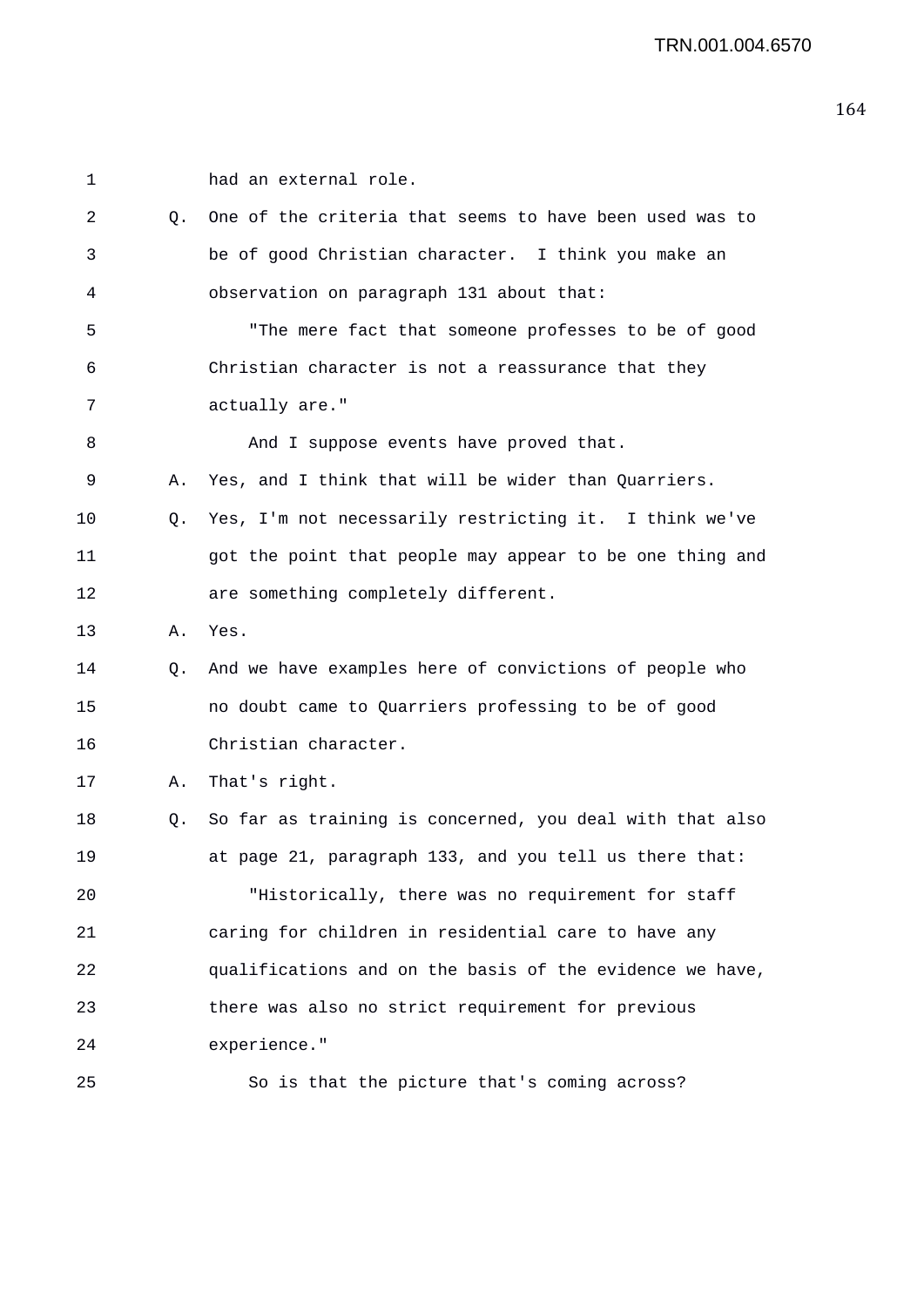| 1  |    | had an external role.                                    |
|----|----|----------------------------------------------------------|
| 2  | Q. | One of the criteria that seems to have been used was to  |
| 3  |    | be of good Christian character. I think you make an      |
| 4  |    | observation on paragraph 131 about that:                 |
| 5  |    | "The mere fact that someone professes to be of good      |
| 6  |    | Christian character is not a reassurance that they       |
| 7  |    | actually are."                                           |
| 8  |    | And I suppose events have proved that.                   |
| 9  | Α. | Yes, and I think that will be wider than Quarriers.      |
| 10 | Q. | Yes, I'm not necessarily restricting it. I think we've   |
| 11 |    | got the point that people may appear to be one thing and |
| 12 |    | are something completely different.                      |
| 13 | Α. | Yes.                                                     |
| 14 | Q. | And we have examples here of convictions of people who   |
| 15 |    | no doubt came to Quarriers professing to be of good      |
| 16 |    | Christian character.                                     |
| 17 | Α. | That's right.                                            |
| 18 | Q. | So far as training is concerned, you deal with that also |
| 19 |    | at page 21, paragraph 133, and you tell us there that:   |
| 20 |    | "Historically, there was no requirement for staff        |
| 21 |    | caring for children in residential care to have any      |
| 22 |    | qualifications and on the basis of the evidence we have, |
| 23 |    | there was also no strict requirement for previous        |
| 24 |    | experience."                                             |
| 25 |    | So is that the picture that's coming across?             |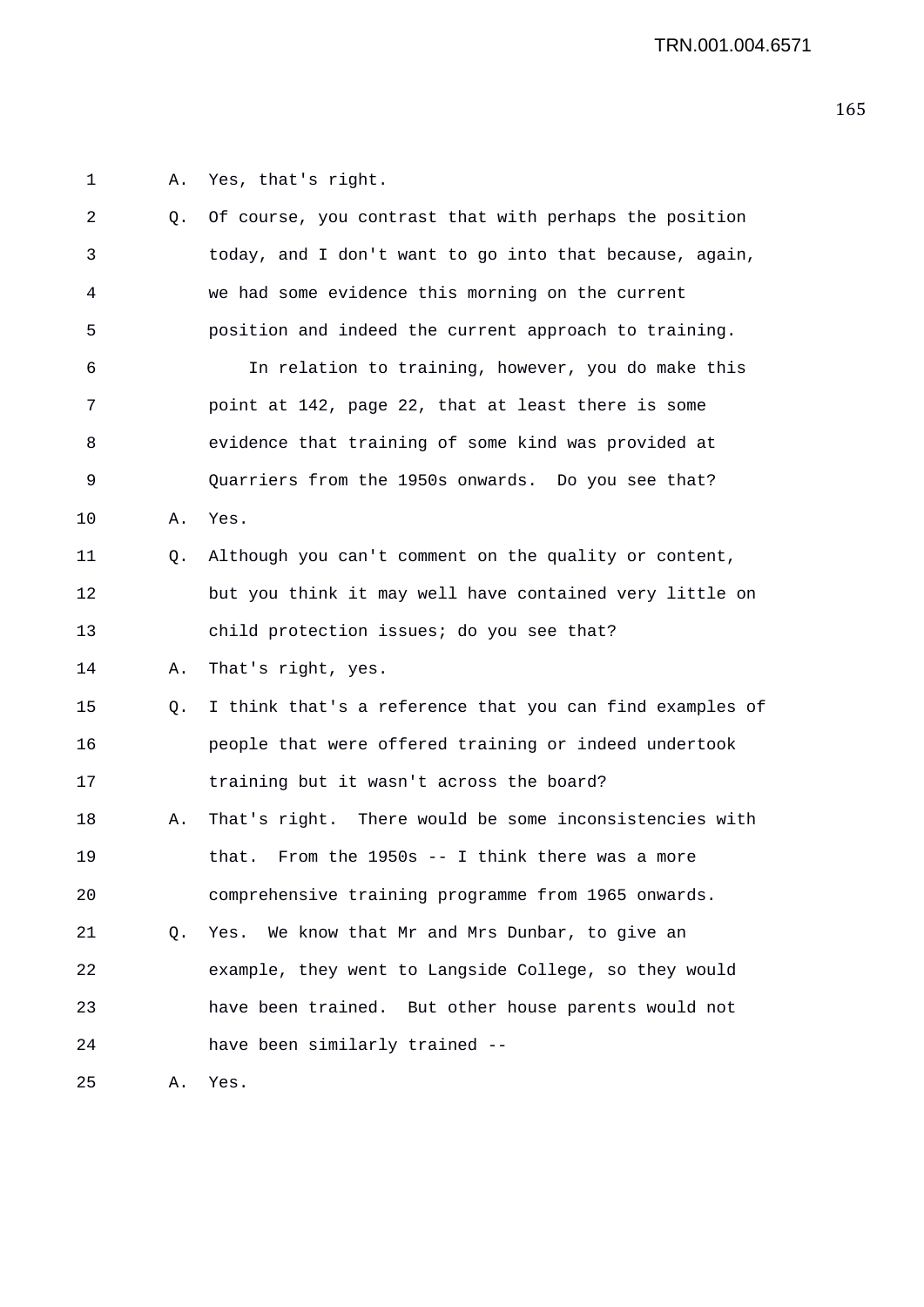1 A. Yes, that's right. 2 Q. Of course, you contrast that with perhaps the position 3 today, and I don't want to go into that because, again, 4 we had some evidence this morning on the current 5 position and indeed the current approach to training. 6 In relation to training, however, you do make this 7 point at 142, page 22, that at least there is some 8 evidence that training of some kind was provided at 9 Quarriers from the 1950s onwards. Do you see that? 10 A. Yes. 11 Q. Although you can't comment on the quality or content, 12 but you think it may well have contained very little on 13 child protection issues; do you see that? 14 A. That's right, yes. 15 Q. I think that's a reference that you can find examples of 16 people that were offered training or indeed undertook 17 training but it wasn't across the board? 18 A. That's right. There would be some inconsistencies with 19 that. From the 1950s -- I think there was a more 20 comprehensive training programme from 1965 onwards. 21 Q. Yes. We know that Mr and Mrs Dunbar, to give an 22 example, they went to Langside College, so they would 23 have been trained. But other house parents would not 24 have been similarly trained -- 25 A. Yes.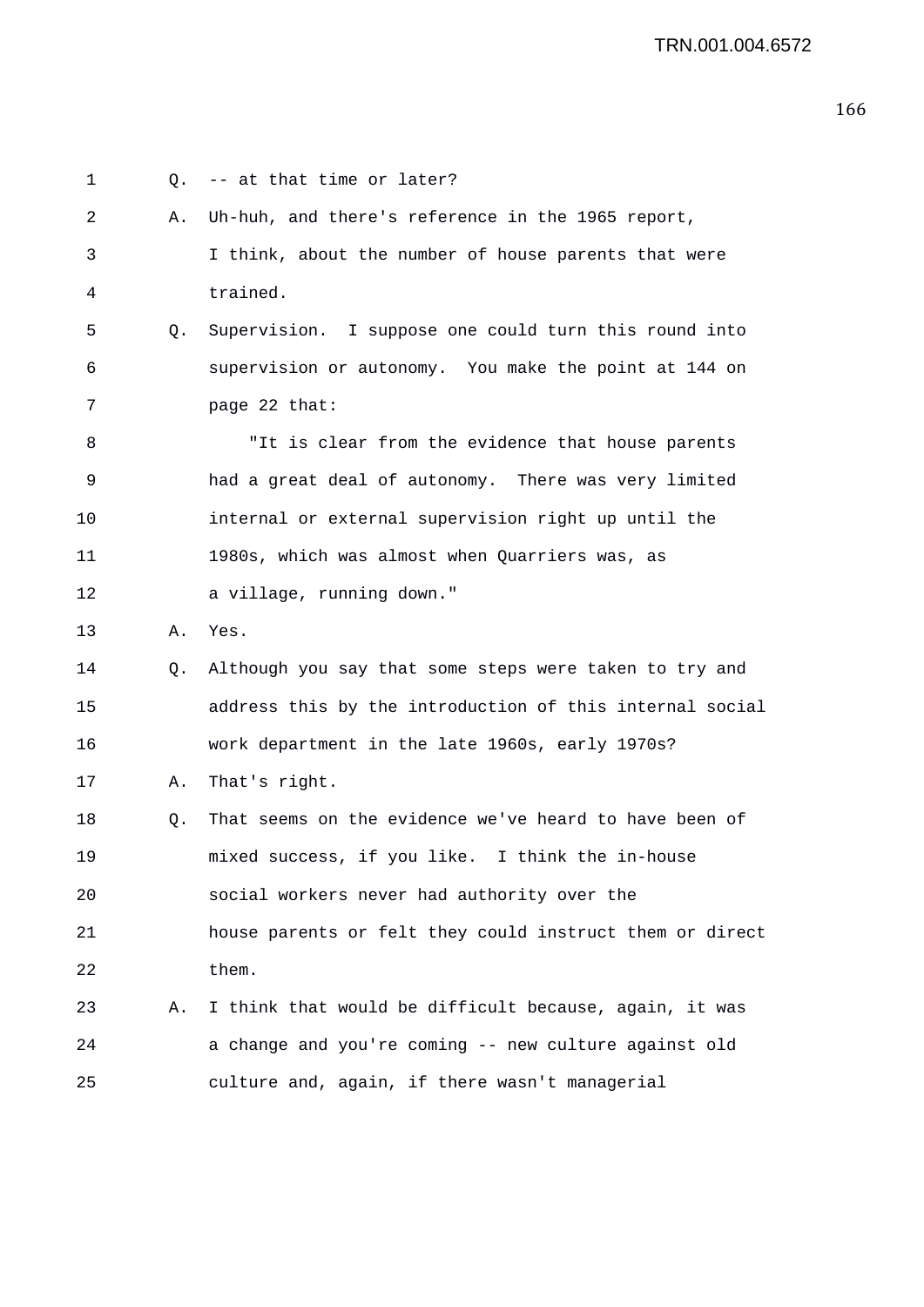1 0. -- at that time or later? 2 A. Uh-huh, and there's reference in the 1965 report, 3 I think, about the number of house parents that were 4 trained. 5 Q. Supervision. I suppose one could turn this round into 6 supervision or autonomy. You make the point at 144 on 7 page 22 that: 8 "It is clear from the evidence that house parents 9 had a great deal of autonomy. There was very limited 10 internal or external supervision right up until the 11 1980s, which was almost when Quarriers was, as 12 a village, running down." 13 A. Yes. 14 Q. Although you say that some steps were taken to try and 15 address this by the introduction of this internal social 16 work department in the late 1960s, early 1970s? 17 A. That's right. 18 Q. That seems on the evidence we've heard to have been of 19 mixed success, if you like. I think the in-house 20 social workers never had authority over the 21 house parents or felt they could instruct them or direct 22 them. 23 A. I think that would be difficult because, again, it was 24 a change and you're coming -- new culture against old 25 culture and, again, if there wasn't managerial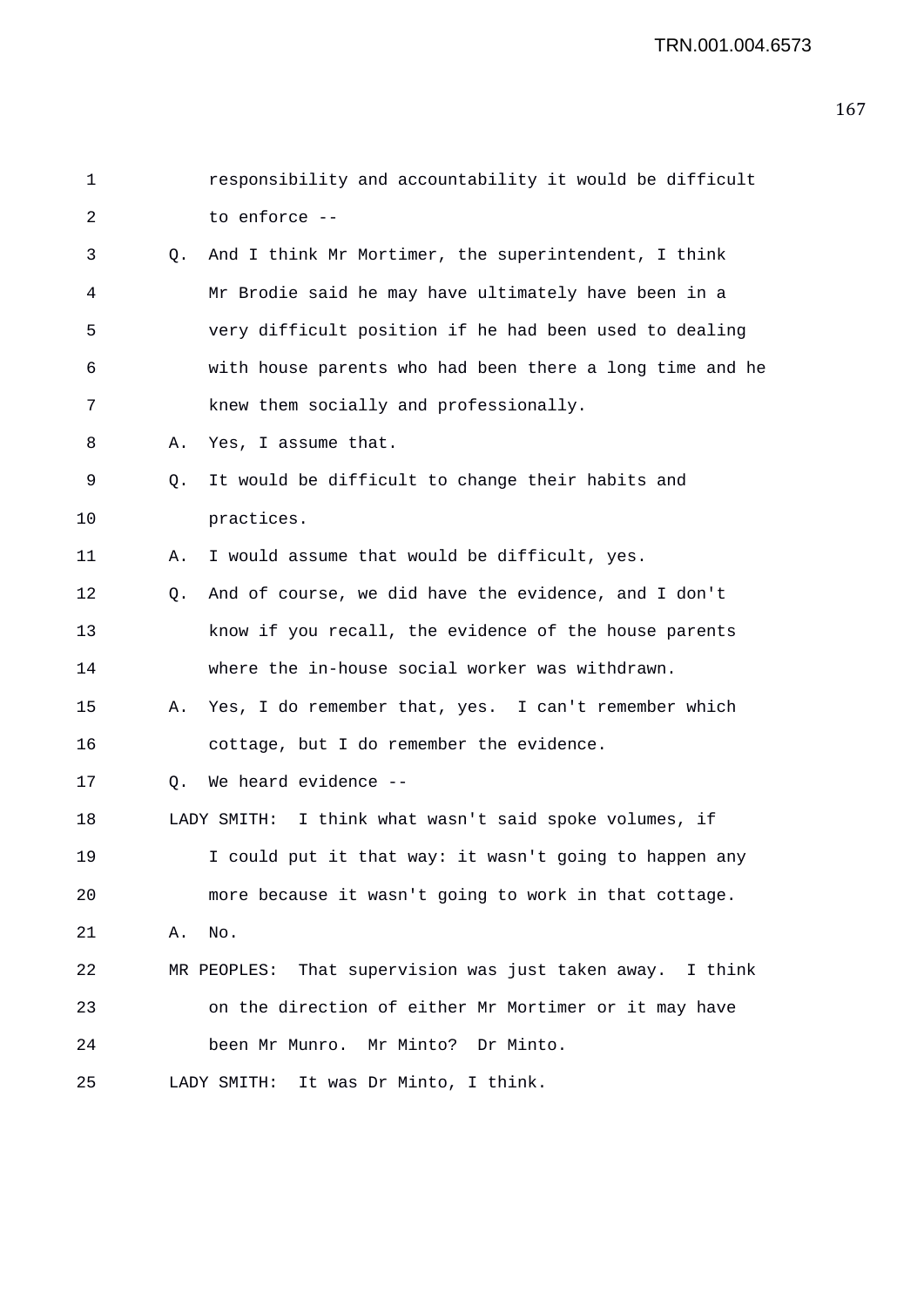| $\mathbf 1$ |    | responsibility and accountability it would be difficult   |
|-------------|----|-----------------------------------------------------------|
| 2           |    | to enforce --                                             |
| 3           | Q. | And I think Mr Mortimer, the superintendent, I think      |
| 4           |    | Mr Brodie said he may have ultimately have been in a      |
| 5           |    | very difficult position if he had been used to dealing    |
| 6           |    | with house parents who had been there a long time and he  |
| 7           |    | knew them socially and professionally.                    |
| 8           | Α. | Yes, I assume that.                                       |
| 9           | Q. | It would be difficult to change their habits and          |
| 10          |    | practices.                                                |
| 11          | Α. | I would assume that would be difficult, yes.              |
| 12          | Q. | And of course, we did have the evidence, and I don't      |
| 13          |    | know if you recall, the evidence of the house parents     |
| 14          |    | where the in-house social worker was withdrawn.           |
| 15          | Α. | Yes, I do remember that, yes. I can't remember which      |
| 16          |    | cottage, but I do remember the evidence.                  |
| 17          | Q. | We heard evidence --                                      |
| 18          |    | LADY SMITH: I think what wasn't said spoke volumes, if    |
| 19          |    | I could put it that way: it wasn't going to happen any    |
| 20          |    | more because it wasn't going to work in that cottage.     |
| 21          | Α. | No.                                                       |
| 22          |    | MR PEOPLES: That supervision was just taken away. I think |
| 23          |    | on the direction of either Mr Mortimer or it may have     |
| 24          |    | been Mr Munro. Mr Minto? Dr Minto.                        |
| 25          |    | It was Dr Minto, I think.<br>LADY SMITH:                  |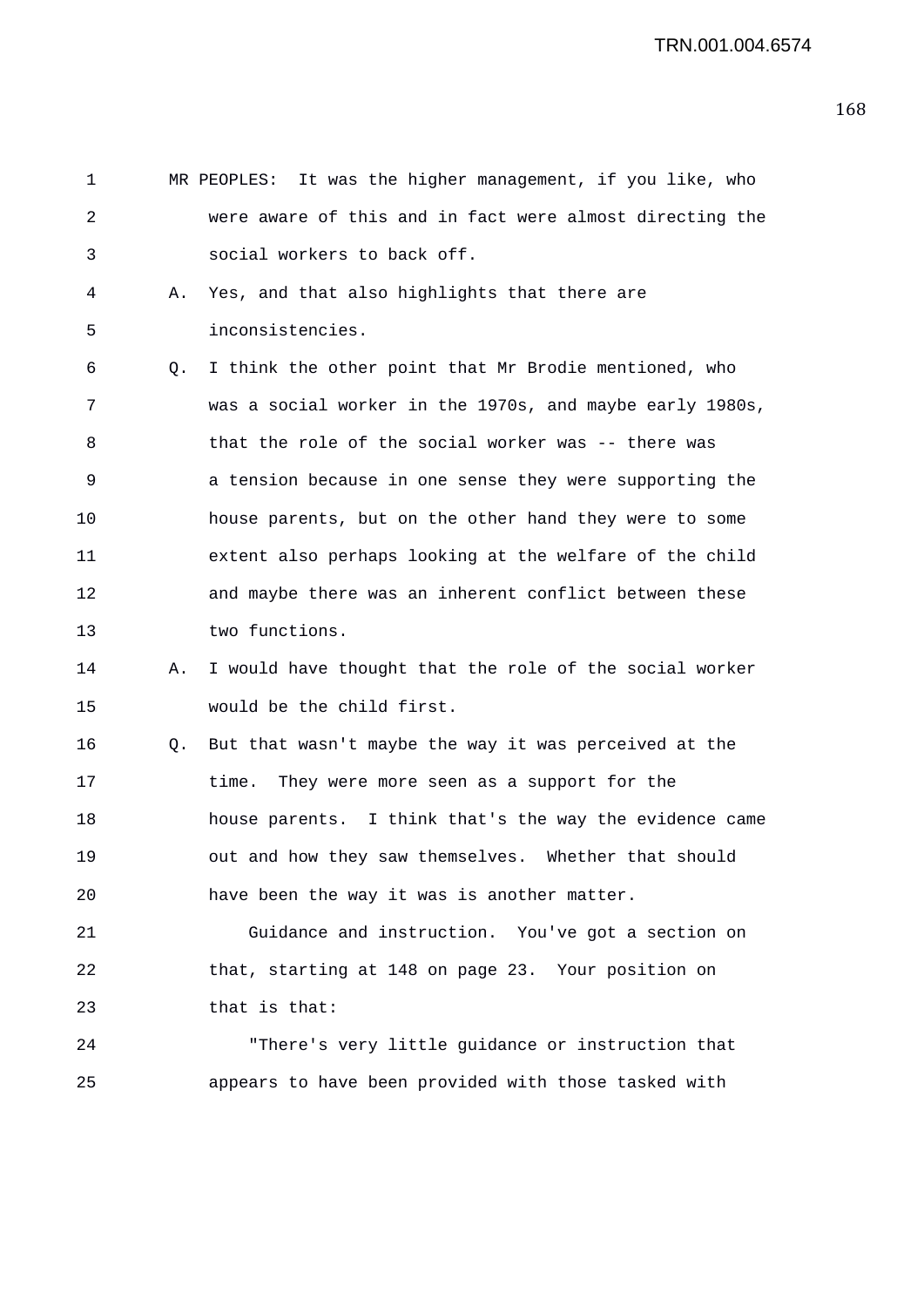1 MR PEOPLES: It was the higher management, if you like, who 2 were aware of this and in fact were almost directing the 3 social workers to back off. 4 A. Yes, and that also highlights that there are 5 inconsistencies. 6 Q. I think the other point that Mr Brodie mentioned, who 7 was a social worker in the 1970s, and maybe early 1980s, 8 that the role of the social worker was -- there was 9 a tension because in one sense they were supporting the 10 house parents, but on the other hand they were to some 11 extent also perhaps looking at the welfare of the child 12 and maybe there was an inherent conflict between these 13 two functions. 14 A. I would have thought that the role of the social worker 15 would be the child first. 16 Q. But that wasn't maybe the way it was perceived at the 17 time. They were more seen as a support for the 18 house parents. I think that's the way the evidence came 19 out and how they saw themselves. Whether that should 20 have been the way it was is another matter. 21 Guidance and instruction. You've got a section on 22 that, starting at 148 on page 23. Your position on 23 that is that: 24 "There's very little guidance or instruction that 25 appears to have been provided with those tasked with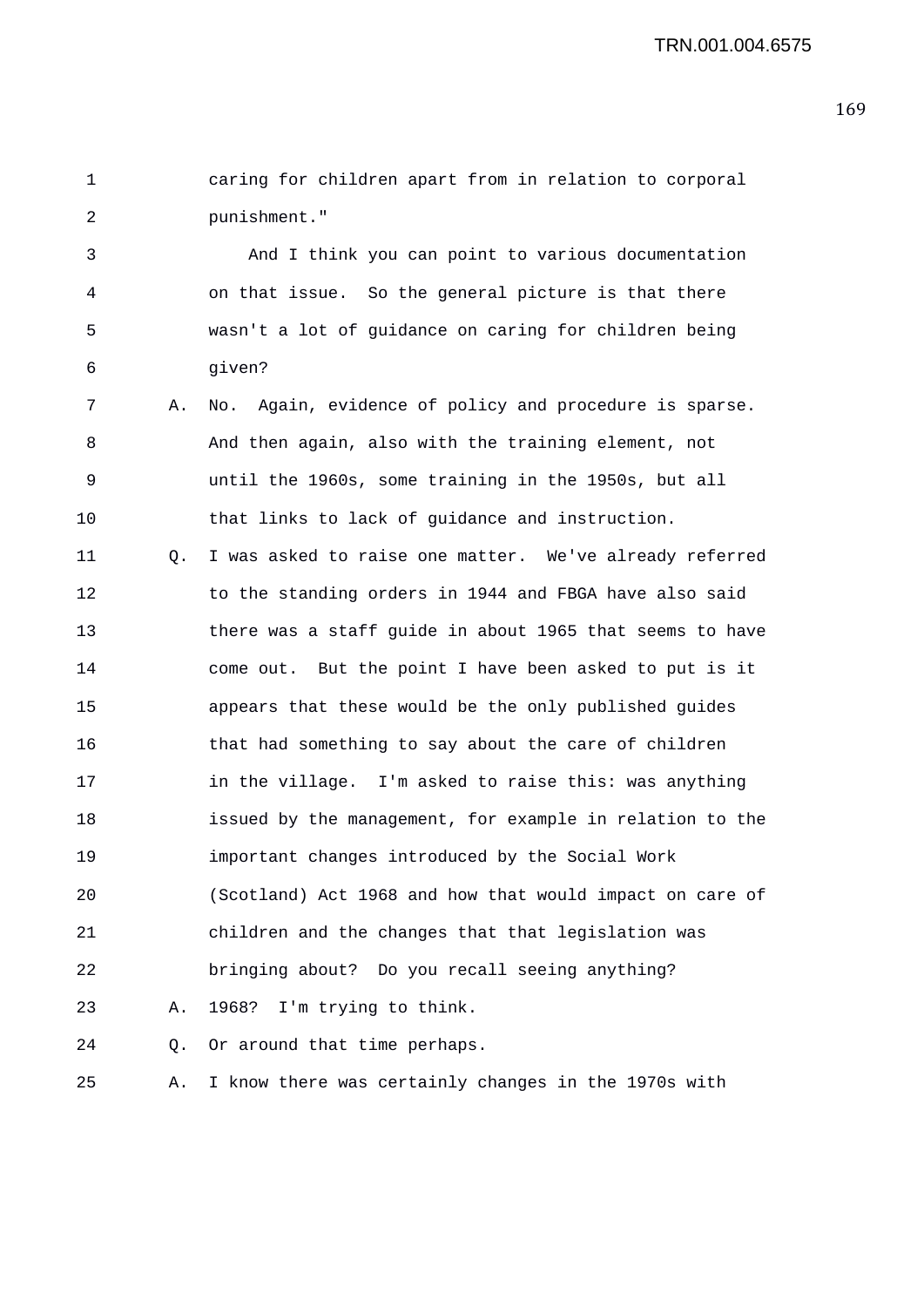1 caring for children apart from in relation to corporal 2 punishment."

3 And I think you can point to various documentation 4 on that issue. So the general picture is that there 5 wasn't a lot of guidance on caring for children being 6 given?

7 A. No. Again, evidence of policy and procedure is sparse. 8 And then again, also with the training element, not 9 until the 1960s, some training in the 1950s, but all 10 that links to lack of guidance and instruction.

11 Q. I was asked to raise one matter. We've already referred 12 to the standing orders in 1944 and FBGA have also said 13 there was a staff guide in about 1965 that seems to have 14 come out. But the point I have been asked to put is it 15 appears that these would be the only published guides 16 that had something to say about the care of children 17 in the village. I'm asked to raise this: was anything 18 issued by the management, for example in relation to the 19 important changes introduced by the Social Work 20 (Scotland) Act 1968 and how that would impact on care of 21 children and the changes that that legislation was 22 bringing about? Do you recall seeing anything? 23 A. 1968? I'm trying to think.

24 Q. Or around that time perhaps.

25 A. I know there was certainly changes in the 1970s with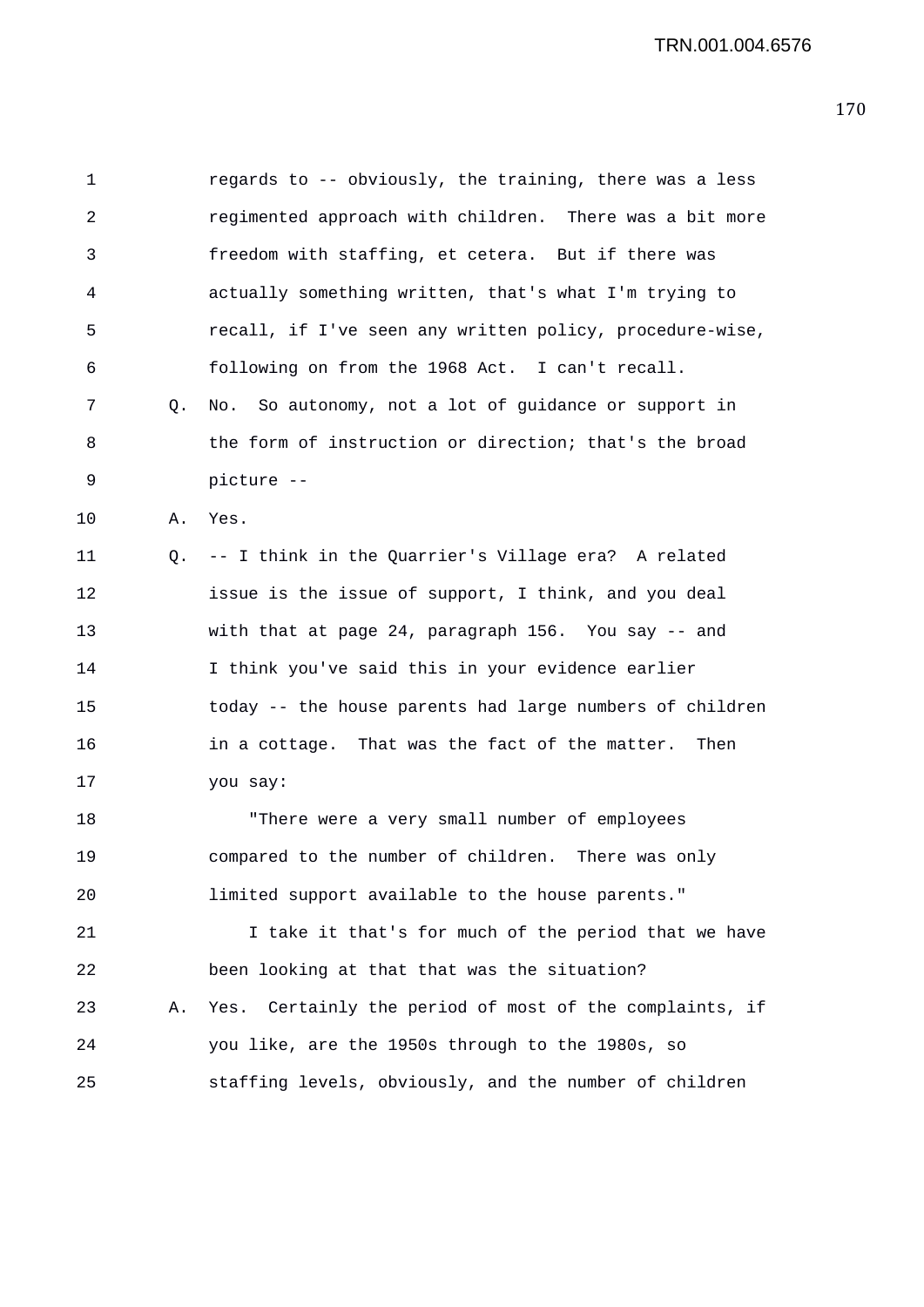1 regards to -- obviously, the training, there was a less 2 regimented approach with children. There was a bit more 3 freedom with staffing, et cetera. But if there was 4 actually something written, that's what I'm trying to 5 recall, if I've seen any written policy, procedure-wise, 6 following on from the 1968 Act. I can't recall. 7 Q. No. So autonomy, not a lot of guidance or support in 8 the form of instruction or direction; that's the broad 9 picture -- 10 A. Yes. 11 Q. -- I think in the Quarrier's Village era? A related 12 issue is the issue of support, I think, and you deal 13 with that at page 24, paragraph 156. You say -- and 14 I think you've said this in your evidence earlier 15 today -- the house parents had large numbers of children 16 in a cottage. That was the fact of the matter. Then 17 you say: 18 "There were a very small number of employees 19 compared to the number of children. There was only 20 limited support available to the house parents." 21 I take it that's for much of the period that we have 22 been looking at that that was the situation? 23 A. Yes. Certainly the period of most of the complaints, if 24 you like, are the 1950s through to the 1980s, so 25 staffing levels, obviously, and the number of children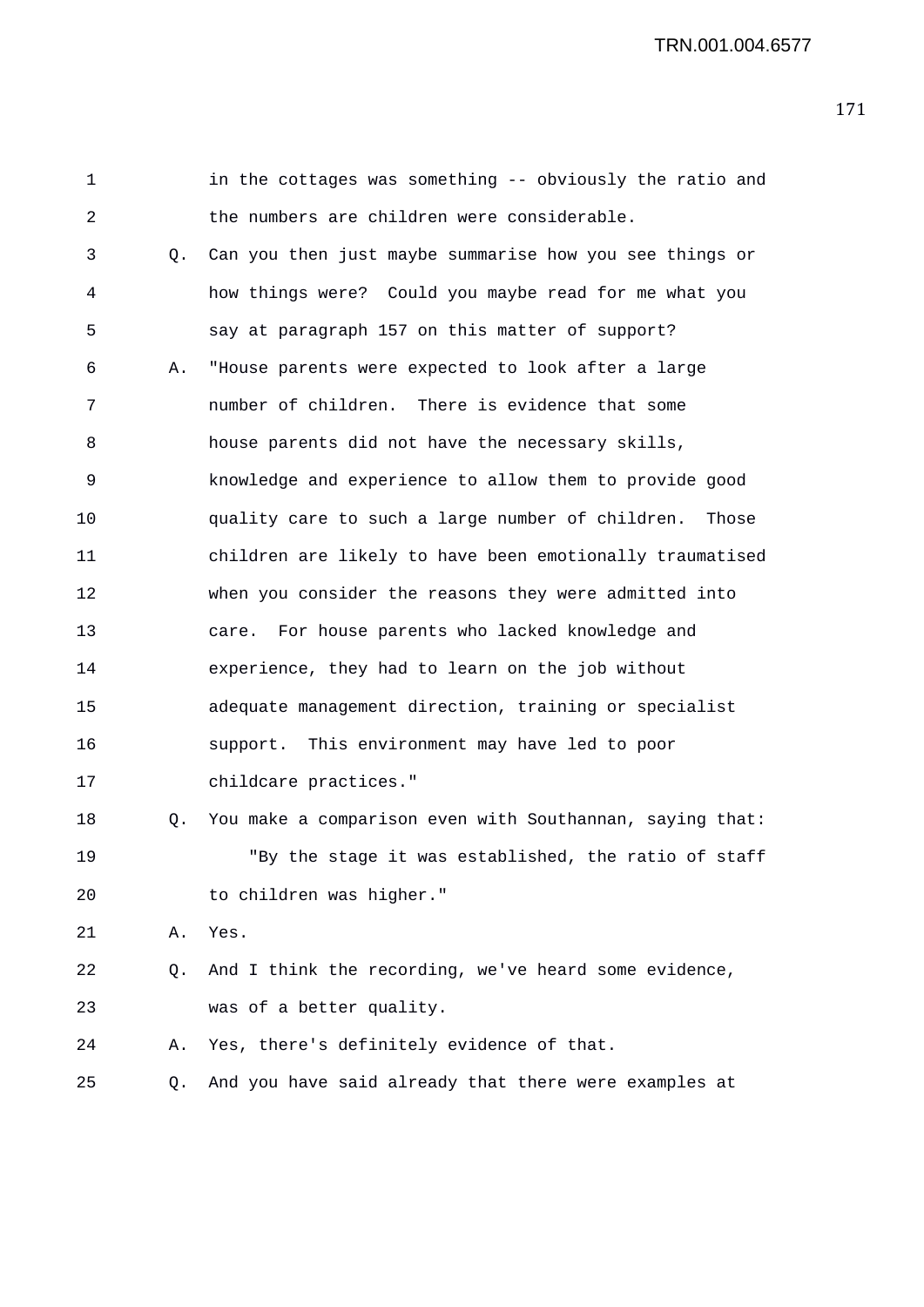| $\mathbf 1$ |    | in the cottages was something -- obviously the ratio and  |
|-------------|----|-----------------------------------------------------------|
| 2           |    | the numbers are children were considerable.               |
| 3           | 0. | Can you then just maybe summarise how you see things or   |
| 4           |    | how things were? Could you maybe read for me what you     |
| 5           |    | say at paragraph 157 on this matter of support?           |
| 6           | Α. | "House parents were expected to look after a large        |
| 7           |    | number of children. There is evidence that some           |
| 8           |    | house parents did not have the necessary skills,          |
| 9           |    | knowledge and experience to allow them to provide good    |
| 10          |    | quality care to such a large number of children.<br>Those |
| 11          |    | children are likely to have been emotionally traumatised  |
| 12          |    | when you consider the reasons they were admitted into     |
| 13          |    | For house parents who lacked knowledge and<br>care.       |
| 14          |    | experience, they had to learn on the job without          |
| 15          |    | adequate management direction, training or specialist     |
| 16          |    | support. This environment may have led to poor            |
| 17          |    | childcare practices."                                     |
| 18          | Q. | You make a comparison even with Southannan, saying that:  |
| 19          |    | "By the stage it was established, the ratio of staff      |
| 20          |    | to children was higher."                                  |
| 21          | Α. | Yes.                                                      |
| 22          | Q. | And I think the recording, we've heard some evidence,     |
| 23          |    | was of a better quality.                                  |
| 24          | Α. | Yes, there's definitely evidence of that.                 |
| 25          | Q. | And you have said already that there were examples at     |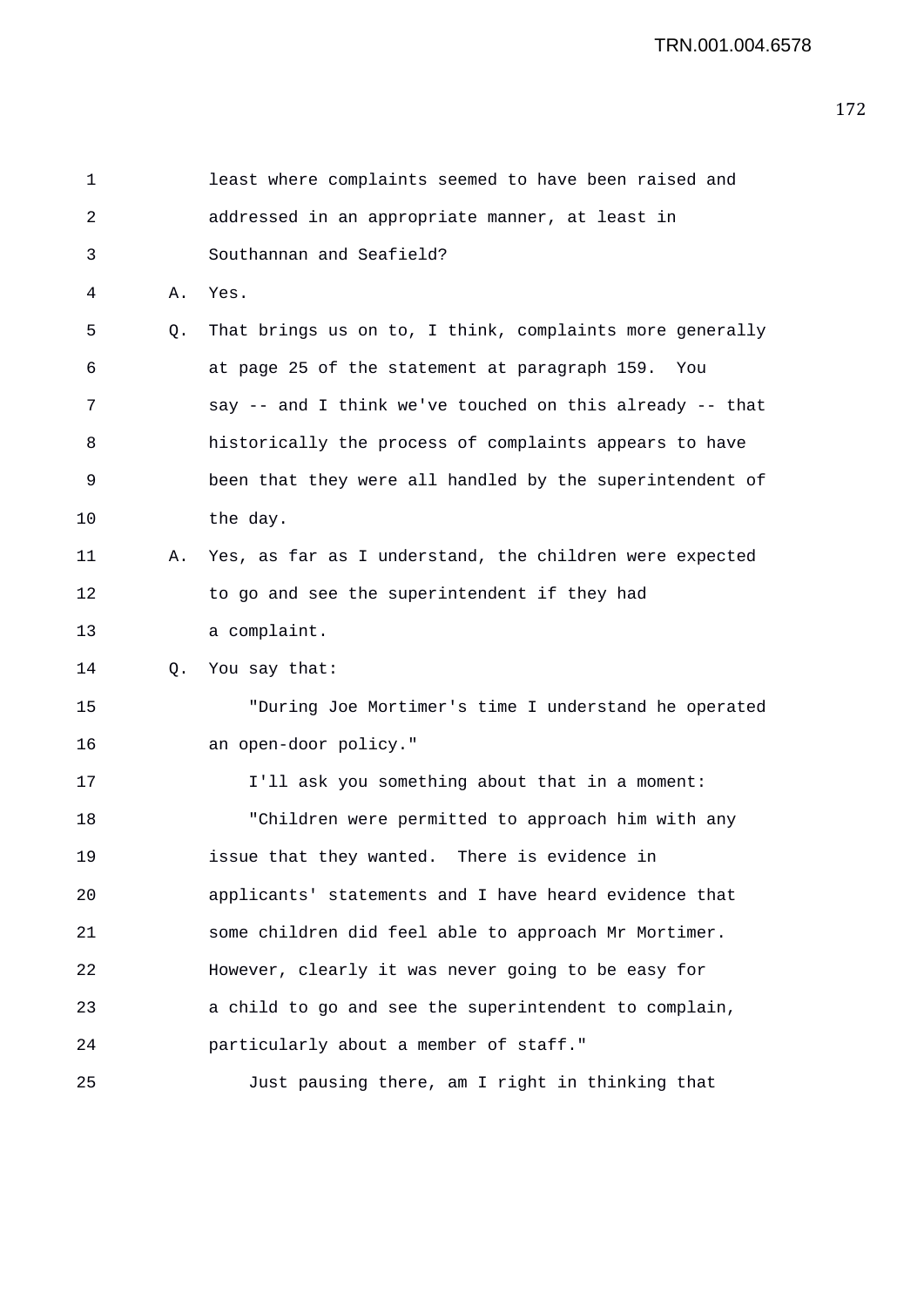| $\mathbf 1$ |    | least where complaints seemed to have been raised and      |
|-------------|----|------------------------------------------------------------|
| 2           |    | addressed in an appropriate manner, at least in            |
| 3           |    | Southannan and Seafield?                                   |
| 4           | Α. | Yes.                                                       |
| 5           | Q. | That brings us on to, I think, complaints more generally   |
| 6           |    | at page 25 of the statement at paragraph 159. You          |
| 7           |    | say -- and I think we've touched on this already -- that   |
| 8           |    | historically the process of complaints appears to have     |
| 9           |    | been that they were all handled by the superintendent of   |
| 10          |    | the day.                                                   |
| 11          |    | A. Yes, as far as I understand, the children were expected |
| 12          |    | to go and see the superintendent if they had               |
| 13          |    | a complaint.                                               |
| 14          | Q. | You say that:                                              |
| 15          |    | "During Joe Mortimer's time I understand he operated       |
| 16          |    | an open-door policy."                                      |
| 17          |    | I'll ask you something about that in a moment:             |
| 18          |    | "Children were permitted to approach him with any          |
| 19          |    | issue that they wanted. There is evidence in               |
| 20          |    | applicants' statements and I have heard evidence that      |
| 21          |    | some children did feel able to approach Mr Mortimer.       |
| 22          |    | However, clearly it was never going to be easy for         |
| 23          |    | a child to go and see the superintendent to complain,      |
| 24          |    | particularly about a member of staff."                     |
| 25          |    | Just pausing there, am I right in thinking that            |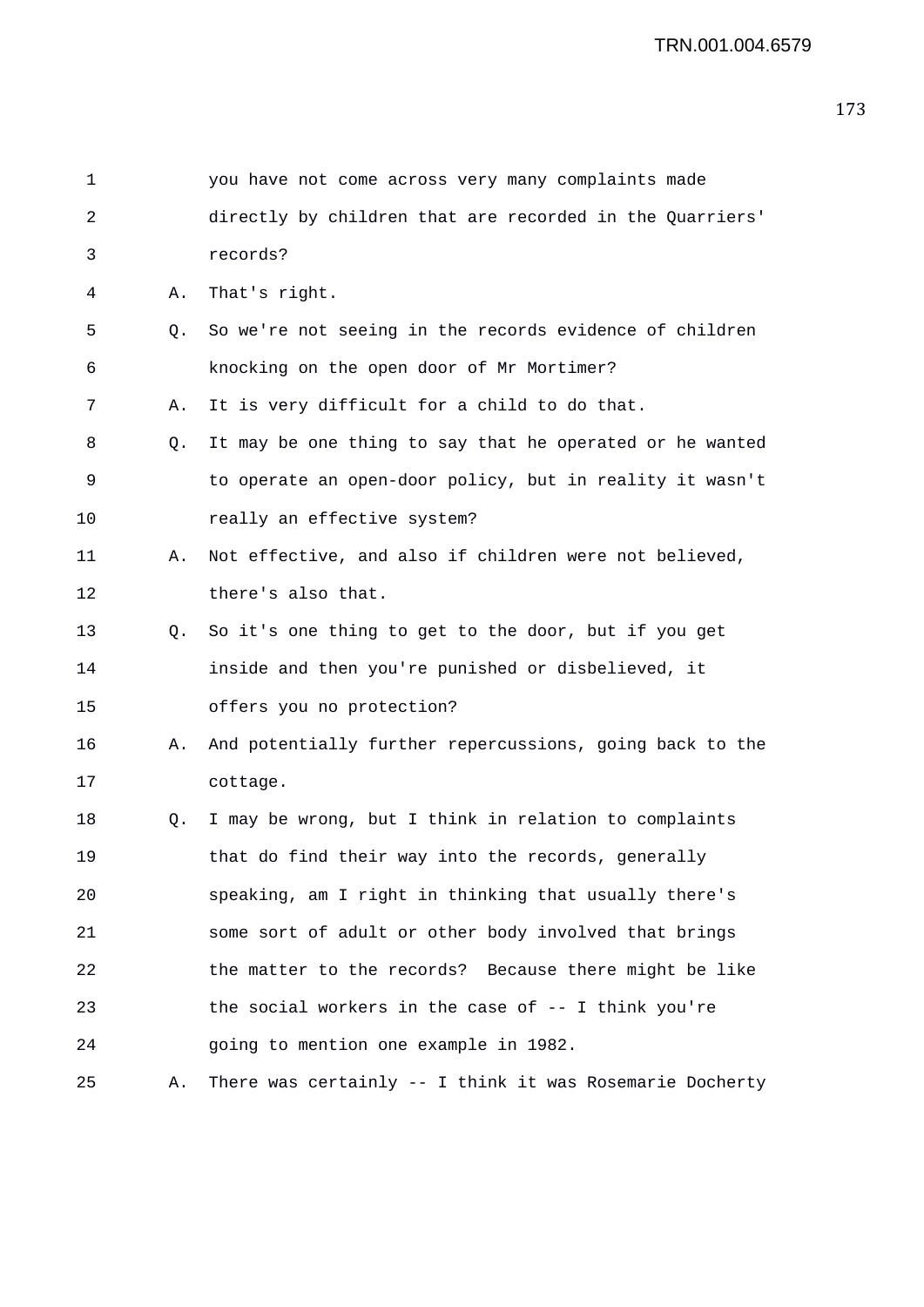| 1  |    | you have not come across very many complaints made       |
|----|----|----------------------------------------------------------|
| 2  |    | directly by children that are recorded in the Quarriers' |
| 3  |    | records?                                                 |
| 4  | Α. | That's right.                                            |
| 5  | Q. | So we're not seeing in the records evidence of children  |
| 6  |    | knocking on the open door of Mr Mortimer?                |
| 7  | Α. | It is very difficult for a child to do that.             |
| 8  | Q. | It may be one thing to say that he operated or he wanted |
| 9  |    | to operate an open-door policy, but in reality it wasn't |
| 10 |    | really an effective system?                              |
| 11 | Α. | Not effective, and also if children were not believed,   |
| 12 |    | there's also that.                                       |
| 13 | Q. | So it's one thing to get to the door, but if you get     |
| 14 |    | inside and then you're punished or disbelieved, it       |
| 15 |    | offers you no protection?                                |
| 16 | Α. | And potentially further repercussions, going back to the |
| 17 |    | cottage.                                                 |
| 18 | Q. | I may be wrong, but I think in relation to complaints    |
| 19 |    | that do find their way into the records, generally       |
| 20 |    | speaking, am I right in thinking that usually there's    |
| 21 |    | some sort of adult or other body involved that brings    |
| 22 |    | the matter to the records? Because there might be like   |
| 23 |    | the social workers in the case of -- I think you're      |
| 24 |    | going to mention one example in 1982.                    |
| 25 | Α. | There was certainly -- I think it was Rosemarie Docherty |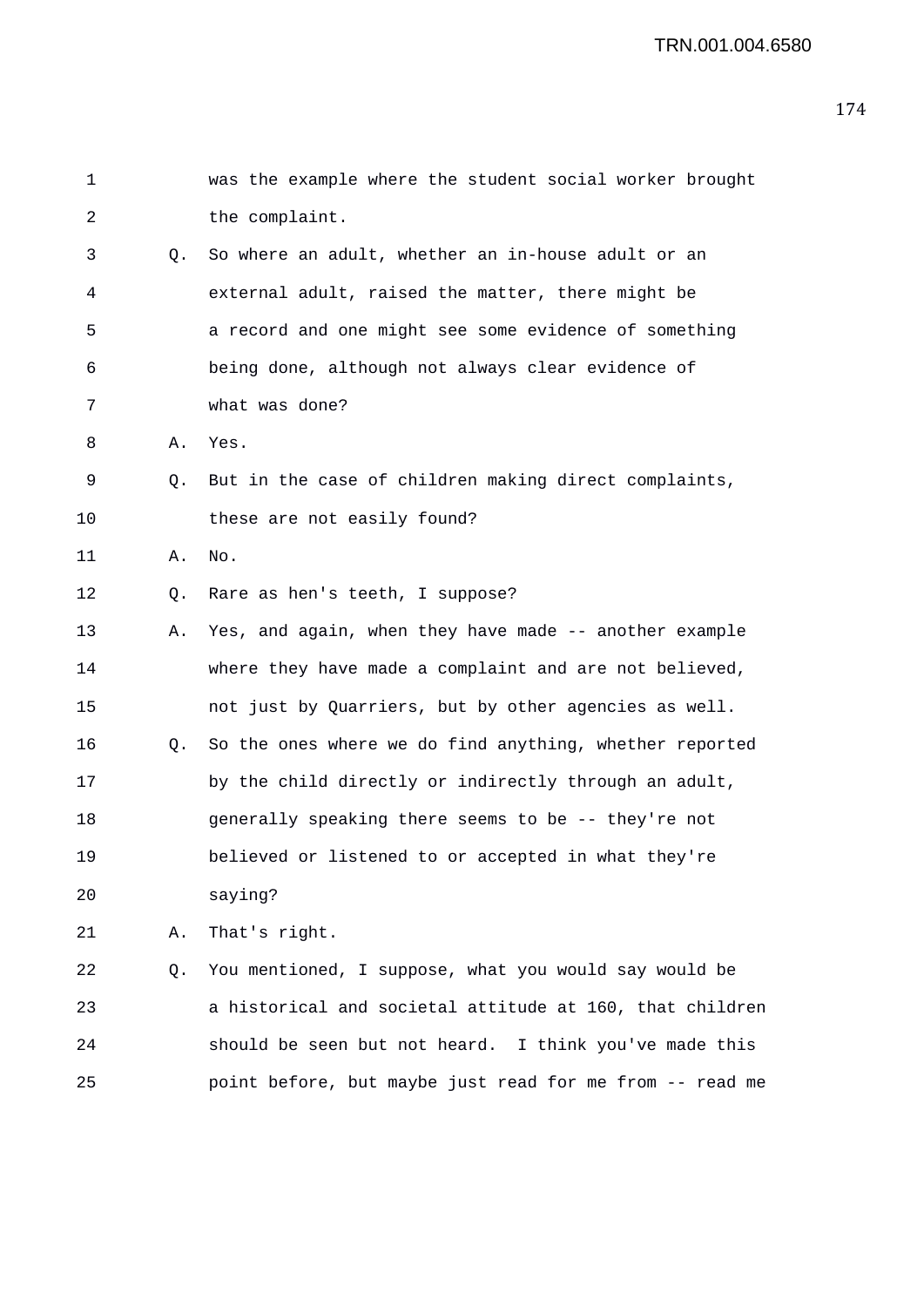| $\mathbf 1$ |    | was the example where the student social worker brought  |
|-------------|----|----------------------------------------------------------|
| 2           |    | the complaint.                                           |
| 3           | O. | So where an adult, whether an in-house adult or an       |
| 4           |    | external adult, raised the matter, there might be        |
| 5           |    | a record and one might see some evidence of something    |
| 6           |    | being done, although not always clear evidence of        |
| 7           |    | what was done?                                           |
| 8           | Α. | Yes.                                                     |
| 9           | Q. | But in the case of children making direct complaints,    |
| 10          |    | these are not easily found?                              |
| 11          | Α. | No.                                                      |
| 12          | Q. | Rare as hen's teeth, I suppose?                          |
| 13          | Α. | Yes, and again, when they have made -- another example   |
| 14          |    | where they have made a complaint and are not believed,   |
| 15          |    | not just by Quarriers, but by other agencies as well.    |
| 16          | Q. | So the ones where we do find anything, whether reported  |
| 17          |    | by the child directly or indirectly through an adult,    |
| 18          |    | generally speaking there seems to be -- they're not      |
| 19          |    | believed or listened to or accepted in what they're      |
| 20          |    | saying?                                                  |
| 21          | Α. | That's right.                                            |
| 22          | Q. | You mentioned, I suppose, what you would say would be    |
| 23          |    | a historical and societal attitude at 160, that children |
| 24          |    | should be seen but not heard. I think you've made this   |
| 25          |    | point before, but maybe just read for me from -- read me |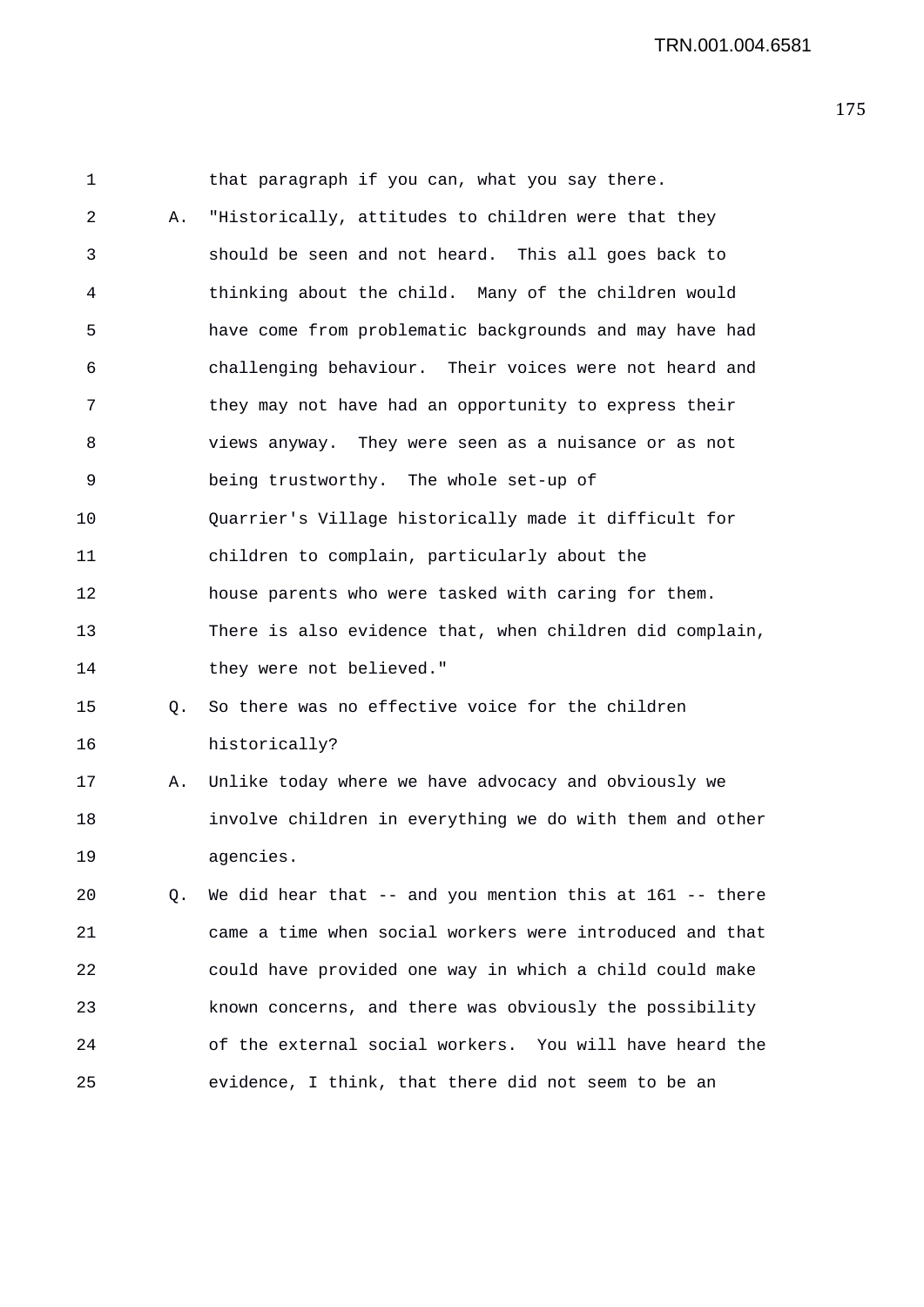1 that paragraph if you can, what you say there. 2 A. "Historically, attitudes to children were that they 3 should be seen and not heard. This all goes back to 4 thinking about the child. Many of the children would 5 have come from problematic backgrounds and may have had 6 challenging behaviour. Their voices were not heard and 7 they may not have had an opportunity to express their 8 views anyway. They were seen as a nuisance or as not 9 being trustworthy. The whole set-up of 10 Quarrier's Village historically made it difficult for 11 children to complain, particularly about the 12 house parents who were tasked with caring for them. 13 There is also evidence that, when children did complain, 14 they were not believed." 15 Q. So there was no effective voice for the children 16 historically? 17 A. Unlike today where we have advocacy and obviously we 18 involve children in everything we do with them and other 19 agencies. 20 Q. We did hear that -- and you mention this at 161 -- there 21 came a time when social workers were introduced and that 22 could have provided one way in which a child could make 23 known concerns, and there was obviously the possibility 24 of the external social workers. You will have heard the 25 evidence, I think, that there did not seem to be an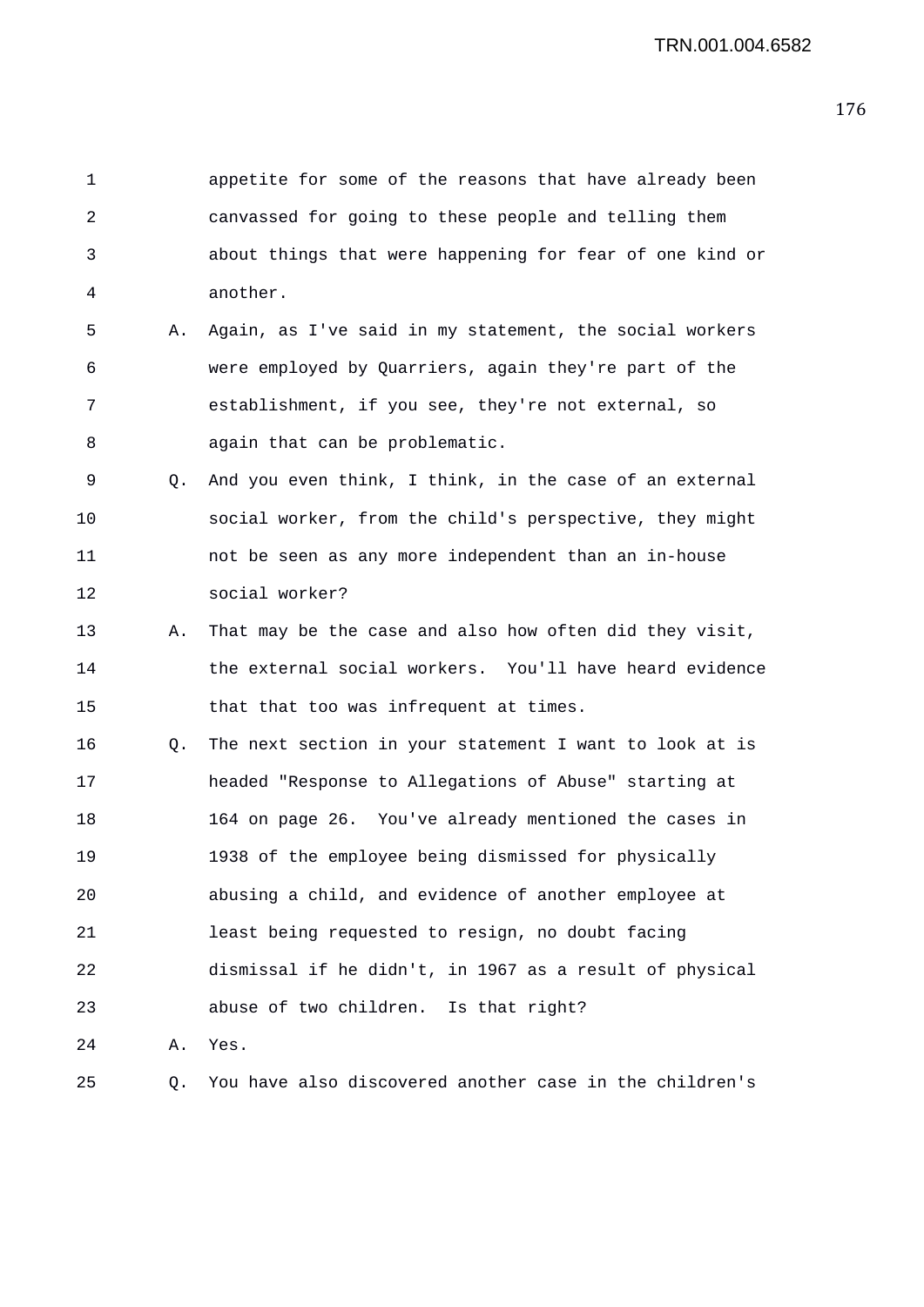1 appetite for some of the reasons that have already been 2 canvassed for going to these people and telling them 3 about things that were happening for fear of one kind or 4 another. 5 A. Again, as I've said in my statement, the social workers 6 were employed by Quarriers, again they're part of the 7 establishment, if you see, they're not external, so 8 again that can be problematic. 9 Q. And you even think, I think, in the case of an external 10 social worker, from the child's perspective, they might 11 not be seen as any more independent than an in-house 12 social worker? 13 A. That may be the case and also how often did they visit, 14 the external social workers. You'll have heard evidence 15 that that too was infrequent at times. 16 Q. The next section in your statement I want to look at is 17 headed "Response to Allegations of Abuse" starting at 18 164 on page 26. You've already mentioned the cases in 19 1938 of the employee being dismissed for physically 20 abusing a child, and evidence of another employee at 21 least being requested to resign, no doubt facing 22 dismissal if he didn't, in 1967 as a result of physical 23 abuse of two children. Is that right? 24 A. Yes. 25 Q. You have also discovered another case in the children's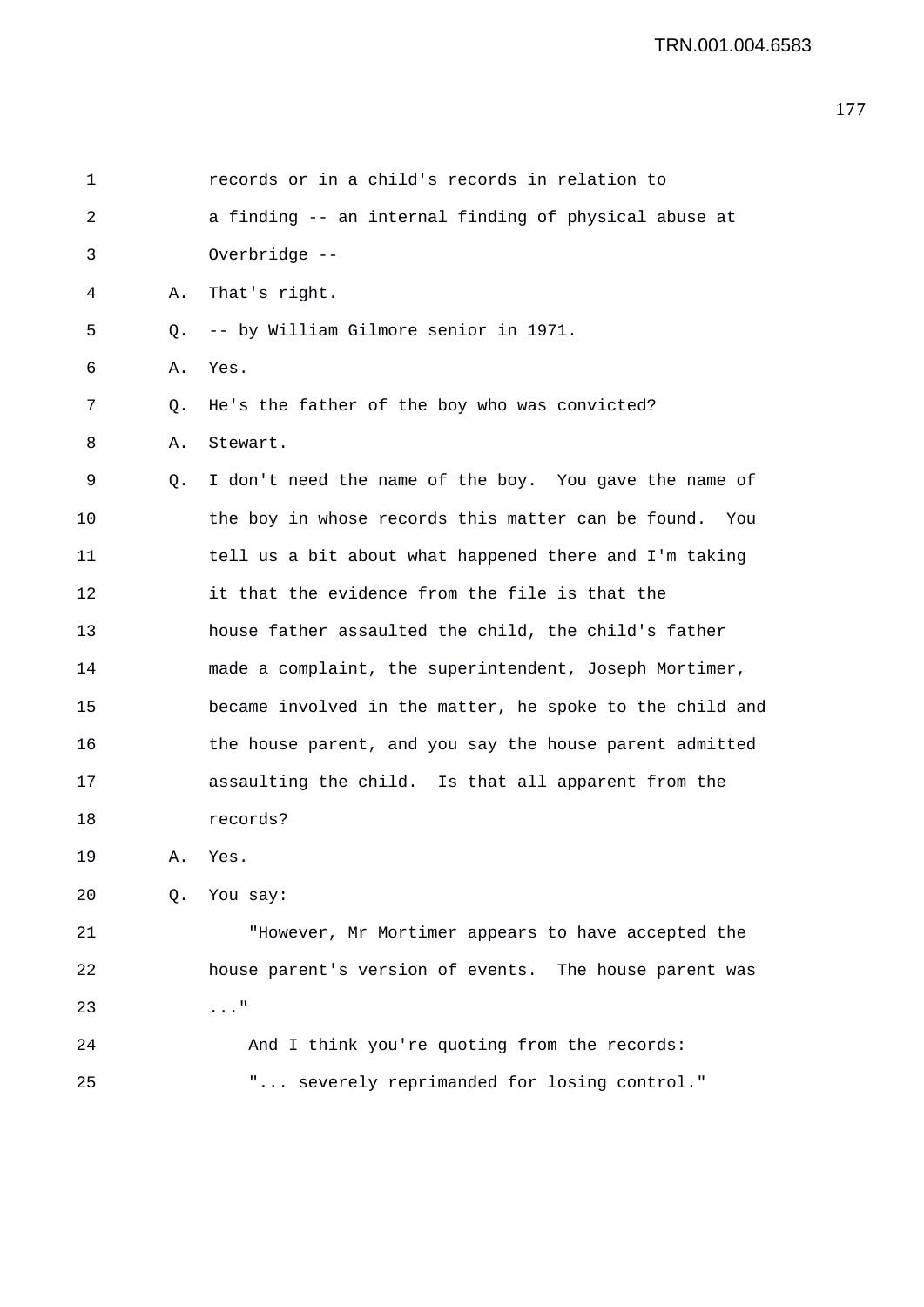| 1  |    | records or in a child's records in relation to           |
|----|----|----------------------------------------------------------|
| 2  |    | a finding -- an internal finding of physical abuse at    |
| 3  |    | Overbridge --                                            |
| 4  | Α. | That's right.                                            |
| 5  | Q. | -- by William Gilmore senior in 1971.                    |
| 6  | Α. | Yes.                                                     |
| 7  | Q. | He's the father of the boy who was convicted?            |
| 8  | Α. | Stewart.                                                 |
| 9  | Q. | I don't need the name of the boy. You gave the name of   |
| 10 |    | the boy in whose records this matter can be found. You   |
| 11 |    | tell us a bit about what happened there and I'm taking   |
| 12 |    | it that the evidence from the file is that the           |
| 13 |    | house father assaulted the child, the child's father     |
| 14 |    | made a complaint, the superintendent, Joseph Mortimer,   |
| 15 |    | became involved in the matter, he spoke to the child and |
| 16 |    | the house parent, and you say the house parent admitted  |
| 17 |    | assaulting the child. Is that all apparent from the      |
| 18 |    | records?                                                 |
| 19 | Α. | Yes.                                                     |
| 20 | Q. | You say:                                                 |
| 21 |    | "However, Mr Mortimer appears to have accepted the       |
| 22 |    | house parent's version of events. The house parent was   |
| 23 |    | $\ldots$ "                                               |
| 24 |    | And I think you're quoting from the records:             |
| 25 |    | " severely reprimanded for losing control."              |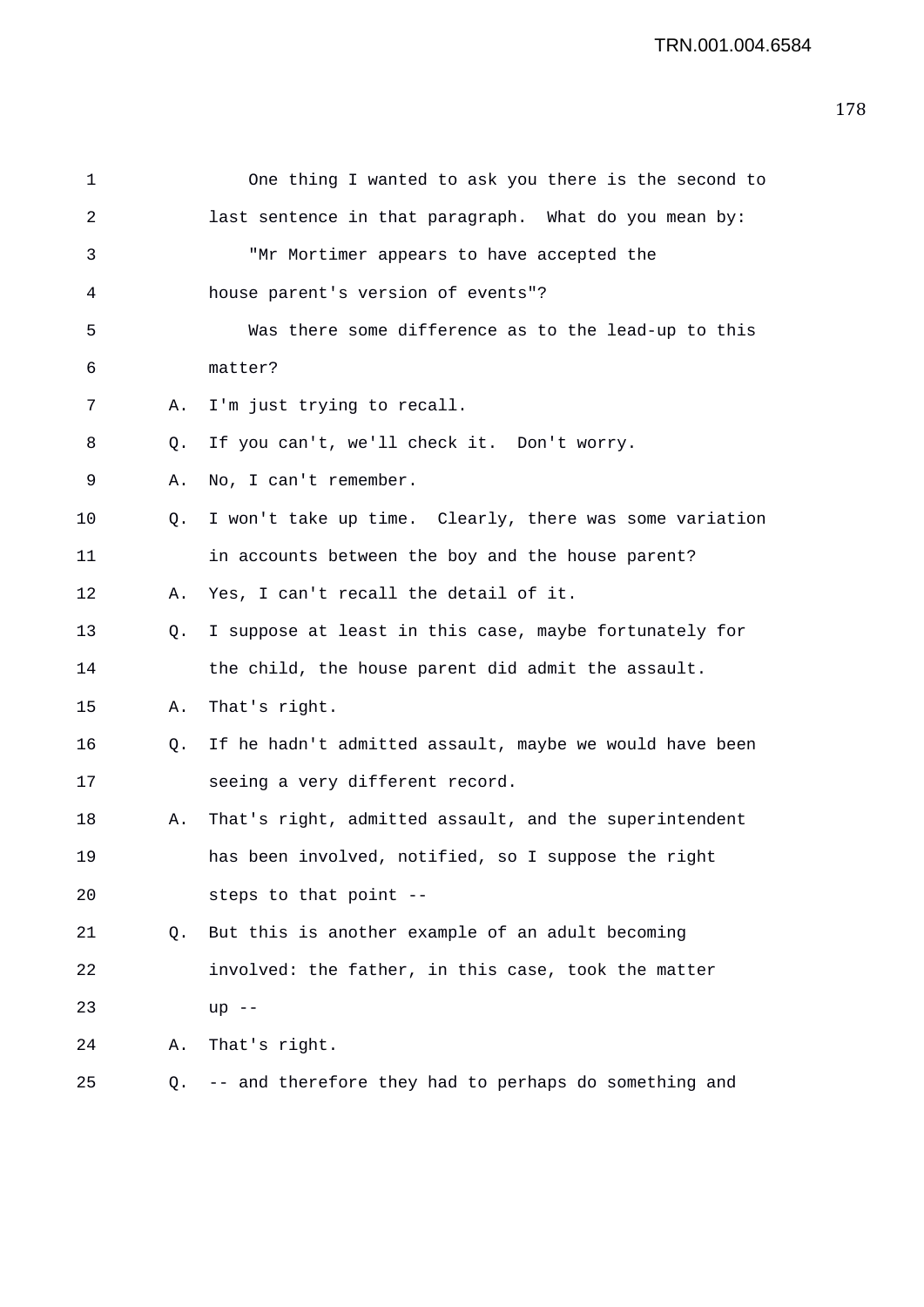| 1  |           | One thing I wanted to ask you there is the second to    |
|----|-----------|---------------------------------------------------------|
| 2  |           | last sentence in that paragraph. What do you mean by:   |
| 3  |           | "Mr Mortimer appears to have accepted the               |
| 4  |           | house parent's version of events"?                      |
| 5  |           | Was there some difference as to the lead-up to this     |
| 6  |           | matter?                                                 |
| 7  | Α.        | I'm just trying to recall.                              |
| 8  | $\circ$ . | If you can't, we'll check it. Don't worry.              |
| 9  | Α.        | No, I can't remember.                                   |
| 10 | Q.        | I won't take up time. Clearly, there was some variation |
| 11 |           | in accounts between the boy and the house parent?       |
| 12 | Α.        | Yes, I can't recall the detail of it.                   |
| 13 | Q.        | I suppose at least in this case, maybe fortunately for  |
| 14 |           | the child, the house parent did admit the assault.      |
| 15 | Α.        | That's right.                                           |
| 16 | Q.        | If he hadn't admitted assault, maybe we would have been |
| 17 |           | seeing a very different record.                         |
| 18 | Α.        | That's right, admitted assault, and the superintendent  |
| 19 |           | has been involved, notified, so I suppose the right     |
| 20 |           | steps to that point --                                  |
| 21 | O.        | But this is another example of an adult becoming        |
| 22 |           | involved: the father, in this case, took the matter     |
| 23 |           | $up$ --                                                 |
| 24 | Α.        | That's right.                                           |
| 25 | Q.        | -- and therefore they had to perhaps do something and   |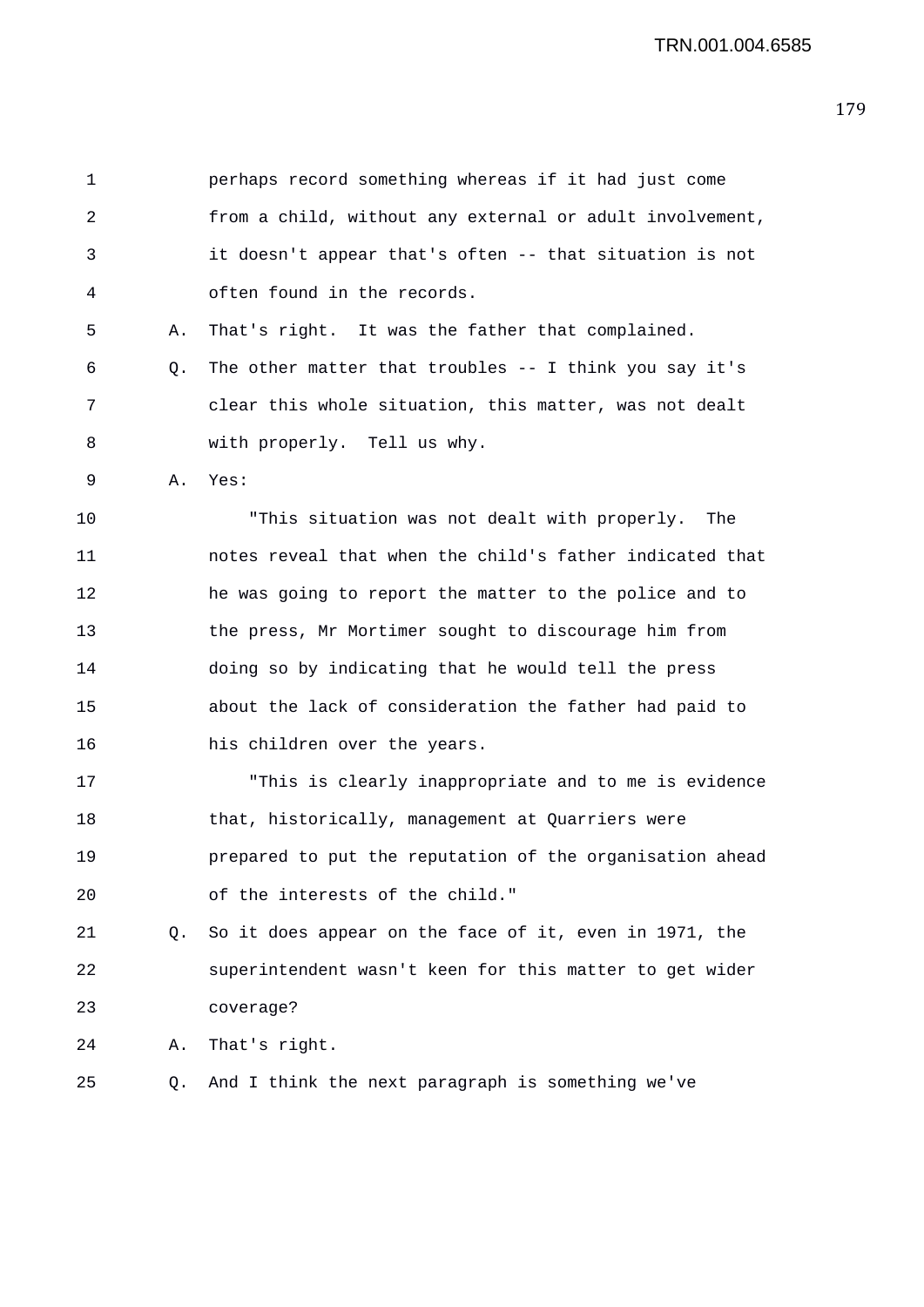1 perhaps record something whereas if it had just come 2 from a child, without any external or adult involvement, 3 it doesn't appear that's often -- that situation is not 4 often found in the records. 5 A. That's right. It was the father that complained.  $6$  0. The other matter that troubles  $-1$  think you say it's 7 clear this whole situation, this matter, was not dealt 8 with properly. Tell us why. 9 A. Yes: 10 "This situation was not dealt with properly. The 11 notes reveal that when the child's father indicated that 12 he was going to report the matter to the police and to 13 the press, Mr Mortimer sought to discourage him from 14 doing so by indicating that he would tell the press 15 about the lack of consideration the father had paid to 16 his children over the years. 17 "This is clearly inappropriate and to me is evidence 18 that, historically, management at Quarriers were 19 prepared to put the reputation of the organisation ahead 20 of the interests of the child." 21 Q. So it does appear on the face of it, even in 1971, the 22 superintendent wasn't keen for this matter to get wider 23 coverage? 24 A. That's right. 25 Q. And I think the next paragraph is something we've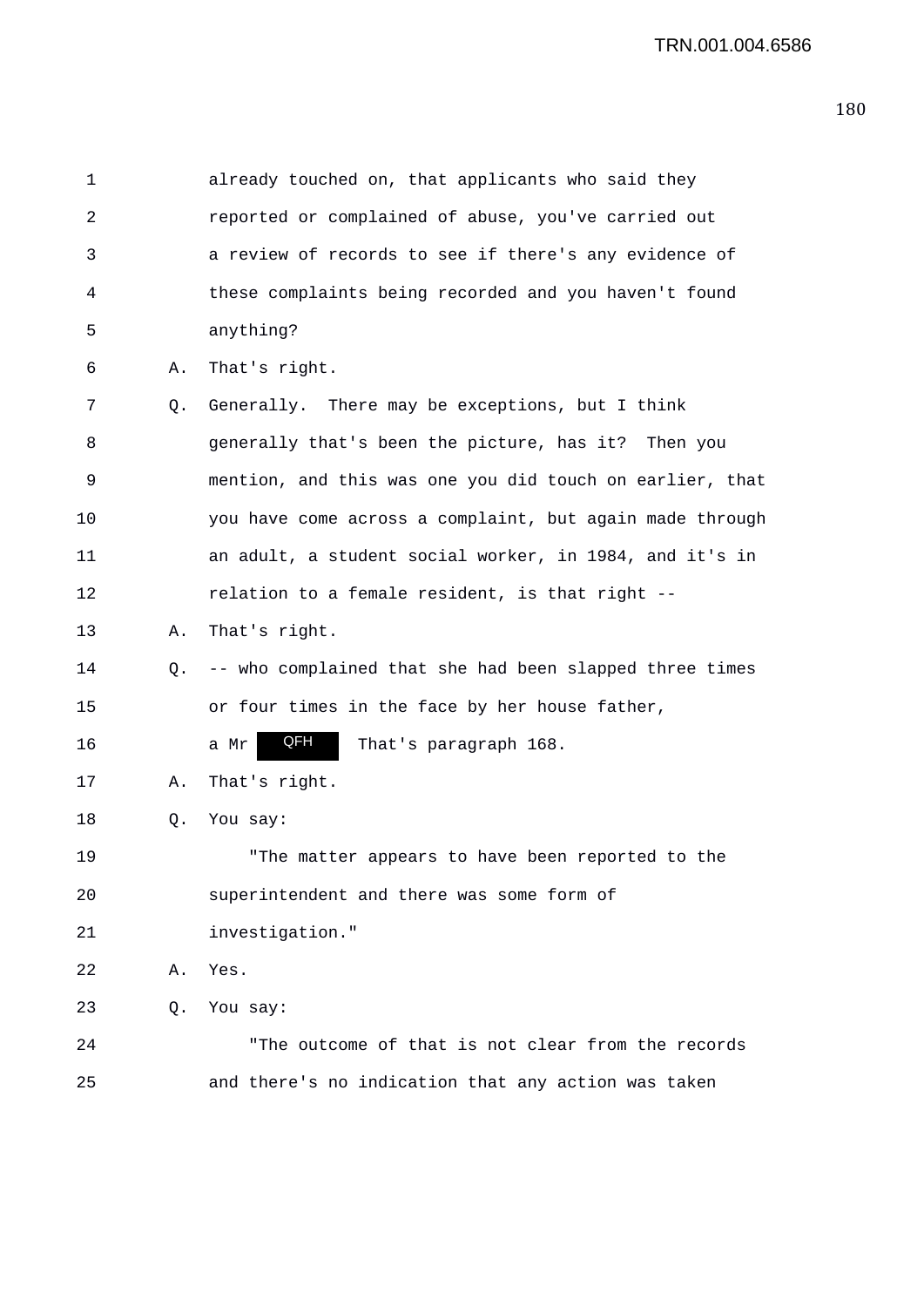| 1  |    | already touched on, that applicants who said they        |
|----|----|----------------------------------------------------------|
| 2  |    | reported or complained of abuse, you've carried out      |
| 3  |    | a review of records to see if there's any evidence of    |
| 4  |    | these complaints being recorded and you haven't found    |
| 5  |    | anything?                                                |
| 6  | Α. | That's right.                                            |
| 7  | Q. | Generally. There may be exceptions, but I think          |
| 8  |    | generally that's been the picture, has it? Then you      |
| 9  |    | mention, and this was one you did touch on earlier, that |
| 10 |    | you have come across a complaint, but again made through |
| 11 |    | an adult, a student social worker, in 1984, and it's in  |
| 12 |    | relation to a female resident, is that right --          |
| 13 | Α. | That's right.                                            |
| 14 | Q. | -- who complained that she had been slapped three times  |
| 15 |    | or four times in the face by her house father,           |
| 16 |    | QFH<br>That's paragraph 168.<br>a Mr                     |
| 17 | Α. | That's right.                                            |
| 18 | Q. | You say:                                                 |
| 19 |    | "The matter appears to have been reported to the         |
| 20 |    | superintendent and there was some form of                |
| 21 |    | investigation."                                          |
| 22 | Α. | Yes.                                                     |
| 23 | Q. | You say:                                                 |
| 24 |    | "The outcome of that is not clear from the records       |
| 25 |    | and there's no indication that any action was taken      |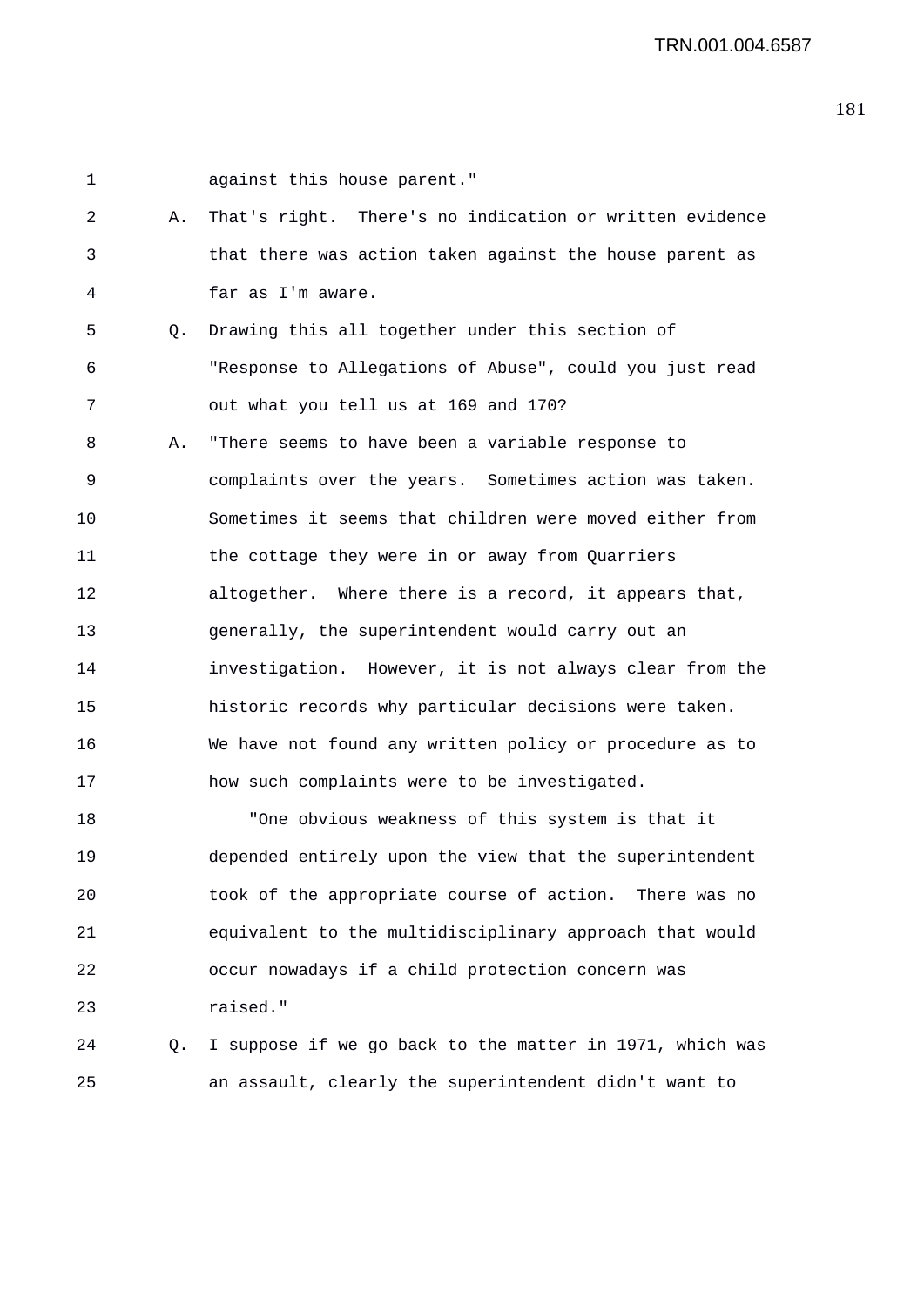1 against this house parent." 2 A. That's right. There's no indication or written evidence 3 that there was action taken against the house parent as 4 far as I'm aware. 5 Q. Drawing this all together under this section of 6 "Response to Allegations of Abuse", could you just read 7 out what you tell us at 169 and 170? 8 A. "There seems to have been a variable response to 9 complaints over the years. Sometimes action was taken. 10 Sometimes it seems that children were moved either from 11 the cottage they were in or away from Quarriers 12 altogether. Where there is a record, it appears that, 13 generally, the superintendent would carry out an 14 investigation. However, it is not always clear from the 15 historic records why particular decisions were taken. 16 We have not found any written policy or procedure as to 17 how such complaints were to be investigated. 18 "One obvious weakness of this system is that it 19 depended entirely upon the view that the superintendent 20 took of the appropriate course of action. There was no 21 equivalent to the multidisciplinary approach that would 22 occur nowadays if a child protection concern was 23 raised."

24 Q. I suppose if we go back to the matter in 1971, which was 25 an assault, clearly the superintendent didn't want to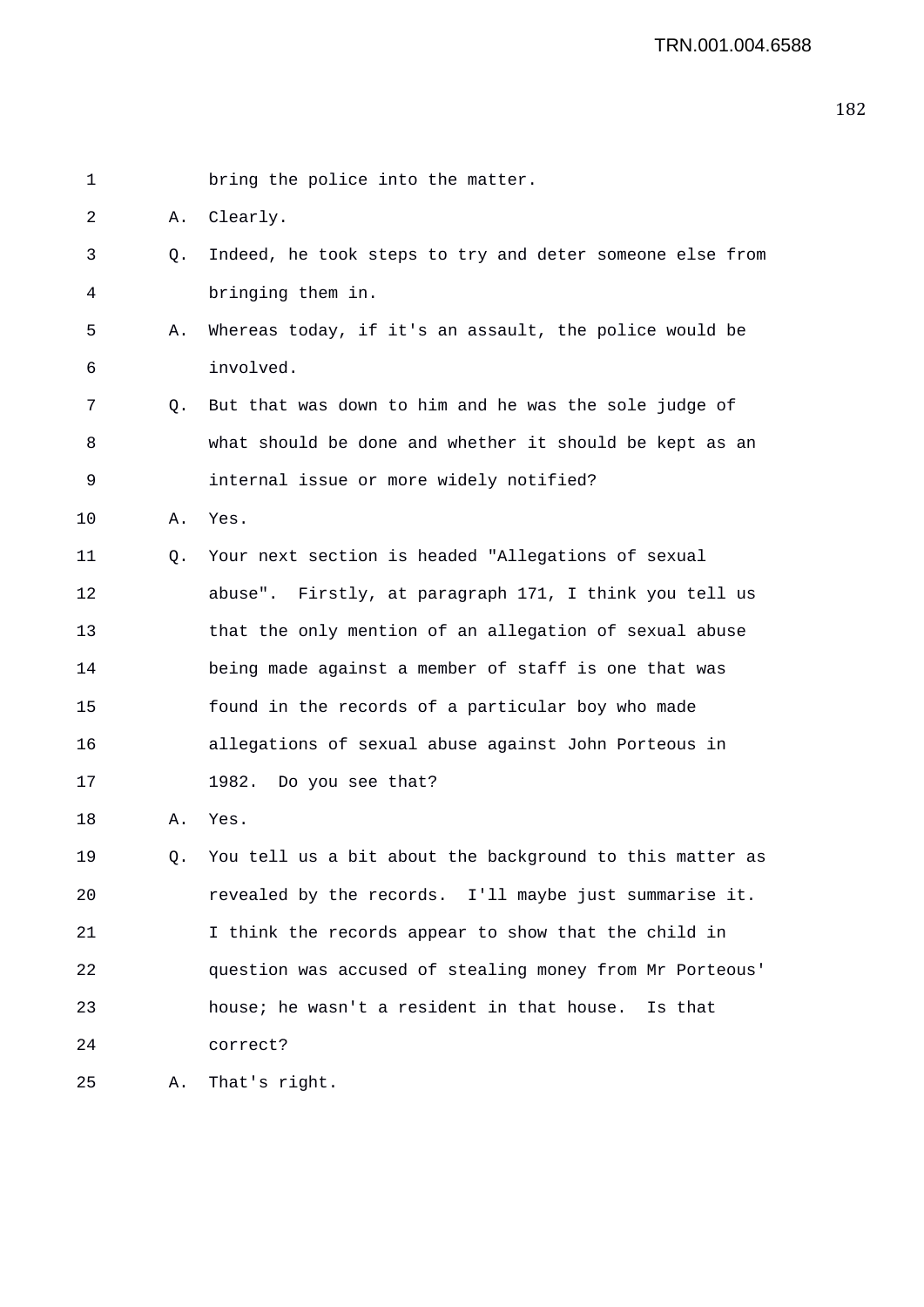1 bring the police into the matter. 2 A. Clearly. 3 Q. Indeed, he took steps to try and deter someone else from 4 bringing them in. 5 A. Whereas today, if it's an assault, the police would be 6 involved. 7 Q. But that was down to him and he was the sole judge of 8 what should be done and whether it should be kept as an 9 internal issue or more widely notified? 10 A. Yes. 11 Q. Your next section is headed "Allegations of sexual 12 abuse". Firstly, at paragraph 171, I think you tell us 13 that the only mention of an allegation of sexual abuse 14 being made against a member of staff is one that was 15 found in the records of a particular boy who made 16 allegations of sexual abuse against John Porteous in 17 1982. Do you see that? 18 A. Yes. 19 Q. You tell us a bit about the background to this matter as 20 revealed by the records. I'll maybe just summarise it. 21 I think the records appear to show that the child in 22 question was accused of stealing money from Mr Porteous' 23 house; he wasn't a resident in that house. Is that 24 correct? 25 A. That's right.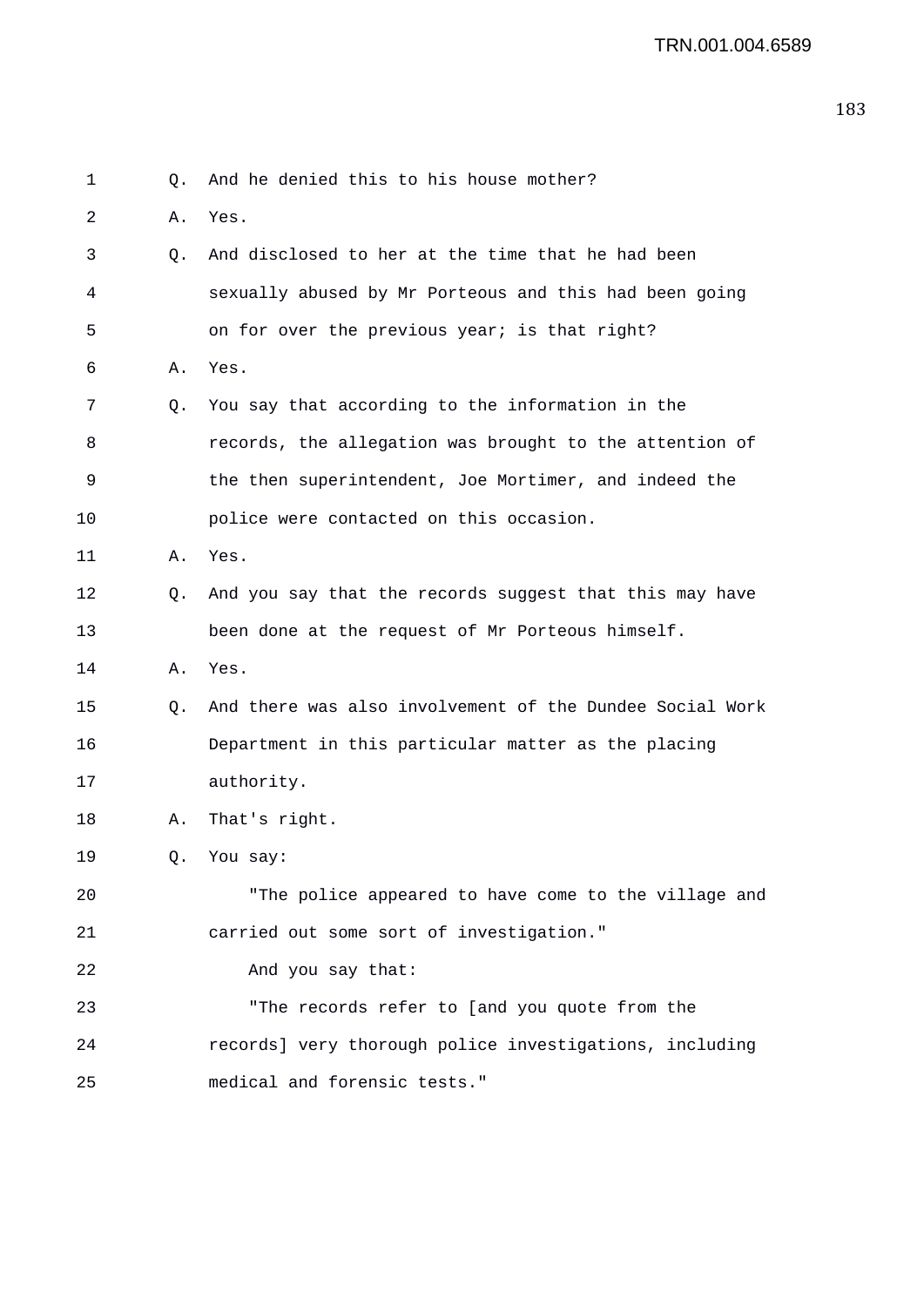1 0. And he denied this to his house mother? 2 A. Yes. 3 Q. And disclosed to her at the time that he had been 4 sexually abused by Mr Porteous and this had been going 5 on for over the previous year; is that right? 6 A. Yes. 7 Q. You say that according to the information in the 8 records, the allegation was brought to the attention of 9 the then superintendent, Joe Mortimer, and indeed the 10 police were contacted on this occasion. 11 A. Yes. 12 Q. And you say that the records suggest that this may have 13 been done at the request of Mr Porteous himself. 14 A. Yes. 15 Q. And there was also involvement of the Dundee Social Work 16 Department in this particular matter as the placing 17 authority. 18 A. That's right. 19 Q. You say: 20 "The police appeared to have come to the village and 21 carried out some sort of investigation." 22 And you say that: 23 "The records refer to [and you quote from the 24 records] very thorough police investigations, including 25 medical and forensic tests."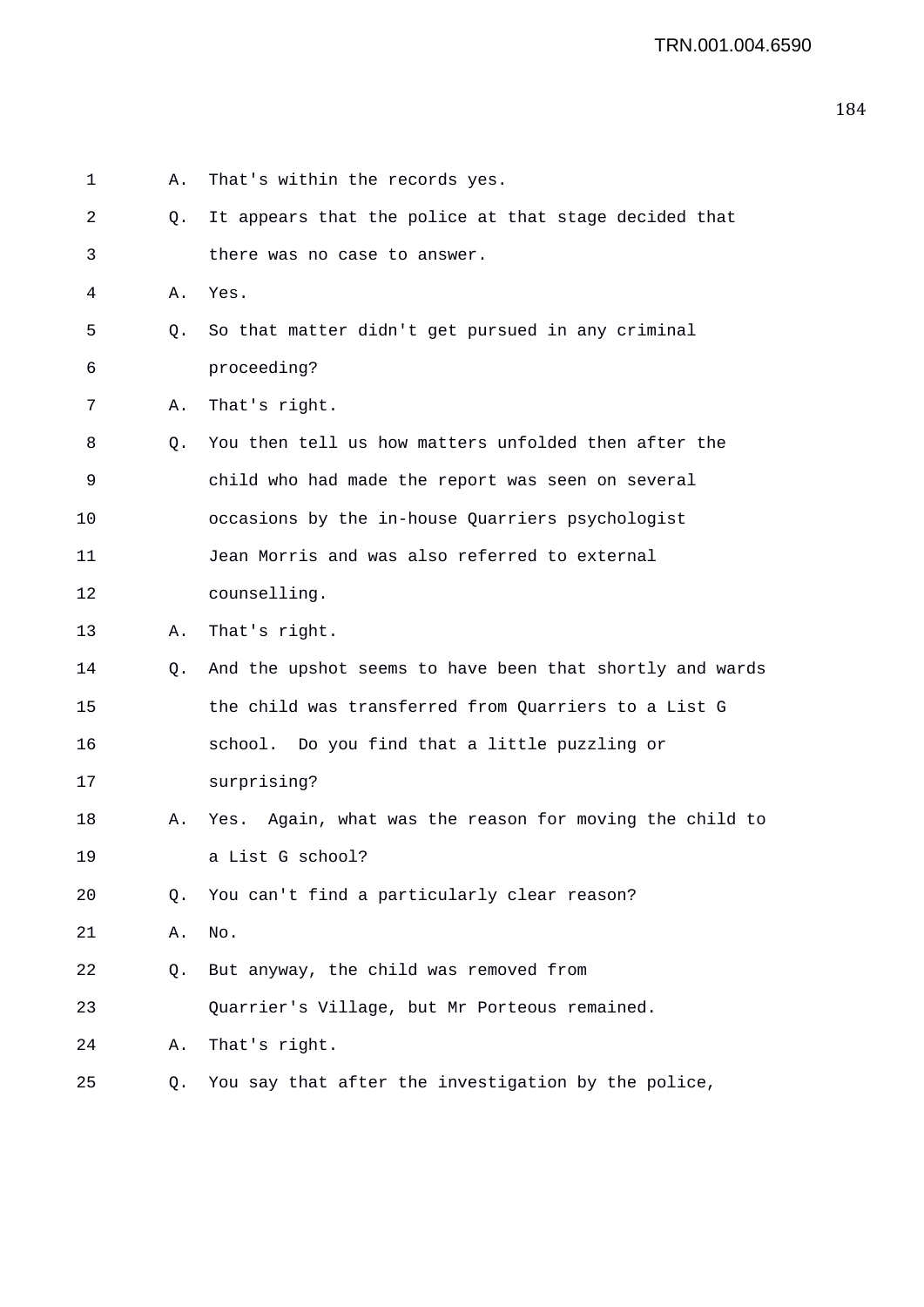| 1  | Α. | That's within the records yes.                           |
|----|----|----------------------------------------------------------|
| 2  | Q. | It appears that the police at that stage decided that    |
| 3  |    | there was no case to answer.                             |
| 4  | Α. | Yes.                                                     |
| 5  | Q. | So that matter didn't get pursued in any criminal        |
| 6  |    | proceeding?                                              |
| 7  | Α. | That's right.                                            |
| 8  | O. | You then tell us how matters unfolded then after the     |
| 9  |    | child who had made the report was seen on several        |
| 10 |    | occasions by the in-house Quarriers psychologist         |
| 11 |    | Jean Morris and was also referred to external            |
| 12 |    | counselling.                                             |
| 13 | Α. | That's right.                                            |
| 14 | Q. | And the upshot seems to have been that shortly and wards |
| 15 |    | the child was transferred from Quarriers to a List G     |
| 16 |    | school. Do you find that a little puzzling or            |
| 17 |    | surprising?                                              |
| 18 | Α. | Yes. Again, what was the reason for moving the child to  |
| 19 |    | a List G school?                                         |
| 20 | О. | You can't find a particularly clear reason?              |
| 21 | Α. | No.                                                      |
| 22 | Q. | But anyway, the child was removed from                   |
| 23 |    | Quarrier's Village, but Mr Porteous remained.            |
| 24 | Α. | That's right.                                            |
| 25 | Q. | You say that after the investigation by the police,      |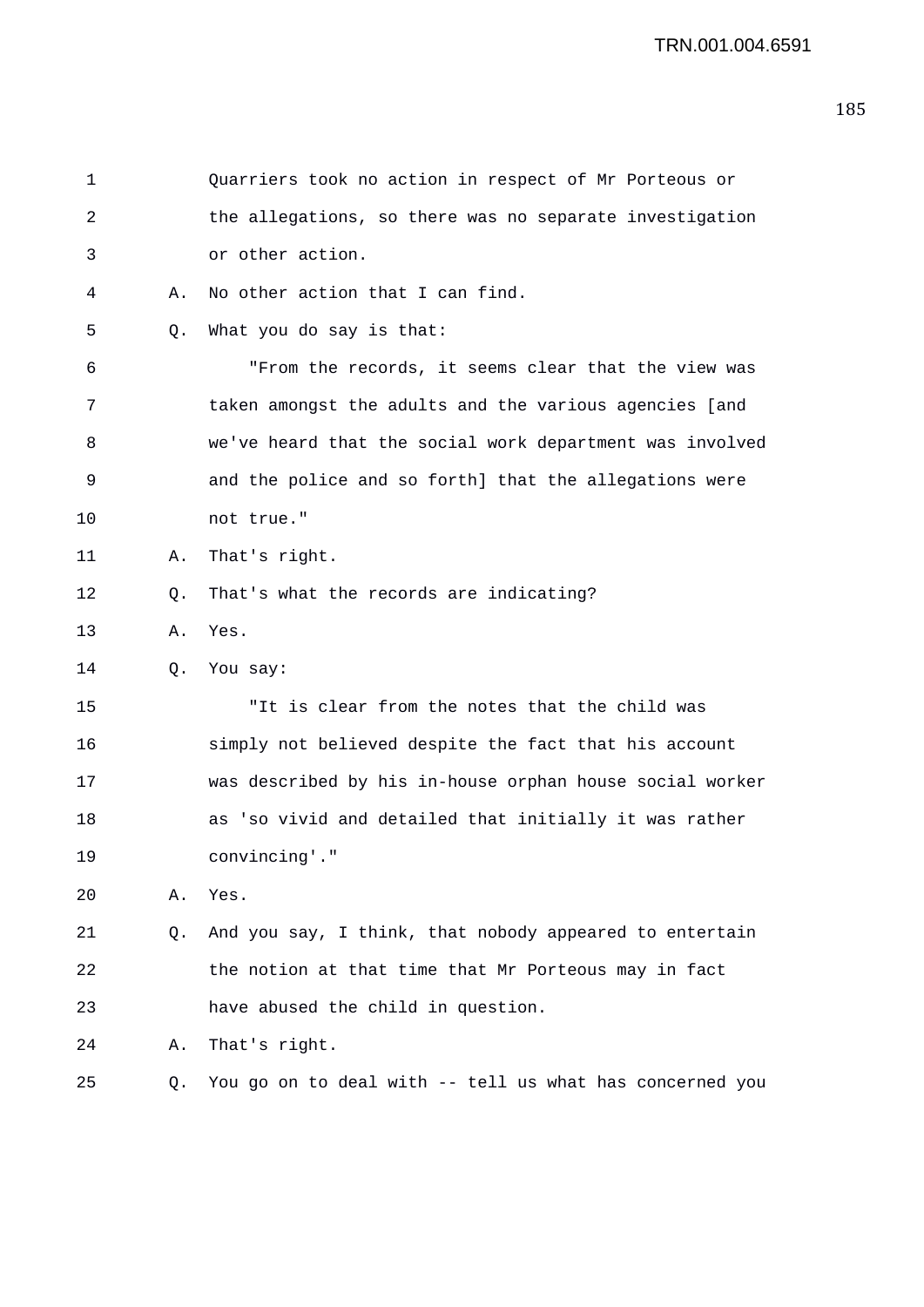| 1  |    | Quarriers took no action in respect of Mr Porteous or    |
|----|----|----------------------------------------------------------|
| 2  |    | the allegations, so there was no separate investigation  |
| 3  |    | or other action.                                         |
| 4  | Α. | No other action that I can find.                         |
| 5  | Q. | What you do say is that:                                 |
| 6  |    | "From the records, it seems clear that the view was      |
| 7  |    | taken amongst the adults and the various agencies [and   |
| 8  |    | we've heard that the social work department was involved |
| 9  |    | and the police and so forth] that the allegations were   |
| 10 |    | not true."                                               |
| 11 | Α. | That's right.                                            |
| 12 | Q. | That's what the records are indicating?                  |
| 13 | Α. | Yes.                                                     |
| 14 | Q. | You say:                                                 |
| 15 |    | "It is clear from the notes that the child was           |
| 16 |    | simply not believed despite the fact that his account    |
| 17 |    | was described by his in-house orphan house social worker |
| 18 |    | as 'so vivid and detailed that initially it was rather   |
| 19 |    | convincing'."                                            |
| 20 | Α. | Yes.                                                     |
| 21 | Q. | And you say, I think, that nobody appeared to entertain  |
| 22 |    | the notion at that time that Mr Porteous may in fact     |
| 23 |    | have abused the child in question.                       |
| 24 | Α. | That's right.                                            |
| 25 | Q. | You go on to deal with -- tell us what has concerned you |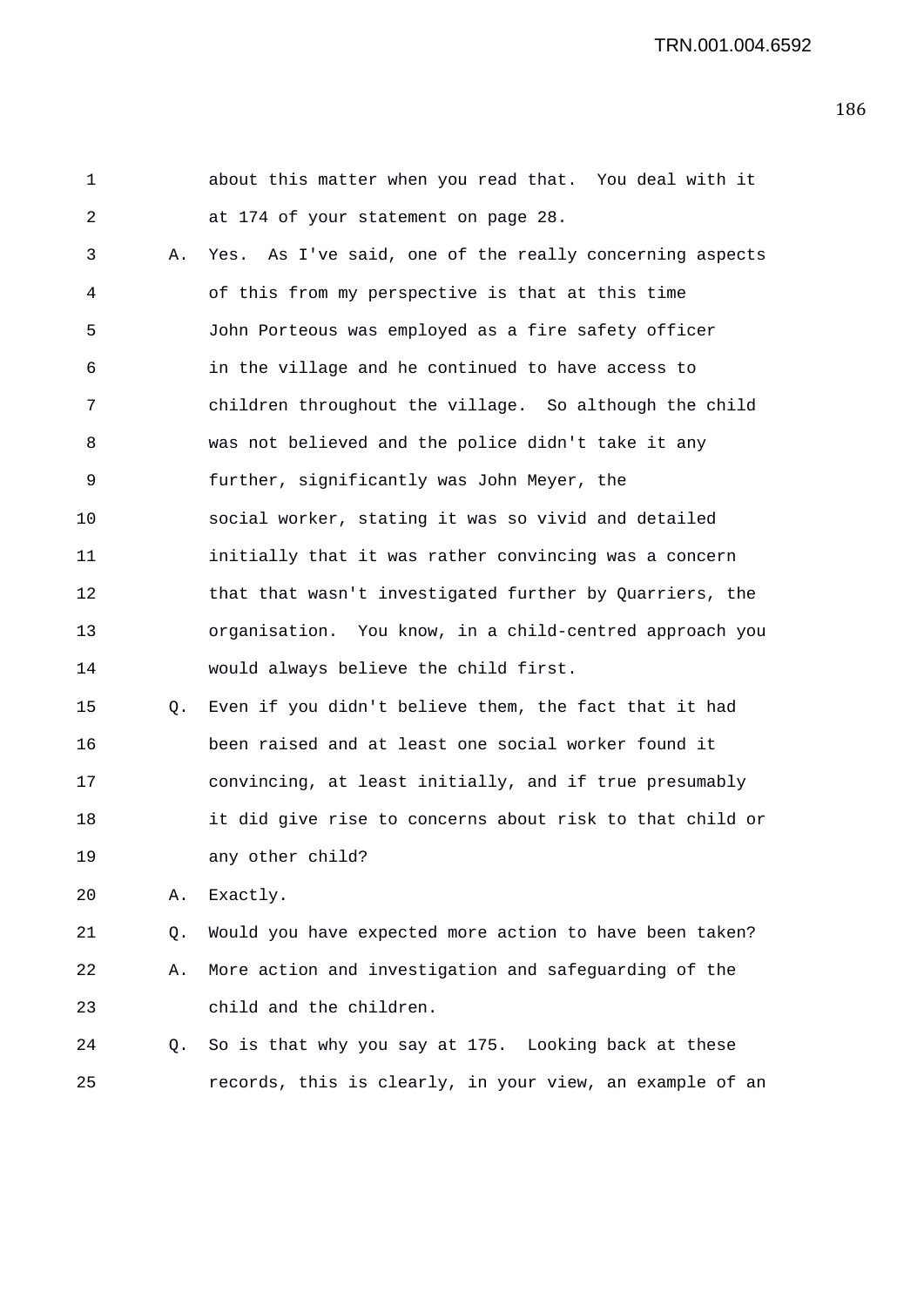| 1  |    | about this matter when you read that. You deal with it   |
|----|----|----------------------------------------------------------|
| 2  |    | at 174 of your statement on page 28.                     |
| 3  | Α. | Yes. As I've said, one of the really concerning aspects  |
| 4  |    | of this from my perspective is that at this time         |
| 5  |    | John Porteous was employed as a fire safety officer      |
| 6  |    | in the village and he continued to have access to        |
| 7  |    | children throughout the village. So although the child   |
| 8  |    | was not believed and the police didn't take it any       |
| 9  |    | further, significantly was John Meyer, the               |
| 10 |    | social worker, stating it was so vivid and detailed      |
| 11 |    | initially that it was rather convincing was a concern    |
| 12 |    | that that wasn't investigated further by Quarriers, the  |
| 13 |    | organisation. You know, in a child-centred approach you  |
| 14 |    | would always believe the child first.                    |
| 15 | Q. | Even if you didn't believe them, the fact that it had    |
| 16 |    | been raised and at least one social worker found it      |
| 17 |    | convincing, at least initially, and if true presumably   |
| 18 |    | it did give rise to concerns about risk to that child or |
| 19 |    | any other child?                                         |
| 20 | Α. | Exactly.                                                 |
| 21 | Q. | Would you have expected more action to have been taken?  |
| 22 | Α. | More action and investigation and safeguarding of the    |
| 23 |    | child and the children.                                  |

24 Q. So is that why you say at 175. Looking back at these 25 records, this is clearly, in your view, an example of an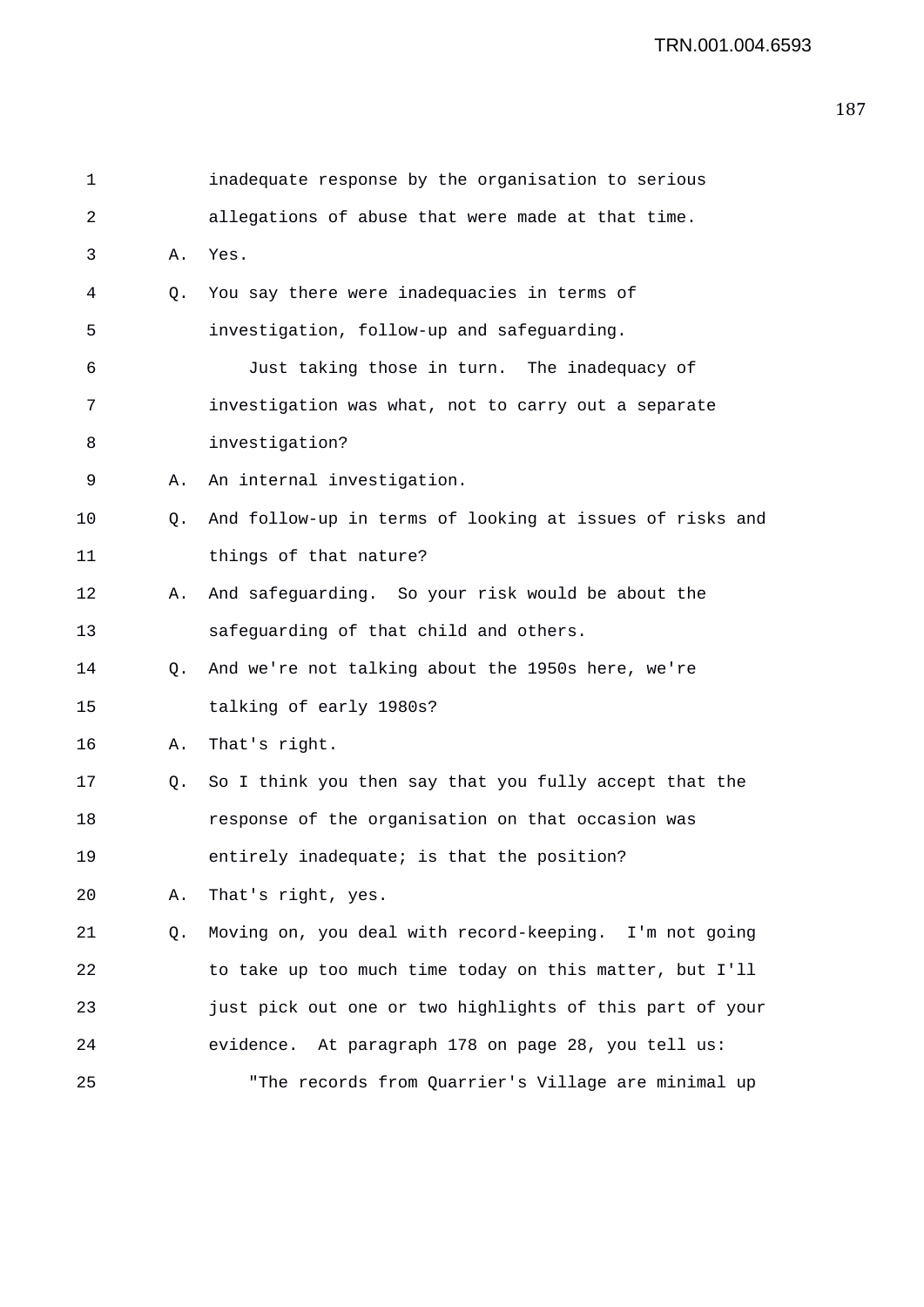| 1           |    | inadequate response by the organisation to serious       |
|-------------|----|----------------------------------------------------------|
| 2           |    | allegations of abuse that were made at that time.        |
| 3           | Α. | Yes.                                                     |
| 4           | Q. | You say there were inadequacies in terms of              |
| 5           |    | investigation, follow-up and safeguarding.               |
| 6           |    | Just taking those in turn. The inadequacy of             |
| 7           |    | investigation was what, not to carry out a separate      |
| 8           |    | investigation?                                           |
| 9           | Α. | An internal investigation.                               |
| 10          | Q. | And follow-up in terms of looking at issues of risks and |
| 11          |    | things of that nature?                                   |
| 12          | Α. | And safeguarding. So your risk would be about the        |
| 13          |    | safeguarding of that child and others.                   |
| 14          | Q. | And we're not talking about the 1950s here, we're        |
| 15          |    | talking of early 1980s?                                  |
| 16          | Α. | That's right.                                            |
| 17          | 0. | So I think you then say that you fully accept that the   |
| 18          |    | response of the organisation on that occasion was        |
| 19          |    | entirely inadequate; is that the position?               |
| 20          | Α. | That's right, yes.                                       |
| $2\sqrt{1}$ | Q. | Moving on, you deal with record-keeping. I'm not going   |
| 22          |    | to take up too much time today on this matter, but I'll  |
| 23          |    | just pick out one or two highlights of this part of your |
| 24          |    | evidence. At paragraph 178 on page 28, you tell us:      |
| 25          |    | "The records from Quarrier's Village are minimal up      |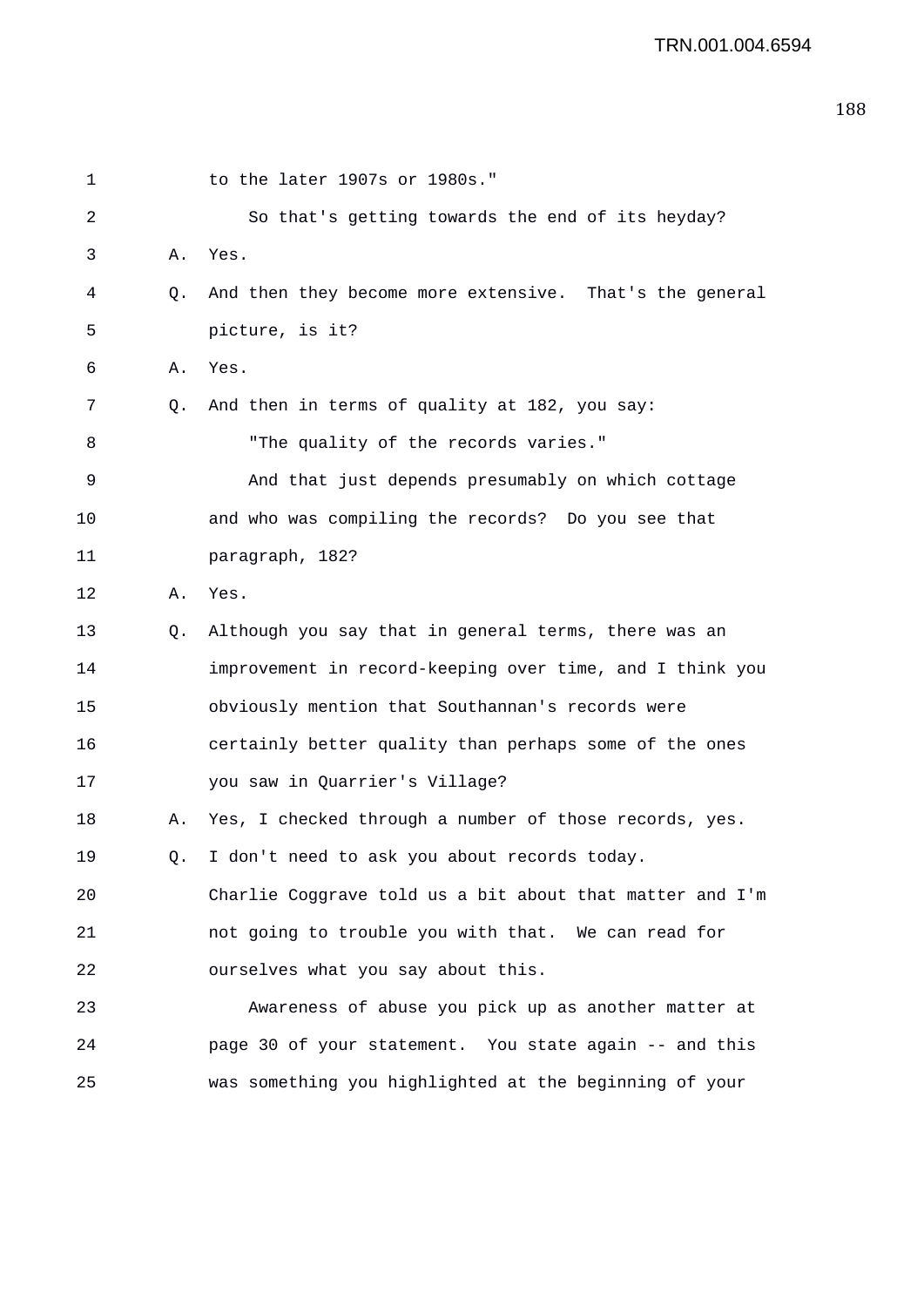| 1  |           | to the later 1907s or 1980s."                            |
|----|-----------|----------------------------------------------------------|
| 2  |           | So that's getting towards the end of its heyday?         |
| 3  | Α.        | Yes.                                                     |
| 4  | $\circ$ . | And then they become more extensive. That's the general  |
| 5  |           | picture, is it?                                          |
| 6  | Α.        | Yes.                                                     |
| 7  | O.        | And then in terms of quality at 182, you say:            |
| 8  |           | "The quality of the records varies."                     |
| 9  |           | And that just depends presumably on which cottage        |
| 10 |           | and who was compiling the records? Do you see that       |
| 11 |           | paragraph, 182?                                          |
| 12 | Α.        | Yes.                                                     |
| 13 | Q.        | Although you say that in general terms, there was an     |
| 14 |           | improvement in record-keeping over time, and I think you |
| 15 |           | obviously mention that Southannan's records were         |
| 16 |           | certainly better quality than perhaps some of the ones   |
| 17 |           | you saw in Quarrier's Village?                           |
| 18 | Α.        | Yes, I checked through a number of those records, yes.   |
| 19 | Q.        | I don't need to ask you about records today.             |
| 20 |           | Charlie Coggrave told us a bit about that matter and I'm |
| 21 |           | not going to trouble you with that. We can read for      |
| 22 |           | ourselves what you say about this.                       |
| 23 |           | Awareness of abuse you pick up as another matter at      |
| 24 |           | page 30 of your statement. You state again -- and this   |
| 25 |           | was something you highlighted at the beginning of your   |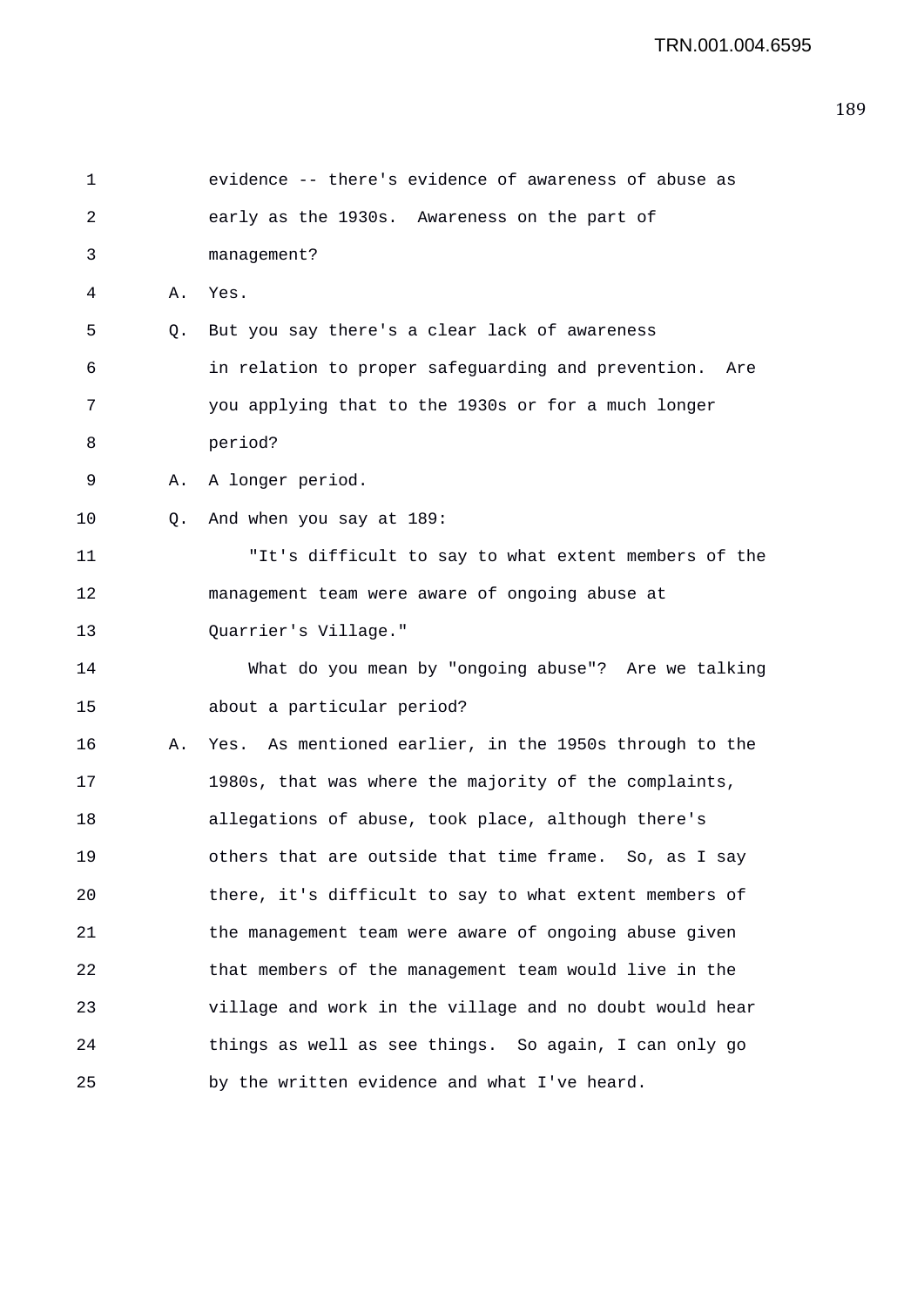```
1 evidence -- there's evidence of awareness of abuse as 
2 early as the 1930s. Awareness on the part of 
3 management? 
4 A. Yes. 
5 Q. But you say there's a clear lack of awareness 
6 in relation to proper safeguarding and prevention. Are 
7 you applying that to the 1930s or for a much longer 
8 period? 
9 A. A longer period. 
10 Q. And when you say at 189: 
11 "It's difficult to say to what extent members of the 
12 management team were aware of ongoing abuse at 
13 Quarrier's Village." 
14 What do you mean by "ongoing abuse"? Are we talking 
15 about a particular period? 
16 A. Yes. As mentioned earlier, in the 1950s through to the 
17 1980s, that was where the majority of the complaints, 
18 allegations of abuse, took place, although there's 
19 others that are outside that time frame. So, as I say 
20 there, it's difficult to say to what extent members of 
21 the management team were aware of ongoing abuse given 
22 that members of the management team would live in the 
23 village and work in the village and no doubt would hear 
24 things as well as see things. So again, I can only go 
25 by the written evidence and what I've heard.
```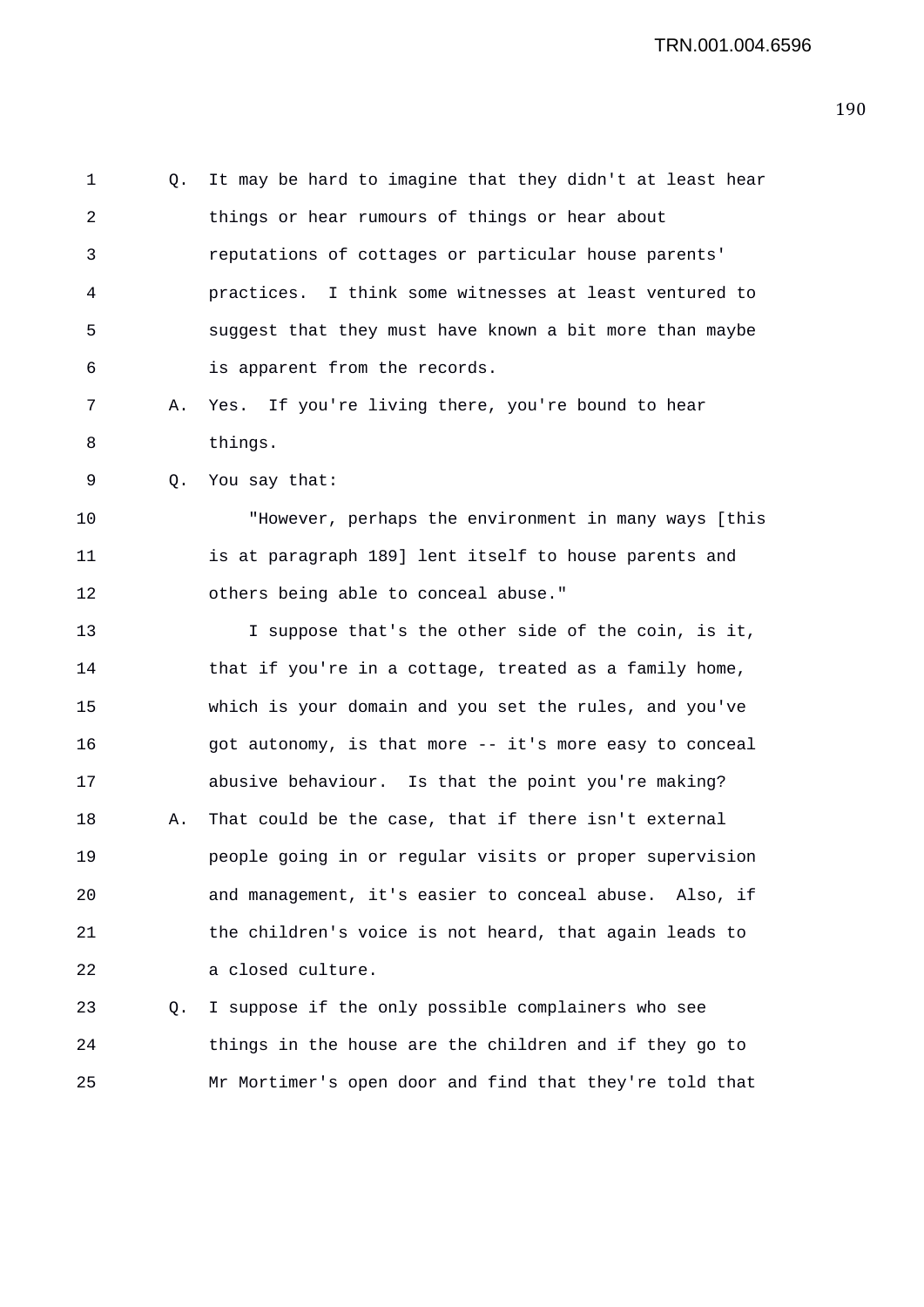1 Q. It may be hard to imagine that they didn't at least hear 2 things or hear rumours of things or hear about 3 reputations of cottages or particular house parents' 4 practices. I think some witnesses at least ventured to 5 suggest that they must have known a bit more than maybe 6 is apparent from the records. 7 A. Yes. If you're living there, you're bound to hear

8 things.

9 Q. You say that:

10 "However, perhaps the environment in many ways [this 11 is at paragraph 189] lent itself to house parents and 12 others being able to conceal abuse."

13 I suppose that's the other side of the coin, is it, 14 that if you're in a cottage, treated as a family home, 15 which is your domain and you set the rules, and you've 16 got autonomy, is that more -- it's more easy to conceal 17 abusive behaviour. Is that the point you're making? 18 A. That could be the case, that if there isn't external 19 people going in or regular visits or proper supervision 20 and management, it's easier to conceal abuse. Also, if 21 the children's voice is not heard, that again leads to 22 a closed culture.

23 Q. I suppose if the only possible complainers who see 24 things in the house are the children and if they go to 25 Mr Mortimer's open door and find that they're told that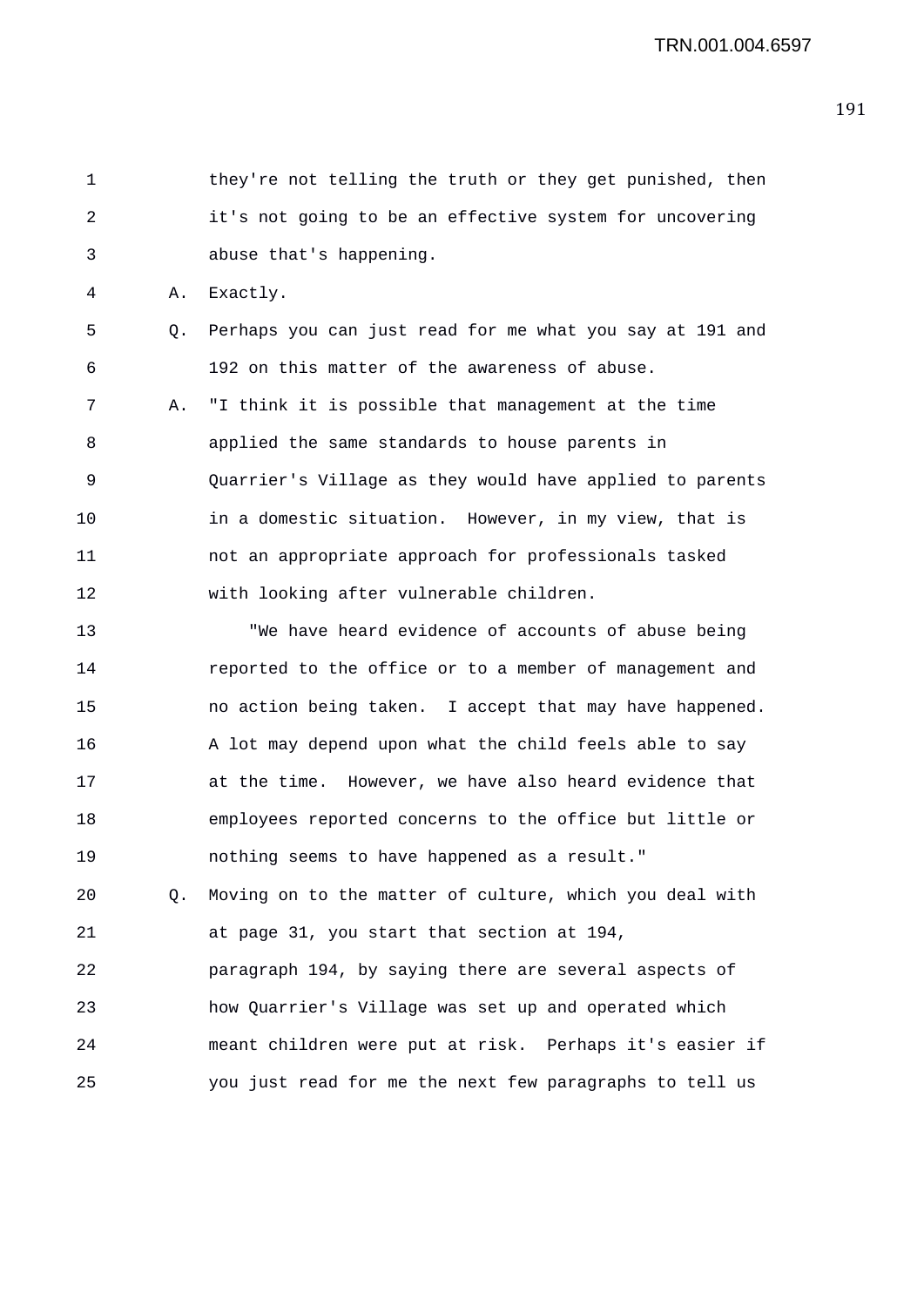1 they're not telling the truth or they get punished, then 2 it's not going to be an effective system for uncovering 3 abuse that's happening.

4 A. Exactly.

5 Q. Perhaps you can just read for me what you say at 191 and 6 192 on this matter of the awareness of abuse.

7 A. "I think it is possible that management at the time 8 applied the same standards to house parents in 9 Quarrier's Village as they would have applied to parents 10 in a domestic situation. However, in my view, that is 11 not an appropriate approach for professionals tasked 12 with looking after vulnerable children.

13 "We have heard evidence of accounts of abuse being 14 reported to the office or to a member of management and 15 no action being taken. I accept that may have happened. 16 A lot may depend upon what the child feels able to say 17 at the time. However, we have also heard evidence that 18 employees reported concerns to the office but little or 19 nothing seems to have happened as a result." 20 Q. Moving on to the matter of culture, which you deal with 21 at page 31, you start that section at 194, 22 paragraph 194, by saying there are several aspects of 23 how Quarrier's Village was set up and operated which 24 meant children were put at risk. Perhaps it's easier if 25 you just read for me the next few paragraphs to tell us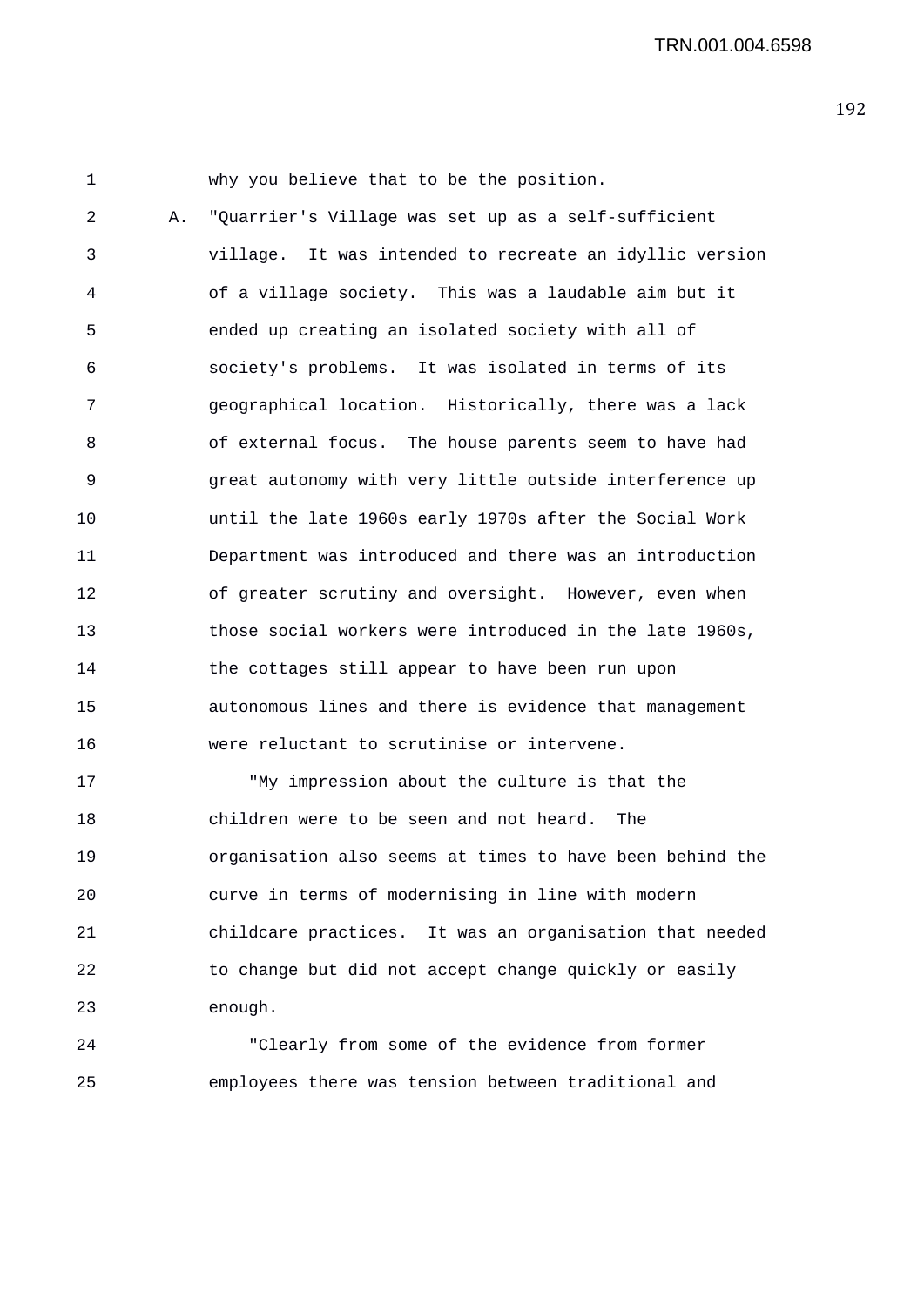1 why you believe that to be the position. 2 A. "Quarrier's Village was set up as a self-sufficient 3 village. It was intended to recreate an idyllic version 4 of a village society. This was a laudable aim but it 5 ended up creating an isolated society with all of 6 society's problems. It was isolated in terms of its 7 geographical location. Historically, there was a lack 8 of external focus. The house parents seem to have had 9 great autonomy with very little outside interference up 10 until the late 1960s early 1970s after the Social Work 11 Department was introduced and there was an introduction 12 of greater scrutiny and oversight. However, even when 13 those social workers were introduced in the late 1960s, 14 the cottages still appear to have been run upon 15 autonomous lines and there is evidence that management 16 were reluctant to scrutinise or intervene.

17 "My impression about the culture is that the 18 children were to be seen and not heard. The 19 organisation also seems at times to have been behind the 20 curve in terms of modernising in line with modern 21 childcare practices. It was an organisation that needed 22 to change but did not accept change quickly or easily 23 enough.

24 "Clearly from some of the evidence from former 25 employees there was tension between traditional and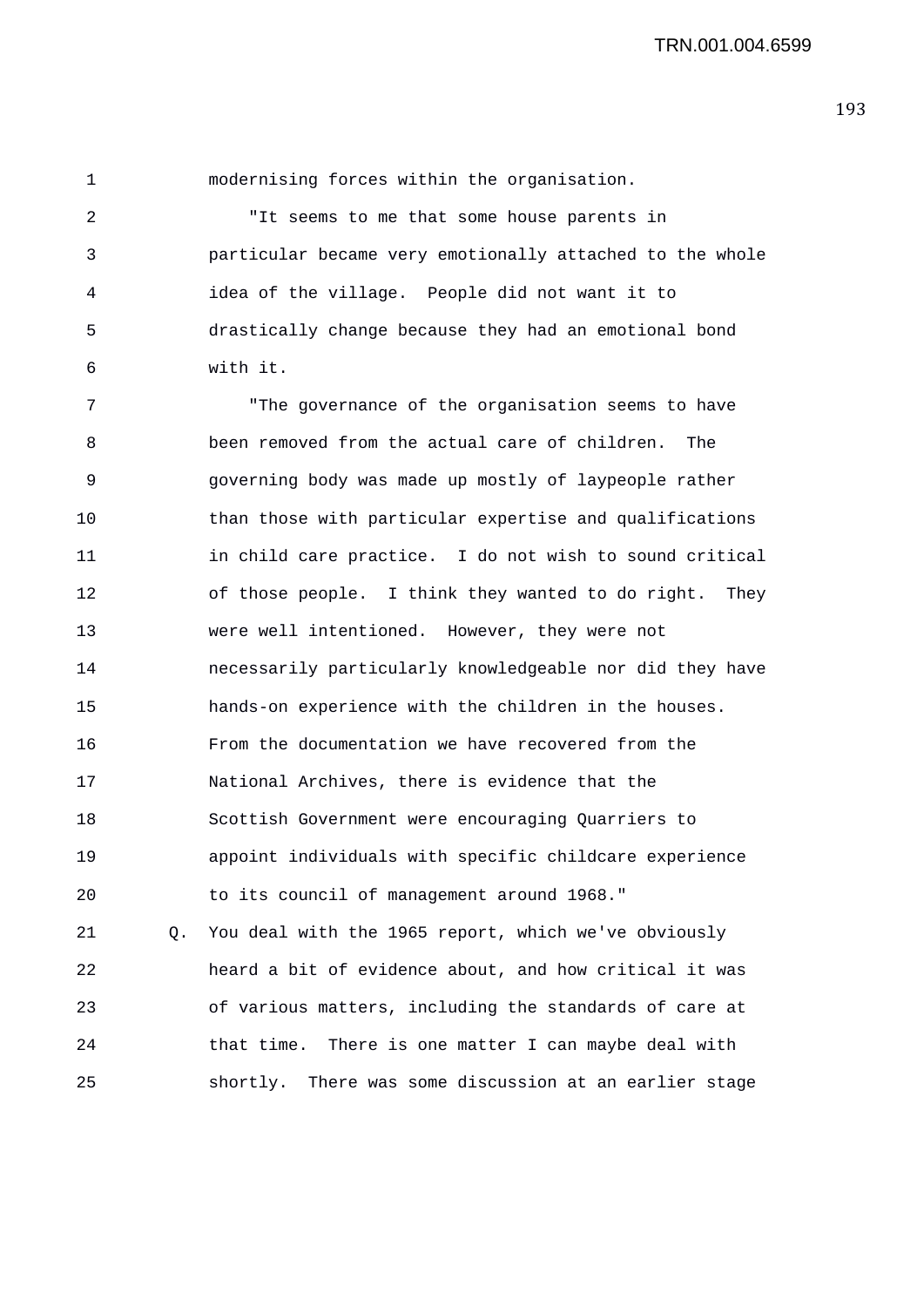1 modernising forces within the organisation.

2 "It seems to me that some house parents in 3 particular became very emotionally attached to the whole 4 idea of the village. People did not want it to 5 drastically change because they had an emotional bond 6 with it.

7 "The governance of the organisation seems to have 8 been removed from the actual care of children. The 9 governing body was made up mostly of laypeople rather 10 than those with particular expertise and qualifications 11 in child care practice. I do not wish to sound critical 12 of those people. I think they wanted to do right. They 13 were well intentioned. However, they were not 14 necessarily particularly knowledgeable nor did they have 15 hands-on experience with the children in the houses. 16 From the documentation we have recovered from the 17 National Archives, there is evidence that the 18 Scottish Government were encouraging Quarriers to 19 appoint individuals with specific childcare experience 20 to its council of management around 1968." 21 Q. You deal with the 1965 report, which we've obviously 22 heard a bit of evidence about, and how critical it was

24 that time. There is one matter I can maybe deal with 25 shortly. There was some discussion at an earlier stage

23 of various matters, including the standards of care at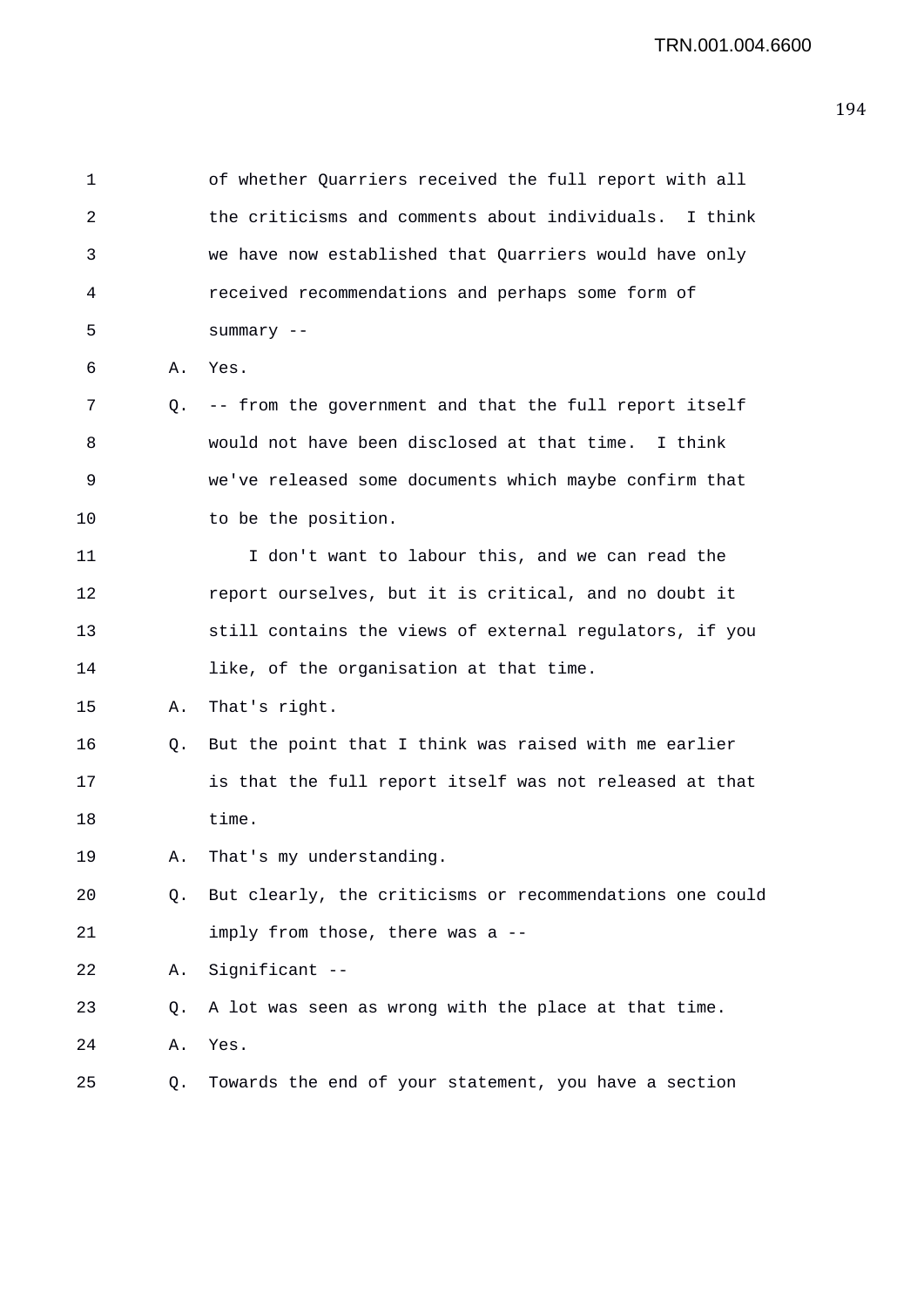1 of whether Quarriers received the full report with all 2 the criticisms and comments about individuals. I think 3 we have now established that Quarriers would have only 4 received recommendations and perhaps some form of 5 summary -- 6 A. Yes. 7 Q. -- from the government and that the full report itself 8 would not have been disclosed at that time. I think 9 we've released some documents which maybe confirm that 10 to be the position. 11 I don't want to labour this, and we can read the 12 report ourselves, but it is critical, and no doubt it 13 still contains the views of external regulators, if you 14 like, of the organisation at that time. 15 A. That's right. 16 Q. But the point that I think was raised with me earlier 17 is that the full report itself was not released at that 18 time. 19 A. That's my understanding. 20 Q. But clearly, the criticisms or recommendations one could 21 imply from those, there was a -- 22 A. Significant -- 23 Q. A lot was seen as wrong with the place at that time. 24 A. Yes. 25 Q. Towards the end of your statement, you have a section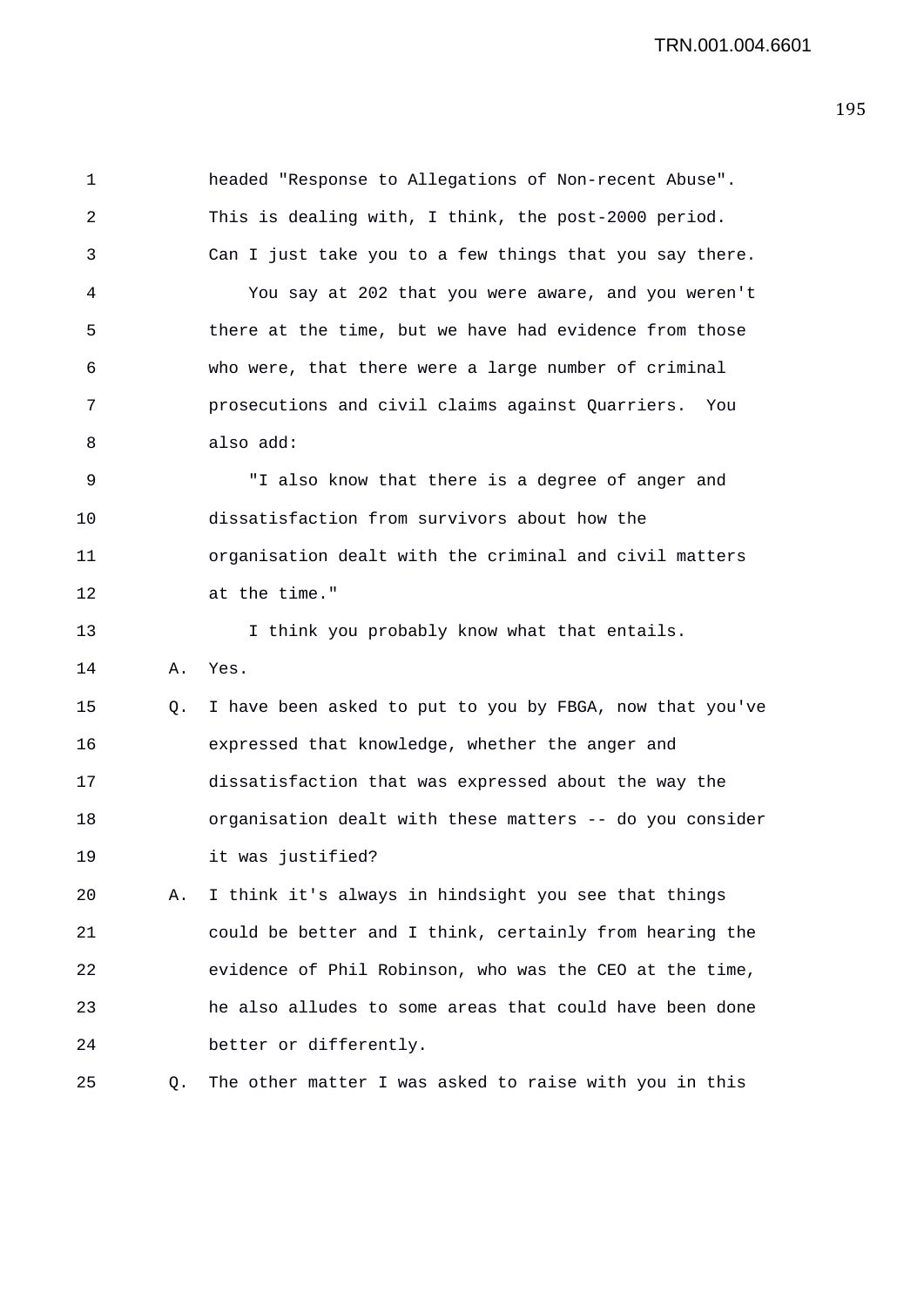1 headed "Response to Allegations of Non-recent Abuse". 2 This is dealing with, I think, the post-2000 period. 3 Can I just take you to a few things that you say there. 4 You say at 202 that you were aware, and you weren't 5 there at the time, but we have had evidence from those 6 who were, that there were a large number of criminal 7 prosecutions and civil claims against Quarriers. You 8 also add: 9 "I also know that there is a degree of anger and 10 dissatisfaction from survivors about how the 11 organisation dealt with the criminal and civil matters 12 at the time." 13 I think you probably know what that entails. 14 A. Yes. 15 Q. I have been asked to put to you by FBGA, now that you've 16 expressed that knowledge, whether the anger and 17 dissatisfaction that was expressed about the way the 18 organisation dealt with these matters -- do you consider 19 it was justified? 20 A. I think it's always in hindsight you see that things 21 could be better and I think, certainly from hearing the 22 evidence of Phil Robinson, who was the CEO at the time, 23 he also alludes to some areas that could have been done 24 better or differently. 25 Q. The other matter I was asked to raise with you in this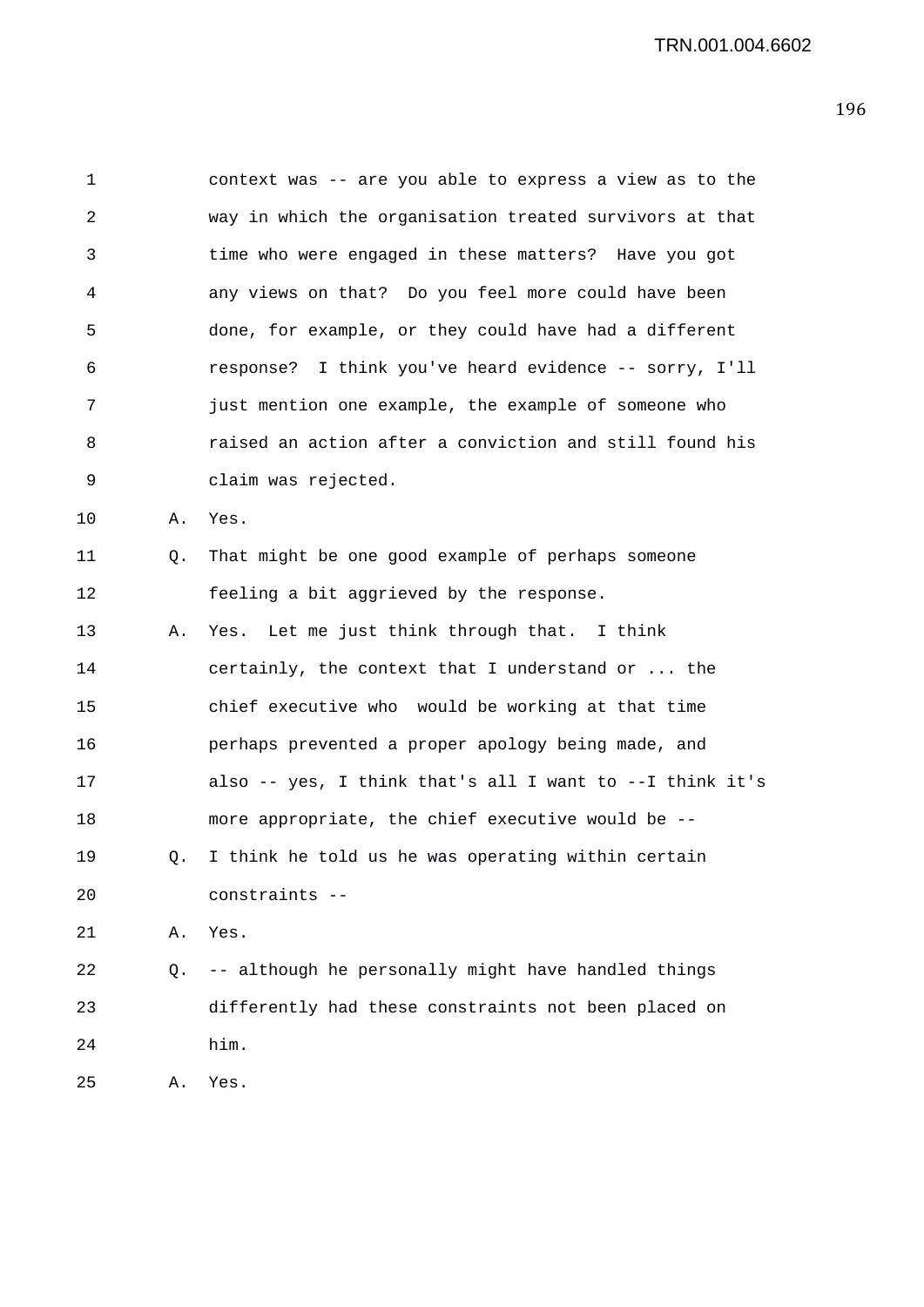1 context was -- are you able to express a view as to the 2 way in which the organisation treated survivors at that 3 time who were engaged in these matters? Have you got 4 any views on that? Do you feel more could have been 5 done, for example, or they could have had a different 6 response? I think you've heard evidence -- sorry, I'll 7 just mention one example, the example of someone who 8 raised an action after a conviction and still found his 9 claim was rejected. 10 A. Yes. 11 Q. That might be one good example of perhaps someone 12 feeling a bit aggrieved by the response. 13 A. Yes. Let me just think through that. I think 14 certainly, the context that I understand or ... the 15 chief executive who would be working at that time 16 perhaps prevented a proper apology being made, and 17 also -- yes, I think that's all I want to --I think it's 18 more appropriate, the chief executive would be -- 19 Q. I think he told us he was operating within certain 20 constraints -- 21 A. Yes. 22 Q. -- although he personally might have handled things 23 differently had these constraints not been placed on 24 him. 25 A. Yes.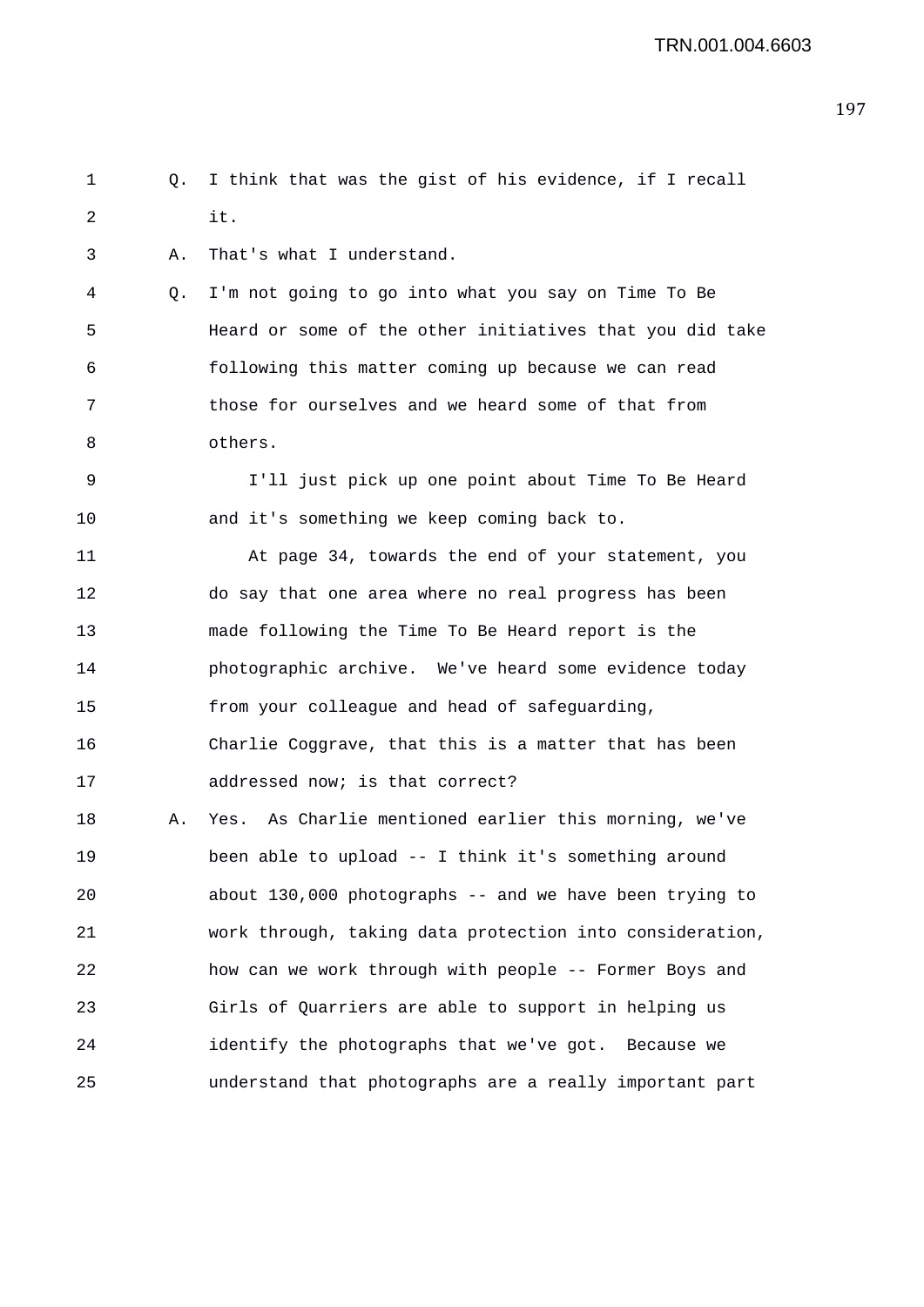1 Q. I think that was the gist of his evidence, if I recall 2 it. 3 A. That's what I understand. 4 Q. I'm not going to go into what you say on Time To Be

5 Heard or some of the other initiatives that you did take 6 following this matter coming up because we can read 7 those for ourselves and we heard some of that from 8 others.

9 I'll just pick up one point about Time To Be Heard 10 and it's something we keep coming back to.

11 At page 34, towards the end of your statement, you 12 do say that one area where no real progress has been 13 made following the Time To Be Heard report is the 14 photographic archive. We've heard some evidence today 15 from your colleague and head of safeguarding, 16 Charlie Coggrave, that this is a matter that has been 17 addressed now; is that correct?

18 A. Yes. As Charlie mentioned earlier this morning, we've 19 been able to upload -- I think it's something around 20 about 130,000 photographs -- and we have been trying to 21 work through, taking data protection into consideration, 22 how can we work through with people -- Former Boys and 23 Girls of Quarriers are able to support in helping us 24 identify the photographs that we've got. Because we 25 understand that photographs are a really important part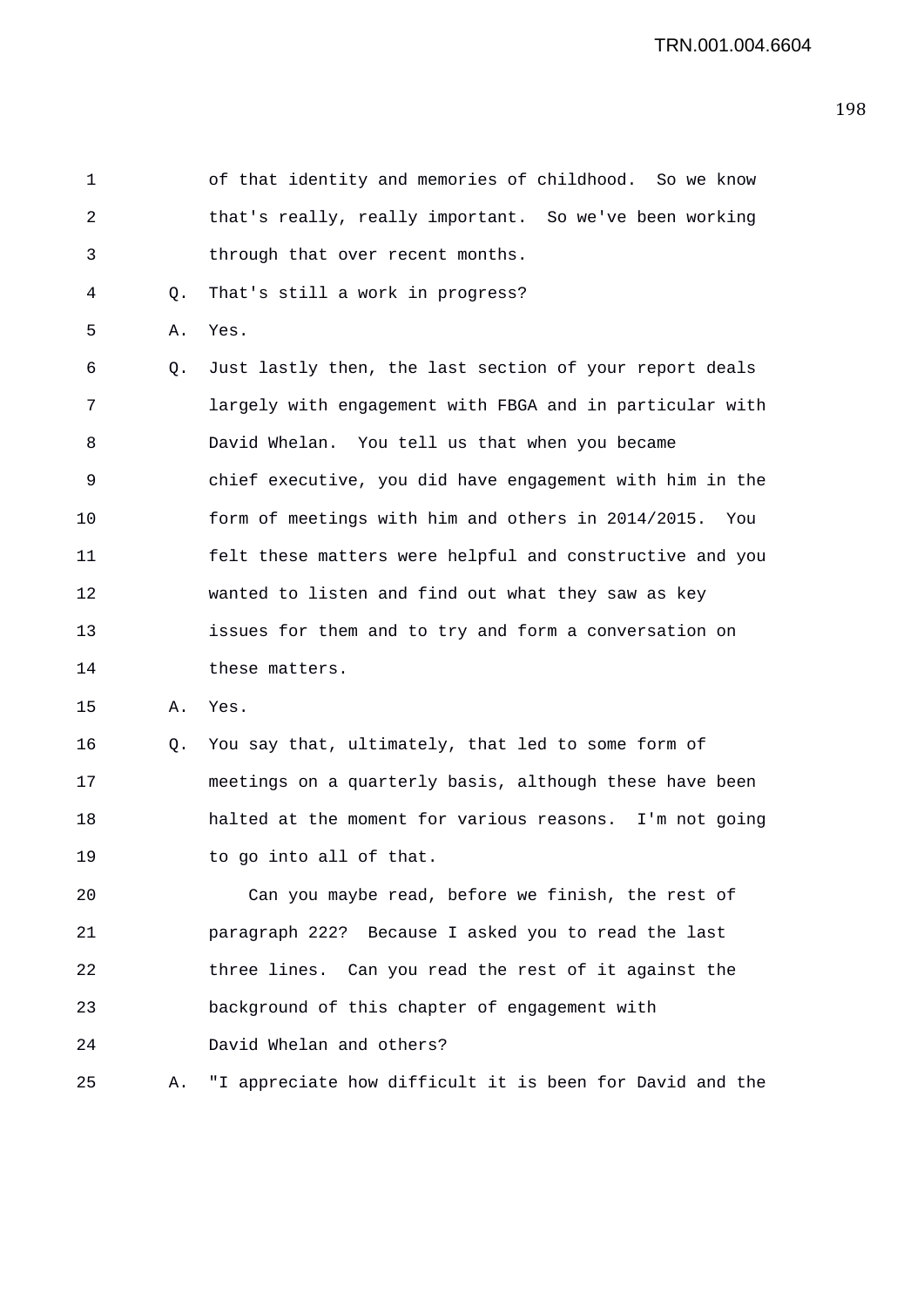1 of that identity and memories of childhood. So we know 2 that's really, really important. So we've been working 3 through that over recent months. 4 Q. That's still a work in progress? 5 A. Yes. 6 Q. Just lastly then, the last section of your report deals 7 largely with engagement with FBGA and in particular with 8 David Whelan. You tell us that when you became 9 chief executive, you did have engagement with him in the 10 form of meetings with him and others in 2014/2015. You 11 felt these matters were helpful and constructive and you 12 wanted to listen and find out what they saw as key 13 issues for them and to try and form a conversation on 14 these matters. 15 A. Yes. 16 Q. You say that, ultimately, that led to some form of 17 meetings on a quarterly basis, although these have been 18 halted at the moment for various reasons. I'm not going 19 to go into all of that. 20 Can you maybe read, before we finish, the rest of 21 paragraph 222? Because I asked you to read the last 22 three lines. Can you read the rest of it against the 23 background of this chapter of engagement with 24 David Whelan and others? 25 A. "I appreciate how difficult it is been for David and the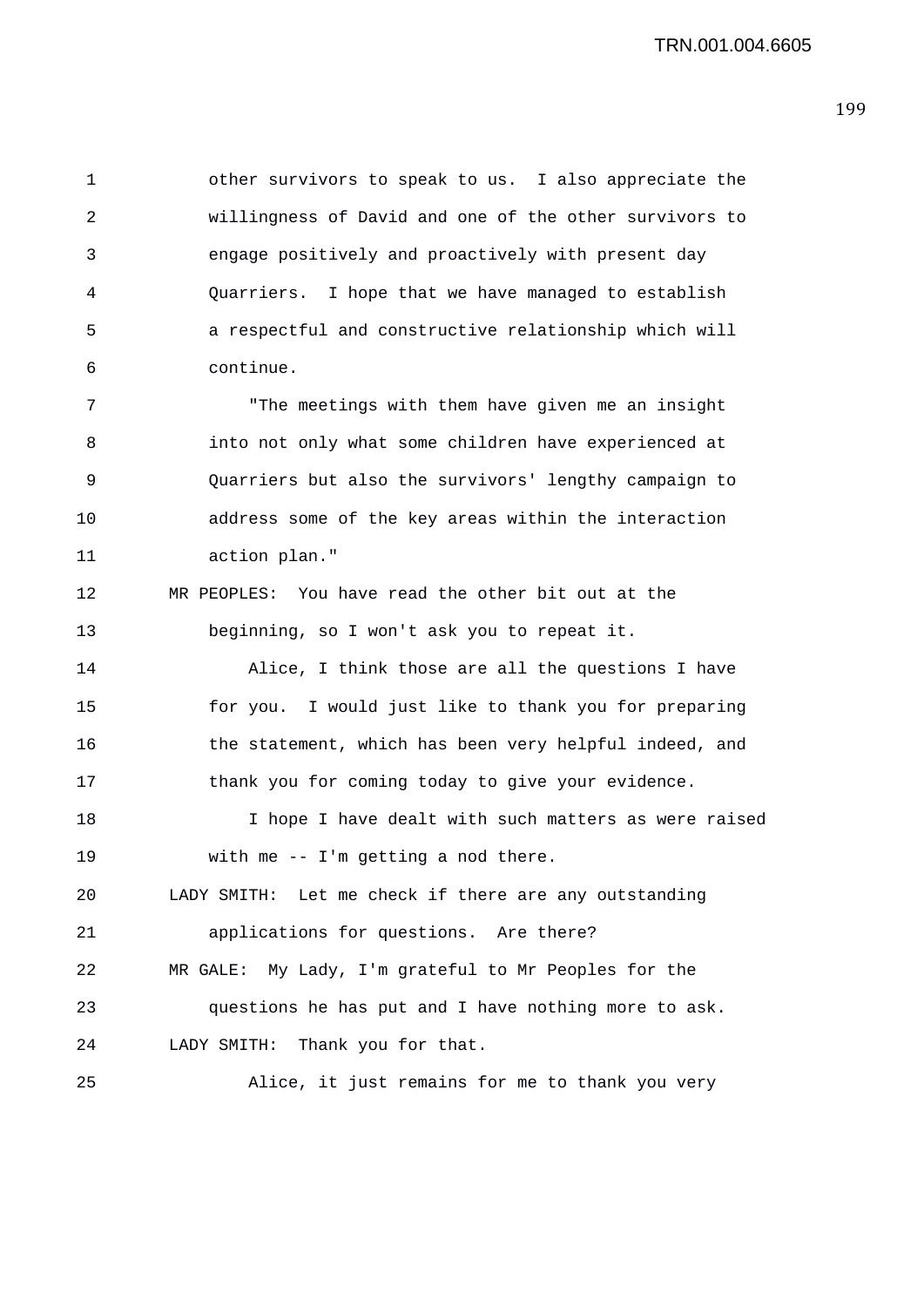1 other survivors to speak to us. I also appreciate the 2 willingness of David and one of the other survivors to 3 engage positively and proactively with present day 4 Quarriers. I hope that we have managed to establish 5 a respectful and constructive relationship which will 6 continue.

7 "The meetings with them have given me an insight 8 into not only what some children have experienced at 9 Quarriers but also the survivors' lengthy campaign to 10 address some of the key areas within the interaction 11 action plan."

12 MR PEOPLES: You have read the other bit out at the 13 beginning, so I won't ask you to repeat it.

14 Alice, I think those are all the questions I have 15 for you. I would just like to thank you for preparing 16 the statement, which has been very helpful indeed, and 17 thank you for coming today to give your evidence.

18 I hope I have dealt with such matters as were raised 19 with me -- I'm getting a nod there.

20 LADY SMITH: Let me check if there are any outstanding

21 applications for questions. Are there? 22 MR GALE: My Lady, I'm grateful to Mr Peoples for the 23 questions he has put and I have nothing more to ask. 24 LADY SMITH: Thank you for that.

25 Alice, it just remains for me to thank you very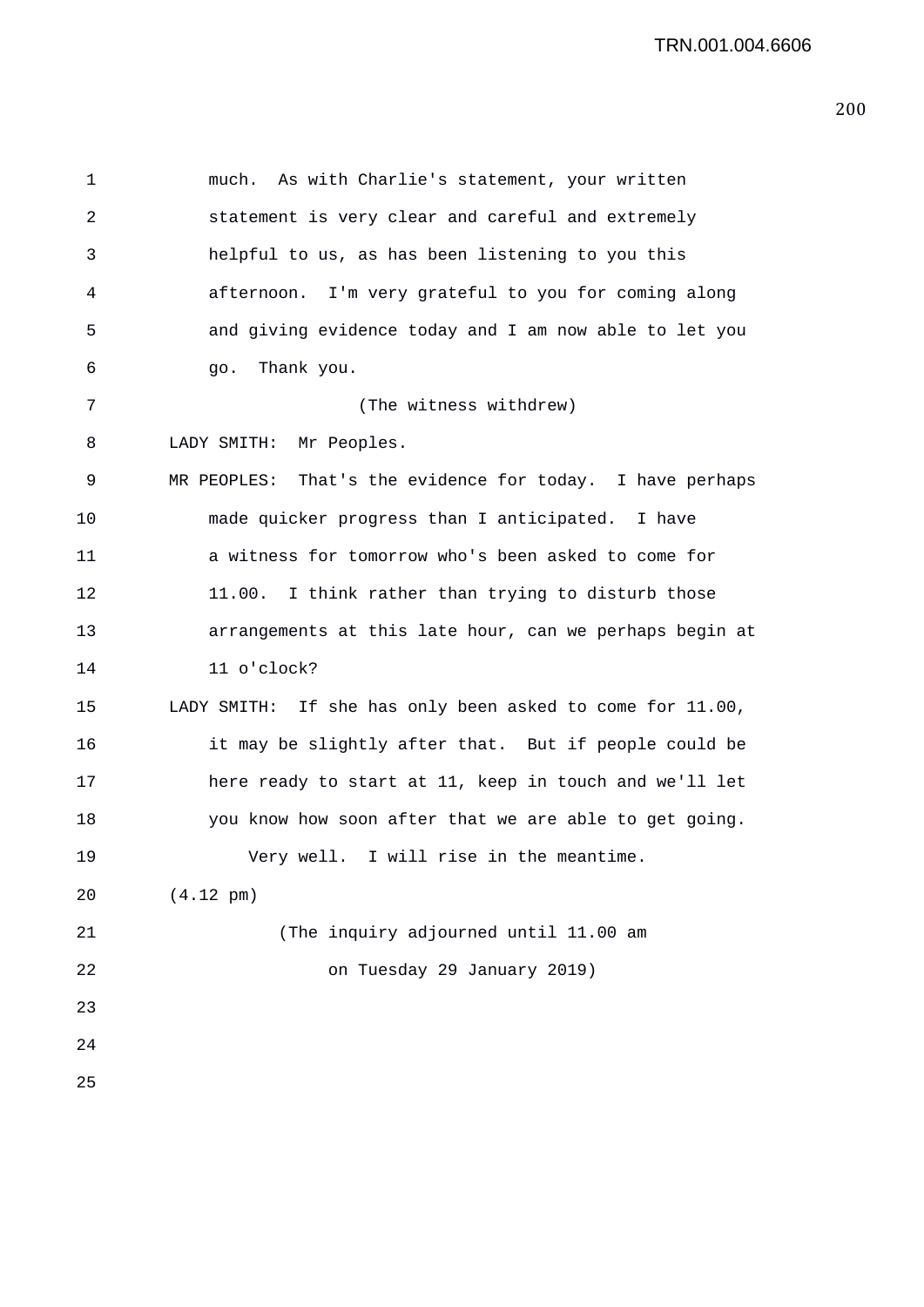1 much. As with Charlie's statement, your written 2 statement is very clear and careful and extremely 3 helpful to us, as has been listening to you this 4 afternoon. I'm very grateful to you for coming along 5 and giving evidence today and I am now able to let you 6 go. Thank you. 7 (The witness withdrew) 8 LADY SMITH: Mr Peoples. 9 MR PEOPLES: That's the evidence for today. I have perhaps 10 made quicker progress than I anticipated. I have 11 a witness for tomorrow who's been asked to come for 12 11.00. I think rather than trying to disturb those 13 arrangements at this late hour, can we perhaps begin at 14 11 o'clock? 15 LADY SMITH: If she has only been asked to come for 11.00, 16 it may be slightly after that. But if people could be 17 here ready to start at 11, keep in touch and we'll let 18 you know how soon after that we are able to get going. 19 Very well. I will rise in the meantime. 20 (4.12 pm) 21 (The inquiry adjourned until 11.00 am 22 on Tuesday 29 January 2019) 23 24 25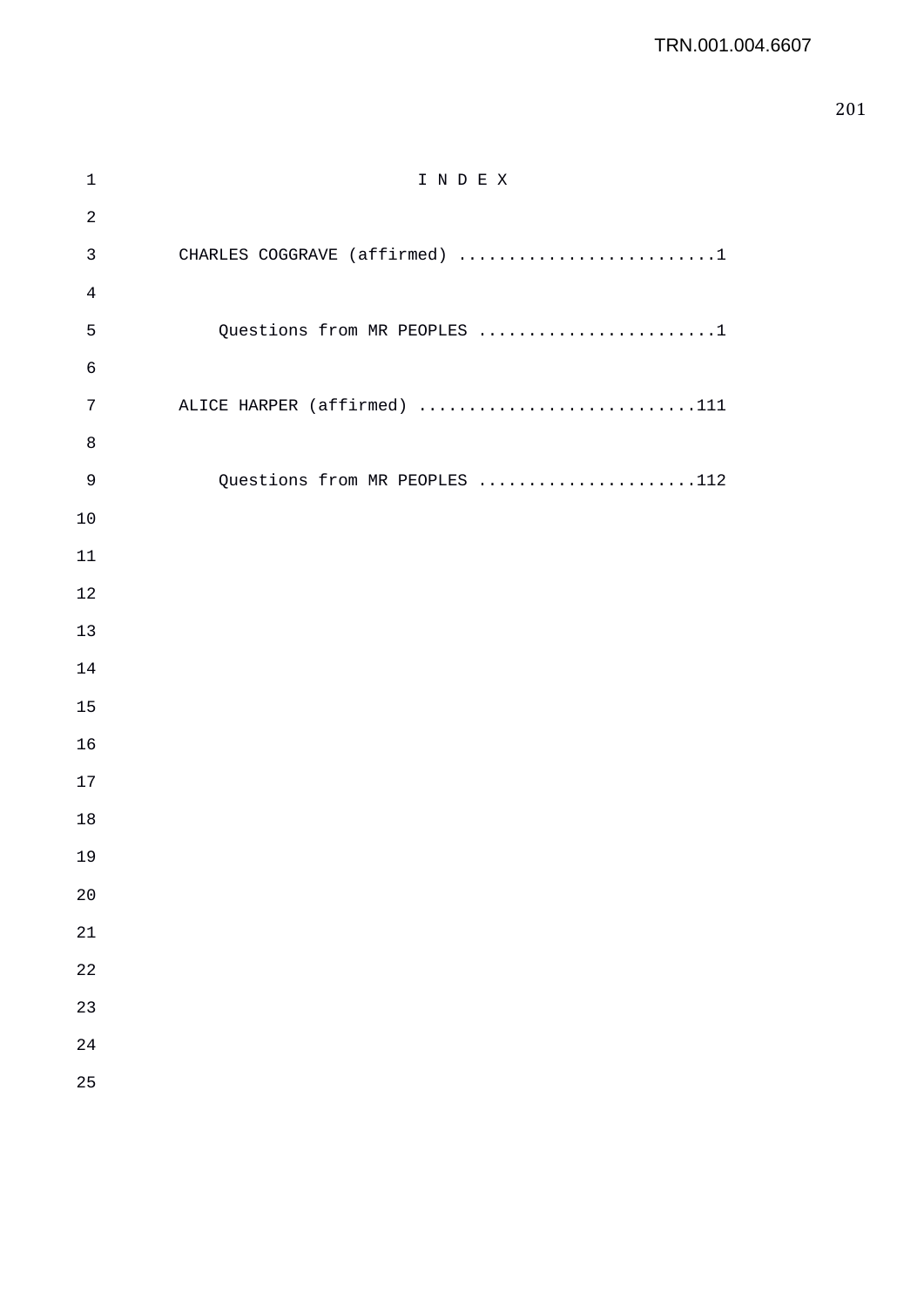| $1\,$          | INDEX                         |
|----------------|-------------------------------|
| $\sqrt{2}$     |                               |
| $\mathsf{3}$   | CHARLES COGGRAVE (affirmed) 1 |
| $\overline{4}$ |                               |
| 5              | Questions from MR PEOPLES 1   |
| 6              |                               |
| $\sqrt{ }$     | ALICE HARPER (affirmed) 111   |
| $\,8\,$        |                               |
| $\mathsf 9$    | Questions from MR PEOPLES 112 |
| 10             |                               |
| 11             |                               |
| 12             |                               |
| 13             |                               |
| 14             |                               |
| 15             |                               |
| 16             |                               |
| 17             |                               |
| 18             |                               |
| 19             |                               |
| 20             |                               |
| 21             |                               |
| 22             |                               |
| 23             |                               |
| 24             |                               |
| 25             |                               |